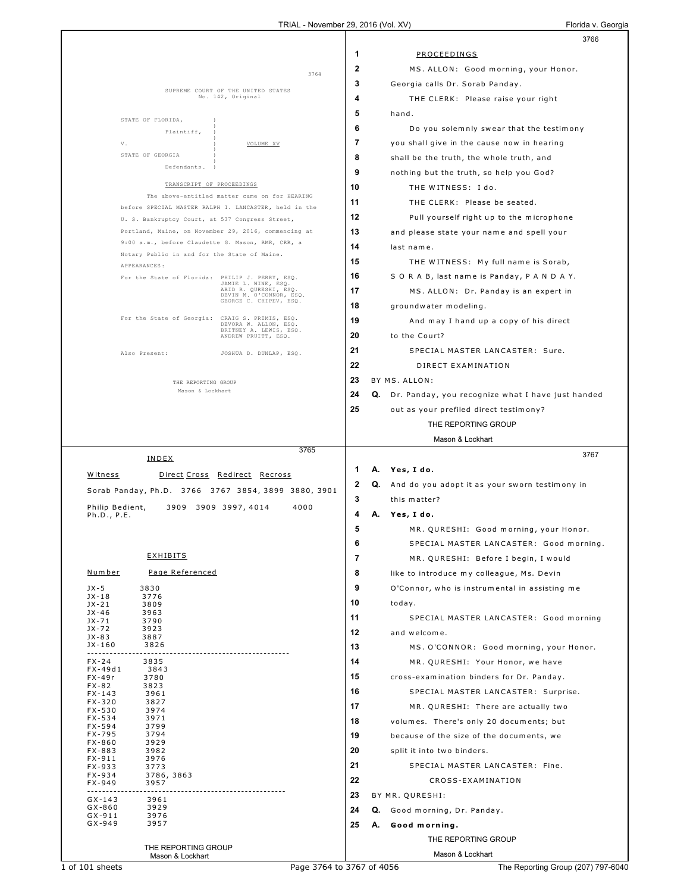|                          |                                                   |                                                         |              |    | 3766                                                           |  |
|--------------------------|---------------------------------------------------|---------------------------------------------------------|--------------|----|----------------------------------------------------------------|--|
|                          |                                                   |                                                         | 1            |    | PROCEEDINGS                                                    |  |
|                          |                                                   | 3764                                                    | $\mathbf{2}$ |    | MS. ALLON: Good morning, your Honor.                           |  |
|                          |                                                   |                                                         | 3            |    | Georgia calls Dr. Sorab Panday.                                |  |
|                          |                                                   | SUPREME COURT OF THE UNITED STATES<br>No. 142, Original | 4            |    | THE CLERK: Please raise your right                             |  |
|                          |                                                   |                                                         | 5            |    | hand.                                                          |  |
|                          | STATE OF FLORIDA,<br>Plaintiff,                   |                                                         | 6            |    | Do you solemnly swear that the testimony                       |  |
|                          | V.                                                | VOLUME XV                                               | 7            |    | you shall give in the cause now in hearing                     |  |
|                          | STATE OF GEORGIA                                  |                                                         | 8            |    | shall be the truth, the whole truth, and                       |  |
|                          | Defendants.                                       |                                                         | 9            |    | nothing but the truth, so help you God?                        |  |
|                          | TRANSCRIPT OF PROCEEDINGS                         |                                                         | 10           |    | THE WITNESS: I do.                                             |  |
|                          |                                                   | The above-entitled matter came on for HEARING           | 11           |    | THE CLERK: Please be seated.                                   |  |
|                          |                                                   | before SPECIAL MASTER RALPH I. LANCASTER, held in the   | 12           |    | Pull yourself right up to the microphone                       |  |
|                          | U. S. Bankruptcy Court, at 537 Congress Street,   | Portland, Maine, on November 29, 2016, commencing at    | 13           |    | and please state your name and spell your                      |  |
|                          | 9:00 a.m., before Claudette G. Mason, RMR, CRR, a |                                                         | 14           |    | last name.                                                     |  |
|                          | Notary Public in and for the State of Maine.      |                                                         | 15           |    | THE WITNESS: My full name is Sorab,                            |  |
|                          | APPEARANCES:                                      |                                                         | 16           |    |                                                                |  |
|                          | For the State of Florida: PHILIP J. PERRY, ESQ.   | JAMIE L. WINE, ESQ.<br>ABID R. QURESHI, ESQ             | 17           |    | S O R A B, last name is Panday, P A N D A Y.                   |  |
|                          |                                                   | DEVIN M. O'CONNOR, ESQ.<br>GEORGE C. CHIPEV, ESQ.       | 18           |    | MS. ALLON: Dr. Panday is an expert in<br>groundwater modeling. |  |
|                          | For the State of Georgia:                         | CRAIG S. PRIMIS, ESQ.                                   | 19           |    |                                                                |  |
|                          |                                                   | DEVORA W. ALLON, ESQ.<br>BRITNEY A. LEWIS, ESQ.         |              |    | And may I hand up a copy of his direct                         |  |
|                          |                                                   | ANDREW PRUITT, ESQ.                                     | 20           |    | to the Court?                                                  |  |
|                          | Also Present:                                     | JOSHUA D. DUNLAP, ESQ.                                  | 21           |    | SPECIAL MASTER LANCASTER: Sure.                                |  |
|                          |                                                   |                                                         | 22           |    | DIRECT EXAMINATION                                             |  |
|                          | THE REPORTING GROUP<br>Mason & Lockhart           |                                                         | 23           |    | BY MS. ALLON:                                                  |  |
|                          |                                                   |                                                         | 24           |    | Q. Dr. Panday, you recognize what I have just handed           |  |
|                          |                                                   |                                                         | 25           |    | out as your prefiled direct testimony?                         |  |
|                          |                                                   |                                                         |              |    | THE REPORTING GROUP                                            |  |
|                          |                                                   | 3765                                                    |              |    | Mason & Lockhart                                               |  |
|                          | INDEX                                             |                                                         |              |    | 3767                                                           |  |
| Witness                  |                                                   | Direct Cross Redirect Recross                           | 1            | А. | Yes, I do.                                                     |  |
|                          |                                                   | Sorab Panday, Ph.D. 3766 3767 3854, 3899 3880, 3901     | 2            | Q. | And do you adopt it as your sworn testimony in                 |  |
| Philip Bedient,          |                                                   | 3909 3909 3997, 4014<br>4000                            | 3            |    | this matter?                                                   |  |
| Ph.D., P.E.              |                                                   |                                                         | 4            | А. | Yes, I do.                                                     |  |
|                          |                                                   |                                                         | 5            |    | MR. QURESHI: Good morning, your Honor.                         |  |
|                          | <u>EXHIBITS</u>                                   |                                                         | 6            |    | SPECIAL MASTER LANCASTER: Good morning.                        |  |
| <u>Number</u>            | Page Referenced                                   |                                                         | 7            |    | MR. QURESHI: Before I begin, I would                           |  |
|                          |                                                   |                                                         | 8<br>9       |    | like to introduce my colleague, Ms. Devin                      |  |
| $JX - 5$<br>$JX-18$      | 3830<br>3776                                      |                                                         | 10           |    | O'Connor, who is instrumental in assisting me                  |  |
| $JX-21$<br>$JX-46$       | 3809<br>3963                                      |                                                         |              |    | today.                                                         |  |
| JX-71<br>JX-72           | 3790<br>3923                                      |                                                         | 11           |    | SPECIAL MASTER LANCASTER: Good morning                         |  |
| $JX-83$<br>JX-160        | 3887<br>3826                                      |                                                         | 12           |    | and welcome.                                                   |  |
|                          |                                                   |                                                         | 13           |    | MS. O'CONNOR: Good morning, your Honor.                        |  |
| $FX - 24$<br>FX-49d1     | 3835<br>3843                                      |                                                         | 14           |    | MR. QURESHI: Your Honor, we have                               |  |
| FX-49r<br>FX-82          | 3780<br>3823                                      |                                                         | 15           |    | cross-examination binders for Dr. Panday.                      |  |
| $FX - 143$<br>$FX - 320$ | 3961<br>3827                                      |                                                         | 16           |    | SPECIAL MASTER LANCASTER: Surprise.                            |  |
| FX-530<br>$FX - 534$     | 3974<br>3971                                      |                                                         | 17           |    | MR. QURESHI: There are actually two                            |  |
| FX-594                   | 3799                                              |                                                         | 18           |    | volumes. There's only 20 documents; but                        |  |
| FX-795<br>$FX - 860$     | 3794<br>3929                                      |                                                         | 19           |    | because of the size of the documents, we                       |  |
| FX-883<br>$FX-911$       | 3982<br>3976                                      |                                                         | 20           |    | split it into two binders.                                     |  |
| FX-933<br>FX-934         | 3773<br>3786, 3863                                |                                                         | 21           |    | SPECIAL MASTER LANCASTER: Fine.                                |  |
| FX-949                   | 3957                                              |                                                         | 22           |    | CROSS-EXAMINATION                                              |  |
| $GX-143$                 | 3961                                              |                                                         | 23           |    | BY MR. QURESHI:                                                |  |
| $GX-860$<br>$GX-911$     | 3929<br>3976                                      |                                                         | 24           |    | Q. Good morning, Dr. Panday.                                   |  |
| $GX-949$                 | 3957                                              |                                                         | 25           |    | A. Good morning.                                               |  |
|                          | THE REPORTING GROUP                               |                                                         |              |    | THE REPORTING GROUP                                            |  |
|                          | Mason & Lockhart                                  |                                                         |              |    | Mason & Lockhart                                               |  |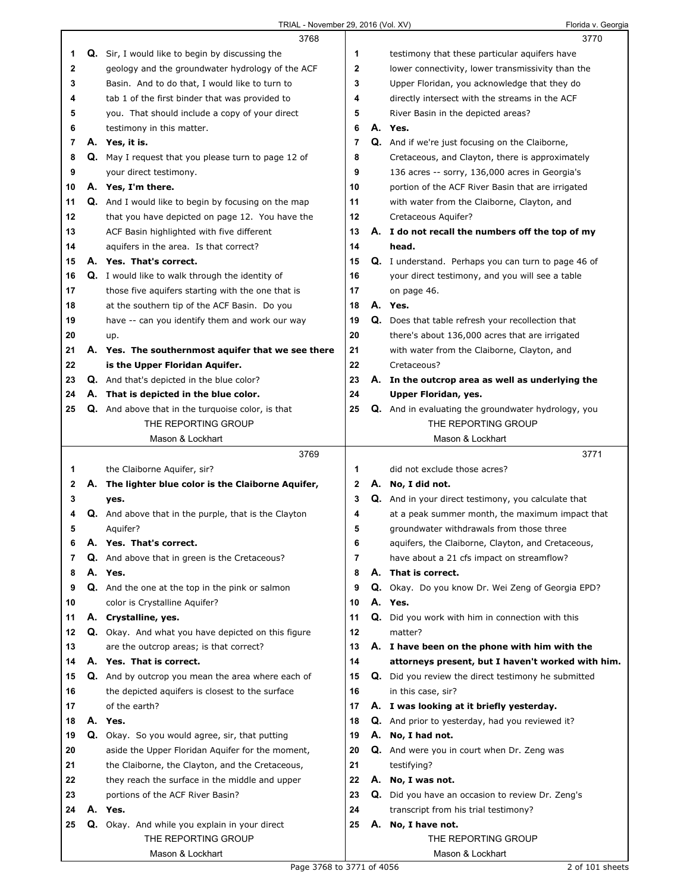|    |    | 3768                                                        |    |    | 3770                                                |
|----|----|-------------------------------------------------------------|----|----|-----------------------------------------------------|
| 1  |    | <b>Q.</b> Sir, I would like to begin by discussing the      | 1  |    | testimony that these particular aquifers have       |
| 2  |    | geology and the groundwater hydrology of the ACF            | 2  |    | lower connectivity, lower transmissivity than the   |
| 3  |    | Basin. And to do that, I would like to turn to              | 3  |    | Upper Floridan, you acknowledge that they do        |
| 4  |    | tab 1 of the first binder that was provided to              | 4  |    | directly intersect with the streams in the ACF      |
| 5  |    | you. That should include a copy of your direct              | 5  |    | River Basin in the depicted areas?                  |
| 6  |    | testimony in this matter.                                   | 6  |    | A. Yes.                                             |
| 7  |    | A. Yes, it is.                                              | 7  |    | Q. And if we're just focusing on the Claiborne,     |
| 8  |    | Q. May I request that you please turn to page 12 of         | 8  |    | Cretaceous, and Clayton, there is approximately     |
| 9  |    | your direct testimony.                                      | 9  |    | 136 acres -- sorry, 136,000 acres in Georgia's      |
| 10 |    | A. Yes, I'm there.                                          | 10 |    | portion of the ACF River Basin that are irrigated   |
| 11 |    | Q. And I would like to begin by focusing on the map         | 11 |    | with water from the Claiborne, Clayton, and         |
| 12 |    | that you have depicted on page 12. You have the             | 12 |    | Cretaceous Aquifer?                                 |
| 13 |    | ACF Basin highlighted with five different                   | 13 |    | A. I do not recall the numbers off the top of my    |
| 14 |    | aquifers in the area. Is that correct?                      | 14 |    | head.                                               |
| 15 |    | A. Yes. That's correct.                                     | 15 |    | Q. I understand. Perhaps you can turn to page 46 of |
| 16 |    | <b>Q.</b> I would like to walk through the identity of      | 16 |    | your direct testimony, and you will see a table     |
| 17 |    | those five aquifers starting with the one that is           | 17 |    | on page 46.                                         |
| 18 |    | at the southern tip of the ACF Basin. Do you                | 18 |    | A. Yes.                                             |
| 19 |    | have -- can you identify them and work our way              | 19 |    | Q. Does that table refresh your recollection that   |
| 20 |    | up.                                                         | 20 |    | there's about 136,000 acres that are irrigated      |
| 21 |    | A. Yes. The southernmost aquifer that we see there          | 21 |    | with water from the Claiborne, Clayton, and         |
| 22 |    | is the Upper Floridan Aquifer.                              | 22 |    | Cretaceous?                                         |
| 23 |    | Q. And that's depicted in the blue color?                   | 23 |    | A. In the outcrop area as well as underlying the    |
| 24 |    | A. That is depicted in the blue color.                      | 24 |    | Upper Floridan, yes.                                |
| 25 |    | <b>Q.</b> And above that in the turquoise color, is that    | 25 |    | Q. And in evaluating the groundwater hydrology, you |
|    |    | THE REPORTING GROUP                                         |    |    | THE REPORTING GROUP                                 |
|    |    | Mason & Lockhart                                            |    |    | Mason & Lockhart                                    |
|    |    |                                                             |    |    |                                                     |
|    |    | 3769                                                        |    |    | 3771                                                |
| 1  |    | the Claiborne Aquifer, sir?                                 | 1  |    | did not exclude those acres?                        |
| 2  |    | A. The lighter blue color is the Claiborne Aquifer,         | 2  | А. | No, I did not.                                      |
| 3  |    | yes.                                                        | 3  |    | Q. And in your direct testimony, you calculate that |
| 4  |    | <b>Q.</b> And above that in the purple, that is the Clayton | 4  |    | at a peak summer month, the maximum impact that     |
| 5  |    | Aquifer?                                                    | 5  |    | groundwater withdrawals from those three            |
| 6  | Α. | Yes. That's correct.                                        | 6  |    | aquifers, the Claiborne, Clayton, and Cretaceous,   |
| 7  |    | Q. And above that in green is the Cretaceous?               | 7  |    | have about a 21 cfs impact on streamflow?           |
| 8  |    | A. Yes.                                                     | 8  |    | A. That is correct.                                 |
| 9  |    | <b>Q.</b> And the one at the top in the pink or salmon      | 9  | Q. | Okay. Do you know Dr. Wei Zeng of Georgia EPD?      |
| 10 |    | color is Crystalline Aquifer?                               | 10 |    | A. Yes.                                             |
| 11 |    | A. Crystalline, yes.                                        | 11 |    | Q. Did you work with him in connection with this    |
| 12 |    | Q. Okay. And what you have depicted on this figure          | 12 |    | matter?                                             |
| 13 |    | are the outcrop areas; is that correct?                     | 13 |    | A. I have been on the phone with him with the       |
| 14 |    | A. Yes. That is correct.                                    | 14 |    | attorneys present, but I haven't worked with him.   |
| 15 |    | Q. And by outcrop you mean the area where each of           | 15 |    | Q. Did you review the direct testimony he submitted |
| 16 |    | the depicted aquifers is closest to the surface             | 16 |    | in this case, sir?                                  |
| 17 |    | of the earth?                                               | 17 |    | A. I was looking at it briefly yesterday.           |
| 18 |    | A. Yes.                                                     | 18 |    | Q. And prior to yesterday, had you reviewed it?     |
| 19 |    | Q. Okay. So you would agree, sir, that putting              | 19 |    | A. No, I had not.                                   |
| 20 |    | aside the Upper Floridan Aquifer for the moment,            | 20 |    | Q. And were you in court when Dr. Zeng was          |
| 21 |    | the Claiborne, the Clayton, and the Cretaceous,             | 21 |    | testifying?                                         |
| 22 |    | they reach the surface in the middle and upper              | 22 |    | A. No, I was not.                                   |
| 23 |    | portions of the ACF River Basin?                            | 23 |    | Q. Did you have an occasion to review Dr. Zeng's    |
| 24 |    | A. Yes.                                                     | 24 |    | transcript from his trial testimony?                |
| 25 |    | Q. Okay. And while you explain in your direct               | 25 | А. | No, I have not.                                     |
|    |    | THE REPORTING GROUP<br>Mason & Lockhart                     |    |    | THE REPORTING GROUP<br>Mason & Lockhart             |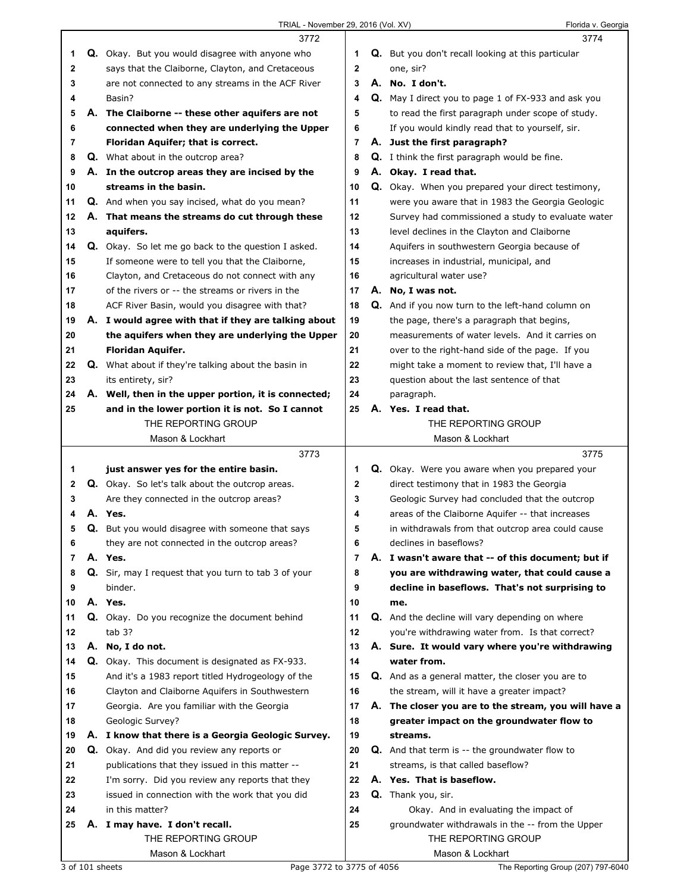|         | 3772                                                       |              | 3774                                                      |
|---------|------------------------------------------------------------|--------------|-----------------------------------------------------------|
| 1       | Q. Okay. But you would disagree with anyone who            | 1            | <b>Q.</b> But you don't recall looking at this particular |
| 2       | says that the Claiborne, Clayton, and Cretaceous           | $\mathbf{2}$ | one, sir?                                                 |
| 3       | are not connected to any streams in the ACF River          | 3            | A. No. I don't.                                           |
| 4       | Basin?                                                     | 4            | Q. May I direct you to page 1 of FX-933 and ask you       |
| 5       | A. The Claiborne -- these other aquifers are not           | 5            | to read the first paragraph under scope of study.         |
| 6       | connected when they are underlying the Upper               | 6            | If you would kindly read that to yourself, sir.           |
| 7       | Floridan Aquifer; that is correct.                         | 7            | A. Just the first paragraph?                              |
| 8       | <b>Q.</b> What about in the outcrop area?                  | 8            | <b>Q.</b> I think the first paragraph would be fine.      |
| 9       | A. In the outcrop areas they are incised by the            | 9            | A. Okay. I read that.                                     |
| 10      | streams in the basin.                                      | 10           | Q. Okay. When you prepared your direct testimony,         |
| 11      | Q. And when you say incised, what do you mean?             | 11           | were you aware that in 1983 the Georgia Geologic          |
| 12      | A. That means the streams do cut through these             | 12           | Survey had commissioned a study to evaluate water         |
| 13      | aquifers.                                                  | 13           | level declines in the Clayton and Claiborne               |
| 14      | <b>Q.</b> Okay. So let me go back to the question I asked. | 14           | Aquifers in southwestern Georgia because of               |
| 15      | If someone were to tell you that the Claiborne,            | 15           | increases in industrial, municipal, and                   |
| 16      | Clayton, and Cretaceous do not connect with any            | 16           | agricultural water use?                                   |
| 17      | of the rivers or -- the streams or rivers in the           | 17           | A. No, I was not.                                         |
| 18      | ACF River Basin, would you disagree with that?             | 18           | Q. And if you now turn to the left-hand column on         |
| 19      | A. I would agree with that if they are talking about       | 19           | the page, there's a paragraph that begins,                |
| 20      | the aquifers when they are underlying the Upper            | 20           | measurements of water levels. And it carries on           |
| 21      | <b>Floridan Aquifer.</b>                                   | 21           | over to the right-hand side of the page. If you           |
| 22      | <b>Q.</b> What about if they're talking about the basin in | 22           | might take a moment to review that, I'll have a           |
| 23      | its entirety, sir?                                         | 23           | question about the last sentence of that                  |
| 24      | A. Well, then in the upper portion, it is connected;       | 24           | paragraph.                                                |
| 25      | and in the lower portion it is not. So I cannot            | 25           | A. Yes. I read that.                                      |
|         | THE REPORTING GROUP                                        |              | THE REPORTING GROUP                                       |
|         | Mason & Lockhart                                           |              | Mason & Lockhart                                          |
|         |                                                            |              |                                                           |
|         | 3773                                                       |              | 3775                                                      |
| 1       | just answer yes for the entire basin.                      | 1            | Q. Okay. Were you aware when you prepared your            |
| 2       | Q. Okay. So let's talk about the outcrop areas.            | $\mathbf 2$  | direct testimony that in 1983 the Georgia                 |
| 3       | Are they connected in the outcrop areas?                   | 3            | Geologic Survey had concluded that the outcrop            |
| 4       | A. Yes.                                                    | 4            | areas of the Claiborne Aquifer -- that increases          |
| 5       | Q. But you would disagree with someone that says           | 5            | in withdrawals from that outcrop area could cause         |
| 6       | they are not connected in the outcrop areas?               | 6            | declines in baseflows?                                    |
| 7       | A. Yes.                                                    | 7            | A. I wasn't aware that -- of this document; but if        |
| 8       | Q. Sir, may I request that you turn to tab 3 of your       | 8            | you are withdrawing water, that could cause a             |
| 9<br>10 | binder.<br>A. Yes.                                         | 9<br>10      | decline in baseflows. That's not surprising to<br>me.     |
| 11      |                                                            | 11           | Q. And the decline will vary depending on where           |
| 12      | Q. Okay. Do you recognize the document behind<br>tab 3?    | 12           | you're withdrawing water from. Is that correct?           |
| 13      | A. No, I do not.                                           | 13           | A. Sure. It would vary where you're withdrawing           |
| 14      | <b>Q.</b> Okay. This document is designated as FX-933.     | 14           | water from.                                               |
| 15      | And it's a 1983 report titled Hydrogeology of the          | 15           | Q. And as a general matter, the closer you are to         |
| 16      | Clayton and Claiborne Aquifers in Southwestern             | 16           | the stream, will it have a greater impact?                |
| 17      | Georgia. Are you familiar with the Georgia                 | 17           | A. The closer you are to the stream, you will have a      |
| 18      | Geologic Survey?                                           | 18           | greater impact on the groundwater flow to                 |
| 19      | A. I know that there is a Georgia Geologic Survey.         | 19           | streams.                                                  |
| 20      | Q. Okay. And did you review any reports or                 | 20           | <b>Q.</b> And that term is -- the groundwater flow to     |
| 21      | publications that they issued in this matter --            | 21           | streams, is that called baseflow?                         |
| 22      | I'm sorry. Did you review any reports that they            | 22           | A. Yes. That is baseflow.                                 |
| 23      | issued in connection with the work that you did            | 23           | Q. Thank you, sir.                                        |
| 24      | in this matter?                                            | 24           | Okay. And in evaluating the impact of                     |
| 25      | A. I may have. I don't recall.                             | 25           | groundwater withdrawals in the -- from the Upper          |
|         | THE REPORTING GROUP<br>Mason & Lockhart                    |              | THE REPORTING GROUP<br>Mason & Lockhart                   |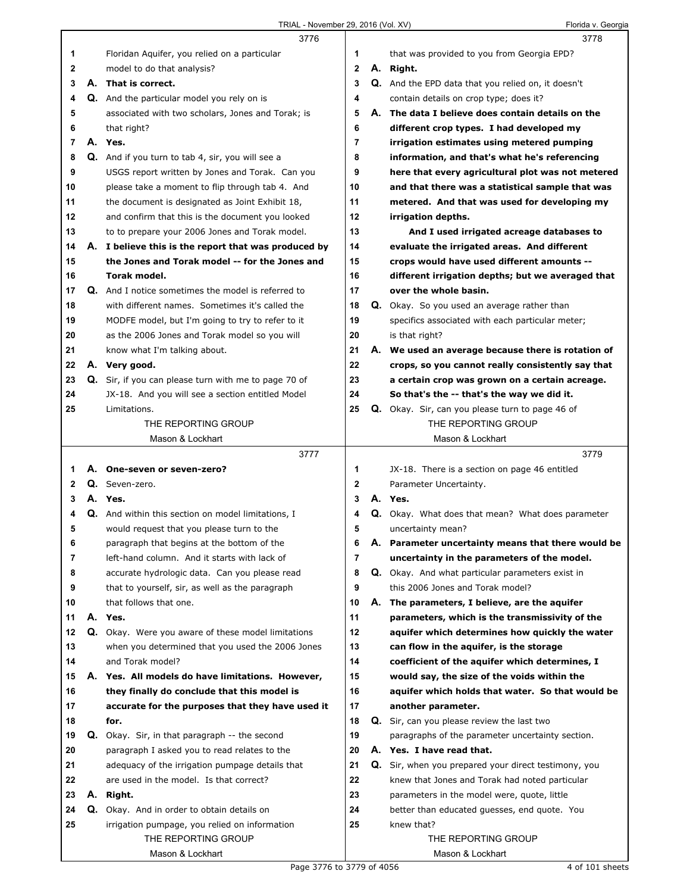|              |    | 3776                                                                                       |             | 3778                                                                                 |
|--------------|----|--------------------------------------------------------------------------------------------|-------------|--------------------------------------------------------------------------------------|
| 1            |    | Floridan Aquifer, you relied on a particular                                               | 1           | that was provided to you from Georgia EPD?                                           |
| 2            |    | model to do that analysis?                                                                 | $\mathbf 2$ | A. Right.                                                                            |
| 3            |    | A. That is correct.                                                                        | 3           | Q. And the EPD data that you relied on, it doesn't                                   |
| 4            |    | Q. And the particular model you rely on is                                                 | 4           | contain details on crop type; does it?                                               |
| 5            |    | associated with two scholars, Jones and Torak; is                                          | 5           | A. The data I believe does contain details on the                                    |
| 6            |    | that right?                                                                                | 6           | different crop types. I had developed my                                             |
| 7            |    | A. Yes.                                                                                    | 7           | irrigation estimates using metered pumping                                           |
| 8            |    | Q. And if you turn to tab 4, sir, you will see a                                           | 8           | information, and that's what he's referencing                                        |
| 9            |    | USGS report written by Jones and Torak. Can you                                            | 9           | here that every agricultural plot was not metered                                    |
| 10           |    | please take a moment to flip through tab 4. And                                            | 10          | and that there was a statistical sample that was                                     |
| 11           |    | the document is designated as Joint Exhibit 18,                                            | 11          | metered. And that was used for developing my                                         |
| 12           |    | and confirm that this is the document you looked                                           | 12          | irrigation depths.                                                                   |
| 13           |    | to to prepare your 2006 Jones and Torak model.                                             | 13          | And I used irrigated acreage databases to                                            |
| 14           |    | A. I believe this is the report that was produced by                                       | 14          | evaluate the irrigated areas. And different                                          |
| 15           |    | the Jones and Torak model -- for the Jones and                                             | 15          | crops would have used different amounts --                                           |
| 16           |    | Torak model.                                                                               | 16          | different irrigation depths; but we averaged that                                    |
| 17           |    | <b>Q.</b> And I notice sometimes the model is referred to                                  | 17          | over the whole basin.                                                                |
| 18           |    | with different names. Sometimes it's called the                                            | 18          | Q. Okay. So you used an average rather than                                          |
| 19           |    | MODFE model, but I'm going to try to refer to it                                           | 19          | specifics associated with each particular meter;                                     |
| 20           |    | as the 2006 Jones and Torak model so you will                                              | 20          | is that right?                                                                       |
| 21           |    | know what I'm talking about.                                                               | 21          | A. We used an average because there is rotation of                                   |
| 22           |    | A. Very good.                                                                              | 22          | crops, so you cannot really consistently say that                                    |
| 23           |    | Q. Sir, if you can please turn with me to page 70 of                                       | 23          | a certain crop was grown on a certain acreage.                                       |
| 24           |    | JX-18. And you will see a section entitled Model                                           | 24          | So that's the -- that's the way we did it.                                           |
| 25           |    | Limitations.                                                                               | 25          | <b>Q.</b> Okay. Sir, can you please turn to page 46 of                               |
|              |    | THE REPORTING GROUP                                                                        |             | THE REPORTING GROUP                                                                  |
|              |    | Mason & Lockhart                                                                           |             | Mason & Lockhart                                                                     |
|              |    |                                                                                            |             |                                                                                      |
|              |    | 3777                                                                                       |             | 3779                                                                                 |
| 1            |    | A. One-seven or seven-zero?                                                                | 1           | JX-18. There is a section on page 46 entitled                                        |
| $\mathbf{2}$ |    | Q. Seven-zero.                                                                             | 2           |                                                                                      |
| 3            |    | A. Yes.                                                                                    | 3           | Parameter Uncertainty.<br>A. Yes.                                                    |
| 4            |    |                                                                                            | 4           |                                                                                      |
| 5            |    | Q. And within this section on model limitations, I                                         | 5           | Q. Okay. What does that mean? What does parameter<br>uncertainty mean?               |
|              |    | would request that you please turn to the                                                  |             |                                                                                      |
| 6<br>7       |    | paragraph that begins at the bottom of the<br>left-hand column. And it starts with lack of | 6<br>7      | A. Parameter uncertainty means that there would be                                   |
| 8            |    | accurate hydrologic data. Can you please read                                              | 8           | uncertainty in the parameters of the model.                                          |
| 9            |    | that to yourself, sir, as well as the paragraph                                            | 9           | Q. Okay. And what particular parameters exist in<br>this 2006 Jones and Torak model? |
| 10           |    | that follows that one.                                                                     | 10          | A. The parameters, I believe, are the aquifer                                        |
| 11           |    | A. Yes.                                                                                    | 11          | parameters, which is the transmissivity of the                                       |
| 12           | Q. | Okay. Were you aware of these model limitations                                            | 12          | aquifer which determines how quickly the water                                       |
| 13           |    | when you determined that you used the 2006 Jones                                           | 13          | can flow in the aquifer, is the storage                                              |
| 14           |    | and Torak model?                                                                           | 14          | coefficient of the aquifer which determines, I                                       |
| 15           |    | A. Yes. All models do have limitations. However,                                           | 15          | would say, the size of the voids within the                                          |
| 16           |    | they finally do conclude that this model is                                                | 16          | aquifer which holds that water. So that would be                                     |
| 17           |    | accurate for the purposes that they have used it                                           | 17          | another parameter.                                                                   |
| 18           |    | for.                                                                                       | 18          | Q. Sir, can you please review the last two                                           |
| 19           |    | <b>Q.</b> Okay. Sir, in that paragraph -- the second                                       | 19          | paragraphs of the parameter uncertainty section.                                     |
| 20           |    | paragraph I asked you to read relates to the                                               | 20          | A. Yes. I have read that.                                                            |
| 21           |    | adequacy of the irrigation pumpage details that                                            | 21          | Q. Sir, when you prepared your direct testimony, you                                 |
| 22           |    | are used in the model. Is that correct?                                                    | 22          | knew that Jones and Torak had noted particular                                       |
| 23           | А. | Right.                                                                                     | 23          | parameters in the model were, quote, little                                          |
| 24           |    | Q. Okay. And in order to obtain details on                                                 | 24          |                                                                                      |
| 25           |    | irrigation pumpage, you relied on information                                              | 25          | better than educated guesses, end quote. You<br>knew that?                           |
|              |    | THE REPORTING GROUP                                                                        |             | THE REPORTING GROUP                                                                  |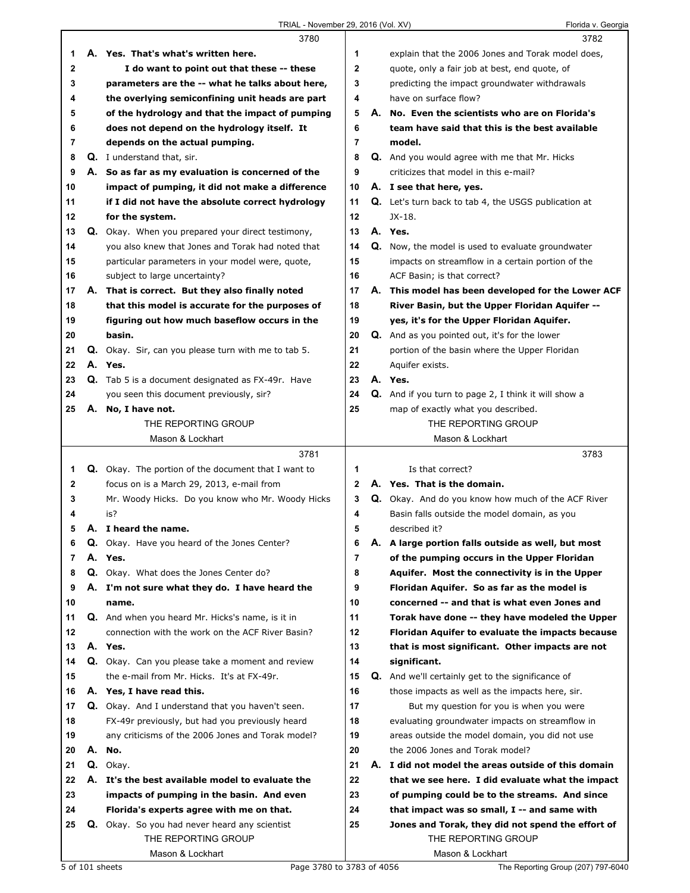|        |    | 3780                                                       |          |    | 3782                                                                     |
|--------|----|------------------------------------------------------------|----------|----|--------------------------------------------------------------------------|
| 1      |    | A. Yes. That's what's written here.                        | 1        |    | explain that the 2006 Jones and Torak model does,                        |
| 2      |    | I do want to point out that these -- these                 | 2        |    | quote, only a fair job at best, end quote, of                            |
| 3      |    | parameters are the -- what he talks about here,            | 3        |    | predicting the impact groundwater withdrawals                            |
| 4      |    | the overlying semiconfining unit heads are part            | 4        |    | have on surface flow?                                                    |
| 5      |    | of the hydrology and that the impact of pumping            | 5        |    | A. No. Even the scientists who are on Florida's                          |
| 6      |    | does not depend on the hydrology itself. It                | 6        |    | team have said that this is the best available                           |
| 7      |    | depends on the actual pumping.                             | 7        |    | model.                                                                   |
| 8      |    | Q. I understand that, sir.                                 | 8        |    | Q. And you would agree with me that Mr. Hicks                            |
| 9      |    | A. So as far as my evaluation is concerned of the          | 9        |    | criticizes that model in this e-mail?                                    |
| 10     |    | impact of pumping, it did not make a difference            | 10       |    | A. I see that here, yes.                                                 |
|        |    |                                                            |          |    |                                                                          |
| 11     |    | if I did not have the absolute correct hydrology           | 11<br>12 |    | <b>Q.</b> Let's turn back to tab 4, the USGS publication at<br>$JX-18$ . |
| 12     |    | for the system.                                            |          |    |                                                                          |
| 13     |    | Q. Okay. When you prepared your direct testimony,          | 13       |    | A. Yes.                                                                  |
| 14     |    | you also knew that Jones and Torak had noted that          | 14       | Q. | Now, the model is used to evaluate groundwater                           |
| 15     |    | particular parameters in your model were, quote,           | 15       |    | impacts on streamflow in a certain portion of the                        |
| 16     |    | subject to large uncertainty?                              | 16       |    | ACF Basin; is that correct?                                              |
| 17     |    | A. That is correct. But they also finally noted            | 17       |    | A. This model has been developed for the Lower ACF                       |
| 18     |    | that this model is accurate for the purposes of            | 18       |    | River Basin, but the Upper Floridan Aquifer --                           |
| 19     |    | figuring out how much baseflow occurs in the               | 19       |    | yes, it's for the Upper Floridan Aquifer.                                |
| 20     |    | basin.                                                     | 20       |    | <b>Q.</b> And as you pointed out, it's for the lower                     |
| 21     |    | <b>Q.</b> Okay. Sir, can you please turn with me to tab 5. | 21       |    | portion of the basin where the Upper Floridan                            |
| 22     |    | A. Yes.                                                    | 22       |    | Aquifer exists.                                                          |
| 23     |    | <b>Q.</b> Tab 5 is a document designated as FX-49r. Have   | 23       |    | A. Yes.                                                                  |
| 24     |    | you seen this document previously, sir?                    | 24       |    | Q. And if you turn to page 2, I think it will show a                     |
| 25     |    | A. No, I have not.                                         | 25       |    | map of exactly what you described.                                       |
|        |    | THE REPORTING GROUP                                        |          |    | THE REPORTING GROUP                                                      |
|        |    | Mason & Lockhart                                           |          |    | Mason & Lockhart                                                         |
|        |    |                                                            |          |    |                                                                          |
|        |    | 3781                                                       |          |    | 3783                                                                     |
| 1      |    | <b>Q.</b> Okay. The portion of the document that I want to | 1        |    | Is that correct?                                                         |
| 2      |    | focus on is a March 29, 2013, e-mail from                  | 2        |    | A. Yes. That is the domain.                                              |
| 3      |    | Mr. Woody Hicks. Do you know who Mr. Woody Hicks           | 3        |    |                                                                          |
| 4      |    | is?                                                        | 4        |    | Q. Okay. And do you know how much of the ACF River                       |
| 5      |    | A. I heard the name.                                       | 5        |    | Basin falls outside the model domain, as you<br>described it?            |
|        |    |                                                            |          |    |                                                                          |
| 6<br>7 | Q. | Okay. Have you heard of the Jones Center?                  | 6        | Α. | A large portion falls outside as well, but most                          |
|        |    | A. Yes.                                                    | 7        |    | of the pumping occurs in the Upper Floridan                              |
| 8      |    | Q. Okay. What does the Jones Center do?                    | 8        |    | Aquifer. Most the connectivity is in the Upper                           |
| 9      |    | A. I'm not sure what they do. I have heard the             | 9        |    | Floridan Aquifer. So as far as the model is                              |
| 10     |    | name.                                                      | 10       |    | concerned -- and that is what even Jones and                             |
| 11     |    | Q. And when you heard Mr. Hicks's name, is it in           | 11       |    | Torak have done -- thev have modeled the Upper                           |
| 12     |    | connection with the work on the ACF River Basin?           | 12       |    | Floridan Aquifer to evaluate the impacts because                         |
| 13     |    | A. Yes.                                                    | 13       |    | that is most significant. Other impacts are not                          |
| 14     |    | Q. Okay. Can you please take a moment and review           | 14       |    | significant.                                                             |
| 15     |    | the e-mail from Mr. Hicks. It's at FX-49r.                 | 15       |    | Q. And we'll certainly get to the significance of                        |
| 16     |    | A. Yes, I have read this.                                  | 16       |    | those impacts as well as the impacts here, sir.                          |
| 17     |    | Q. Okay. And I understand that you haven't seen.           | 17       |    | But my question for you is when you were                                 |
| 18     |    | FX-49r previously, but had you previously heard            | 18       |    | evaluating groundwater impacts on streamflow in                          |
| 19     |    | any criticisms of the 2006 Jones and Torak model?          | 19       |    | areas outside the model domain, you did not use                          |
| 20     | А. | No.                                                        | 20       |    | the 2006 Jones and Torak model?                                          |
| 21     |    | Q. Okay.                                                   | 21       |    | A. I did not model the areas outside of this domain                      |
| 22     |    | A. It's the best available model to evaluate the           | 22       |    | that we see here. I did evaluate what the impact                         |
| 23     |    | impacts of pumping in the basin. And even                  | 23       |    | of pumping could be to the streams. And since                            |
| 24     |    | Florida's experts agree with me on that.                   | 24       |    | that impact was so small, I -- and same with                             |
| 25     |    | <b>Q.</b> Okay. So you had never heard any scientist       | 25       |    | Jones and Torak, they did not spend the effort of                        |
|        |    | THE REPORTING GROUP                                        |          |    | THE REPORTING GROUP                                                      |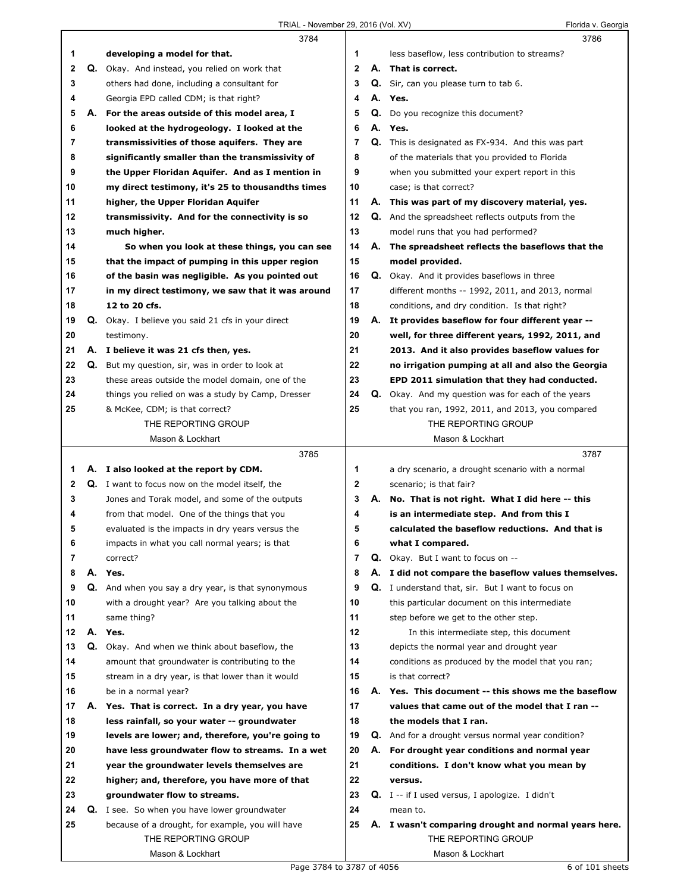|                |    | 3784                                                                         |                | 3786                                                        |
|----------------|----|------------------------------------------------------------------------------|----------------|-------------------------------------------------------------|
| 1              |    | developing a model for that.                                                 | 1              | less baseflow, less contribution to streams?                |
| $\mathbf 2$    | Q. | Okay. And instead, you relied on work that                                   | $\mathbf{2}$   | A. That is correct.                                         |
| 3              |    | others had done, including a consultant for                                  | 3              | Q. Sir, can you please turn to tab 6.                       |
| 4              |    | Georgia EPD called CDM; is that right?                                       | 4              | A. Yes.                                                     |
| 5              |    | A. For the areas outside of this model area, I                               | 5              | Q. Do you recognize this document?                          |
| 6              |    | looked at the hydrogeology. I looked at the                                  | 6              | A. Yes.                                                     |
| 7              |    | transmissivities of those aquifers. They are                                 | 7              | <b>Q.</b> This is designated as FX-934. And this was part   |
| 8              |    | significantly smaller than the transmissivity of                             | 8              | of the materials that you provided to Florida               |
| 9              |    | the Upper Floridan Aquifer. And as I mention in                              | 9              | when you submitted your expert report in this               |
| 10             |    | my direct testimony, it's 25 to thousandths times                            | 10             | case; is that correct?                                      |
| 11             |    | higher, the Upper Floridan Aquifer                                           | 11             | A. This was part of my discovery material, yes.             |
| 12             |    | transmissivity. And for the connectivity is so                               | 12             | <b>Q.</b> And the spreadsheet reflects outputs from the     |
| 13             |    | much higher.                                                                 | 13             | model runs that you had performed?                          |
| 14             |    | So when you look at these things, you can see                                | 14             | A. The spreadsheet reflects the baseflows that the          |
| 15             |    | that the impact of pumping in this upper region                              | 15             | model provided.                                             |
| 16             |    | of the basin was negligible. As you pointed out                              | 16             | Q. Okay. And it provides baseflows in three                 |
| 17             |    | in my direct testimony, we saw that it was around                            | 17             | different months -- 1992, 2011, and 2013, normal            |
| 18             |    | 12 to 20 cfs.                                                                | 18             | conditions, and dry condition. Is that right?               |
| 19             |    | Q. Okay. I believe you said 21 cfs in your direct                            | 19             | A. It provides baseflow for four different year --          |
| 20             |    | testimony.                                                                   | 20             | well, for three different years, 1992, 2011, and            |
| 21             |    | A. I believe it was 21 cfs then, yes.                                        | 21             | 2013. And it also provides baseflow values for              |
| 22             |    | Q. But my question, sir, was in order to look at                             | 22             | no irrigation pumping at all and also the Georgia           |
| 23             |    | these areas outside the model domain, one of the                             | 23             | EPD 2011 simulation that they had conducted.                |
| 24             |    | things you relied on was a study by Camp, Dresser                            | 24             | Q. Okay. And my question was for each of the years          |
| 25             |    | & McKee, CDM; is that correct?                                               | 25             | that you ran, 1992, 2011, and 2013, you compared            |
|                |    | THE REPORTING GROUP                                                          |                | THE REPORTING GROUP                                         |
|                |    | Mason & Lockhart                                                             |                | Mason & Lockhart                                            |
|                |    |                                                                              |                |                                                             |
|                |    | 3785                                                                         |                | 3787                                                        |
| 1              |    | A. I also looked at the report by CDM.                                       | 1              | a dry scenario, a drought scenario with a normal            |
| $\mathbf{2}$   |    | Q. I want to focus now on the model itself, the                              | $\mathbf{2}$   | scenario; is that fair?                                     |
| 3              |    | Jones and Torak model, and some of the outputs                               | 3              | A. No. That is not right. What I did here -- this           |
| 4              |    | from that model. One of the things that you                                  | 4              | is an intermediate step. And from this I                    |
| 5              |    | evaluated is the impacts in dry years versus the                             | 5              | calculated the baseflow reductions. And that is             |
| 6              |    | impacts in what you call normal years; is that                               | 6              | what I compared.                                            |
| $\overline{7}$ |    | correct?                                                                     | $\overline{7}$ | <b>Q.</b> Okay. But I want to focus on --                   |
| 8              |    | A. Yes.                                                                      | 8              | A. I did not compare the baseflow values themselves.        |
| 9              |    | Q. And when you say a dry year, is that synonymous                           | 9              | Q. I understand that, sir. But I want to focus on           |
| 10             |    | with a drought year? Are you talking about the                               | 10             | this particular document on this intermediate               |
| 11             |    | same thing?                                                                  | 11             | step before we get to the other step.                       |
| 12             | А. | Yes.                                                                         | 12             | In this intermediate step, this document                    |
| 13             |    | Q. Okay. And when we think about baseflow, the                               | 13             | depicts the normal year and drought year                    |
| 14             |    | amount that groundwater is contributing to the                               | 14             | conditions as produced by the model that you ran;           |
| 15             |    | stream in a dry year, is that lower than it would                            | 15             | is that correct?                                            |
| 16             |    | be in a normal year?                                                         | 16             | A. Yes. This document -- this shows me the baseflow         |
| 17             |    | A. Yes. That is correct. In a dry year, you have                             | 17             | values that came out of the model that I ran --             |
| 18             |    | less rainfall, so your water -- groundwater                                  | 18             | the models that I ran.                                      |
| 19             |    | levels are lower; and, therefore, you're going to                            | 19             | <b>Q.</b> And for a drought versus normal year condition?   |
| 20             |    | have less groundwater flow to streams. In a wet                              | 20             | A. For drought year conditions and normal year              |
| 21<br>22       |    | year the groundwater levels themselves are                                   | 21<br>22       | conditions. I don't know what you mean by<br>versus.        |
| 23             |    | higher; and, therefore, you have more of that                                | 23             |                                                             |
| 24             |    | groundwater flow to streams.<br>Q. I see. So when you have lower groundwater | 24             | Q. I -- if I used versus, I apologize. I didn't<br>mean to. |
| 25             |    | because of a drought, for example, you will have                             | 25             | A. I wasn't comparing drought and normal years here.        |
|                |    | THE REPORTING GROUP                                                          |                | THE REPORTING GROUP                                         |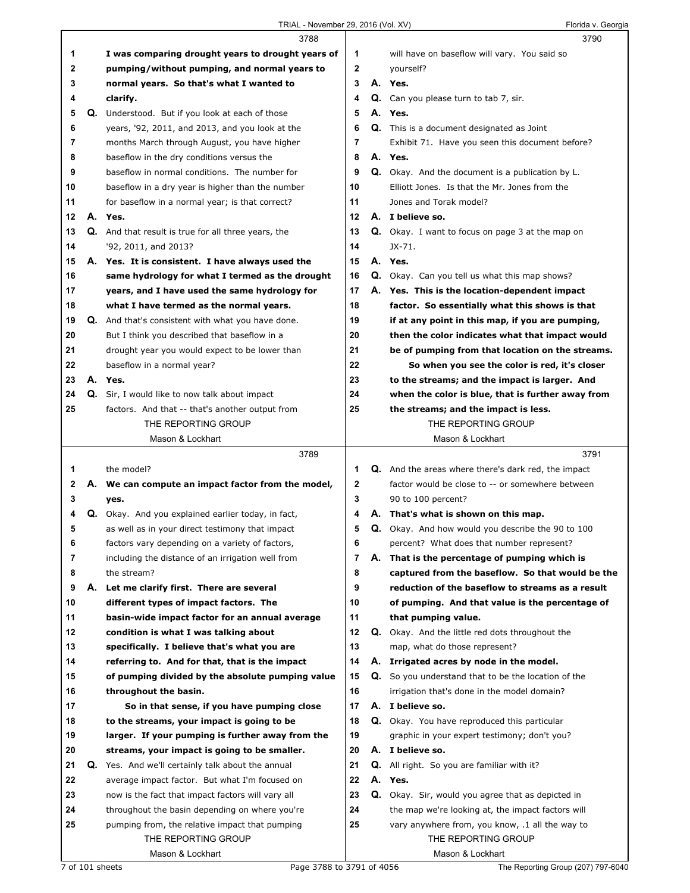|    |    | 3788                                                |              |    | 3790                                                       |
|----|----|-----------------------------------------------------|--------------|----|------------------------------------------------------------|
| 1  |    | I was comparing drought years to drought years of   | 1            |    | will have on baseflow will vary. You said so               |
| 2  |    | pumping/without pumping, and normal years to        | $\mathbf{2}$ |    | yourself?                                                  |
| 3  |    | normal years. So that's what I wanted to            | 3            |    | A. Yes.                                                    |
| 4  |    | clarify.                                            | 4            |    | Q. Can you please turn to tab 7, sir.                      |
| 5  | Q. | Understood. But if you look at each of those        | 5            |    | A. Yes.                                                    |
| 6  |    | years, '92, 2011, and 2013, and you look at the     | 6            | Q. | This is a document designated as Joint                     |
| 7  |    | months March through August, you have higher        | 7            |    | Exhibit 71. Have you seen this document before?            |
| 8  |    | baseflow in the dry conditions versus the           | 8            |    | A. Yes.                                                    |
| 9  |    | baseflow in normal conditions. The number for       | 9            |    | <b>Q.</b> Okay. And the document is a publication by L.    |
| 10 |    | baseflow in a dry year is higher than the number    | 10           |    | Elliott Jones. Is that the Mr. Jones from the              |
| 11 |    | for baseflow in a normal year; is that correct?     | 11           |    | Jones and Torak model?                                     |
| 12 |    | A. Yes.                                             | 12           |    | A. I believe so.                                           |
| 13 |    | Q. And that result is true for all three years, the | 13           |    | Q. Okay. I want to focus on page 3 at the map on           |
| 14 |    | '92, 2011, and 2013?                                | 14           |    | $JX-71.$                                                   |
| 15 |    | A. Yes. It is consistent. I have always used the    | 15           |    | A. Yes.                                                    |
| 16 |    | same hydrology for what I termed as the drought     | 16           |    | <b>Q.</b> Okay. Can you tell us what this map shows?       |
| 17 |    | years, and I have used the same hydrology for       | 17           |    | A. Yes. This is the location-dependent impact              |
| 18 |    | what I have termed as the normal years.             | 18           |    | factor. So essentially what this shows is that             |
| 19 |    | Q. And that's consistent with what you have done.   | 19           |    | if at any point in this map, if you are pumping,           |
| 20 |    | But I think you described that baseflow in a        | 20           |    | then the color indicates what that impact would            |
| 21 |    | drought year you would expect to be lower than      | 21           |    | be of pumping from that location on the streams.           |
| 22 |    | baseflow in a normal year?                          | 22           |    | So when you see the color is red, it's closer              |
| 23 |    | A. Yes.                                             | 23           |    | to the streams; and the impact is larger. And              |
| 24 |    | Q. Sir, I would like to now talk about impact       | 24           |    | when the color is blue, that is further away from          |
| 25 |    | factors. And that -- that's another output from     | 25           |    | the streams; and the impact is less.                       |
|    |    | THE REPORTING GROUP                                 |              |    | THE REPORTING GROUP                                        |
|    |    | Mason & Lockhart                                    |              |    | Mason & Lockhart                                           |
|    |    | 3789                                                |              |    | 3791                                                       |
| 1  |    | the model?                                          | 1            |    | <b>Q.</b> And the areas where there's dark red, the impact |
|    |    |                                                     |              |    |                                                            |
|    |    |                                                     |              |    |                                                            |
| 2  |    | A. We can compute an impact factor from the model,  | 2            |    | factor would be close to -- or somewhere between           |
| 3  |    | yes.                                                | 3            |    | 90 to 100 percent?                                         |
| 4  |    | Q. Okay. And you explained earlier today, in fact,  | 4            |    | A. That's what is shown on this map.                       |
| 5  |    | as well as in your direct testimony that impact     | 5            |    | Q. Okay. And how would you describe the 90 to 100          |
| 6  |    | factors vary depending on a variety of factors,     | 6            |    | percent? What does that number represent?                  |
| 7  |    | including the distance of an irrigation well from   | 7            |    | A. That is the percentage of pumping which is              |
| 8  |    | the stream?                                         | 8            |    | captured from the baseflow. So that would be the           |
| 9  | А. | Let me clarify first. There are several             | 9            |    | reduction of the baseflow to streams as a result           |
| 10 |    | different types of impact factors. The              | 10           |    | of pumping. And that value is the percentage of            |
| 11 |    | basin-wide impact factor for an annual average      | 11           |    | that pumping value.                                        |
| 12 |    | condition is what I was talking about               | 12           |    | Q. Okay. And the little red dots throughout the            |
| 13 |    | specifically. I believe that's what you are         | 13           |    | map, what do those represent?                              |
| 14 |    | referring to. And for that, that is the impact      | 14           |    | A. Irrigated acres by node in the model.                   |
| 15 |    | of pumping divided by the absolute pumping value    | 15           |    | Q. So you understand that to be the location of the        |
| 16 |    | throughout the basin.                               | 16           |    | irrigation that's done in the model domain?                |
| 17 |    | So in that sense, if you have pumping close         | 17           |    | A. I believe so.                                           |
| 18 |    | to the streams, your impact is going to be          | 18           |    | Q. Okay. You have reproduced this particular               |
| 19 |    | larger. If your pumping is further away from the    | 19           |    | graphic in your expert testimony; don't you?               |
| 20 |    | streams, your impact is going to be smaller.        | 20           |    | A. I believe so.                                           |
| 21 |    | Q. Yes. And we'll certainly talk about the annual   | 21           |    | <b>Q.</b> All right. So you are familiar with it?          |
| 22 |    | average impact factor. But what I'm focused on      | 22           |    | A. Yes.                                                    |
| 23 |    | now is the fact that impact factors will vary all   | 23           |    | Q. Okay. Sir, would you agree that as depicted in          |
| 24 |    | throughout the basin depending on where you're      | 24           |    | the map we're looking at, the impact factors will          |
| 25 |    | pumping from, the relative impact that pumping      | 25           |    | vary anywhere from, you know, .1 all the way to            |
|    |    | THE REPORTING GROUP<br>Mason & Lockhart             |              |    | THE REPORTING GROUP<br>Mason & Lockhart                    |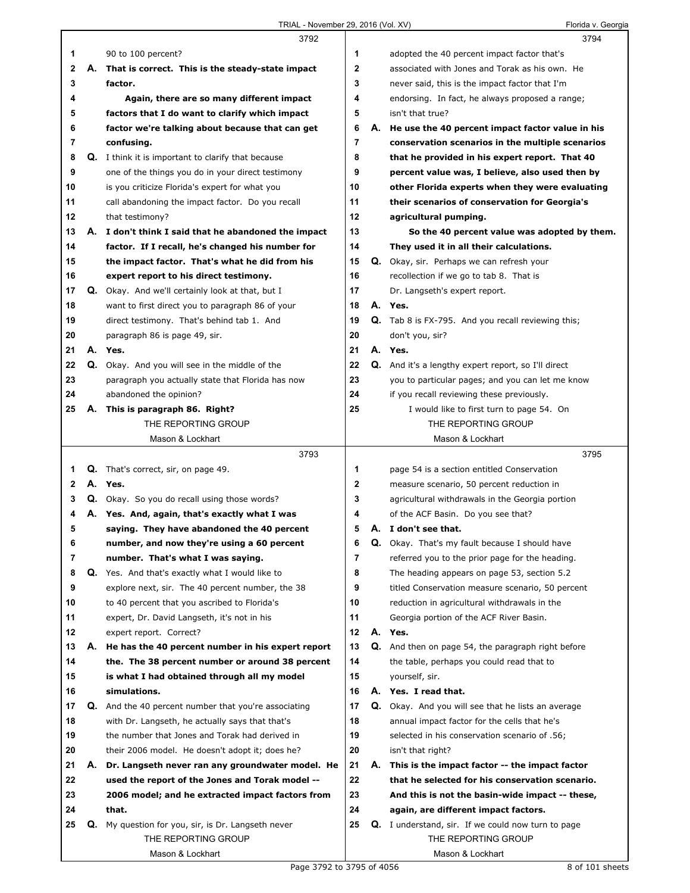|              |    | 3792                                                      |                |    | 3794                                                       |
|--------------|----|-----------------------------------------------------------|----------------|----|------------------------------------------------------------|
| 1            |    | 90 to 100 percent?                                        | 1              |    | adopted the 40 percent impact factor that's                |
| $\mathbf{2}$ | А. | That is correct. This is the steady-state impact          | $\mathbf{2}$   |    | associated with Jones and Torak as his own. He             |
| 3            |    | factor.                                                   | 3              |    | never said, this is the impact factor that I'm             |
| 4            |    | Again, there are so many different impact                 | 4              |    | endorsing. In fact, he always proposed a range;            |
| 5            |    | factors that I do want to clarify which impact            | 5              |    | isn't that true?                                           |
| 6            |    | factor we're talking about because that can get           | 6              | А. | He use the 40 percent impact factor value in his           |
| 7            |    | confusing.                                                | $\overline{7}$ |    | conservation scenarios in the multiple scenarios           |
| 8            |    | <b>Q.</b> I think it is important to clarify that because | 8              |    | that he provided in his expert report. That 40             |
| 9            |    | one of the things you do in your direct testimony         | 9              |    | percent value was, I believe, also used then by            |
| 10           |    | is you criticize Florida's expert for what you            | 10             |    | other Florida experts when they were evaluating            |
| 11           |    | call abandoning the impact factor. Do you recall          | 11             |    | their scenarios of conservation for Georgia's              |
| 12           |    | that testimony?                                           | 12             |    | agricultural pumping.                                      |
| 13           |    | A. I don't think I said that he abandoned the impact      | 13             |    | So the 40 percent value was adopted by them.               |
| 14           |    | factor. If I recall, he's changed his number for          | 14             |    | They used it in all their calculations.                    |
| 15           |    | the impact factor. That's what he did from his            | 15             |    | Q. Okay, sir. Perhaps we can refresh your                  |
| 16           |    | expert report to his direct testimony.                    | 16             |    | recollection if we go to tab 8. That is                    |
| 17           |    | <b>Q.</b> Okay. And we'll certainly look at that, but I   | 17             |    | Dr. Langseth's expert report.                              |
| 18           |    | want to first direct you to paragraph 86 of your          | 18             |    | A. Yes.                                                    |
| 19           |    | direct testimony. That's behind tab 1. And                | 19             |    | <b>Q.</b> Tab 8 is FX-795. And you recall reviewing this;  |
| 20           |    | paragraph 86 is page 49, sir.                             | 20             |    | don't you, sir?                                            |
| 21           |    | A. Yes.                                                   | 21             |    | A. Yes.                                                    |
| 22           |    | Q. Okay. And you will see in the middle of the            | 22             |    | <b>Q.</b> And it's a lengthy expert report, so I'll direct |
| 23           |    | paragraph you actually state that Florida has now         | 23             |    | you to particular pages; and you can let me know           |
| 24           |    | abandoned the opinion?                                    | 24             |    | if you recall reviewing these previously.                  |
| 25           |    | A. This is paragraph 86. Right?                           | 25             |    | I would like to first turn to page 54. On                  |
|              |    | THE REPORTING GROUP                                       |                |    | THE REPORTING GROUP                                        |
|              |    | Mason & Lockhart                                          |                |    | Mason & Lockhart                                           |
|              |    |                                                           |                |    |                                                            |
|              |    | 3793                                                      |                |    | 3795                                                       |
| 1            |    | Q. That's correct, sir, on page 49.                       | 1              |    | page 54 is a section entitled Conservation                 |
| $\mathbf{2}$ |    | A. Yes.                                                   | $\mathbf{2}$   |    | measure scenario, 50 percent reduction in                  |
| 3            |    | <b>Q.</b> Okay. So you do recall using those words?       | 3              |    | agricultural withdrawals in the Georgia portion            |
| 4            |    | A. Yes. And, again, that's exactly what I was             | 4              |    | of the ACF Basin. Do you see that?                         |
| 5            |    | saying. They have abandoned the 40 percent                | 5              |    | A. I don't see that.                                       |
| 6            |    | number, and now they're using a 60 percent                | 6              | Q. | Okay. That's my fault because I should have                |
| 7            |    | number. That's what I was saying.                         | 7              |    | referred you to the prior page for the heading.            |
| 8            |    | <b>Q.</b> Yes. And that's exactly what I would like to    | 8              |    | The heading appears on page 53, section 5.2                |
| 9            |    | explore next, sir. The 40 percent number, the 38          | 9              |    | titled Conservation measure scenario, 50 percent           |
| 10           |    | to 40 percent that you ascribed to Florida's              | 10             |    | reduction in agricultural withdrawals in the               |
| 11           |    | expert, Dr. David Langseth, it's not in his               | 11             |    | Georgia portion of the ACF River Basin.                    |
| 12           |    | expert report. Correct?                                   | 12             |    | A. Yes.                                                    |
| 13           | А. | He has the 40 percent number in his expert report         | 13             | Q. | And then on page 54, the paragraph right before            |
| 14           |    | the. The 38 percent number or around 38 percent           | 14             |    | the table, perhaps you could read that to                  |
| 15           |    | is what I had obtained through all my model               | 15             |    | yourself, sir.                                             |
| 16           |    | simulations.                                              | 16             |    | A. Yes. I read that.                                       |
| 17           | Q. | And the 40 percent number that you're associating         | 17             | Q. | Okay. And you will see that he lists an average            |
| 18           |    | with Dr. Langseth, he actually says that that's           | 18             |    | annual impact factor for the cells that he's               |
| 19           |    | the number that Jones and Torak had derived in            | 19             |    | selected in his conservation scenario of .56;              |
| 20           |    | their 2006 model. He doesn't adopt it; does he?           | 20             |    | isn't that right?                                          |
| 21           | А. | Dr. Langseth never ran any groundwater model. He          | 21             | А. | This is the impact factor -- the impact factor             |
| 22           |    | used the report of the Jones and Torak model --           | 22             |    | that he selected for his conservation scenario.            |
| 23           |    | 2006 model; and he extracted impact factors from          | 23             |    | And this is not the basin-wide impact -- these,            |
| 24           |    | that.                                                     | 24             |    | again, are different impact factors.                       |
| 25           | Q. | My question for you, sir, is Dr. Langseth never           | 25             |    | <b>Q.</b> I understand, sir. If we could now turn to page  |
|              |    | THE REPORTING GROUP<br>Mason & Lockhart                   |                |    | THE REPORTING GROUP<br>Mason & Lockhart                    |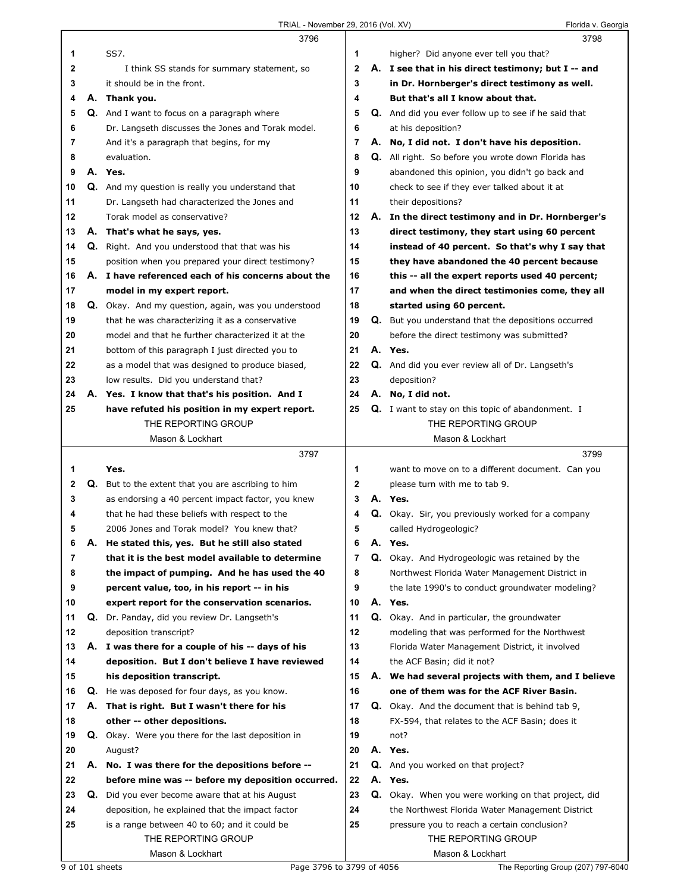|    |    | 3796                                                      |              |    | 3798                                                     |
|----|----|-----------------------------------------------------------|--------------|----|----------------------------------------------------------|
| 1  |    | SS7.                                                      | 1            |    | higher? Did anyone ever tell you that?                   |
| 2  |    | I think SS stands for summary statement, so               | $\mathbf{2}$ |    | A. I see that in his direct testimony; but I -- and      |
| 3  |    | it should be in the front.                                | 3            |    | in Dr. Hornberger's direct testimony as well.            |
| 4  | А. | Thank you.                                                | 4            |    | But that's all I know about that.                        |
| 5  |    | <b>Q.</b> And I want to focus on a paragraph where        | 5            |    | Q. And did you ever follow up to see if he said that     |
| 6  |    | Dr. Langseth discusses the Jones and Torak model.         | 6            |    | at his deposition?                                       |
| 7  |    | And it's a paragraph that begins, for my                  | 7            |    | A. No, I did not. I don't have his deposition.           |
| 8  |    | evaluation.                                               | 8            |    | Q. All right. So before you wrote down Florida has       |
| 9  |    | A. Yes.                                                   | 9            |    | abandoned this opinion, you didn't go back and           |
| 10 |    | Q. And my question is really you understand that          | 10           |    | check to see if they ever talked about it at             |
| 11 |    | Dr. Langseth had characterized the Jones and              | 11           |    | their depositions?                                       |
| 12 |    | Torak model as conservative?                              | 12           |    | A. In the direct testimony and in Dr. Hornberger's       |
| 13 | А. | That's what he says, yes.                                 | 13           |    | direct testimony, they start using 60 percent            |
| 14 | Q. | Right. And you understood that that was his               | 14           |    | instead of 40 percent. So that's why I say that          |
| 15 |    | position when you prepared your direct testimony?         | 15           |    | they have abandoned the 40 percent because               |
| 16 |    | A. I have referenced each of his concerns about the       | 16           |    | this -- all the expert reports used 40 percent;          |
| 17 |    | model in my expert report.                                | 17           |    | and when the direct testimonies come, they all           |
| 18 |    | Q. Okay. And my question, again, was you understood       | 18           |    | started using 60 percent.                                |
| 19 |    | that he was characterizing it as a conservative           | 19           |    | Q. But you understand that the depositions occurred      |
| 20 |    | model and that he further characterized it at the         | 20           |    | before the direct testimony was submitted?               |
| 21 |    | bottom of this paragraph I just directed you to           | 21           |    | A. Yes.                                                  |
| 22 |    | as a model that was designed to produce biased,           | 22           |    | Q. And did you ever review all of Dr. Langseth's         |
| 23 |    | low results. Did you understand that?                     | 23           |    | deposition?                                              |
| 24 |    | A. Yes. I know that that's his position. And I            | 24           |    | A. No, I did not.                                        |
| 25 |    | have refuted his position in my expert report.            | 25           |    | <b>Q.</b> I want to stay on this topic of abandonment. I |
|    |    | THE REPORTING GROUP                                       |              |    | THE REPORTING GROUP                                      |
|    |    | Mason & Lockhart                                          |              |    | Mason & Lockhart                                         |
|    |    |                                                           |              |    |                                                          |
|    |    | 3797                                                      |              |    | 3799                                                     |
| 1  |    | Yes.                                                      | 1            |    | want to move on to a different document. Can you         |
| 2  |    | <b>Q.</b> But to the extent that you are ascribing to him | $\mathbf{2}$ |    | please turn with me to tab 9.                            |
| 3  |    | as endorsing a 40 percent impact factor, you knew         | 3            |    | A. Yes.                                                  |
| 4  |    | that he had these beliefs with respect to the             | 4            |    | Q. Okay. Sir, you previously worked for a company        |
| 5  |    | 2006 Jones and Torak model? You knew that?                | 5            |    | called Hydrogeologic?                                    |
| 6  | А. | He stated this, yes. But he still also stated             | 6            | А. | Yes.                                                     |
| 7  |    | that it is the best model available to determine          | 7            |    | Q. Okay. And Hydrogeologic was retained by the           |
| 8  |    | the impact of pumping. And he has used the 40             | 8            |    | Northwest Florida Water Management District in           |
| 9  |    | percent value, too, in his report -- in his               | 9            |    | the late 1990's to conduct groundwater modeling?         |
| 10 |    | expert report for the conservation scenarios.             | 10           |    | A. Yes.                                                  |
| 11 | Q. | Dr. Panday, did you review Dr. Langseth's                 | 11           |    | Q. Okay. And in particular, the groundwater              |
| 12 |    | deposition transcript?                                    | 12           |    | modeling that was performed for the Northwest            |
| 13 |    | A. I was there for a couple of his -- days of his         | 13           |    | Florida Water Management District, it involved           |
| 14 |    | deposition. But I don't believe I have reviewed           | 14           |    | the ACF Basin; did it not?                               |
| 15 |    | his deposition transcript.                                | 15           |    | A. We had several projects with them, and I believe      |
| 16 |    | Q. He was deposed for four days, as you know.             | 16           |    | one of them was for the ACF River Basin.                 |
| 17 |    | A. That is right. But I wasn't there for his              | 17           |    | <b>Q.</b> Okay. And the document that is behind tab 9,   |
| 18 |    | other -- other depositions.                               | 18           |    | FX-594, that relates to the ACF Basin; does it           |
| 19 |    | <b>Q.</b> Okay. Were you there for the last deposition in | 19           |    | not?                                                     |
| 20 |    | August?                                                   | 20           |    | A. Yes.                                                  |
| 21 |    | A. No. I was there for the depositions before --          | 21           |    | Q. And you worked on that project?                       |
| 22 |    | before mine was -- before my deposition occurred.         | 22           |    | A. Yes.                                                  |
| 23 | Q. | Did you ever become aware that at his August              | 23           |    | Q. Okay. When you were working on that project, did      |
| 24 |    | deposition, he explained that the impact factor           | 24           |    | the Northwest Florida Water Management District          |
| 25 |    | is a range between 40 to 60; and it could be              | 25           |    | pressure you to reach a certain conclusion?              |
|    |    | THE REPORTING GROUP                                       |              |    | THE REPORTING GROUP                                      |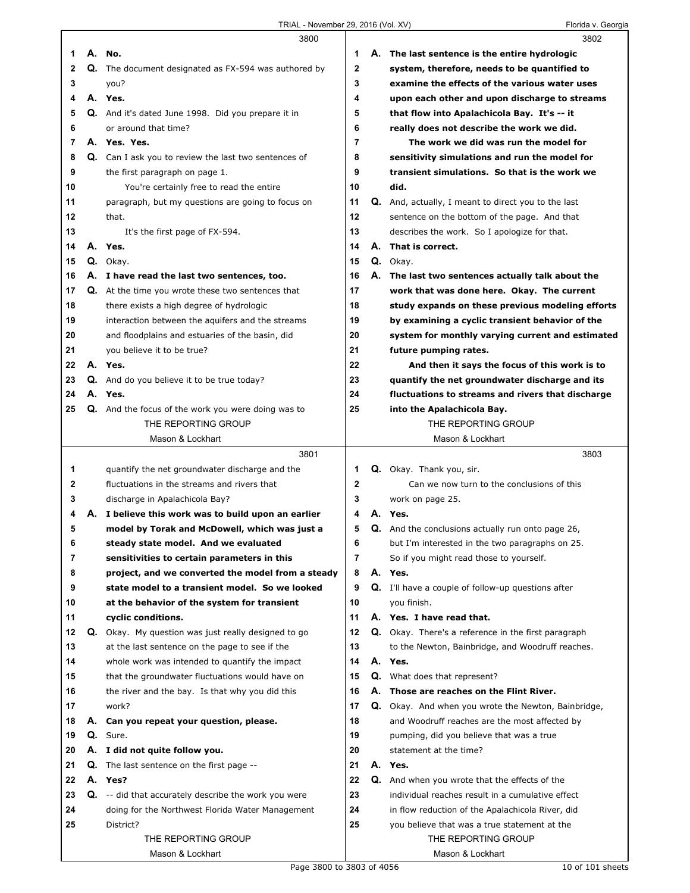$\Gamma$ 

|    |    | 3800                                                        |                |    | 3802                                                     |
|----|----|-------------------------------------------------------------|----------------|----|----------------------------------------------------------|
| 1  |    | A. No.                                                      | 1              |    | A. The last sentence is the entire hydrologic            |
| 2  | Q. | The document designated as FX-594 was authored by           | $\mathbf{2}$   |    | system, therefore, needs to be quantified to             |
| 3  |    | you?                                                        | 3              |    | examine the effects of the various water uses            |
| 4  |    | A. Yes.                                                     | 4              |    | upon each other and upon discharge to streams            |
| 5  |    | Q. And it's dated June 1998. Did you prepare it in          | 5              |    | that flow into Apalachicola Bay. It's -- it              |
| 6  |    | or around that time?                                        | 6              |    | really does not describe the work we did.                |
| 7  |    | A. Yes. Yes.                                                | $\overline{7}$ |    | The work we did was run the model for                    |
| 8  |    | <b>Q.</b> Can I ask you to review the last two sentences of | 8              |    | sensitivity simulations and run the model for            |
| 9  |    | the first paragraph on page 1.                              | 9              |    | transient simulations. So that is the work we            |
| 10 |    | You're certainly free to read the entire                    | 10             |    | did.                                                     |
| 11 |    | paragraph, but my questions are going to focus on           | 11             | Q. | And, actually, I meant to direct you to the last         |
| 12 |    | that.                                                       | 12             |    | sentence on the bottom of the page. And that             |
| 13 |    | It's the first page of FX-594.                              | 13             |    | describes the work. So I apologize for that.             |
| 14 | А. | Yes.                                                        | 14             | А. | That is correct.                                         |
| 15 |    | Q. Okay.                                                    | 15             |    | Q. Okay.                                                 |
| 16 |    | A. I have read the last two sentences, too.                 | 16             |    | A. The last two sentences actually talk about the        |
| 17 |    | Q. At the time you wrote these two sentences that           | 17             |    | work that was done here. Okay. The current               |
| 18 |    | there exists a high degree of hydrologic                    | 18             |    | study expands on these previous modeling efforts         |
| 19 |    | interaction between the aquifers and the streams            | 19             |    | by examining a cyclic transient behavior of the          |
| 20 |    | and floodplains and estuaries of the basin, did             | 20             |    | system for monthly varying current and estimated         |
| 21 |    | you believe it to be true?                                  | 21             |    | future pumping rates.                                    |
| 22 |    | A. Yes.                                                     | 22             |    | And then it says the focus of this work is to            |
| 23 |    | <b>Q.</b> And do you believe it to be true today?           | 23             |    | quantify the net groundwater discharge and its           |
| 24 |    | A. Yes.                                                     | 24             |    | fluctuations to streams and rivers that discharge        |
| 25 |    | <b>Q.</b> And the focus of the work you were doing was to   | 25             |    | into the Apalachicola Bay.                               |
|    |    | THE REPORTING GROUP                                         |                |    | THE REPORTING GROUP                                      |
|    |    | Mason & Lockhart                                            |                |    | Mason & Lockhart                                         |
|    |    | 3801                                                        |                |    | 3803                                                     |
|    |    |                                                             |                |    |                                                          |
| 1  |    | quantify the net groundwater discharge and the              | 1              |    | Q. Okay. Thank you, sir.                                 |
| 2  |    | fluctuations in the streams and rivers that                 | $\mathbf{2}$   |    | Can we now turn to the conclusions of this               |
| 3  |    | discharge in Apalachicola Bay?                              | 3              |    | work on page 25.                                         |
| 4  | А. | I believe this work was to build upon an earlier            | 4              | А. | Yes.                                                     |
| 5  |    | model by Torak and McDowell, which was just a               | 5              |    | <b>Q.</b> And the conclusions actually run onto page 26, |
| 6  |    | steady state model. And we evaluated                        | 6              |    | but I'm interested in the two paragraphs on 25.          |
| 7  |    | sensitivities to certain parameters in this                 | 7              |    | So if you might read those to yourself.                  |
| 8  |    | project, and we converted the model from a steady           | 8              |    | A. Yes.                                                  |
| 9  |    | state model to a transient model. So we looked              | 9              |    | Q. I'll have a couple of follow-up questions after       |
| 10 |    | at the behavior of the system for transient                 | 10             |    | you finish.                                              |
| 11 |    | cyclic conditions.                                          | 11             |    | A. Yes. I have read that.                                |
| 12 | Q. | Okay. My question was just really designed to go            | 12             |    | Q. Okay. There's a reference in the first paragraph      |
| 13 |    | at the last sentence on the page to see if the              | 13             |    | to the Newton, Bainbridge, and Woodruff reaches.         |
| 14 |    | whole work was intended to quantify the impact              | 14             |    | A. Yes.                                                  |
| 15 |    | that the groundwater fluctuations would have on             | 15             |    | <b>Q.</b> What does that represent?                      |
| 16 |    | the river and the bay. Is that why you did this             | 16             | А. | Those are reaches on the Flint River.                    |
| 17 |    | work?                                                       | 17             |    | Q. Okay. And when you wrote the Newton, Bainbridge,      |
| 18 | А. | Can you repeat your question, please.                       | 18             |    | and Woodruff reaches are the most affected by            |
| 19 |    | Q. Sure.                                                    | 19             |    | pumping, did you believe that was a true                 |
| 20 |    | A. I did not quite follow you.                              | 20             |    | statement at the time?                                   |
| 21 | Q. | The last sentence on the first page --                      | 21             |    | A. Yes.                                                  |
| 22 |    | A. Yes?                                                     | 22             |    | Q. And when you wrote that the effects of the            |
| 23 |    | Q. -- did that accurately describe the work you were        | 23             |    | individual reaches result in a cumulative effect         |
| 24 |    | doing for the Northwest Florida Water Management            | 24             |    | in flow reduction of the Apalachicola River, did         |
| 25 |    | District?                                                   | 25             |    | you believe that was a true statement at the             |
|    |    | THE REPORTING GROUP                                         |                |    | THE REPORTING GROUP                                      |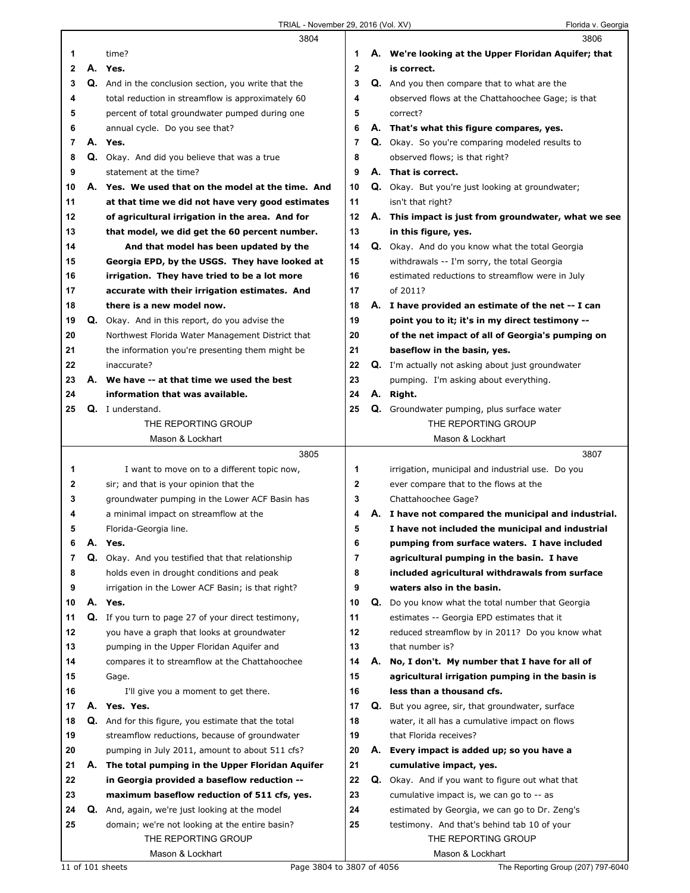|        |    | 3804                                                 |              |    | 3806                                                                                                     |
|--------|----|------------------------------------------------------|--------------|----|----------------------------------------------------------------------------------------------------------|
| 1      |    | time?                                                | 1            |    | A. We're looking at the Upper Floridan Aquifer; that                                                     |
| 2      |    | A. Yes.                                              | $\mathbf{2}$ |    | is correct.                                                                                              |
| 3      |    | Q. And in the conclusion section, you write that the | 3            |    | <b>Q.</b> And you then compare that to what are the                                                      |
| 4      |    | total reduction in streamflow is approximately 60    | 4            |    | observed flows at the Chattahoochee Gage; is that                                                        |
| 5      |    | percent of total groundwater pumped during one       | 5            |    | correct?                                                                                                 |
| 6      |    | annual cycle. Do you see that?                       | 6            |    | A. That's what this figure compares, yes.                                                                |
| 7      |    | A. Yes.                                              | 7            |    | Q. Okay. So you're comparing modeled results to                                                          |
| 8      |    | Q. Okay. And did you believe that was a true         | 8            |    | observed flows; is that right?                                                                           |
| 9      |    | statement at the time?                               | 9            |    | A. That is correct.                                                                                      |
| 10     |    | A. Yes. We used that on the model at the time. And   | 10           |    | Q. Okay. But you're just looking at groundwater;                                                         |
| 11     |    | at that time we did not have very good estimates     | 11           |    | isn't that right?                                                                                        |
| 12     |    | of agricultural irrigation in the area. And for      | 12           |    | A. This impact is just from groundwater, what we see                                                     |
| 13     |    | that model, we did get the 60 percent number.        | 13           |    | in this figure, yes.                                                                                     |
| 14     |    | And that model has been updated by the               | 14           |    | Q. Okay. And do you know what the total Georgia                                                          |
| 15     |    | Georgia EPD, by the USGS. They have looked at        | 15           |    | withdrawals -- I'm sorry, the total Georgia                                                              |
| 16     |    | irrigation. They have tried to be a lot more         | 16           |    | estimated reductions to streamflow were in July                                                          |
| 17     |    | accurate with their irrigation estimates. And        | 17           |    | of 2011?                                                                                                 |
| 18     |    | there is a new model now.                            | 18           |    | A. I have provided an estimate of the net -- I can                                                       |
| 19     |    | Q. Okay. And in this report, do you advise the       | 19           |    | point you to it; it's in my direct testimony --                                                          |
| 20     |    | Northwest Florida Water Management District that     | 20           |    | of the net impact of all of Georgia's pumping on                                                         |
| 21     |    | the information you're presenting them might be      | 21           |    | baseflow in the basin, yes.                                                                              |
| 22     |    | inaccurate?                                          | 22           |    | <b>Q.</b> I'm actually not asking about just groundwater                                                 |
| 23     |    | A. We have -- at that time we used the best          | 23           |    | pumping. I'm asking about everything.                                                                    |
| 24     |    | information that was available.                      | 24           |    | A. Right.                                                                                                |
| 25     |    | Q. I understand.                                     | 25           |    | Q. Groundwater pumping, plus surface water                                                               |
|        |    | THE REPORTING GROUP                                  |              |    | THE REPORTING GROUP                                                                                      |
|        |    | Mason & Lockhart                                     |              |    | Mason & Lockhart                                                                                         |
|        |    | 3805                                                 |              |    | 3807                                                                                                     |
| 1      |    | I want to move on to a different topic now,          | 1            |    | irrigation, municipal and industrial use. Do you                                                         |
| 2      |    | sir; and that is your opinion that the               | $\mathbf 2$  |    | ever compare that to the flows at the                                                                    |
| 3      |    | groundwater pumping in the Lower ACF Basin has       | 3            |    | Chattahoochee Gage?                                                                                      |
| 4<br>5 |    | a minimal impact on streamflow at the                | 4<br>5       |    | A. I have not compared the municipal and industrial.<br>I have not included the municipal and industrial |
| 6      |    | Florida-Georgia line.<br>A. Yes.                     | 6            |    | pumping from surface waters. I have included                                                             |
| 7      |    | Q. Okay. And you testified that that relationship    | 7            |    | agricultural pumping in the basin. I have                                                                |
| 8      |    | holds even in drought conditions and peak            | 8            |    | included agricultural withdrawals from surface                                                           |
| 9      |    | irrigation in the Lower ACF Basin; is that right?    | 9            |    | waters also in the basin.                                                                                |
| 10     |    | A. Yes.                                              | 10           |    | Q. Do you know what the total number that Georgia                                                        |
| 11     |    | Q. If you turn to page 27 of your direct testimony,  | 11           |    | estimates -- Georgia EPD estimates that it                                                               |
| 12     |    | you have a graph that looks at groundwater           | 12           |    | reduced streamflow by in 2011? Do you know what                                                          |
| 13     |    | pumping in the Upper Floridan Aquifer and            | 13           |    | that number is?                                                                                          |
| 14     |    | compares it to streamflow at the Chattahoochee       | 14           |    | A. No, I don't. My number that I have for all of                                                         |
| 15     |    | Gage.                                                | 15           |    | agricultural irrigation pumping in the basin is                                                          |
| 16     |    | I'll give you a moment to get there.                 | 16           |    | less than a thousand cfs.                                                                                |
| 17     | А. | Yes. Yes.                                            | 17           |    | Q. But you agree, sir, that groundwater, surface                                                         |
| 18     |    | Q. And for this figure, you estimate that the total  | 18           |    | water, it all has a cumulative impact on flows                                                           |
| 19     |    | streamflow reductions, because of groundwater        | 19           |    | that Florida receives?                                                                                   |
| 20     |    | pumping in July 2011, amount to about 511 cfs?       | 20           | А. | Every impact is added up; so you have a                                                                  |
| 21     | А. | The total pumping in the Upper Floridan Aquifer      | 21           |    | cumulative impact, yes.                                                                                  |
| 22     |    | in Georgia provided a baseflow reduction --          | 22           |    | Q. Okay. And if you want to figure out what that                                                         |
| 23     |    | maximum baseflow reduction of 511 cfs, yes.          | 23           |    | cumulative impact is, we can go to -- as                                                                 |
| 24     |    | Q. And, again, we're just looking at the model       | 24           |    | estimated by Georgia, we can go to Dr. Zeng's                                                            |
| 25     |    | domain; we're not looking at the entire basin?       | 25           |    | testimony. And that's behind tab 10 of your                                                              |
|        |    | THE REPORTING GROUP                                  |              |    | THE REPORTING GROUP                                                                                      |
|        |    | Mason & Lockhart                                     |              |    | Mason & Lockhart                                                                                         |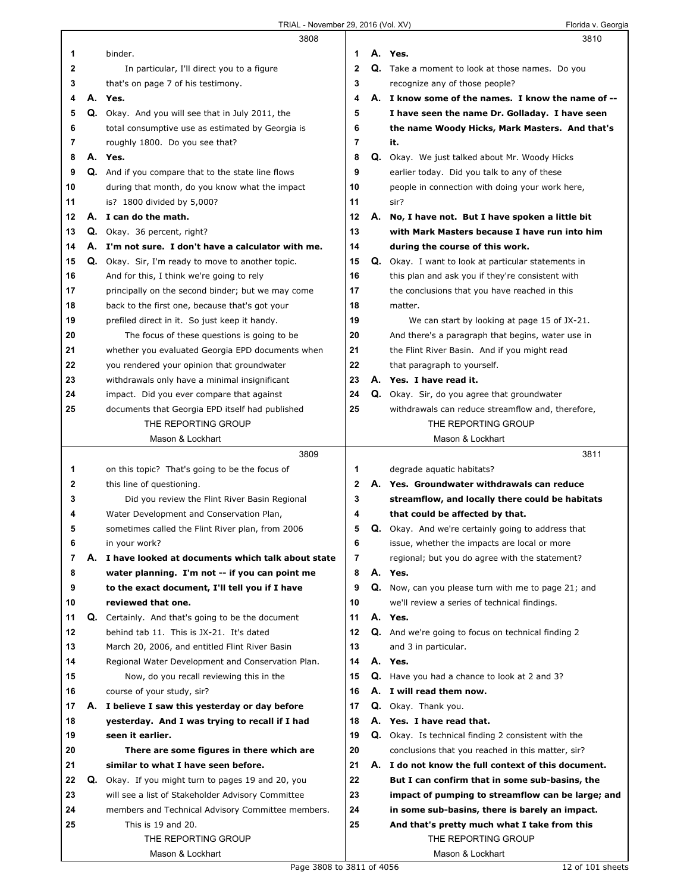|    |    | 3808                                                                                             |              |    | 3810                                                       |
|----|----|--------------------------------------------------------------------------------------------------|--------------|----|------------------------------------------------------------|
| 1  |    | binder.                                                                                          | 1            |    | A. Yes.                                                    |
| 2  |    | In particular, I'll direct you to a figure                                                       | $\mathbf{2}$ |    | Q. Take a moment to look at those names. Do you            |
| 3  |    | that's on page 7 of his testimony.                                                               | 3            |    | recognize any of those people?                             |
| 4  |    | A. Yes.                                                                                          | 4            |    | A. I know some of the names. I know the name of --         |
| 5  |    | Q. Okay. And you will see that in July 2011, the                                                 | 5            |    | I have seen the name Dr. Golladay. I have seen             |
| 6  |    | total consumptive use as estimated by Georgia is                                                 | 6            |    | the name Woody Hicks, Mark Masters. And that's             |
| 7  |    | roughly 1800. Do you see that?                                                                   | 7            |    | it.                                                        |
| 8  |    | A. Yes.                                                                                          | 8            |    | <b>Q.</b> Okay. We just talked about Mr. Woody Hicks       |
| 9  |    | Q. And if you compare that to the state line flows                                               | 9            |    | earlier today. Did you talk to any of these                |
| 10 |    | during that month, do you know what the impact                                                   | 10           |    | people in connection with doing your work here,            |
| 11 |    | is? 1800 divided by 5,000?                                                                       | 11           |    | sir?                                                       |
| 12 |    | A. I can do the math.                                                                            | 12           |    | A. No, I have not. But I have spoken a little bit          |
| 13 |    | Q. Okay. 36 percent, right?                                                                      | 13           |    | with Mark Masters because I have run into him              |
| 14 | А. | I'm not sure. I don't have a calculator with me.                                                 | 14           |    | during the course of this work.                            |
| 15 |    | <b>Q.</b> Okay. Sir, I'm ready to move to another topic.                                         | 15           | Q. | Okay. I want to look at particular statements in           |
| 16 |    | And for this, I think we're going to rely                                                        | 16           |    | this plan and ask you if they're consistent with           |
| 17 |    | principally on the second binder; but we may come                                                | 17           |    | the conclusions that you have reached in this              |
| 18 |    | back to the first one, because that's got your                                                   | 18           |    | matter.                                                    |
| 19 |    | prefiled direct in it. So just keep it handy.                                                    | 19           |    | We can start by looking at page 15 of JX-21.               |
| 20 |    | The focus of these questions is going to be                                                      | 20           |    | And there's a paragraph that begins, water use in          |
| 21 |    | whether you evaluated Georgia EPD documents when                                                 | 21           |    | the Flint River Basin. And if you might read               |
| 22 |    | you rendered your opinion that groundwater                                                       | 22           |    | that paragraph to yourself.                                |
| 23 |    | withdrawals only have a minimal insignificant                                                    | 23           |    | A. Yes. I have read it.                                    |
| 24 |    | impact. Did you ever compare that against                                                        | 24           |    | Q. Okay. Sir, do you agree that groundwater                |
| 25 |    | documents that Georgia EPD itself had published                                                  | 25           |    | withdrawals can reduce streamflow and, therefore,          |
|    |    | THE REPORTING GROUP                                                                              |              |    | THE REPORTING GROUP                                        |
|    |    | Mason & Lockhart                                                                                 |              |    | Mason & Lockhart                                           |
|    |    | 3809                                                                                             |              |    | 3811                                                       |
| 1  |    | on this topic? That's going to be the focus of                                                   | 1            |    | degrade aquatic habitats?                                  |
| 2  |    | this line of questioning.                                                                        | $\mathbf 2$  |    | A. Yes. Groundwater withdrawals can reduce                 |
| 3  |    | Did you review the Flint River Basin Regional                                                    | 3            |    | streamflow, and locally there could be habitats            |
| 4  |    | Water Development and Conservation Plan,                                                         | 4            |    | that could be affected by that.                            |
| 5  |    | sometimes called the Flint River plan, from 2006                                                 | 5            |    | <b>Q.</b> Okay. And we're certainly going to address that  |
| 6  |    | in your work?                                                                                    | 6            |    | issue, whether the impacts are local or more               |
| 7  | А. | I have looked at documents which talk about state                                                | 7            |    | regional; but you do agree with the statement?             |
| 8  |    |                                                                                                  | 8            |    | A. Yes.                                                    |
| 9  |    | water planning. I'm not -- if you can point me<br>to the exact document, I'll tell you if I have | 9            |    | <b>Q.</b> Now, can you please turn with me to page 21; and |
| 10 |    | reviewed that one.                                                                               | 10           |    | we'll review a series of technical findings.               |
| 11 |    | <b>Q.</b> Certainly. And that's going to be the document                                         | 11           |    | A. Yes.                                                    |
| 12 |    | behind tab 11. This is JX-21. It's dated                                                         | 12           |    | Q. And we're going to focus on technical finding 2         |
| 13 |    | March 20, 2006, and entitled Flint River Basin                                                   | 13           |    | and 3 in particular.                                       |
| 14 |    | Regional Water Development and Conservation Plan.                                                | 14           |    | A. Yes.                                                    |
| 15 |    | Now, do you recall reviewing this in the                                                         | 15           |    | Q. Have you had a chance to look at 2 and 3?               |
| 16 |    | course of your study, sir?                                                                       | 16           |    | A. I will read them now.                                   |
|    | А. |                                                                                                  | 17           |    |                                                            |
| 17 |    | I believe I saw this yesterday or day before<br>yesterday. And I was trying to recall if I had   | 18           |    | Q. Okay. Thank you.<br>A. Yes. I have read that.           |
| 18 |    |                                                                                                  |              |    |                                                            |
| 19 |    | seen it earlier.                                                                                 | 19           |    | <b>Q.</b> Okay. Is technical finding 2 consistent with the |
| 20 |    | There are some figures in there which are                                                        | 20           |    | conclusions that you reached in this matter, sir?          |
| 21 |    | similar to what I have seen before.                                                              | 21           |    | A. I do not know the full context of this document.        |
| 22 | Q. | Okay. If you might turn to pages 19 and 20, you                                                  | 22           |    | But I can confirm that in some sub-basins, the             |
| 23 |    | will see a list of Stakeholder Advisory Committee                                                | 23           |    | impact of pumping to streamflow can be large; and          |
| 24 |    | members and Technical Advisory Committee members.                                                | 24           |    | in some sub-basins, there is barely an impact.             |
| 25 |    | This is 19 and 20.                                                                               | 25           |    | And that's pretty much what I take from this               |
|    |    |                                                                                                  |              |    |                                                            |
|    |    | THE REPORTING GROUP<br>Mason & Lockhart                                                          |              |    | THE REPORTING GROUP<br>Mason & Lockhart                    |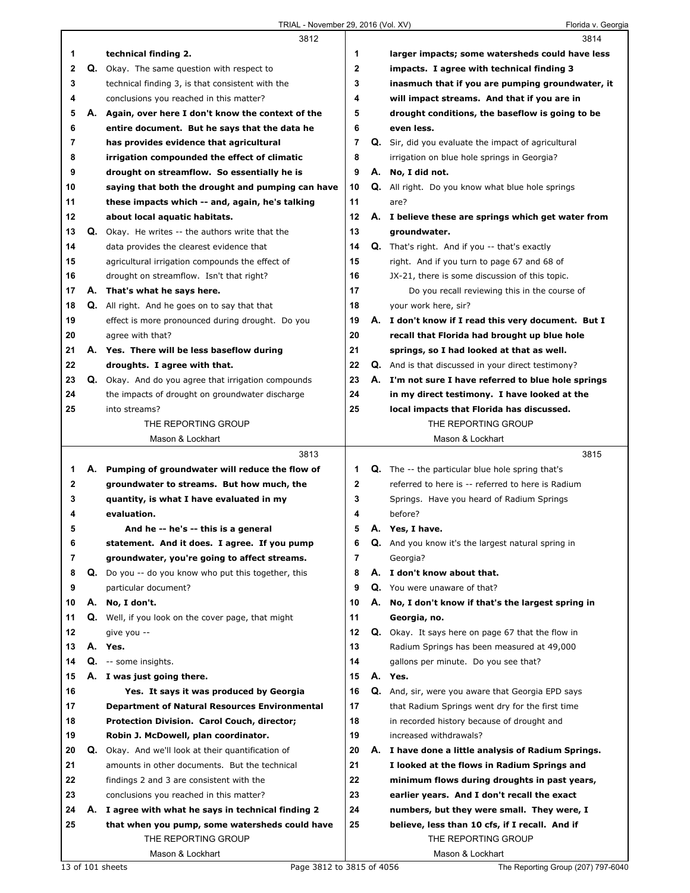|    |    | 3812                                                       |              |    | 3814                                                    |
|----|----|------------------------------------------------------------|--------------|----|---------------------------------------------------------|
| 1  |    | technical finding 2.                                       | 1            |    | larger impacts; some watersheds could have less         |
| 2  | Q. | Okay. The same question with respect to                    | $\mathbf{2}$ |    | impacts. I agree with technical finding 3               |
| 3  |    | technical finding 3, is that consistent with the           | 3            |    | inasmuch that if you are pumping groundwater, it        |
| 4  |    | conclusions you reached in this matter?                    | 4            |    | will impact streams. And that if you are in             |
| 5  |    | A. Again, over here I don't know the context of the        | 5            |    | drought conditions, the baseflow is going to be         |
| 6  |    | entire document. But he says that the data he              | 6            |    | even less.                                              |
| 7  |    | has provides evidence that agricultural                    | 7            |    | Q. Sir, did you evaluate the impact of agricultural     |
| 8  |    | irrigation compounded the effect of climatic               | 8            |    | irrigation on blue hole springs in Georgia?             |
| 9  |    | drought on streamflow. So essentially he is                | 9            |    | A. No, I did not.                                       |
| 10 |    | saying that both the drought and pumping can have          | 10           |    | <b>Q.</b> All right. Do you know what blue hole springs |
| 11 |    | these impacts which -- and, again, he's talking            | 11           |    | are?                                                    |
| 12 |    | about local aquatic habitats.                              | 12           |    | A. I believe these are springs which get water from     |
| 13 |    | <b>Q.</b> Okay. He writes -- the authors write that the    | 13           |    | groundwater.                                            |
| 14 |    | data provides the clearest evidence that                   | 14           |    | <b>Q.</b> That's right. And if you -- that's exactly    |
| 15 |    | agricultural irrigation compounds the effect of            | 15           |    | right. And if you turn to page 67 and 68 of             |
| 16 |    | drought on streamflow. Isn't that right?                   | 16           |    | JX-21, there is some discussion of this topic.          |
| 17 |    | A. That's what he says here.                               | 17           |    | Do you recall reviewing this in the course of           |
| 18 |    | Q. All right. And he goes on to say that that              | 18           |    | your work here, sir?                                    |
| 19 |    | effect is more pronounced during drought. Do you           | 19           |    | A. I don't know if I read this very document. But I     |
| 20 |    | agree with that?                                           | 20           |    | recall that Florida had brought up blue hole            |
| 21 |    | A. Yes. There will be less baseflow during                 | 21           |    | springs, so I had looked at that as well.               |
| 22 |    | droughts. I agree with that.                               | 22           |    | Q. And is that discussed in your direct testimony?      |
| 23 |    | <b>Q.</b> Okay. And do you agree that irrigation compounds | 23           |    | A. I'm not sure I have referred to blue hole springs    |
| 24 |    | the impacts of drought on groundwater discharge            | 24           |    | in my direct testimony. I have looked at the            |
| 25 |    | into streams?                                              | 25           |    | local impacts that Florida has discussed.               |
|    |    | THE REPORTING GROUP                                        |              |    | THE REPORTING GROUP                                     |
|    |    | Mason & Lockhart                                           |              |    | Mason & Lockhart                                        |
|    |    | 3813                                                       |              |    | 3815                                                    |
| 1  |    | A. Pumping of groundwater will reduce the flow of          | 1            |    | <b>Q.</b> The -- the particular blue hole spring that's |
| 2  |    | groundwater to streams. But how much, the                  | 2            |    | referred to here is -- referred to here is Radium       |
| 3  |    | quantity, is what I have evaluated in my                   | 3            |    | Springs. Have you heard of Radium Springs               |
| 4  |    | evaluation.                                                | 4            |    | before?                                                 |
| 5  |    | And he -- he's -- this is a general                        | 5            |    | A. Yes, I have.                                         |
| 6  |    | statement. And it does. I agree. If you pump               | 6            |    | Q. And you know it's the largest natural spring in      |
| 7  |    | groundwater, you're going to affect streams.               | 7            |    | Georgia?                                                |
| 8  | Q. | Do you -- do you know who put this together, this          | 8            | А. | I don't know about that.                                |
| 9  |    | particular document?                                       | 9            |    | Q. You were unaware of that?                            |
| 10 | А. | No, I don't.                                               | 10           |    | A. No, I don't know if that's the largest spring in     |
| 11 |    | Q. Well, if you look on the cover page, that might         | 11           |    | Georgia, no.                                            |
| 12 |    | give you --                                                | 12           |    | Q. Okay. It says here on page 67 that the flow in       |
| 13 |    | A. Yes.                                                    | 13           |    | Radium Springs has been measured at 49,000              |
| 14 |    | Q. -- some insights.                                       | 14           |    | gallons per minute. Do you see that?                    |
| 15 |    | A. I was just going there.                                 | 15           |    | A. Yes.                                                 |
| 16 |    | Yes. It says it was produced by Georgia                    | 16           |    | Q. And, sir, were you aware that Georgia EPD says       |
| 17 |    | <b>Department of Natural Resources Environmental</b>       | 17           |    | that Radium Springs went dry for the first time         |
| 18 |    | Protection Division. Carol Couch, director;                | 18           |    | in recorded history because of drought and              |
| 19 |    | Robin J. McDowell, plan coordinator.                       | 19           |    | increased withdrawals?                                  |
|    |    |                                                            |              |    |                                                         |
| 20 | Q. | Okay. And we'll look at their quantification of            | 20           |    | A. I have done a little analysis of Radium Springs.     |
| 21 |    | amounts in other documents. But the technical              | 21           |    | I looked at the flows in Radium Springs and             |
| 22 |    | findings 2 and 3 are consistent with the                   | 22           |    | minimum flows during droughts in past years,            |
| 23 |    | conclusions you reached in this matter?                    | 23           |    | earlier years. And I don't recall the exact             |
| 24 | А. | I agree with what he says in technical finding 2           | 24           |    | numbers, but they were small. They were, I              |
| 25 |    | that when you pump, some watersheds could have             | 25           |    | believe, less than 10 cfs, if I recall. And if          |
|    |    | THE REPORTING GROUP                                        |              |    | THE REPORTING GROUP                                     |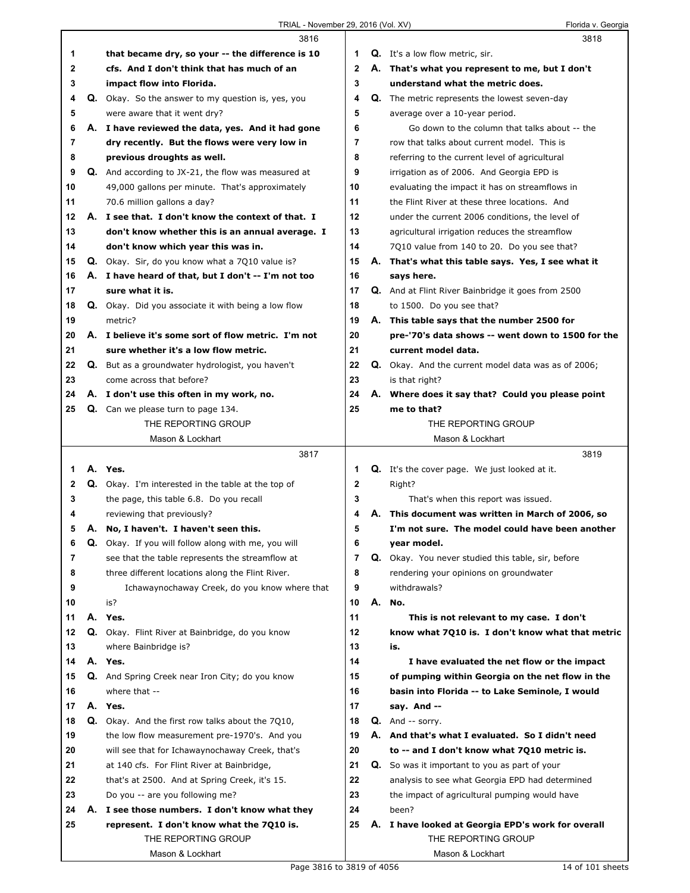|    |    | 3816                                                       |    |    | 3818                                                                                  |
|----|----|------------------------------------------------------------|----|----|---------------------------------------------------------------------------------------|
| 1  |    | that became dry, so your -- the difference is 10           | 1  |    | Q. It's a low flow metric, sir.                                                       |
| 2  |    | cfs. And I don't think that has much of an                 | 2  |    | A. That's what you represent to me, but I don't                                       |
| 3  |    | impact flow into Florida.                                  | 3  |    | understand what the metric does.                                                      |
| 4  |    | Q. Okay. So the answer to my question is, yes, you         | 4  | Q. | The metric represents the lowest seven-day                                            |
| 5  |    | were aware that it went dry?                               | 5  |    | average over a 10-year period.                                                        |
| 6  | А. | I have reviewed the data, yes. And it had gone             | 6  |    | Go down to the column that talks about -- the                                         |
| 7  |    | dry recently. But the flows were very low in               | 7  |    | row that talks about current model. This is                                           |
| 8  |    | previous droughts as well.                                 | 8  |    | referring to the current level of agricultural                                        |
| 9  |    | <b>Q.</b> And according to JX-21, the flow was measured at | 9  |    | irrigation as of 2006. And Georgia EPD is                                             |
| 10 |    | 49,000 gallons per minute. That's approximately            | 10 |    | evaluating the impact it has on streamflows in                                        |
| 11 |    | 70.6 million gallons a day?                                | 11 |    | the Flint River at these three locations. And                                         |
| 12 |    | A. I see that. I don't know the context of that. I         | 12 |    | under the current 2006 conditions, the level of                                       |
| 13 |    | don't know whether this is an annual average. I            | 13 |    | agricultural irrigation reduces the streamflow                                        |
| 14 |    | don't know which year this was in.                         | 14 |    | 7Q10 value from 140 to 20. Do you see that?                                           |
| 15 |    | Q. Okay. Sir, do you know what a 7Q10 value is?            | 15 | А. | That's what this table says. Yes, I see what it                                       |
| 16 |    | A. I have heard of that, but I don't -- I'm not too        | 16 |    | says here.                                                                            |
| 17 |    | sure what it is.                                           | 17 |    | Q. And at Flint River Bainbridge it goes from 2500                                    |
| 18 |    | Q. Okay. Did you associate it with being a low flow        | 18 |    | to 1500. Do you see that?                                                             |
| 19 |    | metric?                                                    | 19 |    | A. This table says that the number 2500 for                                           |
| 20 |    | A. I believe it's some sort of flow metric. I'm not        | 20 |    | pre-'70's data shows -- went down to 1500 for the                                     |
| 21 |    | sure whether it's a low flow metric.                       | 21 |    | current model data.                                                                   |
| 22 |    | Q. But as a groundwater hydrologist, you haven't           | 22 |    | Q. Okay. And the current model data was as of 2006;                                   |
| 23 |    | come across that before?                                   | 23 |    | is that right?                                                                        |
| 24 |    | A. I don't use this often in my work, no.                  | 24 | А. | Where does it say that? Could you please point                                        |
| 25 |    | <b>Q.</b> Can we please turn to page 134.                  | 25 |    | me to that?                                                                           |
|    |    | THE REPORTING GROUP                                        |    |    | THE REPORTING GROUP                                                                   |
|    |    | Mason & Lockhart                                           |    |    | Mason & Lockhart                                                                      |
|    |    |                                                            |    |    |                                                                                       |
|    |    | 3817                                                       |    |    | 3819                                                                                  |
| 1  |    | A. Yes.                                                    | 1  |    | <b>Q.</b> It's the cover page. We just looked at it.                                  |
| 2  |    | Q. Okay. I'm interested in the table at the top of         | 2  |    | Right?                                                                                |
| 3  |    | the page, this table 6.8. Do you recall                    | 3  |    |                                                                                       |
| 4  |    | reviewing that previously?                                 | 4  | А. | That's when this report was issued.<br>This document was written in March of 2006, so |
| 5  |    | A. No, I haven't. I haven't seen this.                     | 5  |    | I'm not sure. The model could have been another                                       |
| 6  | Q. | Okay. If you will follow along with me, you will           | b  |    | year model.                                                                           |
| 7  |    | see that the table represents the streamflow at            | 7  | Q. | Okay. You never studied this table, sir, before                                       |
| 8  |    | three different locations along the Flint River.           | 8  |    | rendering your opinions on groundwater                                                |
| 9  |    | Ichawaynochaway Creek, do you know where that              | 9  |    | withdrawals?                                                                          |
| 10 |    | is?                                                        | 10 | А. | No.                                                                                   |
| 11 |    | A. Yes.                                                    | 11 |    | This is not relevant to my case. I don't                                              |
| 12 | Q. | Okay. Flint River at Bainbridge, do you know               | 12 |    | know what 7Q10 is. I don't know what that metric                                      |
| 13 |    | where Bainbridge is?                                       | 13 |    | is.                                                                                   |
| 14 |    | A. Yes.                                                    | 14 |    | I have evaluated the net flow or the impact                                           |
| 15 |    | Q. And Spring Creek near Iron City; do you know            | 15 |    | of pumping within Georgia on the net flow in the                                      |
| 16 |    | where that --                                              | 16 |    | basin into Florida -- to Lake Seminole, I would                                       |
| 17 |    | A. Yes.                                                    | 17 |    | say. And --                                                                           |
| 18 | Q. | Okay. And the first row talks about the 7Q10,              | 18 | Q. | And -- sorry.                                                                         |
| 19 |    | the low flow measurement pre-1970's. And you               | 19 |    | A. And that's what I evaluated. So I didn't need                                      |
| 20 |    | will see that for Ichawaynochaway Creek, that's            | 20 |    | to -- and I don't know what 7Q10 metric is.                                           |
| 21 |    | at 140 cfs. For Flint River at Bainbridge,                 | 21 | Q. | So was it important to you as part of your                                            |
| 22 |    | that's at 2500. And at Spring Creek, it's 15.              | 22 |    | analysis to see what Georgia EPD had determined                                       |
| 23 |    | Do you -- are you following me?                            | 23 |    | the impact of agricultural pumping would have                                         |
| 24 |    | A. I see those numbers. I don't know what they             | 24 |    | been?                                                                                 |
| 25 |    | represent. I don't know what the 7Q10 is.                  | 25 | А. | I have looked at Georgia EPD's work for overall                                       |
|    |    | THE REPORTING GROUP                                        |    |    | THE REPORTING GROUP                                                                   |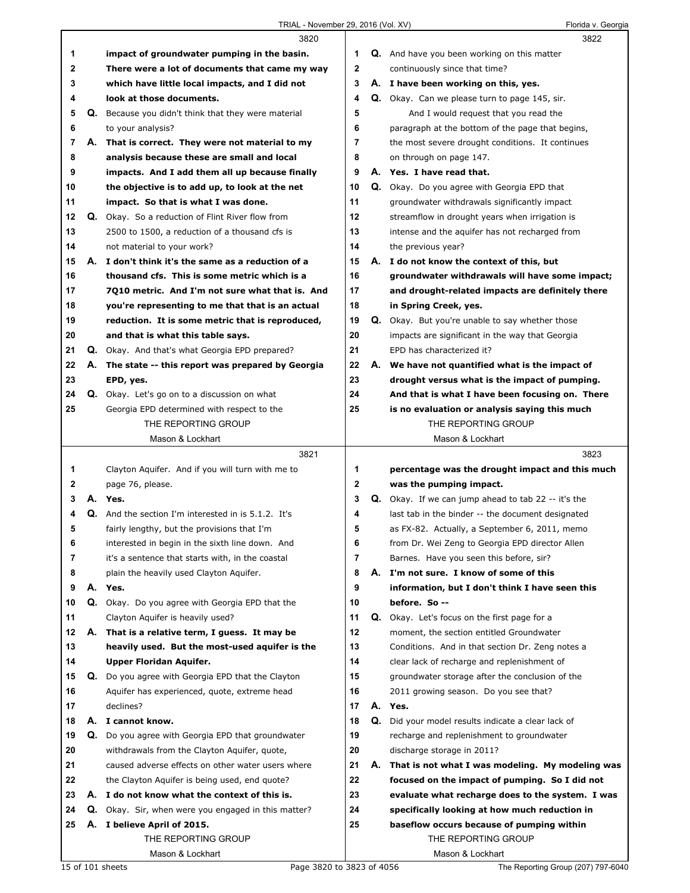|    |    | 3820                                                       |                |    | 3822                                                        |
|----|----|------------------------------------------------------------|----------------|----|-------------------------------------------------------------|
| 1  |    | impact of groundwater pumping in the basin.                | 1              |    | <b>Q.</b> And have you been working on this matter          |
| 2  |    | There were a lot of documents that came my way             | $\mathbf{2}$   |    | continuously since that time?                               |
| 3  |    | which have little local impacts, and I did not             | 3              |    | A. I have been working on this, yes.                        |
| 4  |    | look at those documents.                                   | 4              |    | Q. Okay. Can we please turn to page 145, sir.               |
| 5  | Q. | Because you didn't think that they were material           | 5              |    | And I would request that you read the                       |
| 6  |    | to your analysis?                                          | 6              |    | paragraph at the bottom of the page that begins,            |
| 7  |    | A. That is correct. They were not material to my           | $\overline{7}$ |    | the most severe drought conditions. It continues            |
| 8  |    | analysis because these are small and local                 | 8              |    | on through on page 147.                                     |
| 9  |    | impacts. And I add them all up because finally             | 9              |    | A. Yes. I have read that.                                   |
| 10 |    | the objective is to add up, to look at the net             | 10             |    | Q. Okay. Do you agree with Georgia EPD that                 |
| 11 |    | impact. So that is what I was done.                        | 11             |    | groundwater withdrawals significantly impact                |
| 12 | Q. | Okay. So a reduction of Flint River flow from              | 12             |    | streamflow in drought years when irrigation is              |
| 13 |    | 2500 to 1500, a reduction of a thousand cfs is             | 13             |    | intense and the aquifer has not recharged from              |
|    |    |                                                            | 14             |    |                                                             |
| 14 | А. | not material to your work?                                 |                |    | the previous year?                                          |
| 15 |    | I don't think it's the same as a reduction of a            | 15             |    | A. I do not know the context of this, but                   |
| 16 |    | thousand cfs. This is some metric which is a               | 16             |    | groundwater withdrawals will have some impact;              |
| 17 |    | 7010 metric. And I'm not sure what that is. And            | 17             |    | and drought-related impacts are definitely there            |
| 18 |    | you're representing to me that that is an actual           | 18             |    | in Spring Creek, yes.                                       |
| 19 |    | reduction. It is some metric that is reproduced,           | 19             |    | <b>Q.</b> Okay. But you're unable to say whether those      |
| 20 |    | and that is what this table says.                          | 20             |    | impacts are significant in the way that Georgia             |
| 21 |    | Q. Okay. And that's what Georgia EPD prepared?             | 21             |    | EPD has characterized it?                                   |
| 22 | А. | The state -- this report was prepared by Georgia           | 22             |    | A. We have not quantified what is the impact of             |
| 23 |    | EPD, yes.                                                  | 23             |    | drought versus what is the impact of pumping.               |
| 24 |    | Q. Okay. Let's go on to a discussion on what               | 24             |    | And that is what I have been focusing on. There             |
| 25 |    | Georgia EPD determined with respect to the                 | 25             |    | is no evaluation or analysis saying this much               |
|    |    | THE REPORTING GROUP                                        |                |    | THE REPORTING GROUP                                         |
|    |    | Mason & Lockhart                                           |                |    | Mason & Lockhart                                            |
|    |    |                                                            |                |    |                                                             |
|    |    | 3821                                                       |                |    | 3823                                                        |
| 1  |    | Clayton Aquifer. And if you will turn with me to           | 1              |    | percentage was the drought impact and this much             |
| 2  |    | page 76, please.                                           | $\mathbf{2}$   |    | was the pumping impact.                                     |
| 3  |    | A. Yes.                                                    | 3              |    | <b>Q.</b> Okay. If we can jump ahead to tab $22 -$ it's the |
| 4  |    | <b>Q.</b> And the section I'm interested in is 5.1.2. It's | 4              |    | last tab in the binder -- the document designated           |
| 5  |    | fairly lengthy, but the provisions that I'm                | 5              |    | as FX-82. Actually, a September 6, 2011, memo               |
| 6  |    | interested in begin in the sixth line down. And            | 6              |    | from Dr. Wei Zeng to Georgia EPD director Allen             |
| 7  |    | it's a sentence that starts with, in the coastal           | 7              |    | Barnes. Have you seen this before, sir?                     |
| 8  |    | plain the heavily used Clayton Aquifer.                    | 8              | А. | I'm not sure. I know of some of this                        |
| 9  | А. | Yes.                                                       | 9              |    | information, but I don't think I have seen this             |
| 10 |    | Q. Okay. Do you agree with Georgia EPD that the            | 10             |    | before. So --                                               |
| 11 |    | Clayton Aquifer is heavily used?                           | 11             |    | Q. Okay. Let's focus on the first page for a                |
| 12 |    | A. That is a relative term, I guess. It may be             | 12             |    | moment, the section entitled Groundwater                    |
| 13 |    | heavily used. But the most-used aquifer is the             | 13             |    | Conditions. And in that section Dr. Zeng notes a            |
| 14 |    | Upper Floridan Aquifer.                                    | 14             |    | clear lack of recharge and replenishment of                 |
| 15 |    | Q. Do you agree with Georgia EPD that the Clayton          | 15             |    | groundwater storage after the conclusion of the             |
| 16 |    | Aquifer has experienced, quote, extreme head               | 16             |    | 2011 growing season. Do you see that?                       |
| 17 |    | declines?                                                  | 17             |    | A. Yes.                                                     |
| 18 |    | A. I cannot know.                                          | 18             |    | Q. Did your model results indicate a clear lack of          |
| 19 | Q. | Do you agree with Georgia EPD that groundwater             | 19             |    | recharge and replenishment to groundwater                   |
| 20 |    | withdrawals from the Clayton Aquifer, quote,               | 20             |    | discharge storage in 2011?                                  |
| 21 |    | caused adverse effects on other water users where          | 21             |    | A. That is not what I was modeling. My modeling was         |
| 22 |    | the Clayton Aquifer is being used, end quote?              | 22             |    | focused on the impact of pumping. So I did not              |
| 23 | А. | I do not know what the context of this is.                 | 23             |    | evaluate what recharge does to the system. I was            |
| 24 |    | Q. Okay. Sir, when were you engaged in this matter?        | 24             |    | specifically looking at how much reduction in               |
| 25 |    | A. I believe April of 2015.                                | 25             |    | baseflow occurs because of pumping within                   |
|    |    | THE REPORTING GROUP                                        |                |    | THE REPORTING GROUP                                         |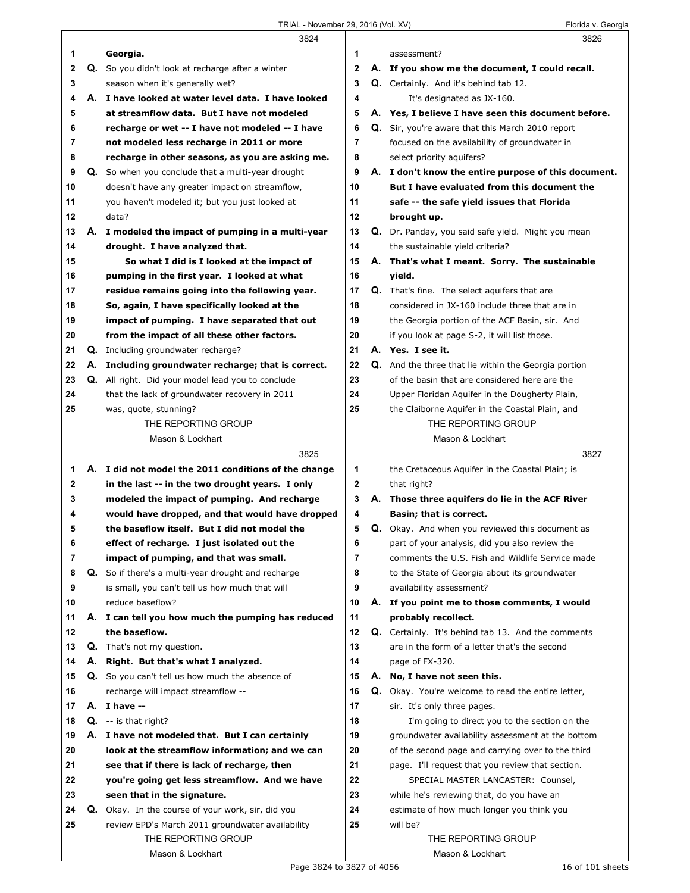|        |    | 3824                                                                                            |        |    | 3826                                                                                               |
|--------|----|-------------------------------------------------------------------------------------------------|--------|----|----------------------------------------------------------------------------------------------------|
| 1      |    | Georgia.                                                                                        | 1      |    | assessment?                                                                                        |
| 2      | Q. | So you didn't look at recharge after a winter                                                   | 2      |    | A. If you show me the document, I could recall.                                                    |
| 3      |    | season when it's generally wet?                                                                 | 3      |    | Q. Certainly. And it's behind tab 12.                                                              |
| 4      | А. | I have looked at water level data. I have looked                                                | 4      |    | It's designated as JX-160.                                                                         |
| 5      |    | at streamflow data. But I have not modeled                                                      | 5      |    | A. Yes, I believe I have seen this document before.                                                |
| 6      |    | recharge or wet -- I have not modeled -- I have                                                 | 6      |    | <b>Q.</b> Sir, you're aware that this March 2010 report                                            |
| 7      |    | not modeled less recharge in 2011 or more                                                       | 7      |    | focused on the availability of groundwater in                                                      |
| 8      |    | recharge in other seasons, as you are asking me.                                                | 8      |    | select priority aguifers?                                                                          |
| 9      |    | <b>Q.</b> So when you conclude that a multi-year drought                                        | 9      |    | A. I don't know the entire purpose of this document.                                               |
| 10     |    | doesn't have any greater impact on streamflow,                                                  | 10     |    | But I have evaluated from this document the                                                        |
| 11     |    | you haven't modeled it; but you just looked at                                                  | 11     |    | safe -- the safe yield issues that Florida                                                         |
| 12     |    | data?                                                                                           | 12     |    | brought up.                                                                                        |
| 13     |    | A. I modeled the impact of pumping in a multi-year                                              | 13     |    | Q. Dr. Panday, you said safe yield. Might you mean                                                 |
| 14     |    | drought. I have analyzed that.                                                                  | 14     |    | the sustainable yield criteria?                                                                    |
| 15     |    | So what I did is I looked at the impact of                                                      | 15     |    | A. That's what I meant. Sorry. The sustainable                                                     |
| 16     |    | pumping in the first year. I looked at what                                                     | 16     |    | yield.                                                                                             |
| 17     |    | residue remains going into the following year.                                                  | 17     |    | <b>Q.</b> That's fine. The select aquifers that are                                                |
| 18     |    | So, again, I have specifically looked at the                                                    | 18     |    | considered in JX-160 include three that are in                                                     |
| 19     |    | impact of pumping. I have separated that out                                                    | 19     |    | the Georgia portion of the ACF Basin, sir. And                                                     |
| 20     |    | from the impact of all these other factors.                                                     | 20     |    | if you look at page S-2, it will list those.                                                       |
| 21     |    | Q. Including groundwater recharge?                                                              | 21     |    | A. Yes. I see it.                                                                                  |
| 22     |    | A. Including groundwater recharge; that is correct.                                             | 22     |    | <b>Q.</b> And the three that lie within the Georgia portion                                        |
| 23     |    | Q. All right. Did your model lead you to conclude                                               | 23     |    | of the basin that are considered here are the                                                      |
| 24     |    | that the lack of groundwater recovery in 2011                                                   | 24     |    | Upper Floridan Aquifer in the Dougherty Plain,                                                     |
| 25     |    | was, quote, stunning?                                                                           | 25     |    | the Claiborne Aquifer in the Coastal Plain, and                                                    |
|        |    | THE REPORTING GROUP                                                                             |        |    | THE REPORTING GROUP                                                                                |
|        |    | Mason & Lockhart                                                                                |        |    | Mason & Lockhart                                                                                   |
|        |    |                                                                                                 |        |    |                                                                                                    |
|        |    |                                                                                                 |        |    |                                                                                                    |
|        |    | 3825                                                                                            |        |    | 3827                                                                                               |
| 1.     |    | A. I did not model the 2011 conditions of the change                                            | 1      |    | the Cretaceous Aquifer in the Coastal Plain; is                                                    |
| 2      |    | in the last -- in the two drought years. I only                                                 | 2<br>3 |    | that right?                                                                                        |
| 3<br>4 |    | modeled the impact of pumping. And recharge                                                     | 4      |    | A. Those three aguifers do lie in the ACF River<br>Basin; that is correct.                         |
| 5      |    | would have dropped, and that would have dropped<br>the baseflow itself. But I did not model the | 5      |    |                                                                                                    |
| 6      |    |                                                                                                 |        |    | Q. Okay. And when you reviewed this document as                                                    |
| 7      |    | effect of recharge. I just isolated out the<br>impact of pumping, and that was small.           | 6<br>7 |    | part of your analysis, did you also review the<br>comments the U.S. Fish and Wildlife Service made |
| 8      |    | Q. So if there's a multi-year drought and recharge                                              | 8      |    | to the State of Georgia about its groundwater                                                      |
| 9      |    | is small, you can't tell us how much that will                                                  | 9      |    | availability assessment?                                                                           |
| 10     |    | reduce baseflow?                                                                                | 10     |    | A. If you point me to those comments, I would                                                      |
| 11     |    | A. I can tell you how much the pumping has reduced                                              | 11     |    | probably recollect.                                                                                |
| 12     |    | the baseflow.                                                                                   | 12     | Q. | Certainly. It's behind tab 13. And the comments                                                    |
| 13     |    | <b>Q.</b> That's not my question.                                                               | 13     |    | are in the form of a letter that's the second                                                      |
| 14     |    | A. Right. But that's what I analyzed.                                                           | 14     |    | page of FX-320.                                                                                    |
| 15     |    | Q. So you can't tell us how much the absence of                                                 | 15     |    | A. No, I have not seen this.                                                                       |
| 16     |    | recharge will impact streamflow --                                                              | 16     | Q. | Okay. You're welcome to read the entire letter,                                                    |
| 17     |    | A. I have --                                                                                    | 17     |    | sir. It's only three pages.                                                                        |
| 18     |    | $Q. - is that right?$                                                                           | 18     |    | I'm going to direct you to the section on the                                                      |
| 19     |    | A. I have not modeled that. But I can certainly                                                 | 19     |    | groundwater availability assessment at the bottom                                                  |
| 20     |    | look at the streamflow information; and we can                                                  | 20     |    | of the second page and carrying over to the third                                                  |
| 21     |    | see that if there is lack of recharge, then                                                     | 21     |    | page. I'll request that you review that section.                                                   |
| 22     |    | you're going get less streamflow. And we have                                                   | 22     |    | SPECIAL MASTER LANCASTER: Counsel,                                                                 |
| 23     |    | seen that in the signature.                                                                     | 23     |    | while he's reviewing that, do you have an                                                          |
| 24     |    | Q. Okay. In the course of your work, sir, did you                                               | 24     |    | estimate of how much longer you think you                                                          |
| 25     |    | review EPD's March 2011 groundwater availability                                                | 25     |    | will be?                                                                                           |
|        |    | THE REPORTING GROUP                                                                             |        |    | THE REPORTING GROUP                                                                                |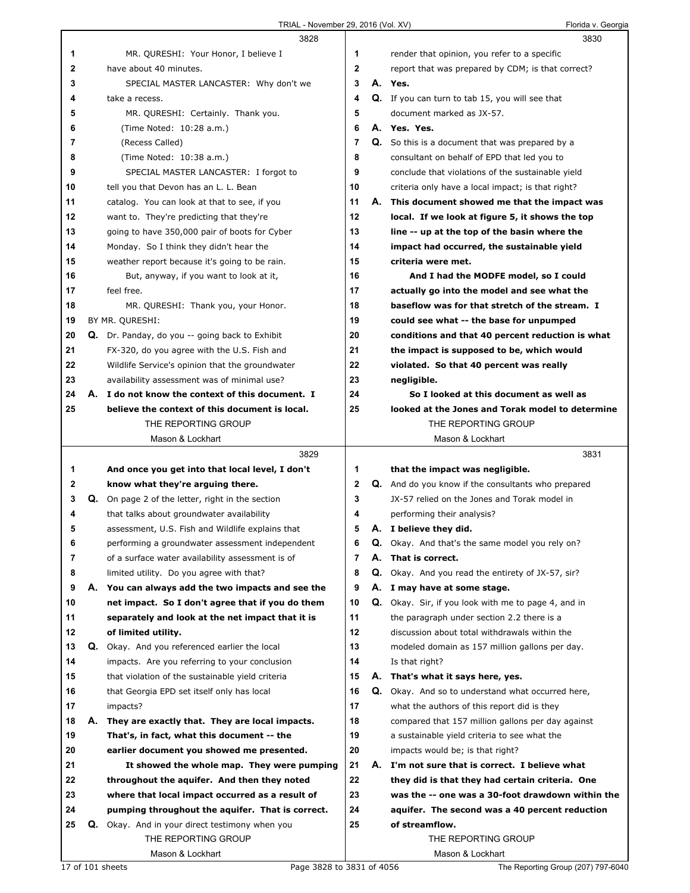TRIAL - November 29, 2016 (Vol. XV) Florida v. Georgia

|                |    | 3828                                                    |                |    | 3830                                                       |
|----------------|----|---------------------------------------------------------|----------------|----|------------------------------------------------------------|
| 1              |    | MR. QURESHI: Your Honor, I believe I                    | 1              |    | render that opinion, you refer to a specific               |
| $\mathbf{2}$   |    | have about 40 minutes.                                  | $\mathbf{2}$   |    | report that was prepared by CDM; is that correct?          |
| 3              |    | SPECIAL MASTER LANCASTER: Why don't we                  | 3              |    | A. Yes.                                                    |
| 4              |    | take a recess.                                          | 4              |    | Q. If you can turn to tab 15, you will see that            |
| 5              |    | MR. QURESHI: Certainly. Thank you.                      | 5              |    | document marked as JX-57.                                  |
| 6              |    | (Time Noted: 10:28 a.m.)                                | 6              |    | A. Yes. Yes.                                               |
| $\overline{7}$ |    | (Recess Called)                                         | 7              |    | <b>Q.</b> So this is a document that was prepared by a     |
| 8              |    | (Time Noted: 10:38 a.m.)                                | 8              |    | consultant on behalf of EPD that led you to                |
| 9              |    | SPECIAL MASTER LANCASTER: I forgot to                   | 9              |    | conclude that violations of the sustainable yield          |
| 10             |    | tell you that Devon has an L. L. Bean                   | 10             |    | criteria only have a local impact; is that right?          |
| 11             |    | catalog. You can look at that to see, if you            | 11             |    | A. This document showed me that the impact was             |
| 12             |    | want to. They're predicting that they're                | 12             |    | local. If we look at figure 5, it shows the top            |
| 13             |    | going to have 350,000 pair of boots for Cyber           | 13             |    | line -- up at the top of the basin where the               |
| 14             |    | Monday. So I think they didn't hear the                 | 14             |    | impact had occurred, the sustainable yield                 |
| 15             |    | weather report because it's going to be rain.           | 15             |    | criteria were met.                                         |
| 16             |    | But, anyway, if you want to look at it,                 | 16             |    | And I had the MODFE model, so I could                      |
| 17             |    | feel free.                                              | 17             |    | actually go into the model and see what the                |
| 18             |    | MR. QURESHI: Thank you, your Honor.                     | 18             |    | baseflow was for that stretch of the stream. I             |
| 19             |    | BY MR. QURESHI:                                         | 19             |    | could see what -- the base for unpumped                    |
| 20             |    | Q. Dr. Panday, do you -- going back to Exhibit          | 20             |    | conditions and that 40 percent reduction is what           |
| 21             |    | FX-320, do you agree with the U.S. Fish and             | 21             |    | the impact is supposed to be, which would                  |
| 22             |    | Wildlife Service's opinion that the groundwater         | 22             |    | violated. So that 40 percent was really                    |
| 23             |    | availability assessment was of minimal use?             | 23             |    | negligible.                                                |
| 24             |    | A. I do not know the context of this document. I        | 24             |    | So I looked at this document as well as                    |
| 25             |    | believe the context of this document is local.          | 25             |    | looked at the Jones and Torak model to determine           |
|                |    | THE REPORTING GROUP                                     |                |    | THE REPORTING GROUP                                        |
|                |    | Mason & Lockhart                                        |                |    | Mason & Lockhart                                           |
|                |    |                                                         |                |    |                                                            |
|                |    | 3829                                                    |                |    | 3831                                                       |
| 1              |    | And once you get into that local level, I don't         | 1              |    | that the impact was negligible.                            |
| 2              |    | know what they're arguing there.                        | $\mathbf{2}$   |    | <b>Q.</b> And do you know if the consultants who prepared  |
| 3              |    | <b>Q.</b> On page 2 of the letter, right in the section | 3              |    | JX-57 relied on the Jones and Torak model in               |
| 4              |    | that talks about groundwater availability               | 4              |    | performing their analysis?                                 |
| 5              |    | assessment, U.S. Fish and Wildlife explains that        | 5              |    | A. I believe they did.                                     |
| 6              |    | performing a groundwater assessment independent         | 6              | Q. | Okay. And that's the same model you rely on?               |
| 7              |    | of a surface water availability assessment is of        | $\overline{7}$ | А. | That is correct.                                           |
| 8              |    | limited utility. Do you agree with that?                | 8              | Q. | Okay. And you read the entirety of JX-57, sir?             |
| 9              |    | A. You can always add the two impacts and see the       | 9              |    | A. I may have at some stage.                               |
| 10             |    | net impact. So I don't agree that if you do them        | 10             |    | <b>Q.</b> Okay. Sir, if you look with me to page 4, and in |
| 11             |    | separately and look at the net impact that it is        | 11             |    | the paragraph under section 2.2 there is a                 |
| 12             |    | of limited utility.                                     | 12             |    | discussion about total withdrawals within the              |
| 13             |    | Q. Okay. And you referenced earlier the local           | 13             |    | modeled domain as 157 million gallons per day.             |
| 14             |    | impacts. Are you referring to your conclusion           | 14             |    | Is that right?                                             |
| 15             |    | that violation of the sustainable yield criteria        | 15             |    | A. That's what it says here, yes.                          |
| 16             |    | that Georgia EPD set itself only has local              | 16             | Q. | Okay. And so to understand what occurred here,             |
| 17             |    | impacts?                                                | 17             |    | what the authors of this report did is they                |
| 18             | А. | They are exactly that. They are local impacts.          | 18             |    | compared that 157 million gallons per day against          |
| 19             |    | That's, in fact, what this document -- the              | 19             |    | a sustainable yield criteria to see what the               |
| 20             |    | earlier document you showed me presented.               | 20             |    | impacts would be; is that right?                           |
| 21             |    | It showed the whole map. They were pumping              | 21             |    | A. I'm not sure that is correct. I believe what            |
| 22             |    | throughout the aquifer. And then they noted             | 22             |    | they did is that they had certain criteria. One            |
| 23             |    | where that local impact occurred as a result of         | 23             |    | was the -- one was a 30-foot drawdown within the           |
| 24             |    | pumping throughout the aquifer. That is correct.        | 24             |    | aquifer. The second was a 40 percent reduction             |
| 25             |    | <b>Q.</b> Okay. And in your direct testimony when you   | 25             |    | of streamflow.                                             |
|                |    | THE REPORTING GROUP<br>Mason & Lockhart                 |                |    | THE REPORTING GROUP<br>Mason & Lockhart                    |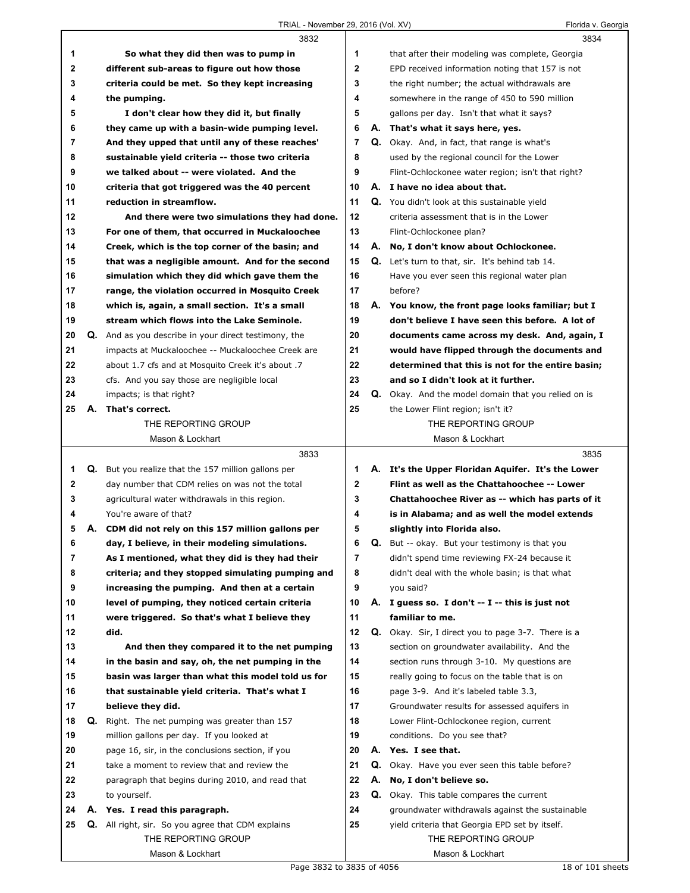|    |    | 3832                                                       |                         |    | 3834                                                   |  |
|----|----|------------------------------------------------------------|-------------------------|----|--------------------------------------------------------|--|
| 1  |    | So what they did then was to pump in                       | 1                       |    | that after their modeling was complete, Georgia        |  |
| 2  |    | different sub-areas to figure out how those                | $\overline{\mathbf{2}}$ |    | EPD received information noting that 157 is not        |  |
| 3  |    | criteria could be met. So they kept increasing             | 3                       |    | the right number; the actual withdrawals are           |  |
| 4  |    | the pumping.                                               | 4                       |    | somewhere in the range of 450 to 590 million           |  |
| 5  |    | I don't clear how they did it, but finally                 | 5                       |    | gallons per day. Isn't that what it says?              |  |
| 6  |    | they came up with a basin-wide pumping level.              | 6                       |    | A. That's what it says here, yes.                      |  |
| 7  |    | And they upped that until any of these reaches'            | 7                       |    | Q. Okay. And, in fact, that range is what's            |  |
| 8  |    | sustainable yield criteria -- those two criteria           | 8                       |    | used by the regional council for the Lower             |  |
| 9  |    | we talked about -- were violated. And the                  | 9                       |    | Flint-Ochlockonee water region; isn't that right?      |  |
| 10 |    | criteria that got triggered was the 40 percent             | 10                      |    | A. I have no idea about that.                          |  |
| 11 |    | reduction in streamflow.                                   | 11                      |    | Q. You didn't look at this sustainable yield           |  |
| 12 |    | And there were two simulations they had done.              | 12                      |    | criteria assessment that is in the Lower               |  |
| 13 |    | For one of them, that occurred in Muckaloochee             | 13                      |    | Flint-Ochlockonee plan?                                |  |
| 14 |    | Creek, which is the top corner of the basin; and           | 14                      |    | A. No, I don't know about Ochlockonee.                 |  |
| 15 |    | that was a negligible amount. And for the second           | 15                      |    | <b>Q.</b> Let's turn to that, sir. It's behind tab 14. |  |
| 16 |    | simulation which they did which gave them the              | 16                      |    | Have you ever seen this regional water plan            |  |
| 17 |    | range, the violation occurred in Mosquito Creek            | 17                      |    | before?                                                |  |
| 18 |    | which is, again, a small section. It's a small             | 18                      |    | A. You know, the front page looks familiar; but I      |  |
| 19 |    | stream which flows into the Lake Seminole.                 | 19                      |    | don't believe I have seen this before. A lot of        |  |
| 20 |    | Q. And as you describe in your direct testimony, the       | 20                      |    | documents came across my desk. And, again, I           |  |
| 21 |    | impacts at Muckaloochee -- Muckaloochee Creek are          | 21                      |    | would have flipped through the documents and           |  |
| 22 |    | about 1.7 cfs and at Mosquito Creek it's about .7          | 22                      |    | determined that this is not for the entire basin;      |  |
| 23 |    | cfs. And you say those are negligible local                | 23                      |    | and so I didn't look at it further.                    |  |
| 24 |    | impacts; is that right?                                    | 24                      |    | Q. Okay. And the model domain that you relied on is    |  |
| 25 | А. | That's correct.                                            | 25                      |    | the Lower Flint region; isn't it?                      |  |
|    |    | THE REPORTING GROUP                                        |                         |    | THE REPORTING GROUP                                    |  |
|    |    |                                                            |                         |    |                                                        |  |
|    |    | Mason & Lockhart                                           |                         |    | Mason & Lockhart                                       |  |
|    |    | 3833                                                       |                         |    | 3835                                                   |  |
| 1  |    | <b>Q.</b> But you realize that the 157 million gallons per | 1                       |    | A. It's the Upper Floridan Aquifer. It's the Lower     |  |
| 2  |    | day number that CDM relies on was not the total            | 2                       |    | Flint as well as the Chattahoochee -- Lower            |  |
| 3  |    | agricultural water withdrawals in this region.             | 3                       |    | Chattahoochee River as -- which has parts of it        |  |
| 4  |    | You're aware of that?                                      | 4                       |    | is in Alabama; and as well the model extends           |  |
| 5  | А. | CDM did not rely on this 157 million gallons per           | 5                       |    | slightly into Florida also.                            |  |
| 6  |    | day, I believe, in their modeling simulations.             | 6                       |    | <b>Q.</b> But -- okay. But your testimony is that you  |  |
| 7  |    | As I mentioned, what they did is they had their            | 7                       |    | didn't spend time reviewing FX-24 because it           |  |
| 8  |    | criteria; and they stopped simulating pumping and          | 8                       |    | didn't deal with the whole basin; is that what         |  |
| 9  |    | increasing the pumping. And then at a certain              | 9                       |    | you said?                                              |  |
| 10 |    | level of pumping, they noticed certain criteria            | 10                      |    | A. I guess so. I don't $-$ I $-$ this is just not      |  |
| 11 |    | were triggered. So that's what I believe they              | 11                      |    | familiar to me.                                        |  |
| 12 |    | did.                                                       | 12                      | Q. | Okay. Sir, I direct you to page 3-7. There is a        |  |
| 13 |    | And then they compared it to the net pumping               | 13                      |    | section on groundwater availability. And the           |  |
| 14 |    | in the basin and say, oh, the net pumping in the           | 14                      |    | section runs through 3-10. My questions are            |  |
| 15 |    | basin was larger than what this model told us for          | 15                      |    | really going to focus on the table that is on          |  |
| 16 |    | that sustainable yield criteria. That's what I             | 16                      |    | page 3-9. And it's labeled table 3.3,                  |  |
| 17 |    | believe they did.                                          | 17                      |    | Groundwater results for assessed aquifers in           |  |
| 18 | Q. | Right. The net pumping was greater than 157                | 18                      |    | Lower Flint-Ochlockonee region, current                |  |
| 19 |    | million gallons per day. If you looked at                  | 19                      |    | conditions. Do you see that?                           |  |
| 20 |    | page 16, sir, in the conclusions section, if you           | 20                      |    | A. Yes. I see that.                                    |  |
| 21 |    | take a moment to review that and review the                | 21                      | Q. | Okay. Have you ever seen this table before?            |  |
| 22 |    | paragraph that begins during 2010, and read that           | 22                      | А. | No, I don't believe so.                                |  |
| 23 |    | to yourself.                                               | 23                      | Q. | Okay. This table compares the current                  |  |
| 24 |    | A. Yes. I read this paragraph.                             | 24                      |    | groundwater withdrawals against the sustainable        |  |
| 25 | Q. | All right, sir. So you agree that CDM explains             | 25                      |    | yield criteria that Georgia EPD set by itself.         |  |
|    |    | THE REPORTING GROUP<br>Mason & Lockhart                    |                         |    | THE REPORTING GROUP<br>Mason & Lockhart                |  |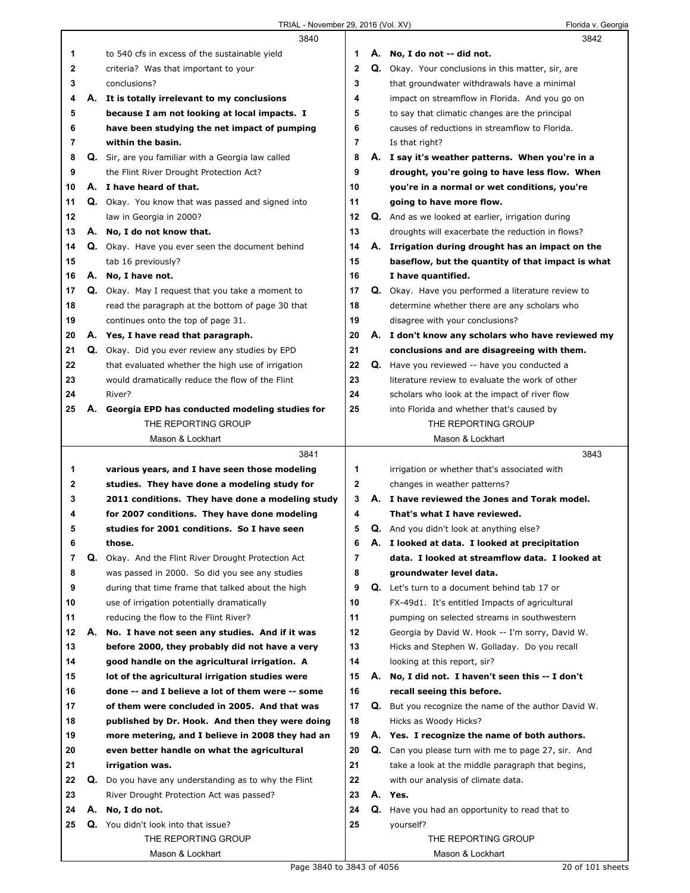|    |    | 3840                                                        |              |    | 3842                                                        |
|----|----|-------------------------------------------------------------|--------------|----|-------------------------------------------------------------|
| 1  |    | to 540 cfs in excess of the sustainable yield               | 1            |    | A. No, I do not -- did not.                                 |
| 2  |    | criteria? Was that important to your                        | $\mathbf{2}$ |    | Q. Okay. Your conclusions in this matter, sir, are          |
| 3  |    | conclusions?                                                | 3            |    | that groundwater withdrawals have a minimal                 |
| 4  |    | A. It is totally irrelevant to my conclusions               | 4            |    | impact on streamflow in Florida. And you go on              |
| 5  |    | because I am not looking at local impacts. I                | 5            |    | to say that climatic changes are the principal              |
| 6  |    | have been studying the net impact of pumping                | 6            |    | causes of reductions in streamflow to Florida.              |
| 7  |    | within the basin.                                           | 7            |    | Is that right?                                              |
| 8  |    | Q. Sir, are you familiar with a Georgia law called          | 8            |    | A. I say it's weather patterns. When you're in a            |
| 9  |    | the Flint River Drought Protection Act?                     | 9            |    | drought, you're going to have less flow. When               |
| 10 |    | A. I have heard of that.                                    | 10           |    | you're in a normal or wet conditions, you're                |
| 11 |    | <b>Q.</b> Okay. You know that was passed and signed into    | 11           |    | going to have more flow.                                    |
| 12 |    | law in Georgia in 2000?                                     | 12           |    | Q. And as we looked at earlier, irrigation during           |
| 13 |    | A. No, I do not know that.                                  | 13           |    | droughts will exacerbate the reduction in flows?            |
| 14 |    | Q. Okay. Have you ever seen the document behind             | 14           | А. | Irrigation during drought has an impact on the              |
| 15 |    | tab 16 previously?                                          | 15           |    | baseflow, but the quantity of that impact is what           |
| 16 |    | A. No, I have not.                                          | 16           |    | I have quantified.                                          |
| 17 |    | Q. Okay. May I request that you take a moment to            | 17           |    | Q. Okay. Have you performed a literature review to          |
| 18 |    | read the paragraph at the bottom of page 30 that            | 18           |    | determine whether there are any scholars who                |
| 19 |    | continues onto the top of page 31.                          | 19           |    | disagree with your conclusions?                             |
| 20 |    | A. Yes, I have read that paragraph.                         | 20           |    | A. I don't know any scholars who have reviewed my           |
| 21 |    | Q. Okay. Did you ever review any studies by EPD             | 21           |    | conclusions and are disagreeing with them.                  |
| 22 |    | that evaluated whether the high use of irrigation           | 22           |    | Q. Have you reviewed -- have you conducted a                |
| 23 |    | would dramatically reduce the flow of the Flint             | 23           |    | literature review to evaluate the work of other             |
| 24 |    | River?                                                      | 24           |    | scholars who look at the impact of river flow               |
| 25 | А. | Georgia EPD has conducted modeling studies for              | 25           |    | into Florida and whether that's caused by                   |
|    |    | THE REPORTING GROUP                                         |              |    | THE REPORTING GROUP                                         |
|    |    | Mason & Lockhart                                            |              |    | Mason & Lockhart                                            |
|    |    |                                                             |              |    |                                                             |
|    |    | 3841                                                        |              |    | 3843                                                        |
| 1  |    | various years, and I have seen those modeling               | 1            |    | irrigation or whether that's associated with                |
| 2  |    | studies. They have done a modeling study for                | 2            |    | changes in weather patterns?                                |
| 3  |    | 2011 conditions. They have done a modeling study            | 3            |    | A. I have reviewed the Jones and Torak model.               |
| 4  |    | for 2007 conditions. They have done modeling                | 4            |    | That's what I have reviewed.                                |
| 5  |    | studies for 2001 conditions. So I have seen                 | 5            |    | Q. And you didn't look at anything else?                    |
| 6  |    | those.                                                      | 6            |    | A. I looked at data. I looked at precipitation              |
| 7  | Q. | Okay. And the Flint River Drought Protection Act            | 7            |    | data. I looked at streamflow data. I looked at              |
| 8  |    | was passed in 2000. So did you see any studies              | 8            |    | groundwater level data.                                     |
| 9  |    | during that time frame that talked about the high           | 9            |    | Q. Let's turn to a document behind tab 17 or                |
| 10 |    | use of irrigation potentially dramatically                  | 10           |    | FX-49d1. It's entitled Impacts of agricultural              |
| 11 |    | reducing the flow to the Flint River?                       | 11           |    | pumping on selected streams in southwestern                 |
| 12 | А. | No. I have not seen any studies. And if it was              | 12           |    | Georgia by David W. Hook -- I'm sorry, David W.             |
| 13 |    | before 2000, they probably did not have a very              | 13           |    | Hicks and Stephen W. Golladay. Do you recall                |
| 14 |    | good handle on the agricultural irrigation. A               | 14           |    | looking at this report, sir?                                |
| 15 |    | lot of the agricultural irrigation studies were             | 15           | А. | No, I did not. I haven't seen this -- I don't               |
| 16 |    | done -- and I believe a lot of them were -- some            | 16           |    | recall seeing this before.                                  |
| 17 |    | of them were concluded in 2005. And that was                | 17           |    | <b>Q.</b> But you recognize the name of the author David W. |
| 18 |    | published by Dr. Hook. And then they were doing             | 18           |    | Hicks as Woody Hicks?                                       |
| 19 |    | more metering, and I believe in 2008 they had an            | 19           |    | A. Yes. I recognize the name of both authors.               |
| 20 |    | even better handle on what the agricultural                 | 20           |    | Q. Can you please turn with me to page 27, sir. And         |
| 21 |    | irrigation was.                                             | 21           |    | take a look at the middle paragraph that begins,            |
| 22 |    | <b>Q.</b> Do you have any understanding as to why the Flint | 22           |    | with our analysis of climate data.                          |
| 23 |    | River Drought Protection Act was passed?                    | 23           |    | A. Yes.                                                     |
| 24 | А. | No, I do not.                                               | 24           |    | Q. Have you had an opportunity to read that to              |
| 25 |    | Q. You didn't look into that issue?                         | 25           |    | yourself?                                                   |
|    |    | THE REPORTING GROUP                                         |              |    | THE REPORTING GROUP                                         |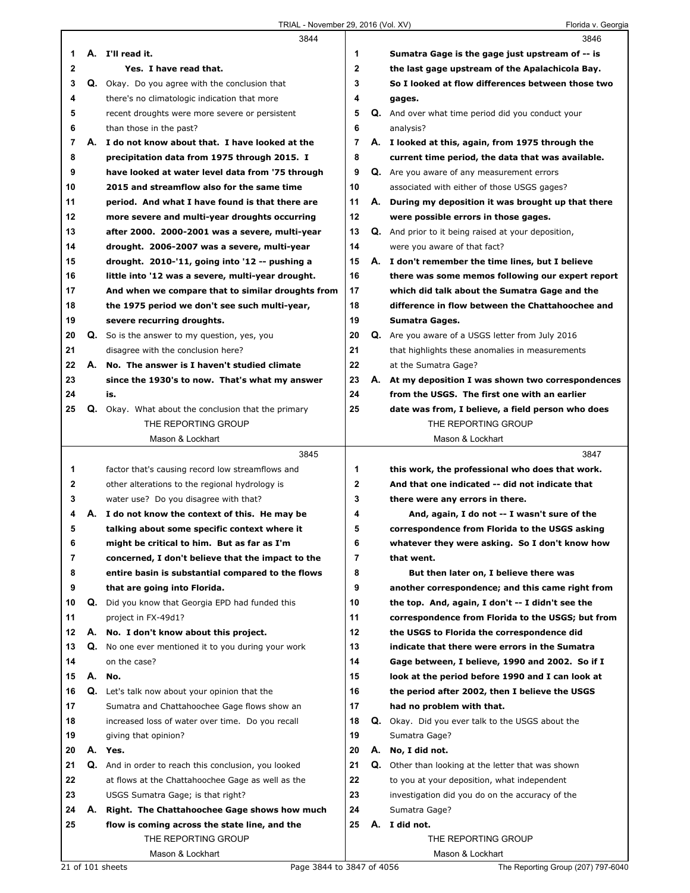|              |    | 3844                                                |              |    | 3846                                                |
|--------------|----|-----------------------------------------------------|--------------|----|-----------------------------------------------------|
| 1            |    | A. I'll read it.                                    | 1            |    | Sumatra Gage is the gage just upstream of -- is     |
| $\mathbf 2$  |    | Yes. I have read that.                              | $\mathbf{2}$ |    | the last gage upstream of the Apalachicola Bay.     |
| 3            |    | Q. Okay. Do you agree with the conclusion that      | 3            |    | So I looked at flow differences between those two   |
| 4            |    | there's no climatologic indication that more        | 4            |    | gages.                                              |
| 5            |    | recent droughts were more severe or persistent      | 5            |    | Q. And over what time period did you conduct your   |
| 6            |    | than those in the past?                             | 6            |    | analysis?                                           |
| 7            |    | A. I do not know about that. I have looked at the   | 7            |    | A. I looked at this, again, from 1975 through the   |
| 8            |    | precipitation data from 1975 through 2015. I        | 8            |    | current time period, the data that was available.   |
| 9            |    | have looked at water level data from '75 through    | 9            |    | Q. Are you aware of any measurement errors          |
| 10           |    | 2015 and streamflow also for the same time          | 10           |    | associated with either of those USGS gages?         |
| 11           |    | period. And what I have found is that there are     | 11           | А. | During my deposition it was brought up that there   |
| 12           |    | more severe and multi-year droughts occurring       | 12           |    | were possible errors in those gages.                |
| 13           |    | after 2000. 2000-2001 was a severe, multi-year      | 13           |    | Q. And prior to it being raised at your deposition, |
| 14           |    | drought. 2006-2007 was a severe, multi-year         | 14           |    | were you aware of that fact?                        |
| 15           |    | drought. 2010-'11, going into '12 -- pushing a      | 15           |    | A. I don't remember the time lines, but I believe   |
| 16           |    | little into '12 was a severe, multi-year drought.   | 16           |    | there was some memos following our expert report    |
| 17           |    | And when we compare that to similar droughts from   | 17           |    | which did talk about the Sumatra Gage and the       |
| 18           |    | the 1975 period we don't see such multi-year,       | 18           |    | difference in flow between the Chattahoochee and    |
| 19           |    | severe recurring droughts.                          | 19           |    | Sumatra Gages.                                      |
| 20           |    | Q. So is the answer to my question, yes, you        | 20           |    | Q. Are you aware of a USGS letter from July 2016    |
| 21           |    | disagree with the conclusion here?                  | 21           |    | that highlights these anomalies in measurements     |
| 22           |    | A. No. The answer is I haven't studied climate      | 22           |    | at the Sumatra Gage?                                |
| 23           |    | since the 1930's to now. That's what my answer      | 23           |    | A. At my deposition I was shown two correspondences |
| 24           |    | is.                                                 | 24           |    | from the USGS. The first one with an earlier        |
| 25           |    | Q. Okay. What about the conclusion that the primary | 25           |    | date was from, I believe, a field person who does   |
|              |    | THE REPORTING GROUP                                 |              |    | THE REPORTING GROUP                                 |
|              |    | Mason & Lockhart                                    |              |    | Mason & Lockhart                                    |
|              |    |                                                     |              |    |                                                     |
|              |    | 3845                                                |              |    | 3847                                                |
| 1            |    | factor that's causing record low streamflows and    | 1            |    | this work, the professional who does that work.     |
| $\mathbf{2}$ |    | other alterations to the regional hydrology is      | $\mathbf{2}$ |    | And that one indicated -- did not indicate that     |
| 3            |    | water use? Do you disagree with that?               | 3            |    | there were any errors in there.                     |
| 4            |    | A. I do not know the context of this. He may be     | 4            |    | And, again, I do not -- I wasn't sure of the        |
| 5            |    | talking about some specific context where it        | 5            |    | correspondence from Florida to the USGS asking      |
| 6            |    | might be critical to him. But as far as I'm         | 6            |    | whatever they were asking. So I don't know how      |
| 7            |    | concerned, I don't believe that the impact to the   | 7            |    | that went.                                          |
| 8            |    | entire basin is substantial compared to the flows   | 8            |    | But then later on, I believe there was              |
| 9            |    | that are going into Florida.                        | 9            |    | another correspondence; and this came right from    |
| 10           | Q. | Did you know that Georgia EPD had funded this       | 10           |    | the top. And, again, I don't -- I didn't see the    |
| 11           |    | project in FX-49d1?                                 | 11           |    | correspondence from Florida to the USGS; but from   |
| 12           | А. | No. I don't know about this project.                | 12           |    | the USGS to Florida the correspondence did          |
| 13           | Q. | No one ever mentioned it to you during your work    | 13           |    | indicate that there were errors in the Sumatra      |
| 14           |    | on the case?                                        | 14           |    | Gage between, I believe, 1990 and 2002. So if I     |
| 15           |    | A. No.                                              | 15           |    | look at the period before 1990 and I can look at    |
| 16           |    | Q. Let's talk now about your opinion that the       | 16           |    | the period after 2002, then I believe the USGS      |
| 17           |    | Sumatra and Chattahoochee Gage flows show an        | 17           |    | had no problem with that.                           |
| 18           |    | increased loss of water over time. Do you recall    | 18           |    | Q. Okay. Did you ever talk to the USGS about the    |
| 19           |    | giving that opinion?                                | 19           |    | Sumatra Gage?                                       |
| 20           |    | A. Yes.                                             | 20           | А. | No, I did not.                                      |
| 21           | Q. | And in order to reach this conclusion, you looked   | 21           | Q. | Other than looking at the letter that was shown     |
| 22           |    | at flows at the Chattahoochee Gage as well as the   | 22           |    | to you at your deposition, what independent         |
| 23           |    | USGS Sumatra Gage; is that right?                   | 23           |    | investigation did you do on the accuracy of the     |
| 24           |    | A. Right. The Chattahoochee Gage shows how much     | 24           |    | Sumatra Gage?                                       |
| 25           |    | flow is coming across the state line, and the       | 25           |    | A. I did not.                                       |
|              |    | THE REPORTING GROUP<br>Mason & Lockhart             |              |    | THE REPORTING GROUP<br>Mason & Lockhart             |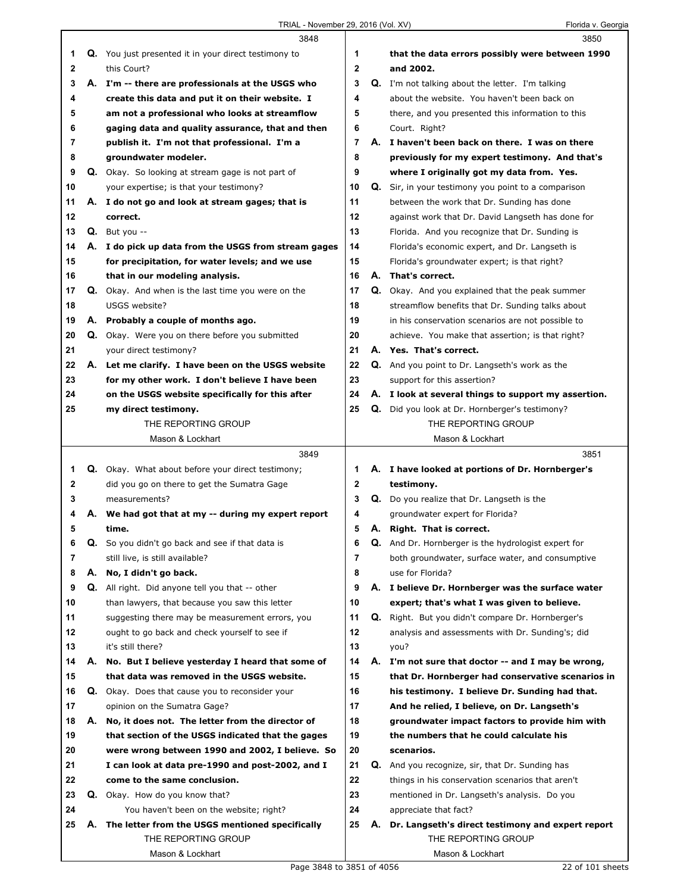|    |    | 3848                                                 |    |    | 3850                                                 |
|----|----|------------------------------------------------------|----|----|------------------------------------------------------|
| 1  |    | Q. You just presented it in your direct testimony to | 1  |    | that the data errors possibly were between 1990      |
| 2  |    | this Court?                                          | 2  |    | and 2002.                                            |
| 3  |    | A. I'm -- there are professionals at the USGS who    | 3  |    | Q. I'm not talking about the letter. I'm talking     |
| 4  |    | create this data and put it on their website. I      | 4  |    | about the website. You haven't been back on          |
| 5  |    | am not a professional who looks at streamflow        | 5  |    | there, and you presented this information to this    |
| 6  |    | gaging data and quality assurance, that and then     | 6  |    | Court. Right?                                        |
| 7  |    | publish it. I'm not that professional. I'm a         | 7  |    | A. I haven't been back on there. I was on there      |
| 8  |    | groundwater modeler.                                 | 8  |    | previously for my expert testimony. And that's       |
| 9  |    | Q. Okay. So looking at stream gage is not part of    | 9  |    | where I originally got my data from. Yes.            |
| 10 |    | your expertise; is that your testimony?              | 10 | Q. | Sir, in your testimony you point to a comparison     |
| 11 |    | A. I do not go and look at stream gages; that is     | 11 |    | between the work that Dr. Sunding has done           |
| 12 |    | correct.                                             | 12 |    | against work that Dr. David Langseth has done for    |
| 13 |    |                                                      | 13 |    |                                                      |
|    |    | $Q.$ But you $-$                                     |    |    | Florida. And you recognize that Dr. Sunding is       |
| 14 |    | A. I do pick up data from the USGS from stream gages | 14 |    | Florida's economic expert, and Dr. Langseth is       |
| 15 |    | for precipitation, for water levels; and we use      | 15 |    | Florida's groundwater expert; is that right?         |
| 16 |    | that in our modeling analysis.                       | 16 |    | A. That's correct.                                   |
| 17 |    | Q. Okay. And when is the last time you were on the   | 17 |    | Q. Okay. And you explained that the peak summer      |
| 18 |    | USGS website?                                        | 18 |    | streamflow benefits that Dr. Sunding talks about     |
| 19 |    | A. Probably a couple of months ago.                  | 19 |    | in his conservation scenarios are not possible to    |
| 20 |    | Q. Okay. Were you on there before you submitted      | 20 |    | achieve. You make that assertion; is that right?     |
| 21 |    | your direct testimony?                               | 21 |    | A. Yes. That's correct.                              |
| 22 |    | A. Let me clarify. I have been on the USGS website   | 22 |    | Q. And you point to Dr. Langseth's work as the       |
| 23 |    | for my other work. I don't believe I have been       | 23 |    | support for this assertion?                          |
| 24 |    | on the USGS website specifically for this after      | 24 |    | A. I look at several things to support my assertion. |
| 25 |    | my direct testimony.                                 | 25 |    | Q. Did you look at Dr. Hornberger's testimony?       |
|    |    | THE REPORTING GROUP                                  |    |    | THE REPORTING GROUP                                  |
|    |    | Mason & Lockhart                                     |    |    | Mason & Lockhart                                     |
|    |    |                                                      |    |    |                                                      |
|    |    | 3849                                                 |    |    | 3851                                                 |
| 1  |    | Q. Okay. What about before your direct testimony;    | 1  |    | A. I have looked at portions of Dr. Hornberger's     |
| 2  |    | did you go on there to get the Sumatra Gage          | 2  |    | testimony.                                           |
| 3  |    | measurements?                                        | 3  |    | <b>Q.</b> Do you realize that Dr. Langseth is the    |
| 4  |    | A. We had got that at my -- during my expert report  | 4  |    | groundwater expert for Florida?                      |
| 5  |    | time.                                                | 5  |    | A. Right. That is correct.                           |
| 6  | Q. | So you didn't go back and see if that data is        | 6  |    | Q. And Dr. Hornberger is the hydrologist expert for  |
| 7  |    | still live, is still available?                      | 7  |    | both groundwater, surface water, and consumptive     |
| 8  | А. | No, I didn't go back.                                | 8  |    | use for Florida?                                     |
| 9  |    | Q. All right. Did anyone tell you that -- other      | 9  |    | A. I believe Dr. Hornberger was the surface water    |
| 10 |    | than lawyers, that because you saw this letter       | 10 |    | expert; that's what I was given to believe.          |
| 11 |    | suggesting there may be measurement errors, you      | 11 |    | Q. Right. But you didn't compare Dr. Hornberger's    |
| 12 |    | ought to go back and check yourself to see if        | 12 |    | analysis and assessments with Dr. Sunding's; did     |
| 13 |    | it's still there?                                    | 13 |    | you?                                                 |
| 14 | А. | No. But I believe yesterday I heard that some of     | 14 |    | A. I'm not sure that doctor -- and I may be wrong,   |
| 15 |    | that data was removed in the USGS website.           | 15 |    | that Dr. Hornberger had conservative scenarios in    |
| 16 |    | Q. Okay. Does that cause you to reconsider your      | 16 |    | his testimony. I believe Dr. Sunding had that.       |
| 17 |    | opinion on the Sumatra Gage?                         | 17 |    | And he relied, I believe, on Dr. Langseth's          |
| 18 | А. | No, it does not. The letter from the director of     | 18 |    | groundwater impact factors to provide him with       |
| 19 |    | that section of the USGS indicated that the gages    | 19 |    | the numbers that he could calculate his              |
| 20 |    | were wrong between 1990 and 2002, I believe. So      | 20 |    | scenarios.                                           |
| 21 |    | I can look at data pre-1990 and post-2002, and I     | 21 |    | Q. And you recognize, sir, that Dr. Sunding has      |
| 22 |    | come to the same conclusion.                         | 22 |    | things in his conservation scenarios that aren't     |
| 23 |    | Q. Okay. How do you know that?                       | 23 |    | mentioned in Dr. Langseth's analysis. Do you         |
| 24 |    | You haven't been on the website; right?              | 24 |    | appreciate that fact?                                |
| 25 |    | A. The letter from the USGS mentioned specifically   | 25 |    | A. Dr. Langseth's direct testimony and expert report |
|    |    | THE REPORTING GROUP                                  |    |    | THE REPORTING GROUP                                  |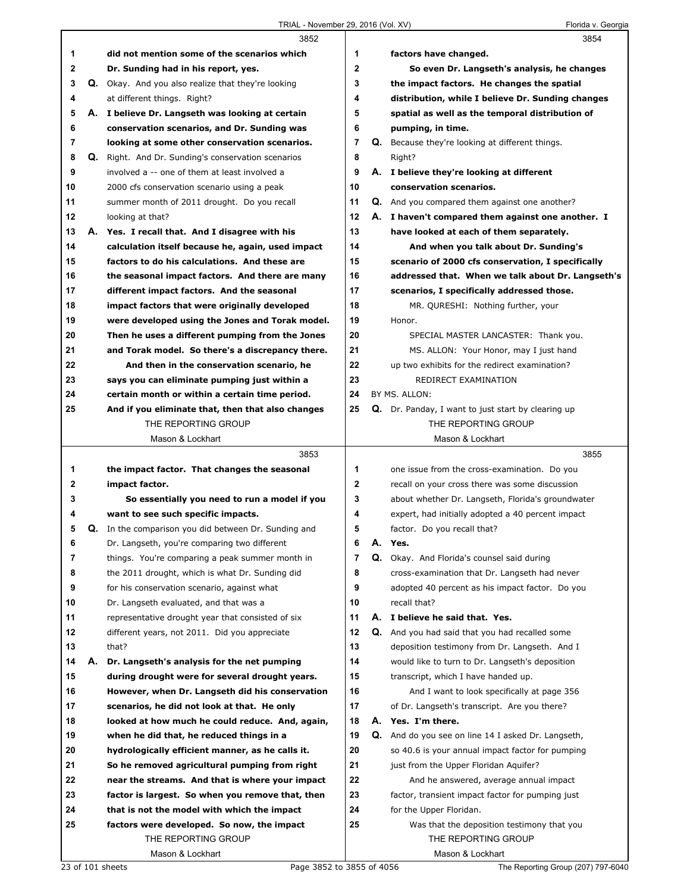|              |    | 3852                                                                                               |              |    | 3854                                                                             |
|--------------|----|----------------------------------------------------------------------------------------------------|--------------|----|----------------------------------------------------------------------------------|
| 1            |    | did not mention some of the scenarios which                                                        | 1            |    | factors have changed.                                                            |
| $\mathbf{2}$ |    | Dr. Sunding had in his report, yes.                                                                | $\mathbf{2}$ |    | So even Dr. Langseth's analysis, he changes                                      |
| 3            |    | Q. Okay. And you also realize that they're looking                                                 | 3            |    | the impact factors. He changes the spatial                                       |
| 4            |    | at different things. Right?                                                                        | 4            |    | distribution, while I believe Dr. Sunding changes                                |
| 5            | А. | I believe Dr. Langseth was looking at certain                                                      | 5            |    | spatial as well as the temporal distribution of                                  |
| 6            |    | conservation scenarios, and Dr. Sunding was                                                        | 6            |    | pumping, in time.                                                                |
| 7            |    | looking at some other conservation scenarios.                                                      | 7            |    | <b>Q.</b> Because they're looking at different things.                           |
| 8            |    | Q. Right. And Dr. Sunding's conservation scenarios                                                 | 8            |    | Right?                                                                           |
| 9            |    | involved a -- one of them at least involved a                                                      | 9            |    | A. I believe they're looking at different                                        |
| 10           |    | 2000 cfs conservation scenario using a peak                                                        | 10           |    | conservation scenarios.                                                          |
| 11           |    | summer month of 2011 drought. Do you recall                                                        | 11           |    | <b>Q.</b> And you compared them against one another?                             |
| 12           |    | looking at that?                                                                                   | 12           |    | A. I haven't compared them against one another. I                                |
| 13           |    | A. Yes. I recall that. And I disagree with his                                                     | 13           |    | have looked at each of them separately.                                          |
| 14           |    | calculation itself because he, again, used impact                                                  | 14           |    | And when you talk about Dr. Sunding's                                            |
| 15           |    | factors to do his calculations. And these are                                                      | 15           |    | scenario of 2000 cfs conservation, I specifically                                |
| 16           |    | the seasonal impact factors. And there are many                                                    | 16           |    | addressed that. When we talk about Dr. Langseth's                                |
| 17           |    | different impact factors. And the seasonal                                                         | 17           |    | scenarios, I specifically addressed those.                                       |
| 18           |    |                                                                                                    | 18           |    |                                                                                  |
| 19           |    | impact factors that were originally developed                                                      | 19           |    | MR. QURESHI: Nothing further, your<br>Honor.                                     |
| 20           |    | were developed using the Jones and Torak model.<br>Then he uses a different pumping from the Jones | 20           |    | SPECIAL MASTER LANCASTER: Thank you.                                             |
| 21           |    |                                                                                                    | 21           |    |                                                                                  |
| 22           |    | and Torak model. So there's a discrepancy there.                                                   | 22           |    | MS. ALLON: Your Honor, may I just hand                                           |
|              |    | And then in the conservation scenario, he                                                          |              |    | up two exhibits for the redirect examination?                                    |
| 23           |    | says you can eliminate pumping just within a                                                       | 23           |    | REDIRECT EXAMINATION                                                             |
| 24           |    | certain month or within a certain time period.                                                     | 24           |    | BY MS. ALLON:                                                                    |
| 25           |    | And if you eliminate that, then that also changes<br>THE REPORTING GROUP                           | 25           |    | <b>Q.</b> Dr. Panday, I want to just start by clearing up<br>THE REPORTING GROUP |
|              |    | Mason & Lockhart                                                                                   |              |    | Mason & Lockhart                                                                 |
|              |    |                                                                                                    |              |    |                                                                                  |
|              |    |                                                                                                    |              |    |                                                                                  |
|              |    | 3853                                                                                               |              |    | 3855                                                                             |
| 1            |    | the impact factor. That changes the seasonal                                                       | 1            |    | one issue from the cross-examination. Do you                                     |
| 2            |    | impact factor.                                                                                     | $\mathbf{2}$ |    | recall on your cross there was some discussion                                   |
| 3            |    | So essentially you need to run a model if you                                                      | 3            |    | about whether Dr. Langseth, Florida's groundwater                                |
| 4            |    | want to see such specific impacts.                                                                 | 4            |    | expert, had initially adopted a 40 percent impact                                |
| 5            |    | <b>Q.</b> In the comparison you did between Dr. Sunding and                                        | 5            |    | factor. Do you recall that?                                                      |
| 6            |    | Dr. Langseth, you're comparing two different                                                       | 6            | Α. | Yes.                                                                             |
| 7            |    | things. You're comparing a peak summer month in                                                    | 7            | Q. | Okay. And Florida's counsel said during                                          |
| 8            |    | the 2011 drought, which is what Dr. Sunding did                                                    | 8            |    | cross-examination that Dr. Langseth had never                                    |
| 9            |    | for his conservation scenario, against what                                                        | 9            |    | adopted 40 percent as his impact factor. Do you                                  |
| 10           |    | Dr. Langseth evaluated, and that was a                                                             | 10           |    | recall that?                                                                     |
| 11           |    | representative drought year that consisted of six                                                  | 11           |    | A. I believe he said that. Yes.                                                  |
| 12           |    | different years, not 2011. Did you appreciate                                                      | 12           | Q. | And you had said that you had recalled some                                      |
| 13           |    | that?                                                                                              | 13           |    | deposition testimony from Dr. Langseth. And I                                    |
| 14           | А. | Dr. Langseth's analysis for the net pumping                                                        | 14           |    | would like to turn to Dr. Langseth's deposition                                  |
| 15           |    | during drought were for several drought years.                                                     | 15           |    | transcript, which I have handed up.                                              |
| 16           |    | However, when Dr. Langseth did his conservation                                                    | 16           |    | And I want to look specifically at page 356                                      |
| 17           |    | scenarios, he did not look at that. He only                                                        | 17           |    | of Dr. Langseth's transcript. Are you there?                                     |
| 18           |    | looked at how much he could reduce. And, again,                                                    | 18           | А. | Yes. I'm there.                                                                  |
| 19           |    | when he did that, he reduced things in a                                                           | 19           | Q. | And do you see on line 14 I asked Dr. Langseth,                                  |
| 20           |    | hydrologically efficient manner, as he calls it.                                                   | 20           |    | so 40.6 is your annual impact factor for pumping                                 |
| 21           |    | So he removed agricultural pumping from right                                                      | 21           |    | just from the Upper Floridan Aquifer?                                            |
| 22           |    | near the streams. And that is where your impact                                                    | 22           |    | And he answered, average annual impact                                           |
| 23           |    | factor is largest. So when you remove that, then                                                   | 23           |    | factor, transient impact factor for pumping just                                 |
| 24           |    | that is not the model with which the impact                                                        | 24           |    | for the Upper Floridan.                                                          |
| 25           |    | factors were developed. So now, the impact                                                         | 25           |    | Was that the deposition testimony that you                                       |
|              |    | THE REPORTING GROUP<br>Mason & Lockhart                                                            |              |    | THE REPORTING GROUP<br>Mason & Lockhart                                          |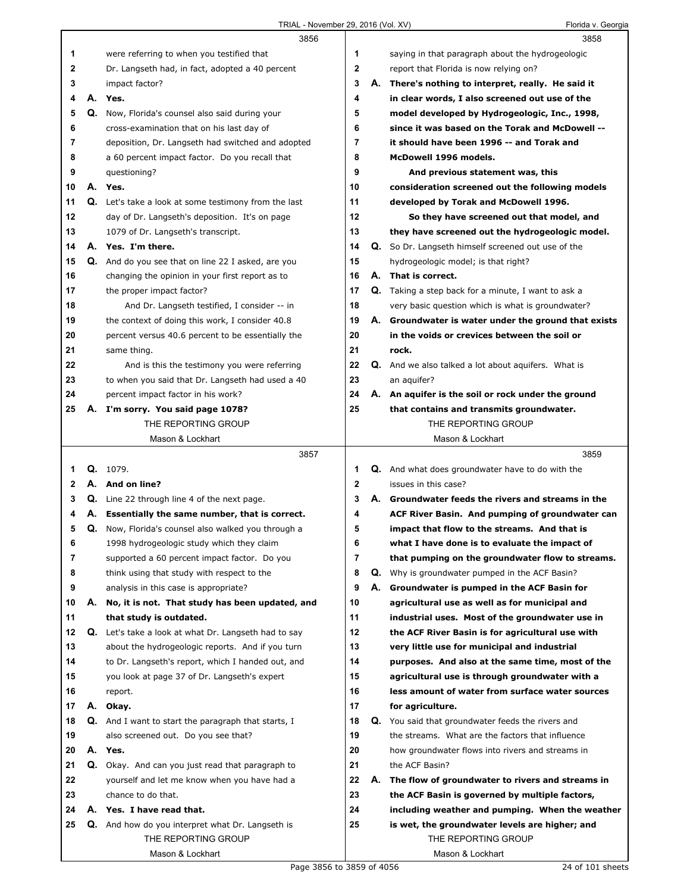|    |    | 3856                                                 |                |    | 3858                                                       |
|----|----|------------------------------------------------------|----------------|----|------------------------------------------------------------|
| 1  |    | were referring to when you testified that            | 1              |    | saying in that paragraph about the hydrogeologic           |
| 2  |    | Dr. Langseth had, in fact, adopted a 40 percent      | 2              |    | report that Florida is now relying on?                     |
| 3  |    | impact factor?                                       | 3              |    | A. There's nothing to interpret, really. He said it        |
| 4  | А. | Yes.                                                 | 4              |    | in clear words, I also screened out use of the             |
| 5  |    | Q. Now, Florida's counsel also said during your      | 5              |    | model developed by Hydrogeologic, Inc., 1998,              |
| 6  |    | cross-examination that on his last day of            | 6              |    | since it was based on the Torak and McDowell --            |
| 7  |    | deposition, Dr. Langseth had switched and adopted    | $\overline{7}$ |    | it should have been 1996 -- and Torak and                  |
| 8  |    | a 60 percent impact factor. Do you recall that       | 8              |    | McDowell 1996 models.                                      |
| 9  |    | questioning?                                         | 9              |    | And previous statement was, this                           |
| 10 |    | A. Yes.                                              | 10             |    | consideration screened out the following models            |
| 11 |    | Q. Let's take a look at some testimony from the last | 11             |    | developed by Torak and McDowell 1996.                      |
| 12 |    | day of Dr. Langseth's deposition. It's on page       | 12             |    | So they have screened out that model, and                  |
| 13 |    | 1079 of Dr. Langseth's transcript.                   | 13             |    | they have screened out the hydrogeologic model.            |
| 14 |    | A. Yes. I'm there.                                   | 14             |    | Q. So Dr. Langseth himself screened out use of the         |
| 15 |    | Q. And do you see that on line 22 I asked, are you   | 15             |    | hydrogeologic model; is that right?                        |
| 16 |    | changing the opinion in your first report as to      | 16             |    | A. That is correct.                                        |
| 17 |    | the proper impact factor?                            | 17             |    | <b>Q.</b> Taking a step back for a minute, I want to ask a |
| 18 |    | And Dr. Langseth testified, I consider -- in         | 18             |    | very basic question which is what is groundwater?          |
| 19 |    | the context of doing this work, I consider 40.8      | 19             |    | A. Groundwater is water under the ground that exists       |
| 20 |    | percent versus 40.6 percent to be essentially the    | 20             |    | in the voids or crevices between the soil or               |
| 21 |    | same thing.                                          | 21             |    | rock.                                                      |
| 22 |    | And is this the testimony you were referring         | 22             |    | Q. And we also talked a lot about aquifers. What is        |
| 23 |    | to when you said that Dr. Langseth had used a 40     | 23             |    | an aquifer?                                                |
| 24 |    | percent impact factor in his work?                   | 24             |    | A. An aquifer is the soil or rock under the ground         |
| 25 |    | A. I'm sorry. You said page 1078?                    | 25             |    | that contains and transmits groundwater.                   |
|    |    | THE REPORTING GROUP                                  |                |    | THE REPORTING GROUP                                        |
|    |    | Mason & Lockhart                                     |                |    | Mason & Lockhart                                           |
|    |    |                                                      |                |    |                                                            |
|    |    | 3857                                                 |                |    | 3859                                                       |
| 1  |    | Q. 1079.                                             | 1              |    | Q. And what does groundwater have to do with the           |
| 2  |    | A. And on line?                                      | 2              |    | issues in this case?                                       |
| 3  |    | Q. Line 22 through line 4 of the next page.          | 3              |    | A. Groundwater feeds the rivers and streams in the         |
| 4  |    | A. Essentially the same number, that is correct.     | 4              |    | ACF River Basin. And pumping of groundwater can            |
| 5  |    | Q. Now, Florida's counsel also walked you through a  | 5              |    | impact that flow to the streams. And that is               |
| 6  |    | 1998 hydrogeologic study which they claim            | 6              |    | what I have done is to evaluate the impact of              |
| 7  |    | supported a 60 percent impact factor. Do you         | $\overline{7}$ |    | that pumping on the groundwater flow to streams.           |
| 8  |    | think using that study with respect to the           | 8              | Q. | Why is groundwater pumped in the ACF Basin?                |
| 9  |    | analysis in this case is appropriate?                | 9              | А. | Groundwater is pumped in the ACF Basin for                 |
| 10 | А. | No, it is not. That study has been updated, and      | 10             |    | agricultural use as well as for municipal and              |
| 11 |    | that study is outdated.                              | 11             |    | industrial uses. Most of the groundwater use in            |
| 12 |    | Q. Let's take a look at what Dr. Langseth had to say | 12             |    | the ACF River Basin is for agricultural use with           |
| 13 |    | about the hydrogeologic reports. And if you turn     | 13             |    | very little use for municipal and industrial               |
| 14 |    | to Dr. Langseth's report, which I handed out, and    | 14             |    | purposes. And also at the same time, most of the           |
| 15 |    | you look at page 37 of Dr. Langseth's expert         | 15             |    | agricultural use is through groundwater with a             |
| 16 |    | report.                                              | 16             |    | less amount of water from surface water sources            |
| 17 |    | A. Okay.                                             | 17             |    | for agriculture.                                           |
| 18 |    | Q. And I want to start the paragraph that starts, I  | 18             |    | Q. You said that groundwater feeds the rivers and          |
| 19 |    | also screened out. Do you see that?                  | 19             |    | the streams. What are the factors that influence           |
| 20 |    | A. Yes.                                              | 20             |    | how groundwater flows into rivers and streams in           |
| 21 |    | Q. Okay. And can you just read that paragraph to     | 21             |    | the ACF Basin?                                             |
| 22 |    | yourself and let me know when you have had a         | 22             |    | A. The flow of groundwater to rivers and streams in        |
| 23 |    | chance to do that.                                   | 23             |    | the ACF Basin is governed by multiple factors,             |
| 24 |    | A. Yes. I have read that.                            | 24             |    | including weather and pumping. When the weather            |
| 25 |    | Q. And how do you interpret what Dr. Langseth is     | 25             |    | is wet, the groundwater levels are higher; and             |
|    |    | THE REPORTING GROUP                                  |                |    | THE REPORTING GROUP                                        |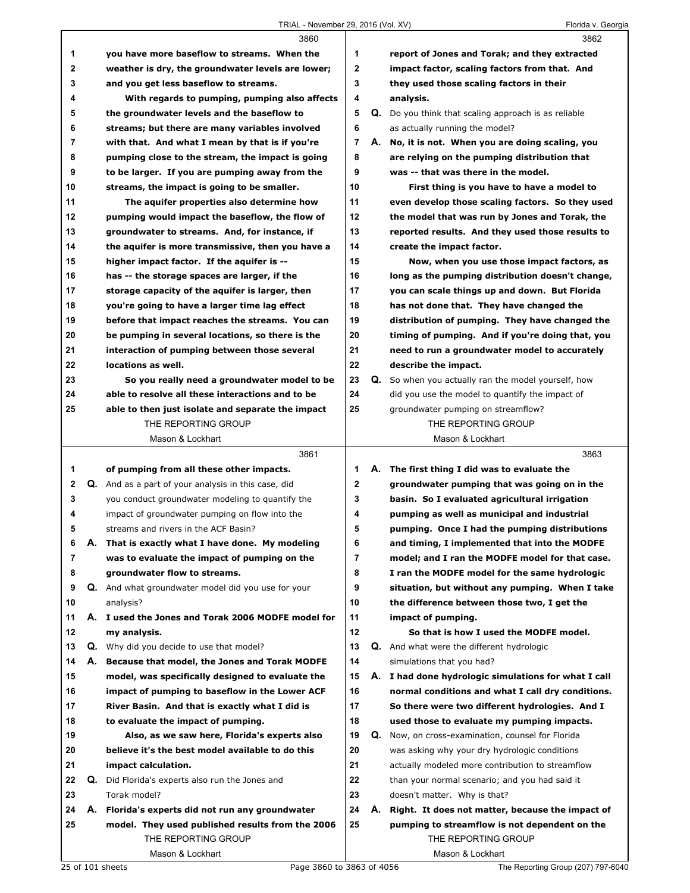## TRIAL - November 29, 2016 (Vol. XV) Florida v. Georgia

|    |    | 3860                                                |                |    | 3862                                                 |
|----|----|-----------------------------------------------------|----------------|----|------------------------------------------------------|
| 1  |    | you have more baseflow to streams. When the         | 1              |    | report of Jones and Torak; and they extracted        |
| 2  |    | weather is dry, the groundwater levels are lower;   | $\mathbf{2}$   |    | impact factor, scaling factors from that. And        |
| 3  |    | and you get less baseflow to streams.               | 3              |    | they used those scaling factors in their             |
| 4  |    | With regards to pumping, pumping also affects       | 4              |    | analysis.                                            |
| 5  |    | the groundwater levels and the baseflow to          | 5              | Q. | Do you think that scaling approach is as reliable    |
| 6  |    | streams; but there are many variables involved      | 6              |    | as actually running the model?                       |
| 7  |    | with that. And what I mean by that is if you're     | $\overline{7}$ |    | A. No, it is not. When you are doing scaling, you    |
| 8  |    | pumping close to the stream, the impact is going    | 8              |    | are relying on the pumping distribution that         |
| 9  |    | to be larger. If you are pumping away from the      | 9              |    | was -- that was there in the model.                  |
| 10 |    | streams, the impact is going to be smaller.         | 10             |    | First thing is you have to have a model to           |
| 11 |    | The aquifer properties also determine how           | 11             |    | even develop those scaling factors. So they used     |
| 12 |    |                                                     | 12             |    |                                                      |
| 13 |    | pumping would impact the baseflow, the flow of      | 13             |    | the model that was run by Jones and Torak, the       |
|    |    | groundwater to streams. And, for instance, if       |                |    | reported results. And they used those results to     |
| 14 |    | the aquifer is more transmissive, then you have a   | 14             |    | create the impact factor.                            |
| 15 |    | higher impact factor. If the aquifer is --          | 15             |    | Now, when you use those impact factors, as           |
| 16 |    | has -- the storage spaces are larger, if the        | 16             |    | long as the pumping distribution doesn't change,     |
| 17 |    | storage capacity of the aquifer is larger, then     | 17             |    | you can scale things up and down. But Florida        |
| 18 |    | you're going to have a larger time lag effect       | 18             |    | has not done that. They have changed the             |
| 19 |    | before that impact reaches the streams. You can     | 19             |    | distribution of pumping. They have changed the       |
| 20 |    | be pumping in several locations, so there is the    | 20             |    | timing of pumping. And if you're doing that, you     |
| 21 |    | interaction of pumping between those several        | 21             |    | need to run a groundwater model to accurately        |
| 22 |    | locations as well.                                  | 22             |    | describe the impact.                                 |
| 23 |    | So you really need a groundwater model to be        | 23             |    | Q. So when you actually ran the model yourself, how  |
| 24 |    | able to resolve all these interactions and to be    | 24             |    | did you use the model to quantify the impact of      |
| 25 |    | able to then just isolate and separate the impact   | 25             |    | groundwater pumping on streamflow?                   |
|    |    | THE REPORTING GROUP                                 |                |    | THE REPORTING GROUP                                  |
|    |    | Mason & Lockhart                                    |                |    |                                                      |
|    |    |                                                     |                |    | Mason & Lockhart                                     |
|    |    | 3861                                                |                |    | 3863                                                 |
| 1  |    | of pumping from all these other impacts.            | 1              |    | A. The first thing I did was to evaluate the         |
| 2  |    | Q. And as a part of your analysis in this case, did | $\mathbf{2}$   |    | groundwater pumping that was going on in the         |
| 3  |    | you conduct groundwater modeling to quantify the    | 3              |    | basin. So I evaluated agricultural irrigation        |
| 4  |    | impact of groundwater pumping on flow into the      | 4              |    | pumping as well as municipal and industrial          |
| 5  |    | streams and rivers in the ACF Basin?                | 5              |    | pumping. Once I had the pumping distributions        |
| 6  | Α. | That is exactly what I have done. My modeling       | 6              |    | and timing, I implemented that into the MODFE        |
| 7  |    | was to evaluate the impact of pumping on the        | 7              |    | model; and I ran the MODFE model for that case.      |
| 8  |    | groundwater flow to streams.                        | 8              |    | I ran the MODFE model for the same hydrologic        |
| 9  |    | Q. And what groundwater model did you use for your  | 9              |    | situation, but without any pumping. When I take      |
| 10 |    | analysis?                                           | 10             |    | the difference between those two, I get the          |
| 11 |    | A. I used the Jones and Torak 2006 MODFE model for  | 11             |    | impact of pumping.                                   |
| 12 |    | my analysis.                                        | 12             |    | So that is how I used the MODFE model.               |
| 13 | Q. | Why did you decide to use that model?               | 13             | Q. | And what were the different hydrologic               |
| 14 | А. |                                                     | 14             |    |                                                      |
|    |    | Because that model, the Jones and Torak MODFE       |                |    | simulations that you had?                            |
| 15 |    | model, was specifically designed to evaluate the    | 15             |    | A. I had done hydrologic simulations for what I call |
| 16 |    | impact of pumping to baseflow in the Lower ACF      | 16             |    | normal conditions and what I call dry conditions.    |
| 17 |    | River Basin. And that is exactly what I did is      | 17             |    | So there were two different hydrologies. And I       |
| 18 |    | to evaluate the impact of pumping.                  | 18             |    | used those to evaluate my pumping impacts.           |
| 19 |    | Also, as we saw here, Florida's experts also        | 19             | Q. | Now, on cross-examination, counsel for Florida       |
| 20 |    | believe it's the best model available to do this    | 20             |    | was asking why your dry hydrologic conditions        |
| 21 |    | impact calculation.                                 | 21             |    | actually modeled more contribution to streamflow     |
| 22 | Q. | Did Florida's experts also run the Jones and        | 22             |    | than your normal scenario; and you had said it       |
| 23 |    | Torak model?                                        | 23             |    | doesn't matter. Why is that?                         |
| 24 |    | A. Florida's experts did not run any groundwater    | 24             | А. | Right. It does not matter, because the impact of     |
| 25 |    | model. They used published results from the 2006    | 25             |    | pumping to streamflow is not dependent on the        |
|    |    | THE REPORTING GROUP<br>Mason & Lockhart             |                |    | THE REPORTING GROUP<br>Mason & Lockhart              |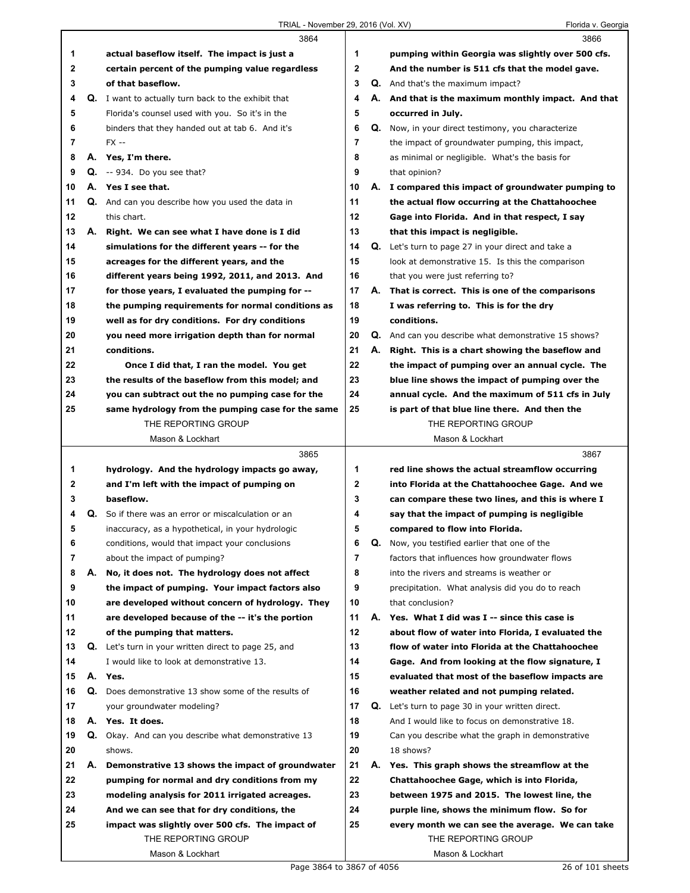|    |    | 3864                                                                                        |                |    | 3866                                                                 |
|----|----|---------------------------------------------------------------------------------------------|----------------|----|----------------------------------------------------------------------|
| 1  |    | actual baseflow itself. The impact is just a                                                | 1              |    | pumping within Georgia was slightly over 500 cfs.                    |
| 2  |    | certain percent of the pumping value regardless                                             | 2              |    | And the number is 511 cfs that the model gave.                       |
| 3  |    | of that baseflow.                                                                           | 3              |    | <b>Q.</b> And that's the maximum impact?                             |
| 4  |    | <b>Q.</b> I want to actually turn back to the exhibit that                                  | 4              |    | A. And that is the maximum monthly impact. And that                  |
| 5  |    | Florida's counsel used with you. So it's in the                                             | 5              |    | occurred in July.                                                    |
| 6  |    | binders that they handed out at tab 6. And it's                                             | 6              | Q. | Now, in your direct testimony, you characterize                      |
| 7  |    | $FX -$                                                                                      | $\overline{7}$ |    | the impact of groundwater pumping, this impact,                      |
| 8  |    | A. Yes, I'm there.                                                                          | 8              |    | as minimal or negligible. What's the basis for                       |
| 9  |    | $Q. -934.$ Do you see that?                                                                 | 9              |    | that opinion?                                                        |
| 10 |    | A. Yes I see that.                                                                          | 10             |    | A. I compared this impact of groundwater pumping to                  |
| 11 | Q. | And can you describe how you used the data in                                               | 11             |    | the actual flow occurring at the Chattahoochee                       |
| 12 |    | this chart.                                                                                 | 12             |    | Gage into Florida. And in that respect, I say                        |
| 13 | А. | Right. We can see what I have done is I did                                                 | 13             |    | that this impact is negligible.                                      |
| 14 |    |                                                                                             | 14             |    |                                                                      |
| 15 |    | simulations for the different years -- for the<br>acreages for the different years, and the | 15             |    | <b>Q.</b> Let's turn to page 27 in your direct and take a            |
|    |    |                                                                                             |                |    | look at demonstrative 15. Is this the comparison                     |
| 16 |    | different years being 1992, 2011, and 2013. And                                             | 16             |    | that you were just referring to?                                     |
| 17 |    | for those years, I evaluated the pumping for --                                             | 17             |    | A. That is correct. This is one of the comparisons                   |
| 18 |    | the pumping requirements for normal conditions as                                           | 18             |    | I was referring to. This is for the dry                              |
| 19 |    | well as for dry conditions. For dry conditions                                              | 19             |    | conditions.                                                          |
| 20 |    | you need more irrigation depth than for normal                                              | 20             |    | <b>Q.</b> And can you describe what demonstrative 15 shows?          |
| 21 |    | conditions.                                                                                 | 21             | А. | Right. This is a chart showing the baseflow and                      |
| 22 |    | Once I did that, I ran the model. You get                                                   | 22             |    | the impact of pumping over an annual cycle. The                      |
| 23 |    | the results of the baseflow from this model; and                                            | 23             |    | blue line shows the impact of pumping over the                       |
| 24 |    | you can subtract out the no pumping case for the                                            | 24             |    | annual cycle. And the maximum of 511 cfs in July                     |
| 25 |    | same hydrology from the pumping case for the same<br>THE REPORTING GROUP                    | 25             |    | is part of that blue line there. And then the<br>THE REPORTING GROUP |
|    |    |                                                                                             |                |    |                                                                      |
|    |    | Mason & Lockhart                                                                            |                |    | Mason & Lockhart                                                     |
|    |    |                                                                                             |                |    |                                                                      |
|    |    | 3865                                                                                        |                |    | 3867                                                                 |
| 1  |    | hydrology. And the hydrology impacts go away,                                               | 1              |    | red line shows the actual streamflow occurring                       |
| 2  |    | and I'm left with the impact of pumping on                                                  | 2              |    | into Florida at the Chattahoochee Gage. And we                       |
| 3  |    | baseflow.                                                                                   | 3              |    | can compare these two lines, and this is where I                     |
| 4  | Q. | So if there was an error or miscalculation or an                                            | 4              |    | say that the impact of pumping is negligible                         |
| 5  |    | inaccuracy, as a hypothetical, in your hydrologic                                           | 5              |    | compared to flow into Florida.                                       |
| 6  |    | conditions, would that impact your conclusions                                              | 6              | Q. | Now, you testified earlier that one of the                           |
| 7  |    | about the impact of pumping?                                                                | 7              |    | factors that influences how groundwater flows                        |
| 8  | А. | No, it does not. The hydrology does not affect                                              | 8              |    | into the rivers and streams is weather or                            |
| 9  |    | the impact of pumping. Your impact factors also                                             | 9              |    | precipitation. What analysis did you do to reach                     |
| 10 |    | are developed without concern of hydrology. They                                            | 10             |    | that conclusion?                                                     |
| 11 |    | are developed because of the -- it's the portion                                            | 11             |    | A. Yes. What I did was I -- since this case is                       |
| 12 |    | of the pumping that matters.                                                                | 12             |    | about flow of water into Florida, I evaluated the                    |
| 13 | Q. | Let's turn in your written direct to page 25, and                                           | 13             |    | flow of water into Florida at the Chattahoochee                      |
| 14 |    | I would like to look at demonstrative 13.                                                   | 14             |    | Gage. And from looking at the flow signature, I                      |
| 15 |    | A. Yes.                                                                                     | 15             |    | evaluated that most of the baseflow impacts are                      |
| 16 | Q. | Does demonstrative 13 show some of the results of                                           | 16             |    | weather related and not pumping related.                             |
| 17 |    | your groundwater modeling?                                                                  | 17             |    | Q. Let's turn to page 30 in your written direct.                     |
| 18 |    | A. Yes. It does.                                                                            | 18             |    | And I would like to focus on demonstrative 18.                       |
| 19 | Q. | Okay. And can you describe what demonstrative 13                                            | 19             |    | Can you describe what the graph in demonstrative                     |
| 20 |    | shows.                                                                                      | 20             |    | 18 shows?                                                            |
| 21 | А. | Demonstrative 13 shows the impact of groundwater                                            | 21             |    | A. Yes. This graph shows the streamflow at the                       |
| 22 |    | pumping for normal and dry conditions from my                                               | 22             |    | Chattahoochee Gage, which is into Florida,                           |
| 23 |    | modeling analysis for 2011 irrigated acreages.                                              | 23             |    | between 1975 and 2015. The lowest line, the                          |
| 24 |    | And we can see that for dry conditions, the                                                 | 24             |    | purple line, shows the minimum flow. So for                          |
| 25 |    | impact was slightly over 500 cfs. The impact of                                             | 25             |    | every month we can see the average. We can take                      |
|    |    | THE REPORTING GROUP                                                                         |                |    | THE REPORTING GROUP                                                  |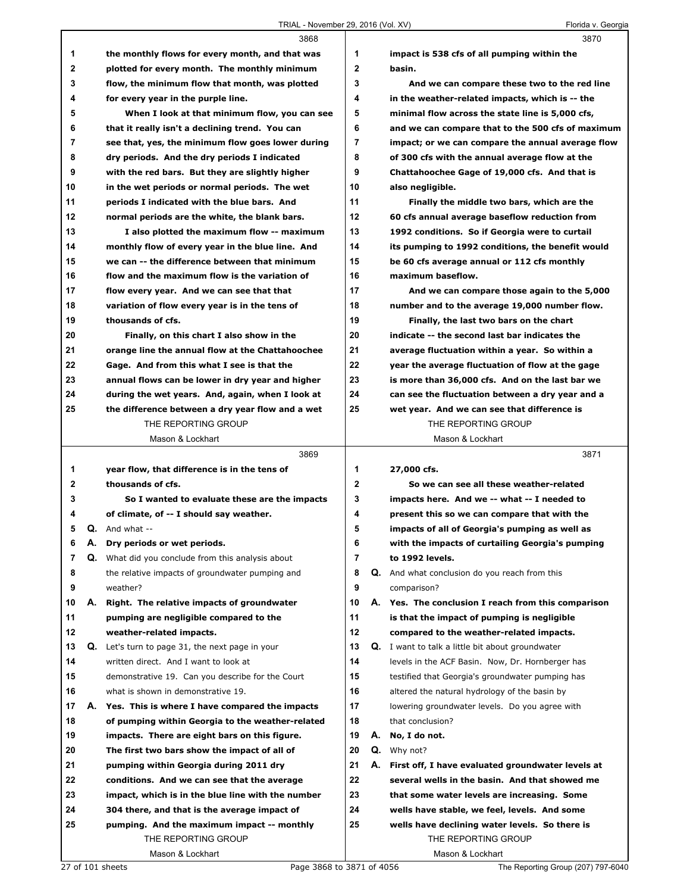## TRIAL - November 29, 2016 (Vol. XV) Florida v. Georgia

|              |    | 3868                                              |                |    | 3870                                                    |
|--------------|----|---------------------------------------------------|----------------|----|---------------------------------------------------------|
| 1            |    | the monthly flows for every month, and that was   | 1              |    | impact is 538 cfs of all pumping within the             |
| $\mathbf{2}$ |    | plotted for every month. The monthly minimum      | $\mathbf{2}$   |    | basin.                                                  |
| 3            |    | flow, the minimum flow that month, was plotted    | 3              |    | And we can compare these two to the red line            |
| 4            |    | for every year in the purple line.                | 4              |    | in the weather-related impacts, which is -- the         |
| 5            |    | When I look at that minimum flow, you can see     | 5              |    | minimal flow across the state line is 5,000 cfs,        |
| 6            |    | that it really isn't a declining trend. You can   | 6              |    | and we can compare that to the 500 cfs of maximum       |
| 7            |    | see that, yes, the minimum flow goes lower during | $\overline{7}$ |    | impact; or we can compare the annual average flow       |
| 8            |    | dry periods. And the dry periods I indicated      | 8              |    | of 300 cfs with the annual average flow at the          |
| 9            |    | with the red bars. But they are slightly higher   | 9              |    | Chattahoochee Gage of 19,000 cfs. And that is           |
| 10           |    | in the wet periods or normal periods. The wet     | 10             |    | also negligible.                                        |
| 11           |    | periods I indicated with the blue bars. And       | 11             |    | Finally the middle two bars, which are the              |
| 12           |    | normal periods are the white, the blank bars.     | 12             |    | 60 cfs annual average baseflow reduction from           |
| 13           |    | I also plotted the maximum flow -- maximum        | 13             |    | 1992 conditions. So if Georgia were to curtail          |
| 14           |    | monthly flow of every year in the blue line. And  | 14             |    | its pumping to 1992 conditions, the benefit would       |
| 15           |    | we can -- the difference between that minimum     | 15             |    | be 60 cfs average annual or 112 cfs monthly             |
| 16           |    | flow and the maximum flow is the variation of     | 16             |    | maximum baseflow.                                       |
| 17           |    | flow every year. And we can see that that         | 17             |    | And we can compare those again to the 5,000             |
| 18           |    | variation of flow every year is in the tens of    | 18             |    | number and to the average 19,000 number flow.           |
| 19           |    | thousands of cfs.                                 | 19             |    | Finally, the last two bars on the chart                 |
| 20           |    | Finally, on this chart I also show in the         | 20             |    | indicate -- the second last bar indicates the           |
| 21           |    | orange line the annual flow at the Chattahoochee  | 21             |    | average fluctuation within a year. So within a          |
| 22           |    | Gage. And from this what I see is that the        | 22             |    | year the average fluctuation of flow at the gage        |
| 23           |    | annual flows can be lower in dry year and higher  | 23             |    | is more than 36,000 cfs. And on the last bar we         |
| 24           |    | during the wet years. And, again, when I look at  | 24             |    | can see the fluctuation between a dry year and a        |
| 25           |    | the difference between a dry year flow and a wet  | 25             |    | wet year. And we can see that difference is             |
|              |    | THE REPORTING GROUP                               |                |    | THE REPORTING GROUP                                     |
|              |    | Mason & Lockhart                                  |                |    | Mason & Lockhart                                        |
|              |    |                                                   |                |    |                                                         |
|              |    | 3869                                              |                |    | 3871                                                    |
| 1            |    | year flow, that difference is in the tens of      | 1              |    | 27,000 cfs.                                             |
| 2            |    | thousands of cfs.                                 | $\mathbf{2}$   |    | So we can see all these weather-related                 |
| 3            |    | So I wanted to evaluate these are the impacts     | 3              |    | impacts here. And we -- what -- I needed to             |
| 4            |    | of climate, of -- I should say weather.           | 4              |    | present this so we can compare that with the            |
| 5            |    | $Q.$ And what $-$                                 | 5              |    | impacts of all of Georgia's pumping as well as          |
| 6            | Α. | Dry periods or wet periods.                       | 6              |    | with the impacts of curtailing Georgia's pumping        |
| 7            | Q. | What did you conclude from this analysis about    | 7              |    | to 1992 levels.                                         |
| 8            |    | the relative impacts of groundwater pumping and   | 8              | Q. | And what conclusion do you reach from this              |
| 9            |    | weather?                                          | 9              |    | comparison?                                             |
| 10           | А. | Right. The relative impacts of groundwater        | 10             |    | A. Yes. The conclusion I reach from this comparison     |
| 11           |    | pumping are negligible compared to the            | 11             |    | is that the impact of pumping is negligible             |
| 12           |    | weather-related impacts.                          | 12             |    | compared to the weather-related impacts.                |
| 13           | Q. | Let's turn to page 31, the next page in your      | 13             |    | <b>Q.</b> I want to talk a little bit about groundwater |
| 14           |    | written direct. And I want to look at             | 14             |    | levels in the ACF Basin. Now, Dr. Hornberger has        |
| 15           |    | demonstrative 19. Can you describe for the Court  | 15             |    | testified that Georgia's groundwater pumping has        |
| 16           |    | what is shown in demonstrative 19.                | 16             |    | altered the natural hydrology of the basin by           |
| 17           | А. | Yes. This is where I have compared the impacts    | 17             |    | lowering groundwater levels. Do you agree with          |
| 18           |    | of pumping within Georgia to the weather-related  | 18             |    | that conclusion?                                        |
| 19           |    | impacts. There are eight bars on this figure.     | 19             | А. | No, I do not.                                           |
| 20           |    | The first two bars show the impact of all of      | 20             | Q. | Why not?                                                |
| 21           |    | pumping within Georgia during 2011 dry            | 21             | А. | First off, I have evaluated groundwater levels at       |
| 22           |    | conditions. And we can see that the average       | 22             |    | several wells in the basin. And that showed me          |
| 23           |    | impact, which is in the blue line with the number | 23             |    | that some water levels are increasing. Some             |
| 24           |    | 304 there, and that is the average impact of      | 24             |    | wells have stable, we feel, levels. And some            |
| 25           |    | pumping. And the maximum impact -- monthly        | 25             |    | wells have declining water levels. So there is          |
|              |    | THE REPORTING GROUP                               |                |    | THE REPORTING GROUP                                     |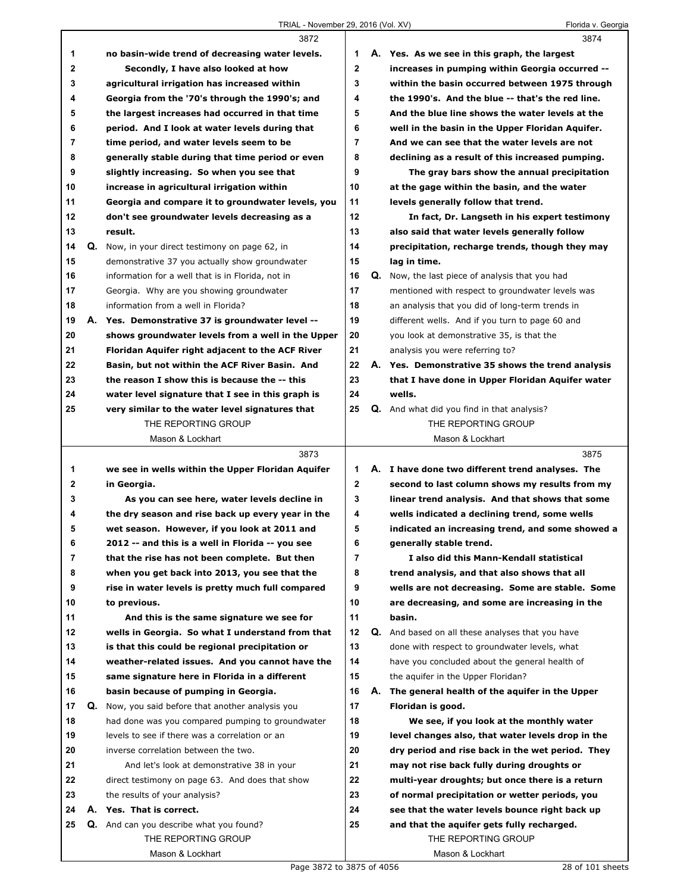$\Gamma$ 

|             |    | 3872                                              |             |    | 3874                                              |
|-------------|----|---------------------------------------------------|-------------|----|---------------------------------------------------|
| 1           |    | no basin-wide trend of decreasing water levels.   | 1           |    | A. Yes. As we see in this graph, the largest      |
| $\mathbf 2$ |    | Secondly, I have also looked at how               | $\mathbf 2$ |    | increases in pumping within Georgia occurred --   |
| 3           |    | agricultural irrigation has increased within      | 3           |    | within the basin occurred between 1975 through    |
| 4           |    | Georgia from the '70's through the 1990's; and    | 4           |    | the 1990's. And the blue -- that's the red line.  |
| 5           |    | the largest increases had occurred in that time   | 5           |    | And the blue line shows the water levels at the   |
| 6           |    | period. And I look at water levels during that    | 6           |    | well in the basin in the Upper Floridan Aquifer.  |
| 7           |    | time period, and water levels seem to be          | 7           |    | And we can see that the water levels are not      |
| 8           |    | generally stable during that time period or even  | 8           |    | declining as a result of this increased pumping.  |
| 9           |    | slightly increasing. So when you see that         | 9           |    | The gray bars show the annual precipitation       |
| 10          |    | increase in agricultural irrigation within        | 10          |    | at the gage within the basin, and the water       |
| 11          |    | Georgia and compare it to groundwater levels, you | 11          |    | levels generally follow that trend.               |
| 12          |    | don't see groundwater levels decreasing as a      | 12          |    | In fact, Dr. Langseth in his expert testimony     |
| 13          |    | result.                                           | 13          |    | also said that water levels generally follow      |
| 14          |    | Q. Now, in your direct testimony on page 62, in   | 14          |    | precipitation, recharge trends, though they may   |
| 15          |    | demonstrative 37 you actually show groundwater    | 15          |    | lag in time.                                      |
| 16          |    | information for a well that is in Florida, not in | 16          | Q. | Now, the last piece of analysis that you had      |
| 17          |    | Georgia. Why are you showing groundwater          | 17          |    | mentioned with respect to groundwater levels was  |
| 18          |    | information from a well in Florida?               | 18          |    | an analysis that you did of long-term trends in   |
| 19          |    | A. Yes. Demonstrative 37 is groundwater level --  | 19          |    | different wells. And if you turn to page 60 and   |
| 20          |    | shows groundwater levels from a well in the Upper | 20          |    | you look at demonstrative 35, is that the         |
| 21          |    | Floridan Aquifer right adjacent to the ACF River  | 21          |    | analysis you were referring to?                   |
| 22          |    | Basin, but not within the ACF River Basin. And    | 22          |    | A. Yes. Demonstrative 35 shows the trend analysis |
| 23          |    | the reason I show this is because the -- this     | 23          |    | that I have done in Upper Floridan Aquifer water  |
| 24          |    | water level signature that I see in this graph is | 24          |    | wells.                                            |
| 25          |    | very similar to the water level signatures that   | 25          |    | <b>Q.</b> And what did you find in that analysis? |
|             |    | THE REPORTING GROUP                               |             |    | THE REPORTING GROUP                               |
|             |    | Mason & Lockhart                                  |             |    | Mason & Lockhart                                  |
|             |    |                                                   |             |    |                                                   |
|             |    | 3873                                              |             |    | 3875                                              |
| 1           |    | we see in wells within the Upper Floridan Aquifer | 1           |    | A. I have done two different trend analyses. The  |
| 2           |    | in Georgia.                                       | $\mathbf 2$ |    | second to last column shows my results from my    |
| 3           |    | As you can see here, water levels decline in      | 3           |    | linear trend analysis. And that shows that some   |
| 4           |    | the dry season and rise back up every year in the | 4           |    | wells indicated a declining trend, some wells     |
| 5           |    | wet season. However, if you look at 2011 and      | 5           |    | indicated an increasing trend, and some showed a  |
| 6           |    | 2012 -- and this is a well in Florida -- you see  | 6           |    | generally stable trend.                           |
| 7           |    | that the rise has not been complete. But then     | 7           |    | I also did this Mann-Kendall statistical          |
| 8           |    | when you get back into 2013, you see that the     | 8           |    | trend analysis, and that also shows that all      |
| 9           |    | rise in water levels is pretty much full compared | 9           |    | wells are not decreasing. Some are stable. Some   |
| 10          |    | to previous.                                      | 10          |    | are decreasing, and some are increasing in the    |
| 11          |    | And this is the same signature we see for         | 11          |    | basin.                                            |
| 12          |    | wells in Georgia. So what I understand from that  | 12          | Q. | And based on all these analyses that you have     |
| 13          |    | is that this could be regional precipitation or   | 13          |    | done with respect to groundwater levels, what     |
| 14          |    | weather-related issues. And you cannot have the   | 14          |    | have you concluded about the general health of    |
| 15          |    | same signature here in Florida in a different     | 15          |    | the aquifer in the Upper Floridan?                |
| 16          |    | basin because of pumping in Georgia.              | 16          | А. | The general health of the aquifer in the Upper    |
| 17          | Q. | Now, you said before that another analysis you    | 17          |    | Floridan is good.                                 |
| 18          |    | had done was you compared pumping to groundwater  | 18          |    | We see, if you look at the monthly water          |
| 19          |    | levels to see if there was a correlation or an    | 19          |    | level changes also, that water levels drop in the |
| 20          |    | inverse correlation between the two.              | 20          |    | dry period and rise back in the wet period. They  |
| 21          |    | And let's look at demonstrative 38 in your        | 21          |    | may not rise back fully during droughts or        |
| 22          |    | direct testimony on page 63. And does that show   | 22          |    | multi-year droughts; but once there is a return   |
| 23          |    | the results of your analysis?                     | 23          |    | of normal precipitation or wetter periods, you    |
| 24          |    | A. Yes. That is correct.                          | 24          |    | see that the water levels bounce right back up    |
| 25          |    | <b>Q.</b> And can you describe what you found?    | 25          |    | and that the aquifer gets fully recharged.        |
|             |    | THE REPORTING GROUP                               |             |    | THE REPORTING GROUP                               |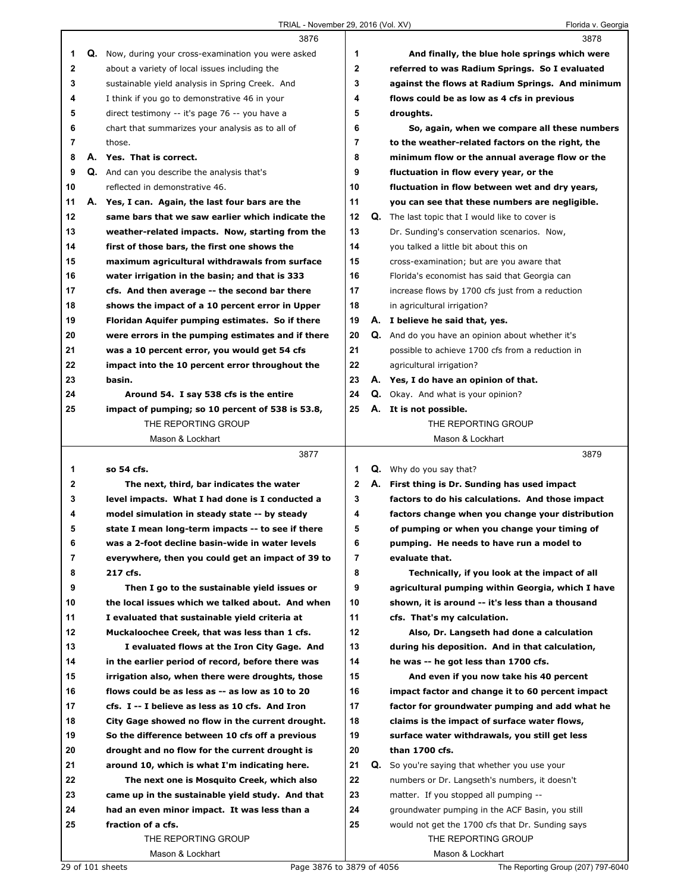|    | 3876                                                 |                | 3878                                                   |
|----|------------------------------------------------------|----------------|--------------------------------------------------------|
| 1  | Q. Now, during your cross-examination you were asked | 1              | And finally, the blue hole springs which were          |
| 2  | about a variety of local issues including the        | $\mathbf 2$    | referred to was Radium Springs. So I evaluated         |
| 3  | sustainable yield analysis in Spring Creek. And      | 3              | against the flows at Radium Springs. And minimum       |
| 4  | I think if you go to demonstrative 46 in your        | 4              | flows could be as low as 4 cfs in previous             |
| 5  | direct testimony -- it's page 76 -- you have a       | 5              | droughts.                                              |
| 6  | chart that summarizes your analysis as to all of     | 6              | So, again, when we compare all these numbers           |
| 7  | those.                                               | $\overline{7}$ | to the weather-related factors on the right, the       |
| 8  | A. Yes. That is correct.                             | 8              | minimum flow or the annual average flow or the         |
| 9  | Q. And can you describe the analysis that's          | 9              | fluctuation in flow every year, or the                 |
| 10 | reflected in demonstrative 46.                       | 10             | fluctuation in flow between wet and dry years,         |
| 11 | A. Yes, I can. Again, the last four bars are the     | 11             | you can see that these numbers are negligible.         |
| 12 | same bars that we saw earlier which indicate the     | 12             | <b>Q.</b> The last topic that I would like to cover is |
| 13 | weather-related impacts. Now, starting from the      | 13             | Dr. Sunding's conservation scenarios. Now,             |
| 14 | first of those bars, the first one shows the         | 14             | you talked a little bit about this on                  |
| 15 | maximum agricultural withdrawals from surface        | 15             | cross-examination; but are you aware that              |
| 16 | water irrigation in the basin; and that is 333       | 16             | Florida's economist has said that Georgia can          |
| 17 | cfs. And then average -- the second bar there        | 17             | increase flows by 1700 cfs just from a reduction       |
| 18 | shows the impact of a 10 percent error in Upper      | 18             | in agricultural irrigation?                            |
| 19 | Floridan Aquifer pumping estimates. So if there      | 19             | A. I believe he said that, yes.                        |
| 20 | were errors in the pumping estimates and if there    | 20             | Q. And do you have an opinion about whether it's       |
| 21 | was a 10 percent error, you would get 54 cfs         | 21             | possible to achieve 1700 cfs from a reduction in       |
| 22 | impact into the 10 percent error throughout the      | 22             | agricultural irrigation?                               |
| 23 | basin.                                               | 23             | A. Yes, I do have an opinion of that.                  |
| 24 | Around 54. I say 538 cfs is the entire               | 24             | <b>Q.</b> Okay. And what is your opinion?              |
| 25 | impact of pumping; so 10 percent of 538 is 53.8,     | 25             | A. It is not possible.                                 |
|    | THE REPORTING GROUP                                  |                | THE REPORTING GROUP                                    |
|    | Mason & Lockhart                                     |                | Mason & Lockhart                                       |
|    |                                                      |                |                                                        |
|    | 3877                                                 |                | 3879                                                   |
| 1  | so 54 cfs.                                           | 1              | <b>Q.</b> Why do you say that?                         |
| 2  | The next, third, bar indicates the water             | 2              | A. First thing is Dr. Sunding has used impact          |
| 3  | level impacts. What I had done is I conducted a      | 3              | factors to do his calculations. And those impact       |
| 4  | model simulation in steady state -- by steady        | 4              | factors change when you change your distribution       |
| 5  | state I mean long-term impacts -- to see if there    | 5              | of pumping or when you change your timing of           |
| 6  | was a 2-foot decline basin-wide in water levels      | 6              | pumping. He needs to have run a model to               |
| 7  | everywhere, then you could get an impact of 39 to    | 7              | evaluate that.                                         |
| 8  | 217 cfs.                                             | 8              | Technically, if you look at the impact of all          |
| 9  | Then I go to the sustainable yield issues or         | 9              | agricultural pumping within Georgia, which I have      |
| 10 | the local issues which we talked about. And when     | 10             | shown, it is around -- it's less than a thousand       |
| 11 | I evaluated that sustainable yield criteria at       | 11             | cfs. That's my calculation.                            |
| 12 | Muckaloochee Creek, that was less than 1 cfs.        | 12             | Also, Dr. Langseth had done a calculation              |
| 13 | I evaluated flows at the Iron City Gage. And         | 13             | during his deposition. And in that calculation,        |
| 14 | in the earlier period of record, before there was    | 14             | he was -- he got less than 1700 cfs.                   |
| 15 | irrigation also, when there were droughts, those     | 15             | And even if you now take his 40 percent                |
| 16 | flows could be as less as -- as low as 10 to 20      | 16             | impact factor and change it to 60 percent impact       |
| 17 | cfs. I -- I believe as less as 10 cfs. And Iron      | 17             | factor for groundwater pumping and add what he         |
| 18 | City Gage showed no flow in the current drought.     | 18             | claims is the impact of surface water flows,           |
| 19 | So the difference between 10 cfs off a previous      | 19             | surface water withdrawals, you still get less          |
| 20 | drought and no flow for the current drought is       | 20             | than 1700 cfs.                                         |
| 21 | around 10, which is what I'm indicating here.        | 21             | Q. So you're saying that whether you use your          |
| 22 | The next one is Mosquito Creek, which also           | 22             | numbers or Dr. Langseth's numbers, it doesn't          |
| 23 | came up in the sustainable yield study. And that     | 23             | matter. If you stopped all pumping --                  |
| 24 | had an even minor impact. It was less than a         | 24             | groundwater pumping in the ACF Basin, you still        |
| 25 | fraction of a cfs.                                   | 25             | would not get the 1700 cfs that Dr. Sunding says       |
|    | THE REPORTING GROUP                                  |                | THE REPORTING GROUP                                    |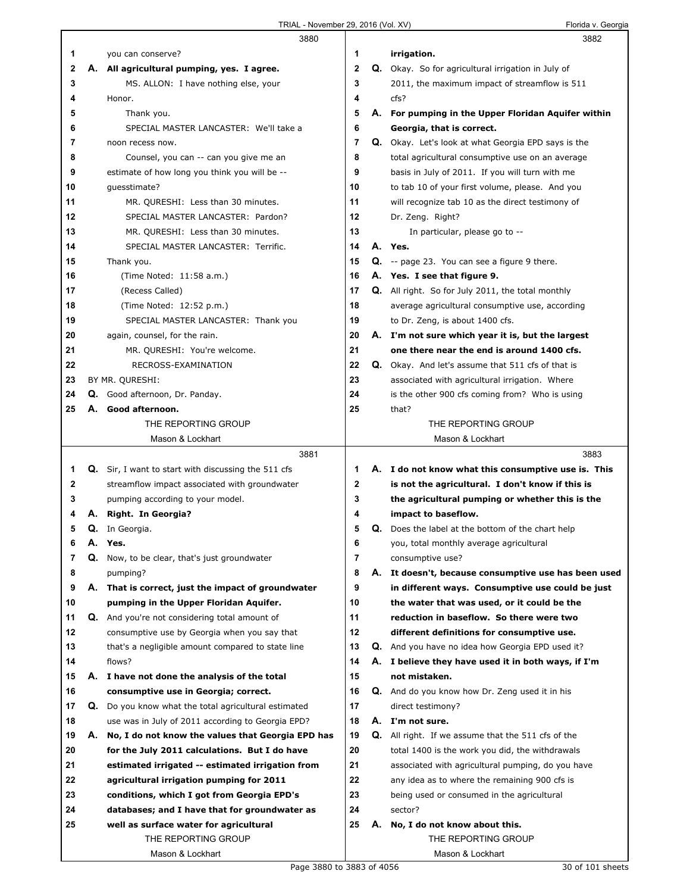$\Gamma$ 

|                |    | 3880                                                       |                |    | 3882                                                      |
|----------------|----|------------------------------------------------------------|----------------|----|-----------------------------------------------------------|
| 1              |    | you can conserve?                                          | 1              |    | irrigation.                                               |
| 2              |    | A. All agricultural pumping, yes. I agree.                 | $\mathbf{2}$   |    | Q. Okay. So for agricultural irrigation in July of        |
| 3              |    | MS. ALLON: I have nothing else, your                       | 3              |    | 2011, the maximum impact of streamflow is 511             |
| 4              |    | Honor.                                                     | 4              |    | cfs?                                                      |
| 5              |    | Thank you.                                                 | 5              |    | A. For pumping in the Upper Floridan Aquifer within       |
| 6              |    | SPECIAL MASTER LANCASTER: We'll take a                     | 6              |    | Georgia, that is correct.                                 |
| 7              |    | noon recess now.                                           | 7              |    | Q. Okay. Let's look at what Georgia EPD says is the       |
| 8              |    | Counsel, you can -- can you give me an                     | 8              |    | total agricultural consumptive use on an average          |
| 9              |    | estimate of how long you think you will be --              | 9              |    | basis in July of 2011. If you will turn with me           |
| 10             |    | quesstimate?                                               | 10             |    | to tab 10 of your first volume, please. And you           |
| 11             |    | MR. QURESHI: Less than 30 minutes.                         | 11             |    | will recognize tab 10 as the direct testimony of          |
| 12             |    | SPECIAL MASTER LANCASTER: Pardon?                          | 12             |    | Dr. Zeng. Right?                                          |
| 13             |    | MR. QURESHI: Less than 30 minutes.                         | 13             |    | In particular, please go to --                            |
| 14             |    | SPECIAL MASTER LANCASTER: Terrific.                        | 14             |    | A. Yes.                                                   |
| 15             |    | Thank you.                                                 | 15             |    | Q. -- page 23. You can see a figure 9 there.              |
| 16             |    | (Time Noted: 11:58 a.m.)                                   | 16             |    | A. Yes. I see that figure 9.                              |
| 17             |    | (Recess Called)                                            | 17             |    | <b>Q.</b> All right. So for July 2011, the total monthly  |
| 18             |    | (Time Noted: 12:52 p.m.)                                   | 18             |    | average agricultural consumptive use, according           |
| 19             |    | SPECIAL MASTER LANCASTER: Thank you                        | 19             |    | to Dr. Zeng, is about 1400 cfs.                           |
| 20             |    | again, counsel, for the rain.                              | 20             |    | A. I'm not sure which year it is, but the largest         |
|                |    |                                                            |                |    |                                                           |
| 21<br>22       |    | MR. QURESHI: You're welcome.                               | 21<br>22       |    | one there near the end is around 1400 cfs.                |
|                |    | RECROSS-EXAMINATION                                        |                |    | <b>Q.</b> Okay. And let's assume that 511 cfs of that is  |
| 23             |    | BY MR. QURESHI:                                            | 23             |    | associated with agricultural irrigation. Where            |
| 24             |    | Q. Good afternoon, Dr. Panday.                             | 24             |    | is the other 900 cfs coming from? Who is using            |
| 25             | А. | Good afternoon.                                            | 25             |    | that?                                                     |
|                |    | THE REPORTING GROUP                                        |                |    | THE REPORTING GROUP                                       |
|                |    | Mason & Lockhart                                           |                |    | Mason & Lockhart                                          |
|                |    | 3881                                                       |                |    | 3883                                                      |
| 1              |    |                                                            |                |    |                                                           |
|                |    | <b>Q.</b> Sir, I want to start with discussing the 511 cfs | 1              |    | A. I do not know what this consumptive use is. This       |
| 2              |    | streamflow impact associated with groundwater              | 2              |    | is not the agricultural. I don't know if this is          |
| 3              |    | pumping according to your model.                           | 3              |    | the agricultural pumping or whether this is the           |
| 4              |    | A. Right. In Georgia?                                      | 4              |    | impact to baseflow.                                       |
| 5              |    | Q. In Georgia.                                             | 5              |    | <b>Q.</b> Does the label at the bottom of the chart help  |
| 6              |    | A. Yes.                                                    | 6              |    | you, total monthly average agricultural                   |
| $\overline{7}$ | Q. | Now, to be clear, that's just groundwater                  | $\overline{7}$ |    | consumptive use?                                          |
| 8              |    | pumping?                                                   | 8              |    | A. It doesn't, because consumptive use has been used      |
| 9              |    | A. That is correct, just the impact of groundwater         | 9              |    | in different ways. Consumptive use could be just          |
| 10             |    | pumping in the Upper Floridan Aquifer.                     | 10             |    | the water that was used, or it could be the               |
| 11             |    | <b>Q.</b> And you're not considering total amount of       | 11             |    | reduction in baseflow. So there were two                  |
| 12             |    | consumptive use by Georgia when you say that               | 12             |    | different definitions for consumptive use.                |
| 13             |    | that's a negligible amount compared to state line          | 13             |    | Q. And you have no idea how Georgia EPD used it?          |
| 14             |    | flows?                                                     | 14             |    | A. I believe they have used it in both ways, if I'm       |
| 15             | А. | I have not done the analysis of the total                  | 15             |    | not mistaken.                                             |
| 16             |    | consumptive use in Georgia; correct.                       | 16             |    | Q. And do you know how Dr. Zeng used it in his            |
| 17             | Q. | Do you know what the total agricultural estimated          | 17             |    | direct testimony?                                         |
| 18             |    | use was in July of 2011 according to Georgia EPD?          | 18             |    | A. I'm not sure.                                          |
| 19             |    | A. No, I do not know the values that Georgia EPD has       | 19             |    | <b>Q.</b> All right. If we assume that the 511 cfs of the |
| 20             |    | for the July 2011 calculations. But I do have              | 20             |    | total 1400 is the work you did, the withdrawals           |
| 21             |    | estimated irrigated -- estimated irrigation from           | 21             |    | associated with agricultural pumping, do you have         |
| 22             |    | agricultural irrigation pumping for 2011                   | 22             |    | any idea as to where the remaining 900 cfs is             |
| 23             |    | conditions, which I got from Georgia EPD's                 | 23             |    | being used or consumed in the agricultural                |
| 24             |    | databases; and I have that for groundwater as              | 24             |    | sector?                                                   |
| 25             |    | well as surface water for agricultural                     | 25             | А. | No, I do not know about this.                             |
|                |    | THE REPORTING GROUP                                        |                |    | THE REPORTING GROUP                                       |
|                |    | Mason & Lockhart<br>Page 3880 to 3883 of 4056              |                |    | Mason & Lockhart<br>30 of 101 sheets                      |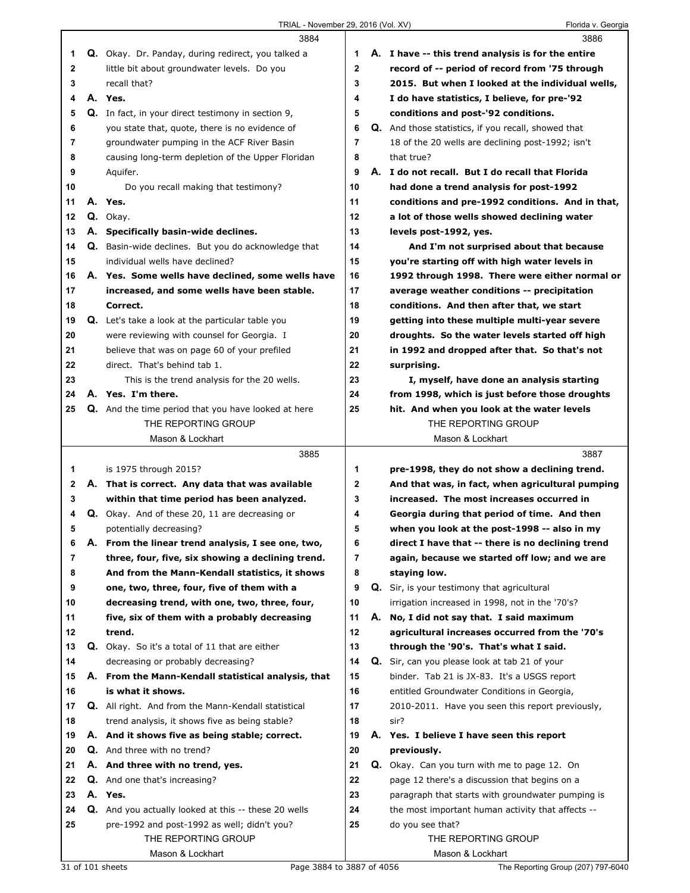|    |    | 3884                                                        |             |    | 3886                                                       |
|----|----|-------------------------------------------------------------|-------------|----|------------------------------------------------------------|
| 1  |    | Q. Okay. Dr. Panday, during redirect, you talked a          | 1           |    | A. I have -- this trend analysis is for the entire         |
| 2  |    | little bit about groundwater levels. Do you                 | $\mathbf 2$ |    | record of -- period of record from '75 through             |
| 3  |    | recall that?                                                | 3           |    | 2015. But when I looked at the individual wells,           |
| 4  |    | A. Yes.                                                     | 4           |    | I do have statistics, I believe, for pre-'92               |
| 5  |    | Q. In fact, in your direct testimony in section 9,          | 5           |    | conditions and post-'92 conditions.                        |
| 6  |    | you state that, quote, there is no evidence of              | 6           |    | <b>Q.</b> And those statistics, if you recall, showed that |
| 7  |    | groundwater pumping in the ACF River Basin                  | 7           |    | 18 of the 20 wells are declining post-1992; isn't          |
|    |    |                                                             |             |    |                                                            |
| 8  |    | causing long-term depletion of the Upper Floridan           | 8           |    | that true?                                                 |
| 9  |    | Aquifer.                                                    | 9           |    | A. I do not recall. But I do recall that Florida           |
| 10 |    | Do you recall making that testimony?                        | 10          |    | had done a trend analysis for post-1992                    |
| 11 |    | A. Yes.                                                     | 11          |    | conditions and pre-1992 conditions. And in that,           |
| 12 |    | Q. Okay.                                                    | 12          |    | a lot of those wells showed declining water                |
| 13 |    | A. Specifically basin-wide declines.                        | 13          |    | levels post-1992, yes.                                     |
| 14 |    | Q. Basin-wide declines. But you do acknowledge that         | 14          |    | And I'm not surprised about that because                   |
| 15 |    | individual wells have declined?                             | 15          |    | you're starting off with high water levels in              |
| 16 |    | A. Yes. Some wells have declined, some wells have           | 16          |    | 1992 through 1998. There were either normal or             |
| 17 |    | increased, and some wells have been stable.                 | 17          |    | average weather conditions -- precipitation                |
| 18 |    | Correct.                                                    | 18          |    | conditions. And then after that, we start                  |
| 19 |    | <b>Q.</b> Let's take a look at the particular table you     | 19          |    | getting into these multiple multi-year severe              |
| 20 |    | were reviewing with counsel for Georgia. I                  | 20          |    | droughts. So the water levels started off high             |
| 21 |    | believe that was on page 60 of your prefiled                | 21          |    | in 1992 and dropped after that. So that's not              |
| 22 |    | direct. That's behind tab 1.                                | 22          |    | surprising.                                                |
| 23 |    | This is the trend analysis for the 20 wells.                | 23          |    | I, myself, have done an analysis starting                  |
| 24 |    | A. Yes. I'm there.                                          | 24          |    | from 1998, which is just before those droughts             |
| 25 |    | Q. And the time period that you have looked at here         | 25          |    | hit. And when you look at the water levels                 |
|    |    | THE REPORTING GROUP                                         |             |    | THE REPORTING GROUP                                        |
|    |    |                                                             |             |    |                                                            |
|    |    | Mason & Lockhart                                            |             |    | Mason & Lockhart                                           |
|    |    |                                                             |             |    |                                                            |
|    |    | 3885                                                        |             |    | 3887                                                       |
| 1  |    | is 1975 through 2015?                                       | 1           |    | pre-1998, they do not show a declining trend.              |
| 2  |    | A. That is correct. Any data that was available             | $\mathbf 2$ |    | And that was, in fact, when agricultural pumping           |
| 3  |    | within that time period has been analyzed.                  | 3           |    | increased. The most increases occurred in                  |
| 4  |    | Q. Okay. And of these 20, 11 are decreasing or              | 4           |    | Georgia during that period of time. And then               |
| 5  |    | potentially decreasing?                                     | 5           |    | when you look at the post-1998 -- also in my               |
| 6  | Α. | From the linear trend analysis, I see one, two,             | 6           |    | direct I have that -- there is no declining trend          |
| 7  |    | three, four, five, six showing a declining trend.           | 7           |    | again, because we started off low; and we are              |
| 8  |    | And from the Mann-Kendall statistics, it shows              | 8           |    | staying low.                                               |
| 9  |    | one, two, three, four, five of them with a                  | 9           |    | Q. Sir, is your testimony that agricultural                |
| 10 |    | decreasing trend, with one, two, three, four,               | 10          |    | irrigation increased in 1998, not in the '70's?            |
| 11 |    | five, six of them with a probably decreasing                | 11          |    | A. No, I did not say that. I said maximum                  |
| 12 |    | trend.                                                      | 12          |    | agricultural increases occurred from the '70's             |
| 13 |    | Q. Okay. So it's a total of 11 that are either              | 13          |    | through the '90's. That's what I said.                     |
| 14 |    | decreasing or probably decreasing?                          | 14          | Q. | Sir, can you please look at tab 21 of your                 |
| 15 |    |                                                             | 15          |    |                                                            |
|    |    | A. From the Mann-Kendall statistical analysis, that         |             |    | binder. Tab 21 is JX-83. It's a USGS report                |
| 16 |    | is what it shows.                                           | 16          |    | entitled Groundwater Conditions in Georgia,                |
| 17 |    | Q. All right. And from the Mann-Kendall statistical         | 17          |    | 2010-2011. Have you seen this report previously,           |
| 18 |    | trend analysis, it shows five as being stable?              | 18          |    | sir?                                                       |
| 19 |    | A. And it shows five as being stable; correct.              | 19          |    | A. Yes. I believe I have seen this report                  |
| 20 |    | <b>Q.</b> And three with no trend?                          | 20          |    | previously.                                                |
| 21 |    | A. And three with no trend, yes.                            | 21          |    | Q. Okay. Can you turn with me to page 12. On               |
| 22 |    | Q. And one that's increasing?                               | 22          |    | page 12 there's a discussion that begins on a              |
| 23 |    | A. Yes.                                                     | 23          |    | paragraph that starts with groundwater pumping is          |
| 24 |    | <b>Q.</b> And you actually looked at this -- these 20 wells | 24          |    | the most important human activity that affects --          |
| 25 |    | pre-1992 and post-1992 as well; didn't you?                 | 25          |    | do you see that?                                           |
|    |    | THE REPORTING GROUP<br>Mason & Lockhart                     |             |    | THE REPORTING GROUP<br>Mason & Lockhart                    |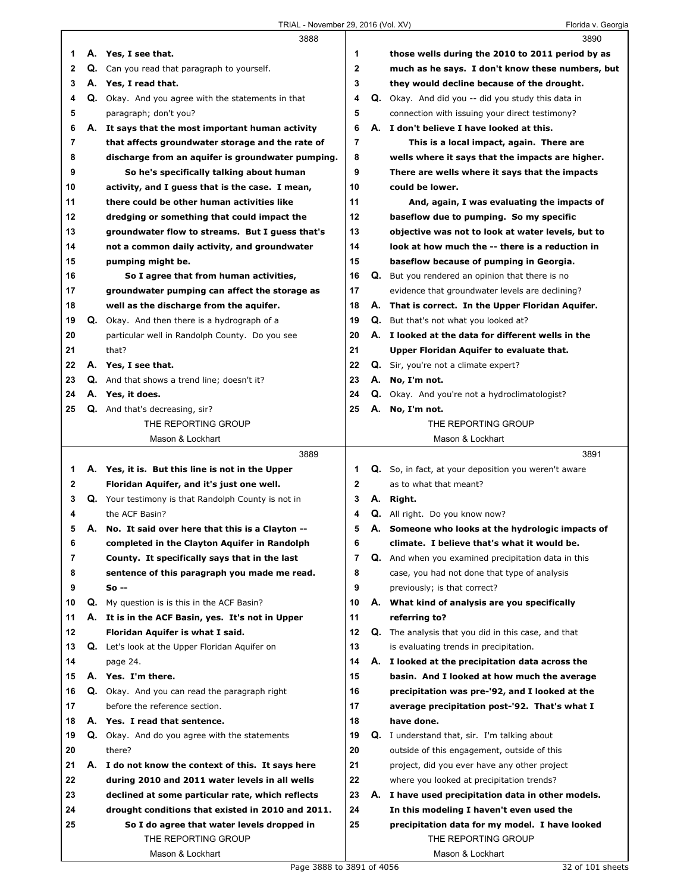|    |    | 3888                                                              |    |    | 3890                                                                  |
|----|----|-------------------------------------------------------------------|----|----|-----------------------------------------------------------------------|
| 1  |    | A. Yes, I see that.                                               | 1  |    | those wells during the 2010 to 2011 period by as                      |
| 2  | Q. | Can you read that paragraph to yourself.                          | 2  |    | much as he says. I don't know these numbers, but                      |
| 3  |    | A. Yes, I read that.                                              | 3  |    | they would decline because of the drought.                            |
| 4  |    | Q. Okay. And you agree with the statements in that                | 4  |    | Q. Okay. And did you -- did you study this data in                    |
| 5  |    | paragraph; don't you?                                             | 5  |    | connection with issuing your direct testimony?                        |
| 6  |    | A. It says that the most important human activity                 | 6  |    | A. I don't believe I have looked at this.                             |
| 7  |    | that affects groundwater storage and the rate of                  | 7  |    | This is a local impact, again. There are                              |
| 8  |    | discharge from an aquifer is groundwater pumping.                 | 8  |    | wells where it says that the impacts are higher.                      |
| 9  |    | So he's specifically talking about human                          | 9  |    | There are wells where it says that the impacts                        |
| 10 |    | activity, and I guess that is the case. I mean,                   | 10 |    | could be lower.                                                       |
| 11 |    | there could be other human activities like                        | 11 |    | And, again, I was evaluating the impacts of                           |
| 12 |    | dredging or something that could impact the                       | 12 |    | baseflow due to pumping. So my specific                               |
| 13 |    | groundwater flow to streams. But I guess that's                   | 13 |    | objective was not to look at water levels, but to                     |
| 14 |    | not a common daily activity, and groundwater                      | 14 |    | look at how much the -- there is a reduction in                       |
| 15 |    | pumping might be.                                                 | 15 |    | baseflow because of pumping in Georgia.                               |
| 16 |    | So I agree that from human activities,                            | 16 | Q. | But you rendered an opinion that there is no                          |
| 17 |    | groundwater pumping can affect the storage as                     | 17 |    | evidence that groundwater levels are declining?                       |
| 18 |    | well as the discharge from the aquifer.                           | 18 | А. | That is correct. In the Upper Floridan Aquifer.                       |
| 19 |    | Q. Okay. And then there is a hydrograph of a                      | 19 |    | <b>Q.</b> But that's not what you looked at?                          |
| 20 |    | particular well in Randolph County. Do you see                    | 20 |    | A. I looked at the data for different wells in the                    |
| 21 |    | that?                                                             | 21 |    | Upper Floridan Aquifer to evaluate that.                              |
| 22 |    | A. Yes, I see that.                                               | 22 |    | Q. Sir, you're not a climate expert?                                  |
| 23 |    | <b>Q.</b> And that shows a trend line; doesn't it?                | 23 |    | A. No, I'm not.                                                       |
| 24 |    | A. Yes, it does.                                                  | 24 |    | Q. Okay. And you're not a hydroclimatologist?                         |
| 25 |    | Q. And that's decreasing, sir?                                    | 25 |    | A. No, I'm not.                                                       |
|    |    | THE REPORTING GROUP                                               |    |    | THE REPORTING GROUP                                                   |
|    |    | Mason & Lockhart                                                  |    |    | Mason & Lockhart                                                      |
|    |    | 3889                                                              |    |    | 3891                                                                  |
| 1  |    | A. Yes, it is. But this line is not in the Upper                  | 1  |    |                                                                       |
|    |    |                                                                   |    |    | Q. So, in fact, at your deposition you weren't aware                  |
| 2  |    | Floridan Aquifer, and it's just one well.                         | 2  |    | as to what that meant?                                                |
| 3  |    | Q. Your testimony is that Randolph County is not in               | 3  | А. | Right.                                                                |
| 4  |    | the ACF Basin?                                                    | 4  |    | <b>Q.</b> All right. Do you know now?                                 |
| 5  |    | A. No. It said over here that this is a Clayton --                | 5  |    | A. Someone who looks at the hydrologic impacts of                     |
| 6  |    | completed in the Clayton Aquifer in Randolph                      | 6  |    | climate. I believe that's what it would be.                           |
| 7  |    | County. It specifically says that in the last                     | 7  |    | Q. And when you examined precipitation data in this                   |
| 8  |    | sentence of this paragraph you made me read.                      | 8  |    | case, you had not done that type of analysis                          |
| 9  |    | So --                                                             | 9  |    | previously; is that correct?                                          |
| 10 | Q. | My question is is this in the ACF Basin?                          | 10 | А. | What kind of analysis are you specifically                            |
| 11 | А. | It is in the ACF Basin, yes. It's not in Upper                    | 11 |    | referring to?                                                         |
| 12 |    | Floridan Aquifer is what I said.                                  | 12 |    | Q. The analysis that you did in this case, and that                   |
| 13 |    | Q. Let's look at the Upper Floridan Aquifer on                    | 13 |    | is evaluating trends in precipitation.                                |
| 14 |    | page 24.                                                          | 14 |    | A. I looked at the precipitation data across the                      |
| 15 |    | A. Yes. I'm there.                                                | 15 |    | basin. And I looked at how much the average                           |
| 16 |    | Q. Okay. And you can read the paragraph right                     | 16 |    | precipitation was pre-'92, and I looked at the                        |
| 17 |    | before the reference section.                                     | 17 |    | average precipitation post-'92. That's what I                         |
| 18 |    | A. Yes. I read that sentence.                                     | 18 |    | have done.                                                            |
| 19 |    | Q. Okay. And do you agree with the statements                     | 19 |    | <b>Q.</b> I understand that, sir. I'm talking about                   |
| 20 |    | there?                                                            | 20 |    | outside of this engagement, outside of this                           |
| 21 |    | A. I do not know the context of this. It says here                | 21 |    | project, did you ever have any other project                          |
| 22 |    | during 2010 and 2011 water levels in all wells                    | 22 |    | where you looked at precipitation trends?                             |
| 23 |    | declined at some particular rate, which reflects                  | 23 |    | A. I have used precipitation data in other models.                    |
| 24 |    | drought conditions that existed in 2010 and 2011.                 | 24 |    | In this modeling I haven't even used the                              |
| 25 |    | So I do agree that water levels dropped in<br>THE REPORTING GROUP | 25 |    | precipitation data for my model. I have looked<br>THE REPORTING GROUP |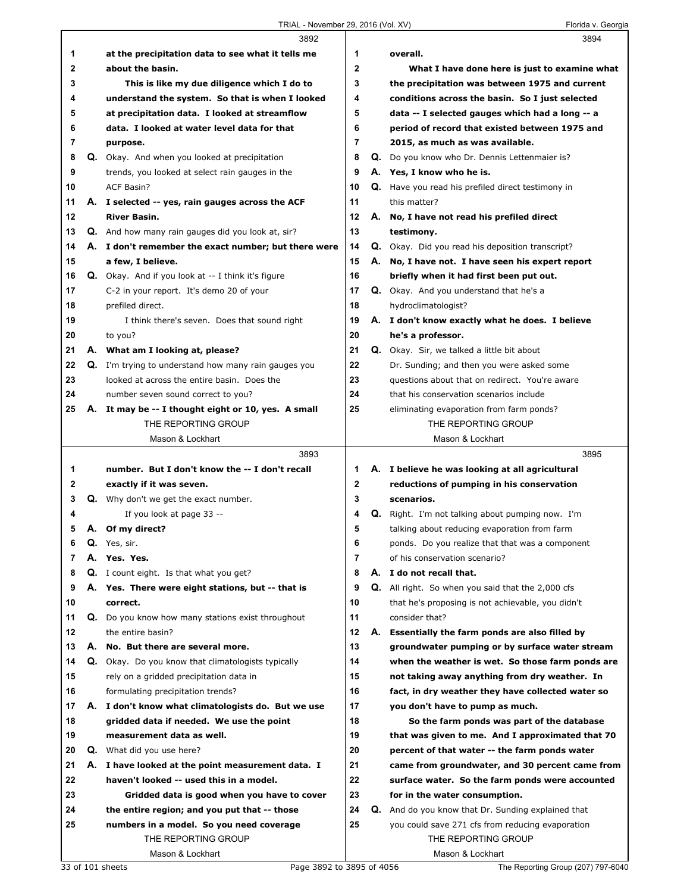|          |    | 3892                                                                    |                |    | 3894                                                                                      |
|----------|----|-------------------------------------------------------------------------|----------------|----|-------------------------------------------------------------------------------------------|
| 1        |    | at the precipitation data to see what it tells me                       | 1              |    | overall.                                                                                  |
| 2        |    | about the basin.                                                        | $\mathbf{2}$   |    | What I have done here is just to examine what                                             |
| 3        |    | This is like my due diligence which I do to                             | 3              |    | the precipitation was between 1975 and current                                            |
| 4        |    | understand the system. So that is when I looked                         | 4              |    | conditions across the basin. So I just selected                                           |
| 5        |    | at precipitation data. I looked at streamflow                           | 5              |    | data -- I selected gauges which had a long -- a                                           |
| 6        |    | data. I looked at water level data for that                             | 6              |    | period of record that existed between 1975 and                                            |
| 7        |    | purpose.                                                                | $\overline{7}$ |    | 2015, as much as was available.                                                           |
| 8        |    | Q. Okay. And when you looked at precipitation                           | 8              |    | Q. Do you know who Dr. Dennis Lettenmaier is?                                             |
| 9        |    | trends, you looked at select rain gauges in the                         | 9              |    | A. Yes, I know who he is.                                                                 |
| 10       |    | ACF Basin?                                                              | 10             |    | Q. Have you read his prefiled direct testimony in                                         |
| 11       |    | A. I selected -- yes, rain gauges across the ACF                        | 11             |    | this matter?                                                                              |
| 12       |    | <b>River Basin.</b>                                                     | 12             |    | A. No, I have not read his prefiled direct                                                |
| 13       |    | Q. And how many rain gauges did you look at, sir?                       | 13             |    | testimony.                                                                                |
| 14       |    | A. I don't remember the exact number; but there were                    | 14             |    | <b>Q.</b> Okay. Did you read his deposition transcript?                                   |
| 15       |    | a few, I believe.                                                       | 15             |    | A. No, I have not. I have seen his expert report                                          |
| 16       |    | Q. Okay. And if you look at -- I think it's figure                      | 16             |    | briefly when it had first been put out.                                                   |
| 17       |    | C-2 in your report. It's demo 20 of your                                | 17             |    | Q. Okay. And you understand that he's a                                                   |
| 18       |    | prefiled direct.                                                        | 18             |    | hydroclimatologist?                                                                       |
| 19       |    | I think there's seven. Does that sound right                            | 19             |    | A. I don't know exactly what he does. I believe                                           |
| 20       |    | to you?                                                                 | 20             |    | he's a professor.                                                                         |
| 21       |    | A. What am I looking at, please?                                        | 21             |    | Q. Okay. Sir, we talked a little bit about                                                |
| 22       |    | Q. I'm trying to understand how many rain gauges you                    | 22             |    | Dr. Sunding; and then you were asked some                                                 |
| 23       |    | looked at across the entire basin. Does the                             | 23             |    |                                                                                           |
| 24       |    |                                                                         | 24             |    | questions about that on redirect. You're aware<br>that his conservation scenarios include |
|          |    | number seven sound correct to you?                                      |                |    |                                                                                           |
| 25       | А. | It may be -- I thought eight or 10, yes. A small<br>THE REPORTING GROUP | 25             |    | eliminating evaporation from farm ponds?<br>THE REPORTING GROUP                           |
|          |    | Mason & Lockhart                                                        |                |    | Mason & Lockhart                                                                          |
|          |    | 3893                                                                    |                |    | 3895                                                                                      |
|          |    |                                                                         | 1              |    |                                                                                           |
| 1        |    | number. But I don't know the -- I don't recall                          |                |    | A. I believe he was looking at all agricultural                                           |
| 2        |    | exactly if it was seven.                                                | $\mathbf{2}$   |    | reductions of pumping in his conservation                                                 |
| 3        |    | Q. Why don't we get the exact number.                                   | 3              |    | scenarios.                                                                                |
| 4        |    | If you look at page 33 --                                               | 4              | Q. | Right. I'm not talking about pumping now. I'm                                             |
| 5        |    | A. Of my direct?                                                        | 5              |    | talking about reducing evaporation from farm                                              |
| 6        |    | Q. Yes, sir.                                                            | 6              |    | ponds. Do you realize that that was a component                                           |
| 7        |    | A. Yes. Yes.                                                            | 7              |    | of his conservation scenario?                                                             |
| 8        |    | <b>Q.</b> I count eight. Is that what you get?                          | 8              |    | A. I do not recall that.                                                                  |
| 9        |    | A. Yes. There were eight stations, but -- that is                       | 9              |    | Q. All right. So when you said that the 2,000 cfs                                         |
| 10       |    | correct.                                                                | 10             |    | that he's proposing is not achievable, you didn't                                         |
| 11       |    | Q. Do you know how many stations exist throughout                       | 11             |    | consider that?                                                                            |
| 12       |    | the entire basin?                                                       | 12             |    | A. Essentially the farm ponds are also filled by                                          |
| 13       |    | A. No. But there are several more.                                      | 13             |    | groundwater pumping or by surface water stream                                            |
| 14       |    | Q. Okay. Do you know that climatologists typically                      | 14             |    | when the weather is wet. So those farm ponds are                                          |
| 15       |    | rely on a gridded precipitation data in                                 | 15             |    | not taking away anything from dry weather. In                                             |
| 16       |    | formulating precipitation trends?                                       | 16             |    |                                                                                           |
| 17       |    | A. I don't know what climatologists do. But we use                      | 17             |    | fact, in dry weather they have collected water so<br>you don't have to pump as much.      |
|          |    |                                                                         |                |    |                                                                                           |
| 18<br>19 |    | gridded data if needed. We use the point<br>measurement data as well.   | 18<br>19       |    | So the farm ponds was part of the database                                                |
|          |    |                                                                         |                |    | that was given to me. And I approximated that 70                                          |
| 20       |    | Q. What did you use here?                                               | 20             |    | percent of that water -- the farm ponds water                                             |
| 21       |    | A. I have looked at the point measurement data. I                       | 21             |    | came from groundwater, and 30 percent came from                                           |
| 22       |    | haven't looked -- used this in a model.                                 | 22             |    | surface water. So the farm ponds were accounted                                           |
| 23       |    | Gridded data is good when you have to cover                             | 23             |    | for in the water consumption.                                                             |
| 24       |    | the entire region; and you put that -- those                            | 24             |    | Q. And do you know that Dr. Sunding explained that                                        |
| 25       |    | numbers in a model. So you need coverage                                | 25             |    | you could save 271 cfs from reducing evaporation                                          |
|          |    | THE REPORTING GROUP<br>Mason & Lockhart                                 |                |    | THE REPORTING GROUP<br>Mason & Lockhart                                                   |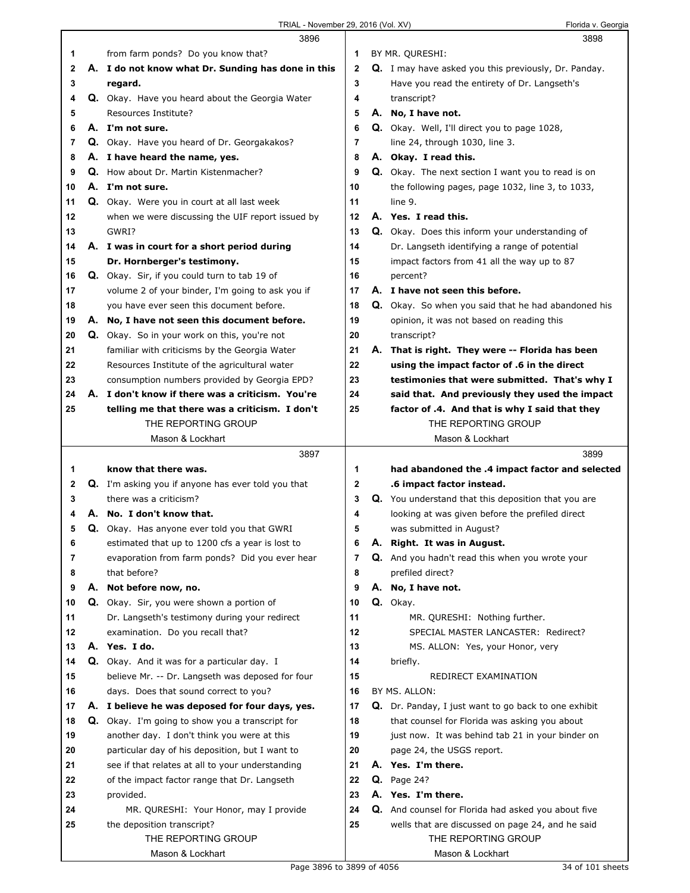|    | 3896                                                   |             | 3898                                                      |
|----|--------------------------------------------------------|-------------|-----------------------------------------------------------|
| 1  | from farm ponds? Do you know that?                     | 1           | BY MR. QURESHI:                                           |
| 2  | A. I do not know what Dr. Sunding has done in this     | $\mathbf 2$ | Q. I may have asked you this previously, Dr. Panday.      |
| 3  | regard.                                                | 3           | Have you read the entirety of Dr. Langseth's              |
| 4  | Q. Okay. Have you heard about the Georgia Water        | 4           | transcript?                                               |
| 5  | Resources Institute?                                   | 5           | A. No, I have not.                                        |
| 6  | A. I'm not sure.                                       | 6           | Q. Okay. Well, I'll direct you to page 1028,              |
| 7  | Q. Okay. Have you heard of Dr. Georgakakos?            | 7           | line 24, through 1030, line 3.                            |
| 8  | A. I have heard the name, yes.                         | 8           | A. Okay. I read this.                                     |
| 9  | Q. How about Dr. Martin Kistenmacher?                  | 9           | <b>Q.</b> Okay. The next section I want you to read is on |
| 10 | A. I'm not sure.                                       | 10          | the following pages, page 1032, line 3, to 1033,          |
| 11 | Q. Okay. Were you in court at all last week            | 11          | line 9.                                                   |
| 12 | when we were discussing the UIF report issued by       | 12          | A. Yes. I read this.                                      |
| 13 | GWRI?                                                  | 13          | Q. Okay. Does this inform your understanding of           |
| 14 | A. I was in court for a short period during            | 14          | Dr. Langseth identifying a range of potential             |
| 15 | Dr. Hornberger's testimony.                            | 15          | impact factors from 41 all the way up to 87               |
| 16 | Q. Okay. Sir, if you could turn to tab 19 of           | 16          | percent?                                                  |
| 17 | volume 2 of your binder, I'm going to ask you if       | 17          | A. I have not seen this before.                           |
| 18 | you have ever seen this document before.               | 18          | Q. Okay. So when you said that he had abandoned his       |
| 19 | A. No, I have not seen this document before.           | 19          | opinion, it was not based on reading this                 |
| 20 | Q. Okay. So in your work on this, you're not           | 20          | transcript?                                               |
| 21 | familiar with criticisms by the Georgia Water          | 21          | A. That is right. They were -- Florida has been           |
| 22 | Resources Institute of the agricultural water          | 22          | using the impact factor of .6 in the direct               |
| 23 | consumption numbers provided by Georgia EPD?           | 23          | testimonies that were submitted. That's why I             |
| 24 | A. I don't know if there was a criticism. You're       | 24          | said that. And previously they used the impact            |
| 25 | telling me that there was a criticism. I don't         | 25          | factor of .4. And that is why I said that they            |
|    | THE REPORTING GROUP                                    |             | THE REPORTING GROUP                                       |
|    | Mason & Lockhart                                       |             | Mason & Lockhart                                          |
|    |                                                        |             |                                                           |
|    | 3897                                                   |             | 3899                                                      |
| 1  | know that there was.                                   | 1           | had abandoned the .4 impact factor and selected           |
| 2  | Q. I'm asking you if anyone has ever told you that     | 2           | .6 impact factor instead.                                 |
| 3  | there was a criticism?                                 | 3           | Q. You understand that this deposition that you are       |
| 4  | A. No. I don't know that.                              | 4           | looking at was given before the prefiled direct           |
| 5  | <b>Q.</b> Okay. Has anyone ever told you that GWRI     | 5           | was submitted in August?                                  |
| 6  | estimated that up to 1200 cfs a year is lost to        | 6           | A. Right. It was in August.                               |
| 7  | evaporation from farm ponds? Did you ever hear         | 7           | Q. And you hadn't read this when you wrote your           |
| 8  | that before?                                           | 8           | prefiled direct?                                          |
| 9  | A. Not before now, no.                                 | 9           | A. No, I have not.                                        |
| 10 | Q. Okay. Sir, you were shown a portion of              | 10          | Q. Okay.                                                  |
| 11 | Dr. Langseth's testimony during your redirect          | 11          | MR. QURESHI: Nothing further.                             |
| 12 | examination. Do you recall that?                       | 12          | SPECIAL MASTER LANCASTER: Redirect?                       |
| 13 | A. Yes. I do.                                          | 13          | MS. ALLON: Yes, your Honor, very                          |
| 14 | Q. Okay. And it was for a particular day. I            | 14          | briefly.                                                  |
| 15 | believe Mr. -- Dr. Langseth was deposed for four       | 15          | REDIRECT EXAMINATION                                      |
| 16 | days. Does that sound correct to you?                  | 16          | BY MS. ALLON:                                             |
| 17 | A. I believe he was deposed for four days, yes.        | 17          | Q. Dr. Panday, I just want to go back to one exhibit      |
| 18 | <b>Q.</b> Okay. I'm going to show you a transcript for | 18          | that counsel for Florida was asking you about             |
| 19 | another day. I don't think you were at this            | 19          | just now. It was behind tab 21 in your binder on          |
| 20 | particular day of his deposition, but I want to        | 20          | page 24, the USGS report.                                 |
| 21 | see if that relates at all to your understanding       | 21          | A. Yes. I'm there.                                        |
| 22 | of the impact factor range that Dr. Langseth           | 22          | <b>Q.</b> Page 24?                                        |
| 23 | provided.                                              | 23          | A. Yes. I'm there.                                        |
| 24 | MR. QURESHI: Your Honor, may I provide                 | 24          | Q. And counsel for Florida had asked you about five       |
| 25 | the deposition transcript?                             | 25          | wells that are discussed on page 24, and he said          |
|    | THE REPORTING GROUP<br>Mason & Lockhart                |             | THE REPORTING GROUP<br>Mason & Lockhart                   |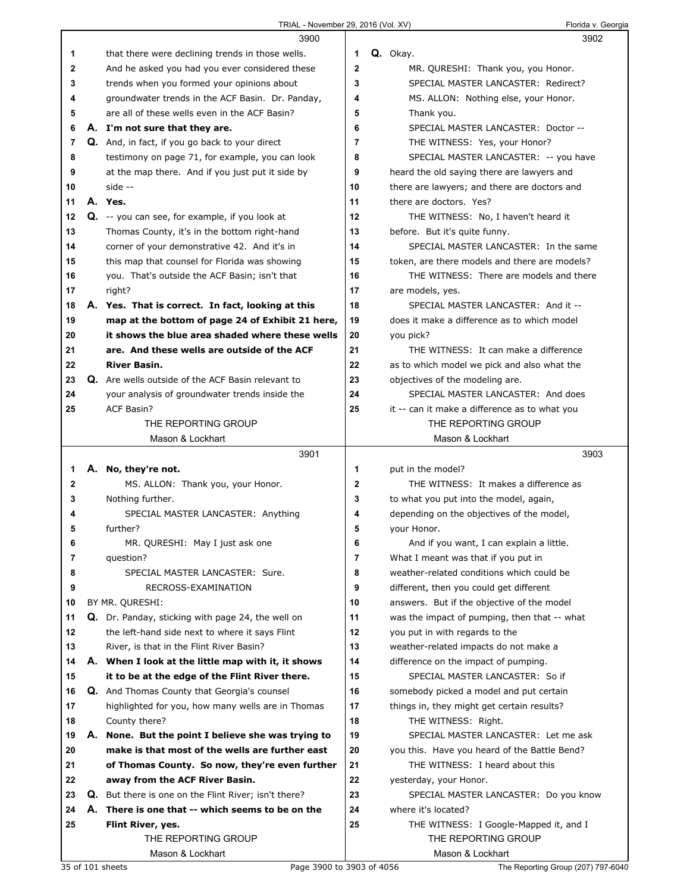|              |    | 3900                                                                                                  |                | 3902                                                                 |  |
|--------------|----|-------------------------------------------------------------------------------------------------------|----------------|----------------------------------------------------------------------|--|
| 1            |    | that there were declining trends in those wells.                                                      | 1              | Q. Okay.                                                             |  |
| $\mathbf{2}$ |    | And he asked you had you ever considered these                                                        | $\mathbf{2}$   | MR. QURESHI: Thank you, you Honor.                                   |  |
| 3            |    | trends when you formed your opinions about                                                            | 3              | SPECIAL MASTER LANCASTER: Redirect?                                  |  |
| 4            |    | groundwater trends in the ACF Basin. Dr. Panday,                                                      | 4              | MS. ALLON: Nothing else, your Honor.                                 |  |
| 5            |    | are all of these wells even in the ACF Basin?                                                         | 5              | Thank you.                                                           |  |
| 6            |    | A. I'm not sure that they are.                                                                        | 6              | SPECIAL MASTER LANCASTER: Doctor --                                  |  |
| 7            |    | <b>Q.</b> And, in fact, if you go back to your direct                                                 | $\overline{7}$ | THE WITNESS: Yes, your Honor?                                        |  |
| 8            |    | testimony on page 71, for example, you can look                                                       | 8              | SPECIAL MASTER LANCASTER: -- you have                                |  |
| 9            |    | at the map there. And if you just put it side by                                                      | 9              | heard the old saying there are lawyers and                           |  |
| 10           |    | side --                                                                                               | 10             | there are lawyers; and there are doctors and                         |  |
| 11           |    | A. Yes.                                                                                               | 11             | there are doctors. Yes?                                              |  |
| 12           |    | Q. -- you can see, for example, if you look at                                                        | 12             | THE WITNESS: No, I haven't heard it                                  |  |
| 13           |    | Thomas County, it's in the bottom right-hand                                                          | 13             | before. But it's quite funny.                                        |  |
| 14           |    | corner of your demonstrative 42. And it's in                                                          | 14             | SPECIAL MASTER LANCASTER: In the same                                |  |
| 15           |    | this map that counsel for Florida was showing                                                         | 15             | token, are there models and there are models?                        |  |
| 16           |    | you. That's outside the ACF Basin; isn't that                                                         | 16             | THE WITNESS: There are models and there                              |  |
| 17           |    |                                                                                                       | 17             |                                                                      |  |
| 18           |    | right?                                                                                                | 18             | are models, yes.<br>SPECIAL MASTER LANCASTER: And it --              |  |
|              |    | A. Yes. That is correct. In fact, looking at this<br>map at the bottom of page 24 of Exhibit 21 here, |                | does it make a difference as to which model                          |  |
| 19<br>20     |    | it shows the blue area shaded where these wells                                                       | 19<br>20       | you pick?                                                            |  |
| 21           |    | are. And these wells are outside of the ACF                                                           | 21             | THE WITNESS: It can make a difference                                |  |
| 22           |    | <b>River Basin.</b>                                                                                   | 22             | as to which model we pick and also what the                          |  |
| 23           |    | Q. Are wells outside of the ACF Basin relevant to                                                     | 23             | objectives of the modeling are.                                      |  |
| 24           |    | your analysis of groundwater trends inside the                                                        | 24             | SPECIAL MASTER LANCASTER: And does                                   |  |
| 25           |    | <b>ACF Basin?</b>                                                                                     | 25             |                                                                      |  |
|              |    | THE REPORTING GROUP                                                                                   |                | it -- can it make a difference as to what you<br>THE REPORTING GROUP |  |
|              |    | Mason & Lockhart                                                                                      |                | Mason & Lockhart                                                     |  |
|              |    |                                                                                                       |                |                                                                      |  |
|              |    |                                                                                                       |                |                                                                      |  |
|              |    | 3901                                                                                                  |                | 3903                                                                 |  |
| 1            | А. | No, they're not.                                                                                      | 1              | put in the model?                                                    |  |
| 2            |    | MS. ALLON: Thank you, your Honor.                                                                     | 2              | THE WITNESS: It makes a difference as                                |  |
| 3            |    | Nothing further.                                                                                      | 3              | to what you put into the model, again,                               |  |
| 4            |    | SPECIAL MASTER LANCASTER: Anything                                                                    | 4              | depending on the objectives of the model,                            |  |
| 5            |    | further?                                                                                              | 5              | your Honor.                                                          |  |
| 6            |    | MR. QURESHI: May I just ask one                                                                       | 6              | And if you want, I can explain a little.                             |  |
| 7            |    | question?                                                                                             | 7              | What I meant was that if you put in                                  |  |
| 8            |    | SPECIAL MASTER LANCASTER: Sure.                                                                       | 8              | weather-related conditions which could be                            |  |
| 9            |    | RECROSS-EXAMINATION                                                                                   | 9              | different, then you could get different                              |  |
| 10           |    | BY MR. QURESHI:                                                                                       | 10             | answers. But if the objective of the model                           |  |
| 11           |    | Q. Dr. Panday, sticking with page 24, the well on                                                     | 11             | was the impact of pumping, then that -- what                         |  |
| 12           |    | the left-hand side next to where it says Flint                                                        | 12             | you put in with regards to the                                       |  |
| 13           |    | River, is that in the Flint River Basin?                                                              | 13             | weather-related impacts do not make a                                |  |
| 14           |    | A. When I look at the little map with it, it shows                                                    | 14             | difference on the impact of pumping.                                 |  |
| 15           |    | it to be at the edge of the Flint River there.                                                        | 15             | SPECIAL MASTER LANCASTER: So if                                      |  |
| 16           |    | <b>Q.</b> And Thomas County that Georgia's counsel                                                    | 16             | somebody picked a model and put certain                              |  |
| 17           |    | highlighted for you, how many wells are in Thomas                                                     | 17             | things in, they might get certain results?                           |  |
| 18           |    | County there?                                                                                         | 18             | THE WITNESS: Right.                                                  |  |
| 19           |    | A. None. But the point I believe she was trying to                                                    | 19             | SPECIAL MASTER LANCASTER: Let me ask                                 |  |
| 20           |    | make is that most of the wells are further east                                                       | 20             | you this. Have you heard of the Battle Bend?                         |  |
| 21           |    | of Thomas County. So now, they're even further                                                        | 21             | THE WITNESS: I heard about this                                      |  |
| 22           |    | away from the ACF River Basin.                                                                        | 22             | yesterday, your Honor.                                               |  |
| 23           |    | Q. But there is one on the Flint River; isn't there?                                                  | 23             | SPECIAL MASTER LANCASTER: Do you know                                |  |
| 24           |    | A. There is one that -- which seems to be on the                                                      | 24             | where it's located?                                                  |  |
| 25           |    | Flint River, yes.                                                                                     | 25             | THE WITNESS: I Google-Mapped it, and I                               |  |
|              |    | THE REPORTING GROUP<br>Mason & Lockhart                                                               |                | THE REPORTING GROUP<br>Mason & Lockhart                              |  |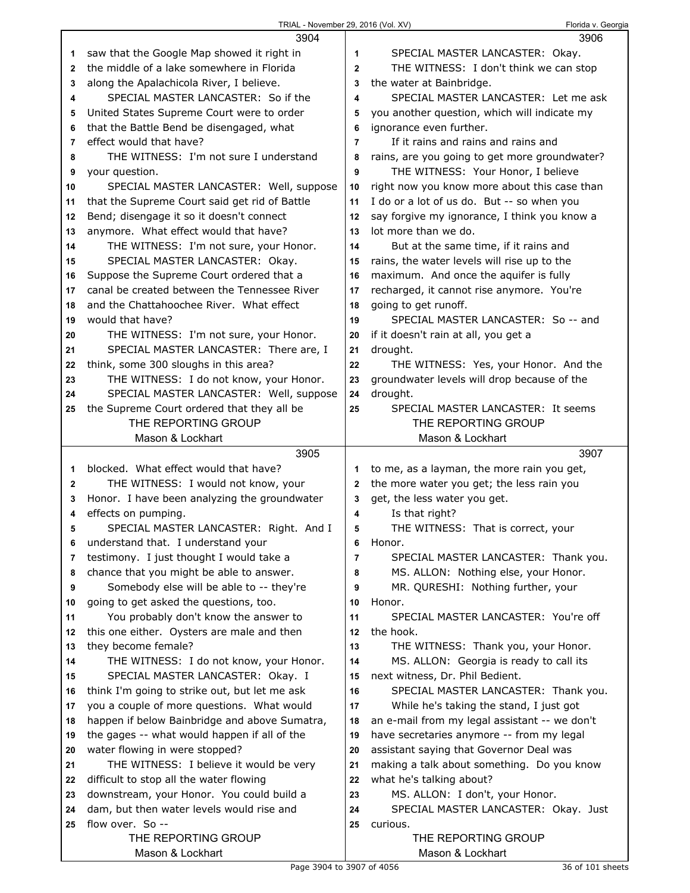|              | 3904                                                                                 |                | 3906                                                                       |
|--------------|--------------------------------------------------------------------------------------|----------------|----------------------------------------------------------------------------|
| 1            | saw that the Google Map showed it right in                                           | 1              | SPECIAL MASTER LANCASTER: Okay.                                            |
| $\mathbf{2}$ | the middle of a lake somewhere in Florida                                            | $\mathbf{2}$   | THE WITNESS: I don't think we can stop                                     |
| 3            | along the Apalachicola River, I believe.                                             | 3              | the water at Bainbridge.                                                   |
| 4            | SPECIAL MASTER LANCASTER: So if the                                                  | 4              | SPECIAL MASTER LANCASTER: Let me ask                                       |
| 5            | United States Supreme Court were to order                                            | 5              | you another question, which will indicate my                               |
| 6            | that the Battle Bend be disengaged, what                                             | 6              | ignorance even further.                                                    |
| 7            | effect would that have?                                                              | 7              | If it rains and rains and rains and                                        |
| 8            | THE WITNESS: I'm not sure I understand                                               | 8              | rains, are you going to get more groundwater?                              |
| 9            | your question.                                                                       | 9              | THE WITNESS: Your Honor, I believe                                         |
| 10           | SPECIAL MASTER LANCASTER: Well, suppose                                              | 10             | right now you know more about this case than                               |
| 11           | that the Supreme Court said get rid of Battle                                        | 11             | I do or a lot of us do. But -- so when you                                 |
| 12           | Bend; disengage it so it doesn't connect                                             | 12             | say forgive my ignorance, I think you know a                               |
| 13           | anymore. What effect would that have?                                                | 13             | lot more than we do.                                                       |
| 14           | THE WITNESS: I'm not sure, your Honor.                                               | 14             | But at the same time, if it rains and                                      |
| 15           | SPECIAL MASTER LANCASTER: Okay.                                                      | 15             | rains, the water levels will rise up to the                                |
| 16           | Suppose the Supreme Court ordered that a                                             | 16             | maximum. And once the aquifer is fully                                     |
| 17           | canal be created between the Tennessee River                                         | 17             | recharged, it cannot rise anymore. You're                                  |
| 18           | and the Chattahoochee River. What effect                                             | 18             | going to get runoff.                                                       |
| 19           | would that have?                                                                     | 19             | SPECIAL MASTER LANCASTER: So -- and                                        |
| 20           | THE WITNESS: I'm not sure, your Honor.                                               | 20             | if it doesn't rain at all, you get a                                       |
| 21           | SPECIAL MASTER LANCASTER: There are, I                                               | 21             | drought.                                                                   |
| 22           | think, some 300 sloughs in this area?                                                | 22             | THE WITNESS: Yes, your Honor. And the                                      |
| 23           | THE WITNESS: I do not know, your Honor.                                              | 23             | groundwater levels will drop because of the                                |
| 24           | SPECIAL MASTER LANCASTER: Well, suppose                                              | 24             | drought.                                                                   |
| 25           | the Supreme Court ordered that they all be                                           | 25             | SPECIAL MASTER LANCASTER: It seems                                         |
|              | THE REPORTING GROUP                                                                  |                | THE REPORTING GROUP                                                        |
|              | Mason & Lockhart                                                                     |                | Mason & Lockhart                                                           |
|              |                                                                                      |                |                                                                            |
|              |                                                                                      |                |                                                                            |
|              | 3905                                                                                 |                | 3907                                                                       |
| 1            | blocked. What effect would that have?                                                | 1              | to me, as a layman, the more rain you get,                                 |
| $\mathbf{2}$ | THE WITNESS: I would not know, your                                                  | $\mathbf{2}$   | the more water you get; the less rain you                                  |
| 3<br>4       | Honor. I have been analyzing the groundwater                                         | 3<br>4         | get, the less water you get.                                               |
| 5            | effects on pumping.                                                                  | 5              | Is that right?                                                             |
| 6            | SPECIAL MASTER LANCASTER: Right. And I                                               | 6              | THE WITNESS: That is correct, your<br>Honor.                               |
| 7            | understand that. I understand your                                                   | $\overline{7}$ |                                                                            |
| 8            | testimony. I just thought I would take a                                             | 8              | SPECIAL MASTER LANCASTER: Thank you.                                       |
| 9            | chance that you might be able to answer.<br>Somebody else will be able to -- they're | 9              | MS. ALLON: Nothing else, your Honor.<br>MR. QURESHI: Nothing further, your |
| 10           | going to get asked the questions, too.                                               | 10             | Honor.                                                                     |
| 11           | You probably don't know the answer to                                                | 11             | SPECIAL MASTER LANCASTER: You're off                                       |
| 12           | this one either. Oysters are male and then                                           | 12             | the hook.                                                                  |
| 13           | they become female?                                                                  | 13             | THE WITNESS: Thank you, your Honor.                                        |
| 14           | THE WITNESS: I do not know, your Honor.                                              | 14             | MS. ALLON: Georgia is ready to call its                                    |
| 15           | SPECIAL MASTER LANCASTER: Okay. I                                                    | 15             | next witness, Dr. Phil Bedient.                                            |
| 16           | think I'm going to strike out, but let me ask                                        | 16             | SPECIAL MASTER LANCASTER: Thank you.                                       |
| 17           | you a couple of more questions. What would                                           | 17             | While he's taking the stand, I just got                                    |
| 18           | happen if below Bainbridge and above Sumatra,                                        | 18             | an e-mail from my legal assistant -- we don't                              |
| 19           | the gages -- what would happen if all of the                                         | 19             | have secretaries anymore -- from my legal                                  |
| 20           | water flowing in were stopped?                                                       | 20             | assistant saying that Governor Deal was                                    |
| 21           | THE WITNESS: I believe it would be very                                              | 21             | making a talk about something. Do you know                                 |
| 22           | difficult to stop all the water flowing                                              | 22             | what he's talking about?                                                   |
| 23           | downstream, your Honor. You could build a                                            | 23             | MS. ALLON: I don't, your Honor.                                            |
| 24           | dam, but then water levels would rise and                                            | 24             | SPECIAL MASTER LANCASTER: Okay. Just                                       |
| 25           | flow over. So --                                                                     | 25             | curious.                                                                   |
|              | THE REPORTING GROUP                                                                  |                | THE REPORTING GROUP                                                        |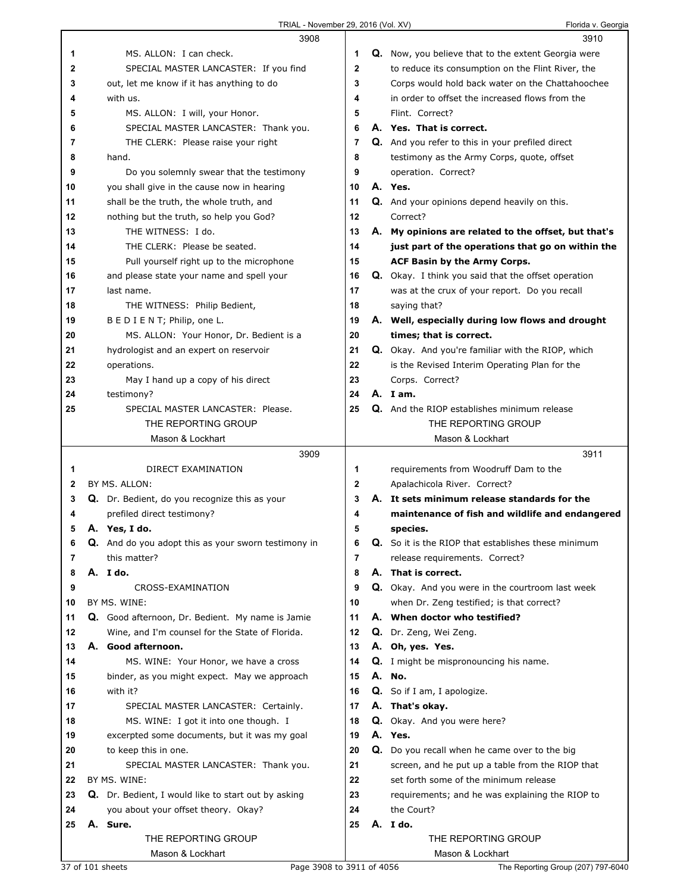|          | 3908                                                                                                |              | 3910                                                                       |
|----------|-----------------------------------------------------------------------------------------------------|--------------|----------------------------------------------------------------------------|
| 1        | MS. ALLON: I can check.                                                                             | 1            | Q. Now, you believe that to the extent Georgia were                        |
| 2        | SPECIAL MASTER LANCASTER: If you find                                                               | $\mathbf{2}$ | to reduce its consumption on the Flint River, the                          |
| 3        | out, let me know if it has anything to do                                                           | 3            | Corps would hold back water on the Chattahoochee                           |
| 4        | with us.                                                                                            | 4            | in order to offset the increased flows from the                            |
| 5        | MS. ALLON: I will, your Honor.                                                                      | 5            | Flint. Correct?                                                            |
| 6        | SPECIAL MASTER LANCASTER: Thank you.                                                                | 6            | A. Yes. That is correct.                                                   |
| 7        | THE CLERK: Please raise your right                                                                  | 7            | Q. And you refer to this in your prefiled direct                           |
| 8        | hand.                                                                                               | 8            | testimony as the Army Corps, quote, offset                                 |
| 9        | Do you solemnly swear that the testimony                                                            | 9            | operation. Correct?                                                        |
| 10       | you shall give in the cause now in hearing                                                          | 10           | A. Yes.                                                                    |
| 11       | shall be the truth, the whole truth, and                                                            | 11           | Q. And your opinions depend heavily on this.                               |
| 12       | nothing but the truth, so help you God?                                                             | 12           | Correct?                                                                   |
| 13       | THE WITNESS: I do.                                                                                  | 13           | A. My opinions are related to the offset, but that's                       |
| 14       | THE CLERK: Please be seated.                                                                        | 14           | just part of the operations that go on within the                          |
| 15       | Pull yourself right up to the microphone                                                            | 15           | ACF Basin by the Army Corps.                                               |
| 16       | and please state your name and spell your                                                           | 16           | <b>Q.</b> Okay. I think you said that the offset operation                 |
| 17       | last name.                                                                                          | 17           | was at the crux of your report. Do you recall                              |
| 18       | THE WITNESS: Philip Bedient,                                                                        | 18           | saying that?                                                               |
| 19       | B E D I E N T; Philip, one L.                                                                       | 19           | A. Well, especially during low flows and drought                           |
| 20       | MS. ALLON: Your Honor, Dr. Bedient is a                                                             | 20           | times; that is correct.                                                    |
| 21       | hydrologist and an expert on reservoir                                                              | 21           | Q. Okay. And you're familiar with the RIOP, which                          |
| 22       | operations.                                                                                         | 22           | is the Revised Interim Operating Plan for the                              |
| 23       | May I hand up a copy of his direct                                                                  | 23           | Corps. Correct?                                                            |
| 24       | testimony?                                                                                          | 24           | A. Iam.                                                                    |
| 25       | SPECIAL MASTER LANCASTER: Please.                                                                   | 25           | Q. And the RIOP establishes minimum release                                |
|          | THE REPORTING GROUP                                                                                 |              | THE REPORTING GROUP                                                        |
|          | Mason & Lockhart                                                                                    |              | Mason & Lockhart                                                           |
|          |                                                                                                     |              |                                                                            |
|          | 3909                                                                                                |              | 3911                                                                       |
| 1        | DIRECT EXAMINATION                                                                                  | 1            | requirements from Woodruff Dam to the                                      |
| 2        | BY MS. ALLON:                                                                                       | $\mathbf{2}$ | Apalachicola River. Correct?                                               |
| 3        | Q. Dr. Bedient, do you recognize this as your                                                       | 3            | A. It sets minimum release standards for the                               |
| 4        | prefiled direct testimony?                                                                          | 4            | maintenance of fish and wildlife and endangered                            |
| 5        | A. Yes, I do.                                                                                       | 5            | species.                                                                   |
| 6        | <b>Q.</b> And do you adopt this as your sworn testimony in                                          | 6            | <b>Q.</b> So it is the RIOP that establishes these minimum                 |
| 7        | this matter?                                                                                        | 7            | release requirements. Correct?                                             |
| 8        | A. I do.                                                                                            | 8            | A. That is correct.                                                        |
| 9        | CROSS-EXAMINATION<br>BY MS. WINE:                                                                   | 9<br>10      | Q. Okay. And you were in the courtroom last week                           |
| 10<br>11 |                                                                                                     | 11           | when Dr. Zeng testified; is that correct?<br>A. When doctor who testified? |
| 12       | Q. Good afternoon, Dr. Bedient. My name is Jamie<br>Wine, and I'm counsel for the State of Florida. | 12           |                                                                            |
| 13       | A. Good afternoon.                                                                                  | 13           | Q. Dr. Zeng, Wei Zeng.<br>A. Oh, yes. Yes.                                 |
| 14       | MS. WINE: Your Honor, we have a cross                                                               | 14           | Q. I might be mispronouncing his name.                                     |
| 15       | binder, as you might expect. May we approach                                                        | 15           | A. No.                                                                     |
| 16       | with it?                                                                                            | 16           | <b>Q.</b> So if I am, I apologize.                                         |
| 17       | SPECIAL MASTER LANCASTER: Certainly.                                                                | 17           | A. That's okay.                                                            |
| 18       | MS. WINE: I got it into one though. I                                                               | 18           | Q. Okay. And you were here?                                                |
| 19       | excerpted some documents, but it was my goal                                                        | 19           | A. Yes.                                                                    |
| 20       | to keep this in one.                                                                                | 20           | Q. Do you recall when he came over to the big                              |
| 21       | SPECIAL MASTER LANCASTER: Thank you.                                                                | 21           | screen, and he put up a table from the RIOP that                           |
| 22       | BY MS. WINE:                                                                                        | 22           | set forth some of the minimum release                                      |
| 23       | Q. Dr. Bedient, I would like to start out by asking                                                 | 23           | requirements; and he was explaining the RIOP to                            |
| 24       | you about your offset theory. Okay?                                                                 | 24           | the Court?                                                                 |
| 25       | A. Sure.                                                                                            | 25           | A. I do.                                                                   |
|          | THE REPORTING GROUP<br>Mason & Lockhart                                                             |              | THE REPORTING GROUP<br>Mason & Lockhart                                    |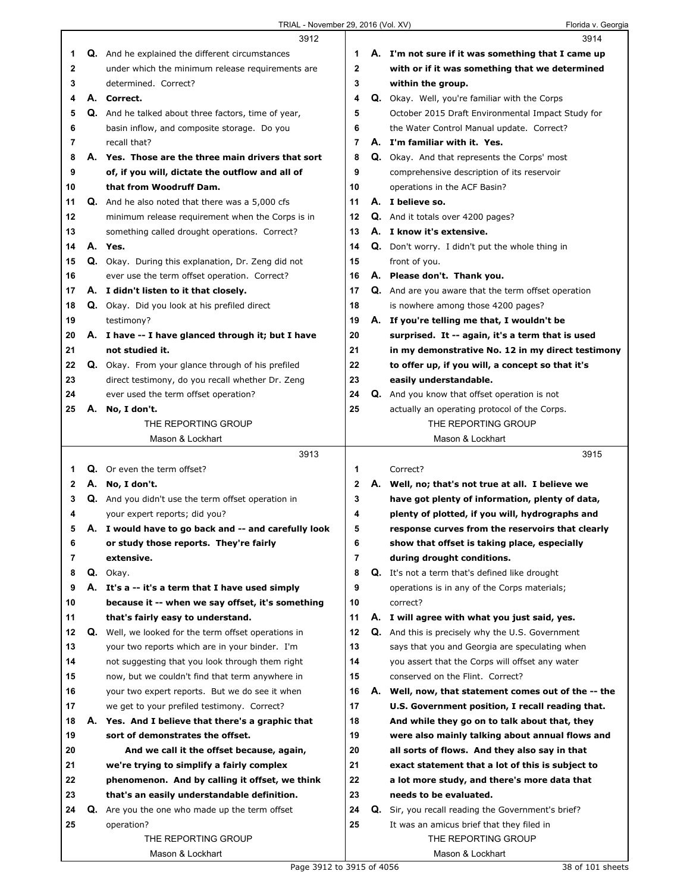|    |    | 3912                                                                                                 |                     | 3914                                                                                                |
|----|----|------------------------------------------------------------------------------------------------------|---------------------|-----------------------------------------------------------------------------------------------------|
| 1  |    | <b>Q.</b> And he explained the different circumstances                                               | 1                   | A. I'm not sure if it was something that I came up                                                  |
| 2  |    | under which the minimum release requirements are                                                     | $\mathbf{2}$        | with or if it was something that we determined                                                      |
| 3  |    | determined. Correct?                                                                                 | 3                   | within the group.                                                                                   |
| 4  |    | A. Correct.                                                                                          | 4                   | <b>Q.</b> Okay. Well, you're familiar with the Corps                                                |
| 5  |    | Q. And he talked about three factors, time of year,                                                  | 5                   | October 2015 Draft Environmental Impact Study for                                                   |
| 6  |    | basin inflow, and composite storage. Do you                                                          | 6                   | the Water Control Manual update. Correct?                                                           |
| 7  |    | recall that?                                                                                         | $\overline{7}$      | A. I'm familiar with it. Yes.                                                                       |
| 8  |    | A. Yes. Those are the three main drivers that sort                                                   | 8                   | <b>Q.</b> Okay. And that represents the Corps' most                                                 |
| 9  |    | of, if you will, dictate the outflow and all of                                                      | 9                   | comprehensive description of its reservoir                                                          |
| 10 |    | that from Woodruff Dam.                                                                              | 10                  | operations in the ACF Basin?                                                                        |
| 11 |    | <b>Q.</b> And he also noted that there was a 5,000 cfs                                               | 11                  | A. I believe so.                                                                                    |
| 12 |    | minimum release requirement when the Corps is in                                                     | 12                  | Q. And it totals over 4200 pages?                                                                   |
| 13 |    | something called drought operations. Correct?                                                        | 13                  | A. I know it's extensive.                                                                           |
| 14 |    | A. Yes.                                                                                              | 14                  | <b>Q.</b> Don't worry. I didn't put the whole thing in                                              |
| 15 |    | Q. Okay. During this explanation, Dr. Zeng did not                                                   | 15                  | front of you.                                                                                       |
| 16 |    | ever use the term offset operation. Correct?                                                         | 16                  | A. Please don't. Thank you.                                                                         |
| 17 |    | A. I didn't listen to it that closely.                                                               | 17                  | Q. And are you aware that the term offset operation                                                 |
| 18 |    | Q. Okay. Did you look at his prefiled direct                                                         | 18                  | is nowhere among those 4200 pages?                                                                  |
| 19 |    | testimony?                                                                                           | 19                  | A. If you're telling me that, I wouldn't be                                                         |
| 20 |    | A. I have -- I have glanced through it; but I have                                                   | 20                  | surprised. It -- again, it's a term that is used                                                    |
| 21 |    | not studied it.                                                                                      | 21                  | in my demonstrative No. 12 in my direct testimony                                                   |
| 22 |    | Q. Okay. From your glance through of his prefiled                                                    | 22                  | to offer up, if you will, a concept so that it's                                                    |
| 23 |    | direct testimony, do you recall whether Dr. Zeng                                                     | 23                  | easily understandable.                                                                              |
| 24 |    | ever used the term offset operation?                                                                 | 24                  | <b>Q.</b> And you know that offset operation is not                                                 |
| 25 | Α. | No, I don't.                                                                                         | 25                  | actually an operating protocol of the Corps.                                                        |
|    |    | THE REPORTING GROUP                                                                                  |                     | THE REPORTING GROUP                                                                                 |
|    |    | Mason & Lockhart                                                                                     |                     | Mason & Lockhart                                                                                    |
|    |    |                                                                                                      |                     |                                                                                                     |
|    |    | 3913                                                                                                 |                     | 3915                                                                                                |
| 1  |    | <b>Q.</b> Or even the term offset?                                                                   | 1                   | Correct?                                                                                            |
| 2  |    | A. No, I don't.                                                                                      | $\mathbf{2}$        | A. Well, no; that's not true at all. I believe we                                                   |
| 3  |    |                                                                                                      | 3                   |                                                                                                     |
| 4  |    | Q. And you didn't use the term offset operation in<br>your expert reports; did you?                  | 4                   | have got plenty of information, plenty of data,                                                     |
| 5  |    | A. I would have to go back and -- and carefully look                                                 | 5                   | plenty of plotted, if you will, hydrographs and<br>response curves from the reservoirs that clearly |
| 6  |    |                                                                                                      |                     |                                                                                                     |
| 7  |    | or study those reports. They're fairly<br>extensive.                                                 | 6<br>$\overline{7}$ | show that offset is taking place, especially                                                        |
| 8  |    | Q. Okay.                                                                                             | 8                   | during drought conditions.<br>Q. It's not a term that's defined like drought                        |
| 9  |    |                                                                                                      | 9                   | operations is in any of the Corps materials;                                                        |
| 10 |    | A. It's a -- it's a term that I have used simply<br>because it -- when we say offset, it's something | 10                  | correct?                                                                                            |
| 11 |    | that's fairly easy to understand.                                                                    | 11                  | A. I will agree with what you just said, yes.                                                       |
| 12 | Q. | Well, we looked for the term offset operations in                                                    | 12                  |                                                                                                     |
| 13 |    | your two reports which are in your binder. I'm                                                       | 13                  | Q. And this is precisely why the U.S. Government<br>says that you and Georgia are speculating when  |
| 14 |    | not suggesting that you look through them right                                                      | 14                  | you assert that the Corps will offset any water                                                     |
| 15 |    | now, but we couldn't find that term anywhere in                                                      | 15                  | conserved on the Flint. Correct?                                                                    |
| 16 |    | your two expert reports. But we do see it when                                                       | 16                  | A. Well, now, that statement comes out of the -- the                                                |
| 17 |    | we get to your prefiled testimony. Correct?                                                          | 17                  | U.S. Government position, I recall reading that.                                                    |
| 18 |    | A. Yes. And I believe that there's a graphic that                                                    | 18                  | And while they go on to talk about that, they                                                       |
| 19 |    | sort of demonstrates the offset.                                                                     | 19                  | were also mainly talking about annual flows and                                                     |
| 20 |    | And we call it the offset because, again,                                                            | 20                  | all sorts of flows. And they also say in that                                                       |
| 21 |    | we're trying to simplify a fairly complex                                                            | 21                  | exact statement that a lot of this is subject to                                                    |
| 22 |    | phenomenon. And by calling it offset, we think                                                       | 22                  | a lot more study, and there's more data that                                                        |
| 23 |    | that's an easily understandable definition.                                                          | 23                  | needs to be evaluated.                                                                              |
| 24 | Q. | Are you the one who made up the term offset                                                          | 24                  | <b>Q.</b> Sir, you recall reading the Government's brief?                                           |
| 25 |    | operation?                                                                                           | 25                  | It was an amicus brief that they filed in                                                           |
|    |    | THE REPORTING GROUP                                                                                  |                     | THE REPORTING GROUP                                                                                 |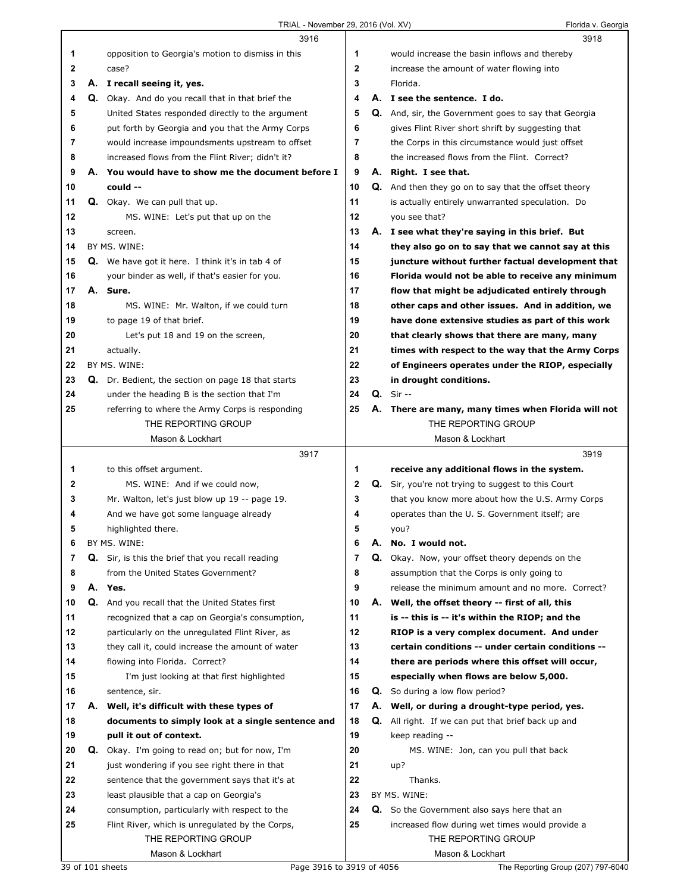|    | 3916                                                   |    |    | 3918                                                        |
|----|--------------------------------------------------------|----|----|-------------------------------------------------------------|
| 1  | opposition to Georgia's motion to dismiss in this      | 1  |    | would increase the basin inflows and thereby                |
| 2  | case?                                                  | 2  |    | increase the amount of water flowing into                   |
| 3  | A. I recall seeing it, yes.                            | 3  |    | Florida.                                                    |
| 4  | Q. Okay. And do you recall that in that brief the      | 4  |    | A. I see the sentence. I do.                                |
| 5  | United States responded directly to the argument       | 5  |    | <b>Q.</b> And, sir, the Government goes to say that Georgia |
| 6  | put forth by Georgia and you that the Army Corps       | 6  |    | gives Flint River short shrift by suggesting that           |
|    |                                                        |    |    |                                                             |
| 7  | would increase impoundsments upstream to offset        | 7  |    | the Corps in this circumstance would just offset            |
| 8  | increased flows from the Flint River; didn't it?       | 8  |    | the increased flows from the Flint. Correct?                |
| 9  | A. You would have to show me the document before I     | 9  |    | A. Right. I see that.                                       |
| 10 | could --                                               | 10 |    | <b>Q.</b> And then they go on to say that the offset theory |
| 11 | Q. Okay. We can pull that up.                          | 11 |    | is actually entirely unwarranted speculation. Do            |
| 12 | MS. WINE: Let's put that up on the                     | 12 |    | you see that?                                               |
| 13 | screen.                                                | 13 |    | A. I see what they're saying in this brief. But             |
| 14 | BY MS. WINE:                                           | 14 |    | they also go on to say that we cannot say at this           |
| 15 | Q. We have got it here. I think it's in tab 4 of       | 15 |    | juncture without further factual development that           |
| 16 | your binder as well, if that's easier for you.         | 16 |    | Florida would not be able to receive any minimum            |
| 17 | A. Sure.                                               | 17 |    | flow that might be adjudicated entirely through             |
| 18 | MS. WINE: Mr. Walton, if we could turn                 | 18 |    | other caps and other issues. And in addition, we            |
| 19 | to page 19 of that brief.                              | 19 |    | have done extensive studies as part of this work            |
| 20 |                                                        | 20 |    |                                                             |
|    | Let's put 18 and 19 on the screen,                     |    |    | that clearly shows that there are many, many                |
| 21 | actually.                                              | 21 |    | times with respect to the way that the Army Corps           |
| 22 | BY MS. WINE:                                           | 22 |    | of Engineers operates under the RIOP, especially            |
| 23 | Q. Dr. Bedient, the section on page 18 that starts     | 23 |    | in drought conditions.                                      |
| 24 | under the heading B is the section that I'm            | 24 |    | $Q.$ Sir $-$                                                |
| 25 | referring to where the Army Corps is responding        | 25 |    | A. There are many, many times when Florida will not         |
|    | THE REPORTING GROUP                                    |    |    | THE REPORTING GROUP                                         |
|    | Mason & Lockhart                                       |    |    | Mason & Lockhart                                            |
|    |                                                        |    |    |                                                             |
|    | 3917                                                   |    |    | 3919                                                        |
| 1  | to this offset argument.                               | 1  |    | receive any additional flows in the system.                 |
| 2  | MS. WINE: And if we could now,                         | 2  |    | Q. Sir, you're not trying to suggest to this Court          |
| 3  | Mr. Walton, let's just blow up 19 -- page 19.          | 3  |    | that you know more about how the U.S. Army Corps            |
| 4  |                                                        | 4  |    |                                                             |
|    | And we have got some language already                  |    |    | operates than the U.S. Government itself; are               |
| 5  | highlighted there.                                     | 5  |    | you?                                                        |
| 6  | BY MS. WINE:                                           | 6  | Α. | No. I would not.                                            |
| 7  | Q. Sir, is this the brief that you recall reading      | 7  | Q. | Okay. Now, your offset theory depends on the                |
| 8  | from the United States Government?                     | 8  |    | assumption that the Corps is only going to                  |
| 9  | A. Yes.                                                | 9  |    | release the minimum amount and no more. Correct?            |
| 10 | Q. And you recall that the United States first         | 10 |    | A. Well, the offset theory -- first of all, this            |
| 11 | recognized that a cap on Georgia's consumption,        | 11 |    | is -- this is -- it's within the RIOP; and the              |
| 12 | particularly on the unregulated Flint River, as        | 12 |    | RIOP is a very complex document. And under                  |
| 13 | they call it, could increase the amount of water       | 13 |    | certain conditions -- under certain conditions --           |
| 14 | flowing into Florida. Correct?                         | 14 |    | there are periods where this offset will occur,             |
| 15 | I'm just looking at that first highlighted             | 15 |    | especially when flows are below 5,000.                      |
| 16 | sentence, sir.                                         | 16 |    | <b>Q.</b> So during a low flow period?                      |
| 17 | A. Well, it's difficult with these types of            | 17 |    | A. Well, or during a drought-type period, yes.              |
| 18 | documents to simply look at a single sentence and      | 18 | Q. | All right. If we can put that brief back up and             |
| 19 | pull it out of context.                                | 19 |    | keep reading --                                             |
| 20 | <b>Q.</b> Okay. I'm going to read on; but for now, I'm | 20 |    | MS. WINE: Jon, can you pull that back                       |
| 21 | just wondering if you see right there in that          | 21 |    | up?                                                         |
|    |                                                        |    |    |                                                             |
| 22 | sentence that the government says that it's at         | 22 |    | Thanks.                                                     |
| 23 | least plausible that a cap on Georgia's                | 23 |    | BY MS. WINE:                                                |
| 24 | consumption, particularly with respect to the          | 24 |    | <b>Q.</b> So the Government also says here that an          |
| 25 | Flint River, which is unregulated by the Corps,        | 25 |    | increased flow during wet times would provide a             |
|    | THE REPORTING GROUP<br>Mason & Lockhart                |    |    | THE REPORTING GROUP<br>Mason & Lockhart                     |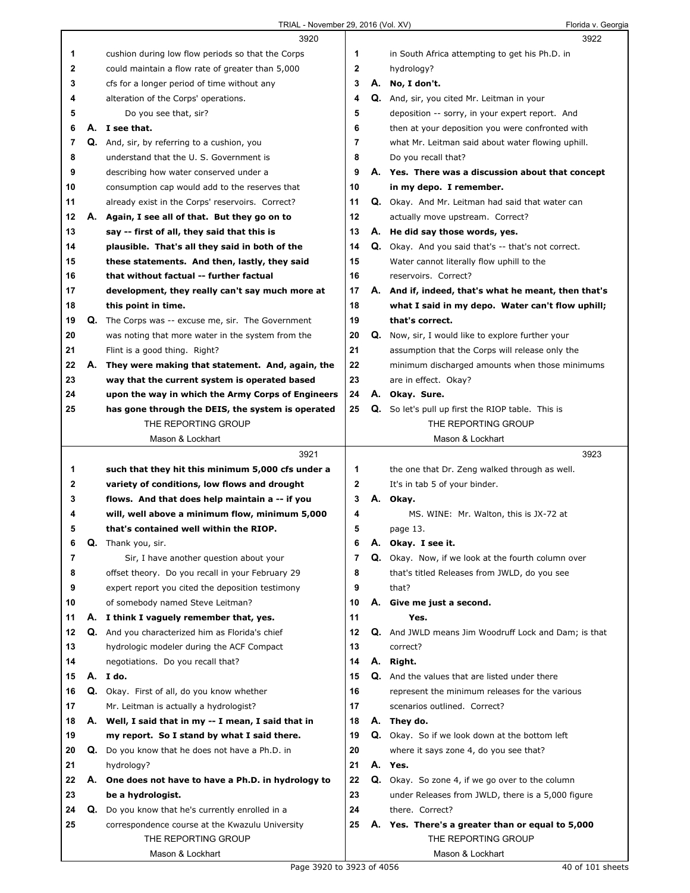|    |    | 3920                                                 |              |          | 3922                                                       |  |
|----|----|------------------------------------------------------|--------------|----------|------------------------------------------------------------|--|
| 1  |    | cushion during low flow periods so that the Corps    | 1            |          | in South Africa attempting to get his Ph.D. in             |  |
| 2  |    | could maintain a flow rate of greater than 5,000     | $\mathbf{2}$ |          | hydrology?                                                 |  |
| 3  |    | cfs for a longer period of time without any          | 3            |          | A. No, I don't.                                            |  |
| 4  |    | alteration of the Corps' operations.                 | 4            |          | Q. And, sir, you cited Mr. Leitman in your                 |  |
| 5  |    | Do you see that, sir?                                | 5            |          | deposition -- sorry, in your expert report. And            |  |
| 6  | А. | I see that.                                          | 6            |          | then at your deposition you were confronted with           |  |
| 7  |    | Q. And, sir, by referring to a cushion, you          | 7            |          | what Mr. Leitman said about water flowing uphill.          |  |
| 8  |    | understand that the U.S. Government is               | 8            |          | Do you recall that?                                        |  |
| 9  |    | describing how water conserved under a               | 9            |          | A. Yes. There was a discussion about that concept          |  |
| 10 |    | consumption cap would add to the reserves that       | 10           |          | in my depo. I remember.                                    |  |
| 11 |    | already exist in the Corps' reservoirs. Correct?     | 11           |          | Q. Okay. And Mr. Leitman had said that water can           |  |
| 12 |    | A. Again, I see all of that. But they go on to       | 12           |          | actually move upstream. Correct?                           |  |
| 13 |    | say -- first of all, they said that this is          | 13           |          | A. He did say those words, yes.                            |  |
| 14 |    | plausible. That's all they said in both of the       | 14           |          | <b>Q.</b> Okay. And you said that's -- that's not correct. |  |
| 15 |    | these statements. And then, lastly, they said        | 15           |          | Water cannot literally flow uphill to the                  |  |
| 16 |    | that without factual -- further factual              | 16           |          | reservoirs. Correct?                                       |  |
| 17 |    | development, they really can't say much more at      | 17           |          | A. And if, indeed, that's what he meant, then that's       |  |
| 18 |    | this point in time.                                  | 18           |          | what I said in my depo. Water can't flow uphill;           |  |
| 19 |    | Q. The Corps was -- excuse me, sir. The Government   | 19           |          | that's correct.                                            |  |
| 20 |    | was noting that more water in the system from the    | 20           | Q.       | Now, sir, I would like to explore further your             |  |
| 21 |    | Flint is a good thing. Right?                        | 21           |          | assumption that the Corps will release only the            |  |
| 22 | А. | They were making that statement. And, again, the     | 22           |          | minimum discharged amounts when those minimums             |  |
| 23 |    | way that the current system is operated based        | 23           |          | are in effect. Okay?                                       |  |
| 24 |    | upon the way in which the Army Corps of Engineers    | 24           |          | A. Okay. Sure.                                             |  |
| 25 |    | has gone through the DEIS, the system is operated    | 25           |          | <b>Q.</b> So let's pull up first the RIOP table. This is   |  |
|    |    | THE REPORTING GROUP                                  |              |          | THE REPORTING GROUP                                        |  |
|    |    | Mason & Lockhart                                     |              |          | Mason & Lockhart                                           |  |
|    |    | 3921                                                 |              |          | 3923                                                       |  |
| 1  |    | such that they hit this minimum 5,000 cfs under a    | 1            |          | the one that Dr. Zeng walked through as well.              |  |
| 2  |    |                                                      |              |          |                                                            |  |
|    |    |                                                      |              |          |                                                            |  |
|    |    | variety of conditions, low flows and drought         | $\mathbf{2}$ |          | It's in tab 5 of your binder.                              |  |
| 3  |    | flows. And that does help maintain a -- if you       | 3            |          | A. Okay.                                                   |  |
| 4  |    | will, well above a minimum flow, minimum 5,000       | 4            |          | MS. WINE: Mr. Walton, this is JX-72 at                     |  |
| 5  |    | that's contained well within the RIOP.               | 5            |          | page 13.                                                   |  |
| 6  | Q. | Thank you, sir.                                      | 6            | А.<br>Q. | Okay. I see it.                                            |  |
| 7  |    | Sir, I have another question about your              | 7            |          | Okay. Now, if we look at the fourth column over            |  |
| 8  |    | offset theory. Do you recall in your February 29     | 8            |          | that's titled Releases from JWLD, do you see               |  |
| 9  |    | expert report you cited the deposition testimony     | 9            |          | that?                                                      |  |
| 10 |    | of somebody named Steve Leitman?                     | 10           |          | A. Give me just a second.                                  |  |
| 11 | А. | I think I vaguely remember that, yes.                | 11           |          | Yes.                                                       |  |
| 12 | Q. | And you characterized him as Florida's chief         | 12           | Q.       | And JWLD means Jim Woodruff Lock and Dam; is that          |  |
| 13 |    | hydrologic modeler during the ACF Compact            | 13           |          | correct?                                                   |  |
| 14 |    | negotiations. Do you recall that?                    | 14           |          | A. Right.                                                  |  |
| 15 | А. | I do.                                                | 15           |          | Q. And the values that are listed under there              |  |
| 16 |    | Q. Okay. First of all, do you know whether           | 16           |          | represent the minimum releases for the various             |  |
| 17 |    | Mr. Leitman is actually a hydrologist?               | 17           |          | scenarios outlined. Correct?                               |  |
| 18 |    | A. Well, I said that in my -- I mean, I said that in | 18           |          | A. They do.                                                |  |
| 19 |    | my report. So I stand by what I said there.          | 19           |          | <b>Q.</b> Okay. So if we look down at the bottom left      |  |
| 20 |    | Q. Do you know that he does not have a Ph.D. in      | 20           |          | where it says zone 4, do you see that?                     |  |
| 21 |    | hydrology?                                           | 21           |          | A. Yes.                                                    |  |
| 22 | А. | One does not have to have a Ph.D. in hydrology to    | 22           |          | Q. Okay. So zone 4, if we go over to the column            |  |
| 23 |    | be a hydrologist.                                    | 23           |          | under Releases from JWLD, there is a 5,000 figure          |  |
| 24 | Q. | Do you know that he's currently enrolled in a        | 24           |          | there. Correct?                                            |  |
| 25 |    | correspondence course at the Kwazulu University      | 25           |          | A. Yes. There's a greater than or equal to 5,000           |  |
|    |    | THE REPORTING GROUP<br>Mason & Lockhart              |              |          | THE REPORTING GROUP<br>Mason & Lockhart                    |  |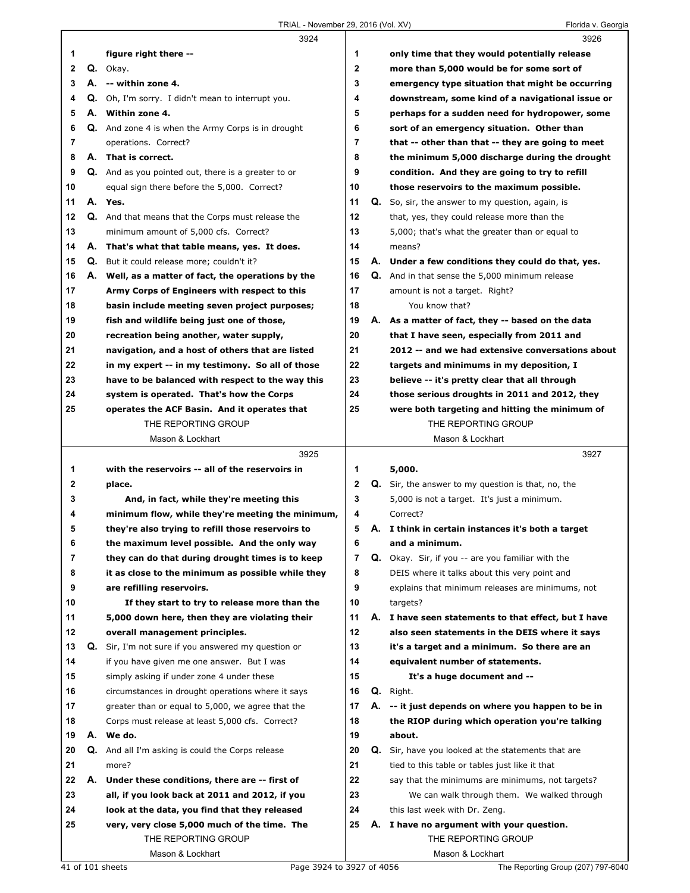|    |    | 3924                                                      |                |    | 3926                                                      |
|----|----|-----------------------------------------------------------|----------------|----|-----------------------------------------------------------|
| 1  |    | figure right there --                                     | 1              |    | only time that they would potentially release             |
| 2  |    | Q. Okay.                                                  | $\mathbf{2}$   |    | more than 5,000 would be for some sort of                 |
| 3  |    | A. -- within zone 4.                                      | 3              |    | emergency type situation that might be occurring          |
| 4  | Q. | Oh, I'm sorry. I didn't mean to interrupt you.            | 4              |    | downstream, some kind of a navigational issue or          |
| 5  |    | A. Within zone 4.                                         | 5              |    | perhaps for a sudden need for hydropower, some            |
| 6  |    | <b>Q.</b> And zone 4 is when the Army Corps is in drought | 6              |    | sort of an emergency situation. Other than                |
| 7  |    | operations. Correct?                                      | $\overline{7}$ |    | that -- other than that -- they are going to meet         |
| 8  |    | A. That is correct.                                       | 8              |    | the minimum 5,000 discharge during the drought            |
| 9  |    | Q. And as you pointed out, there is a greater to or       | 9              |    | condition. And they are going to try to refill            |
| 10 |    | equal sign there before the 5,000. Correct?               | 10             |    | those reservoirs to the maximum possible.                 |
| 11 |    | A. Yes.                                                   | 11             |    | Q. So, sir, the answer to my question, again, is          |
| 12 |    | Q. And that means that the Corps must release the         | 12             |    | that, yes, they could release more than the               |
| 13 |    | minimum amount of 5,000 cfs. Correct?                     | 13             |    | 5,000; that's what the greater than or equal to           |
| 14 |    | A. That's what that table means, yes. It does.            | 14             |    | means?                                                    |
| 15 |    | Q. But it could release more; couldn't it?                | 15             |    | A. Under a few conditions they could do that, yes.        |
| 16 |    | A. Well, as a matter of fact, the operations by the       | 16             |    | <b>Q.</b> And in that sense the 5,000 minimum release     |
| 17 |    | Army Corps of Engineers with respect to this              | 17             |    | amount is not a target. Right?                            |
| 18 |    | basin include meeting seven project purposes;             | 18             |    | You know that?                                            |
| 19 |    | fish and wildlife being just one of those,                | 19             | А. | As a matter of fact, they -- based on the data            |
| 20 |    | recreation being another, water supply,                   | 20             |    | that I have seen, especially from 2011 and                |
| 21 |    | navigation, and a host of others that are listed          | 21             |    | 2012 -- and we had extensive conversations about          |
| 22 |    | in my expert -- in my testimony. So all of those          | 22             |    | targets and minimums in my deposition, I                  |
| 23 |    | have to be balanced with respect to the way this          | 23             |    | believe -- it's pretty clear that all through             |
| 24 |    | system is operated. That's how the Corps                  | 24             |    | those serious droughts in 2011 and 2012, they             |
| 25 |    | operates the ACF Basin. And it operates that              | 25             |    | were both targeting and hitting the minimum of            |
|    |    | THE REPORTING GROUP                                       |                |    | THE REPORTING GROUP                                       |
|    |    | Mason & Lockhart                                          |                |    | Mason & Lockhart                                          |
|    |    |                                                           |                |    |                                                           |
|    |    | 3925                                                      |                |    | 3927                                                      |
| 1  |    | with the reservoirs -- all of the reservoirs in           | 1              |    | 5,000.                                                    |
| 2  |    | place.                                                    | $\mathbf 2$    |    | <b>Q.</b> Sir, the answer to my question is that, no, the |
| 3  |    | And, in fact, while they're meeting this                  | 3              |    | 5,000 is not a target. It's just a minimum.               |
| 4  |    | minimum flow, while they're meeting the minimum,          | 4              |    | Correct?                                                  |
| 5  |    | they're also trying to refill those reservoirs to         | 5              |    | A. I think in certain instances it's both a target        |
| 6  |    | the maximum level possible. And the only way              | 6              |    | and a minimum.                                            |
| 7  |    | they can do that during drought times is to keep          | 7              | Q. | Okay. Sir, if you -- are you familiar with the            |
| 8  |    | it as close to the minimum as possible while they         | 8              |    | DEIS where it talks about this very point and             |
| 9  |    | are refilling reservoirs.                                 | 9              |    | explains that minimum releases are minimums, not          |
| 10 |    | If they start to try to release more than the             | 10             |    | targets?                                                  |
| 11 |    | 5,000 down here, then they are violating their            | 11             | А. | I have seen statements to that effect, but I have         |
| 12 |    | overall management principles.                            | 12             |    | also seen statements in the DEIS where it says            |
| 13 | Q. | Sir, I'm not sure if you answered my question or          | 13             |    | it's a target and a minimum. So there are an              |
| 14 |    | if you have given me one answer. But I was                | 14             |    | equivalent number of statements.                          |
| 15 |    | simply asking if under zone 4 under these                 | 15             |    | It's a huge document and --                               |
| 16 |    | circumstances in drought operations where it says         | 16             | Q. | Right.                                                    |
| 17 |    | greater than or equal to 5,000, we agree that the         | 17             | А. | -- it just depends on where you happen to be in           |
| 18 |    | Corps must release at least 5,000 cfs. Correct?           | 18             |    | the RIOP during which operation you're talking            |
| 19 |    | A. We do.                                                 | 19             |    | about.                                                    |
| 20 |    | <b>Q.</b> And all I'm asking is could the Corps release   | 20             | Q. | Sir, have you looked at the statements that are           |
| 21 |    | more?                                                     | 21             |    | tied to this table or tables just like it that            |
| 22 |    | A. Under these conditions, there are -- first of          | 22             |    | say that the minimums are minimums, not targets?          |
| 23 |    | all, if you look back at 2011 and 2012, if you            | 23             |    | We can walk through them. We walked through               |
| 24 |    | look at the data, you find that they released             | 24             |    | this last week with Dr. Zeng.                             |
| 25 |    | very, very close 5,000 much of the time. The              | 25             |    | A. I have no argument with your question.                 |
|    |    | THE REPORTING GROUP<br>Mason & Lockhart                   |                |    | THE REPORTING GROUP<br>Mason & Lockhart                   |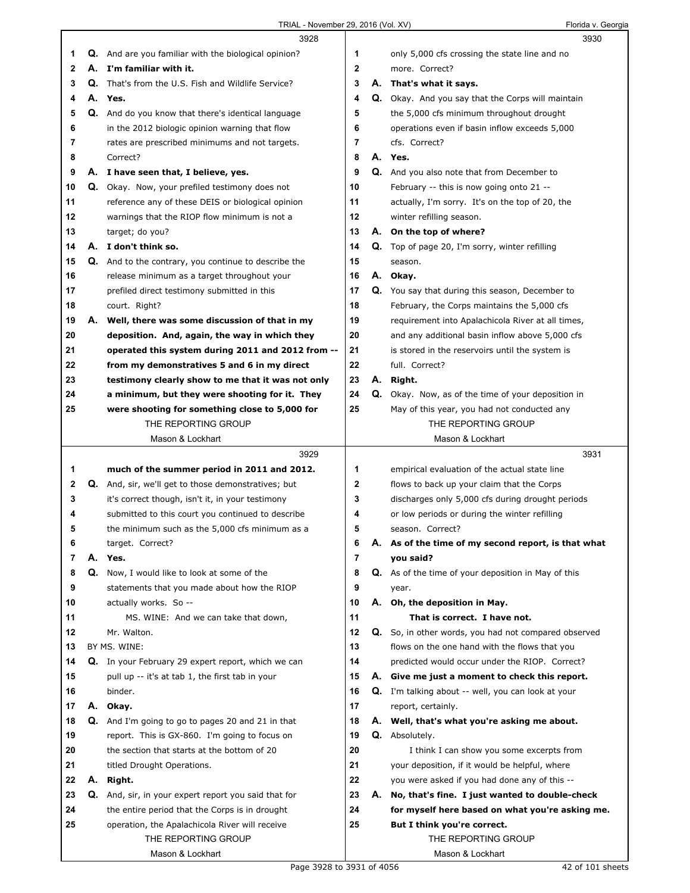|    |    | 3928                                                        |              |    | 3930                                                       |
|----|----|-------------------------------------------------------------|--------------|----|------------------------------------------------------------|
| 1  |    | <b>Q.</b> And are you familiar with the biological opinion? | 1            |    | only 5,000 cfs crossing the state line and no              |
| 2  |    | A. I'm familiar with it.                                    | $\mathbf{2}$ |    | more. Correct?                                             |
| 3  |    | <b>Q.</b> That's from the U.S. Fish and Wildlife Service?   | 3            | А. | That's what it says.                                       |
| 4  |    | A. Yes.                                                     | 4            |    | <b>Q.</b> Okay. And you say that the Corps will maintain   |
| 5  |    | Q. And do you know that there's identical language          | 5            |    |                                                            |
|    |    |                                                             | 6            |    | the 5,000 cfs minimum throughout drought                   |
| 6  |    | in the 2012 biologic opinion warning that flow              |              |    | operations even if basin inflow exceeds 5,000              |
| 7  |    | rates are prescribed minimums and not targets.              | 7            |    | cfs. Correct?                                              |
| 8  |    | Correct?                                                    | 8            |    | A. Yes.                                                    |
| 9  |    | A. I have seen that, I believe, yes.                        | 9            |    | <b>Q.</b> And you also note that from December to          |
| 10 | Q. | Okay. Now, your prefiled testimony does not                 | 10           |    | February -- this is now going onto 21 --                   |
| 11 |    | reference any of these DEIS or biological opinion           | 11           |    | actually, I'm sorry. It's on the top of 20, the            |
| 12 |    | warnings that the RIOP flow minimum is not a                | 12           |    | winter refilling season.                                   |
| 13 |    | target; do you?                                             | 13           |    | A. On the top of where?                                    |
| 14 |    | A. I don't think so.                                        | 14           |    | <b>Q.</b> Top of page 20, I'm sorry, winter refilling      |
| 15 | Q. | And to the contrary, you continue to describe the           | 15           |    | season.                                                    |
| 16 |    | release minimum as a target throughout your                 | 16           |    | A. Okay.                                                   |
| 17 |    | prefiled direct testimony submitted in this                 | 17           |    | <b>Q.</b> You say that during this season, December to     |
| 18 |    | court. Right?                                               | 18           |    | February, the Corps maintains the 5,000 cfs                |
|    |    |                                                             | 19           |    |                                                            |
| 19 |    | A. Well, there was some discussion of that in my            |              |    | requirement into Apalachicola River at all times,          |
| 20 |    | deposition. And, again, the way in which they               | 20           |    | and any additional basin inflow above 5,000 cfs            |
| 21 |    | operated this system during 2011 and 2012 from --           | 21           |    | is stored in the reservoirs until the system is            |
| 22 |    | from my demonstratives 5 and 6 in my direct                 | 22           |    | full. Correct?                                             |
| 23 |    | testimony clearly show to me that it was not only           | 23           | А. | Right.                                                     |
| 24 |    | a minimum, but they were shooting for it. They              | 24           |    | Q. Okay. Now, as of the time of your deposition in         |
| 25 |    | were shooting for something close to 5,000 for              | 25           |    | May of this year, you had not conducted any                |
|    |    | THE REPORTING GROUP                                         |              |    | THE REPORTING GROUP                                        |
|    |    | Mason & Lockhart                                            |              |    | Mason & Lockhart                                           |
|    |    |                                                             |              |    |                                                            |
|    |    | 3929                                                        |              |    | 3931                                                       |
| 1  |    | much of the summer period in 2011 and 2012.                 | 1            |    | empirical evaluation of the actual state line              |
| 2  |    | Q. And, sir, we'll get to those demonstratives; but         | 2            |    |                                                            |
| 3  |    |                                                             | 3            |    | flows to back up your claim that the Corps                 |
|    |    | it's correct though, isn't it, in your testimony            | 4            |    | discharges only 5,000 cfs during drought periods           |
| 4  |    | submitted to this court you continued to describe           |              |    | or low periods or during the winter refilling              |
| 5  |    | the minimum such as the 5,000 cfs minimum as a              | 5            |    | season. Correct?                                           |
| 6  |    | target. Correct?                                            | 6            |    | A. As of the time of my second report, is that what        |
| 7  | А. | Yes.                                                        | 7            |    | you said?                                                  |
| 8  | Q. | Now, I would like to look at some of the                    | 8            |    | <b>Q.</b> As of the time of your deposition in May of this |
| 9  |    | statements that you made about how the RIOP                 | 9            |    | year.                                                      |
| 10 |    | actually works. So --                                       | 10           |    | A. Oh, the deposition in May.                              |
| 11 |    | MS. WINE: And we can take that down,                        | 11           |    | That is correct. I have not.                               |
| 12 |    | Mr. Walton.                                                 | 12           | Q. | So, in other words, you had not compared observed          |
| 13 |    | BY MS. WINE:                                                | 13           |    | flows on the one hand with the flows that you              |
| 14 |    | Q. In your February 29 expert report, which we can          | 14           |    | predicted would occur under the RIOP. Correct?             |
| 15 |    | pull up -- it's at tab 1, the first tab in your             | 15           |    | A. Give me just a moment to check this report.             |
| 16 |    | binder.                                                     | 16           |    | Q. I'm talking about -- well, you can look at your         |
| 17 |    | A. Okay.                                                    | 17           |    | report, certainly.                                         |
| 18 |    | <b>Q.</b> And I'm going to go to pages 20 and 21 in that    | 18           |    | A. Well, that's what you're asking me about.               |
| 19 |    | report. This is GX-860. I'm going to focus on               | 19           |    | <b>Q.</b> Absolutely.                                      |
| 20 |    | the section that starts at the bottom of 20                 | 20           |    | I think I can show you some excerpts from                  |
| 21 |    |                                                             | 21           |    |                                                            |
|    |    | titled Drought Operations.                                  |              |    | your deposition, if it would be helpful, where             |
| 22 | А. | Right.                                                      | 22           |    | you were asked if you had done any of this --              |
| 23 |    | Q. And, sir, in your expert report you said that for        | 23           | А. | No, that's fine. I just wanted to double-check             |
| 24 |    | the entire period that the Corps is in drought              | 24           |    | for myself here based on what you're asking me.            |
| 25 |    | operation, the Apalachicola River will receive              | 25           |    | But I think you're correct.                                |
|    |    | THE REPORTING GROUP<br>Mason & Lockhart                     |              |    | THE REPORTING GROUP<br>Mason & Lockhart                    |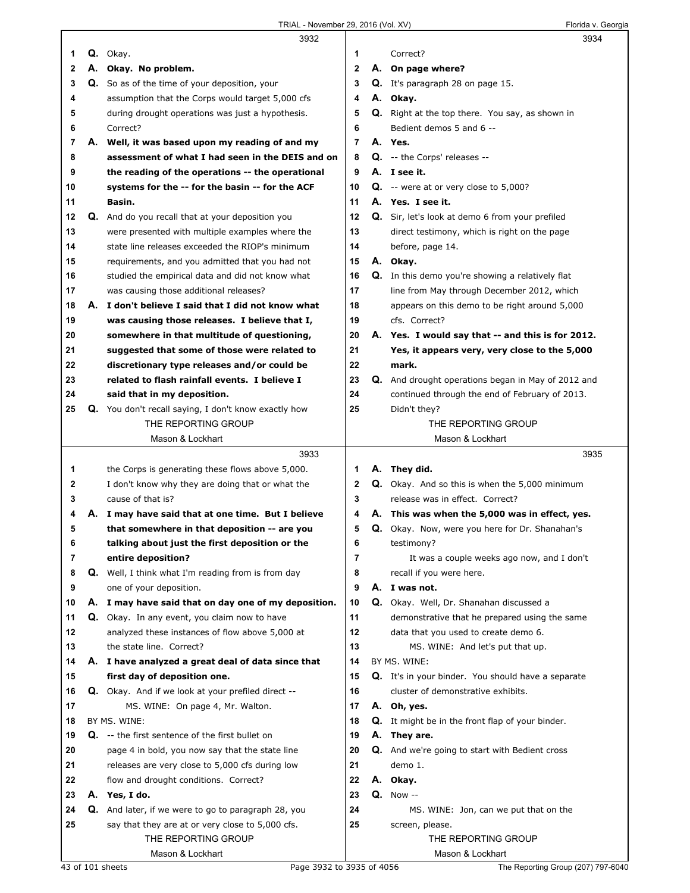|    | 3932                                                   |                | 3934                                                      |  |
|----|--------------------------------------------------------|----------------|-----------------------------------------------------------|--|
| 1  | Q. Okay.                                               | 1              | Correct?                                                  |  |
| 2  | A. Okay. No problem.                                   | 2              | A. On page where?                                         |  |
| 3  | <b>Q.</b> So as of the time of your deposition, your   | 3              | Q. It's paragraph 28 on page 15.                          |  |
| 4  | assumption that the Corps would target 5,000 cfs       | 4              | A. Okay.                                                  |  |
| 5  | during drought operations was just a hypothesis.       | 5              | Q. Right at the top there. You say, as shown in           |  |
| 6  | Correct?                                               | 6              | Bedient demos 5 and 6 --                                  |  |
| 7  | A. Well, it was based upon my reading of and my        | $\overline{7}$ | A. Yes.                                                   |  |
| 8  | assessment of what I had seen in the DEIS and on       | 8              | Q. -- the Corps' releases --                              |  |
| 9  | the reading of the operations -- the operational       | 9              | A. I see it.                                              |  |
| 10 | systems for the -- for the basin -- for the ACF        | 10             | $Q.$ -- were at or very close to 5,000?                   |  |
| 11 | Basin.                                                 | 11             | A. Yes. I see it.                                         |  |
| 12 | Q. And do you recall that at your deposition you       | 12             | Q. Sir, let's look at demo 6 from your prefiled           |  |
| 13 | were presented with multiple examples where the        | 13             | direct testimony, which is right on the page              |  |
| 14 | state line releases exceeded the RIOP's minimum        | 14             | before, page 14.                                          |  |
| 15 | requirements, and you admitted that you had not        | 15             | A. Okay.                                                  |  |
| 16 | studied the empirical data and did not know what       | 16             | <b>Q.</b> In this demo you're showing a relatively flat   |  |
| 17 | was causing those additional releases?                 | 17             | line from May through December 2012, which                |  |
| 18 | A. I don't believe I said that I did not know what     | 18             | appears on this demo to be right around 5,000             |  |
| 19 | was causing those releases. I believe that I,          | 19             | cfs. Correct?                                             |  |
| 20 | somewhere in that multitude of questioning,            | 20             | A. Yes. I would say that -- and this is for 2012.         |  |
| 21 | suggested that some of those were related to           | 21             | Yes, it appears very, very close to the 5,000             |  |
| 22 | discretionary type releases and/or could be            | 22             | mark.                                                     |  |
| 23 | related to flash rainfall events. I believe I          | 23             | <b>Q.</b> And drought operations began in May of 2012 and |  |
| 24 | said that in my deposition.                            | 24             | continued through the end of February of 2013.            |  |
| 25 | Q. You don't recall saying, I don't know exactly how   | 25             | Didn't they?                                              |  |
|    | THE REPORTING GROUP                                    |                | THE REPORTING GROUP                                       |  |
|    | Mason & Lockhart                                       |                | Mason & Lockhart                                          |  |
|    |                                                        |                |                                                           |  |
|    | 3933                                                   |                | 3935                                                      |  |
| 1  | the Corps is generating these flows above 5,000.       | 1              | A. They did.                                              |  |
| 2  | I don't know why they are doing that or what the       | 2              | <b>Q.</b> Okay. And so this is when the 5,000 minimum     |  |
| 3  | cause of that is?                                      | 3              | release was in effect. Correct?                           |  |
| 4  | A. I may have said that at one time. But I believe     | 4              | A. This was when the 5,000 was in effect, yes.            |  |
| 5  | that somewhere in that deposition -- are you           | 5              | Q. Okay. Now, were you here for Dr. Shanahan's            |  |
| 6  | talking about just the first deposition or the         | 6              | testimony?                                                |  |
| 7  | entire deposition?                                     | 7              | It was a couple weeks ago now, and I don't                |  |
| 8  | Q. Well, I think what I'm reading from is from day     | 8              | recall if you were here.                                  |  |
| 9  | one of your deposition.                                | 9              | A. I was not.                                             |  |
| 10 | A. I may have said that on day one of my deposition.   | 10             | Q. Okay. Well, Dr. Shanahan discussed a                   |  |
| 11 | Q. Okay. In any event, you claim now to have           | 11             | demonstrative that he prepared using the same             |  |
| 12 | analyzed these instances of flow above 5,000 at        | 12             | data that you used to create demo 6.                      |  |
| 13 | the state line. Correct?                               | 13             | MS. WINE: And let's put that up.                          |  |
| 14 | A. I have analyzed a great deal of data since that     | 14             | BY MS. WINE:                                              |  |
| 15 | first day of deposition one.                           | 15             | Q. It's in your binder. You should have a separate        |  |
| 16 | Q. Okay. And if we look at your prefiled direct --     | 16             | cluster of demonstrative exhibits.                        |  |
| 17 | MS. WINE: On page 4, Mr. Walton.                       | 17             | A. Oh, yes.                                               |  |
| 18 | BY MS. WINE:                                           | 18             | Q. It might be in the front flap of your binder.          |  |
| 19 | <b>Q.</b> -- the first sentence of the first bullet on | 19             | A. They are.                                              |  |
| 20 | page 4 in bold, you now say that the state line        | 20             | <b>Q.</b> And we're going to start with Bedient cross     |  |
| 21 | releases are very close to 5,000 cfs during low        | 21             | demo 1.                                                   |  |
| 22 | flow and drought conditions. Correct?                  | 22             | A. Okay.                                                  |  |
| 23 | A. Yes, I do.                                          | 23             | <b>Q.</b> Now --                                          |  |
| 24 | Q. And later, if we were to go to paragraph 28, you    | 24             | MS. WINE: Jon, can we put that on the                     |  |
| 25 | say that they are at or very close to 5,000 cfs.       | 25             | screen, please.                                           |  |
|    | THE REPORTING GROUP                                    |                | THE REPORTING GROUP                                       |  |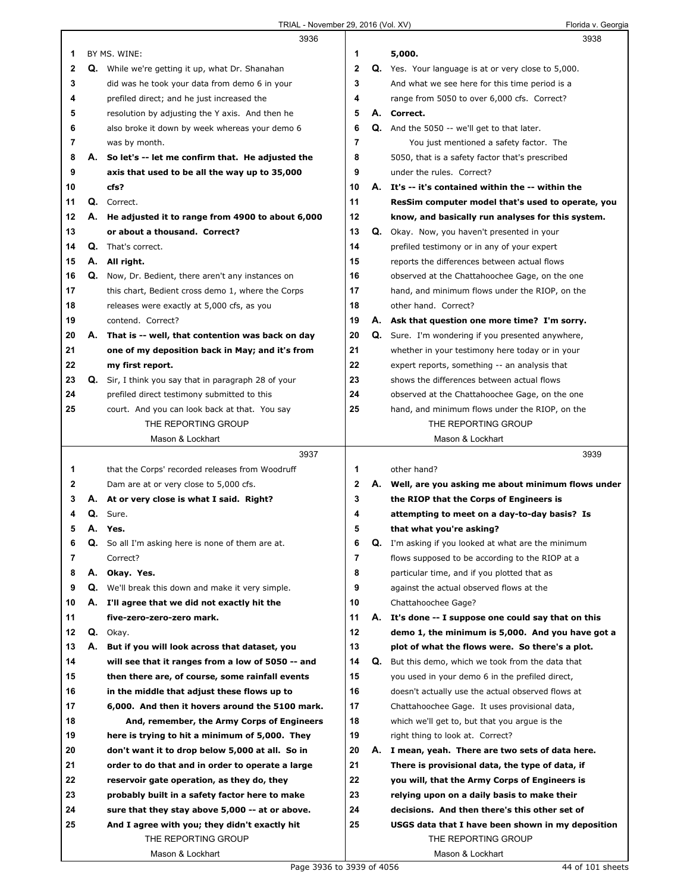|    |    | 3936                                                 |                |    | 3938                                                       |
|----|----|------------------------------------------------------|----------------|----|------------------------------------------------------------|
| 1  |    | BY MS. WINE:                                         | 1              |    | 5,000.                                                     |
| 2  |    | Q. While we're getting it up, what Dr. Shanahan      | $\mathbf{2}$   |    | <b>Q.</b> Yes. Your language is at or very close to 5,000. |
| 3  |    | did was he took your data from demo 6 in your        | 3              |    | And what we see here for this time period is a             |
| 4  |    | prefiled direct; and he just increased the           | 4              |    | range from 5050 to over 6,000 cfs. Correct?                |
| 5  |    | resolution by adjusting the Y axis. And then he      | 5              |    | A. Correct.                                                |
| 6  |    | also broke it down by week whereas your demo 6       | 6              |    | Q. And the 5050 -- we'll get to that later.                |
| 7  |    | was by month.                                        | 7              |    | You just mentioned a safety factor. The                    |
| 8  | А. | So let's -- let me confirm that. He adjusted the     | 8              |    | 5050, that is a safety factor that's prescribed            |
| 9  |    |                                                      | 9              |    | under the rules. Correct?                                  |
|    |    | axis that used to be all the way up to 35,000        |                |    |                                                            |
| 10 |    | cfs?                                                 | 10             |    | A. It's -- it's contained within the -- within the         |
| 11 |    | Q. Correct.                                          | 11             |    | ResSim computer model that's used to operate, you          |
| 12 |    | A. He adjusted it to range from 4900 to about 6,000  | 12             |    | know, and basically run analyses for this system.          |
| 13 |    | or about a thousand. Correct?                        | 13             |    | Q. Okay. Now, you haven't presented in your                |
| 14 | Q. | That's correct.                                      | 14             |    | prefiled testimony or in any of your expert                |
| 15 | А. | All right.                                           | 15             |    | reports the differences between actual flows               |
| 16 | Q. | Now, Dr. Bedient, there aren't any instances on      | 16             |    | observed at the Chattahoochee Gage, on the one             |
| 17 |    | this chart, Bedient cross demo 1, where the Corps    | 17             |    | hand, and minimum flows under the RIOP, on the             |
| 18 |    | releases were exactly at 5,000 cfs, as you           | 18             |    | other hand. Correct?                                       |
| 19 |    | contend. Correct?                                    | 19             |    | A. Ask that question one more time? I'm sorry.             |
| 20 |    | A. That is -- well, that contention was back on day  | 20             |    | <b>Q.</b> Sure. I'm wondering if you presented anywhere,   |
| 21 |    | one of my deposition back in May; and it's from      | 21             |    | whether in your testimony here today or in your            |
| 22 |    | my first report.                                     | 22             |    | expert reports, something -- an analysis that              |
| 23 |    | Q. Sir, I think you say that in paragraph 28 of your | 23             |    | shows the differences between actual flows                 |
| 24 |    | prefiled direct testimony submitted to this          | 24             |    | observed at the Chattahoochee Gage, on the one             |
| 25 |    | court. And you can look back at that. You say        | 25             |    | hand, and minimum flows under the RIOP, on the             |
|    |    | THE REPORTING GROUP                                  |                |    | THE REPORTING GROUP                                        |
|    |    | Mason & Lockhart                                     |                |    | Mason & Lockhart                                           |
|    |    |                                                      |                |    |                                                            |
|    |    |                                                      |                |    |                                                            |
|    |    | 3937                                                 |                |    | 3939                                                       |
| 1  |    | that the Corps' recorded releases from Woodruff      | 1              |    | other hand?                                                |
| 2  |    | Dam are at or very close to 5,000 cfs.               | $\mathbf 2$    |    | A. Well, are you asking me about minimum flows under       |
| 3  |    | A. At or very close is what I said. Right?           | 3              |    | the RIOP that the Corps of Engineers is                    |
| 4  |    | Q. Sure.                                             | 4              |    | attempting to meet on a day-to-day basis? Is               |
| 5  |    | A. Yes.                                              | 5              |    | that what you're asking?                                   |
| 6  | Q. | So all I'm asking here is none of them are at.       | 6              | Q. | I'm asking if you looked at what are the minimum           |
| 7  |    | Correct?                                             | $\overline{7}$ |    | flows supposed to be according to the RIOP at a            |
| 8  |    | A. Okay. Yes.                                        | 8              |    | particular time, and if you plotted that as                |
| 9  | Q. | We'll break this down and make it very simple.       | 9              |    | against the actual observed flows at the                   |
| 10 |    | A. I'll agree that we did not exactly hit the        | 10             |    | Chattahoochee Gage?                                        |
| 11 |    | five-zero-zero-zero mark.                            | 11             |    | A. It's done -- I suppose one could say that on this       |
| 12 |    | Q. Okay.                                             | 12             |    | demo 1, the minimum is 5,000. And you have got a           |
| 13 | А. | But if you will look across that dataset, you        | 13             |    | plot of what the flows were. So there's a plot.            |
| 14 |    | will see that it ranges from a low of 5050 -- and    | 14             | Q. | But this demo, which we took from the data that            |
| 15 |    | then there are, of course, some rainfall events      | 15             |    | you used in your demo 6 in the prefiled direct,            |
| 16 |    | in the middle that adjust these flows up to          | 16             |    | doesn't actually use the actual observed flows at          |
| 17 |    | 6,000. And then it hovers around the 5100 mark.      | 17             |    | Chattahoochee Gage. It uses provisional data,              |
| 18 |    | And, remember, the Army Corps of Engineers           | 18             |    | which we'll get to, but that you argue is the              |
| 19 |    | here is trying to hit a minimum of 5,000. They       | 19             |    | right thing to look at. Correct?                           |
|    |    |                                                      | 20             |    |                                                            |
| 20 |    | don't want it to drop below 5,000 at all. So in      |                |    | A. I mean, yeah. There are two sets of data here.          |
| 21 |    | order to do that and in order to operate a large     | 21             |    | There is provisional data, the type of data, if            |
| 22 |    | reservoir gate operation, as they do, they           | 22             |    | you will, that the Army Corps of Engineers is              |
| 23 |    | probably built in a safety factor here to make       | 23             |    | relying upon on a daily basis to make their                |
| 24 |    | sure that they stay above 5,000 -- at or above.      | 24             |    | decisions. And then there's this other set of              |
| 25 |    | And I agree with you; they didn't exactly hit        | 25             |    | USGS data that I have been shown in my deposition          |
|    |    | THE REPORTING GROUP<br>Mason & Lockhart              |                |    | THE REPORTING GROUP<br>Mason & Lockhart                    |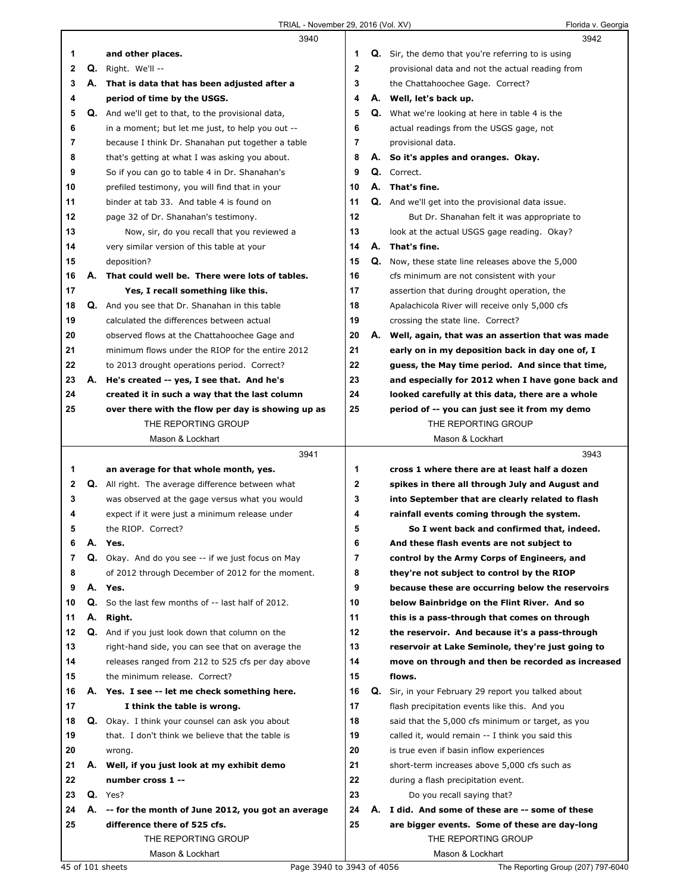|          |    | 3940                                                                               |             | 3942                                                        |
|----------|----|------------------------------------------------------------------------------------|-------------|-------------------------------------------------------------|
| 1        |    | and other places.                                                                  | 1           | <b>Q.</b> Sir, the demo that you're referring to is using   |
| 2        |    | Q. Right. We'll --                                                                 | $\mathbf 2$ | provisional data and not the actual reading from            |
| 3        | А. | That is data that has been adjusted after a                                        | 3           | the Chattahoochee Gage. Correct?                            |
| 4        |    | period of time by the USGS.                                                        | 4           | A. Well, let's back up.                                     |
| 5        |    | Q. And we'll get to that, to the provisional data,                                 | 5           | <b>Q.</b> What we're looking at here in table 4 is the      |
| 6        |    | in a moment; but let me just, to help you out --                                   | 6           | actual readings from the USGS gage, not                     |
| 7        |    | because I think Dr. Shanahan put together a table                                  | 7           | provisional data.                                           |
| 8        |    | that's getting at what I was asking you about.                                     | 8           | A. So it's apples and oranges. Okay.                        |
| 9        |    | So if you can go to table 4 in Dr. Shanahan's                                      | 9           | Q. Correct.                                                 |
| 10       |    | prefiled testimony, you will find that in your                                     | 10          | A. That's fine.                                             |
| 11       |    | binder at tab 33. And table 4 is found on                                          | 11          | Q. And we'll get into the provisional data issue.           |
| 12       |    | page 32 of Dr. Shanahan's testimony.                                               | 12          | But Dr. Shanahan felt it was appropriate to                 |
| 13       |    | Now, sir, do you recall that you reviewed a                                        | 13          | look at the actual USGS gage reading. Okay?                 |
| 14       |    | very similar version of this table at your                                         | 14          | A. That's fine.                                             |
| 15       |    | deposition?                                                                        | 15          | Q. Now, these state line releases above the 5,000           |
| 16       | А. | That could well be. There were lots of tables.                                     | 16          | cfs minimum are not consistent with your                    |
| 17       |    | Yes, I recall something like this.                                                 | 17          | assertion that during drought operation, the                |
| 18       |    | Q. And you see that Dr. Shanahan in this table                                     | 18          | Apalachicola River will receive only 5,000 cfs              |
| 19       |    | calculated the differences between actual                                          | 19          | crossing the state line. Correct?                           |
| 20       |    | observed flows at the Chattahoochee Gage and                                       | 20          | A. Well, again, that was an assertion that was made         |
| 21       |    | minimum flows under the RIOP for the entire 2012                                   | 21          | early on in my deposition back in day one of, I             |
| 22       |    | to 2013 drought operations period. Correct?                                        | 22          | guess, the May time period. And since that time,            |
| 23       |    | A. He's created -- yes, I see that. And he's                                       | 23          | and especially for 2012 when I have gone back and           |
| 24       |    | created it in such a way that the last column                                      | 24          | looked carefully at this data, there are a whole            |
| 25       |    | over there with the flow per day is showing up as                                  | 25          | period of -- you can just see it from my demo               |
|          |    | THE REPORTING GROUP                                                                |             | THE REPORTING GROUP                                         |
|          |    | Mason & Lockhart                                                                   |             | Mason & Lockhart                                            |
|          |    |                                                                                    |             |                                                             |
|          |    | 3941                                                                               |             | 3943                                                        |
| 1        |    | an average for that whole month, yes.                                              | 1           | cross 1 where there are at least half a dozen               |
| 2        |    | <b>Q.</b> All right. The average difference between what                           | 2           | spikes in there all through July and August and             |
| 3        |    | was observed at the gage versus what you would                                     | 3           | into September that are clearly related to flash            |
| 4        |    | expect if it were just a minimum release under                                     | 4           | rainfall events coming through the system.                  |
| 5        |    | the RIOP. Correct?                                                                 | 5           | So I went back and confirmed that, indeed.                  |
| 6        | А. | Yes.                                                                               | 6           | And these flash events are not subject to                   |
| 7        | Q. | Okay. And do you see -- if we just focus on May                                    | 7           | control by the Army Corps of Engineers, and                 |
| 8        |    | of 2012 through December of 2012 for the moment.                                   | 8           | they're not subject to control by the RIOP                  |
| 9        |    | A. Yes.                                                                            | 9           | because these are occurring below the reservoirs            |
| 10       | Q. | So the last few months of -- last half of 2012.                                    | 10          | below Bainbridge on the Flint River. And so                 |
| 11       | А. | Right.                                                                             | 11          | this is a pass-through that comes on through                |
| 12<br>13 | Q. | And if you just look down that column on the                                       | 12          | the reservoir. And because it's a pass-through              |
| 14       |    | right-hand side, you can see that on average the                                   | 13          | reservoir at Lake Seminole, they're just going to           |
| 15       |    | releases ranged from 212 to 525 cfs per day above<br>the minimum release. Correct? | 14<br>15    | move on through and then be recorded as increased<br>flows. |
| 16       |    | A. Yes. I see -- let me check something here.                                      | 16          | Q. Sir, in your February 29 report you talked about         |
| 17       |    | I think the table is wrong.                                                        | 17          | flash precipitation events like this. And you               |
| 18       |    | <b>Q.</b> Okay. I think your counsel can ask you about                             | 18          | said that the 5,000 cfs minimum or target, as you           |
| 19       |    | that. I don't think we believe that the table is                                   | 19          | called it, would remain -- I think you said this            |
| 20       |    | wrong.                                                                             | 20          | is true even if basin inflow experiences                    |
| 21       |    | A. Well, if you just look at my exhibit demo                                       | 21          | short-term increases above 5,000 cfs such as                |
| 22       |    | number cross 1 --                                                                  | 22          | during a flash precipitation event.                         |
| 23       |    | $Q.$ Yes?                                                                          | 23          | Do you recall saying that?                                  |
| 24       | А. | -- for the month of June 2012, you got an average                                  | 24          | A. I did. And some of these are -- some of these            |
| 25       |    | difference there of 525 cfs.                                                       | 25          | are bigger events. Some of these are day-long               |
|          |    | THE REPORTING GROUP                                                                |             | THE REPORTING GROUP                                         |
|          |    | Mason & Lockhart                                                                   |             | Mason & Lockhart                                            |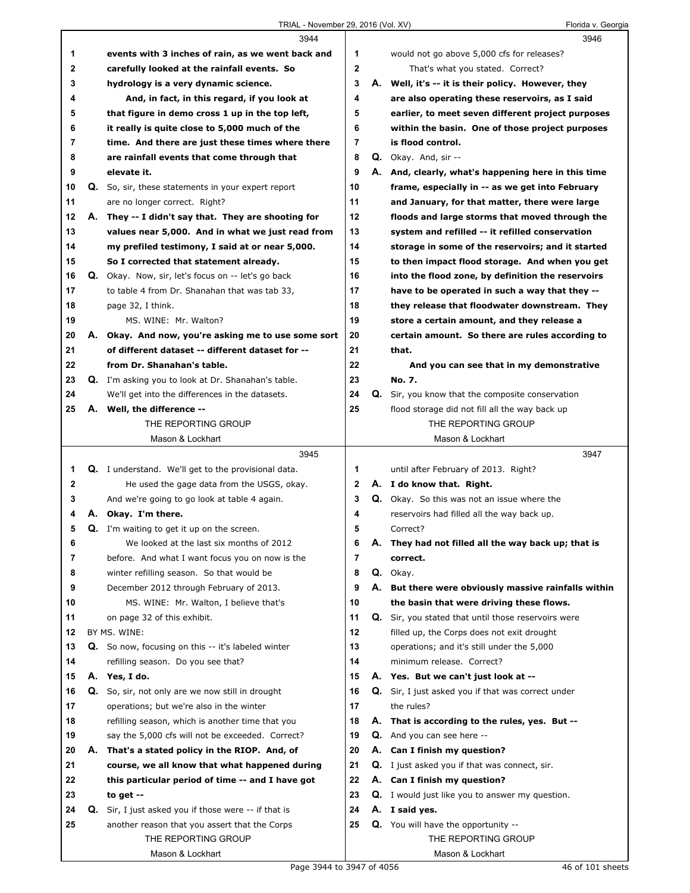|              |    | 3944                                                       |                |    | 3946                                                   |
|--------------|----|------------------------------------------------------------|----------------|----|--------------------------------------------------------|
| 1            |    | events with 3 inches of rain, as we went back and          | 1              |    | would not go above 5,000 cfs for releases?             |
| $\mathbf{2}$ |    | carefully looked at the rainfall events. So                | $\overline{2}$ |    | That's what you stated. Correct?                       |
| 3            |    | hydrology is a very dynamic science.                       | 3              |    | A. Well, it's -- it is their policy. However, they     |
| 4            |    | And, in fact, in this regard, if you look at               | 4              |    | are also operating these reservoirs, as I said         |
| 5            |    | that figure in demo cross 1 up in the top left,            | 5              |    | earlier, to meet seven different project purposes      |
| 6            |    | it really is quite close to 5,000 much of the              | 6              |    | within the basin. One of those project purposes        |
| 7            |    | time. And there are just these times where there           | 7              |    | is flood control.                                      |
| 8            |    | are rainfall events that come through that                 | 8              |    | Q. Okay. And, sir --                                   |
| 9            |    | elevate it.                                                | 9              |    | A. And, clearly, what's happening here in this time    |
| 10           |    | Q. So, sir, these statements in your expert report         | 10             |    | frame, especially in -- as we get into February        |
| 11           |    | are no longer correct. Right?                              | 11             |    | and January, for that matter, there were large         |
| 12           |    | A. They -- I didn't say that. They are shooting for        | 12             |    | floods and large storms that moved through the         |
| 13           |    | values near 5,000. And in what we just read from           | 13             |    | system and refilled -- it refilled conservation        |
| 14           |    | my prefiled testimony, I said at or near 5,000.            | 14             |    | storage in some of the reservoirs; and it started      |
| 15           |    | So I corrected that statement already.                     | 15             |    | to then impact flood storage. And when you get         |
| 16           |    | <b>Q.</b> Okay. Now, sir, let's focus on -- let's go back  | 16             |    | into the flood zone, by definition the reservoirs      |
| 17           |    | to table 4 from Dr. Shanahan that was tab 33,              | 17             |    | have to be operated in such a way that they --         |
| 18           |    | page 32, I think.                                          | 18             |    | they release that floodwater downstream. They          |
| 19           |    | MS. WINE: Mr. Walton?                                      | 19             |    | store a certain amount, and they release a             |
| 20           | А. | Okay. And now, you're asking me to use some sort           | 20             |    | certain amount. So there are rules according to        |
| 21           |    | of different dataset -- different dataset for --           | 21             |    | that.                                                  |
| 22           |    | from Dr. Shanahan's table.                                 | 22             |    | And you can see that in my demonstrative               |
| 23           |    | Q. I'm asking you to look at Dr. Shanahan's table.         | 23             |    | No. 7.                                                 |
| 24           |    | We'll get into the differences in the datasets.            | 24             |    | Q. Sir, you know that the composite conservation       |
| 25           |    | A. Well, the difference --                                 | 25             |    | flood storage did not fill all the way back up         |
|              |    | THE REPORTING GROUP                                        |                |    | THE REPORTING GROUP                                    |
|              |    | Mason & Lockhart                                           |                |    | Mason & Lockhart                                       |
|              |    |                                                            |                |    |                                                        |
|              |    | 3945                                                       |                |    | 3947                                                   |
| 1            |    | <b>Q.</b> I understand. We'll get to the provisional data. | 1              |    | until after February of 2013. Right?                   |
| 2            |    | He used the gage data from the USGS, okay.                 | $\mathbf{2}$   |    | A. I do know that. Right.                              |
| 3            |    | And we're going to go look at table 4 again.               | 3              |    | Q. Okay. So this was not an issue where the            |
| 4            |    | A. Okay. I'm there.                                        | 4              |    | reservoirs had filled all the way back up.             |
| 5            |    | Q. I'm waiting to get it up on the screen.                 | 5              |    | Correct?                                               |
| 6            |    | We looked at the last six months of 2012                   | 6              |    | A. They had not filled all the way back up; that is    |
| 7            |    | before. And what I want focus you on now is the            | 7              |    | correct.                                               |
| 8            |    | winter refilling season. So that would be                  | 8              |    | Q. Okay.                                               |
| 9            |    | December 2012 through February of 2013.                    | 9              | А. | But there were obviously massive rainfalls within      |
| 10           |    | MS. WINE: Mr. Walton, I believe that's                     | 10             |    | the basin that were driving these flows.               |
| 11           |    | on page 32 of this exhibit.                                | 11             |    | Q. Sir, you stated that until those reservoirs were    |
| 12           |    | BY MS. WINE:                                               | 12             |    | filled up, the Corps does not exit drought             |
| 13           | Q. | So now, focusing on this -- it's labeled winter            | 13             |    | operations; and it's still under the 5,000             |
| 14           |    | refilling season. Do you see that?                         | 14             |    | minimum release. Correct?                              |
| 15           |    | A. Yes, I do.                                              | 15             |    | A. Yes. But we can't just look at --                   |
| 16           | Q. | So, sir, not only are we now still in drought              | 16             |    | Q. Sir, I just asked you if that was correct under     |
| 17           |    | operations; but we're also in the winter                   | 17             |    | the rules?                                             |
| 18           |    | refilling season, which is another time that you           | 18             | А. | That is according to the rules, yes. But --            |
| 19           |    | say the 5,000 cfs will not be exceeded. Correct?           | 19             | Q. | And you can see here --                                |
| 20           |    | A. That's a stated policy in the RIOP. And, of             | 20             | А. | Can I finish my question?                              |
| 21           |    | course, we all know that what happened during              | 21             | Q. | I just asked you if that was connect, sir.             |
| 22           |    | this particular period of time -- and I have got           | 22             | А. | Can I finish my question?                              |
| 23           |    | to get $-$                                                 | 23             |    | <b>Q.</b> I would just like you to answer my question. |
| 24           | Q. | Sir, I just asked you if those were -- if that is          | 24             |    | A. I said yes.                                         |
| 25           |    | another reason that you assert that the Corps              | 25             |    | Q. You will have the opportunity --                    |
|              |    | THE REPORTING GROUP<br>Mason & Lockhart                    |                |    | THE REPORTING GROUP<br>Mason & Lockhart                |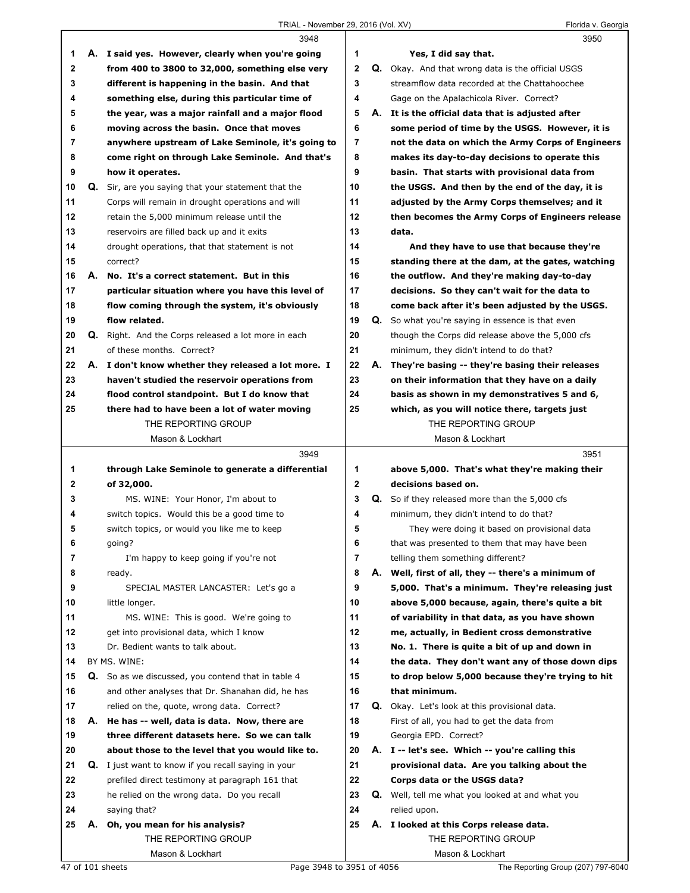|              | 3948                                                |              |    | 3950                                                     |
|--------------|-----------------------------------------------------|--------------|----|----------------------------------------------------------|
| 1            | A. I said yes. However, clearly when you're going   | 1            |    | Yes, I did say that.                                     |
| $\mathbf 2$  | from 400 to 3800 to 32,000, something else very     | $\mathbf{2}$ |    | <b>Q.</b> Okay. And that wrong data is the official USGS |
| 3            | different is happening in the basin. And that       | 3            |    | streamflow data recorded at the Chattahoochee            |
| 4            | something else, during this particular time of      | 4            |    | Gage on the Apalachicola River. Correct?                 |
| 5            | the year, was a major rainfall and a major flood    | 5            |    | A. It is the official data that is adjusted after        |
| 6            | moving across the basin. Once that moves            | 6            |    | some period of time by the USGS. However, it is          |
| 7            | anywhere upstream of Lake Seminole, it's going to   | 7            |    | not the data on which the Army Corps of Engineers        |
| 8            | come right on through Lake Seminole. And that's     | 8            |    | makes its day-to-day decisions to operate this           |
| 9            | how it operates.                                    | 9            |    | basin. That starts with provisional data from            |
| 10           | Q. Sir, are you saying that your statement that the | 10           |    | the USGS. And then by the end of the day, it is          |
| 11           | Corps will remain in drought operations and will    | 11           |    | adjusted by the Army Corps themselves; and it            |
| 12           | retain the 5,000 minimum release until the          | 12           |    | then becomes the Army Corps of Engineers release         |
| 13           | reservoirs are filled back up and it exits          | 13           |    | data.                                                    |
| 14           | drought operations, that that statement is not      | 14           |    | And they have to use that because they're                |
| 15           | correct?                                            | 15           |    | standing there at the dam, at the gates, watching        |
| 16           | A. No. It's a correct statement. But in this        | 16           |    | the outflow. And they're making day-to-day               |
| 17           | particular situation where you have this level of   | 17           |    | decisions. So they can't wait for the data to            |
| 18           | flow coming through the system, it's obviously      | 18           |    | come back after it's been adjusted by the USGS.          |
| 19           | flow related.                                       | 19           |    | Q. So what you're saying in essence is that even         |
| 20           | Q. Right. And the Corps released a lot more in each | 20           |    | though the Corps did release above the 5,000 cfs         |
| 21           | of these months. Correct?                           | 21           |    | minimum, they didn't intend to do that?                  |
| 22           | A. I don't know whether they released a lot more. I | 22           | А. | They're basing -- they're basing their releases          |
| 23           | haven't studied the reservoir operations from       | 23           |    | on their information that they have on a daily           |
| 24           | flood control standpoint. But I do know that        | 24           |    | basis as shown in my demonstratives 5 and 6,             |
| 25           | there had to have been a lot of water moving        | 25           |    | which, as you will notice there, targets just            |
|              | THE REPORTING GROUP                                 |              |    | THE REPORTING GROUP                                      |
|              | Mason & Lockhart                                    |              |    | Mason & Lockhart                                         |
|              |                                                     |              |    |                                                          |
|              |                                                     |              |    |                                                          |
|              | 3949                                                |              |    | 3951                                                     |
| 1            | through Lake Seminole to generate a differential    | 1            |    | above 5,000. That's what they're making their            |
| $\mathbf{2}$ | of 32,000.                                          | $\mathbf{2}$ |    | decisions based on.                                      |
| 3            | MS. WINE: Your Honor, I'm about to                  | 3            | Q. | So if they released more than the 5,000 cfs              |
| 4            | switch topics. Would this be a good time to         | 4            |    | minimum, they didn't intend to do that?                  |
| 5            | switch topics, or would you like me to keep         | 5            |    | They were doing it based on provisional data             |
| 6            | going?                                              | 6            |    | that was presented to them that may have been            |
| 7            | I'm happy to keep going if you're not               | 7            |    | telling them something different?                        |
| 8            | ready.                                              | 8            | А. | Well, first of all, they -- there's a minimum of         |
| 9            | SPECIAL MASTER LANCASTER: Let's go a                | 9            |    | 5,000. That's a minimum. They're releasing just          |
| 10           | little longer.                                      | 10           |    | above 5,000 because, again, there's quite a bit          |
| 11           | MS. WINE: This is good. We're going to              | 11           |    | of variability in that data, as you have shown           |
| 12           | get into provisional data, which I know             | 12           |    | me, actually, in Bedient cross demonstrative             |
| 13           | Dr. Bedient wants to talk about.                    | 13           |    | No. 1. There is quite a bit of up and down in            |
| 14           | BY MS. WINE:                                        | 14           |    | the data. They don't want any of those down dips         |
| 15           | Q. So as we discussed, you contend that in table 4  | 15           |    | to drop below 5,000 because they're trying to hit        |
| 16           | and other analyses that Dr. Shanahan did, he has    | 16           |    | that minimum.                                            |
| 17           | relied on the, quote, wrong data. Correct?          | 17           |    | Q. Okay. Let's look at this provisional data.            |
| 18           | A. He has -- well, data is data. Now, there are     | 18           |    | First of all, you had to get the data from               |
| 19           | three different datasets here. So we can talk       | 19           |    | Georgia EPD. Correct?                                    |
| 20           | about those to the level that you would like to.    | 20           |    | A. I -- let's see. Which -- you're calling this          |
| 21           | Q. I just want to know if you recall saying in your | 21           |    | provisional data. Are you talking about the              |
| 22           | prefiled direct testimony at paragraph 161 that     | 22           |    | Corps data or the USGS data?                             |
| 23           | he relied on the wrong data. Do you recall          | 23           |    | <b>Q.</b> Well, tell me what you looked at and what you  |
| 24           | saying that?                                        | 24           |    | relied upon.                                             |
| 25           | A. Oh, you mean for his analysis?                   | 25           |    | A. I looked at this Corps release data.                  |
|              | THE REPORTING GROUP<br>Mason & Lockhart             |              |    | THE REPORTING GROUP<br>Mason & Lockhart                  |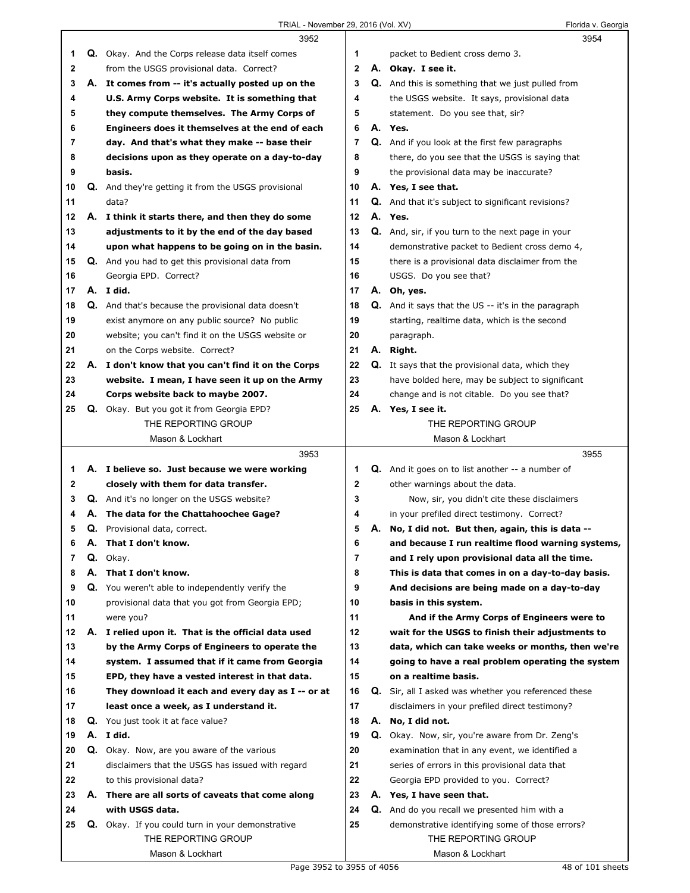## TRIAL - November 29, 2016 (Vol. XV) Florida v. Georgia

|              |    | 3952                                                                    |                |    | 3954                                                                   |  |
|--------------|----|-------------------------------------------------------------------------|----------------|----|------------------------------------------------------------------------|--|
| 1            |    | Q. Okay. And the Corps release data itself comes                        | 1              |    | packet to Bedient cross demo 3.                                        |  |
| $\mathbf{2}$ |    | from the USGS provisional data. Correct?                                | 2              |    | A. Okay. I see it.                                                     |  |
| 3            |    | A. It comes from -- it's actually posted up on the                      | 3              |    | Q. And this is something that we just pulled from                      |  |
| 4            |    | U.S. Army Corps website. It is something that                           | 4              |    | the USGS website. It says, provisional data                            |  |
| 5            |    | they compute themselves. The Army Corps of                              | 5              |    | statement. Do you see that, sir?                                       |  |
| 6            |    | Engineers does it themselves at the end of each                         | 6              |    | A. Yes.                                                                |  |
| 7            |    | day. And that's what they make -- base their                            | 7              |    | Q. And if you look at the first few paragraphs                         |  |
| 8            |    | decisions upon as they operate on a day-to-day                          | 8              |    | there, do you see that the USGS is saying that                         |  |
| 9            |    | basis.                                                                  | 9              |    | the provisional data may be inaccurate?                                |  |
| 10           |    | <b>Q.</b> And they're getting it from the USGS provisional              | 10             |    | A. Yes, I see that.                                                    |  |
| 11           |    | data?                                                                   | 11             | Q. | And that it's subject to significant revisions?                        |  |
| 12           |    | A. I think it starts there, and then they do some                       | 12             |    | A. Yes.                                                                |  |
| 13           |    | adjustments to it by the end of the day based                           | 13             |    | Q. And, sir, if you turn to the next page in your                      |  |
| 14           |    | upon what happens to be going on in the basin.                          | 14             |    | demonstrative packet to Bedient cross demo 4,                          |  |
| 15           |    | Q. And you had to get this provisional data from                        | 15             |    | there is a provisional data disclaimer from the                        |  |
| 16           |    | Georgia EPD. Correct?                                                   | 16             |    | USGS. Do you see that?                                                 |  |
| 17           |    | A. I did.                                                               | 17             |    | A. Oh, yes.                                                            |  |
| 18           |    | Q. And that's because the provisional data doesn't                      | 18             |    | <b>Q.</b> And it says that the US -- it's in the paragraph             |  |
| 19           |    | exist anymore on any public source? No public                           | 19             |    | starting, realtime data, which is the second                           |  |
| 20           |    | website; you can't find it on the USGS website or                       | 20             |    | paragraph.                                                             |  |
| 21           |    | on the Corps website. Correct?                                          | 21             |    | A. Right.                                                              |  |
| 22           |    | A. I don't know that you can't find it on the Corps                     | 22             |    | <b>Q.</b> It says that the provisional data, which they                |  |
| 23           |    | website. I mean, I have seen it up on the Army                          | 23             |    | have bolded here, may be subject to significant                        |  |
| 24           |    | Corps website back to maybe 2007.                                       | 24             |    | change and is not citable. Do you see that?                            |  |
| 25           |    | <b>Q.</b> Okay. But you got it from Georgia EPD?                        | 25             |    | A. Yes, I see it.                                                      |  |
|              |    | THE REPORTING GROUP                                                     |                |    | THE REPORTING GROUP                                                    |  |
|              |    | Mason & Lockhart                                                        |                |    | Mason & Lockhart                                                       |  |
|              |    |                                                                         |                |    |                                                                        |  |
|              |    | 3953                                                                    |                |    | 3955                                                                   |  |
| 1            |    | A. I believe so. Just because we were working                           | 1              |    | <b>Q.</b> And it goes on to list another -- a number of                |  |
| 2            |    | closely with them for data transfer.                                    | $\mathbf{2}$   |    | other warnings about the data.                                         |  |
| 3            |    | Q. And it's no longer on the USGS website?                              | 3              |    | Now, sir, you didn't cite these disclaimers                            |  |
| 4            |    | A. The data for the Chattahoochee Gage?                                 | 4              |    | in your prefiled direct testimony. Correct?                            |  |
| 5            |    | Q. Provisional data, correct.                                           | 5              |    | A. No, I did not. But then, again, this is data --                     |  |
| 6            | Α. | That I don't know.                                                      | 6              |    | and because I run realtime flood warning systems,                      |  |
| 7            |    | Q. Okay.                                                                | $\overline{7}$ |    | and I rely upon provisional data all the time.                         |  |
| 8            | А. | That I don't know.                                                      | 8              |    | This is data that comes in on a day-to-day basis.                      |  |
| 9            |    | Q. You weren't able to independently verify the                         | 9              |    | And decisions are being made on a day-to-day                           |  |
| 10           |    | provisional data that you got from Georgia EPD;                         | 10             |    | basis in this system.                                                  |  |
| 11           |    | were you?                                                               | 11             |    | And if the Army Corps of Engineers were to                             |  |
| 12           | А. | I relied upon it. That is the official data used                        | 12             |    | wait for the USGS to finish their adjustments to                       |  |
| 13           |    | by the Army Corps of Engineers to operate the                           | 13             |    | data, which can take weeks or months, then we're                       |  |
| 14           |    | system. I assumed that if it came from Georgia                          | 14             |    | going to have a real problem operating the system                      |  |
| 15           |    | EPD, they have a vested interest in that data.                          | 15             |    | on a realtime basis.                                                   |  |
| 16           |    | They download it each and every day as I -- or at                       | 16             |    | Q. Sir, all I asked was whether you referenced these                   |  |
| 17           |    | least once a week, as I understand it.                                  | 17             |    | disclaimers in your prefiled direct testimony?                         |  |
| 18           |    | <b>Q.</b> You just took it at face value?                               | 18             |    | A. No, I did not.                                                      |  |
| 19           |    | A. I did.                                                               | 19             |    | Q. Okay. Now, sir, you're aware from Dr. Zeng's                        |  |
| 20           |    | Q. Okay. Now, are you aware of the various                              | 20             |    | examination that in any event, we identified a                         |  |
| 21           |    | disclaimers that the USGS has issued with regard                        | 21             |    | series of errors in this provisional data that                         |  |
| 22           |    | to this provisional data?                                               | 22             |    | Georgia EPD provided to you. Correct?                                  |  |
| 23           |    | A. There are all sorts of caveats that come along                       | 23             |    | A. Yes, I have seen that.                                              |  |
| 24           |    | with USGS data.                                                         | 24             |    | Q. And do you recall we presented him with a                           |  |
| 25           |    | Q. Okay. If you could turn in your demonstrative<br>THE REPORTING GROUP | 25             |    | demonstrative identifying some of those errors?<br>THE REPORTING GROUP |  |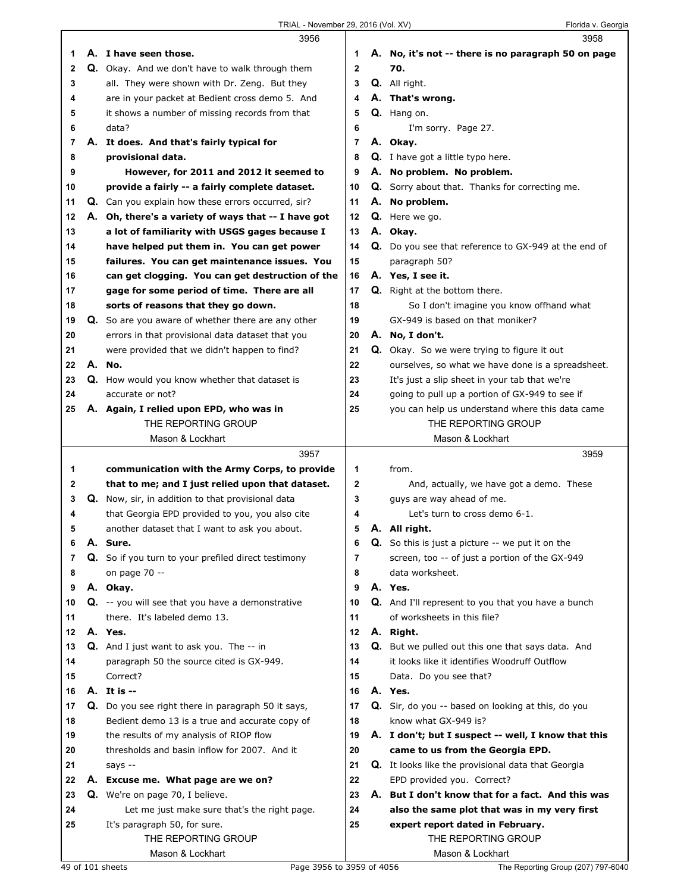|    |    | 3956                                                |              | 3958                                                    |
|----|----|-----------------------------------------------------|--------------|---------------------------------------------------------|
| 1. |    | A. I have seen those.                               | 1            | A. No, it's not -- there is no paragraph 50 on page     |
| 2  |    | Q. Okay. And we don't have to walk through them     | $\mathbf{2}$ | 70.                                                     |
| 3  |    | all. They were shown with Dr. Zeng. But they        | 3            | Q. All right.                                           |
| 4  |    | are in your packet at Bedient cross demo 5. And     | 4            | A. That's wrong.                                        |
| 5  |    | it shows a number of missing records from that      | 5            | Q. Hang on.                                             |
| 6  |    | data?                                               | 6            | I'm sorry. Page 27.                                     |
| 7  |    | A. It does. And that's fairly typical for           | 7            | A. Okay.                                                |
| 8  |    | provisional data.                                   | 8            | Q. I have got a little typo here.                       |
| 9  |    | However, for 2011 and 2012 it seemed to             | 9            | A. No problem. No problem.                              |
| 10 |    | provide a fairly -- a fairly complete dataset.      | 10           | Q. Sorry about that. Thanks for correcting me.          |
| 11 |    | Q. Can you explain how these errors occurred, sir?  | 11           | A. No problem.                                          |
| 12 |    | A. Oh, there's a variety of ways that -- I have got | 12           | Q. Here we go.                                          |
| 13 |    | a lot of familiarity with USGS gages because I      | 13           | A. Okay.                                                |
| 14 |    | have helped put them in. You can get power          | 14           | Q. Do you see that reference to GX-949 at the end of    |
| 15 |    | failures. You can get maintenance issues. You       | 15           | paragraph 50?                                           |
| 16 |    | can get clogging. You can get destruction of the    | 16           | A. Yes, I see it.                                       |
| 17 |    | gage for some period of time. There are all         | 17           | Q. Right at the bottom there.                           |
| 18 |    | sorts of reasons that they go down.                 | 18           | So I don't imagine you know offhand what                |
| 19 |    | Q. So are you aware of whether there are any other  | 19           | GX-949 is based on that moniker?                        |
| 20 |    | errors in that provisional data dataset that you    | 20           | A. No, I don't.                                         |
| 21 |    | were provided that we didn't happen to find?        | 21           | Q. Okay. So we were trying to figure it out             |
| 22 |    | A. No.                                              | 22           | ourselves, so what we have done is a spreadsheet.       |
| 23 |    | Q. How would you know whether that dataset is       | 23           | It's just a slip sheet in your tab that we're           |
| 24 |    | accurate or not?                                    | 24           | going to pull up a portion of GX-949 to see if          |
| 25 |    | A. Again, I relied upon EPD, who was in             | 25           | you can help us understand where this data came         |
|    |    | THE REPORTING GROUP                                 |              | THE REPORTING GROUP                                     |
|    |    | Mason & Lockhart                                    |              | Mason & Lockhart                                        |
|    |    |                                                     |              |                                                         |
|    |    | 3957                                                |              | 3959                                                    |
| 1  |    | communication with the Army Corps, to provide       | 1            | from.                                                   |
| 2  |    | that to me; and I just relied upon that dataset.    | $\mathbf 2$  | And, actually, we have got a demo. These                |
| 3  | Q. | Now, sir, in addition to that provisional data      | 3            | guys are way ahead of me.                               |
| 4  |    | that Georgia EPD provided to you, you also cite     | 4            | Let's turn to cross demo 6-1.                           |
| 5  |    | another dataset that I want to ask you about.       | 5            | A. All right.                                           |
| 6  |    | A. Sure.                                            | 6            | <b>Q.</b> So this is just a picture -- we put it on the |
| 7  |    | Q. So if you turn to your prefiled direct testimony | 7            | screen, too -- of just a portion of the GX-949          |
| 8  |    | on page 70 --                                       | 8            | data worksheet.                                         |
| 9  |    | A. Okay.                                            | 9            | A. Yes.                                                 |
| 10 |    | Q. -- you will see that you have a demonstrative    | 10           | Q. And I'll represent to you that you have a bunch      |
| 11 |    | there. It's labeled demo 13.                        | 11           | of worksheets in this file?                             |
| 12 |    | A. Yes.                                             | 12           | A. Right.                                               |
| 13 |    | <b>Q.</b> And I just want to ask you. The -- in     | 13           | Q. But we pulled out this one that says data. And       |
| 14 |    | paragraph 50 the source cited is GX-949.            | 14           | it looks like it identifies Woodruff Outflow            |
| 15 |    | Correct?                                            | 15           | Data. Do you see that?                                  |
| 16 |    | A. It is --                                         | 16           | A. Yes.                                                 |
| 17 |    | Q. Do you see right there in paragraph 50 it says,  | 17           | Q. Sir, do you -- based on looking at this, do you      |
| 18 |    | Bedient demo 13 is a true and accurate copy of      | 18           | know what GX-949 is?                                    |
| 19 |    | the results of my analysis of RIOP flow             | 19           | A. I don't; but I suspect -- well, I know that this     |
| 20 |    | thresholds and basin inflow for 2007. And it        | 20           | came to us from the Georgia EPD.                        |
| 21 |    | says --                                             | 21           | Q. It looks like the provisional data that Georgia      |
| 22 |    | A. Excuse me. What page are we on?                  | 22           | EPD provided you. Correct?                              |
| 23 |    | Q. We're on page 70, I believe.                     | 23           | A. But I don't know that for a fact. And this was       |
| 24 |    | Let me just make sure that's the right page.        | 24           | also the same plot that was in my very first            |
| 25 |    | It's paragraph 50, for sure.                        | 25           | expert report dated in February.                        |
|    |    | THE REPORTING GROUP                                 |              | THE REPORTING GROUP                                     |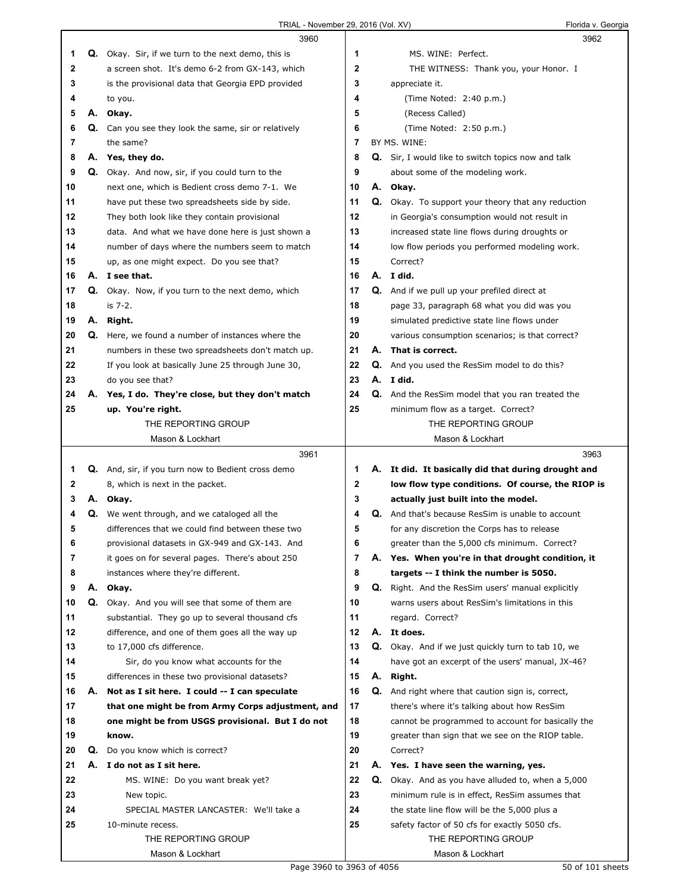|          |    | 3960                                                                                              |          |    | 3962                                                                                                |
|----------|----|---------------------------------------------------------------------------------------------------|----------|----|-----------------------------------------------------------------------------------------------------|
| 1        |    | <b>Q.</b> Okay. Sir, if we turn to the next demo, this is                                         | 1        |    | MS. WINE: Perfect.                                                                                  |
| 2        |    | a screen shot. It's demo 6-2 from GX-143, which                                                   | 2        |    | THE WITNESS: Thank you, your Honor. I                                                               |
| 3        |    | is the provisional data that Georgia EPD provided                                                 | 3        |    | appreciate it.                                                                                      |
| 4        |    | to you.                                                                                           | 4        |    | (Time Noted: 2:40 p.m.)                                                                             |
| 5        | А. | Okay.                                                                                             | 5        |    | (Recess Called)                                                                                     |
| 6        | Q. | Can you see they look the same, sir or relatively                                                 | 6        |    | (Time Noted: 2:50 p.m.)                                                                             |
| 7        |    | the same?                                                                                         | 7        |    | BY MS. WINE:                                                                                        |
| 8        |    | A. Yes, they do.                                                                                  | 8        |    | Q. Sir, I would like to switch topics now and talk                                                  |
| 9        |    | Q. Okay. And now, sir, if you could turn to the                                                   | 9        |    | about some of the modeling work.                                                                    |
| 10       |    | next one, which is Bedient cross demo 7-1. We                                                     | 10       |    | A. Okay.                                                                                            |
| 11       |    |                                                                                                   | 11       | Q. |                                                                                                     |
| 12       |    | have put these two spreadsheets side by side.                                                     | 12       |    | Okay. To support your theory that any reduction                                                     |
|          |    | They both look like they contain provisional                                                      |          |    | in Georgia's consumption would not result in                                                        |
| 13       |    | data. And what we have done here is just shown a                                                  | 13       |    | increased state line flows during droughts or                                                       |
| 14       |    | number of days where the numbers seem to match                                                    | 14       |    | low flow periods you performed modeling work.                                                       |
| 15       |    | up, as one might expect. Do you see that?                                                         | 15       |    | Correct?                                                                                            |
| 16       |    | A. I see that.                                                                                    | 16       |    | A. I did.                                                                                           |
| 17       | Q. | Okay. Now, if you turn to the next demo, which                                                    | 17       |    | Q. And if we pull up your prefiled direct at                                                        |
| 18       |    | is 7-2.                                                                                           | 18       |    | page 33, paragraph 68 what you did was you                                                          |
| 19       |    | A. Right.                                                                                         | 19       |    | simulated predictive state line flows under                                                         |
| 20       |    | Q. Here, we found a number of instances where the                                                 | 20       |    | various consumption scenarios; is that correct?                                                     |
| 21       |    | numbers in these two spreadsheets don't match up.                                                 | 21       | А. | That is correct.                                                                                    |
| 22       |    | If you look at basically June 25 through June 30,                                                 | 22       | Q. | And you used the ResSim model to do this?                                                           |
| 23       |    | do you see that?                                                                                  | 23       |    | A. I did.                                                                                           |
| 24       | А. | Yes, I do. They're close, but they don't match                                                    | 24       |    | Q. And the ResSim model that you ran treated the                                                    |
| 25       |    | up. You're right.                                                                                 | 25       |    | minimum flow as a target. Correct?                                                                  |
|          |    | THE REPORTING GROUP                                                                               |          |    | THE REPORTING GROUP                                                                                 |
|          |    | Mason & Lockhart                                                                                  |          |    | Mason & Lockhart                                                                                    |
|          |    | 3961                                                                                              |          |    | 3963                                                                                                |
|          |    |                                                                                                   |          |    |                                                                                                     |
| 1        |    | <b>Q.</b> And, sir, if you turn now to Bedient cross demo                                         | 1.       |    | A. It did. It basically did that during drought and                                                 |
| 2        |    | 8, which is next in the packet.                                                                   | 2        |    | low flow type conditions. Of course, the RIOP is                                                    |
| 3        |    | A. Okay.                                                                                          | 3        |    | actually just built into the model.                                                                 |
| 4        | Q. | We went through, and we cataloged all the                                                         | 4        |    | <b>Q.</b> And that's because ResSim is unable to account                                            |
| 5        |    | differences that we could find between these two                                                  | 5        |    | for any discretion the Corps has to release                                                         |
| b        |    |                                                                                                   | 6        |    | greater than the 5,000 cfs minimum. Correct?                                                        |
| 7        |    | provisional datasets in GX-949 and GX-143. And<br>it goes on for several pages. There's about 250 | 7        |    | A. Yes. When you're in that drought condition, it                                                   |
| 8        |    |                                                                                                   | 8        |    |                                                                                                     |
| 9        | А. | instances where they're different.                                                                | 9        |    | targets -- I think the number is 5050.                                                              |
| 10       | Q. | Okay.<br>Okay. And you will see that some of them are                                             | 10       |    | Q. Right. And the ResSim users' manual explicitly<br>warns users about ResSim's limitations in this |
|          |    |                                                                                                   |          |    |                                                                                                     |
| 11<br>12 |    | substantial. They go up to several thousand cfs                                                   | 11<br>12 |    | regard. Correct?<br>A. It does.                                                                     |
|          |    | difference, and one of them goes all the way up                                                   |          |    |                                                                                                     |
| 13       |    | to 17,000 cfs difference.                                                                         | 13       |    | Q. Okay. And if we just quickly turn to tab 10, we                                                  |
| 14       |    | Sir, do you know what accounts for the                                                            | 14       |    | have got an excerpt of the users' manual, JX-46?                                                    |
| 15       |    | differences in these two provisional datasets?                                                    | 15       | А. | Right.                                                                                              |
| 16       | А. | Not as I sit here. I could -- I can speculate                                                     | 16       |    | Q. And right where that caution sign is, correct,                                                   |
| 17       |    | that one might be from Army Corps adjustment, and                                                 | 17       |    | there's where it's talking about how ResSim                                                         |
| 18       |    | one might be from USGS provisional. But I do not                                                  | 18       |    | cannot be programmed to account for basically the                                                   |
| 19       |    | know.                                                                                             | 19       |    | greater than sign that we see on the RIOP table.                                                    |
| 20       | Q. | Do you know which is correct?                                                                     | 20       |    | Correct?                                                                                            |
| 21       | А. | I do not as I sit here.                                                                           | 21       |    | A. Yes. I have seen the warning, yes.                                                               |
| 22       |    | MS. WINE: Do you want break yet?                                                                  | 22       |    | Q. Okay. And as you have alluded to, when a 5,000                                                   |
| 23       |    | New topic.                                                                                        | 23       |    | minimum rule is in effect, ResSim assumes that                                                      |
| 24       |    | SPECIAL MASTER LANCASTER: We'll take a                                                            | 24       |    | the state line flow will be the 5,000 plus a                                                        |
| 25       |    | 10-minute recess.                                                                                 | 25       |    | safety factor of 50 cfs for exactly 5050 cfs.                                                       |
|          |    | THE REPORTING GROUP                                                                               |          |    | THE REPORTING GROUP                                                                                 |
|          |    | Mason & Lockhart<br>Page 3960 to 3963 of 4056                                                     |          |    | Mason & Lockhart<br>50 of 101 sheets                                                                |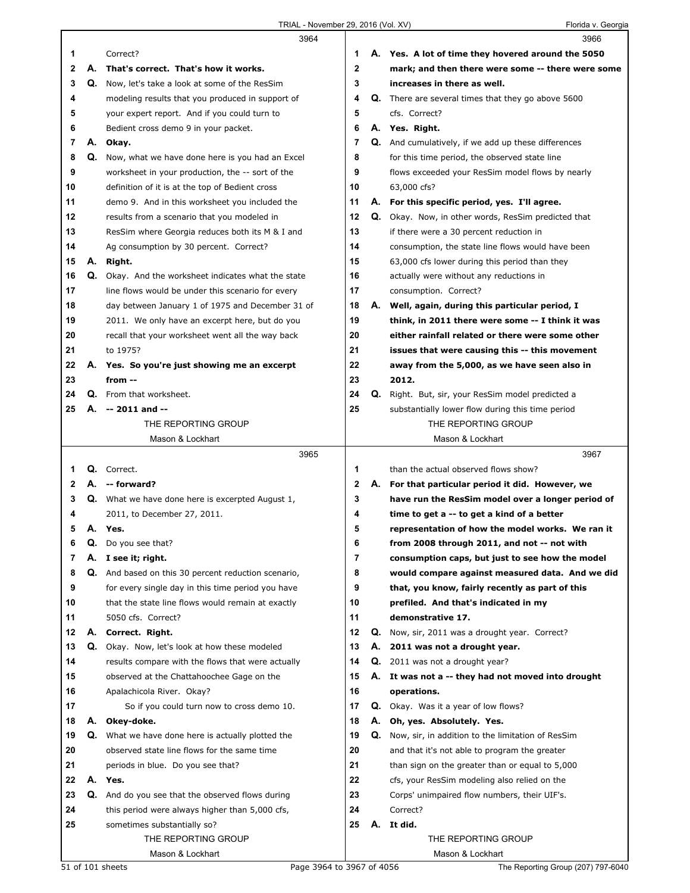|    |    | 3964                                                    |              |    | 3966                                                       |
|----|----|---------------------------------------------------------|--------------|----|------------------------------------------------------------|
| 1  |    | Correct?                                                | 1            |    | A. Yes. A lot of time they hovered around the 5050         |
| 2  | А. | That's correct. That's how it works.                    | $\mathbf{2}$ |    | mark; and then there were some -- there were some          |
| 3  | Q. | Now, let's take a look at some of the ResSim            | 3            |    | increases in there as well.                                |
| 4  |    | modeling results that you produced in support of        | 4            | Q. | There are several times that they go above 5600            |
| 5  |    | your expert report. And if you could turn to            | 5            |    | cfs. Correct?                                              |
| 6  |    | Bedient cross demo 9 in your packet.                    | 6            |    | A. Yes. Right.                                             |
| 7  | А. | Okay.                                                   | 7            |    | <b>Q.</b> And cumulatively, if we add up these differences |
| 8  | Q. | Now, what we have done here is you had an Excel         | 8            |    | for this time period, the observed state line              |
| 9  |    | worksheet in your production, the -- sort of the        | 9            |    | flows exceeded your ResSim model flows by nearly           |
| 10 |    | definition of it is at the top of Bedient cross         | 10           |    | 63,000 cfs?                                                |
| 11 |    | demo 9. And in this worksheet you included the          | 11           |    | A. For this specific period, yes. I'll agree.              |
| 12 |    | results from a scenario that you modeled in             | 12           |    | Q. Okay. Now, in other words, ResSim predicted that        |
| 13 |    | ResSim where Georgia reduces both its M & I and         | 13           |    | if there were a 30 percent reduction in                    |
| 14 |    | Ag consumption by 30 percent. Correct?                  | 14           |    | consumption, the state line flows would have been          |
| 15 | А. | Right.                                                  | 15           |    | 63,000 cfs lower during this period than they              |
| 16 | Q. | Okay. And the worksheet indicates what the state        | 16           |    | actually were without any reductions in                    |
| 17 |    | line flows would be under this scenario for every       | 17           |    | consumption. Correct?                                      |
| 18 |    | day between January 1 of 1975 and December 31 of        | 18           | А. | Well, again, during this particular period, I              |
| 19 |    | 2011. We only have an excerpt here, but do you          | 19           |    | think, in 2011 there were some -- I think it was           |
| 20 |    | recall that your worksheet went all the way back        | 20           |    | either rainfall related or there were some other           |
| 21 |    | to 1975?                                                | 21           |    | issues that were causing this -- this movement             |
| 22 |    | A. Yes. So you're just showing me an excerpt            | 22           |    | away from the 5,000, as we have seen also in               |
| 23 |    | from --                                                 | 23           |    | 2012.                                                      |
| 24 |    | <b>Q.</b> From that worksheet.                          | 24           |    | Q. Right. But, sir, your ResSim model predicted a          |
| 25 | А. | -- 2011 and --                                          | 25           |    | substantially lower flow during this time period           |
|    |    | THE REPORTING GROUP                                     |              |    | THE REPORTING GROUP                                        |
|    |    | Mason & Lockhart<br>3965                                |              |    | Mason & Lockhart<br>3967                                   |
| 1  | Q. | Correct.                                                | 1            |    | than the actual observed flows show?                       |
| 2  | А. | -- forward?                                             | 2            |    | A. For that particular period it did. However, we          |
| 3  |    | <b>Q.</b> What we have done here is excerpted August 1, | 3            |    | have run the ResSim model over a longer period of          |
| 4  |    | 2011, to December 27, 2011.                             | 4            |    | time to get a -- to get a kind of a better                 |
| 5  |    | A. Yes.                                                 | 5            |    | representation of how the model works. We ran it           |
| O  | Q. | Do you see that?                                        | b            |    | from 2008 through 2011, and not -- not with                |
| 7  | А. | I see it; right.                                        | 7            |    | consumption caps, but just to see how the model            |
| 8  |    | Q. And based on this 30 percent reduction scenario,     | 8            |    | would compare against measured data. And we did            |
| 9  |    | for every single day in this time period you have       | 9            |    | that, you know, fairly recently as part of this            |
| 10 |    | that the state line flows would remain at exactly       | 10           |    | prefiled. And that's indicated in my                       |
| 11 |    | 5050 cfs. Correct?                                      | 11           |    | demonstrative 17.                                          |
| 12 | А. | Correct. Right.                                         | 12           |    | Q. Now, sir, 2011 was a drought year. Correct?             |
| 13 |    | Q. Okay. Now, let's look at how these modeled           | 13           |    | A. 2011 was not a drought year.                            |
| 14 |    | results compare with the flows that were actually       | 14           |    | Q. 2011 was not a drought year?                            |
| 15 |    | observed at the Chattahoochee Gage on the               | 15           |    | A. It was not a -- they had not moved into drought         |
| 16 |    | Apalachicola River. Okay?                               | 16           |    | operations.                                                |
| 17 |    | So if you could turn now to cross demo 10.              | 17           |    | Q. Okay. Was it a year of low flows?                       |
| 18 | А. | Okey-doke.                                              | 18           | А. | Oh, yes. Absolutely. Yes.                                  |
| 19 | Q. | What we have done here is actually plotted the          | 19           | Q. | Now, sir, in addition to the limitation of ResSim          |
| 20 |    | observed state line flows for the same time             | 20           |    | and that it's not able to program the greater              |
| 21 |    | periods in blue. Do you see that?                       | 21           |    | than sign on the greater than or equal to 5,000            |
| 22 |    | A. Yes.                                                 | 22           |    | cfs, your ResSim modeling also relied on the               |
| 23 | Q. | And do you see that the observed flows during           | 23           |    | Corps' unimpaired flow numbers, their UIF's.               |
| 24 |    | this period were always higher than 5,000 cfs,          | 24<br>25     |    | Correct?<br>A. It did.                                     |
| 25 |    | sometimes substantially so?<br>THE REPORTING GROUP      |              |    | THE REPORTING GROUP                                        |
|    |    | Mason & Lockhart                                        |              |    | Mason & Lockhart                                           |
|    |    | Page 3964 to 3967 of 4056<br>51 of 101 sheets           |              |    | The Reporting Group (207) 797-6040                         |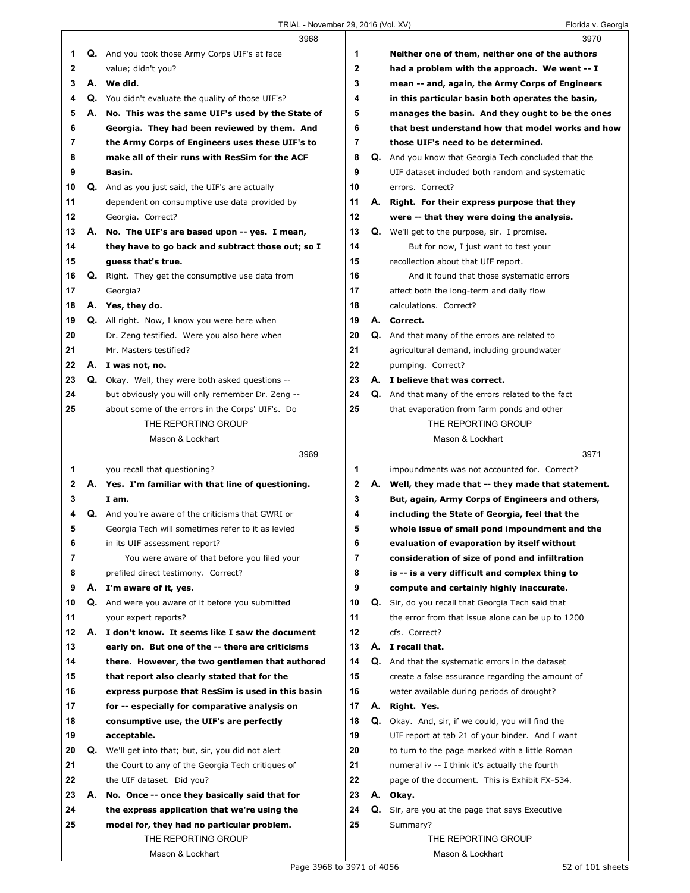|    |    | 3968                                                      |                | 3970                                                      |
|----|----|-----------------------------------------------------------|----------------|-----------------------------------------------------------|
| 1  |    | <b>Q.</b> And you took those Army Corps UIF's at face     | 1              | Neither one of them, neither one of the authors           |
| 2  |    | value; didn't you?                                        | $\mathbf 2$    | had a problem with the approach. We went -- I             |
| 3  |    | A. We did.                                                | 3              | mean -- and, again, the Army Corps of Engineers           |
| 4  |    | Q. You didn't evaluate the quality of those UIF's?        | 4              | in this particular basin both operates the basin,         |
| 5  |    | A. No. This was the same UIF's used by the State of       | 5              | manages the basin. And they ought to be the ones          |
| 6  |    | Georgia. They had been reviewed by them. And              | 6              | that best understand how that model works and how         |
| 7  |    | the Army Corps of Engineers uses these UIF's to           | 7              | those UIF's need to be determined.                        |
| 8  |    | make all of their runs with ResSim for the ACF            | 8              | Q. And you know that Georgia Tech concluded that the      |
| 9  |    | Basin.                                                    | 9              | UIF dataset included both random and systematic           |
| 10 |    | Q. And as you just said, the UIF's are actually           | 10             | errors. Correct?                                          |
| 11 |    | dependent on consumptive use data provided by             | 11             | A. Right. For their express purpose that they             |
| 12 |    | Georgia. Correct?                                         | 12             | were -- that they were doing the analysis.                |
| 13 |    | A. No. The UIF's are based upon -- yes. I mean,           | 13             | Q. We'll get to the purpose, sir. I promise.              |
| 14 |    | they have to go back and subtract those out; so I         | 14             | But for now, I just want to test your                     |
| 15 |    | guess that's true.                                        | 15             | recollection about that UIF report.                       |
| 16 |    | <b>Q.</b> Right. They get the consumptive use data from   | 16             | And it found that those systematic errors                 |
| 17 |    | Georgia?                                                  | 17             | affect both the long-term and daily flow                  |
| 18 |    | A. Yes, they do.                                          | 18             | calculations. Correct?                                    |
| 19 |    | Q. All right. Now, I know you were here when              | 19             | A. Correct.                                               |
| 20 |    | Dr. Zeng testified. Were you also here when               | 20             | Q. And that many of the errors are related to             |
| 21 |    | Mr. Masters testified?                                    | 21             | agricultural demand, including groundwater                |
| 22 |    | A. I was not, no.                                         | 22             | pumping. Correct?                                         |
| 23 |    | <b>Q.</b> Okay. Well, they were both asked questions --   | 23             | A. I believe that was correct.                            |
| 24 |    | but obviously you will only remember Dr. Zeng --          | 24             | <b>Q.</b> And that many of the errors related to the fact |
| 25 |    | about some of the errors in the Corps' UIF's. Do          | 25             | that evaporation from farm ponds and other                |
|    |    | THE REPORTING GROUP                                       |                | THE REPORTING GROUP                                       |
|    |    | Mason & Lockhart                                          |                | Mason & Lockhart                                          |
|    |    |                                                           |                |                                                           |
|    |    |                                                           |                |                                                           |
|    |    | 3969                                                      |                | 3971                                                      |
| 1  |    | you recall that questioning?                              | 1              | impoundments was not accounted for. Correct?              |
| 2  |    | A. Yes. I'm familiar with that line of questioning.       | $\mathbf 2$    | A. Well, they made that -- they made that statement.      |
| 3  |    | I am.                                                     | 3              | But, again, Army Corps of Engineers and others,           |
| 4  |    | <b>Q.</b> And you're aware of the criticisms that GWRI or | 4              | including the State of Georgia, feel that the             |
| 5  |    | Georgia Tech will sometimes refer to it as levied         | 5              | whole issue of small pond impoundment and the             |
| 6  |    | in its UIF assessment report?                             | 6              | evaluation of evaporation by itself without               |
| 7  |    | You were aware of that before you filed your              | $\overline{7}$ | consideration of size of pond and infiltration            |
| 8  |    | prefiled direct testimony. Correct?                       | 8              | is -- is a very difficult and complex thing to            |
| 9  |    | A. I'm aware of it, yes.                                  | 9              | compute and certainly highly inaccurate.                  |
| 10 |    | Q. And were you aware of it before you submitted          | 10             | Q. Sir, do you recall that Georgia Tech said that         |
| 11 |    | your expert reports?                                      | 11             | the error from that issue alone can be up to 1200         |
| 12 |    | A. I don't know. It seems like I saw the document         | 12             | cfs. Correct?                                             |
| 13 |    | early on. But one of the -- there are criticisms          | 13             | A. I recall that.                                         |
| 14 |    | there. However, the two gentlemen that authored           | 14             | Q. And that the systematic errors in the dataset          |
| 15 |    | that report also clearly stated that for the              | 15             | create a false assurance regarding the amount of          |
| 16 |    | express purpose that ResSim is used in this basin         | 16             | water available during periods of drought?                |
| 17 |    | for -- especially for comparative analysis on             | 17             | A. Right. Yes.                                            |
| 18 |    | consumptive use, the UIF's are perfectly                  | 18             | Q. Okay. And, sir, if we could, you will find the         |
| 19 |    | acceptable.                                               | 19             | UIF report at tab 21 of your binder. And I want           |
| 20 | Q. | We'll get into that; but, sir, you did not alert          | 20             | to turn to the page marked with a little Roman            |
| 21 |    | the Court to any of the Georgia Tech critiques of         | 21             | numeral iv -- I think it's actually the fourth            |
| 22 |    | the UIF dataset. Did you?                                 | 22             | page of the document. This is Exhibit FX-534.             |
| 23 | А. | No. Once -- once they basically said that for             | 23             | A. Okay.                                                  |
| 24 |    | the express application that we're using the              | 24             | Q. Sir, are you at the page that says Executive           |
| 25 |    | model for, they had no particular problem.                | 25             | Summary?                                                  |
|    |    | THE REPORTING GROUP<br>Mason & Lockhart                   |                | THE REPORTING GROUP<br>Mason & Lockhart                   |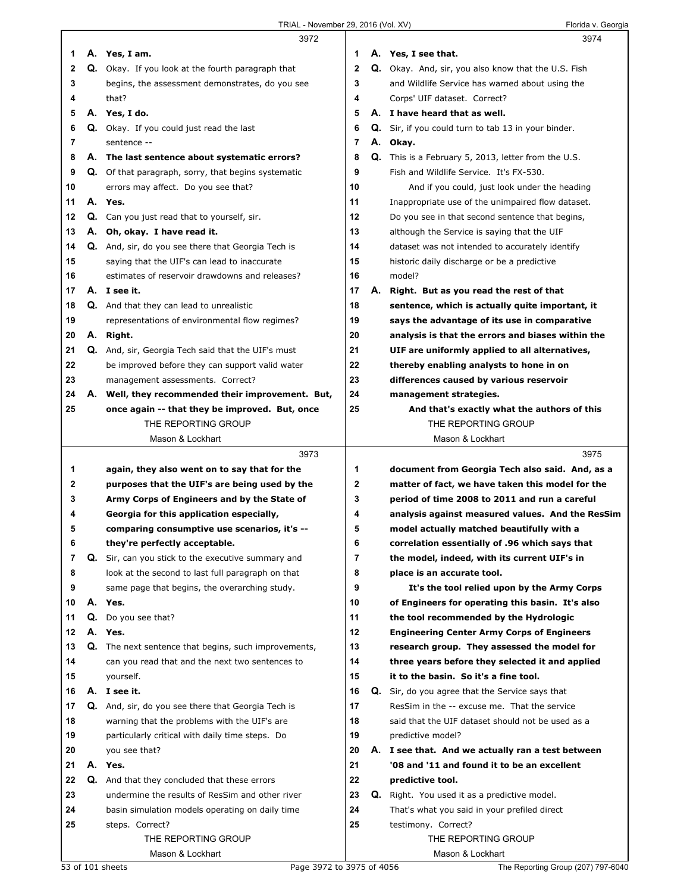|              |    | 3972                                                       |    |    | 3974                                                       |
|--------------|----|------------------------------------------------------------|----|----|------------------------------------------------------------|
| 1            |    | A. Yes, I am.                                              | 1  |    | A. Yes, I see that.                                        |
| $\mathbf{2}$ |    | <b>Q.</b> Okay. If you look at the fourth paragraph that   | 2  |    | <b>Q.</b> Okay. And, sir, you also know that the U.S. Fish |
| 3            |    | begins, the assessment demonstrates, do you see            | 3  |    | and Wildlife Service has warned about using the            |
| 4            |    | that?                                                      | 4  |    | Corps' UIF dataset. Correct?                               |
| 5            |    | A. Yes, I do.                                              | 5  |    | A. I have heard that as well.                              |
| 6            |    | <b>Q.</b> Okay. If you could just read the last            | 6  |    | Q. Sir, if you could turn to tab 13 in your binder.        |
| 7            |    | sentence --                                                | 7  |    | A. Okay.                                                   |
| 8            |    | A. The last sentence about systematic errors?              | 8  |    | <b>Q.</b> This is a February 5, 2013, letter from the U.S. |
| 9            |    | <b>Q.</b> Of that paragraph, sorry, that begins systematic | 9  |    | Fish and Wildlife Service. It's FX-530.                    |
| 10           |    | errors may affect. Do you see that?                        | 10 |    | And if you could, just look under the heading              |
| 11           |    | A. Yes.                                                    | 11 |    | Inappropriate use of the unimpaired flow dataset.          |
| 12           |    | Q. Can you just read that to yourself, sir.                | 12 |    | Do you see in that second sentence that begins,            |
| 13           |    | A. Oh, okay. I have read it.                               | 13 |    | although the Service is saying that the UIF                |
| 14           |    | <b>Q.</b> And, sir, do you see there that Georgia Tech is  | 14 |    | dataset was not intended to accurately identify            |
| 15           |    | saying that the UIF's can lead to inaccurate               | 15 |    | historic daily discharge or be a predictive                |
| 16           |    | estimates of reservoir drawdowns and releases?             | 16 |    | model?                                                     |
| 17           |    | A. I see it.                                               | 17 | А. | Right. But as you read the rest of that                    |
| 18           |    | <b>Q.</b> And that they can lead to unrealistic            | 18 |    | sentence, which is actually quite important, it            |
| 19           |    | representations of environmental flow regimes?             | 19 |    | says the advantage of its use in comparative               |
| 20           |    | A. Right.                                                  | 20 |    | analysis is that the errors and biases within the          |
| 21           |    | <b>Q.</b> And, sir, Georgia Tech said that the UIF's must  | 21 |    | UIF are uniformly applied to all alternatives,             |
| 22           |    | be improved before they can support valid water            | 22 |    | thereby enabling analysts to hone in on                    |
| 23           |    | management assessments. Correct?                           | 23 |    | differences caused by various reservoir                    |
| 24           |    | A. Well, they recommended their improvement. But,          | 24 |    | management strategies.                                     |
| 25           |    | once again -- that they be improved. But, once             | 25 |    | And that's exactly what the authors of this                |
|              |    | THE REPORTING GROUP                                        |    |    | THE REPORTING GROUP                                        |
|              |    | Mason & Lockhart                                           |    |    | Mason & Lockhart                                           |
|              |    | 3973                                                       |    |    |                                                            |
|              |    |                                                            |    |    | 3975                                                       |
| 1            |    | again, they also went on to say that for the               | 1  |    | document from Georgia Tech also said. And, as a            |
| 2            |    | purposes that the UIF's are being used by the              | 2  |    | matter of fact, we have taken this model for the           |
| 3            |    | Army Corps of Engineers and by the State of                | 3  |    | period of time 2008 to 2011 and run a careful              |
| 4            |    | Georgia for this application especially,                   | 4  |    | analysis against measured values. And the ResSim           |
| 5            |    | comparing consumptive use scenarios, it's --               | 5  |    | model actually matched beautifully with a                  |
| 6            |    | they're perfectly acceptable.                              | 6  |    | correlation essentially of .96 which says that             |
| 7            |    | Q. Sir, can you stick to the executive summary and         | 7  |    | the model, indeed, with its current UIF's in               |
| 8            |    | look at the second to last full paragraph on that          | 8  |    | place is an accurate tool.                                 |
| 9            |    | same page that begins, the overarching study.              | 9  |    | It's the tool relied upon by the Army Corps                |
| 10           | А. | Yes.                                                       | 10 |    | of Engineers for operating this basin. It's also           |
| 11           | Q. | Do you see that?                                           | 11 |    | the tool recommended by the Hydrologic                     |
| 12           |    | A. Yes.                                                    | 12 |    | <b>Engineering Center Army Corps of Engineers</b>          |
| 13           |    | Q. The next sentence that begins, such improvements,       | 13 |    | research group. They assessed the model for                |
| 14           |    | can you read that and the next two sentences to            | 14 |    | three years before they selected it and applied            |
| 15           |    | yourself.                                                  | 15 |    | it to the basin. So it's a fine tool.                      |
| 16           |    | A. I see it.                                               | 16 | Q. | Sir, do you agree that the Service says that               |
| 17           |    | <b>Q.</b> And, sir, do you see there that Georgia Tech is  | 17 |    | ResSim in the -- excuse me. That the service               |
| 18           |    | warning that the problems with the UIF's are               | 18 |    | said that the UIF dataset should not be used as a          |
| 19           |    | particularly critical with daily time steps. Do            | 19 |    | predictive model?                                          |
| 20           |    | you see that?                                              | 20 |    | A. I see that. And we actually ran a test between          |
| 21           |    | A. Yes.                                                    | 21 |    | '08 and '11 and found it to be an excellent                |
| 22           |    | Q. And that they concluded that these errors               | 22 |    | predictive tool.                                           |
| 23           |    | undermine the results of ResSim and other river            | 23 |    | <b>Q.</b> Right. You used it as a predictive model.        |
| 24           |    | basin simulation models operating on daily time            | 24 |    | That's what you said in your prefiled direct               |
| 25           |    | steps. Correct?                                            | 25 |    | testimony. Correct?                                        |
|              |    | THE REPORTING GROUP<br>Mason & Lockhart                    |    |    | THE REPORTING GROUP<br>Mason & Lockhart                    |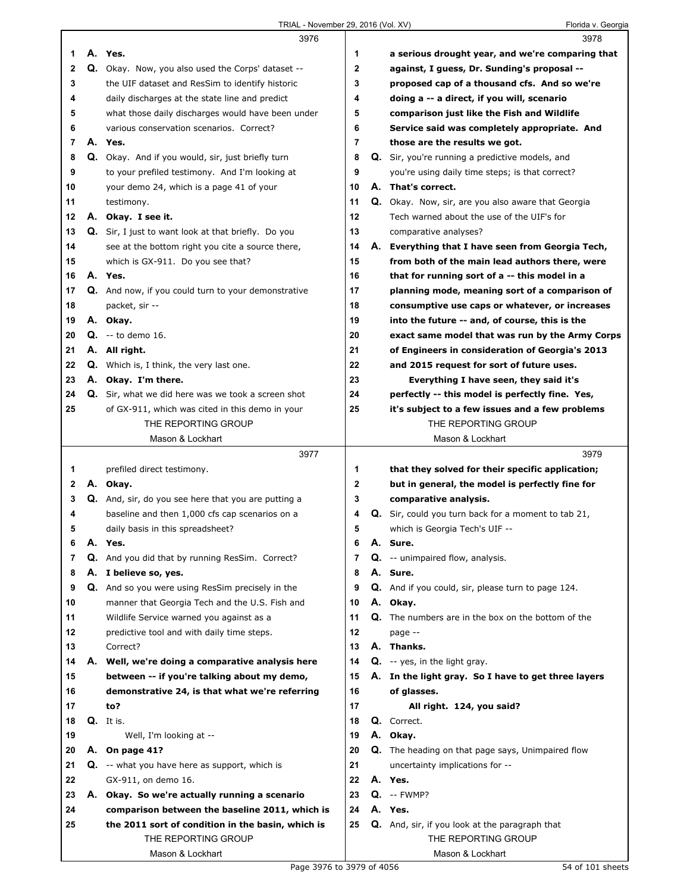TRIAL - November 29, 2016 (Vol. XV) Florida v. Georgia

|    |    | 3976                                                    |              | 3978                                                      |
|----|----|---------------------------------------------------------|--------------|-----------------------------------------------------------|
| 1  |    | A. Yes.                                                 | 1            | a serious drought year, and we're comparing that          |
| 2  |    | Q. Okay. Now, you also used the Corps' dataset --       | $\mathbf{2}$ | against, I quess, Dr. Sunding's proposal --               |
| 3  |    | the UIF dataset and ResSim to identify historic         | 3            | proposed cap of a thousand cfs. And so we're              |
| 4  |    | daily discharges at the state line and predict          | 4            | doing a -- a direct, if you will, scenario                |
| 5  |    | what those daily discharges would have been under       | 5            | comparison just like the Fish and Wildlife                |
| 6  |    | various conservation scenarios. Correct?                | 6            | Service said was completely appropriate. And              |
| 7  |    | A. Yes.                                                 | 7            | those are the results we got.                             |
| 8  |    | Q. Okay. And if you would, sir, just briefly turn       | 8            | Q. Sir, you're running a predictive models, and           |
| 9  |    | to your prefiled testimony. And I'm looking at          | 9            | you're using daily time steps; is that correct?           |
| 10 |    | your demo 24, which is a page 41 of your                | 10           | A. That's correct.                                        |
| 11 |    | testimony.                                              | 11           | Q. Okay. Now, sir, are you also aware that Georgia        |
| 12 |    | A. Okay. I see it.                                      | 12           | Tech warned about the use of the UIF's for                |
| 13 |    | Q. Sir, I just to want look at that briefly. Do you     | 13           | comparative analyses?                                     |
| 14 |    | see at the bottom right you cite a source there,        | 14           | A. Everything that I have seen from Georgia Tech,         |
| 15 |    | which is GX-911. Do you see that?                       | 15           | from both of the main lead authors there, were            |
| 16 |    | A. Yes.                                                 | 16           | that for running sort of a -- this model in a             |
| 17 |    | Q. And now, if you could turn to your demonstrative     | 17           | planning mode, meaning sort of a comparison of            |
| 18 |    | packet, sir --                                          | 18           | consumptive use caps or whatever, or increases            |
| 19 |    | A. Okay.                                                | 19           | into the future -- and, of course, this is the            |
| 20 |    | <b>Q.</b> $-$ to demo 16.                               | 20           | exact same model that was run by the Army Corps           |
| 21 |    | A. All right.                                           | 21           | of Engineers in consideration of Georgia's 2013           |
| 22 |    | <b>Q.</b> Which is, I think, the very last one.         | 22           | and 2015 request for sort of future uses.                 |
| 23 |    | A. Okay. I'm there.                                     | 23           | Everything I have seen, they said it's                    |
| 24 |    | Q. Sir, what we did here was we took a screen shot      | 24           | perfectly -- this model is perfectly fine. Yes,           |
| 25 |    | of GX-911, which was cited in this demo in your         | 25           | it's subject to a few issues and a few problems           |
|    |    | THE REPORTING GROUP                                     |              | THE REPORTING GROUP                                       |
|    |    | Mason & Lockhart                                        |              | Mason & Lockhart                                          |
|    |    |                                                         |              |                                                           |
|    |    | 3977                                                    |              | 3979                                                      |
| 1  |    | prefiled direct testimony.                              | 1            | that they solved for their specific application;          |
| 2  |    | A. Okay.                                                | 2            | but in general, the model is perfectly fine for           |
| 3  |    | Q. And, sir, do you see here that you are putting a     | 3            | comparative analysis.                                     |
| 4  |    | baseline and then 1,000 cfs cap scenarios on a          | 4            | Q. Sir, could you turn back for a moment to tab 21,       |
| 5  |    | daily basis in this spreadsheet?                        | 5            | which is Georgia Tech's UIF --                            |
| 6  |    | A. Yes.                                                 | 6            | A. Sure.                                                  |
| 7  |    | Q. And you did that by running ResSim. Correct?         | 7            | <b>Q.</b> -- unimpaired flow, analysis.                   |
| 8  |    | A. I believe so, yes.                                   | 8            | A. Sure.                                                  |
| 9  |    | <b>Q.</b> And so you were using ResSim precisely in the | 9            | <b>Q.</b> And if you could, sir, please turn to page 124. |
| 10 |    | manner that Georgia Tech and the U.S. Fish and          | 10           | A. Okay.                                                  |
| 11 |    | Wildlife Service warned you against as a                | 11           | Q. The numbers are in the box on the bottom of the        |
| 12 |    | predictive tool and with daily time steps.              | 12           | page --                                                   |
| 13 |    | Correct?                                                | 13           | A. Thanks.                                                |
| 14 |    | A. Well, we're doing a comparative analysis here        | 14           | $Q. -yes$ , in the light gray.                            |
| 15 |    | between -- if you're talking about my demo,             | 15           | A. In the light gray. So I have to get three layers       |
| 16 |    | demonstrative 24, is that what we're referring          | 16           | of glasses.                                               |
| 17 |    | to?                                                     | 17           | All right. 124, you said?                                 |
| 18 |    | Q. It is.                                               | 18           | Q. Correct.                                               |
| 19 |    | Well, I'm looking at --                                 | 19           | A. Okay.                                                  |
| 20 | А. | On page 41?                                             | 20           | Q. The heading on that page says, Unimpaired flow         |
| 21 |    | Q. -- what you have here as support, which is           | 21           | uncertainty implications for --                           |
| 22 |    | GX-911, on demo 16.                                     | 22           | A. Yes.                                                   |
| 23 |    | A. Okay. So we're actually running a scenario           | 23           | $Q. -FWMP?$                                               |
| 24 |    | comparison between the baseline 2011, which is          | 24           | A. Yes.                                                   |
| 25 |    | the 2011 sort of condition in the basin, which is       | 25           | <b>Q.</b> And, sir, if you look at the paragraph that     |
|    |    | THE REPORTING GROUP<br>Mason & Lockhart                 |              | THE REPORTING GROUP<br>Mason & Lockhart                   |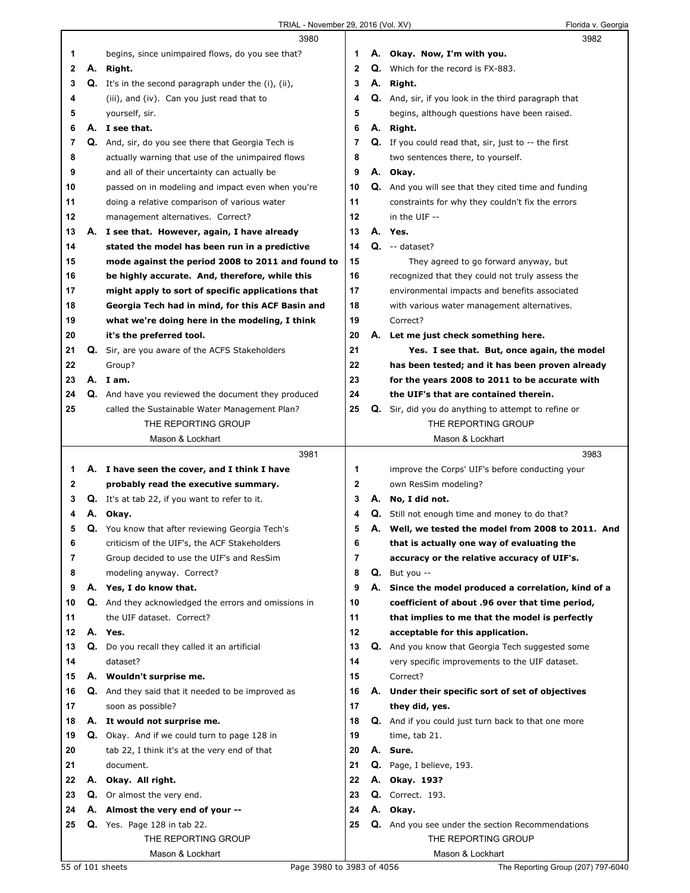|    |    | 3980                                                        |              |    | 3982                                                                    |
|----|----|-------------------------------------------------------------|--------------|----|-------------------------------------------------------------------------|
| 1  |    | begins, since unimpaired flows, do you see that?            | 1            |    | A. Okay. Now, I'm with you.                                             |
| 2  |    | A. Right.                                                   | $\mathbf{2}$ |    | Q. Which for the record is FX-883.                                      |
| 3  |    | Q. It's in the second paragraph under the (i), (ii),        | 3            | А. | Right.                                                                  |
| 4  |    | (iii), and (iv). Can you just read that to                  | 4            |    | Q. And, sir, if you look in the third paragraph that                    |
| 5  |    | yourself, sir.                                              | 5            |    | begins, although questions have been raised.                            |
| 6  |    | A. I see that.                                              | 6            |    | A. Right.                                                               |
| 7  |    | Q. And, sir, do you see there that Georgia Tech is          | 7            |    | <b>Q.</b> If you could read that, sir, just to $-$ the first            |
| 8  |    | actually warning that use of the unimpaired flows           | 8            |    | two sentences there, to yourself.                                       |
| 9  |    | and all of their uncertainty can actually be                | 9            |    | A. Okay.                                                                |
| 10 |    | passed on in modeling and impact even when you're           | 10           |    | Q. And you will see that they cited time and funding                    |
| 11 |    | doing a relative comparison of various water                | 11           |    | constraints for why they couldn't fix the errors                        |
| 12 |    | management alternatives. Correct?                           | 12           |    | in the UIF --                                                           |
| 13 |    | A. I see that. However, again, I have already               | 13           |    | A. Yes.                                                                 |
| 14 |    | stated the model has been run in a predictive               | 14           |    | $Q. -$ dataset?                                                         |
| 15 |    | mode against the period 2008 to 2011 and found to           | 15           |    | They agreed to go forward anyway, but                                   |
| 16 |    | be highly accurate. And, therefore, while this              | 16           |    | recognized that they could not truly assess the                         |
| 17 |    | might apply to sort of specific applications that           | 17           |    | environmental impacts and benefits associated                           |
| 18 |    | Georgia Tech had in mind, for this ACF Basin and            | 18           |    | with various water management alternatives.                             |
| 19 |    | what we're doing here in the modeling, I think              | 19           |    | Correct?                                                                |
| 20 |    | it's the preferred tool.                                    | 20           | А. | Let me just check something here.                                       |
| 21 |    | Q. Sir, are you aware of the ACFS Stakeholders              | 21           |    | Yes. I see that. But, once again, the model                             |
| 22 |    | Group?                                                      | 22           |    | has been tested; and it has been proven already                         |
| 23 |    | A. Iam.                                                     | 23           |    | for the years 2008 to 2011 to be accurate with                          |
| 24 |    | Q. And have you reviewed the document they produced         | 24           |    | the UIF's that are contained therein.                                   |
| 25 |    | called the Sustainable Water Management Plan?               | 25           |    | Q. Sir, did you do anything to attempt to refine or                     |
|    |    | THE REPORTING GROUP                                         |              |    | THE REPORTING GROUP                                                     |
|    |    | Mason & Lockhart                                            |              |    | Mason & Lockhart                                                        |
|    |    |                                                             |              |    |                                                                         |
|    |    | 3981                                                        |              |    | 3983                                                                    |
| 1  |    | A. I have seen the cover, and I think I have                | 1            |    | improve the Corps' UIF's before conducting your                         |
| 2  |    | probably read the executive summary.                        | 2            |    | own ResSim modeling?                                                    |
| 3  |    | <b>Q.</b> It's at tab 22, if you want to refer to it.       | 3            | А. | No, I did not.                                                          |
| 4  | А. | Okay.                                                       | 4            |    | Q. Still not enough time and money to do that?                          |
| 5  |    | Q. You know that after reviewing Georgia Tech's             | 5            |    | A. Well, we tested the model from 2008 to 2011. And                     |
| 6  |    | criticism of the UIF's, the ACF Stakeholders                | 6            |    | that is actually one way of evaluating the                              |
| 7  |    | Group decided to use the UIF's and ResSim                   | 7            |    | accuracy or the relative accuracy of UIF's.                             |
| 8  |    | modeling anyway. Correct?                                   | 8            | Q. | But you --                                                              |
| 9  |    | A. Yes, I do know that.                                     | 9            |    | A. Since the model produced a correlation, kind of a                    |
| 10 |    | <b>Q.</b> And they acknowledged the errors and omissions in | 10           |    | coefficient of about .96 over that time period,                         |
| 11 |    | the UIF dataset. Correct?                                   | 11           |    | that implies to me that the model is perfectly                          |
| 12 |    | A. Yes.                                                     | 12           |    | acceptable for this application.                                        |
| 13 | Q. | Do you recall they called it an artificial                  | 13           |    | Q. And you know that Georgia Tech suggested some                        |
| 14 |    | dataset?                                                    | 14           |    | very specific improvements to the UIF dataset.                          |
| 15 |    | A. Wouldn't surprise me.                                    | 15           |    | Correct?                                                                |
| 16 |    | <b>Q.</b> And they said that it needed to be improved as    | 16           |    | A. Under their specific sort of set of objectives                       |
| 17 |    | soon as possible?                                           | 17           |    | they did, yes.                                                          |
| 18 |    | A. It would not surprise me.                                | 18           |    | Q. And if you could just turn back to that one more                     |
| 19 |    | Q. Okay. And if we could turn to page 128 in                | 19           |    | time, tab 21.                                                           |
| 20 |    | tab 22, I think it's at the very end of that                | 20           |    | A. Sure.                                                                |
| 21 |    | document.                                                   | 21           |    | Q. Page, I believe, 193.                                                |
| 22 | А. | Okay. All right.                                            | 22           |    | A. Okay. 193?                                                           |
| 23 |    | Q. Or almost the very end.                                  | 23           |    | <b>Q.</b> Correct. 193.                                                 |
| 24 |    | A. Almost the very end of your --                           | 24           |    | A. Okay.                                                                |
| 25 |    | <b>Q.</b> Yes. Page 128 in tab 22.<br>THE REPORTING GROUP   | 25           |    | Q. And you see under the section Recommendations<br>THE REPORTING GROUP |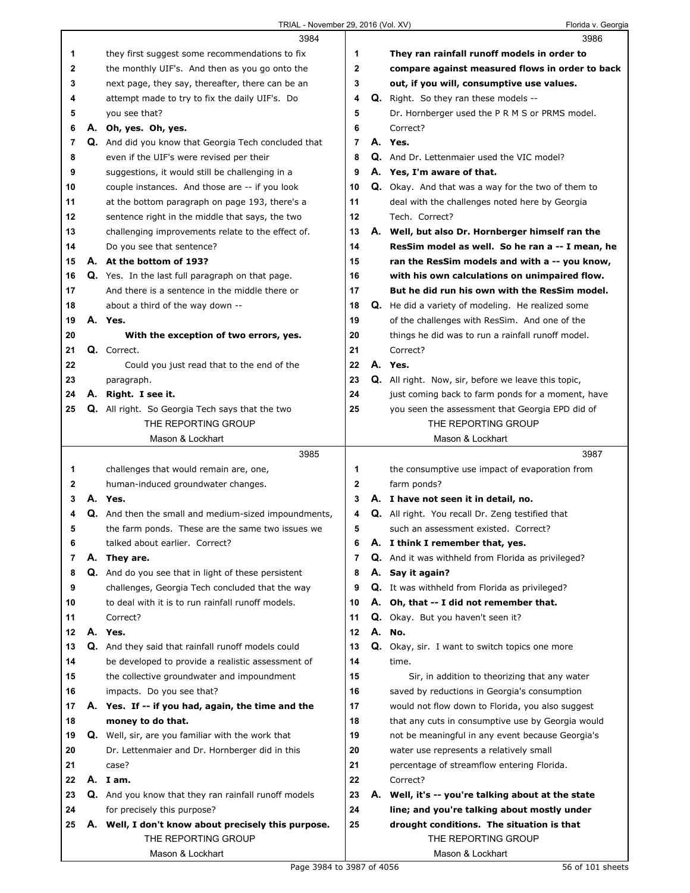|    |    | 3984                                                        |              |    | 3986                                                      |
|----|----|-------------------------------------------------------------|--------------|----|-----------------------------------------------------------|
| 1  |    | they first suggest some recommendations to fix              | 1            |    | They ran rainfall runoff models in order to               |
| 2  |    | the monthly UIF's. And then as you go onto the              | 2            |    | compare against measured flows in order to back           |
| 3  |    | next page, they say, thereafter, there can be an            | 3            |    | out, if you will, consumptive use values.                 |
| 4  |    | attempt made to try to fix the daily UIF's. Do              | 4            |    | Q. Right. So they ran these models --                     |
| 5  |    | you see that?                                               | 5            |    | Dr. Hornberger used the P R M S or PRMS model.            |
| 6  |    | A. Oh, yes. Oh, yes.                                        | 6            |    | Correct?                                                  |
| 7  |    | Q. And did you know that Georgia Tech concluded that        | 7            |    | A. Yes.                                                   |
| 8  |    | even if the UIF's were revised per their                    | 8            |    | Q. And Dr. Lettenmaier used the VIC model?                |
| 9  |    | suggestions, it would still be challenging in a             | 9            |    | A. Yes, I'm aware of that.                                |
| 10 |    | couple instances. And those are -- if you look              | 10           |    | Q. Okay. And that was a way for the two of them to        |
| 11 |    | at the bottom paragraph on page 193, there's a              | 11           |    | deal with the challenges noted here by Georgia            |
| 12 |    | sentence right in the middle that says, the two             | $12 \,$      |    | Tech. Correct?                                            |
| 13 |    | challenging improvements relate to the effect of.           | 13           |    | A. Well, but also Dr. Hornberger himself ran the          |
| 14 |    | Do you see that sentence?                                   | 14           |    | ResSim model as well. So he ran a -- I mean, he           |
| 15 |    | A. At the bottom of 193?                                    | 15           |    | ran the ResSim models and with a -- you know,             |
| 16 |    | Q. Yes. In the last full paragraph on that page.            | 16           |    | with his own calculations on unimpaired flow.             |
| 17 |    | And there is a sentence in the middle there or              | 17           |    | But he did run his own with the ResSim model.             |
| 18 |    | about a third of the way down --                            | 18           |    | Q. He did a variety of modeling. He realized some         |
| 19 |    | A. Yes.                                                     | 19           |    | of the challenges with ResSim. And one of the             |
| 20 |    | With the exception of two errors, yes.                      | 20           |    | things he did was to run a rainfall runoff model.         |
| 21 |    | Q. Correct.                                                 | 21           |    | Correct?                                                  |
| 22 |    | Could you just read that to the end of the                  | 22           |    | A. Yes.                                                   |
| 23 |    | paragraph.                                                  | 23           |    | Q. All right. Now, sir, before we leave this topic,       |
| 24 |    | A. Right. I see it.                                         | 24           |    | just coming back to farm ponds for a moment, have         |
| 25 |    | Q. All right. So Georgia Tech says that the two             | 25           |    | you seen the assessment that Georgia EPD did of           |
|    |    | THE REPORTING GROUP                                         |              |    | THE REPORTING GROUP                                       |
|    |    | Mason & Lockhart                                            |              |    | Mason & Lockhart                                          |
|    |    |                                                             |              |    |                                                           |
|    |    | 3985                                                        |              |    | 3987                                                      |
| 1  |    | challenges that would remain are, one,                      | 1            |    | the consumptive use impact of evaporation from            |
| 2  |    | human-induced groundwater changes.                          | $\mathbf{2}$ |    | farm ponds?                                               |
| 3  |    | A. Yes.                                                     | 3            |    | A. I have not seen it in detail, no.                      |
| 4  |    | <b>Q.</b> And then the small and medium-sized impoundments, | 4            |    | <b>Q.</b> All right. You recall Dr. Zeng testified that   |
| 5  |    | the farm ponds. These are the same two issues we            | 5            |    | such an assessment existed. Correct?                      |
| 6  |    | talked about earlier. Correct?                              | 6            |    | A. I think I remember that, yes.                          |
| 7  |    | A. They are.                                                | 7            |    | <b>Q.</b> And it was withheld from Florida as privileged? |
| 8  |    | Q. And do you see that in light of these persistent         | 8            |    | A. Say it again?                                          |
| 9  |    | challenges, Georgia Tech concluded that the way             | 9            |    | <b>Q.</b> It was withheld from Florida as privileged?     |
| 10 |    | to deal with it is to run rainfall runoff models.           | 10           |    | A. Oh, that -- I did not remember that.                   |
| 11 |    | Correct?                                                    | 11           |    | Q. Okay. But you haven't seen it?                         |
| 12 |    | A. Yes.                                                     | 12           | А. | No.                                                       |
| 13 | Q. | And they said that rainfall runoff models could             | 13           | Q. | Okay, sir. I want to switch topics one more               |
| 14 |    | be developed to provide a realistic assessment of           | 14           |    | time.                                                     |
| 15 |    | the collective groundwater and impoundment                  | 15           |    | Sir, in addition to theorizing that any water             |
| 16 |    | impacts. Do you see that?                                   | 16           |    | saved by reductions in Georgia's consumption              |
| 17 |    | A. Yes. If -- if you had, again, the time and the           | 17           |    | would not flow down to Florida, you also suggest          |
| 18 |    | money to do that.                                           | 18           |    | that any cuts in consumptive use by Georgia would         |
| 19 |    | <b>Q.</b> Well, sir, are you familiar with the work that    | 19           |    | not be meaningful in any event because Georgia's          |
| 20 |    | Dr. Lettenmaier and Dr. Hornberger did in this              | 20           |    | water use represents a relatively small                   |
| 21 |    | case?                                                       | 21           |    | percentage of streamflow entering Florida.                |
| 22 |    | A. Iam.                                                     | 22           |    | Correct?                                                  |
| 23 |    | Q. And you know that they ran rainfall runoff models        | 23           |    | A. Well, it's -- you're talking about at the state        |
| 24 |    | for precisely this purpose?                                 | 24           |    | line; and you're talking about mostly under               |
| 25 |    | A. Well, I don't know about precisely this purpose.         | 25           |    | drought conditions. The situation is that                 |
|    |    | THE REPORTING GROUP<br>Mason & Lockhart                     |              |    | THE REPORTING GROUP<br>Mason & Lockhart                   |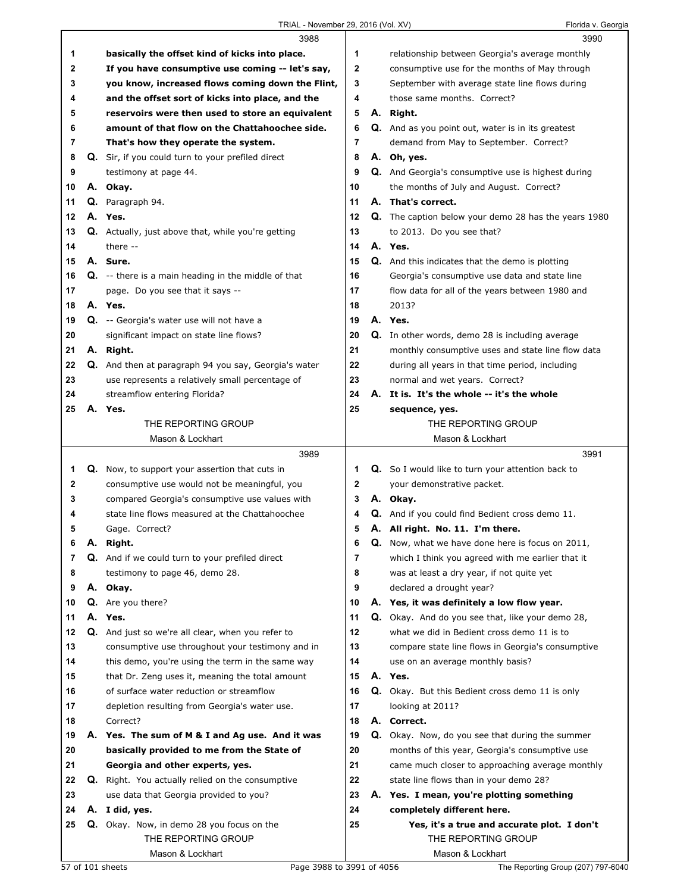## TRIAL - November 29, 2016 (Vol. XV) Florida v. Georgia

|    |    | 3988                                                       |    | 3990                                                        |  |
|----|----|------------------------------------------------------------|----|-------------------------------------------------------------|--|
| 1  |    | basically the offset kind of kicks into place.             | 1  | relationship between Georgia's average monthly              |  |
| 2  |    | If you have consumptive use coming -- let's say,           | 2  | consumptive use for the months of May through               |  |
| 3  |    | you know, increased flows coming down the Flint,           | 3  | September with average state line flows during              |  |
| 4  |    | and the offset sort of kicks into place, and the           | 4  | those same months. Correct?                                 |  |
| 5  |    | reservoirs were then used to store an equivalent           | 5  | A. Right.                                                   |  |
| 6  |    | amount of that flow on the Chattahoochee side.             | 6  | Q. And as you point out, water is in its greatest           |  |
| 7  |    | That's how they operate the system.                        | 7  | demand from May to September. Correct?                      |  |
| 8  |    | Q. Sir, if you could turn to your prefiled direct          | 8  | A. Oh, yes.                                                 |  |
| 9  |    | testimony at page 44.                                      | 9  | Q. And Georgia's consumptive use is highest during          |  |
| 10 |    | A. Okay.                                                   | 10 | the months of July and August. Correct?                     |  |
| 11 |    | Q. Paragraph 94.                                           | 11 | A. That's correct.                                          |  |
| 12 |    | A. Yes.                                                    | 12 | <b>Q.</b> The caption below your demo 28 has the years 1980 |  |
| 13 |    | Q. Actually, just above that, while you're getting         | 13 | to 2013. Do you see that?                                   |  |
| 14 |    | there --                                                   | 14 | A. Yes.                                                     |  |
| 15 |    | A. Sure.                                                   | 15 | Q. And this indicates that the demo is plotting             |  |
| 16 |    | <b>Q.</b> -- there is a main heading in the middle of that | 16 | Georgia's consumptive use data and state line               |  |
| 17 |    | page. Do you see that it says --                           | 17 | flow data for all of the years between 1980 and             |  |
| 18 |    | A. Yes.                                                    | 18 | 2013?                                                       |  |
| 19 |    | <b>Q.</b> -- Georgia's water use will not have a           | 19 | A. Yes.                                                     |  |
| 20 |    | significant impact on state line flows?                    | 20 | <b>Q.</b> In other words, demo 28 is including average      |  |
| 21 |    | A. Right.                                                  | 21 | monthly consumptive uses and state line flow data           |  |
| 22 |    | Q. And then at paragraph 94 you say, Georgia's water       | 22 | during all years in that time period, including             |  |
| 23 |    | use represents a relatively small percentage of            | 23 | normal and wet years. Correct?                              |  |
| 24 |    | streamflow entering Florida?                               | 24 | A. It is. It's the whole -- it's the whole                  |  |
| 25 | А. | Yes.                                                       | 25 |                                                             |  |
|    |    | THE REPORTING GROUP                                        |    | sequence, yes.<br>THE REPORTING GROUP                       |  |
|    |    | Mason & Lockhart                                           |    | Mason & Lockhart                                            |  |
|    |    |                                                            |    |                                                             |  |
|    |    |                                                            |    |                                                             |  |
|    |    | 3989                                                       |    | 3991                                                        |  |
| 1  |    | Q. Now, to support your assertion that cuts in             | 1  | <b>Q.</b> So I would like to turn your attention back to    |  |
| 2  |    | consumptive use would not be meaningful, you               | 2  | your demonstrative packet.                                  |  |
| 3  |    | compared Georgia's consumptive use values with             | 3  | A. Okay.                                                    |  |
| 4  |    | state line flows measured at the Chattahoochee             | 4  | Q. And if you could find Bedient cross demo 11.             |  |
| 5  |    | Gage. Correct?                                             | 5  | A. All right. No. 11. I'm there.                            |  |
| 6  |    | A. Right.                                                  | 6  | Q. Now, what we have done here is focus on 2011,            |  |
| 7  |    | Q. And if we could turn to your prefiled direct            | 7  | which I think you agreed with me earlier that it            |  |
| 8  |    | testimony to page 46, demo 28.                             | 8  | was at least a dry year, if not quite yet                   |  |
| 9  |    | A. Okay.                                                   | 9  | declared a drought year?                                    |  |
| 10 |    | Q. Are you there?                                          | 10 | A. Yes, it was definitely a low flow year.                  |  |
| 11 |    | A. Yes.                                                    | 11 | <b>Q.</b> Okay. And do you see that, like your demo 28,     |  |
| 12 |    | Q. And just so we're all clear, when you refer to          | 12 | what we did in Bedient cross demo 11 is to                  |  |
| 13 |    | consumptive use throughout your testimony and in           | 13 | compare state line flows in Georgia's consumptive           |  |
| 14 |    | this demo, you're using the term in the same way           | 14 | use on an average monthly basis?                            |  |
| 15 |    | that Dr. Zeng uses it, meaning the total amount            | 15 | A. Yes.                                                     |  |
| 16 |    | of surface water reduction or streamflow                   | 16 | Q. Okay. But this Bedient cross demo 11 is only             |  |
| 17 |    | depletion resulting from Georgia's water use.              | 17 | looking at 2011?                                            |  |
| 18 |    | Correct?                                                   | 18 | A. Correct.                                                 |  |
| 19 |    | A. Yes. The sum of M & I and Ag use. And it was            | 19 | <b>Q.</b> Okay. Now, do you see that during the summer      |  |
| 20 |    | basically provided to me from the State of                 | 20 | months of this year, Georgia's consumptive use              |  |
| 21 |    | Georgia and other experts, yes.                            | 21 | came much closer to approaching average monthly             |  |
| 22 |    | <b>Q.</b> Right. You actually relied on the consumptive    | 22 | state line flows than in your demo 28?                      |  |
| 23 |    | use data that Georgia provided to you?                     | 23 | A. Yes. I mean, you're plotting something                   |  |
| 24 |    | A. I did, yes.                                             | 24 | completely different here.                                  |  |
| 25 |    | Q. Okay. Now, in demo 28 you focus on the                  | 25 | Yes, it's a true and accurate plot. I don't                 |  |
|    |    | THE REPORTING GROUP                                        |    | THE REPORTING GROUP                                         |  |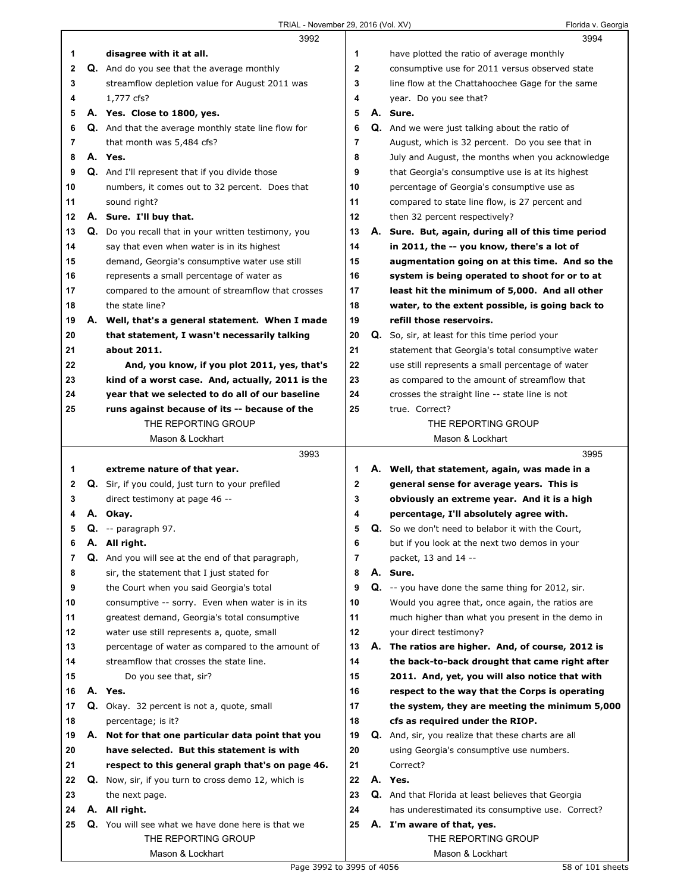|    |    | 3992                                                       |             | 3994                                                  |
|----|----|------------------------------------------------------------|-------------|-------------------------------------------------------|
| 1  |    | disagree with it at all.                                   | 1           | have plotted the ratio of average monthly             |
| 2  |    | Q. And do you see that the average monthly                 | $\mathbf 2$ | consumptive use for 2011 versus observed state        |
| 3  |    | streamflow depletion value for August 2011 was             | 3           | line flow at the Chattahoochee Gage for the same      |
| 4  |    | 1,777 cfs?                                                 | 4           | year. Do you see that?                                |
| 5  |    | A. Yes. Close to 1800, yes.                                | 5           | A. Sure.                                              |
| 6  |    | Q. And that the average monthly state line flow for        | 6           | <b>Q.</b> And we were just talking about the ratio of |
| 7  |    | that month was 5,484 cfs?                                  | 7           | August, which is 32 percent. Do you see that in       |
| 8  |    | A. Yes.                                                    | 8           | July and August, the months when you acknowledge      |
| 9  |    | Q. And I'll represent that if you divide those             | 9           | that Georgia's consumptive use is at its highest      |
| 10 |    | numbers, it comes out to 32 percent. Does that             | 10          | percentage of Georgia's consumptive use as            |
| 11 |    | sound right?                                               | 11          | compared to state line flow, is 27 percent and        |
| 12 |    | A. Sure. I'll buy that.                                    | 12          | then 32 percent respectively?                         |
| 13 |    | Q. Do you recall that in your written testimony, you       | 13          | A. Sure. But, again, during all of this time period   |
| 14 |    | say that even when water is in its highest                 | 14          | in 2011, the -- you know, there's a lot of            |
| 15 |    | demand, Georgia's consumptive water use still              | 15          | augmentation going on at this time. And so the        |
| 16 |    | represents a small percentage of water as                  | 16          | system is being operated to shoot for or to at        |
| 17 |    | compared to the amount of streamflow that crosses          | 17          | least hit the minimum of 5,000. And all other         |
| 18 |    | the state line?                                            | 18          | water, to the extent possible, is going back to       |
| 19 | А. | Well, that's a general statement. When I made              | 19          | refill those reservoirs.                              |
| 20 |    | that statement, I wasn't necessarily talking               | 20          | <b>Q.</b> So, sir, at least for this time period your |
| 21 |    | about 2011.                                                | 21          | statement that Georgia's total consumptive water      |
| 22 |    | And, you know, if you plot 2011, yes, that's               | 22          | use still represents a small percentage of water      |
| 23 |    | kind of a worst case. And, actually, 2011 is the           | 23          | as compared to the amount of streamflow that          |
| 24 |    | year that we selected to do all of our baseline            | 24          | crosses the straight line -- state line is not        |
| 25 |    | runs against because of its -- because of the              | 25          | true. Correct?                                        |
|    |    | THE REPORTING GROUP                                        |             | THE REPORTING GROUP                                   |
|    |    | Mason & Lockhart                                           |             | Mason & Lockhart                                      |
|    |    |                                                            |             |                                                       |
|    |    | 3993                                                       |             | 3995                                                  |
| 1  |    | extreme nature of that year.                               | 1           | A. Well, that statement, again, was made in a         |
| 2  |    | Q. Sir, if you could, just turn to your prefiled           | 2           | general sense for average years. This is              |
| 3  |    | direct testimony at page 46 --                             | 3           | obviously an extreme year. And it is a high           |
| 4  |    | A. Okay.                                                   | 4           | percentage, I'll absolutely agree with.               |
| 5  |    | Q. -- paragraph 97.                                        | 5           | Q. So we don't need to belabor it with the Court,     |
| 6  | Α. | All right.                                                 | 6           | but if you look at the next two demos in your         |
| 7  |    | Q. And you will see at the end of that paragraph,          | 7           | packet, 13 and 14 --                                  |
| 8  |    | sir, the statement that I just stated for                  | 8           | A. Sure.                                              |
| 9  |    | the Court when you said Georgia's total                    | 9           | Q. -- you have done the same thing for 2012, sir.     |
| 10 |    | consumptive -- sorry. Even when water is in its            | 10          | Would you agree that, once again, the ratios are      |
| 11 |    | greatest demand, Georgia's total consumptive               | 11          | much higher than what you present in the demo in      |
| 12 |    | water use still represents a, quote, small                 | 12          | your direct testimony?                                |
| 13 |    | percentage of water as compared to the amount of           | 13          | A. The ratios are higher. And, of course, 2012 is     |
| 14 |    | streamflow that crosses the state line.                    | 14          | the back-to-back drought that came right after        |
| 15 |    | Do you see that, sir?                                      | 15          | 2011. And, yet, you will also notice that with        |
| 16 |    | A. Yes.                                                    | 16          | respect to the way that the Corps is operating        |
| 17 |    | Q. Okay. 32 percent is not a, quote, small                 | 17          | the system, they are meeting the minimum 5,000        |
| 18 |    | percentage; is it?                                         | 18          | cfs as required under the RIOP.                       |
| 19 |    | A. Not for that one particular data point that you         | 19          | Q. And, sir, you realize that these charts are all    |
| 20 |    | have selected. But this statement is with                  | 20          | using Georgia's consumptive use numbers.              |
| 21 |    | respect to this general graph that's on page 46.           | 21          | Correct?                                              |
| 22 |    | <b>Q.</b> Now, sir, if you turn to cross demo 12, which is | 22          | A. Yes.                                               |
| 23 |    | the next page.                                             | 23          | Q. And that Florida at least believes that Georgia    |
| 24 |    | A. All right.                                              | 24          | has underestimated its consumptive use. Correct?      |
| 25 |    | Q. You will see what we have done here is that we          | 25          | A. I'm aware of that, yes.                            |
|    |    | THE REPORTING GROUP<br>Mason & Lockhart                    |             | THE REPORTING GROUP<br>Mason & Lockhart               |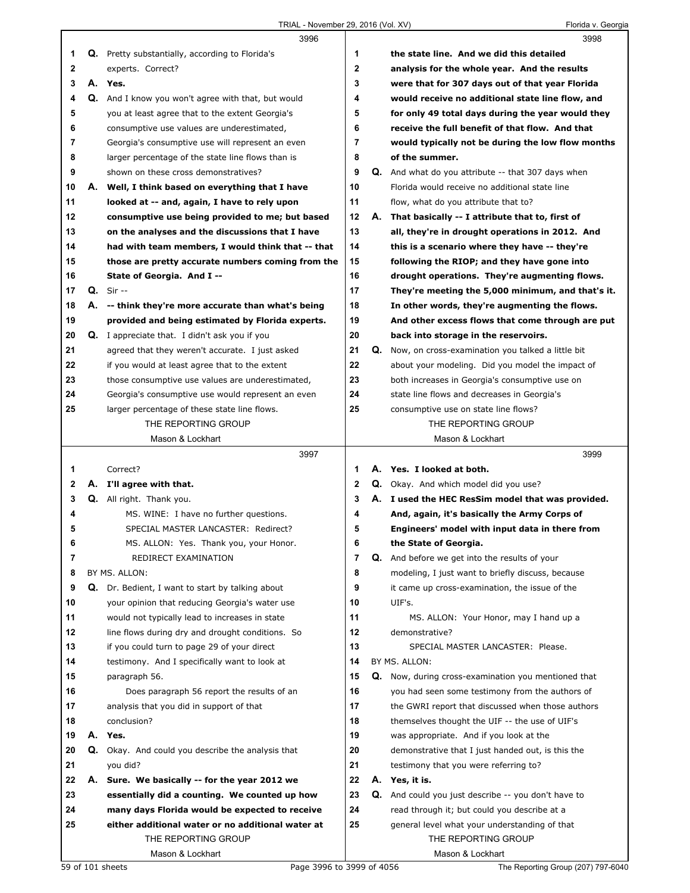|              |    | 3996                                                    |              |    | 3998                                                       |
|--------------|----|---------------------------------------------------------|--------------|----|------------------------------------------------------------|
| 1            |    | Q. Pretty substantially, according to Florida's         | 1            |    | the state line. And we did this detailed                   |
| $\mathbf{2}$ |    | experts. Correct?                                       | $\mathbf{2}$ |    | analysis for the whole year. And the results               |
| 3            |    | A. Yes.                                                 | 3            |    | were that for 307 days out of that year Florida            |
| 4            |    | Q. And I know you won't agree with that, but would      | 4            |    | would receive no additional state line flow, and           |
| 5            |    | you at least agree that to the extent Georgia's         | 5            |    | for only 49 total days during the year would they          |
| 6            |    | consumptive use values are underestimated,              | 6            |    | receive the full benefit of that flow. And that            |
| 7            |    | Georgia's consumptive use will represent an even        | 7            |    | would typically not be during the low flow months          |
| 8            |    | larger percentage of the state line flows than is       | 8            |    | of the summer.                                             |
| 9            |    | shown on these cross demonstratives?                    | 9            |    | Q. And what do you attribute -- that 307 days when         |
| 10           | А. | Well, I think based on everything that I have           | 10           |    | Florida would receive no additional state line             |
| 11           |    | looked at -- and, again, I have to rely upon            | 11           |    | flow, what do you attribute that to?                       |
| 12           |    | consumptive use being provided to me; but based         | 12           | А. | That basically -- I attribute that to, first of            |
| 13           |    | on the analyses and the discussions that I have         | 13           |    | all, they're in drought operations in 2012. And            |
| 14           |    | had with team members, I would think that -- that       | 14           |    | this is a scenario where they have -- they're              |
| 15           |    | those are pretty accurate numbers coming from the       | 15           |    | following the RIOP; and they have gone into                |
| 16           |    | State of Georgia. And I --                              | 16           |    | drought operations. They're augmenting flows.              |
| 17           |    | <b>Q.</b> Sir --                                        | 17           |    | They're meeting the 5,000 minimum, and that's it.          |
| 18           |    | A. -- think they're more accurate than what's being     | 18           |    | In other words, they're augmenting the flows.              |
| 19           |    | provided and being estimated by Florida experts.        | 19           |    | And other excess flows that come through are put           |
| 20           |    | <b>Q.</b> I appreciate that. I didn't ask you if you    | 20           |    | back into storage in the reservoirs.                       |
| 21           |    | agreed that they weren't accurate. I just asked         | 21           | Q. | Now, on cross-examination you talked a little bit          |
| 22           |    | if you would at least agree that to the extent          | 22           |    | about your modeling. Did you model the impact of           |
| 23           |    | those consumptive use values are underestimated,        | 23           |    | both increases in Georgia's consumptive use on             |
| 24           |    | Georgia's consumptive use would represent an even       | 24           |    | state line flows and decreases in Georgia's                |
| 25           |    | larger percentage of these state line flows.            | 25           |    | consumptive use on state line flows?                       |
|              |    | THE REPORTING GROUP                                     |              |    | THE REPORTING GROUP                                        |
|              |    | Mason & Lockhart                                        |              |    | Mason & Lockhart                                           |
|              |    |                                                         |              |    |                                                            |
|              |    |                                                         |              |    |                                                            |
|              |    | 3997                                                    |              |    | 3999                                                       |
| 1            |    | Correct?                                                | 1            |    | A. Yes. I looked at both.                                  |
| 2            |    | A. I'll agree with that.                                | $\mathbf{2}$ |    | Q. Okay. And which model did you use?                      |
| 3            |    | <b>Q.</b> All right. Thank you.                         | 3            |    | A. I used the HEC ResSim model that was provided.          |
| 4            |    | MS. WINE: I have no further questions.                  | 4            |    | And, again, it's basically the Army Corps of               |
| 5            |    | SPECIAL MASTER LANCASTER: Redirect?                     | 5            |    | Engineers' model with input data in there from             |
| 6            |    | MS. ALLON: Yes. Thank you, your Honor.                  | 6            |    | the State of Georgia.                                      |
| 7            |    | REDIRECT EXAMINATION                                    | 7            |    | Q. And before we get into the results of your              |
| 8            |    | BY MS. ALLON:                                           | 8            |    | modeling, I just want to briefly discuss, because          |
| 9            |    | <b>Q.</b> Dr. Bedient, I want to start by talking about | 9            |    | it came up cross-examination, the issue of the             |
| 10           |    | your opinion that reducing Georgia's water use          | 10           |    | UIF's.                                                     |
| 11           |    | would not typically lead to increases in state          | 11           |    | MS. ALLON: Your Honor, may I hand up a                     |
| 12           |    | line flows during dry and drought conditions. So        | 12           |    | demonstrative?                                             |
| 13           |    | if you could turn to page 29 of your direct             | 13           |    | SPECIAL MASTER LANCASTER: Please.                          |
| 14           |    | testimony. And I specifically want to look at           | 14           |    | BY MS. ALLON:                                              |
| 15           |    | paragraph 56.                                           | 15           |    | Q. Now, during cross-examination you mentioned that        |
| 16           |    | Does paragraph 56 report the results of an              | 16           |    | you had seen some testimony from the authors of            |
| 17           |    | analysis that you did in support of that                | 17           |    | the GWRI report that discussed when those authors          |
| 18           |    | conclusion?                                             | 18           |    | themselves thought the UIF -- the use of UIF's             |
| 19           | А. | Yes.                                                    | 19           |    | was appropriate. And if you look at the                    |
| 20           | Q. | Okay. And could you describe the analysis that          | 20           |    | demonstrative that I just handed out, is this the          |
| 21           |    | you did?                                                | 21           |    | testimony that you were referring to?                      |
| 22           |    | A. Sure. We basically -- for the year 2012 we           | 22           |    | A. Yes, it is.                                             |
| 23           |    | essentially did a counting. We counted up how           | 23           |    | <b>Q.</b> And could you just describe -- you don't have to |
| 24           |    | many days Florida would be expected to receive          | 24           |    | read through it; but could you describe at a               |
| 25           |    | either additional water or no additional water at       | 25           |    | general level what your understanding of that              |
|              |    | THE REPORTING GROUP<br>Mason & Lockhart                 |              |    | THE REPORTING GROUP<br>Mason & Lockhart                    |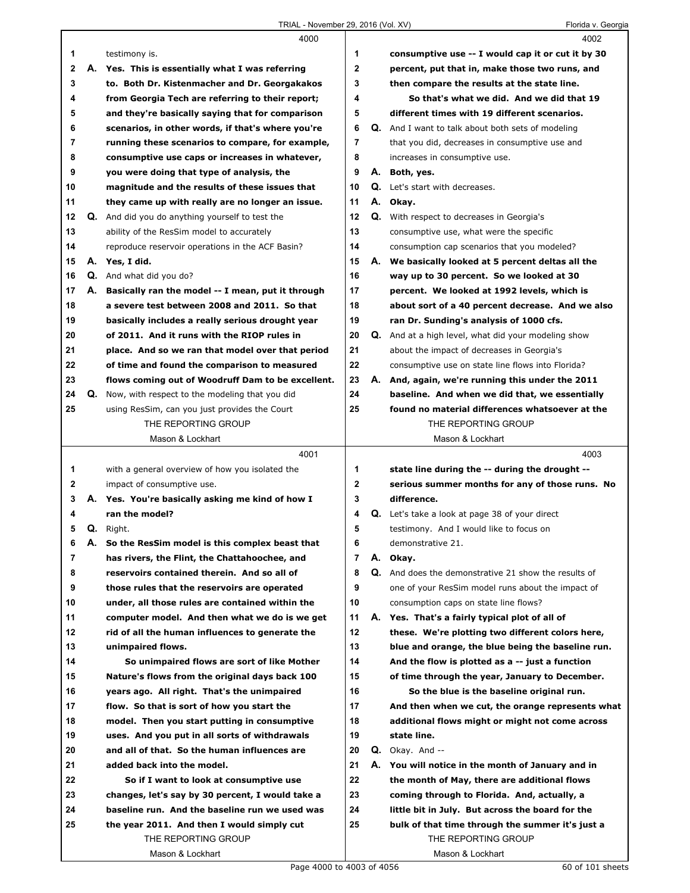|              |    | 4000                                                   |                |    | 4002                                                     |
|--------------|----|--------------------------------------------------------|----------------|----|----------------------------------------------------------|
| 1            |    | testimony is.                                          | 1              |    | consumptive use -- I would cap it or cut it by 30        |
| $\mathbf{2}$ | А. | Yes. This is essentially what I was referring          | $\overline{2}$ |    | percent, put that in, make those two runs, and           |
| 3            |    | to. Both Dr. Kistenmacher and Dr. Georgakakos          | 3              |    | then compare the results at the state line.              |
| 4            |    | from Georgia Tech are referring to their report;       | 4              |    | So that's what we did. And we did that 19                |
| 5            |    | and they're basically saying that for comparison       | 5              |    | different times with 19 different scenarios.             |
| 6            |    | scenarios, in other words, if that's where you're      | 6              |    | <b>Q.</b> And I want to talk about both sets of modeling |
| 7            |    | running these scenarios to compare, for example,       | 7              |    | that you did, decreases in consumptive use and           |
| 8            |    | consumptive use caps or increases in whatever,         | 8              |    | increases in consumptive use.                            |
| 9            |    | you were doing that type of analysis, the              | 9              |    | A. Both, yes.                                            |
| 10           |    | magnitude and the results of these issues that         | 10             |    | Q. Let's start with decreases.                           |
| 11           |    | they came up with really are no longer an issue.       | 11             |    | A. Okay.                                                 |
| 12           |    | <b>Q.</b> And did you do anything yourself to test the | 12             | Q. | With respect to decreases in Georgia's                   |
| 13           |    | ability of the ResSim model to accurately              | 13             |    | consumptive use, what were the specific                  |
| 14           |    | reproduce reservoir operations in the ACF Basin?       | 14             |    | consumption cap scenarios that you modeled?              |
| 15           |    | A. Yes, I did.                                         | 15             |    | A. We basically looked at 5 percent deltas all the       |
| 16           |    | <b>Q.</b> And what did you do?                         | 16             |    | way up to 30 percent. So we looked at 30                 |
| 17           | А. | Basically ran the model -- I mean, put it through      | 17             |    | percent. We looked at 1992 levels, which is              |
| 18           |    | a severe test between 2008 and 2011. So that           | 18             |    | about sort of a 40 percent decrease. And we also         |
| 19           |    | basically includes a really serious drought year       | 19             |    | ran Dr. Sunding's analysis of 1000 cfs.                  |
| 20           |    | of 2011. And it runs with the RIOP rules in            | 20             |    | Q. And at a high level, what did your modeling show      |
| 21           |    | place. And so we ran that model over that period       | 21             |    | about the impact of decreases in Georgia's               |
| 22           |    | of time and found the comparison to measured           | 22             |    | consumptive use on state line flows into Florida?        |
| 23           |    | flows coming out of Woodruff Dam to be excellent.      | 23             |    | A. And, again, we're running this under the 2011         |
| 24           |    | Q. Now, with respect to the modeling that you did      | 24             |    | baseline. And when we did that, we essentially           |
| 25           |    | using ResSim, can you just provides the Court          | 25             |    | found no material differences whatsoever at the          |
|              |    | THE REPORTING GROUP                                    |                |    | THE REPORTING GROUP                                      |
|              |    | Mason & Lockhart                                       |                |    | Mason & Lockhart                                         |
|              |    |                                                        |                |    |                                                          |
|              |    |                                                        |                |    |                                                          |
|              |    | 4001                                                   |                |    | 4003                                                     |
| 1            |    | with a general overview of how you isolated the        | 1              |    | state line during the -- during the drought --           |
| 2            |    | impact of consumptive use.                             | $\mathbf{2}$   |    | serious summer months for any of those runs. No          |
| 3            |    | A. Yes. You're basically asking me kind of how I       | 3              |    | difference.                                              |
| 4            |    | ran the model?                                         | 4              |    | <b>Q.</b> Let's take a look at page 38 of your direct    |
| 5            |    | Q. Right.                                              | 5              |    | testimony. And I would like to focus on                  |
| 6            |    | A. So the ResSim model is this complex beast that      | 6              |    | demonstrative 21.                                        |
| 7            |    | has rivers, the Flint, the Chattahoochee, and          | $\overline{7}$ |    | A. Okay.                                                 |
| 8            |    | reservoirs contained therein. And so all of            | 8              |    | Q. And does the demonstrative 21 show the results of     |
| 9            |    | those rules that the reservoirs are operated           | 9              |    | one of your ResSim model runs about the impact of        |
| 10           |    | under, all those rules are contained within the        | 10             |    | consumption caps on state line flows?                    |
| 11           |    | computer model. And then what we do is we get          | 11             |    | A. Yes. That's a fairly typical plot of all of           |
| 12           |    | rid of all the human influences to generate the        | 12             |    | these. We're plotting two different colors here,         |
| 13           |    | unimpaired flows.                                      | 13             |    | blue and orange, the blue being the baseline run.        |
| 14           |    | So unimpaired flows are sort of like Mother            | 14             |    | And the flow is plotted as a -- just a function          |
| 15           |    | Nature's flows from the original days back 100         | 15             |    | of time through the year, January to December.           |
| 16           |    | years ago. All right. That's the unimpaired            | 16             |    | So the blue is the baseline original run.                |
| 17           |    | flow. So that is sort of how you start the             | 17             |    | And then when we cut, the orange represents what         |
| 18           |    | model. Then you start putting in consumptive           | 18             |    | additional flows might or might not come across          |
| 19           |    | uses. And you put in all sorts of withdrawals          | 19             |    | state line.                                              |
| 20           |    | and all of that. So the human influences are           | 20             |    | $Q.$ Okay. And $-$                                       |
| 21           |    | added back into the model.                             | 21             |    | A. You will notice in the month of January and in        |
| 22           |    | So if I want to look at consumptive use                | 22             |    | the month of May, there are additional flows             |
| 23           |    | changes, let's say by 30 percent, I would take a       | 23             |    | coming through to Florida. And, actually, a              |
| 24           |    | baseline run. And the baseline run we used was         | 24             |    | little bit in July. But across the board for the         |
| 25           |    | the year 2011. And then I would simply cut             | 25             |    | bulk of that time through the summer it's just a         |
|              |    | THE REPORTING GROUP<br>Mason & Lockhart                |                |    | THE REPORTING GROUP<br>Mason & Lockhart                  |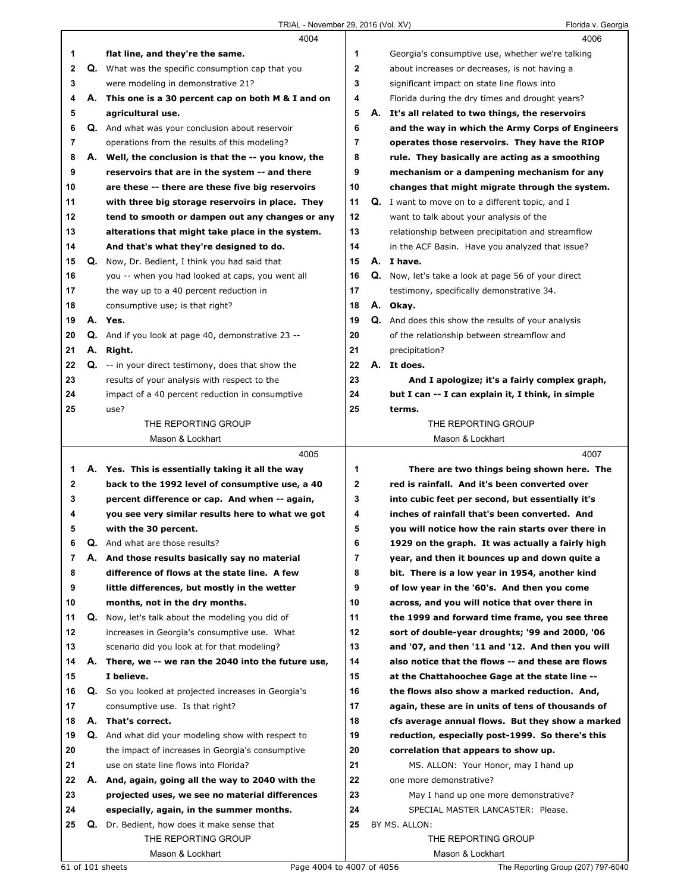|    |    | 4004                                                 |                |    | 4006                                                      |
|----|----|------------------------------------------------------|----------------|----|-----------------------------------------------------------|
| 1  |    | flat line, and they're the same.                     | 1              |    | Georgia's consumptive use, whether we're talking          |
| 2  | Q. | What was the specific consumption cap that you       | $\mathbf{2}$   |    | about increases or decreases, is not having a             |
| 3  |    | were modeling in demonstrative 21?                   | 3              |    | significant impact on state line flows into               |
| 4  |    | A. This one is a 30 percent cap on both M & I and on | 4              |    | Florida during the dry times and drought years?           |
| 5  |    | agricultural use.                                    | 5              | А. | It's all related to two things, the reservoirs            |
| 6  |    | Q. And what was your conclusion about reservoir      | 6              |    | and the way in which the Army Corps of Engineers          |
| 7  |    | operations from the results of this modeling?        | 7              |    | operates those reservoirs. They have the RIOP             |
| 8  |    | A. Well, the conclusion is that the -- you know, the | 8              |    | rule. They basically are acting as a smoothing            |
| 9  |    | reservoirs that are in the system -- and there       | 9              |    | mechanism or a dampening mechanism for any                |
| 10 |    | are these -- there are these five big reservoirs     | 10             |    | changes that might migrate through the system.            |
| 11 |    | with three big storage reservoirs in place. They     | 11             |    | <b>Q.</b> I want to move on to a different topic, and I   |
| 12 |    | tend to smooth or dampen out any changes or any      | 12             |    | want to talk about your analysis of the                   |
| 13 |    | alterations that might take place in the system.     | 13             |    | relationship between precipitation and streamflow         |
| 14 |    | And that's what they're designed to do.              | 14             |    | in the ACF Basin. Have you analyzed that issue?           |
| 15 |    | Q. Now, Dr. Bedient, I think you had said that       | 15             |    | A. I have.                                                |
| 16 |    | you -- when you had looked at caps, you went all     | 16             |    | Q. Now, let's take a look at page 56 of your direct       |
| 17 |    | the way up to a 40 percent reduction in              | 17             |    | testimony, specifically demonstrative 34.                 |
| 18 |    | consumptive use; is that right?                      | 18             |    | A. Okay.                                                  |
| 19 |    | A. Yes.                                              | 19             |    | <b>Q.</b> And does this show the results of your analysis |
| 20 | Q. | And if you look at page 40, demonstrative 23 --      | 20             |    | of the relationship between streamflow and                |
| 21 |    | A. Right.                                            | 21             |    | precipitation?                                            |
| 22 | Q. | -- in your direct testimony, does that show the      | 22             |    | A. It does.                                               |
| 23 |    | results of your analysis with respect to the         | 23             |    | And I apologize; it's a fairly complex graph,             |
| 24 |    | impact of a 40 percent reduction in consumptive      | 24             |    | but I can -- I can explain it, I think, in simple         |
| 25 |    | use?                                                 | 25             |    | terms.                                                    |
|    |    | THE REPORTING GROUP                                  |                |    | THE REPORTING GROUP                                       |
|    |    | Mason & Lockhart                                     |                |    | Mason & Lockhart                                          |
|    |    |                                                      |                |    |                                                           |
|    |    | 4005                                                 |                |    | 4007                                                      |
| 1  |    | A. Yes. This is essentially taking it all the way    | 1              |    | There are two things being shown here. The                |
| 2  |    | back to the 1992 level of consumptive use, a 40      | $\mathbf{2}$   |    | red is rainfall. And it's been converted over             |
| 3  |    | percent difference or cap. And when -- again,        | 3              |    | into cubic feet per second, but essentially it's          |
| 4  |    | you see very similar results here to what we got     | 4              |    | inches of rainfall that's been converted. And             |
| 5  |    | with the 30 percent.                                 | 5              |    | you will notice how the rain starts over there in         |
| 6  | Q. | And what are those results?                          | 6              |    | 1929 on the graph. It was actually a fairly high          |
| 7  |    | A. And those results basically say no material       | $\overline{7}$ |    | year, and then it bounces up and down quite a             |
| 8  |    | difference of flows at the state line. A few         | 8              |    | bit. There is a low year in 1954, another kind            |
| 9  |    | little differences, but mostly in the wetter         | 9              |    | of low year in the '60's. And then you come               |
| 10 |    | months, not in the dry months.                       | 10             |    | across, and you will notice that over there in            |
| 11 | Q. | Now, let's talk about the modeling you did of        | 11             |    | the 1999 and forward time frame, you see three            |
| 12 |    | increases in Georgia's consumptive use. What         | 12             |    | sort of double-year droughts; '99 and 2000, '06           |
| 13 |    | scenario did you look at for that modeling?          | 13             |    | and '07, and then '11 and '12. And then you will          |
| 14 |    | A. There, we -- we ran the 2040 into the future use, | 14             |    | also notice that the flows -- and these are flows         |
| 15 |    | I believe.                                           | 15             |    | at the Chattahoochee Gage at the state line --            |
| 16 |    | Q. So you looked at projected increases in Georgia's | 16             |    | the flows also show a marked reduction. And,              |
| 17 |    | consumptive use. Is that right?                      | 17             |    | again, these are in units of tens of thousands of         |
| 18 | А. | That's correct.                                      | 18             |    | cfs average annual flows. But they show a marked          |
| 19 | Q. | And what did your modeling show with respect to      | 19             |    | reduction, especially post-1999. So there's this          |
| 20 |    | the impact of increases in Georgia's consumptive     | 20             |    | correlation that appears to show up.                      |
| 21 |    | use on state line flows into Florida?                | 21             |    | MS. ALLON: Your Honor, may I hand up                      |
| 22 |    | A. And, again, going all the way to 2040 with the    | 22             |    | one more demonstrative?                                   |
| 23 |    | projected uses, we see no material differences       | 23             |    | May I hand up one more demonstrative?                     |
| 24 |    | especially, again, in the summer months.             | 24             |    | SPECIAL MASTER LANCASTER: Please.                         |
| 25 |    | Q. Dr. Bedient, how does it make sense that          | 25             |    | BY MS. ALLON:                                             |
|    |    | THE REPORTING GROUP                                  |                |    | THE REPORTING GROUP                                       |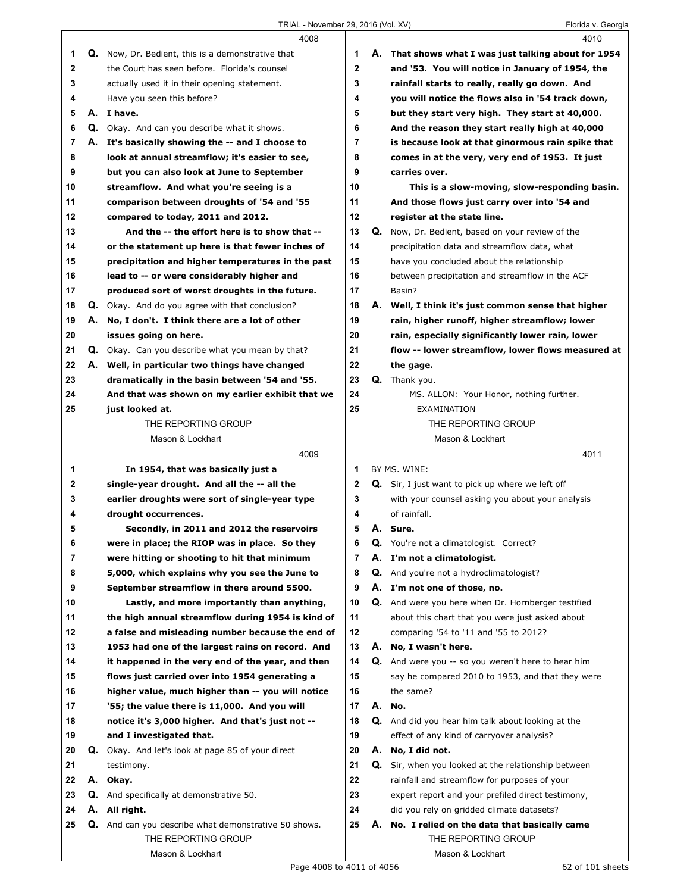$\Gamma$ 

|    |    | 4008                                                    |                |    | 4010                                                 |
|----|----|---------------------------------------------------------|----------------|----|------------------------------------------------------|
| 1  |    | Q. Now, Dr. Bedient, this is a demonstrative that       | 1              |    | A. That shows what I was just talking about for 1954 |
| 2  |    | the Court has seen before. Florida's counsel            | 2              |    | and '53. You will notice in January of 1954, the     |
| 3  |    | actually used it in their opening statement.            | 3              |    | rainfall starts to really, really go down. And       |
| 4  |    | Have you seen this before?                              | 4              |    | you will notice the flows also in '54 track down,    |
| 5  |    | A. I have.                                              | 5              |    | but they start very high. They start at 40,000.      |
| 6  |    | Q. Okay. And can you describe what it shows.            | 6              |    | And the reason they start really high at 40,000      |
| 7  |    | A. It's basically showing the -- and I choose to        | $\overline{7}$ |    | is because look at that ginormous rain spike that    |
| 8  |    | look at annual streamflow; it's easier to see,          | 8              |    | comes in at the very, very end of 1953. It just      |
| 9  |    | but you can also look at June to September              | 9              |    | carries over.                                        |
| 10 |    | streamflow. And what you're seeing is a                 | 10             |    | This is a slow-moving, slow-responding basin.        |
| 11 |    | comparison between droughts of '54 and '55              | 11             |    | And those flows just carry over into '54 and         |
| 12 |    | compared to today, 2011 and 2012.                       | 12             |    | register at the state line.                          |
| 13 |    | And the -- the effort here is to show that --           | 13             | Q. | Now, Dr. Bedient, based on your review of the        |
| 14 |    | or the statement up here is that fewer inches of        | 14             |    | precipitation data and streamflow data, what         |
| 15 |    | precipitation and higher temperatures in the past       | 15             |    | have you concluded about the relationship            |
| 16 |    | lead to -- or were considerably higher and              | 16             |    | between precipitation and streamflow in the ACF      |
| 17 |    | produced sort of worst droughts in the future.          | 17             |    | Basin?                                               |
| 18 |    | <b>Q.</b> Okay. And do you agree with that conclusion?  | 18             | А. | Well, I think it's just common sense that higher     |
| 19 |    | A. No, I don't. I think there are a lot of other        | 19             |    | rain, higher runoff, higher streamflow; lower        |
| 20 |    | issues going on here.                                   | 20             |    | rain, especially significantly lower rain, lower     |
| 21 |    | <b>Q.</b> Okay. Can you describe what you mean by that? | 21             |    | flow -- lower streamflow, lower flows measured at    |
| 22 |    | A. Well, in particular two things have changed          | 22             |    | the gage.                                            |
| 23 |    | dramatically in the basin between '54 and '55.          | 23             |    | Q. Thank you.                                        |
| 24 |    | And that was shown on my earlier exhibit that we        | 24             |    | MS. ALLON: Your Honor, nothing further.              |
| 25 |    | just looked at.                                         | 25             |    | EXAMINATION                                          |
|    |    | THE REPORTING GROUP                                     |                |    | THE REPORTING GROUP                                  |
|    |    | Mason & Lockhart                                        |                |    | Mason & Lockhart                                     |
|    |    |                                                         |                |    |                                                      |
|    |    |                                                         |                |    |                                                      |
|    |    | 4009                                                    |                |    | 4011                                                 |
| 1  |    | In 1954, that was basically just a                      | 1              |    | BY MS. WINE:                                         |
| 2  |    | single-year drought. And all the -- all the             | 2              |    | Q. Sir, I just want to pick up where we left off     |
| 3  |    | earlier droughts were sort of single-year type          | 3              |    | with your counsel asking you about your analysis     |
| 4  |    | drought occurrences.                                    | 4              |    | of rainfall.                                         |
| 5  |    | Secondly, in 2011 and 2012 the reservoirs               | 5              |    | A. Sure.                                             |
| 6  |    | were in place; the RIOP was in place. So they           | 6              |    | Q. You're not a climatologist. Correct?              |
| 7  |    | were hitting or shooting to hit that minimum            | 7              |    | A. I'm not a climatologist.                          |
| 8  |    | 5,000, which explains why you see the June to           | 8              |    | Q. And you're not a hydroclimatologist?              |
| 9  |    | September streamflow in there around 5500.              | 9              |    | A. I'm not one of those, no.                         |
| 10 |    | Lastly, and more importantly than anything,             | 10             | Q. | And were you here when Dr. Hornberger testified      |
| 11 |    | the high annual streamflow during 1954 is kind of       | 11             |    | about this chart that you were just asked about      |
| 12 |    | a false and misleading number because the end of        | 12             |    | comparing '54 to '11 and '55 to 2012?                |
| 13 |    | 1953 had one of the largest rains on record. And        | 13             | А. | No, I wasn't here.                                   |
| 14 |    | it happened in the very end of the year, and then       | 14             | Q. | And were you -- so you weren't here to hear him      |
| 15 |    | flows just carried over into 1954 generating a          | 15             |    | say he compared 2010 to 1953, and that they were     |
| 16 |    | higher value, much higher than -- you will notice       | 16             |    | the same?                                            |
| 17 |    | '55; the value there is 11,000. And you will            | 17             | А. | No.                                                  |
| 18 |    | notice it's 3,000 higher. And that's just not --        | 18             |    | Q. And did you hear him talk about looking at the    |
| 19 |    | and I investigated that.                                | 19             |    | effect of any kind of carryover analysis?            |
| 20 | Q. | Okay. And let's look at page 85 of your direct          | 20             | А. | No, I did not.                                       |
| 21 |    | testimony.                                              | 21             | Q. | Sir, when you looked at the relationship between     |
| 22 | А. | Okay.                                                   | 22             |    | rainfall and streamflow for purposes of your         |
| 23 | Q. | And specifically at demonstrative 50.                   | 23             |    | expert report and your prefiled direct testimony,    |
| 24 | А. | All right.                                              | 24             |    | did you rely on gridded climate datasets?            |
| 25 | Q. | And can you describe what demonstrative 50 shows.       | 25             | А. | No. I relied on the data that basically came         |
|    |    | THE REPORTING GROUP<br>Mason & Lockhart                 |                |    | THE REPORTING GROUP<br>Mason & Lockhart              |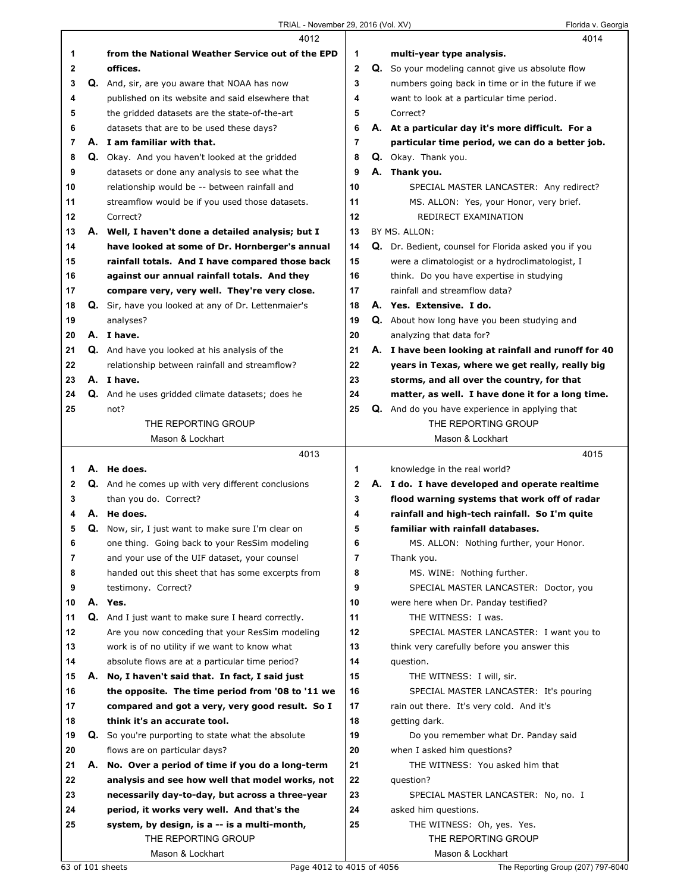|              |    | 4012                                                      |                         | 4014                                                                         |
|--------------|----|-----------------------------------------------------------|-------------------------|------------------------------------------------------------------------------|
| 1            |    | from the National Weather Service out of the EPD          | 1                       | multi-year type analysis.                                                    |
| 2            |    | offices.                                                  | $\overline{\mathbf{2}}$ | Q. So your modeling cannot give us absolute flow                             |
| 3            |    | Q. And, sir, are you aware that NOAA has now              | 3                       | numbers going back in time or in the future if we                            |
| 4            |    | published on its website and said elsewhere that          | 4                       | want to look at a particular time period.                                    |
| 5            |    | the gridded datasets are the state-of-the-art             | 5                       | Correct?                                                                     |
| 6            |    | datasets that are to be used these days?                  | 6                       | A. At a particular day it's more difficult. For a                            |
| 7            |    | A. I am familiar with that.                               | 7                       | particular time period, we can do a better job.                              |
| 8            |    | Q. Okay. And you haven't looked at the gridded            | 8                       | Q. Okay. Thank you.                                                          |
| 9            |    | datasets or done any analysis to see what the             | 9                       | A. Thank you.                                                                |
| 10           |    | relationship would be -- between rainfall and             | 10                      | SPECIAL MASTER LANCASTER: Any redirect?                                      |
| 11           |    | streamflow would be if you used those datasets.           | 11                      | MS. ALLON: Yes, your Honor, very brief.                                      |
| 12           |    | Correct?                                                  | 12                      | REDIRECT EXAMINATION                                                         |
| 13           |    | A. Well, I haven't done a detailed analysis; but I        | 13                      | BY MS. ALLON:                                                                |
| 14           |    | have looked at some of Dr. Hornberger's annual            | 14                      | Q. Dr. Bedient, counsel for Florida asked you if you                         |
| 15           |    | rainfall totals. And I have compared those back           | 15                      | were a climatologist or a hydroclimatologist, I                              |
| 16           |    | against our annual rainfall totals. And they              | 16                      | think. Do you have expertise in studying                                     |
| 17           |    | compare very, very well. They're very close.              | 17                      | rainfall and streamflow data?                                                |
| 18           |    | Q. Sir, have you looked at any of Dr. Lettenmaier's       | 18                      | A. Yes. Extensive. I do.                                                     |
| 19           |    | analyses?                                                 | 19                      | Q. About how long have you been studying and                                 |
| 20           |    | A. I have.                                                | 20                      | analyzing that data for?                                                     |
| 21           |    | Q. And have you looked at his analysis of the             | 21                      | A. I have been looking at rainfall and runoff for 40                         |
| 22           |    | relationship between rainfall and streamflow?             | 22                      | years in Texas, where we get really, really big                              |
| 23           |    | A. I have.                                                | 23                      | storms, and all over the country, for that                                   |
| 24           |    | Q. And he uses gridded climate datasets; does he          | 24                      | matter, as well. I have done it for a long time.                             |
| 25           |    | not?                                                      | 25                      |                                                                              |
|              |    | THE REPORTING GROUP                                       |                         | <b>Q.</b> And do you have experience in applying that<br>THE REPORTING GROUP |
|              |    | Mason & Lockhart                                          |                         | Mason & Lockhart                                                             |
|              |    |                                                           |                         |                                                                              |
|              |    |                                                           |                         |                                                                              |
|              |    | 4013                                                      |                         | 4015                                                                         |
| 1            |    | A. He does.                                               | 1                       | knowledge in the real world?                                                 |
| $\mathbf{2}$ |    | Q. And he comes up with very different conclusions        | $\mathbf{2}$            | A. I do. I have developed and operate realtime                               |
| 3            |    | than you do. Correct?                                     | 3                       | flood warning systems that work off of radar                                 |
| 4            |    | A. He does.                                               | 4                       | rainfall and high-tech rainfall. So I'm quite                                |
| 5            |    | <b>Q.</b> Now, sir, I just want to make sure I'm clear on | 5                       | familiar with rainfall databases.                                            |
| 6            |    | one thing. Going back to your ResSim modeling             | 6                       | MS. ALLON: Nothing further, your Honor.                                      |
| 7            |    | and your use of the UIF dataset, your counsel             | 7                       | Thank you.                                                                   |
| 8            |    | handed out this sheet that has some excerpts from         | 8                       | MS. WINE: Nothing further.                                                   |
| 9            |    | testimony. Correct?                                       | 9                       | SPECIAL MASTER LANCASTER: Doctor, you                                        |
| 10           |    | A. Yes.                                                   | 10                      | were here when Dr. Panday testified?                                         |
| 11           |    | <b>Q.</b> And I just want to make sure I heard correctly. | 11                      | THE WITNESS: I was.                                                          |
| 12           |    | Are you now conceding that your ResSim modeling           | 12                      | SPECIAL MASTER LANCASTER: I want you to                                      |
| 13           |    | work is of no utility if we want to know what             | 13                      | think very carefully before you answer this                                  |
| 14           |    | absolute flows are at a particular time period?           | 14                      | question.                                                                    |
| 15           |    | A. No, I haven't said that. In fact, I said just          | 15                      | THE WITNESS: I will, sir.                                                    |
| 16           |    | the opposite. The time period from '08 to '11 we          | 16                      | SPECIAL MASTER LANCASTER: It's pouring                                       |
| 17           |    | compared and got a very, very good result. So I           | 17                      | rain out there. It's very cold. And it's                                     |
| 18           |    | think it's an accurate tool.                              | 18                      | getting dark.                                                                |
| 19           |    | <b>Q.</b> So you're purporting to state what the absolute | 19                      | Do you remember what Dr. Panday said                                         |
| 20           |    | flows are on particular days?                             | 20                      | when I asked him questions?                                                  |
| 21           | А. | No. Over a period of time if you do a long-term           | 21                      | THE WITNESS: You asked him that                                              |
| 22           |    | analysis and see how well that model works, not           | 22                      | question?                                                                    |
| 23           |    | necessarily day-to-day, but across a three-year           | 23                      | SPECIAL MASTER LANCASTER: No, no. I                                          |
| 24           |    | period, it works very well. And that's the                | 24                      | asked him questions.                                                         |
| 25           |    | system, by design, is a -- is a multi-month,              | 25                      | THE WITNESS: Oh, yes. Yes.                                                   |
|              |    | THE REPORTING GROUP<br>Mason & Lockhart                   |                         | THE REPORTING GROUP<br>Mason & Lockhart                                      |

 $\mathsf I$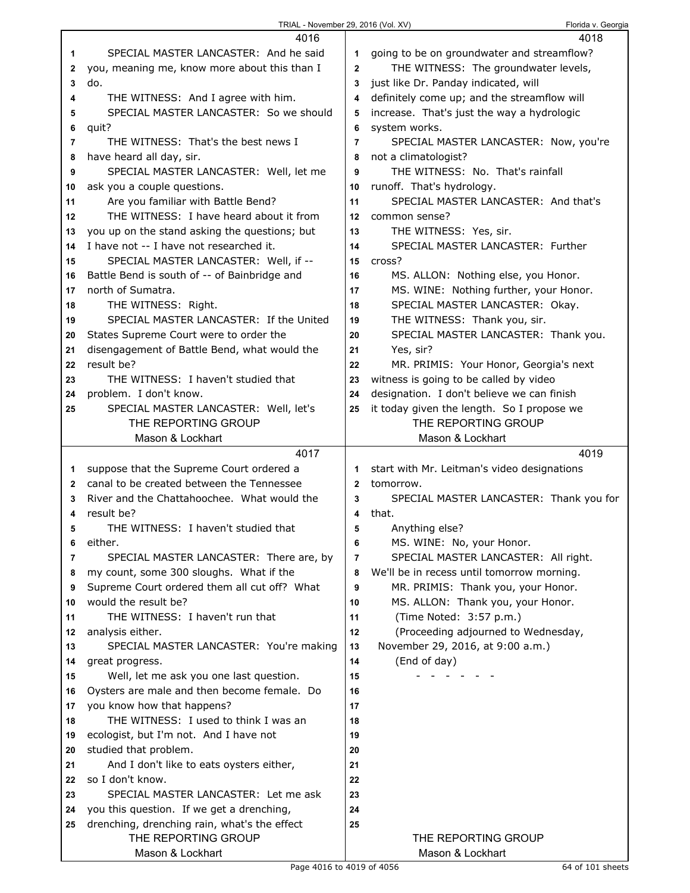| TRIAL - November 29, 2016 (Vol. XV) |  |  |  |  |  |  |
|-------------------------------------|--|--|--|--|--|--|
|-------------------------------------|--|--|--|--|--|--|

Florida v. Georgia

|                | 4016                                          |                | 4018                                        |
|----------------|-----------------------------------------------|----------------|---------------------------------------------|
| 1              | SPECIAL MASTER LANCASTER: And he said         | 1              | going to be on groundwater and streamflow?  |
| 2              | you, meaning me, know more about this than I  | $\mathbf{2}$   | THE WITNESS: The groundwater levels,        |
| 3              | do.                                           | 3              | just like Dr. Panday indicated, will        |
| 4              | THE WITNESS: And I agree with him.            | 4              | definitely come up; and the streamflow will |
| 5              | SPECIAL MASTER LANCASTER: So we should        | 5              | increase. That's just the way a hydrologic  |
| 6              | quit?                                         | 6              | system works.                               |
| $\overline{7}$ | THE WITNESS: That's the best news I           | $\overline{7}$ | SPECIAL MASTER LANCASTER: Now, you're       |
| 8              | have heard all day, sir.                      | 8              | not a climatologist?                        |
| 9              | SPECIAL MASTER LANCASTER: Well, let me        | 9              | THE WITNESS: No. That's rainfall            |
| 10             | ask you a couple questions.                   | 10             | runoff. That's hydrology.                   |
| 11             | Are you familiar with Battle Bend?            | 11             | SPECIAL MASTER LANCASTER: And that's        |
| 12             | THE WITNESS: I have heard about it from       | 12             | common sense?                               |
| 13             | you up on the stand asking the questions; but | 13             | THE WITNESS: Yes, sir.                      |
| 14             | I have not -- I have not researched it.       | 14             | SPECIAL MASTER LANCASTER: Further           |
| 15             | SPECIAL MASTER LANCASTER: Well, if --         | 15             | cross?                                      |
| 16             | Battle Bend is south of -- of Bainbridge and  | 16             | MS. ALLON: Nothing else, you Honor.         |
| 17             | north of Sumatra.                             | 17             | MS. WINE: Nothing further, your Honor.      |
| 18             | THE WITNESS: Right.                           | 18             | SPECIAL MASTER LANCASTER: Okay.             |
| 19             | SPECIAL MASTER LANCASTER: If the United       | 19             | THE WITNESS: Thank you, sir.                |
| 20             | States Supreme Court were to order the        | 20             | SPECIAL MASTER LANCASTER: Thank you.        |
| 21             | disengagement of Battle Bend, what would the  | 21             | Yes, sir?                                   |
| 22             | result be?                                    | 22             | MR. PRIMIS: Your Honor, Georgia's next      |
| 23             | THE WITNESS: I haven't studied that           | 23             | witness is going to be called by video      |
| 24             | problem. I don't know.                        | 24             | designation. I don't believe we can finish  |
| 25             | SPECIAL MASTER LANCASTER: Well, let's         | 25             | it today given the length. So I propose we  |
|                | THE REPORTING GROUP                           |                | THE REPORTING GROUP                         |
|                | Mason & Lockhart                              |                | Mason & Lockhart                            |
|                | 4017                                          |                | 4019                                        |
|                |                                               |                |                                             |
| 1              | suppose that the Supreme Court ordered a      | 1              | start with Mr. Leitman's video designations |
| $\mathbf{2}$   | canal to be created between the Tennessee     | $\mathbf{2}$   | tomorrow.                                   |
| 3              | River and the Chattahoochee. What would the   | 3              | SPECIAL MASTER LANCASTER: Thank you for     |
| 4              | result be?                                    | 4              | that.                                       |
| 5              | THE WITNESS: I haven't studied that           | 5              | Anything else?                              |
| 6              | either.                                       | 6              | MS. WINE: No, your Honor.                   |
| 7              | SPECIAL MASTER LANCASTER: There are, by       | 7              | SPECIAL MASTER LANCASTER: All right.        |
| 8              | my count, some 300 sloughs. What if the       | 8              | We'll be in recess until tomorrow morning.  |
| 9              | Supreme Court ordered them all cut off? What  | 9              | MR. PRIMIS: Thank you, your Honor.          |
| 10             | would the result be?                          | 10             | MS. ALLON: Thank you, your Honor.           |
| 11             | THE WITNESS: I haven't run that               | 11             | (Time Noted: 3:57 p.m.)                     |
| 12             | analysis either.                              | 12             | (Proceeding adjourned to Wednesday,         |
| 13             | SPECIAL MASTER LANCASTER: You're making       | 13             | November 29, 2016, at 9:00 a.m.)            |
| 14             | great progress.                               | 14             | (End of day)                                |
| 15             | Well, let me ask you one last question.       | 15             |                                             |
| 16             | Oysters are male and then become female. Do   | 16             |                                             |
| 17             | you know how that happens?                    | 17             |                                             |
| 18             | THE WITNESS: I used to think I was an         | 18             |                                             |
| 19             | ecologist, but I'm not. And I have not        | 19             |                                             |
| 20             | studied that problem.                         | 20             |                                             |
| 21             | And I don't like to eats oysters either,      | 21             |                                             |
| 22             | so I don't know.                              | 22             |                                             |
| 23             | SPECIAL MASTER LANCASTER: Let me ask          | 23             |                                             |
| 24             | you this question. If we get a drenching,     | 24             |                                             |
| 25             | drenching, drenching rain, what's the effect  | 25             |                                             |
|                | THE REPORTING GROUP<br>Mason & Lockhart       |                | THE REPORTING GROUP<br>Mason & Lockhart     |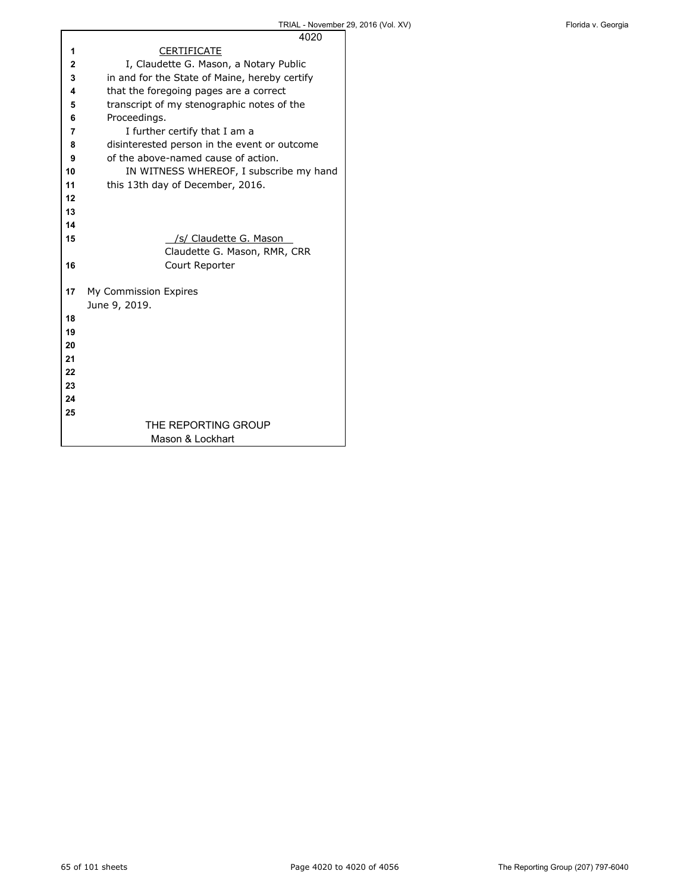| 4020                                          |
|-----------------------------------------------|
| <b>CERTIFICATE</b>                            |
| I, Claudette G. Mason, a Notary Public        |
| in and for the State of Maine, hereby certify |
| that the foregoing pages are a correct        |
| transcript of my stenographic notes of the    |
| Proceedings.                                  |
| I further certify that I am a                 |
| disinterested person in the event or outcome  |
| of the above-named cause of action.           |
| IN WITNESS WHEREOF, I subscribe my hand       |
| this 13th day of December, 2016.              |
|                                               |
|                                               |
|                                               |
| /s/ Claudette G. Mason                        |
| Claudette G. Mason, RMR, CRR                  |
| Court Reporter                                |
|                                               |
| My Commission Expires                         |
| June 9, 2019.                                 |
|                                               |
|                                               |
|                                               |
|                                               |
|                                               |
|                                               |
|                                               |
|                                               |
| THE REPORTING GROUP                           |
| Mason & Lockhart                              |
|                                               |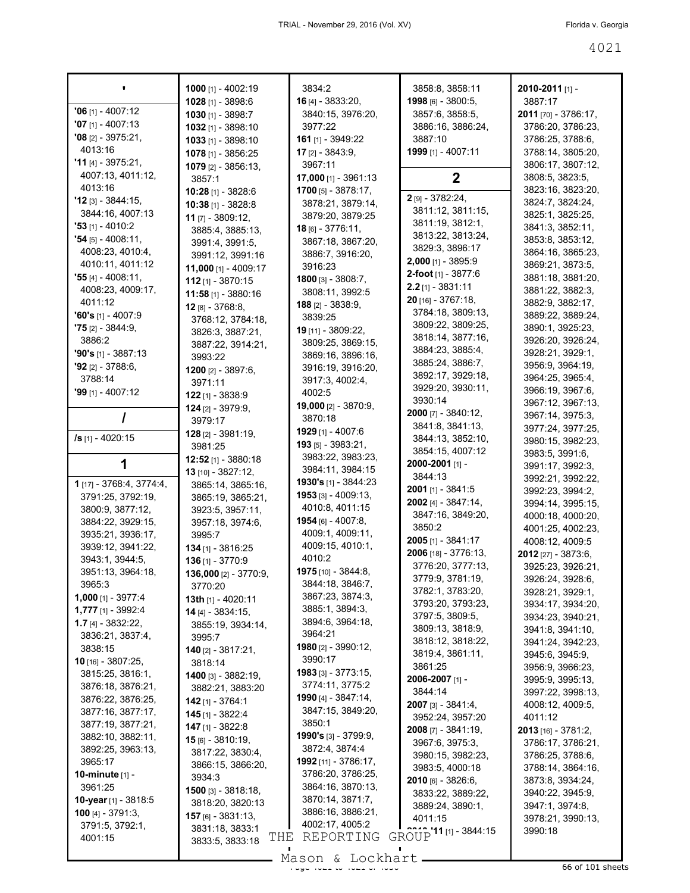|                                                 | 1000 $[1] - 4002:19$             | 3834:2                                  | 3858:8, 3858:11                       | 2010-2011 [1] -                       |
|-------------------------------------------------|----------------------------------|-----------------------------------------|---------------------------------------|---------------------------------------|
|                                                 | 1028 [1] - 3898:6                | <b>16</b> $[4]$ - 3833:20,              | 1998 [6] - 3800:5,                    | 3887:17                               |
| $'06$ [1] - 4007:12                             | 1030 $[1] - 3898:7$              | 3840:15, 3976:20,                       | 3857:6, 3858:5,                       | 2011 [70] - 3786:17,                  |
| $'07$ [1] - 4007:13                             | 1032 [1] - 3898:10               | 3977:22                                 | 3886:16, 3886:24,                     | 3786:20, 3786:23,                     |
| $'08$ [2] - 3975:21,                            | $1033$ [1] - 3898:10             | 161 [1] - 3949:22                       | 3887:10                               | 3786:25, 3788:6,                      |
| 4013:16                                         | 1078 [1] - 3856:25               | <b>17</b> [2] - 3843:9,                 | 1999 [1] - 4007:11                    | 3788:14, 3805:20,                     |
| $'11_{[4]} - 3975:21,$                          | <b>1079</b> [2] - 3856:13,       | 3967:11                                 |                                       | 3806:17, 3807:12,                     |
| 4007:13, 4011:12,                               | 3857:1                           | 17,000 [1] - 3961:13                    | $\mathbf{2}$                          | 3808:5, 3823:5,                       |
| 4013:16                                         | 10:28 [1] - 3828:6               | <b>1700</b> [5] - $3878:17$ ,           | 2 [9] - 3782:24,                      | 3823:16, 3823:20,                     |
| $'12$ [3] - 3844:15,                            | 10:38 [1] - 3828:8               | 3878:21, 3879:14,                       | 3811:12, 3811:15,                     | 3824:7, 3824:24,                      |
| 3844:16, 4007:13                                | 11 [7] - 3809:12,                | 3879:20, 3879:25                        | 3811:19, 3812:1,                      | 3825:1, 3825:25,                      |
| <b>'53</b> [1] - 4010:2<br>$'54$ [5] - 4008:11, | 3885:4, 3885:13,                 | 18 [6] - 3776:11,                       | 3813:22, 3813:24,                     | 3841:3, 3852:11,                      |
| 4008:23, 4010:4,                                | 3991:4, 3991:5,                  | 3867:18, 3867:20,                       | 3829:3, 3896:17                       | 3853:8, 3853:12,                      |
| 4010:11, 4011:12                                | 3991:12, 3991:16                 | 3886:7, 3916:20,                        | 2,000 [1] - 3895:9                    | 3864:16, 3865:23,<br>3869:21, 3873:5, |
| <b>'55</b> [4] - 4008:11,                       | 11,000 [1] - 4009:17             | 3916:23                                 | 2-foot [1] - 3877:6                   | 3881:18, 3881:20,                     |
| 4008:23, 4009:17,                               | $112$ [1] - 3870:15              | <b>1800</b> [3] - 3808:7,               | $2.2$ [1] - 3831:11                   | 3881:22, 3882:3,                      |
| 4011:12                                         | <b>11:58</b> [1] - 3880:16       | 3808:11, 3992:5                         | $20$ [16] - 3767:18,                  | 3882:9, 3882:17,                      |
| $'60's$ [1] - 4007:9                            | 12 [8] - 3768:8.                 | <b>188</b> $[2] - 3838:9$               | 3784:18, 3809:13,                     | 3889:22, 3889:24,                     |
| <b>75</b> 121 - 3844:9,                         | 3768:12, 3784:18,                | 3839:25                                 | 3809:22, 3809:25,                     | 3890:1, 3925:23,                      |
| 3886:2                                          | 3826:3, 3887:21,                 | 19 [11] - 3809:22,<br>3809:25, 3869:15, | 3818:14, 3877:16,                     | 3926:20, 3926:24,                     |
| $'90's$ [1] - 3887:13                           | 3887:22, 3914:21,                | 3869:16, 3896:16,                       | 3884:23, 3885:4,                      | 3928:21, 3929:1,                      |
| $92$ [2] - 3788:6,                              | 3993:22                          | 3916:19, 3916:20,                       | 3885:24, 3886:7,                      | 3956:9, 3964:19,                      |
| 3788:14                                         | 1200 [2] - 3897:6,               | 3917:3, 4002:4,                         | 3892:17, 3929:18,                     | 3964:25, 3965:4,                      |
| <b>'99</b> [1] - 4007:12                        | 3971:11                          | 4002:5                                  | 3929:20, 3930:11,                     | 3966:19, 3967:6,                      |
|                                                 | $122$ [1] - 3838:9               | <b>19,000</b> [2] - 3870:9,             | 3930:14                               | 3967:12, 3967:13,                     |
|                                                 | $124$ [2] - 3979:9,              | 3870:18                                 | 2000 [7] - 3840:12,                   | 3967:14, 3975:3,                      |
|                                                 | 3979:17                          | 1929 [1] - 4007:6                       | 3841:8, 3841:13,                      | 3977:24, 3977:25,                     |
| /s [1] - 4020:15                                | 128 [2] - 3981:19,               | $193$ [5] - 3983:21,                    | 3844:13, 3852:10,                     | 3980:15, 3982:23,                     |
|                                                 | 3981:25<br>$12:52$ [1] - 3880:18 | 3983:22, 3983:23,                       | 3854:15, 4007:12                      | 3983:5, 3991:6,                       |
| 1                                               | 13 [10] - 3827:12,               | 3984:11, 3984:15                        | 2000-2001 [1] -                       | 3991:17, 3992:3,                      |
| 1 [17] - 3768:4, 3774:4,                        | 3865:14, 3865:16,                | <b>1930's</b> [1] - 3844:23             | 3844:13                               | 3992:21, 3992:22,                     |
| 3791:25, 3792:19,                               | 3865:19, 3865:21,                | <b>1953</b> [3] - 4009:13,              | 2001 [1] - 3841:5                     | 3992:23, 3994:2,                      |
| 3800:9, 3877:12,                                | 3923:5, 3957:11,                 | 4010:8, 4011:15                         | <b>2002</b> [4] - $3847:14$ ,         | 3994:14, 3995:15,                     |
| 3884:22, 3929:15,                               | 3957:18, 3974:6,                 | <b>1954</b> [6] - 4007:8,               | 3847:16, 3849:20,                     | 4000:18, 4000:20,                     |
| 3935:21, 3936:17,                               | 3995:7                           | 4009:1, 4009:11,                        | 3850:2                                | 4001:25, 4002:23,                     |
| 3939:12, 3941:22,                               | <b>134</b> [1] - 3816:25         | 4009:15, 4010:1,                        | 2005 [1] - 3841:17                    | 4008:12, 4009:5                       |
| 3943:1, 3944:5,                                 | $136$ [1] - 3770:9               | 4010:2                                  | 2006 [18] - 3776:13,                  | 2012 [27] - 3873:6,                   |
| 3951:13, 3964:18,                               | 136,000 [2] - 3770:9,            | 1975 [10] - 3844:8,                     | 3776:20, 3777:13,                     | 3925:23, 3926:21,                     |
| 3965:3                                          | 3770:20                          | 3844:18, 3846:7,                        | 3779:9, 3781:19,                      | 3926:24, 3928:6,                      |
| <b>1,000</b> [1] - 3977:4                       | 13th [1] - 4020:11               | 3867:23, 3874:3,                        | 3782:1, 3783:20,<br>3793:20, 3793:23, | 3928:21, 3929:1,                      |
| 1,777 [1] - 3992:4                              | 14 [4] - 3834:15,                | 3885:1, 3894:3,                         | 3797:5, 3809:5,                       | 3934:17, 3934:20,                     |
| $1.7$ [4] - 3832:22,                            | 3855:19, 3934:14,                | 3894:6, 3964:18,                        | 3809:13, 3818:9,                      | 3934:23, 3940:21,<br>3941:8, 3941:10, |
| 3836:21, 3837:4,                                | 3995:7                           | 3964:21                                 | 3818:12, 3818:22,                     | 3941:24, 3942:23,                     |
| 3838:15                                         | <b>140</b> [2] - $3817:21$ ,     | 1980 [2] - 3990:12,                     | 3819:4, 3861:11,                      | 3945:6, 3945:9,                       |
| 10 [16] - 3807:25,                              | 3818:14                          | 3990:17                                 | 3861:25                               | 3956:9, 3966:23,                      |
| 3815:25, 3816:1,                                | 1400 [3] - 3882:19,              | 1983 [3] - 3773:15,                     | 2006-2007 [1] -                       | 3995:9, 3995:13,                      |
| 3876:18, 3876:21,                               | 3882:21, 3883:20                 | 3774:11, 3775:2                         | 3844:14                               | 3997:22, 3998:13,                     |
| 3876:22, 3876:25,                               | <b>142</b> [1] - 3764:1          | <b>1990</b> [4] - $3847:14$ ,           | 2007 [3] - 3841:4,                    | 4008:12, 4009:5,                      |
| 3877:16, 3877:17,                               | $145$ [1] - 3822:4               | 3847:15, 3849:20,                       | 3952:24, 3957:20                      | 4011:12                               |
| 3877:19, 3877:21,                               | <b>147</b> [1] - 3822:8          | 3850:1                                  | <b>2008</b> [7] - 3841:19,            | <b>2013</b> [16] - 3781:2,            |
| 3882:10, 3882:11,                               | $15$ [6] - 3810:19,              | <b>1990's</b> [3] - 3799:9,             | 3967:6, 3975:3,                       | 3786:17, 3786:21,                     |
| 3892:25, 3963:13,                               | 3817:22, 3830:4,                 | 3872:4, 3874:4                          | 3980:15, 3982:23,                     | 3786:25, 3788:6,                      |
| 3965:17                                         | 3866:15, 3866:20,                | 1992 [11] - 3786:17,                    | 3983:5, 4000:18                       | 3788:14, 3864:16,                     |
| <b>10-minute</b> [1] -                          | 3934:3                           | 3786:20, 3786:25,                       | 2010 [6] - 3826:6,                    | 3873:8, 3934:24,                      |
| 3961:25                                         | <b>1500</b> [3] - $3818:18$ ,    | 3864:16, 3870:13,                       | 3833:22, 3889:22,                     | 3940:22, 3945:9,                      |
| 10-year [1] - 3818:5                            | 3818:20, 3820:13                 | 3870:14, 3871:7,                        | 3889:24, 3890:1,                      | 3947:1, 3974:8,                       |
| 100 [4] - $3791:3$                              | 157 [6] - 3831:13,               | 3886:16, 3886:21,<br>4002:17, 4005:2    | 4011:15                               | 3978:21, 3990:13,                     |
| 3791:5, 3792:1,                                 | 3831:18, 3833:1<br>THE           | REPORTING                               | GROUP <sup>11</sup> [1] - 3844:15     | 3990:18                               |
| 4001:15                                         | 3833:5, 3833:18                  |                                         |                                       |                                       |

Mason & Lockhart 
1998

 $\mathcal{L}_{\mathcal{A}}$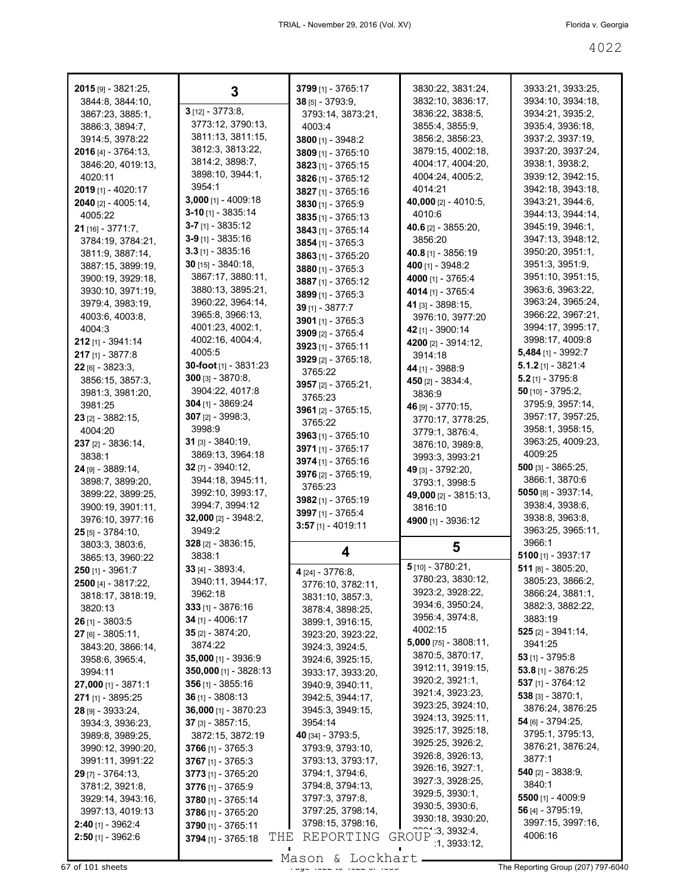| 2015 [9] - 3821:25,                             | 3                                               | 3799 [1] - 3765:17                   | 3830:22, 3831:24,                     | 3933:21, 3933:25,                     |
|-------------------------------------------------|-------------------------------------------------|--------------------------------------|---------------------------------------|---------------------------------------|
| 3844:8, 3844:10,<br>3867:23, 3885:1,            | $3$ [12] - 3773:8,                              | 38 [5] - 3793:9,                     | 3832:10, 3836:17,<br>3836:22, 3838:5, | 3934:10, 3934:18,<br>3934:21, 3935:2, |
| 3886:3, 3894:7,                                 | 3773:12, 3790:13,                               | 3793:14, 3873:21,<br>4003:4          | 3855:4, 3855:9,                       | 3935:4, 3936:18,                      |
| 3914:5, 3978:22                                 | 3811:13, 3811:15,                               | 3800 [1] - 3948:2                    | 3856:2, 3856:23,                      | 3937:2, 3937:19,                      |
| 2016 [4] - 3764:13,                             | 3812:3, 3813:22,                                | 3809 [1] - 3765:10                   | 3879:15, 4002:18,                     | 3937:20, 3937:24,                     |
| 3846:20, 4019:13,                               | 3814:2, 3898:7,                                 | 3823 [1] - 3765:15                   | 4004:17, 4004:20,                     | 3938:1, 3938:2,                       |
| 4020:11                                         | 3898:10, 3944:1,                                | 3826 [1] - 3765:12                   | 4004:24, 4005:2,                      | 3939:12, 3942:15,                     |
| 2019 [1] - 4020:17                              | 3954:1                                          | 3827 [1] - 3765:16                   | 4014:21                               | 3942:18, 3943:18,                     |
| 2040 [2] - 4005:14,                             | <b>3,000</b> [1] - 4009:18                      | 3830 [1] - 3765:9                    | <b>40,000</b> [2] - 4010:5,           | 3943:21, 3944:6,                      |
| 4005:22                                         | $3-10$ [1] - 3835:14                            | $3835$ [1] - 3765:13                 | 4010:6                                | 3944:13, 3944:14,                     |
| $21$ [16] - 3771:7,                             | $3-7$ [1] - 3835:12                             | 3843 [1] - 3765:14                   | <b>40.6</b> [2] - 3855:20.            | 3945:19, 3946:1,                      |
| 3784:19, 3784:21,                               | 3-9 [1] - 3835:16                               | $3854$ [1] - 3765:3                  | 3856:20                               | 3947:13, 3948:12,                     |
| 3811:9, 3887:14,                                | $3.3$ [1] - 3835:16                             | 3863 [1] - 3765:20                   | 40.8 [1] - 3856:19                    | 3950:20, 3951:1,                      |
| 3887:15, 3899:19,                               | $30$ [15] - 3840:18,                            | $3880$ [1] - 3765:3                  | 400 [1] - 3948:2                      | 3951:3, 3951:9,                       |
| 3900:19, 3929:18,                               | 3867:17, 3880:11,                               | 3887 [1] - 3765:12                   | 4000 [1] - 3765:4                     | 3951:10, 3951:15,                     |
| 3930:10, 3971:19,                               | 3880:13, 3895:21,                               | $3899$ [1] - 3765:3                  | 4014 [1] - 3765:4                     | 3963:6, 3963:22,                      |
| 3979:4, 3983:19,                                | 3960:22, 3964:14,                               | 39 [1] - 3877:7                      | 41 [3] - 3898:15,                     | 3963:24, 3965:24,                     |
| 4003:6, 4003:8,                                 | 3965:8, 3966:13,                                | 3901 $[1]$ - 3765:3                  | 3976:10, 3977:20                      | 3966:22, 3967:21,                     |
| 4004:3                                          | 4001:23, 4002:1,                                | 3909 [2] - 3765:4                    | 42 [1] - 3900:14                      | 3994:17, 3995:17,                     |
| 212 [1] - 3941:14                               | 4002:16, 4004:4,                                | 3923 [1] - 3765:11                   | 4200 [2] - 3914:12,                   | 3998:17, 4009:8                       |
| 217 [1] - 3877:8                                | 4005:5                                          | 3929 [2] - 3765:18,                  | 3914:18                               | <b>5,484</b> [1] - 3992:7             |
| 22 [6] - 3823:3,                                | 30-foot [1] - 3831:23                           | 3765:22                              | 44 [1] - 3988:9                       | <b>5.1.2</b> [1] - 3821:4             |
| 3856:15, 3857:3,                                | <b>300</b> [3] - 3870:8,                        | 3957 [2] - 3765:21,                  | <b>450</b> [2] - 3834:4,              | $5.2$ [1] - 3795:8                    |
| 3981:3, 3981:20,                                | 3904:22, 4017:8                                 | 3765:23                              | 3836:9                                | $50$ [10] - 3795:2,                   |
| 3981:25                                         | $304$ [1] - 3869:24                             | 3961 $[2] - 3765:15$                 | 46 [9] - 3770:15,                     | 3795:9, 3957:14,                      |
| $23$ [2] - 3882:15,                             | $307$ [2] - 3998:3,                             | 3765:22                              | 3770:17, 3778:25,                     | 3957:17, 3957:25,                     |
| 4004:20                                         | 3998:9                                          | $3963$ [1] - 3765:10                 | 3779:1, 3876:4,                       | 3958:1, 3958:15,                      |
| 237 [2] - 3836:14,                              | <b>31</b> [3] - 3840:19,<br>3869:13, 3964:18    | 3971 [1] - 3765:17                   | 3876:10, 3989:8,                      | 3963:25, 4009:23,<br>4009:25          |
| 3838:1                                          | $32$ [7] - 3940:12,                             | 3974 [1] - 3765:16                   | 3993:3, 3993:21                       | <b>500</b> [3] - 3865:25,             |
| 24 [9] - 3889:14,                               |                                                 |                                      | 49 [3] - 3792:20,                     |                                       |
|                                                 |                                                 | 3976 [2] - 3765:19,                  |                                       |                                       |
| 3898:7, 3899:20,                                | 3944:18, 3945:11,                               | 3765:23                              | 3793:1, 3998:5                        | 3866:1, 3870:6                        |
| 3899:22, 3899:25,                               | 3992:10, 3993:17,                               | 3982 [1] - 3765:19                   | 49,000 [2] - 3815:13,                 | 5050 [8] - 3937:14,                   |
| 3900:19, 3901:11,                               | 3994:7, 3994:12                                 | 3997 [1] - 3765:4                    | 3816:10                               | 3938:4, 3938:6,                       |
| 3976:10, 3977:16                                | 32,000 [2] - 3948:2,                            | $3:57$ [1] - 4019:11                 | 4900 [1] - 3936:12                    | 3938:8, 3963:8,                       |
| 25 [5] - 3784:10,                               | 3949:2                                          |                                      |                                       | 3963:25, 3965:11,<br>3966:1           |
| 3803:3, 3803:6,                                 | 328 [2] - 3836:15,<br>3838:1                    | 4                                    | 5                                     | 5100 $[1] - 3937:17$                  |
| 3865:13, 3960:22                                |                                                 |                                      | 5 [10] - 3780:21,                     | $511$ [8] - 3805:20,                  |
| <b>250</b> [1] - 3961:7                         | <b>33</b> [4] - 3893:4,<br>3940:11, 3944:17,    | 4 [24] - 3776:8,                     | 3780:23, 3830:12,                     | 3805:23, 3866:2,                      |
| 2500 [4] - 3817:22                              | 3962:18                                         | 3776:10, 3782:11,                    | 3923:2, 3928:22,                      | 3866:24, 3881:1,                      |
| 3818:17, 3818:19,<br>3820:13                    | <b>333</b> [1] - 3876:16                        | 3831:10, 3857:3,                     | 3934:6, 3950:24,                      | 3882:3, 3882:22,                      |
| 26 [1] - 3803:5                                 | <b>34</b> [1] - 4006:17                         | 3878:4, 3898:25,<br>3899:1, 3916:15, | 3956:4, 3974:8,                       | 3883:19                               |
| 27 [6] - 3805:11,                               | $35$ [2] - 3874:20,                             | 3923:20, 3923:22,                    | 4002:15                               | $525$ [2] - 3941:14,                  |
| 3843:20, 3866:14,                               | 3874:22                                         | 3924:3, 3924:5,                      | 5,000 [75] - 3808:11,                 | 3941:25                               |
| 3958:6, 3965:4,                                 | 35,000 [1] - 3936:9                             | 3924:6, 3925:15,                     | 3870:5, 3870:17,                      | $53$ [1] - 3795:8                     |
| 3994:11                                         | 350,000 [1] - 3828:13                           | 3933:17, 3933:20,                    | 3912:11, 3919:15,                     | $53.8$ [1] - 3876:25                  |
| $27,000$ [1] - 3871:1                           | <b>356</b> [1] - 3855:16                        | 3940:9, 3940:11,                     | 3920:2, 3921:1,                       | 537 [1] - 3764:12                     |
| 271 [1] - 3895:25                               | <b>36</b> [1] - 3808:13                         | 3942:5, 3944:17,                     | 3921:4, 3923:23,                      | $538$ [3] - 3870:1,                   |
| 28 [9] - 3933:24,                               | 36,000 [1] - 3870:23                            | 3945:3, 3949:15,                     | 3923:25, 3924:10,                     | 3876:24, 3876:25                      |
| 3934:3, 3936:23,                                | <b>37</b> [3] - 3857:15,                        | 3954:14                              | 3924:13, 3925:11,                     | 54 [6] - 3794:25,                     |
| 3989:8, 3989:25,                                | 3872:15, 3872:19                                | 40 [34] - 3793:5,                    | 3925:17, 3925:18,                     | 3795:1, 3795:13,                      |
| 3990:12, 3990:20,                               | 3766 [1] - 3765:3                               | 3793:9, 3793:10,                     | 3925:25, 3926:2,                      | 3876:21, 3876:24,                     |
| 3991:11, 3991:22                                | 3767 [1] - 3765:3                               | 3793:13, 3793:17,                    | 3926:8, 3926:13,                      | 3877:1                                |
| $29$ [7] - 3764:13,                             | 3773 [1] - 3765:20                              | 3794:1, 3794:6,                      | 3926:16, 3927:1,                      | <b>540</b> [2] - 3838:9,              |
| 3781:2, 3921:8,                                 | 3776 [1] - 3765:9                               | 3794:8, 3794:13,                     | 3927:3, 3928:25,<br>3929:5, 3930:1,   | 3840:1                                |
| 3929:14, 3943:16,                               | 3780 [1] - 3765:14                              | 3797:3, 3797:8,                      | 3930:5, 3930:6,                       | 5500 $[1] - 4009:9$                   |
| 3997:13, 4019:13                                | 3786 [1] - 3765:20                              | 3797:25, 3798:14,                    | 3930:18, 3930:20,                     | 56 [4] - 3795:19,                     |
| <b>2:40</b> [1] - 3962:4<br>$2:50$ [1] - 3962:6 | 3790 [1] - 3765:11<br>THE<br>3794 [1] - 3765:18 | 3798:15, 3798:16,<br>REPORTING       | GROUP 3, 3932:4,                      | 3997:15, 3997:16,<br>4006:16          |

Mason & Lockhart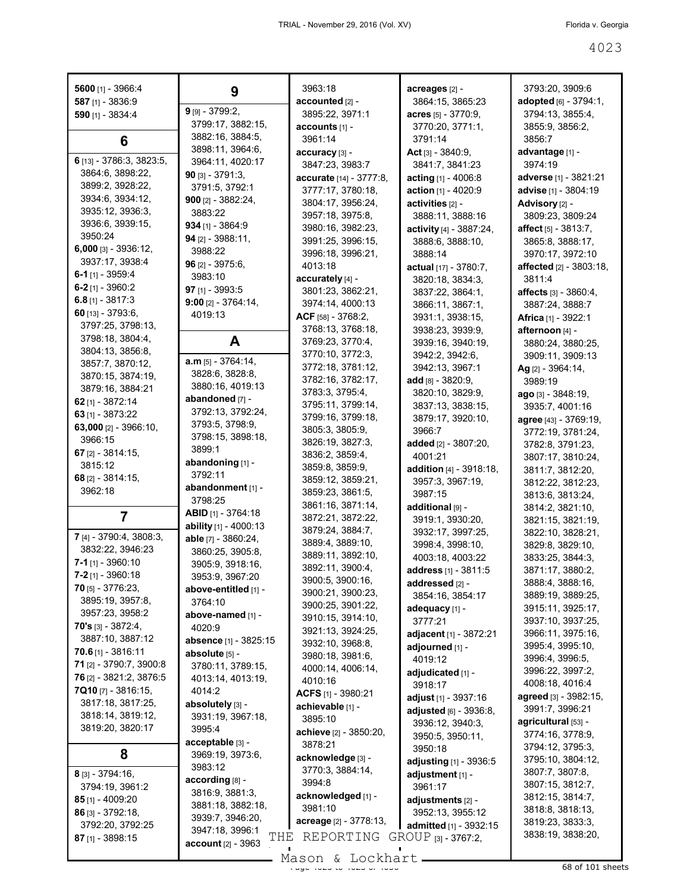| 5600 [1] - 3966:4            | 9                                       | 3963:18                               | acreages [2] -                                | 3793:20, 3909:6                      |
|------------------------------|-----------------------------------------|---------------------------------------|-----------------------------------------------|--------------------------------------|
| 587 [1] - 3836:9             |                                         | accounted [2] -                       | 3864:15, 3865:23                              | adopted [6] - 3794:1,                |
| 590 [1] - 3834:4             | $9$ [9] - 3799:2,                       | 3895:22, 3971:1                       | acres $[5] - 3770.9$ ,                        | 3794:13, 3855:4,                     |
|                              | 3799:17, 3882:15,                       | accounts [1] -                        | 3770:20, 3771:1,                              | 3855:9, 3856:2,                      |
| 6                            | 3882:16, 3884:5,                        | 3961:14                               | 3791:14                                       | 3856:7                               |
| 6 [13] - 3786:3, 3823:5,     | 3898:11, 3964:6,                        | accuracy [3] -                        | Act $[3] - 3840.9$ ,                          | advantage [1] -                      |
| 3864:6, 3898:22,             | 3964:11, 4020:17                        | 3847:23, 3983:7                       | 3841:7, 3841:23                               | 3974:19                              |
| 3899:2, 3928:22,             | $90$ [3] - 3791:3,                      | accurate [14] - 3777:8,               | acting $[1] - 4006.8$                         | adverse [1] - 3821:21                |
| 3934:6, 3934:12,             | 3791:5, 3792:1                          | 3777:17, 3780:18,                     | action [1] - 4020:9                           | advise [1] - 3804:19                 |
| 3935:12, 3936:3,             | $900$ [2] - 3882:24,<br>3883:22         | 3804:17, 3956:24,                     | activities [2] -                              | Advisory [2] -                       |
| 3936:6, 3939:15,             | $934$ [1] - 3864:9                      | 3957:18, 3975:8,                      | 3888:11, 3888:16                              | 3809:23, 3809:24                     |
| 3950:24                      | 94 $[2] - 3988:11,$                     | 3980:16, 3982:23,                     | activity [4] - 3887:24,                       | affect $[5] - 3813.7$ ,              |
| 6,000 [3] - 3936:12,         | 3988:22                                 | 3991:25, 3996:15,                     | 3888:6, 3888:10,                              | 3865:8, 3888:17,                     |
| 3937:17, 3938:4              | 96 $[2] - 3975:6$                       | 3996:18, 3996:21,                     | 3888:14                                       | 3970:17, 3972:10                     |
| 6-1 $[1]$ - 3959:4           | 3983:10                                 | 4013:18                               | actual $[17] - 3780:7$ ,                      | affected [2] - 3803:18,              |
| $6-2$ [1] - 3960:2           | 97 $[1]$ - 3993:5                       | accurately [4] -                      | 3820:18, 3834:3,                              | 3811:4                               |
| 6.8 $[1] - 3817:3$           | $9:00$ [2] - 3764:14,                   | 3801:23, 3862:21,<br>3974:14, 4000:13 | 3837:22, 3864:1,                              | <b>affects</b> [3] - 3860:4,         |
| 60 $[13] - 3793:6$           | 4019:13                                 | ACF [58] - 3768:2,                    | 3866:11, 3867:1,<br>3931:1.3938:15.           | 3887:24, 3888:7                      |
| 3797:25, 3798:13,            |                                         | 3768:13, 3768:18,                     |                                               | <b>Africa</b> [1] - 3922:1           |
| 3798:18, 3804:4,             | A                                       | 3769:23, 3770:4,                      | 3938:23, 3939:9,<br>3939:16, 3940:19,         | afternoon [4] -<br>3880:24, 3880:25, |
| 3804:13, 3856:8,             |                                         | 3770:10, 3772:3,                      | 3942:2, 3942:6,                               | 3909:11, 3909:13                     |
| 3857:7, 3870:12,             | $a.m$ [5] - 3764:14,                    | 3772:18, 3781:12,                     | 3942:13, 3967:1                               |                                      |
| 3870:15, 3874:19,            | 3828:6, 3828:8,                         | 3782:16, 3782:17,                     | add $[8] - 3820:9,$                           | Ag [2] - 3964:14,<br>3989:19         |
| 3879:16, 3884:21             | 3880:16, 4019:13                        | 3783:3, 3795:4,                       | 3820:10, 3829:9,                              | ago [3] - 3848:19,                   |
| 62 $[1] - 3872:14$           | abandoned [7] -                         | 3795:11, 3799:14,                     | 3837:13, 3838:15,                             | 3935:7, 4001:16                      |
| 63 [1] - 3873:22             | 3792:13, 3792:24,                       | 3799:16, 3799:18,                     | 3879:17, 3920:10,                             | agree [43] - 3769:19,                |
| 63,000 $[2] - 3966:10$ ,     | 3793:5, 3798:9,                         | 3805:3, 3805:9,                       | 3966.7                                        | 3772:19, 3781:24,                    |
| 3966:15                      | 3798:15, 3898:18,                       | 3826:19, 3827:3,                      | added [2] - 3807:20,                          | 3782:8, 3791:23,                     |
| 67 $[2] - 3814:15$           | 3899:1                                  | 3836:2, 3859:4,                       | 4001:21                                       | 3807:17, 3810:24,                    |
| 3815:12                      | abandoning [1] -                        | 3859:8, 3859:9,                       | <b>addition</b> $[4] - 3918:18$ ,             | 3811:7, 3812:20,                     |
| 68 $[2] - 3814:15$           | 3792:11                                 | 3859:12, 3859:21,                     | 3957:3, 3967:19,                              | 3812:22, 3812:23,                    |
| 3962:18                      | abandonment [1] -                       | 3859:23, 3861:5,                      | 3987:15                                       | 3813:6, 3813:24,                     |
|                              | 3798:25                                 | 3861:16, 3871:14,                     | additional [9] -                              | 3814:2, 3821:10,                     |
| 7                            | <b>ABID</b> $[1]$ - 3764:18             | 3872:21, 3872:22,                     | 3919:1, 3930:20,                              | 3821:15, 3821:19,                    |
| 7 [4] - 3790:4, 3808:3,      | ability [1] - 4000:13                   | 3879:24, 3884:7,                      | 3932:17, 3997:25,                             | 3822:10, 3828:21,                    |
| 3832:22, 3946:23             | able [7] - 3860:24,<br>3860:25, 3905:8, | 3889:4, 3889:10,                      | 3998:4, 3998:10,                              | 3829:8, 3829:10,                     |
| $7 - 1$ [1] - 3960:10        | 3905:9, 3918:16,                        | 3889:11, 3892:10,                     | 4003:18, 4003:22                              | 3833:25, 3844:3,                     |
| $7 - 2$ [1] - 3960:18        | 3953:9, 3967:20                         | 3892:11, 3900:4,                      | address [1] - 3811:5                          | 3871:17, 3880:2,                     |
| $70$ [5] - 3776:23,          | above-entitled [1] -                    | 3900:5, 3900:16,                      | addressed [2] -                               | 3888:4, 3888:16,                     |
| 3895:19, 3957:8,             | 3764:10                                 | 3900:21, 3900:23,                     | 3854:16, 3854:17                              | 3889:19, 3889:25,                    |
| 3957:23, 3958:2              | above-named [1] -                       | 3900:25, 3901:22,                     | adequacy [1] -                                | 3915:11, 3925:17,                    |
| <b>70's</b> $[3] - 3872:4$ , | 4020:9                                  | 3910:15, 3914:10,                     | 3777:21                                       | 3937:10, 3937:25,                    |
| 3887:10, 3887:12             | absence [1] - 3825:15                   | 3921:13, 3924:25,                     | adjacent [1] - 3872:21                        | 3966:11, 3975:16,                    |
| $70.6$ [1] - 3816:11         | absolute [5] -                          | 3932:10, 3968:8,<br>3980:18, 3981:6,  | adjourned [1] -                               | 3995:4, 3995:10,                     |
| 71 [2] - 3790:7, 3900:8      | 3780:11, 3789:15,                       | 4000:14, 4006:14,                     | 4019:12                                       | 3996:4, 3996:5,                      |
| 76 [2] - 3821:2, 3876:5      | 4013:14, 4013:19,                       | 4010:16                               | adjudicated [1] -                             | 3996:22, 3997:2,                     |
| $7Q10$ [7] - 3816:15,        | 4014:2                                  | ACFS [1] - 3980:21                    | 3918:17                                       | 4008:18, 4016:4                      |
| 3817:18, 3817:25,            | absolutely [3] -                        | achievable [1] -                      | adjust [1] - 3937:16                          | agreed [3] - 3982:15,                |
| 3818:14, 3819:12,            | 3931:19, 3967:18,                       | 3895:10                               | adjusted [6] - 3936:8,                        | 3991:7, 3996:21                      |
| 3819:20, 3820:17             | 3995:4                                  | achieve [2] - 3850:20,                | 3936:12, 3940:3,                              | agricultural [53] -                  |
|                              | acceptable [3] -                        | 3878:21                               | 3950:5, 3950:11,                              | 3774:16, 3778:9,                     |
| 8                            | 3969:19, 3973:6,                        | acknowledge [3] -                     | 3950:18                                       | 3794:12, 3795:3,                     |
|                              | 3983:12                                 | 3770:3, 3884:14,                      | adjusting [1] - 3936:5                        | 3795:10, 3804:12,                    |
| $8$ [3] - 3794:16,           | according [8] -                         | 3994:8                                | adjustment [1] -                              | 3807:7, 3807:8,<br>3807:15, 3812:7,  |
| 3794:19, 3961:2              | 3816:9, 3881:3,                         | acknowledged [1] -                    | 3961:17                                       | 3812:15, 3814:7,                     |
| 85 [1] - 4009:20             | 3881:18, 3882:18,                       | 3981:10                               | adjustments [2] -                             | 3818:8, 3818:13,                     |
| 86 [3] - 3792:18,            | 3939:7, 3946:20,                        | acreage [2] - 3778:13,                | 3952:13, 3955:12                              | 3819:23, 3833:3,                     |
| 3792:20, 3792:25             | 3947:18, 3996:1<br>THE                  | REPORTING                             | admitted [1] - 3932:15<br>GROUP [3] - 3767:2, | 3838:19, 3838:20,                    |
| $87$ [1] - 3898:15           | account [2] - 3963                      |                                       |                                               |                                      |

Mason & Lockhart <u>entitled and the 40</u>3 of 101 sheets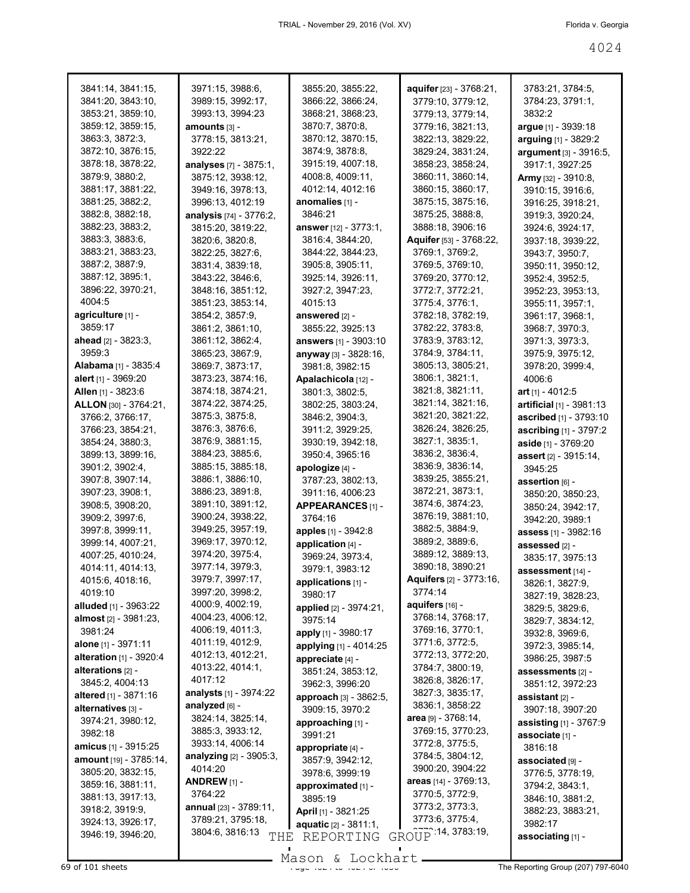| 3841:14, 3841:15,             | 3971:15, 3988:6,                      | 3855:20, 3855:22,            | aquifer [23] - 3768:21,       | 3783:21, 3784:5,              |
|-------------------------------|---------------------------------------|------------------------------|-------------------------------|-------------------------------|
| 3841:20, 3843:10,             | 3989:15, 3992:17,                     | 3866:22, 3866:24,            | 3779:10, 3779:12,             | 3784:23, 3791:1,              |
| 3853:21, 3859:10,             | 3993:13, 3994:23                      | 3868:21, 3868:23,            | 3779:13, 3779:14,             | 3832:2                        |
| 3859:12, 3859:15,             | amounts [3] -                         | 3870:7, 3870:8,              | 3779:16, 3821:13,             | argue [1] - 3939:18           |
| 3863:3, 3872:3,               | 3778:15, 3813:21,                     | 3870:12, 3870:15,            | 3822:13, 3829:22,             | arguing [1] - 3829:2          |
| 3872:10, 3876:15,             | 3922:22                               | 3874:9, 3878:8,              | 3829:24, 3831:24,             | argument [3] - 3916:5,        |
| 3878:18, 3878:22,             | analyses [7] - 3875:1,                | 3915:19, 4007:18,            | 3858:23, 3858:24,             | 3917:1, 3927:25               |
| 3879:9, 3880:2,               | 3875:12, 3938:12,                     | 4008:8, 4009:11,             | 3860:11, 3860:14,             |                               |
| 3881:17, 3881:22,             |                                       | 4012:14, 4012:16             | 3860:15, 3860:17,             | Army [32] - 3910:8,           |
| 3881:25, 3882:2,              | 3949:16, 3978:13,<br>3996:13, 4012:19 | anomalies [1] -              | 3875:15, 3875:16,             | 3910:15, 3916:6,              |
| 3882:8, 3882:18,              | analysis [74] - 3776:2,               | 3846:21                      | 3875:25, 3888:8,              | 3916:25, 3918:21,             |
| 3882:23, 3883:2,              |                                       |                              | 3888:18, 3906:16              | 3919:3, 3920:24,              |
|                               | 3815:20, 3819:22,                     | answer [12] - 3773:1,        |                               | 3924:6, 3924:17,              |
| 3883:3, 3883:6,               | 3820:6, 3820:8,                       | 3816:4, 3844:20,             | Aquifer [53] - 3768:22,       | 3937:18, 3939:22,             |
| 3883:21, 3883:23,             | 3822:25, 3827:6,                      | 3844:22, 3844:23,            | 3769:1, 3769:2,               | 3943:7, 3950:7,               |
| 3887:2, 3887:9,               | 3831:4, 3839:18,                      | 3905:8, 3905:11,             | 3769:5, 3769:10,              | 3950:11, 3950:12,             |
| 3887:12, 3895:1,              | 3843:22, 3846:6,                      | 3925:14, 3926:11,            | 3769:20, 3770:12,             | 3952:4, 3952:5,               |
| 3896:22, 3970:21,             | 3848:16, 3851:12,                     | 3927:2, 3947:23,             | 3772:7, 3772:21,              | 3952:23, 3953:13,             |
| 4004:5                        | 3851:23, 3853:14,                     | 4015:13                      | 3775:4, 3776:1,               | 3955:11, 3957:1,              |
| agriculture [1] -             | 3854:2, 3857:9,                       | answered [2] -               | 3782:18, 3782:19,             | 3961:17, 3968:1,              |
| 3859:17                       | 3861:2, 3861:10,                      | 3855:22, 3925:13             | 3782:22, 3783:8,              | 3968:7, 3970:3,               |
| ahead $[2] - 3823:3,$         | 3861:12, 3862:4,                      | answers [1] - 3903:10        | 3783:9, 3783:12,              | 3971:3, 3973:3,               |
| 3959:3                        | 3865:23, 3867:9,                      | anyway [3] - 3828:16,        | 3784:9, 3784:11,              | 3975:9, 3975:12,              |
| Alabama [1] - 3835:4          | 3869:7, 3873:17,                      | 3981:8, 3982:15              | 3805:13, 3805:21,             | 3978:20, 3999:4,              |
| alert [1] - 3969:20           | 3873:23, 3874:16,                     | Apalachicola [12] -          | 3806:1, 3821:1,               | 4006:6                        |
| Allen [1] - 3823:6            | 3874:18, 3874:21,                     | 3801:3, 3802:5,              | 3821:8, 3821:11,              | art $[1] - 4012:5$            |
| ALLON [30] - 3764:21,         | 3874:22, 3874:25,                     | 3802:25, 3803:24,            | 3821:14, 3821:16,             | artificial [1] - 3981:13      |
| 3766:2, 3766:17,              | 3875:3, 3875:8,                       | 3846:2, 3904:3,              | 3821:20, 3821:22,             | ascribed [1] - 3793:10        |
| 3766:23, 3854:21,             | 3876:3, 3876:6,                       | 3911:2, 3929:25,             | 3826:24, 3826:25,             | ascribing [1] - 3797:2        |
| 3854:24, 3880:3,              | 3876:9, 3881:15,                      | 3930:19, 3942:18,            | 3827:1, 3835:1,               | aside [1] - 3769:20           |
| 3899:13, 3899:16,             | 3884:23, 3885:6,                      | 3950:4, 3965:16              | 3836:2, 3836:4,               | assert [2] - 3915:14,         |
| 3901:2, 3902:4,               | 3885:15, 3885:18,                     | apologize [4] -              | 3836:9, 3836:14,              | 3945:25                       |
| 3907:8, 3907:14,              | 3886:1, 3886:10,                      | 3787:23, 3802:13,            | 3839:25, 3855:21,             | assertion [6] -               |
| 3907:23, 3908:1,              | 3886:23, 3891:8,                      | 3911:16, 4006:23             | 3872:21, 3873:1,              | 3850:20, 3850:23,             |
| 3908:5, 3908:20,              | 3891:10, 3891:12,                     | APPEARANCES [1] -            | 3874:6, 3874:23,              | 3850:24, 3942:17,             |
| 3909:2, 3997:6,               | 3900:24, 3938:22,                     | 3764:16                      | 3876:19, 3881:10,             | 3942:20, 3989:1               |
| 3997:8, 3999:11,              | 3949:25, 3957:19,                     | apples [1] - 3942:8          | 3882:5, 3884:9,               | assess [1] - 3982:16          |
| 3999:14, 4007:21,             | 3969:17, 3970:12,                     | application [4] -            | 3889:2, 3889:6,               | assessed [2] -                |
| 4007:25, 4010:24,             | 3974:20, 3975:4,                      | 3969:24, 3973:4,             | 3889:12, 3889:13,             | 3835:17, 3975:13              |
| 4014:11, 4014:13,             | 3977:14, 3979:3,                      | 3979:1, 3983:12              | 3890:18, 3890:21              | assessment [14] -             |
| 4015:6, 4018:16,              | 3979:7, 3997:17,                      | applications [1] -           | Aquifers [2] - 3773:16,       | 3826:1, 3827:9,               |
| 4019:10                       | 3997:20, 3998:2,                      | 3980:17                      | 3774:14                       | 3827:19, 3828:23,             |
| alluded [1] - 3963:22         | 4000:9, 4002:19,                      | applied [2] - 3974:21,       | aquifers [16] -               | 3829:5, 3829:6,               |
| <b>almost</b> [2] - 3981:23,  | 4004:23, 4006:12,                     | 3975:14                      | 3768:14, 3768:17,             | 3829:7, 3834:12,              |
| 3981:24                       | 4006:19, 4011:3,                      | apply [1] - 3980:17          | 3769:16, 3770:1,              | 3932:8, 3969:6,               |
| alone [1] - 3971:11           | 4011:19, 4012:9,                      | applying [1] - 4014:25       | 3771:6, 3772:5,               | 3972:3, 3985:14,              |
| alteration $[1] - 3920:4$     | 4012:13, 4012:21,                     | appreciate [4] -             | 3772:13, 3772:20,             | 3986:25, 3987:5               |
| alterations [2] -             | 4013:22, 4014:1,                      | 3851:24, 3853:12,            | 3784:7, 3800:19,              | assessments [2] -             |
| 3845:2, 4004:13               | 4017:12                               | 3962:3, 3996:20              | 3826:8, 3826:17,              | 3851:12, 3972:23              |
| altered [1] - 3871:16         | analysts [1] - 3974:22                | approach [3] - 3862:5,       | 3827:3, 3835:17,              | assistant [2] -               |
| alternatives [3] -            | analyzed [6] -                        | 3909:15, 3970:2              | 3836:1, 3858:22               | 3907:18, 3907:20              |
| 3974:21, 3980:12,             | 3824:14, 3825:14,                     | approaching [1] -            | <b>area</b> $[9] - 3768:14$ , | <b>assisting</b> [1] - 3767:9 |
| 3982:18                       | 3885:3, 3933:12,                      | 3991:21                      | 3769:15, 3770:23,             | associate [1] -               |
| <b>amicus</b> [1] - 3915:25   | 3933:14, 4006:14                      | appropriate [4] -            | 3772:8, 3775:5,               | 3816:18                       |
| <b>amount</b> [19] - 3785:14, | analyzing [2] - 3905:3,               | 3857:9, 3942:12,             | 3784:5, 3804:12,              | associated [9] -              |
| 3805:20, 3832:15,             | 4014:20                               | 3978:6, 3999:19              | 3900:20, 3904:22              | 3776:5, 3778:19,              |
| 3859:16, 3881:11,             | ANDREW <sub>[1]</sub> -               | approximated [1] -           | areas [14] - 3769:13,         | 3794:2, 3843:1,               |
| 3881:13, 3917:13,             | 3764:22                               | 3895:19                      | 3770:5, 3772:9,               | 3846:10, 3881:2,              |
| 3918:2, 3919:9,               | annual [23] - 3789:11,                | <b>April</b> [1] - 3821:25   | 3773:2, 3773:3,               | 3882:23, 3883:21,             |
| 3924:13, 3926:17,             | 3789:21, 3795:18,                     |                              | 3773:6, 3775:4,               | 3982:17                       |
| 3946:19, 3946:20,             | 3804:6, 3816:13                       | <b>aquatic</b> [2] - 3811:1, | GROUP 14, 3783:19,            |                               |
|                               | THE                                   | REPORTING                    |                               | associating [1] -             |

 $\overline{69}$  of 101 sheets  $\overline{69}$  of 101 sheets  $\overline{100}$   $\overline{200}$   $\overline{101}$   $\overline{200}$   $\overline{201}$   $\overline{200}$   $\overline{201}$   $\overline{200}$   $\overline{201}$   $\overline{200}$   $\overline{201}$   $\overline{200}$   $\overline{201}$   $\overline{200}$   $\overline{201}$   $\overline{200$ Mason & Lockhart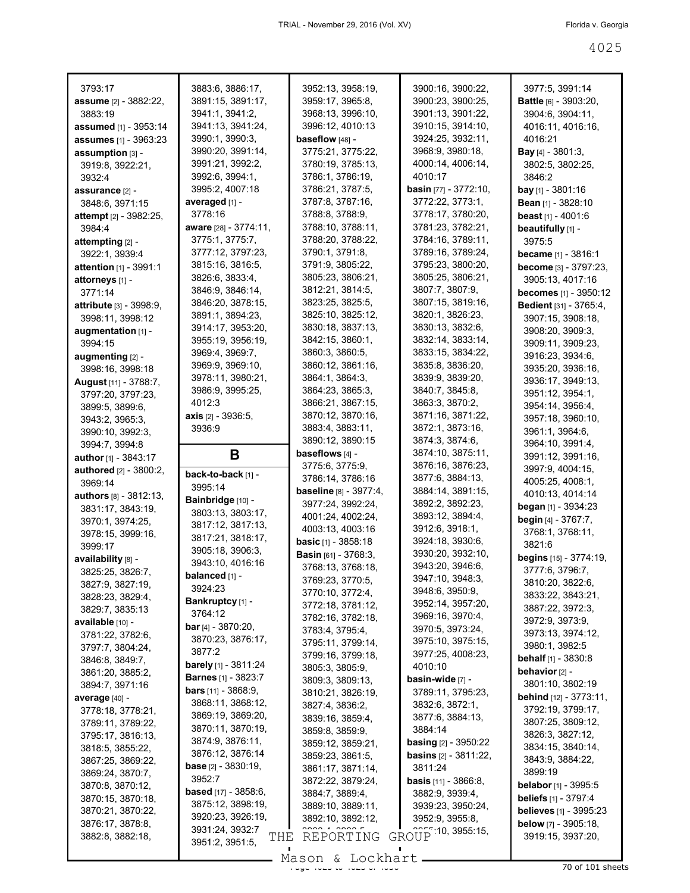| 3793:17                                          | 3883:6, 3886:17,                     | 3952:13, 3958:19,                    | 3900:16, 3900:22,                      | 3977:5, 3991:14                     |
|--------------------------------------------------|--------------------------------------|--------------------------------------|----------------------------------------|-------------------------------------|
| <b>assume</b> [2] - 3882:22,                     | 3891:15, 3891:17,                    | 3959:17, 3965:8,                     | 3900:23, 3900:25,                      | <b>Battle</b> [6] - 3903:20,        |
| 3883:19                                          | 3941:1, 3941:2,                      | 3968:13, 3996:10,                    | 3901:13, 3901:22,                      | 3904:6, 3904:11,                    |
| <b>assumed</b> [1] - 3953:14                     | 3941:13, 3941:24,                    | 3996:12, 4010:13                     | 3910:15, 3914:10,                      | 4016:11, 4016:16,                   |
| <b>assumes</b> [1] - 3963:23                     | 3990:1, 3990:3,                      | baseflow [48] -                      | 3924:25, 3932:11,                      | 4016:21                             |
| assumption [3] -                                 | 3990:20, 3991:14,                    | 3775:21, 3775:22,                    | 3968:9, 3980:18,                       | <b>Bay</b> [4] - 3801:3,            |
| 3919:8, 3922:21,                                 | 3991:21, 3992:2,                     | 3780:19, 3785:13,                    | 4000:14, 4006:14,<br>4010:17           | 3802:5, 3802:25,                    |
| 3932:4                                           | 3992:6, 3994:1,<br>3995:2, 4007:18   | 3786:1, 3786:19,<br>3786:21, 3787:5, | basin [77] - 3772:10,                  | 3846:2<br><b>bay</b> [1] - 3801:16  |
| assurance [2] -                                  | averaged [1] -                       | 3787:8, 3787:16,                     | 3772:22, 3773:1,                       | Bean [1] - 3828:10                  |
| 3848:6, 3971:15<br><b>attempt</b> [2] - 3982:25, | 3778:16                              | 3788:8, 3788:9,                      | 3778:17, 3780:20,                      | <b>beast</b> $[1] - 4001:6$         |
| 3984:4                                           | aware [28] - 3774:11,                | 3788:10, 3788:11,                    | 3781:23, 3782:21,                      | beautifully [1] -                   |
| attempting $[2]$ -                               | 3775:1, 3775:7,                      | 3788:20, 3788:22,                    | 3784:16, 3789:11,                      | 3975:5                              |
| 3922:1, 3939:4                                   | 3777:12, 3797:23,                    | 3790:1, 3791:8,                      | 3789:16, 3789:24,                      | <b>became</b> $[1] - 3816:1$        |
| <b>attention</b> $[1]$ - 3991:1                  | 3815:16, 3816:5,                     | 3791:9, 3805:22,                     | 3795:23, 3800:20,                      | become [3] - 3797:23,               |
| attorneys [1] -                                  | 3826:6, 3833:4,                      | 3805:23, 3806:21,                    | 3805:25, 3806:21,                      | 3905:13, 4017:16                    |
| 3771:14                                          | 3846:9, 3846:14,                     | 3812:21, 3814:5,                     | 3807:7, 3807:9,                        | <b>becomes</b> [1] - 3950:12        |
| <b>attribute</b> [3] - 3998:9,                   | 3846:20, 3878:15,                    | 3823:25, 3825:5,                     | 3807:15, 3819:16,                      | Bedient [31] - 3765:4,              |
| 3998:11, 3998:12                                 | 3891:1, 3894:23,                     | 3825:10, 3825:12,                    | 3820:1, 3826:23,                       | 3907:15, 3908:18,                   |
| augmentation [1] -                               | 3914:17, 3953:20,                    | 3830:18, 3837:13,                    | 3830:13, 3832:6,                       | 3908:20, 3909:3,                    |
| 3994:15                                          | 3955:19, 3956:19,                    | 3842:15, 3860:1,                     | 3832:14, 3833:14,                      | 3909:11, 3909:23,                   |
| augmenting [2] -                                 | 3969:4, 3969:7,                      | 3860:3, 3860:5,                      | 3833:15, 3834:22,                      | 3916:23, 3934:6,                    |
| 3998:16, 3998:18                                 | 3969:9, 3969:10,                     | 3860:12, 3861:16,                    | 3835:8, 3836:20,                       | 3935:20, 3936:16,                   |
| <b>August</b> [11] - 3788:7,                     | 3978:11, 3980:21,                    | 3864:1, 3864:3,                      | 3839:9, 3839:20,                       | 3936:17, 3949:13,                   |
| 3797:20, 3797:23,                                | 3986:9, 3995:25,                     | 3864:23, 3865:3,                     | 3840:7, 3845:8,                        | 3951:12, 3954:1,                    |
| 3899:5, 3899:6,                                  | 4012:3                               | 3866:21, 3867:15,                    | 3863:3, 3870:2,                        | 3954:14, 3956:4,                    |
| 3943:2, 3965:3,                                  | <b>axis</b> $[2] - 3936:5$ ,         | 3870:12, 3870:16,                    | 3871:16, 3871:22,                      | 3957:18, 3960:10,                   |
| 3990:10, 3992:3,                                 | 3936:9                               | 3883:4, 3883:11,                     | 3872:1, 3873:16,                       | 3961:1, 3964:6,                     |
| 3994:7, 3994:8                                   |                                      | 3890:12, 3890:15<br>baseflows [4] -  | 3874:3, 3874:6,                        | 3964:10, 3991:4,                    |
| <b>author</b> [1] - $3843:17$                    | В                                    | 3775:6, 3775:9,                      | 3874:10, 3875:11,<br>3876:16, 3876:23, | 3991:12, 3991:16,                   |
| authored [2] - 3800:2,                           | back-to-back [1] -                   |                                      |                                        | 3997:9, 4004:15,                    |
|                                                  |                                      |                                      |                                        |                                     |
| 3969:14                                          | 3995:14                              | 3786:14, 3786:16                     | 3877:6, 3884:13,                       | 4005:25, 4008:1,                    |
| <b>authors</b> $[8] - 3812:13$ ,                 | Bainbridge [10] -                    | <b>baseline</b> [8] - 3977:4,        | 3884:14, 3891:15,                      | 4010:13, 4014:14                    |
| 3831:17, 3843:19,                                | 3803:13, 3803:17,                    | 3977:24, 3992:24,                    | 3892:2, 3892:23,                       | began [1] - 3934:23                 |
| 3970:1, 3974:25,                                 | 3817:12, 3817:13,                    | 4001:24, 4002:24,                    | 3893:12, 3894:4,                       | begin [4] - 3767:7,                 |
| 3978:15, 3999:16,                                | 3817:21, 3818:17,                    | 4003:13, 4003:16                     | 3912:6, 3918:1,<br>3924:18, 3930:6,    | 3768:1, 3768:11,                    |
| 3999:17                                          | 3905:18, 3906:3,                     | <b>basic</b> [1] - 3858:18           | 3930:20, 3932:10,                      | 3821:6                              |
| availability [8] -                               | 3943:10, 4016:16                     | Basin [61] - 3768:3,                 | 3943:20, 3946:6,                       | <b>begins</b> $[15] - 3774:19$ ,    |
| 3825:25, 3826:7,                                 | balanced [1] -                       | 3768:13, 3768:18,                    | 3947:10, 3948:3,                       | 3777:6, 3796:7,                     |
| 3827:9, 3827:19,                                 | 3924:23                              | 3769:23, 3770:5,<br>3770:10, 3772:4, | 3948:6, 3950:9,                        | 3810:20, 3822:6,                    |
| 3828:23, 3829:4,                                 | Bankruptcy [1] -                     | 3772:18, 3781:12,                    | 3952:14, 3957:20,                      | 3833:22, 3843:21,                   |
| 3829:7, 3835:13                                  | 3764:12                              | 3782:16, 3782:18,                    | 3969:16, 3970:4,                       | 3887:22, 3972:3,<br>3972:9, 3973:9, |
| available [10] -                                 | <b>bar</b> [4] - $3870:20$ ,         | 3783:4, 3795:4,                      | 3970:5, 3973:24,                       | 3973:13, 3974:12,                   |
| 3781:22, 3782:6,                                 | 3870:23, 3876:17,                    | 3795:11, 3799:14,                    | 3975:10, 3975:15,                      | 3980:1, 3982:5                      |
| 3797:7, 3804:24,                                 | 3877:2                               | 3799:16, 3799:18,                    | 3977:25, 4008:23,                      | <b>behalf</b> $[1]$ - 3830:8        |
| 3846:8, 3849:7,<br>3861:20, 3885:2,              | <b>barely</b> [1] - 3811:24          | 3805:3, 3805:9,                      | 4010:10                                | behavior [2] -                      |
| 3894:7, 3971:16                                  | <b>Barnes</b> [1] - 3823:7           | 3809:3, 3809:13,                     | basin-wide [7] -                       | 3801:10, 3802:19                    |
| average [40] -                                   | <b>bars</b> $[11] - 3868:9$ ,        | 3810:21, 3826:19,                    | 3789:11, 3795:23,                      | <b>behind</b> [12] - 3773:11,       |
| 3778:18, 3778:21,                                | 3868:11, 3868:12,                    | 3827:4, 3836:2,                      | 3832:6, 3872:1,                        | 3792:19, 3799:17,                   |
| 3789:11, 3789:22,                                | 3869:19, 3869:20,                    | 3839:16, 3859:4,                     | 3877:6, 3884:13,                       | 3807:25, 3809:12,                   |
| 3795:17, 3816:13,                                | 3870:11, 3870:19,                    | 3859:8, 3859:9,                      | 3884:14                                | 3826:3, 3827:12,                    |
| 3818:5, 3855:22,                                 | 3874:9, 3876:11,                     | 3859:12, 3859:21,                    | <b>basing</b> $[2] - 3950:22$          | 3834:15, 3840:14,                   |
| 3867:25, 3869:22,                                | 3876:12, 3876:14                     | 3859:23, 3861:5,                     | <b>basins</b> $[2] - 3811:22$          | 3843:9, 3884:22,                    |
| 3869:24, 3870:7,                                 | <b>base</b> [2] - 3830:19,<br>3952:7 | 3861:17, 3871:14,                    | 3811:24                                | 3899:19                             |
| 3870:8, 3870:12,                                 | <b>based</b> [17] - 3858:6,          | 3872:22, 3879:24,                    | <b>basis</b> $[11] - 3866.8$ ,         | belabor [1] - 3995:5                |
| 3870:15, 3870:18,                                | 3875:12, 3898:19,                    | 3884:7, 3889:4,                      | 3882:9, 3939:4,                        | <b>beliefs</b> [1] - 3797:4         |
| 3870:21, 3870:22,                                | 3920:23, 3926:19,                    | 3889:10, 3889:11,                    | 3939:23, 3950:24,<br>3952:9, 3955:8,   | <b>believes</b> [1] - 3995:23       |
| 3876:17, 3878:8,                                 | 3931:24, 3932:7                      | 3892:10, 3892:12,                    |                                        | <b>below</b> $[7] - 3905:18$ ,      |
| 3882:8, 3882:18,                                 | THE<br>3951:2, 3951:5,               | REPORTING                            | GROUP 10, 3955 15,                     | 3919:15, 3937:20,                   |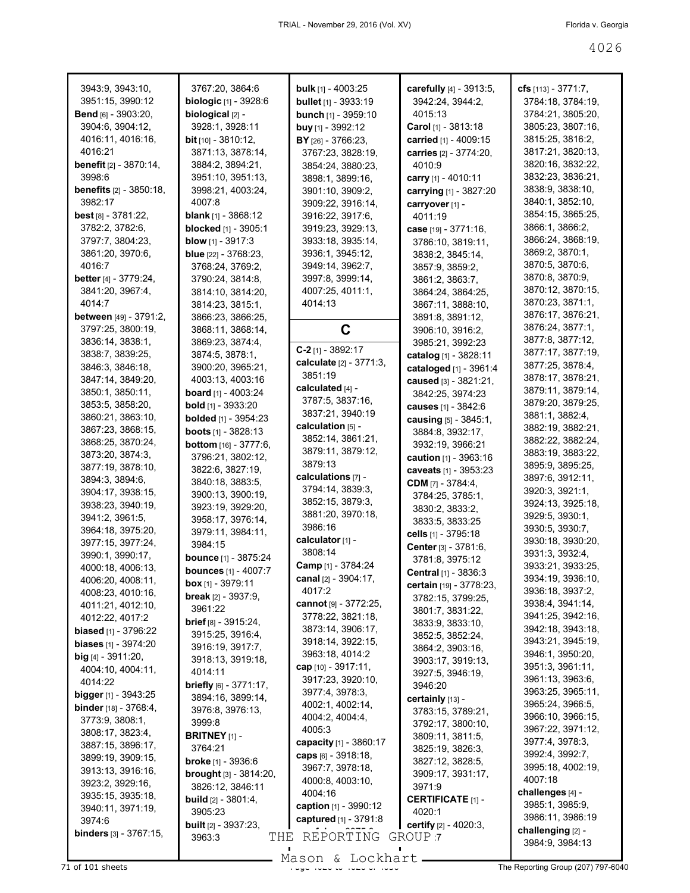| 3943:9, 3943:10,                 | 3767:20, 3864:6                  | <b>bulk</b> [1] - 4003:25     | carefully [4] - 3913:5,              | cfs [113] - 3771:7, |
|----------------------------------|----------------------------------|-------------------------------|--------------------------------------|---------------------|
| 3951:15, 3990:12                 | <b>biologic</b> [1] - 3928:6     | <b>bullet</b> $[1]$ - 3933:19 | 3942:24, 3944:2,                     | 3784:18, 3784:19,   |
| <b>Bend</b> [6] - 3903:20,       | biological [2] -                 | bunch [1] - 3959:10           | 4015:13                              | 3784:21, 3805:20,   |
| 3904:6, 3904:12,                 | 3928:1, 3928:11                  | buy $[1] - 3992:12$           | Carol [1] - 3813:18                  | 3805:23, 3807:16,   |
| 4016:11, 4016:16,                | <b>bit</b> [10] - 3810:12,       | BY [26] - 3766:23,            | carried [1] - 4009:15                | 3815:25, 3816:2,    |
| 4016:21                          | 3871:13, 3878:14,                | 3767:23, 3828:19,             | carries [2] - 3774:20,               | 3817:21, 3820:13,   |
| <b>benefit</b> [2] - 3870:14,    | 3884:2, 3894:21,                 | 3854:24, 3880:23,             | 4010:9                               | 3820:16, 3832:22,   |
| 3998:6                           | 3951:10, 3951:13,                | 3898:1, 3899:16,              | carry [1] - 4010:11                  | 3832:23, 3836:21,   |
| <b>benefits</b> [2] - 3850:18,   | 3998:21, 4003:24,                | 3901:10, 3909:2,              | carrying [1] - 3827:20               | 3838:9, 3838:10,    |
| 3982:17                          | 4007:8                           | 3909:22, 3916:14,             | carryover [1] -                      | 3840:1, 3852:10,    |
| <b>best</b> [8] $-3781:22$ ,     | <b>blank</b> [1] - 3868:12       | 3916:22, 3917:6,              | 4011:19                              | 3854:15, 3865:25,   |
| 3782:2, 3782:6,                  | <b>blocked</b> [1] - 3905:1      | 3919:23, 3929:13,             | case [19] - 3771:16,                 | 3866:1, 3866:2,     |
| 3797:7, 3804:23,                 | <b>blow</b> $[1] - 3917:3$       | 3933:18, 3935:14,             | 3786:10, 3819:11,                    | 3866:24, 3868:19,   |
| 3861:20, 3970:6,                 | <b>blue</b> $[22] - 3768:23$ ,   | 3936:1, 3945:12,              | 3838:2, 3845:14,                     | 3869:2, 3870:1,     |
| 4016:7                           | 3768:24, 3769:2,                 | 3949:14, 3962:7,              | 3857:9, 3859:2,                      | 3870:5, 3870:6,     |
| <b>better</b> [4] - $3779:24$ ,  | 3790:24, 3814:8,                 | 3997:8, 3999:14,              | 3861:2, 3863:7,                      | 3870:8, 3870:9,     |
| 3841:20, 3967:4,                 | 3814:10, 3814:20,                | 4007:25, 4011:1,              | 3864:24, 3864:25,                    | 3870:12, 3870:15,   |
| 4014:7                           | 3814:23, 3815:1,                 | 4014:13                       | 3867:11, 3888:10,                    | 3870:23, 3871:1,    |
| between [49] - 3791:2,           | 3866:23, 3866:25,                |                               | 3891:8, 3891:12,                     | 3876:17, 3876:21,   |
| 3797:25, 3800:19,                | 3868:11, 3868:14,                | C                             | 3906:10, 3916:2,                     | 3876:24, 3877:1,    |
| 3836:14, 3838:1,                 | 3869:23, 3874:4,                 |                               | 3985:21, 3992:23                     | 3877:8, 3877:12,    |
| 3838:7, 3839:25,                 | 3874:5, 3878:1,                  | $C-2$ [1] - 3892:17           | catalog [1] - 3828:11                | 3877:17, 3877:19,   |
| 3846:3, 3846:18,                 | 3900:20, 3965:21,                | calculate [2] - 3771:3,       | cataloged [1] - 3961:4               | 3877:25, 3878:4,    |
| 3847:14, 3849:20,                | 4003:13, 4003:16                 | 3851:19                       | caused [3] - 3821:21,                | 3878:17, 3878:21,   |
| 3850:1, 3850:11,                 | <b>board</b> [1] - 4003:24       | calculated [4] -              | 3842:25, 3974:23                     | 3879:11, 3879:14,   |
| 3853:5, 3858:20,                 | <b>bold</b> $[1]$ - 3933:20      | 3787:5, 3837:16,              | causes [1] - 3842:6                  | 3879:20, 3879:25,   |
| 3860:21, 3863:10,                | <b>bolded</b> [1] - 3954:23      | 3837:21, 3940:19              | causing [5] - 3845:1,                | 3881:1, 3882:4,     |
| 3867:23, 3868:15,                | <b>boots</b> $[1]$ - 3828:13     | calculation $[5]$ -           | 3884:8, 3932:17,                     | 3882:19, 3882:21,   |
| 3868:25, 3870:24,                | <b>bottom</b> [16] - 3777:6,     | 3852:14, 3861:21,             | 3932:19, 3966:21                     | 3882:22, 3882:24,   |
| 3873:20, 3874:3,                 | 3796:21, 3802:12,                | 3879:11, 3879:12,             | caution [1] - 3963:16                | 3883:19, 3883:22,   |
| 3877:19, 3878:10,                | 3822:6, 3827:19,                 | 3879:13                       |                                      | 3895:9, 3895:25,    |
| 3894:3, 3894:6,                  | 3840:18, 3883:5,                 | calculations $[7]$ -          | caveats [1] - 3953:23                | 3897:6, 3912:11,    |
| 3904:17, 3938:15,                | 3900:13, 3900:19,                | 3794:14, 3839:3,              | <b>CDM</b> $[7] - 3784:4,$           | 3920:3, 3921:1,     |
| 3938:23, 3940:19,                | 3923:19, 3929:20,                | 3852:15, 3879:3,              | 3784:25, 3785:1,                     | 3924:13, 3925:18,   |
| 3941:2, 3961:5,                  | 3958:17, 3976:14,                | 3881:20, 3970:18,             | 3830:2, 3833:2,                      | 3929:5, 3930:1,     |
| 3964:18, 3975:20,                | 3979:11, 3984:11,                | 3986:16                       | 3833:5, 3833:25                      | 3930:5, 3930:7,     |
| 3977:15, 3977:24,                | 3984:15                          | calculator <sub>[1]</sub> -   | cells [1] - 3795:18                  | 3930:18, 3930:20,   |
| 3990:1, 3990:17,                 | <b>bounce</b> [1] - 3875:24      | 3808:14                       | Center [3] - 3781:6,                 | 3931:3, 3932:4,     |
| 4000:18, 4006:13,                | <b>bounces</b> [1] - 4007:7      | Camp [1] - 3784:24            | 3781:8, 3975:12                      | 3933:21, 3933:25,   |
| 4006:20, 4008:11,                | box $[1] - 3979:11$              | canal [2] - 3904:17,          | Central [1] - 3836:3                 | 3934:19, 3936:10,   |
| 4008:23, 4010:16,                | <b>break</b> $[2] - 3937:9$ ,    | 4017:2                        | <b>certain</b> [19] - 3778:23,       | 3936:18, 3937:2,    |
| 4011:21, 4012:10,                | 3961:22                          | cannot [9] - 3772:25,         | 3782:15, 3799:25,                    | 3938:4, 3941:14,    |
| 4012:22, 4017:2                  | <b>brief</b> $[8] - 3915:24$ ,   | 3778:22, 3821:18,             | 3801:7, 3831:22,                     | 3941:25, 3942:16,   |
| biased [1] - 3796:22             | 3915:25, 3916:4,                 | 3873:14, 3906:17,             | 3833:9, 3833:10,                     | 3942:18, 3943:18,   |
| <b>biases</b> $[1] - 3974:20$    | 3916:19, 3917:7,                 | 3918:14, 3922:15,             | 3852:5, 3852:24,                     | 3943:21, 3945:19,   |
| $big$ [4] - 3911:20,             | 3918:13, 3919:18,                | 3963:18, 4014:2               | 3864:2, 3903:16,                     | 3946:1, 3950:20,    |
| 4004:10, 4004:11,                | 4014:11                          | cap $[10] - 3917:11,$         | 3903:17, 3919:13,                    | 3951:3, 3961:11,    |
| 4014:22                          | <b>briefly</b> $[6] - 3771:17$ , | 3917:23, 3920:10,             | 3927:5, 3946:19,<br>3946:20          | 3961:13, 3963:6,    |
| <b>bigger</b> [1] - 3943:25      | 3894:16, 3899:14,                | 3977:4, 3978:3,               |                                      | 3963:25, 3965:11,   |
| <b>binder</b> [18] - 3768:4,     | 3976:8, 3976:13,                 | 4002:1, 4002:14,              | certainly [13] -                     | 3965:24, 3966:5,    |
| 3773:9, 3808:1,                  | 3999:8                           | 4004:2, 4004:4,               | 3783:15, 3789:21,                    | 3966:10, 3966:15,   |
| 3808:17, 3823:4,                 | <b>BRITNEY</b> $[1]$ -           | 4005:3                        | 3792:17, 3800:10,                    | 3967:22, 3971:12,   |
| 3887:15, 3896:17,                | 3764:21                          | capacity [1] - 3860:17        | 3809:11, 3811:5,<br>3825:19, 3826:3, | 3977:4, 3978:3,     |
| 3899:19, 3909:15,                | <b>broke</b> [1] - 3936:6        | caps $[6] - 3918:18$ ,        |                                      | 3992:4, 3992:7,     |
| 3913:13, 3916:16,                | <b>brought</b> [3] - 3814:20,    | 3967:7, 3978:18,              | 3827:12, 3828:5,                     | 3995:18, 4002:19,   |
| 3923:2, 3929:16,                 | 3826:12, 3846:11                 | 4000:8, 4003:10,              | 3909:17, 3931:17,<br>3971:9          | 4007:18             |
| 3935:15, 3935:18,                | <b>build</b> $[2] - 3801:4,$     | 4004:16                       | <b>CERTIFICATE</b> [1] -             | challenges [4] -    |
| 3940:11, 3971:19,                | 3905:23                          | caption [1] - 3990:12         | 4020:1                               | 3985:1, 3985:9,     |
| 3974:6                           | <b>built</b> $[2] - 3937:23$ ,   | captured [1] - 3791:8         | certify [2] - 4020:3,                | 3986:11, 3986:19    |
| <b>binders</b> $[3] - 3767:15$ , | THE<br>3963:3                    | REPORTING                     | GROUP 7                              | challenging [2] -   |
|                                  |                                  |                               |                                      | 3984:9, 3984:13     |

The Reporting Group (207) 797-6040<br>The Reporting Group (207) 797-6040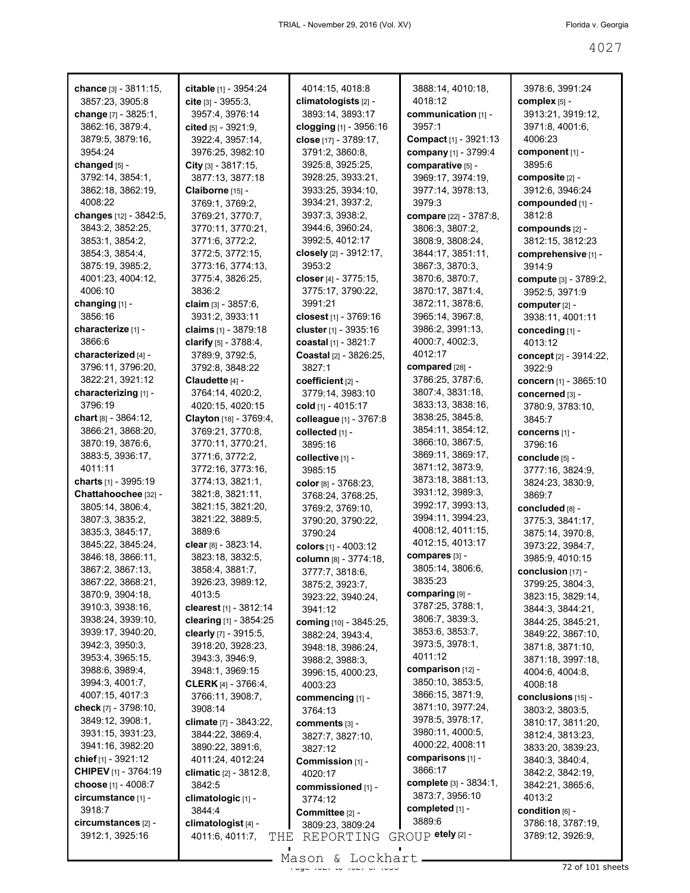| chance [3] - 3811:15,                 | citable [1] - 3954:24               | 4014:15, 4018:8                       | 3888:14, 4010:18,<br>4018:12  | 3978:6, 3991:24                     |
|---------------------------------------|-------------------------------------|---------------------------------------|-------------------------------|-------------------------------------|
| 3857:23, 3905:8                       | cite $[3] - 3955:3$ ,               | climatologists [2] -                  |                               | complex [5] -                       |
| change [7] - 3825:1,                  | 3957:4, 3976:14                     | 3893:14, 3893:17                      | communication [1] -<br>3957:1 | 3913:21, 3919:12,                   |
| 3862:16, 3879:4,                      | cited [5] - 3921:9,                 | clogging [1] - 3956:16                |                               | 3971:8, 4001:6,                     |
| 3879:5, 3879:16,                      | 3922:4, 3957:14,                    | close [17] - 3789:17,                 | Compact [1] - 3921:13         | 4006:23                             |
| 3954:24                               | 3976:25, 3982:10                    | 3791:2, 3860:8,                       | company [1] - 3799:4          | component [1] -<br>3895:6           |
| changed [5] -                         | City $[3] - 3817:15$ ,              | 3925:8, 3925:25,                      | comparative [5] -             |                                     |
| 3792:14, 3854:1,<br>3862:18, 3862:19, | 3877:13, 3877:18                    | 3928:25, 3933:21,                     | 3969:17, 3974:19,             | composite [2] -                     |
| 4008:22                               | Claiborne [15] -                    | 3933:25, 3934:10,<br>3934:21, 3937:2, | 3977:14, 3978:13,<br>3979:3   | 3912:6, 3946:24<br>compounded [1] - |
| changes [12] - 3842:5,                | 3769:1, 3769:2,<br>3769:21, 3770:7, | 3937:3, 3938:2,                       | compare [22] - 3787:8,        | 3812:8                              |
| 3843:2, 3852:25,                      | 3770:11, 3770:21,                   | 3944:6, 3960:24,                      | 3806:3, 3807:2,               | compounds [2] -                     |
| 3853:1, 3854:2,                       |                                     | 3992:5, 4012:17                       | 3808:9, 3808:24,              | 3812:15, 3812:23                    |
| 3854:3, 3854:4,                       | 3771:6, 3772:2,<br>3772:5, 3772:15, | closely [2] - 3912:17,                | 3844:17, 3851:11,             |                                     |
| 3875:19, 3985:2,                      | 3773:16, 3774:13,                   | 3953:2                                | 3867:3, 3870:3,               | comprehensive [1] -<br>3914:9       |
| 4001:23, 4004:12,                     | 3775:4, 3826:25,                    | closer [4] - 3775:15,                 | 3870:6, 3870:7,               | compute [3] - 3789:2,               |
| 4006:10                               | 3836:2                              | 3775:17, 3790:22,                     | 3870:17, 3871:4,              | 3952:5, 3971:9                      |
| changing [1] -                        | claim $[3] - 3857:6$ ,              | 3991:21                               | 3872:11, 3878:6,              |                                     |
| 3856:16                               | 3931:2, 3933:11                     | closest [1] - 3769:16                 | 3965:14, 3967:8,              | computer [2] -<br>3938:11, 4001:11  |
| characterize [1] -                    | claims $[1] - 3879:18$              | cluster [1] - 3935:16                 | 3986:2, 3991:13,              | conceding [1] -                     |
| 3866:6                                | clarify $[5] - 3788.4$ ,            | coastal [1] - 3821:7                  | 4000:7, 4002:3,               | 4013:12                             |
| characterized [4] -                   | 3789:9, 3792:5,                     | <b>Coastal</b> [2] - 3826:25,         | 4012:17                       | concept [2] - 3914:22,              |
| 3796:11, 3796:20,                     | 3792:8, 3848:22                     | 3827:1                                | compared [28] -               | 3922:9                              |
| 3822:21, 3921:12                      | Claudette [4] -                     | coefficient [2] -                     | 3786:25, 3787:6,              | concern [1] - 3865:10               |
| characterizing [1] -                  | 3764:14, 4020:2,                    | 3779:14, 3983:10                      | 3807:4, 3831:18,              |                                     |
| 3796:19                               | 4020:15, 4020:15                    | cold [1] - 4015:17                    | 3833:13, 3838:16,             | concerned [3] -                     |
| chart [8] - 3864:12,                  | Clayton [18] - 3769:4,              | colleague [1] - 3767:8                | 3838:25, 3845:8,              | 3780:9, 3783:10,                    |
| 3866:21, 3868:20,                     | 3769:21, 3770:8,                    |                                       | 3854:11, 3854:12,             | 3845:7                              |
| 3870:19, 3876:6,                      | 3770:11, 3770:21,                   | collected [1] -<br>3895:16            | 3866:10, 3867:5,              | concerns [1] -<br>3796:16           |
| 3883:5, 3936:17,                      | 3771:6, 3772:2,                     |                                       | 3869:11, 3869:17,             |                                     |
| 4011:11                               | 3772:16, 3773:16,                   | collective [1] -<br>3985:15           | 3871:12, 3873:9,              | conclude [5] -                      |
| charts [1] - 3995:19                  | 3774:13, 3821:1,                    |                                       | 3873:18, 3881:13,             | 3777:16, 3824:9,                    |
| Chattahoochee [32] -                  | 3821:8, 3821:11,                    | color [8] - 3768:23,                  | 3931:12, 3989:3,              | 3824:23, 3830:9,<br>3869:7          |
| 3805:14, 3806:4,                      | 3821:15, 3821:20,                   | 3768:24, 3768:25,                     | 3992:17, 3993:13,             |                                     |
| 3807:3, 3835:2,                       | 3821:22, 3889:5,                    | 3769:2, 3769:10,<br>3790:20, 3790:22, | 3994:11, 3994:23,             | concluded [8] -<br>3775:3, 3841:17, |
| 3835:3, 3845:17,                      | 3889:6                              | 3790:24                               | 4008:12, 4011:15,             | 3875:14, 3970:8,                    |
| 3845:22, 3845:24,                     | clear $[8] - 3823:14,$              | colors [1] - 4003:12                  | 4012:15, 4013:17              | 3973:22, 3984:7,                    |
| 3846:18, 3866:11,                     | 3823:18, 3832:5,                    | column [8] - 3774:18,                 | compares [3] -                | 3985:9, 4010:15                     |
| 3867:2, 3867:13,                      | 3858:4, 3881:7,                     | 3777:7, 3818:6,                       | 3805:14, 3806:6,              | conclusion [17] -                   |
| 3867:22, 3868:21,                     | 3926:23, 3989:12,                   | 3875:2, 3923:7,                       | 3835:23                       | 3799:25, 3804:3,                    |
| 3870:9, 3904:18,                      | 4013:5                              | 3923:22, 3940:24,                     | comparing [9] -               | 3823:15, 3829:14,                   |
| 3910:3, 3938:16,                      | clearest [1] - 3812:14              | 3941:12                               | 3787:25, 3788:1,              | 3844:3, 3844:21,                    |
| 3938:24, 3939:10,                     | clearing $[1] - 3854:25$            | coming [10] - 3845:25,                | 3806:7, 3839:3,               | 3844:25, 3845:21,                   |
| 3939:17, 3940:20,                     | clearly [7] - 3915:5,               | 3882:24, 3943:4,                      | 3853:6, 3853:7,               | 3849:22, 3867:10,                   |
| 3942:3, 3950:3,                       | 3918:20, 3928:23,                   | 3948:18, 3986:24,                     | 3973:5, 3978:1,               | 3871:8, 3871:10,                    |
| 3953:4, 3965:15,                      | 3943:3, 3946:9,                     | 3988:2, 3988:3,                       | 4011:12                       | 3871:18, 3997:18,                   |
| 3988:6, 3989:4,                       | 3948:1, 3969:15                     | 3996:15, 4000:23,                     | comparison [12] -             | 4004:6, 4004:8,                     |
| 3994:3, 4001:7,                       | <b>CLERK</b> [4] - 3766:4,          | 4003:23                               | 3850:10, 3853:5,              | 4008:18                             |
| 4007:15, 4017:3                       | 3766:11, 3908:7,                    | commencing [1] -                      | 3866:15, 3871:9,              | conclusions [15] -                  |
| check [7] - 3798:10,                  | 3908:14                             | 3764:13                               | 3871:10, 3977:24,             | 3803:2, 3803:5,                     |
| 3849:12, 3908:1,                      | climate [7] - 3843:22,              | comments [3] -                        | 3978:5, 3978:17,              | 3810:17, 3811:20,                   |
| 3931:15, 3931:23,                     | 3844:22, 3869:4,                    | 3827:7, 3827:10,                      | 3980:11, 4000:5,              | 3812:4, 3813:23,                    |
| 3941:16, 3982:20                      | 3890:22, 3891:6,                    | 3827:12                               | 4000:22, 4008:11              | 3833:20, 3839:23,                   |
| chief [1] - 3921:12                   | 4011:24, 4012:24                    | Commission [1] -                      | comparisons [1] -             | 3840:3, 3840:4,                     |
| <b>CHIPEV</b> [1] - 3764:19           | climatic $[2] - 3812:8$ ,           | 4020:17                               | 3866:17                       | 3842:2, 3842:19,                    |
| choose [1] - 4008:7                   | 3842:5                              | commissioned [1] -                    | complete [3] - 3834:1,        | 3842:21, 3865:6,                    |
| circumstance [1] -                    | climatologic [1] -                  | 3774:12                               | 3873:7, 3956:10               | 4013:2                              |
| 3918:7                                | 3844:4                              | Committee [2] -                       | completed $[1]$ -             | condition [6] -                     |
| circumstances [2] -                   | climatologist <sub>[4]</sub> -      | 3809:23, 3809:24                      | 3889:6                        | 3786:18, 3787:19,                   |
| 3912:1, 3925:16                       | 4011:6, 4011:7,<br>THE              | REPORTING                             | GROUP etely [2] -             | 3789:12, 3926:9,                    |
|                                       |                                     |                                       | $\blacksquare$                |                                     |

Mason & Lockhart <u>entitled and the 40</u>206 101 sheets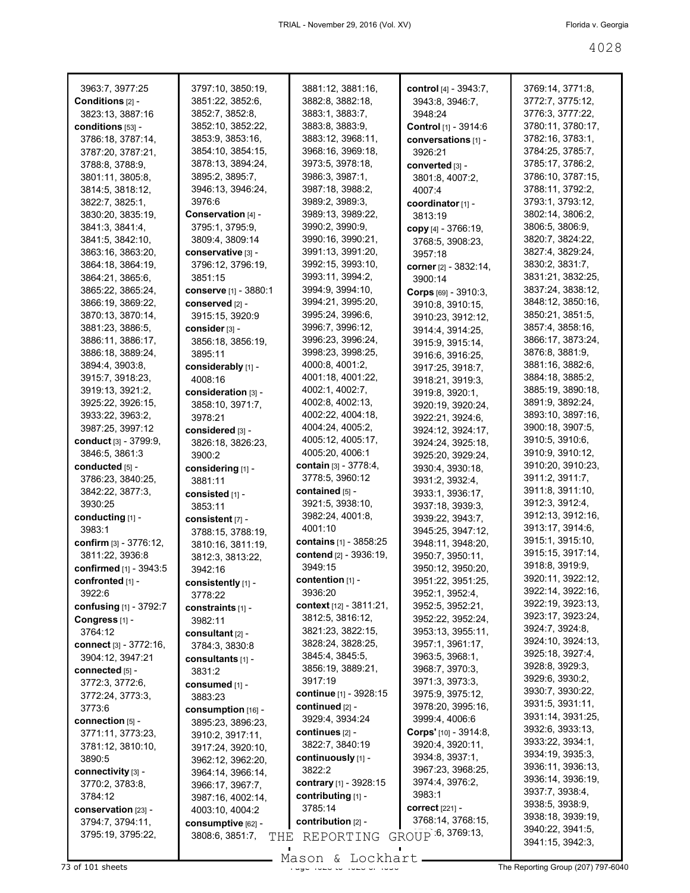| 3963:7, 3977:25               | 3797:10, 3850:19,      | 3881:12, 3881:16,           | control [4] - 3943:7,                 | 3769:14, 3771:8,  |
|-------------------------------|------------------------|-----------------------------|---------------------------------------|-------------------|
| Conditions [2] -              | 3851:22, 3852:6,       | 3882:8, 3882:18,            | 3943:8, 3946:7,                       | 3772:7, 3775:12,  |
| 3823:13, 3887:16              | 3852:7, 3852:8,        | 3883:1, 3883:7,             | 3948:24                               | 3776:3, 3777:22,  |
| conditions [53] -             | 3852:10, 3852:22,      | 3883:8, 3883:9,             | Control [1] - 3914:6                  | 3780:11, 3780:17, |
| 3786:18, 3787:14,             | 3853:9, 3853:16,       | 3883:12, 3968:11,           | conversations [1] -                   | 3782:16, 3783:1,  |
| 3787:20, 3787:21,             | 3854:10, 3854:15,      | 3968:16, 3969:18,           | 3926:21                               | 3784:25, 3785:7,  |
| 3788:8, 3788:9,               | 3878:13, 3894:24,      | 3973:5, 3978:18,            |                                       | 3785:17, 3786:2,  |
|                               | 3895:2, 3895:7,        | 3986:3, 3987:1,             | converted [3] -                       | 3786:10, 3787:15, |
| 3801:11, 3805:8,              |                        |                             | 3801:8, 4007:2,                       |                   |
| 3814:5, 3818:12,              | 3946:13, 3946:24,      | 3987:18, 3988:2,            | 4007:4                                | 3788:11, 3792:2,  |
| 3822:7, 3825:1,               | 3976:6                 | 3989:2, 3989:3,             | coordinator [1] -                     | 3793:1, 3793:12,  |
| 3830:20, 3835:19,             | Conservation [4] -     | 3989:13, 3989:22,           | 3813:19                               | 3802:14, 3806:2,  |
| 3841:3, 3841:4,               | 3795:1, 3795:9,        | 3990:2, 3990:9,             | copy [4] - 3766:19,                   | 3806:5, 3806:9,   |
| 3841:5, 3842:10,              | 3809:4, 3809:14        | 3990:16, 3990:21,           | 3768:5, 3908:23,                      | 3820:7, 3824:22,  |
| 3863:16, 3863:20,             | conservative [3] -     | 3991:13, 3991:20,           | 3957:18                               | 3827:4, 3829:24,  |
| 3864:18, 3864:19,             | 3796:12, 3796:19,      | 3992:15, 3993:10,           | corner [2] - 3832:14,                 | 3830:2, 3831:7,   |
| 3864:21, 3865:6,              | 3851:15                | 3993:11, 3994:2,            | 3900:14                               | 3831:21, 3832:25, |
| 3865:22, 3865:24,             | conserve [1] - 3880:1  | 3994:9, 3994:10,            | <b>Corps</b> $[69] - 3910:3$          | 3837:24, 3838:12, |
| 3866:19, 3869:22,             | conserved [2] -        | 3994:21, 3995:20,           | 3910:8, 3910:15,                      | 3848:12, 3850:16, |
| 3870:13, 3870:14,             | 3915:15, 3920:9        | 3995:24, 3996:6,            | 3910:23, 3912:12,                     | 3850:21, 3851:5,  |
| 3881:23, 3886:5,              | consider [3] -         | 3996:7, 3996:12,            | 3914:4, 3914:25,                      | 3857:4, 3858:16,  |
| 3886:11, 3886:17,             | 3856:18, 3856:19,      | 3996:23, 3996:24,           | 3915:9, 3915:14,                      | 3866:17, 3873:24, |
| 3886:18, 3889:24,             | 3895:11                | 3998:23, 3998:25,           | 3916:6, 3916:25,                      | 3876:8, 3881:9,   |
| 3894:4, 3903:8,               | considerably [1] -     | 4000:8, 4001:2,             |                                       | 3881:16, 3882:6,  |
| 3915:7, 3918:23,              |                        | 4001:18, 4001:22,           | 3917:25, 3918:7,                      | 3884:18, 3885:2,  |
|                               | 4008:16                | 4002:1, 4002:7,             | 3918:21, 3919:3,                      | 3885:19, 3890:18, |
| 3919:13, 3921:2,              | consideration [3] -    |                             | 3919:8, 3920:1,                       |                   |
| 3925:22, 3926:15,             | 3858:10, 3971:7,       | 4002:8, 4002:13,            | 3920:19, 3920:24,                     | 3891:9, 3892:24,  |
| 3933:22, 3963:2,              | 3978:21                | 4002:22, 4004:18,           | 3922:21, 3924:6,                      | 3893:10, 3897:16, |
| 3987:25, 3997:12              | considered [3] -       | 4004:24, 4005:2,            | 3924:12, 3924:17,                     | 3900:18, 3907:5,  |
| conduct [3] - 3799:9,         | 3826:18, 3826:23,      | 4005:12, 4005:17,           | 3924:24, 3925:18,                     | 3910:5, 3910:6,   |
| 3846:5, 3861:3                | 3900:2                 | 4005:20, 4006:1             | 3925:20, 3929:24,                     | 3910:9, 3910:12,  |
| conducted [5] -               | considering [1] -      | contain [3] - 3778:4,       | 3930:4, 3930:18,                      | 3910:20, 3910:23, |
| 3786:23, 3840:25,             | 3881:11                | 3778:5, 3960:12             | 3931:2, 3932:4,                       | 3911:2, 3911:7,   |
| 3842:22, 3877:3,              | consisted [1] -        | contained [5] -             | 3933:1, 3936:17,                      | 3911:8, 3911:10,  |
| 3930:25                       | 3853:11                | 3921:5, 3938:10,            | 3937:18, 3939:3,                      | 3912:3, 3912:4,   |
| conducting [1] -              | consistent [7] -       | 3982:24, 4001:8,            | 3939:22, 3943:7,                      | 3912:13, 3912:16, |
| 3983:1                        | 3788:15, 3788:19,      | 4001:10                     | 3945:25, 3947:12,                     | 3913:17, 3914:6,  |
| confirm [3] - 3776:12,        | 3810:16, 3811:19,      | contains [1] - 3858:25      | 3948:11, 3948:20,                     | 3915:1, 3915:10,  |
| 3811:22, 3936:8               | 3812:3, 3813:22,       | contend [2] - 3936:19,      | 3950:7, 3950:11,                      | 3915:15, 3917:14, |
| confirmed [1] - 3943:5        | 3942:16                | 3949:15                     | 3950:12, 3950:20,                     | 3918:8, 3919:9,   |
| confronted [1] -              | consistently [1] -     | $\mathsf{contention}$ [1] - | 3951:22, 3951:25,                     | 3920:11, 3922:12, |
| 3922:6                        |                        | 3936:20                     | 3952:1, 3952:4,                       | 3922:14, 3922:16, |
| confusing [1] - 3792:7        | 3778:22                | context [12] - 3811:21,     | 3952:5, 3952:21,                      | 3922:19, 3923:13, |
| Congress <sub>[1]</sub> -     | constraints $[1]$ -    | 3812:5, 3816:12,            | 3952:22, 3952:24,                     | 3923:17, 3923:24, |
|                               | 3982:11                | 3821:23, 3822:15,           |                                       | 3924:7, 3924:8,   |
| 3764:12                       | consultant $[2]$ -     | 3828:24, 3828:25,           | 3953:13, 3955:11,<br>3957:1, 3961:17, | 3924:10, 3924:13, |
| <b>connect</b> [3] - 3772:16, | 3784:3, 3830:8         |                             |                                       | 3925:18, 3927:4,  |
| 3904:12, 3947:21              | consultants [1] -      | 3845:4, 3845:5,             | 3963:5, 3968:1,                       | 3928:8, 3929:3,   |
| connected [5] -               | 3831:2                 | 3856:19, 3889:21,           | 3968:7, 3970:3,                       | 3929:6, 3930:2,   |
| 3772:3, 3772:6,               | consumed [1] -         | 3917:19                     | 3971:3, 3973:3,                       |                   |
| 3772:24, 3773:3,              | 3883:23                | continue [1] - 3928:15      | 3975:9, 3975:12,                      | 3930:7, 3930:22,  |
| 3773:6                        | consumption [16] -     | continued [2] -             | 3978:20, 3995:16,                     | 3931:5, 3931:11,  |
| connection [5] -              | 3895:23, 3896:23,      | 3929:4, 3934:24             | 3999:4, 4006:6                        | 3931:14, 3931:25, |
| 3771:11, 3773:23,             | 3910:2, 3917:11,       | continues $[2]$ -           | <b>Corps'</b> $[10] - 3914:8$         | 3932:6, 3933:13,  |
| 3781:12, 3810:10,             | 3917:24, 3920:10,      | 3822:7, 3840:19             | 3920:4, 3920:11,                      | 3933:22, 3934:1,  |
| 3890:5                        | 3962:12, 3962:20,      | continuously [1] -          | 3934:8, 3937:1,                       | 3934:19, 3935:3,  |
| connectivity [3] -            | 3964:14, 3966:14,      | 3822:2                      | 3967:23, 3968:25,                     | 3936:11, 3936:13, |
| 3770:2, 3783:8,               | 3966:17, 3967:7,       | contrary [1] - 3928:15      | 3974:4, 3976:2,                       | 3936:14, 3936:19, |
| 3784:12                       | 3987:16, 4002:14,      | contributing [1] -          | 3983:1                                | 3937:7, 3938:4,   |
| conservation [23] -           | 4003:10, 4004:2        | 3785:14                     | <b>correct</b> [221] -                | 3938:5, 3938:9,   |
| 3794:7, 3794:11,              | consumptive [62] -     | contribution [2] -          | 3768:14, 3768:15,                     | 3938:18, 3939:19, |
| 3795:19, 3795:22,             |                        |                             | GROUP 6, 3769:13,                     | 3940:22, 3941:5,  |
|                               | 3808:6, 3851:7,<br>THE | REPORTING                   |                                       | 3941:15, 3942:3,  |
|                               |                        |                             |                                       |                   |

Mason & Lockhart **Page 4028 of 101 sheets** Page 4028 to 4028 Mason & Lockhart **Page 4028 of 4028 of 4028 of 4028 of 4028 of 4028 of 4028 of 4028 of 4028 of 4028 of 4028 of 4028 of 4028 of 4028 of 4028 of 4028 of 4028 of 40**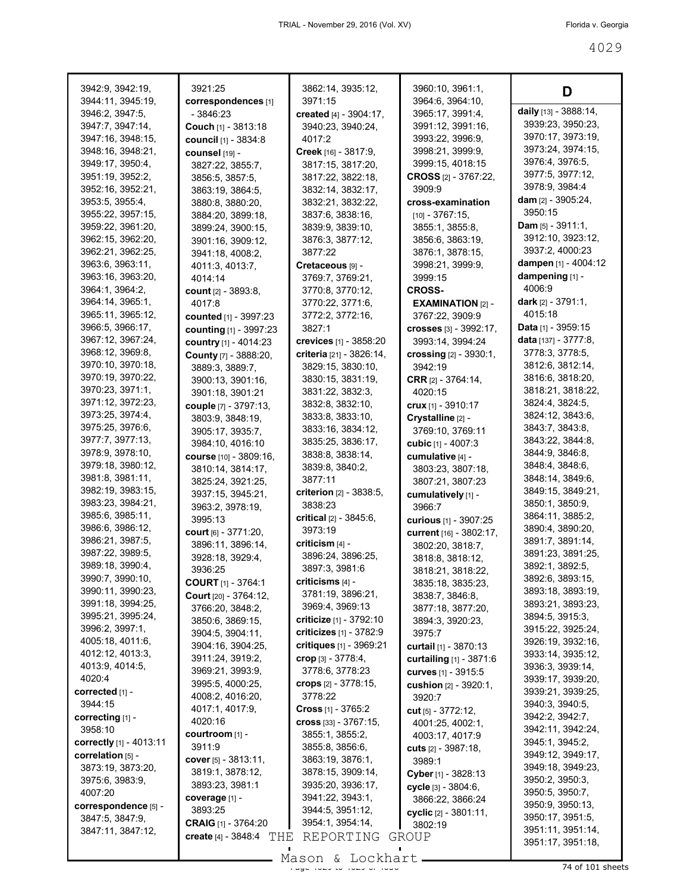| 3942:9, 3942:19,                     | 3921:25                                | 3862:14, 3935:12,                                         | 3960:10, 3961:1,                    | D                                    |
|--------------------------------------|----------------------------------------|-----------------------------------------------------------|-------------------------------------|--------------------------------------|
| 3944:11, 3945:19,                    | correspondences [1]                    | 3971:15                                                   | 3964:6, 3964:10,                    | daily [13] - 3888:14,                |
| 3946:2, 3947:5,                      | - 3846:23                              | created [4] - 3904:17,                                    | 3965:17, 3991:4,                    | 3939:23, 3950:23,                    |
| 3947:7, 3947:14,                     | Couch [1] - 3813:18                    | 3940:23, 3940:24,                                         | 3991:12, 3991:16,                   | 3970:17, 3973:19,                    |
| 3947:16, 3948:15,                    | <b>council</b> [1] - 3834:8            | 4017:2                                                    | 3993:22, 3996:9,                    | 3973:24, 3974:15,                    |
| 3948:16, 3948:21,                    | counsel [19] -                         | Creek [16] - 3817:9,                                      | 3998:21, 3999:9,                    | 3976:4, 3976:5,                      |
| 3949:17, 3950:4,                     | 3827:22, 3855:7,                       | 3817:15, 3817:20,                                         | 3999:15, 4018:15                    | 3977:5, 3977:12,                     |
| 3951:19, 3952:2,                     | 3856:5, 3857:5,                        | 3817:22, 3822:18,                                         | <b>CROSS</b> [2] - 3767:22,         | 3978:9, 3984:4                       |
| 3952:16, 3952:21,                    | 3863:19, 3864:5,                       | 3832:14, 3832:17,                                         | 3909:9                              | dam $[2] - 3905:24$ ,                |
| 3953:5, 3955:4,<br>3955:22, 3957:15, | 3880:8, 3880:20,                       | 3832:21, 3832:22,                                         | cross-examination                   | 3950:15                              |
| 3959:22, 3961:20,                    | 3884:20, 3899:18,                      | 3837:6, 3838:16,                                          | $[10] - 3767:15,$                   | <b>Dam</b> $[5] - 3911:1$ ,          |
| 3962:15, 3962:20,                    | 3899:24, 3900:15,<br>3901:16, 3909:12, | 3839:9, 3839:10,<br>3876:3, 3877:12,                      | 3855:1, 3855:8,<br>3856:6, 3863:19, | 3912:10, 3923:12,                    |
| 3962:21, 3962:25,                    | 3941:18, 4008:2,                       | 3877:22                                                   | 3876:1, 3878:15,                    | 3937:2, 4000:23                      |
| 3963:6, 3963:11,                     | 4011:3, 4013:7,                        | Cretaceous [9] -                                          | 3998:21, 3999:9,                    | dampen [1] - 4004:12                 |
| 3963:16, 3963:20,                    | 4014:14                                | 3769:7, 3769:21,                                          | 3999:15                             | dampening [1] -                      |
| 3964:1, 3964:2,                      | count [2] - 3893:8,                    | 3770:8, 3770:12,                                          | <b>CROSS-</b>                       | 4006:9                               |
| 3964:14, 3965:1,                     | 4017:8                                 | 3770:22, 3771:6,                                          | <b>EXAMINATION [2] -</b>            | dark [2] - 3791:1,                   |
| 3965:11, 3965:12,                    | counted [1] - 3997:23                  | 3772:2, 3772:16,                                          | 3767:22, 3909:9                     | 4015:18                              |
| 3966:5, 3966:17,                     | counting [1] - 3997:23                 | 3827:1                                                    | crosses [3] - 3992:17,              | Data [1] - 3959:15                   |
| 3967:12, 3967:24,                    | country [1] - 4014:23                  | crevices [1] - 3858:20                                    | 3993:14, 3994:24                    | data [137] - 3777:8,                 |
| 3968:12, 3969:8,                     | County [7] - 3888:20,                  | criteria [21] - 3826:14,                                  | crossing [2] - 3930:1,              | 3778:3, 3778:5,                      |
| 3970:10, 3970:18,                    | 3889:3, 3889:7,                        | 3829:15, 3830:10,                                         | 3942:19                             | 3812:6, 3812:14,                     |
| 3970:19, 3970:22,                    | 3900:13, 3901:16,                      | 3830:15, 3831:19,                                         | <b>CRR</b> $[2] - 3764:14$ ,        | 3816:6, 3818:20,                     |
| 3970:23, 3971:1,                     | 3901:18, 3901:21                       | 3831:22, 3832:3,                                          | 4020:15                             | 3818:21, 3818:22,                    |
| 3971:12, 3972:23,                    | couple [7] - 3797:13,                  | 3832:8, 3832:10,                                          | crux [1] - 3910:17                  | 3824:4, 3824:5,                      |
| 3973:25, 3974:4,                     | 3803:9, 3848:19,                       | 3833:8, 3833:10,                                          | Crystalline [2] -                   | 3824:12, 3843:6,                     |
| 3975:25, 3976:6,                     | 3905:17, 3935:7,                       | 3833:16, 3834:12,                                         | 3769:10, 3769:11                    | 3843:7, 3843:8,                      |
| 3977:7, 3977:13,                     | 3984:10, 4016:10                       | 3835:25, 3836:17,                                         | cubic [1] - 4007:3                  | 3843:22, 3844:8,                     |
| 3978:9, 3978:10,                     | course [10] - 3809:16,                 | 3838:8, 3838:14,                                          | cumulative [4] -                    | 3844:9, 3846:8,                      |
| 3979:18, 3980:12,                    | 3810:14, 3814:17,                      | 3839:8, 3840:2,                                           | 3803:23, 3807:18,                   | 3848:4, 3848:6,                      |
| 3981:8, 3981:11,                     | 3825:24, 3921:25,                      | 3877:11                                                   | 3807:21, 3807:23                    | 3848:14, 3849:6,                     |
| 3982:19, 3983:15,                    | 3937:15, 3945:21,                      | criterion [2] - 3838:5,                                   | cumulatively [1] -                  | 3849:15, 3849:21,                    |
| 3983:23, 3984:21,                    | 3963:2, 3978:19,                       | 3838:23                                                   | 3966:7                              | 3850:1, 3850:9,                      |
| 3985:6, 3985:11,<br>3986:6, 3986:12, | 3995:13                                | critical $[2] - 3845:6$ ,                                 | <b>curious</b> [1] - 3907:25        | 3864:11, 3885:2,<br>3890:4, 3890:20, |
| 3986:21, 3987:5,                     | court $[6] - 3771:20$ ,                | 3973:19                                                   | current [16] - 3802:17,             | 3891:7, 3891:14,                     |
| 3987:22, 3989:5,                     | 3896:11, 3896:14,                      | criticism [4] -                                           | 3802:20, 3818:7,                    | 3891:23, 3891:25,                    |
| 3989:18, 3990:4,                     | 3928:18, 3929:4,                       | 3896:24, 3896:25,                                         | 3818:8, 3818:12,                    | 3892:1, 3892:5,                      |
| 3990:7, 3990:10,                     | 3936:25                                | 3897:3, 3981:6                                            | 3818:21, 3818:22,                   | 3892:6, 3893:15,                     |
| 3990:11, 3990:23,                    | <b>COURT</b> [1] - 3764:1              | criticisms [4] -                                          | 3835:18, 3835:23,                   | 3893:18, 3893:19,                    |
| 3991:18, 3994:25,                    | Court [20] - 3764:12,                  | 3781:19, 3896:21,                                         | 3838:7, 3846:8,                     | 3893:21, 3893:23,                    |
| 3995:21, 3995:24,                    | 3766:20, 3848:2,                       | 3969:4, 3969:13                                           | 3877:18, 3877:20,                   | 3894:5, 3915:3,                      |
| 3996:2, 3997:1,                      | 3850:6, 3869:15,                       | <b>criticize</b> [1] - 3792:10<br>criticizes [1] - 3782:9 | 3894:3, 3920:23,                    | 3915:22, 3925:24,                    |
| 4005:18, 4011:6,                     | 3904:5, 3904:11,<br>3904:16, 3904:25,  | critiques [1] - 3969:21                                   | 3975.7<br>curtail [1] - 3870:13     | 3926:19, 3932:16,                    |
| 4012:12, 4013:3,                     | 3911:24, 3919:2,                       | $\mathbf{crop}$ [3] - 3778:4,                             | curtailing [1] - 3871:6             | 3933:14, 3935:12,                    |
| 4013:9, 4014:5,                      | 3969:21, 3993:9,                       | 3778:6, 3778:23                                           | curves [1] - 3915:5                 | 3936:3, 3939:14,                     |
| 4020:4                               | 3995:5, 4000:25,                       | crops [2] - 3778:15,                                      | cushion [2] - 3920:1,               | 3939:17, 3939:20,                    |
| corrected [1] -                      | 4008:2, 4016:20,                       | 3778:22                                                   | 3920:7                              | 3939:21, 3939:25,                    |
| 3944:15                              | 4017:1, 4017:9,                        | <b>Cross</b> $[1] - 3765:2$                               | cut [5] - 3772:12,                  | 3940:3, 3940:5,                      |
| correcting [1] -                     | 4020:16                                | $cross$ [33] - 3767:15,                                   | 4001:25, 4002:1,                    | 3942:2, 3942:7,                      |
| 3958:10                              | courtroom [1] -                        | 3855:1, 3855:2,                                           | 4003:17, 4017:9                     | 3942:11, 3942:24,                    |
| correctly [1] - 4013:11              | 3911:9                                 | 3855:8, 3856:6,                                           | cuts [2] - 3987:18,                 | 3945:1, 3945:2,                      |
| correlation [5] -                    | cover $[5] - 3813:11$ ,                | 3863:19, 3876:1,                                          | 3989:1                              | 3949:12, 3949:17,                    |
| 3873:19, 3873:20,                    | 3819:1, 3878:12,                       | 3878:15, 3909:14,                                         | Cyber [1] - 3828:13                 | 3949:18, 3949:23,<br>3950:2, 3950:3, |
| 3975:6, 3983:9,<br>4007:20           | 3893:23, 3981:1                        | 3935:20, 3936:17,                                         | cycle [3] - 3804:6,                 | 3950:5, 3950:7,                      |
| correspondence [5] -                 | coverage [1] -                         | 3941:22, 3943:1,                                          | 3866:22, 3866:24                    | 3950:9, 3950:13,                     |
| 3847:5, 3847:9,                      | 3893:25                                | 3944:5, 3951:12,                                          | cyclic $[2] - 3801:11$ ,            | 3950:17, 3951:5,                     |
| 3847:11, 3847:12,                    | CRAIG [1] - 3764:20                    | 3954:1, 3954:14,                                          | 3802:19                             | 3951:11, 3951:14,                    |
|                                      | create $[4] - 3848:4$<br>THE           | REPORTING                                                 | GROUP                               | 3951:17, 3951:18,                    |
|                                      |                                        |                                                           |                                     |                                      |

Page 4029 to 4029 of 4056 74 of 101 sheets Mason & Lockhart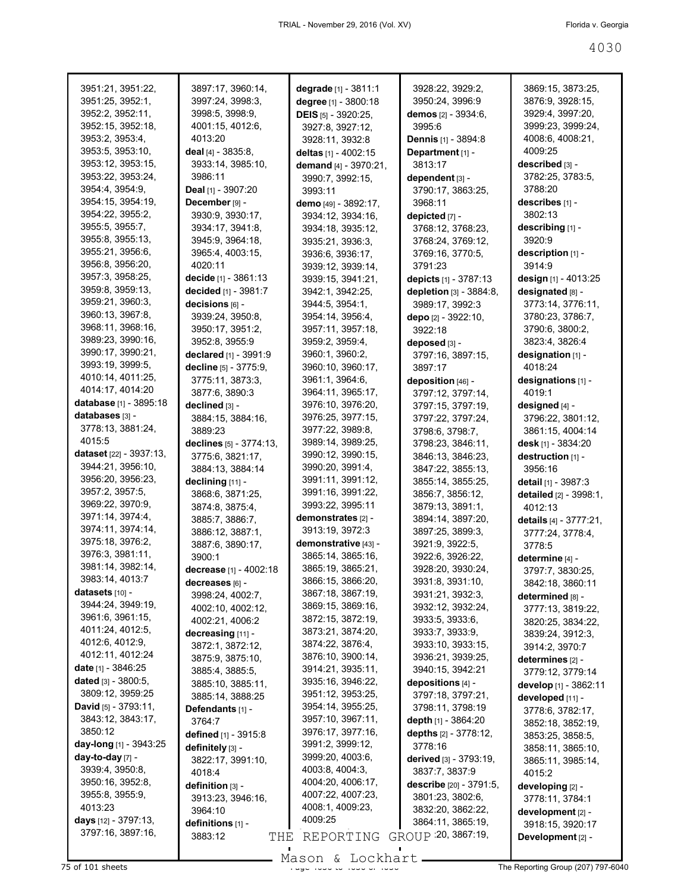| 3951:21, 3951:22,              | 3897:17, 3960:14,       | degrade [1] - 3811:1  | 3928:22, 3929:2,              | 3869:15, 3873:25,      |
|--------------------------------|-------------------------|-----------------------|-------------------------------|------------------------|
| 3951:25, 3952:1,               | 3997:24, 3998:3,        | degree [1] - 3800:18  | 3950:24, 3996:9               | 3876:9, 3928:15,       |
| 3952:2, 3952:11,               | 3998:5, 3998:9,         | DEIS [5] - 3920:25,   | demos [2] - 3934:6,           | 3929:4, 3997:20,       |
| 3952:15, 3952:18,              | 4001:15, 4012:6,        | 3927:8, 3927:12,      | 3995:6                        | 3999:23, 3999:24,      |
| 3953:2, 3953:4,                | 4013:20                 | 3928:11, 3932:8       | <b>Dennis</b> [1] - 3894:8    | 4008:6, 4008:21,       |
| 3953:5, 3953:10,               | deal $[4] - 3835.8$ ,   | deltas [1] - 4002:15  | Department [1] -              | 4009:25                |
| 3953:12, 3953:15,              | 3933:14, 3985:10,       | demand [4] - 3970:21, | 3813:17                       | described [3] -        |
| 3953:22, 3953:24,              | 3986:11                 | 3990:7, 3992:15,      | dependent [3] -               | 3782:25, 3783:5,       |
| 3954:4, 3954:9,                | Deal [1] - 3907:20      | 3993:11               | 3790:17, 3863:25,             | 3788:20                |
| 3954:15, 3954:19,              | December [9] -          |                       | 3968:11                       | describes [1] -        |
| 3954:22, 3955:2,               |                         | demo [49] - 3892:17,  |                               | 3802:13                |
| 3955:5, 3955:7,                | 3930:9, 3930:17,        | 3934:12, 3934:16,     | depicted [7] -                |                        |
|                                | 3934:17, 3941:8,        | 3934:18, 3935:12,     | 3768:12, 3768:23,             | describing [1] -       |
| 3955:8, 3955:13,               | 3945:9, 3964:18,        | 3935:21, 3936:3,      | 3768:24, 3769:12,             | 3920:9                 |
| 3955:21, 3956:6,               | 3965:4, 4003:15,        | 3936:6, 3936:17,      | 3769:16, 3770:5,              | description [1] -      |
| 3956:8, 3956:20,               | 4020:11                 | 3939:12, 3939:14,     | 3791:23                       | 3914:9                 |
| 3957:3, 3958:25,               | decide $[1] - 3861:13$  | 3939:15, 3941:21,     | depicts [1] - 3787:13         | design [1] - 4013:25   |
| 3959:8, 3959:13,               | decided [1] - 3981:7    | 3942:1, 3942:25,      | depletion [3] - 3884:8,       | designated [8] -       |
| 3959:21, 3960:3,               | decisions [6] -         | 3944:5, 3954:1,       | 3989:17, 3992:3               | 3773:14, 3776:11,      |
| 3960:13, 3967:8,               | 3939:24, 3950:8,        | 3954:14, 3956:4,      | depo [2] - 3922:10,           | 3780:23, 3786:7,       |
| 3968:11, 3968:16,              | 3950:17, 3951:2,        | 3957:11, 3957:18,     | 3922:18                       | 3790:6, 3800:2,        |
| 3989:23, 3990:16,              | 3952:8, 3955:9          | 3959:2, 3959:4,       | deposed [3] -                 | 3823:4, 3826:4         |
| 3990:17, 3990:21,              | declared [1] - 3991:9   | 3960:1, 3960:2,       | 3797:16, 3897:15,             | designation [1] -      |
| 3993:19, 3999:5,               | decline [5] - 3775:9,   | 3960:10, 3960:17,     | 3897:17                       | 4018:24                |
| 4010:14, 4011:25,              | 3775:11, 3873:3,        | 3961:1, 3964:6,       | deposition [46] -             | designations [1] -     |
| 4014:17, 4014:20               | 3877:6, 3890:3          | 3964:11, 3965:17,     | 3797:12, 3797:14,             | 4019:1                 |
| database [1] - 3895:18         | declined [3] -          | 3976:10, 3976:20,     | 3797:15, 3797:19,             | designed [4] -         |
| databases [3] -                | 3884:15, 3884:16,       | 3976:25, 3977:15,     | 3797:22, 3797:24,             | 3796:22, 3801:12,      |
| 3778:13, 3881:24,              | 3889:23                 | 3977:22, 3989:8,      |                               |                        |
| 4015:5                         |                         | 3989:14, 3989:25,     | 3798:6, 3798:7,               | 3861:15, 4004:14       |
| dataset [22] - 3937:13,        | declines [5] - 3774:13, |                       | 3798:23, 3846:11,             | desk [1] - 3834:20     |
| 3944:21, 3956:10,              | 3775:6, 3821:17,        | 3990:12, 3990:15,     | 3846:13, 3846:23,             | destruction [1] -      |
| 3956:20, 3956:23,              | 3884:13, 3884:14        | 3990:20, 3991:4,      | 3847:22, 3855:13,             | 3956:16                |
|                                | declining [11] -        | 3991:11, 3991:12,     | 3855:14, 3855:25,             | detail [1] - 3987:3    |
| 3957:2, 3957:5,                | 3868:6, 3871:25,        | 3991:16, 3991:22,     | 3856:7, 3856:12,              | detailed [2] - 3998:1, |
| 3969:22, 3970:9,               | 3874:8, 3875:4,         | 3993:22, 3995:11      | 3879:13, 3891:1,              | 4012:13                |
| 3971:14, 3974:4,               | 3885:7, 3886:7,         | demonstrates [2] -    | 3894:14, 3897:20,             | details [4] - 3777:21, |
| 3974:11, 3974:14,              | 3886:12, 3887:1,        | 3913:19, 3972:3       | 3897:25, 3899:3,              | 3777:24, 3778:4,       |
| 3975:18, 3976:2,               | 3887:6, 3890:17,        | demonstrative [43] -  | 3921:9, 3922:5,               | 3778:5                 |
| 3976:3, 3981:11,               | 3900:1                  | 3865:14, 3865:16,     | 3922:6, 3926:22,              | determine [4] -        |
| 3981:14, 3982:14,              | decrease [1] - 4002:18  | 3865:19, 3865:21,     | 3928:20, 3930:24,             | 3797:7, 3830:25,       |
| 3983:14, 4013:7                | decreases [6] -         | 3866:15, 3866:20,     | 3931:8, 3931:10,              | 3842:18, 3860:11       |
| datasets $[10]$ -              | 3998:24, 4002:7,        | 3867:18, 3867:19,     | 3931:21, 3932:3,              | determined [8] -       |
| 3944:24, 3949:19,              | 4002:10, 4002:12,       | 3869:15, 3869:16,     | 3932:12, 3932:24,             | 3777:13, 3819:22,      |
| 3961:6, 3961:15,               | 4002:21, 4006:2         | 3872:15, 3872:19,     | 3933:5, 3933:6,               | 3820:25, 3834:22,      |
| 4011:24, 4012:5,               | decreasing [11] -       | 3873:21, 3874:20,     | 3933:7, 3933:9,               | 3839:24, 3912:3,       |
| 4012:6, 4012:9,                | 3872:1, 3872:12,        | 3874:22, 3876:4,      | 3933:10, 3933:15,             | 3914:2, 3970:7         |
| 4012:11, 4012:24               | 3875:9, 3875:10,        | 3876:10, 3900:14,     | 3936:21, 3939:25,             | determines [2] -       |
| date [1] - 3846:25             | 3885:4, 3885:5,         | 3914:21, 3935:11,     | 3940:15, 3942:21              | 3779:12, 3779:14       |
| dated $[3] - 3800.5$ ,         | 3885:10, 3885:11,       | 3935:16, 3946:22,     | depositions [4] -             | develop [1] - 3862:11  |
| 3809:12, 3959:25               | 3885:14, 3888:25        | 3951:12, 3953:25,     | 3797:18, 3797:21,             | developed [11] -       |
| <b>David</b> [5] - $3793:11$ , | Defendants [1] -        | 3954:14, 3955:25,     | 3798:11, 3798:19              | 3778:6, 3782:17,       |
| 3843:12, 3843:17,              | 3764:7                  | 3957:10, 3967:11,     | depth [1] - 3864:20           | 3852:18, 3852:19,      |
| 3850:12                        | defined [1] - 3915:8    | 3976:17, 3977:16,     | depths [2] - 3778:12,         | 3853:25, 3858:5,       |
| day-long $[1]$ - 3943:25       | definitely [3] -        | 3991:2, 3999:12,      | 3778:16                       | 3858:11, 3865:10,      |
| day-to-day [7] -               | 3822:17, 3991:10,       | 3999:20, 4003:6,      | <b>derived</b> [3] - 3793:19, |                        |
| 3939:4, 3950:8,                |                         | 4003:8, 4004:3,       | 3837:7, 3837:9                | 3865:11, 3985:14,      |
| 3950:16, 3952:8,               | 4018:4                  | 4004:20, 4006:17,     |                               | 4015:2                 |
| 3955:8, 3955:9,                | definition [3] -        | 4007:22, 4007:23,     | describe [20] - 3791:5,       | developing [2] -       |
| 4013:23                        | 3913:23, 3946:16,       | 4008:1, 4009:23,      | 3801:23, 3802:6,              | 3778:11, 3784:1        |
| days [12] - 3797:13,           | 3964:10                 | 4009:25               | 3832:20, 3862:22,             | development [2] -      |
| 3797:16, 3897:16,              | definitions [1] -       |                       | 3864:11, 3865:19,             | 3918:15, 3920:17       |
|                                | 3883:12<br>THE          | REPORTING             | GROUP : 20, 3867:19,          | Development [2] -      |
|                                |                         |                       |                               |                        |

Mason & Lockhart **Page 4030 of 4030 to 4030 community**<br>The Reporting Group (207) 797-6040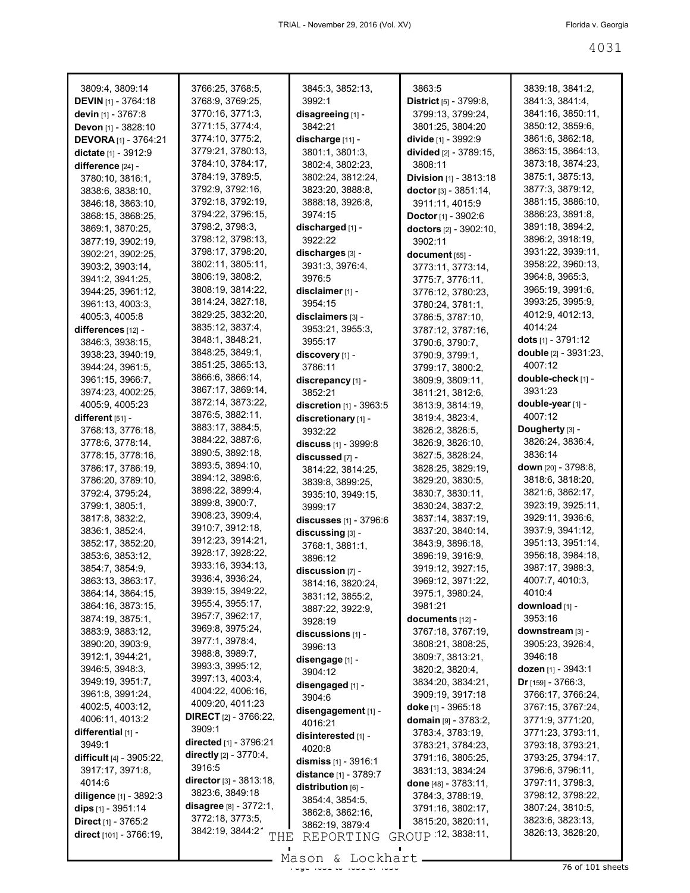| 3809:4, 3809:14                     | 3766:25, 3768:5,                     | 3845:3, 3852:13,             | 3863:5                                | 3839:18, 3841:2,                     |
|-------------------------------------|--------------------------------------|------------------------------|---------------------------------------|--------------------------------------|
| <b>DEVIN</b> [1] - 3764:18          | 3768:9, 3769:25,                     | 3992:1                       | District [5] - 3799:8,                | 3841:3, 3841:4,                      |
| devin [1] - 3767:8                  | 3770:16, 3771:3,                     | disagreeing [1] -            | 3799:13, 3799:24,                     | 3841:16, 3850:11,                    |
| Devon [1] - 3828:10                 | 3771:15, 3774:4,                     | 3842:21                      | 3801:25, 3804:20                      | 3850:12, 3859:6,                     |
| <b>DEVORA</b> [1] - 3764:21         | 3774:10, 3775:2,                     | discharge [11] -             | divide [1] - 3992:9                   | 3861:6, 3862:18,                     |
| dictate [1] - 3912:9                | 3779:21, 3780:13,                    | 3801:1, 3801:3,              | divided [2] - 3789:15,                | 3863:15, 3864:13,                    |
| difference [24] -                   | 3784:10, 3784:17,                    | 3802:4, 3802:23,             | 3808:11                               | 3873:18, 3874:23,                    |
| 3780:10, 3816:1,                    | 3784:19, 3789:5,                     | 3802:24, 3812:24,            | <b>Division</b> $[1]$ - 3813:18       | 3875:1, 3875:13,                     |
| 3838:6, 3838:10,                    | 3792:9, 3792:16,                     | 3823:20, 3888:8,             | doctor [3] - 3851:14,                 | 3877:3, 3879:12,                     |
| 3846:18, 3863:10,                   | 3792:18, 3792:19,                    | 3888:18, 3926:8,             | 3911:11, 4015:9                       | 3881:15, 3886:10,                    |
| 3868:15, 3868:25,                   | 3794:22, 3796:15,                    | 3974:15                      | <b>Doctor</b> [1] - $3902:6$          | 3886:23, 3891:8,                     |
| 3869:1, 3870:25,                    | 3798:2, 3798:3,                      | discharged [1] -             | doctors [2] - 3902:10,                | 3891:18, 3894:2,                     |
| 3877:19, 3902:19,                   | 3798:12, 3798:13,                    | 3922:22                      | 3902:11                               | 3896:2, 3918:19,                     |
| 3902:21, 3902:25,                   | 3798:17, 3798:20,                    | discharges [3] -             | document [55] -                       | 3931:22, 3939:11,                    |
| 3903:2, 3903:14,                    | 3802:11, 3805:11,                    | 3931:3, 3976:4,              | 3773:11, 3773:14,                     | 3958:22, 3960:13,                    |
| 3941:2, 3941:25,                    | 3806:19, 3808:2,                     | 3976:5                       | 3775:7, 3776:11,                      | 3964:8, 3965:3,                      |
| 3944:25, 3961:12,                   | 3808:19, 3814:22,                    | disclaimer [1] -             | 3776:12, 3780:23,                     | 3965:19, 3991:6,                     |
| 3961:13, 4003:3,                    | 3814:24, 3827:18,                    | 3954:15                      | 3780:24, 3781:1,                      | 3993:25, 3995:9,                     |
| 4005:3, 4005:8                      | 3829:25, 3832:20,                    | disclaimers [3] -            | 3786:5, 3787:10,                      | 4012:9, 4012:13,                     |
| $diff$ erences $[12]$ -             | 3835:12, 3837:4,                     | 3953:21, 3955:3,             | 3787:12, 3787:16,                     | 4014:24                              |
| 3846:3, 3938:15,                    | 3848:1, 3848:21,                     | 3955:17                      | 3790:6, 3790:7,                       | dots [1] - 3791:12                   |
| 3938:23, 3940:19,                   | 3848:25, 3849:1,                     | discovery [1] -              | 3790:9, 3799:1,                       | double [2] - 3931:23,                |
| 3944:24, 3961:5,                    | 3851:25, 3865:13,                    | 3786:11                      | 3799:17, 3800:2,                      | 4007:12                              |
| 3961:15, 3966:7,                    | 3866:6, 3866:14,                     | discrepancy [1] -            | 3809:9, 3809:11,                      | double-check [1] -                   |
| 3974:23, 4002:25,                   | 3867:17, 3869:14,                    | 3852:21                      | 3811:21, 3812:6,                      | 3931:23                              |
| 4005:9, 4005:23                     | 3872:14, 3873:22,                    | discretion [1] - 3963:5      | 3813:9, 3814:19,                      | double-year [1] -                    |
| different $[51]$ -                  | 3876:5, 3882:11,                     | discretionary [1] -          | 3819:4, 3823:4,                       | 4007:12                              |
| 3768:13, 3776:18,                   | 3883:17, 3884:5,<br>3884:22, 3887:6, | 3932:22                      | 3826:2, 3826:5,                       | Dougherty [3] -                      |
| 3778:6, 3778:14,                    | 3890:5, 3892:18,                     | discuss [1] - 3999:8         | 3826:9, 3826:10,                      | 3826:24, 3836:4,                     |
| 3778:15, 3778:16,                   | 3893:5, 3894:10,                     | discussed [7] -              | 3827:5, 3828:24,                      | 3836:14                              |
| 3786:17, 3786:19,                   | 3894:12, 3898:6,                     | 3814:22, 3814:25,            | 3828:25, 3829:19,                     | <b>down</b> [20] - 3798:8,           |
| 3786:20, 3789:10,                   | 3898:22, 3899:4,                     | 3839:8, 3899:25,             | 3829:20, 3830:5,                      | 3818:6, 3818:20,<br>3821:6, 3862:17, |
| 3792:4, 3795:24,<br>3799:1, 3805:1, | 3899:8, 3900:7,                      | 3935:10, 3949:15,            | 3830:7, 3830:11,                      | 3923:19, 3925:11,                    |
| 3817:8, 3832:2,                     | 3908:23, 3909:4,                     | 3999:17                      | 3830:24, 3837:2,<br>3837:14, 3837:19, | 3929:11, 3936:6,                     |
| 3836:1, 3852:4,                     | 3910:7, 3912:18,                     | discusses [1] - 3796:6       | 3837:20, 3840:14,                     | 3937:9, 3941:12,                     |
| 3852:17, 3852:20,                   | 3912:23, 3914:21,                    | discussing [3] -             | 3843:9, 3896:18,                      | 3951:13, 3951:14,                    |
| 3853:6, 3853:12,                    | 3928:17, 3928:22,                    | 3768:1, 3881:1,              | 3896:19, 3916:9,                      | 3956:18, 3984:18,                    |
| 3854:7, 3854:9,                     | 3933:16, 3934:13,                    | 3896:12<br>discussion [7] -  | 3919:12, 3927:15,                     | 3987:17, 3988:3,                     |
| 3863:13, 3863:17,                   | 3936:4, 3936:24,                     | 3814:16, 3820:24,            | 3969:12, 3971:22,                     | 4007:7, 4010:3,                      |
| 3864:14, 3864:15,                   | 3939:15, 3949:22,                    | 3831:12, 3855:2,             | 3975:1, 3980:24,                      | 4010:4                               |
| 3864:16, 3873:15,                   | 3955:4, 3955:17,                     | 3887:22, 3922:9,             | 3981:21                               | download [1] -                       |
| 3874:19, 3875:1,                    | 3957:7, 3962:17,                     | 3928:19                      | documents [12] -                      | 3953:16                              |
| 3883:9, 3883:12,                    | 3969:8, 3975:24,                     | discussions $[1]$ -          | 3767:18, 3767:19,                     | downstream [3] -                     |
| 3890:20, 3903:9,                    | 3977:1, 3978:4,                      | 3996:13                      | 3808:21, 3808:25,                     | 3905:23, 3926:4,                     |
| 3912:1, 3944:21,                    | 3988:8, 3989:7,                      | disengage [1] -              | 3809:7, 3813:21,                      | 3946:18                              |
| 3946:5, 3948:3,                     | 3993:3, 3995:12,                     | 3904:12                      | 3820:2, 3820:4,                       | dozen [1] - 3943:1                   |
| 3949:19, 3951:7,                    | 3997:13, 4003:4,                     | disengaged [1] -             | 3834:20, 3834:21,                     | <b>Dr</b> [159] - 3766:3,            |
| 3961:8, 3991:24,                    | 4004:22, 4006:16,                    | 3904:6                       | 3909:19, 3917:18                      | 3766:17, 3766:24,                    |
| 4002:5, 4003:12,                    | 4009:20, 4011:23                     | disengagement [1] -          | doke $[1] - 3965:18$                  | 3767:15, 3767:24,                    |
| 4006:11, 4013:2                     | <b>DIRECT</b> $[2] - 3766:22$        | 4016:21                      | domain $[9] - 3783:2$ ,               | 3771:9, 3771:20,                     |
| differential $[1]$ -                | 3909:1                               | disinterested [1] -          | 3783:4, 3783:19,                      | 3771:23, 3793:11,                    |
| 3949:1                              | directed [1] - 3796:21               | 4020:8                       | 3783:21, 3784:23,                     | 3793:18, 3793:21,                    |
| <b>difficult</b> [4] - 3905:22,     | directly [2] - 3770:4,               | dismiss $[1] - 3916:1$       | 3791:16, 3805:25,                     | 3793:25, 3794:17,                    |
| 3917:17, 3971:8,                    | 3916:5                               | <b>distance</b> [1] - 3789:7 | 3831:13, 3834:24                      | 3796:6, 3796:11,                     |
| 4014:6                              | director $[3] - 3813:18$ ,           | distribution [6] -           | <b>done</b> $[48] - 3783:11$ ,        | 3797:11, 3798:3,                     |
| diligence [1] - 3892:3              | 3823:6, 3849:18                      | 3854:4, 3854:5,              | 3784:3, 3788:19,                      | 3798:12, 3798:22,                    |
| <b>dips</b> $[1]$ - 3951:14         | disagree $[8] - 3772:1$ ,            | 3862:8, 3862:16,             | 3791:16, 3802:17,                     | 3807:24, 3810:5,                     |
| <b>Direct</b> $[1] - 3765:2$        | 3772:18, 3773:5,                     | 3862:19, 3879:4              | 3815:20, 3820:11,                     | 3823:6, 3823:13,                     |
| direct [101] - 3766:19,             | 3842:19, 3844:21<br>THE              | REPORTING                    | GROUP 12, 3838:11,                    | 3826:13, 3828:20,                    |

 $\frac{200011}{1000}$  to  $\frac{2000111}{1000}$  of  $\frac{200011}{1000}$  of  $\frac{200011}{1000}$  of  $\frac{200011}{1000}$  sheets Mason & Lockhart

 $\blacksquare$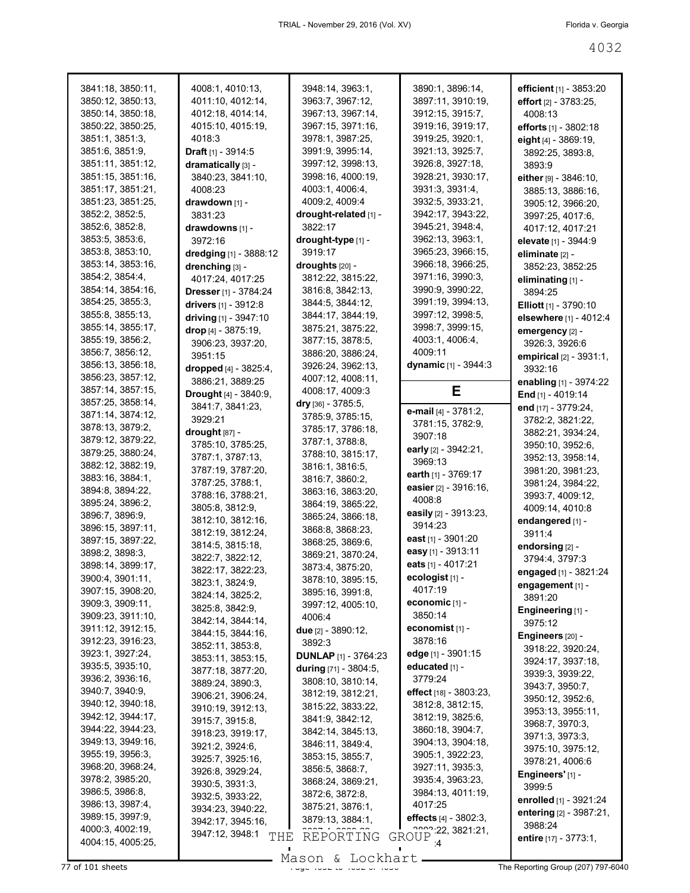| 3841:18, 3850:11, | 4008:1, 4010:13,             | 3948:14, 3963:1,              | 3890:1, 3896:14,           | efficient $[1]$ - 3853:20      |
|-------------------|------------------------------|-------------------------------|----------------------------|--------------------------------|
| 3850:12, 3850:13, | 4011:10, 4012:14,            | 3963:7, 3967:12,              | 3897:11, 3910:19,          | effort $[2] - 3783:25$ ,       |
| 3850:14, 3850:18, | 4012:18, 4014:14,            | 3967:13, 3967:14,             | 3912:15, 3915:7,           | 4008:13                        |
| 3850:22, 3850:25, | 4015:10, 4015:19,            | 3967:15, 3971:16,             | 3919:16, 3919:17,          | efforts [1] - 3802:18          |
| 3851:1, 3851:3,   | 4018:3                       | 3978:1, 3987:25,              | 3919:25, 3920:1,           | eight [4] - 3869:19,           |
| 3851:6, 3851:9,   | <b>Draft</b> $[1]$ - 3914:5  | 3991:9, 3995:14,              | 3921:13, 3925:7,           | 3892:25, 3893:8,               |
| 3851:11, 3851:12, | dramatically [3] -           | 3997:12, 3998:13,             | 3926:8, 3927:18,           | 3893:9                         |
| 3851:15, 3851:16, | 3840:23, 3841:10,            | 3998:16, 4000:19,             | 3928:21, 3930:17,          | either [9] - 3846:10,          |
| 3851:17, 3851:21, | 4008:23                      | 4003:1, 4006:4,               | 3931:3, 3931:4,            |                                |
| 3851:23, 3851:25, | drawdown [1] -               | 4009:2, 4009:4                | 3932:5, 3933:21,           | 3885:13, 3886:16,              |
| 3852:2, 3852:5,   | 3831:23                      | drought-related [1] -         | 3942:17, 3943:22,          | 3905:12, 3966:20,              |
| 3852:6, 3852:8,   |                              | 3822:17                       | 3945:21, 3948:4,           | 3997:25, 4017:6,               |
| 3853:5, 3853:6,   | drawdowns [1] -              |                               | 3962:13, 3963:1,           | 4017:12, 4017:21               |
| 3853:8, 3853:10,  | 3972:16                      | drought-type [1] -            | 3965:23, 3966:15,          | elevate [1] - 3944:9           |
| 3853:14, 3853:16, | dredging [1] - 3888:12       | 3919:17                       | 3966:18, 3966:25,          | eliminate [2] -                |
|                   | drenching [3] -              | droughts [20] -               |                            | 3852:23, 3852:25               |
| 3854:2, 3854:4,   | 4017:24, 4017:25             | 3812:22, 3815:22,             | 3971:16, 3990:3,           | eliminating [1] -              |
| 3854:14, 3854:16, | <b>Dresser</b> [1] - 3784:24 | 3816:8, 3842:13,              | 3990:9, 3990:22,           | 3894:25                        |
| 3854:25, 3855:3,  | drivers [1] - 3912:8         | 3844:5, 3844:12,              | 3991:19, 3994:13,          | <b>Elliott</b> $[1]$ - 3790:10 |
| 3855:8, 3855:13,  | driving $[1] - 3947:10$      | 3844:17, 3844:19,             | 3997:12, 3998:5,           | elsewhere [1] - 4012:4         |
| 3855:14, 3855:17, | drop $[4] - 3875:19$ ,       | 3875:21, 3875:22,             | 3998:7, 3999:15,           | emergency [2] -                |
| 3855:19, 3856:2,  | 3906:23, 3937:20,            | 3877:15, 3878:5,              | 4003:1, 4006:4,            | 3926:3, 3926:6                 |
| 3856:7, 3856:12,  | 3951:15                      | 3886:20, 3886:24,             | 4009:11                    | empirical [2] - 3931:1,        |
| 3856:13, 3856:18, | dropped [4] - 3825:4,        | 3926:24, 3962:13,             | dynamic [1] - 3944:3       | 3932:16                        |
| 3856:23, 3857:12, | 3886:21, 3889:25             | 4007:12, 4008:11,             |                            | enabling [1] - 3974:22         |
| 3857:14, 3857:15, | <b>Drought</b> [4] - 3840:9, | 4008:17, 4009:3               | Е                          | End [1] - 4019:14              |
| 3857:25, 3858:14, | 3841:7, 3841:23,             | dry [36] - 3785:5,            | e-mail [4] - 3781:2,       | end [17] - 3779:24,            |
| 3871:14, 3874:12, | 3929:21                      | 3785:9, 3785:15,              | 3781:15, 3782:9,           | 3782:2, 3821:22,               |
| 3878:13, 3879:2,  | drought [87] -               | 3785:17, 3786:18,             | 3907:18                    | 3882:21, 3934:24,              |
| 3879:12, 3879:22, | 3785:10, 3785:25,            | 3787:1, 3788:8,               | early [2] - 3942:21,       | 3950:10, 3952:6,               |
| 3879:25, 3880:24, | 3787:1, 3787:13,             | 3788:10, 3815:17,             | 3969:13                    | 3952:13, 3958:14,              |
| 3882:12, 3882:19, | 3787:19, 3787:20,            | 3816:1, 3816:5,               |                            | 3981:20, 3981:23,              |
| 3883:16, 3884:1,  | 3787:25, 3788:1,             | 3816:7, 3860:2,               | earth $[1] - 3769:17$      | 3981:24, 3984:22,              |
| 3894:8, 3894:22,  | 3788:16, 3788:21,            | 3863:16, 3863:20,             | easier $[2] - 3916:16$ ,   | 3993:7, 4009:12,               |
| 3895:24, 3896:2,  | 3805:8, 3812:9,              | 3864:19, 3865:22,             | 4008:8                     | 4009:14, 4010:8                |
| 3896:7, 3896:9,   | 3812:10, 3812:16,            | 3865:24, 3866:18,             | easily [2] - 3913:23,      | endangered [1] -               |
| 3896:15, 3897:11, | 3812:19, 3812:24,            | 3868:8, 3868:23,              | 3914:23                    | 3911:4                         |
| 3897:15, 3897:22, | 3814:5, 3815:18,             | 3868:25, 3869:6,              | east [1] - 3901:20         | endorsing [2] -                |
| 3898:2, 3898:3,   | 3822:7, 3822:12,             | 3869:21, 3870:24,             | easy [1] - 3913:11         | 3794:4, 3797:3                 |
| 3898:14, 3899:17, | 3822:17, 3822:23,            | 3873:4, 3875:20,              | eats [1] - 4017:21         | engaged [1] - 3821:24          |
| 3900:4, 3901:11,  | 3823:1, 3824:9,              | 3878:10, 3895:15,             | ecologist [1] -            | engagement [1] -               |
| 3907:15, 3908:20, | 3824:14, 3825:2,             | 3895:16, 3991:8,              | 4017:19                    | 3891:20                        |
| 3909:3, 3909:11,  | 3825:8, 3842:9,              | 3997:12, 4005:10,             | economic [1] -             | Engineering [1] -              |
| 3909:23, 3911:10, | 3842:14, 3844:14,            | 4006:4                        | 3850:14                    | 3975:12                        |
| 3911:12, 3912:15, | 3844:15, 3844:16,            | due [2] - 3890:12,            | economist <sub>[1]</sub> - | Engineers [20] -               |
| 3912:23, 3916:23, | 3852:11, 3853:8,             | 3892:3                        | 3878:16                    | 3918:22, 3920:24,              |
| 3923:1, 3927:24,  | 3853:11, 3853:15,            | <b>DUNLAP</b> $[1] - 3764:23$ | edge $[1]$ - 3901:15       | 3924:17, 3937:18,              |
| 3935:5, 3935:10,  | 3877:18, 3877:20,            | during [71] - 3804:5,         | educated [1] -             | 3939:3, 3939:22,               |
| 3936:2, 3936:16,  | 3889:24, 3890:3,             | 3808:10, 3810:14,             | 3779:24                    | 3943:7, 3950:7,                |
| 3940:7, 3940:9,   | 3906:21, 3906:24,            | 3812:19, 3812:21,             | effect [18] - 3803:23,     |                                |
| 3940:12, 3940:18, | 3910:19, 3912:13,            | 3815:22, 3833:22,             | 3812:8, 3812:15,           | 3950:12, 3952:6,               |
| 3942:12, 3944:17, | 3915:7, 3915:8,              | 3841:9, 3842:12,              | 3812:19, 3825:6,           | 3953:13, 3955:11,              |
| 3944:22, 3944:23, | 3918:23, 3919:17,            | 3842:14, 3845:13,             | 3860:18, 3904:7,           | 3968:7, 3970:3,                |
| 3949:13, 3949:16, | 3921:2, 3924:6,              | 3846:11, 3849:4,              | 3904:13, 3904:18,          | 3971:3, 3973:3,                |
| 3955:19, 3956:3,  | 3925:7, 3925:16,             | 3853:15, 3855:7,              | 3905:1, 3922:23,           | 3975:10, 3975:12,              |
| 3968:20, 3968:24, | 3926:8, 3929:24,             | 3856:5, 3868:7,               | 3927:11, 3935:3,           | 3978:21, 4006:6                |
| 3978:2, 3985:20,  | 3930:5, 3931:3,              | 3868:24, 3869:21,             | 3935:4, 3963:23,           | Engineers' [1] -               |
| 3986:5, 3986:8,   | 3932:5, 3933:22,             | 3872:6, 3872:8,               | 3984:13, 4011:19,          | 3999:5                         |
| 3986:13, 3987:4,  | 3934:23, 3940:22,            | 3875:21, 3876:1,              | 4017:25                    | enrolled [1] - 3921:24         |
| 3989:15, 3997:9,  | 3942:17, 3945:16,            | 3879:13, 3884:1,              | effects $[4] - 3802:3$ ,   | entering [2] - 3987:21,        |
| 4000:3, 4002:19,  | 3947:12, 3948:1              |                               | 222, 3821.21,              | 3988:24                        |
| 4004:15, 4005:25, | THE                          | REPORTING                     | GROUP<br>$\mathbf{A}$      | entire [17] - 3773:1,          |
|                   |                              |                               |                            |                                |
|                   |                              | Mason & Lockhart              |                            |                                |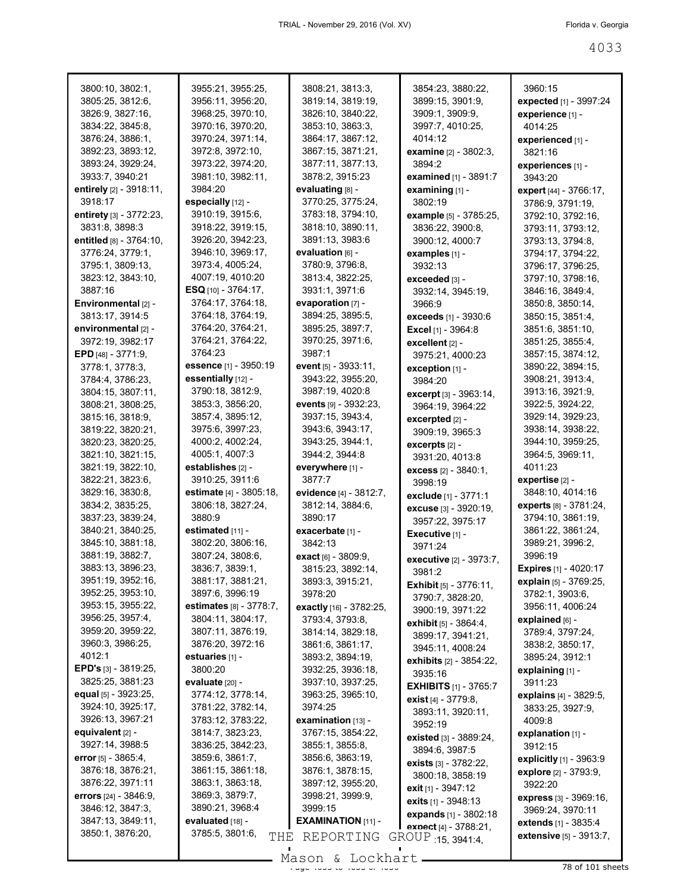| 3800:10, 3802:1,                      | 3955:21, 3955:25,                                   | 3808:21, 3813:3,                       | 3854:23, 3880:22,                          | 3960:15                                                   |
|---------------------------------------|-----------------------------------------------------|----------------------------------------|--------------------------------------------|-----------------------------------------------------------|
| 3805:25, 3812:6,                      | 3956:11, 3956:20,                                   | 3819:14, 3819:19,                      | 3899:15, 3901:9,                           | expected [1] - 3997:24                                    |
| 3826:9, 3827:16,                      | 3968:25, 3970:10,                                   | 3826:10, 3840:22,                      | 3909:1, 3909:9,                            | experience [1] -                                          |
| 3834:22, 3845:8,                      | 3970:16, 3970:20,                                   | 3853:10, 3863:3,                       | 3997:7, 4010:25,                           | 4014:25                                                   |
| 3876:24, 3886:1,                      | 3970:24, 3971:14,                                   | 3864:17, 3867:12,                      | 4014:12                                    | experienced [1] -                                         |
| 3892:23, 3893:12,                     | 3972:8, 3972:10,                                    | 3867:15, 3871:21,                      | <b>examine</b> [2] - 3802:3,               | 3821:16                                                   |
| 3893:24, 3929:24,                     | 3973:22, 3974:20,                                   | 3877:11, 3877:13,                      | 3894:2                                     | experiences [1] -                                         |
| 3933:7, 3940:21                       | 3981:10, 3982:11,                                   | 3878:2, 3915:23                        | <b>examined</b> $[1]$ - 3891:7             | 3943:20                                                   |
| entirely [2] - 3918:11,               | 3984:20                                             | evaluating [8] -                       | examining $[1]$ -                          | expert [44] - 3766:17,                                    |
| 3918:17                               | especially [12] -                                   | 3770:25, 3775:24,                      | 3802:19                                    | 3786:9, 3791:19,                                          |
| entirety [3] - 3772:23,               | 3910:19, 3915:6,                                    | 3783:18, 3794:10,                      | example [5] - 3785:25,                     | 3792:10, 3792:16,                                         |
| 3831:8, 3898:3                        | 3918:22, 3919:15,                                   | 3818:10, 3890:11,                      | 3836:22, 3900:8,                           | 3793:11, 3793:12,                                         |
| entitled [8] - 3764:10,               | 3926:20, 3942:23,                                   | 3891:13, 3983:6                        | 3900:12, 4000:7                            | 3793:13, 3794:8,                                          |
| 3776:24, 3779:1,                      | 3946:10, 3969:17,                                   | evaluation <sub>l6l</sub> -            | examples [1] -                             | 3794:17, 3794:22,                                         |
| 3795:1, 3809:13,                      | 3973:4, 4005:24,                                    | 3780:9, 3796:8,                        | 3932:13                                    | 3796:17, 3796:25,                                         |
| 3823:12, 3843:10,                     | 4007:19, 4010:20                                    | 3813:4, 3822:25,                       | exceeded [3] -                             | 3797:10, 3798:16,                                         |
| 3887:16                               | <b>ESQ</b> [10] - 3764:17,                          | 3931:1, 3971:6                         | 3932:14, 3945:19,                          | 3846:16, 3849:4,                                          |
| Environmental [2] -                   | 3764:17, 3764:18,                                   | evaporation $[7]$ -                    | 3966.9                                     | 3850:8, 3850:14,                                          |
| 3813:17, 3914:5                       | 3764:18, 3764:19,                                   | 3894:25, 3895:5,                       | <b>exceeds</b> [1] - 3930:6                | 3850:15, 3851:4,                                          |
| environmental [2] -                   | 3764:20, 3764:21,                                   | 3895:25, 3897:7,                       | Excel [1] - 3964:8                         | 3851:6, 3851:10,                                          |
| 3972:19, 3982:17                      | 3764:21, 3764:22,                                   | 3970:25, 3971:6,                       | excellent [2] -                            | 3851:25, 3855:4,                                          |
| EPD [48] - 3771:9,                    | 3764:23                                             | 3987:1                                 | 3975:21, 4000:23                           | 3857:15, 3874:12,                                         |
| 3778:1, 3778:3,                       | essence [1] - 3950:19                               | event $[5] - 3933:11$ ,                | exception $[1]$ -                          | 3890:22, 3894:15,                                         |
| 3784:4, 3786:23,                      | essentially [12] -                                  | 3943:22, 3955:20,                      | 3984:20                                    | 3908:21, 3913:4,                                          |
| 3804:15, 3807:11,                     | 3790:18, 3812:9,                                    | 3987:19, 4020:8                        | <b>excerpt</b> [3] - 3963:14,              | 3913:16, 3921:9,                                          |
| 3808:21, 3808:25,                     | 3853:3, 3856:20,                                    | events [9] - 3932:23,                  | 3964:19, 3964:22                           | 3922:5, 3924:22,                                          |
| 3815:16, 3818:9,                      | 3857:4, 3895:12,                                    | 3937:15, 3943:4,                       | excerpted [2] -                            | 3929:14, 3929:23,                                         |
| 3819:22, 3820:21,                     | 3975:6, 3997:23,                                    | 3943:6, 3943:17,                       | 3909:19, 3965:3                            | 3938:14, 3938:22,                                         |
| 3820:23, 3820:25,                     | 4000:2, 4002:24,                                    | 3943:25, 3944:1,                       | excerpts [2] -                             | 3944:10, 3959:25,                                         |
| 3821:10, 3821:15,                     | 4005:1, 4007:3                                      | 3944:2, 3944:8                         | 3931:20, 4013:8                            | 3964:5, 3969:11,                                          |
| 3821:19, 3822:10,                     | establishes [2] -                                   | everywhere [1] -                       |                                            | 4011:23                                                   |
|                                       |                                                     |                                        |                                            |                                                           |
| 3822:21, 3823:6,                      | 3910:25, 3911:6                                     | 3877:7                                 | excess [2] - 3840:1,<br>3998:19            | expertise [2] -                                           |
| 3829:16, 3830:8,                      | estimate [4] - 3805:18,                             | evidence [4] - 3812:7,                 | exclude [1] - 3771:1                       | 3848:10, 4014:16                                          |
| 3834:2, 3835:25,                      | 3806:18, 3827:24,                                   | 3812:14, 3884:6,                       | excuse [3] - 3920:19,                      | experts [8] - 3781:24,                                    |
| 3837:23, 3839:24,                     | 3880:9                                              | 3890:17                                | 3957:22, 3975:17                           | 3794:10, 3861:19,                                         |
| 3840:21, 3840:25,                     | estimated $[11]$ -                                  | exacerbate [1] -                       | Executive [1] -                            | 3861:22, 3861:24,                                         |
| 3845:10, 3881:18,                     | 3802:20, 3806:16,                                   | 3842:13                                | 3971:24                                    | 3989:21, 3996:2,                                          |
| 3881:19, 3882:7,                      | 3807:24, 3808:6,                                    | <b>exact</b> [6] - 3809:9,             | executive [2] - 3973:7,                    | 3996:19                                                   |
| 3883:13, 3896:23,                     | 3836:7, 3839:1,                                     | 3815:23, 3892:14,                      | 3981:2                                     | <b>Expires</b> $[1] - 4020:17$                            |
| 3951:19, 3952:16,                     | 3881:17, 3881:21,                                   | 3893:3, 3915:21,                       | <b>Exhibit</b> [5] - 3776:11,              | explain [5] - 3769:25,                                    |
| 3952:25, 3953:10,                     | 3897:6, 3996:19                                     | 3978:20                                |                                            | 3782:1, 3903:6,                                           |
| 3953:15, 3955:22,                     | <b>estimates</b> [8] - 3778:7,                      | exactly [16] - 3782:25,                | 3790:7, 3828:20,<br>3900:19, 3971:22       | 3956:11, 4006:24                                          |
| 3956:25, 3957:4,                      | 3804:11, 3804:17,                                   | 3793:4, 3793:8,                        | exhibit [5] - 3864:4,                      | explained [6] -                                           |
| 3959:20, 3959:22,                     | 3807:11, 3876:19,                                   | 3814:14, 3829:18,                      | 3899:17, 3941:21,                          | 3789:4, 3797:24,                                          |
| 3960:3, 3986:25,                      | 3876:20, 3972:16                                    | 3861:6, 3861:17,                       | 3945:11, 4008:24                           | 3838:2, 3850:17,                                          |
| 4012:1                                | estuaries [1] -                                     | 3893:2, 3894:19,                       | exhibits [2] - 3854:22,                    | 3895:24, 3912:1                                           |
| <b>EPD's</b> [3] - 3819:25,           | 3800:20                                             | 3932:25, 3936:18,                      | 3935:16                                    | explaining [1] -                                          |
| 3825:25, 3881:23                      | evaluate [20] -                                     | 3937:10, 3937:25,                      | <b>EXHIBITS</b> [1] - 3765:7               | 3911:23                                                   |
| equal $[5]$ - 3923:25,                | 3774:12, 3778:14,                                   | 3963:25, 3965:10,                      | exist $[4] - 3779.8$ ,                     | explains [4] - 3829:5,                                    |
| 3924:10, 3925:17,                     | 3781:22, 3782:14,                                   | 3974:25                                | 3893:11, 3920:11,                          | 3833:25, 3927:9,                                          |
| 3926:13, 3967:21                      | 3783:12, 3783:22,                                   | examination [13] -                     | 3952:19                                    | 4009:8                                                    |
| equivalent [2] -                      | 3814:7, 3823:23,                                    | 3767:15, 3854:22,                      | existed [3] - 3889:24,                     | explanation [1] -                                         |
| 3927:14, 3988:5                       | 3836:25, 3842:23,                                   | 3855:1, 3855:8,                        | 3894:6, 3987:5                             | 3912:15                                                   |
| error [5] - 3865:4,                   | 3859:6, 3861:7,                                     | 3856:6, 3863:19,                       | <b>exists</b> $[3] - 3782:22$ ,            | explicitly [1] - 3963:9                                   |
| 3876:18, 3876:21,                     | 3861:15, 3861:18,                                   | 3876:1, 3878:15,                       | 3800:18, 3858:19                           | explore [2] - 3793:9,                                     |
| 3876:22, 3971:11                      | 3863:1, 3863:18,                                    | 3897:12, 3955:20,                      | exit [1] - 3947:12                         | 3922:20                                                   |
| errors $[24] - 3846.9$ ,              | 3869:3, 3879:7,                                     | 3998:21, 3999:9,                       | <b>exits</b> $[1] - 3948:13$               | <b>express</b> [3] - 3969:16,                             |
| 3846:12, 3847:3,                      | 3890:21, 3968:4                                     | 3999:15                                | expands [1] - 3802:18                      | 3969:24, 3970:11                                          |
| 3847:13, 3849:11,<br>3850:1, 3876:20, | e <b>valuated</b> [18] -<br>3785:5, 3801:6,<br>THE. | <b>EXAMINATION [11] -</b><br>REPORTING | exnect [4] - 3788:21,<br>GROUP 15, 3941:4, | extends [1] - 3835:4<br><b>extensive</b> $[5] - 3913:7$ , |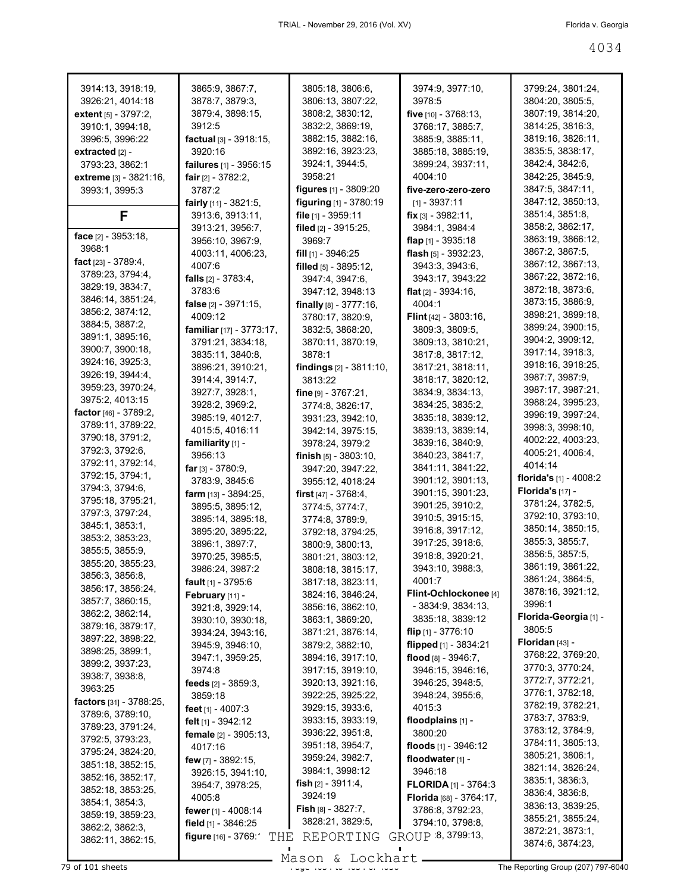| 3914:13, 3918:19,                 | 3865:9, 3867:7,                | 3805:18, 3806:6,                                | 3974:9, 3977:10,             | 3799:24, 3801:24,         |
|-----------------------------------|--------------------------------|-------------------------------------------------|------------------------------|---------------------------|
| 3926:21, 4014:18                  | 3878:7, 3879:3,                | 3806:13, 3807:22,                               | 3978:5                       | 3804:20, 3805:5,          |
| <b>extent</b> $[5] - 3797:2$ ,    | 3879:4, 3898:15,               | 3808:2, 3830:12,                                | five $[10] - 3768:13$ ,      | 3807:19, 3814:20,         |
| 3910:1, 3994:18,                  | 3912:5                         | 3832:2, 3869:19,                                | 3768:17, 3885:7,             | 3814:25, 3816:3,          |
| 3996:5, 3996:22                   | factual [3] - 3918:15,         | 3882:15, 3882:16,                               | 3885:9, 3885:11,             | 3819:16, 3826:11,         |
| extracted $[2]$ -                 | 3920:16                        | 3892:16, 3923:23,                               | 3885:18, 3885:19,            | 3835:5, 3838:17,          |
| 3793:23, 3862:1                   | failures [1] - 3956:15         | 3924:1, 3944:5,                                 | 3899:24, 3937:11,            | 3842:4, 3842:6,           |
|                                   |                                | 3958:21                                         | 4004:10                      | 3842:25, 3845:9,          |
| extreme [3] - 3821:16,            | <b>fair</b> $[2] - 3782:2$     |                                                 | five-zero-zero-zero          | 3847:5, 3847:11,          |
| 3993:1, 3995:3                    | 3787:2                         | figures [1] - 3809:20<br>figuring [1] - 3780:19 | $[1] - 3937:11$              | 3847:12, 3850:13,         |
|                                   | fairly $[11]$ - 3821:5,        |                                                 |                              | 3851:4, 3851:8,           |
| F                                 | 3913:6, 3913:11,               | file $[1]$ - 3959:11                            | <b>fix</b> $[3] - 3982:11$ , | 3858:2, 3862:17,          |
| face [2] - 3953:18,               | 3913:21, 3956:7,               | filed [2] - 3915:25,                            | 3984:1, 3984:4               |                           |
| 3968:1                            | 3956:10, 3967:9,               | 3969:7                                          | flap $[1]$ - 3935:18         | 3863:19, 3866:12,         |
| fact $[23] - 3789.4$ ,            | 4003:11, 4006:23,              | fill $[1]$ - 3946:25                            | flash [5] - 3932:23,         | 3867:2, 3867:5,           |
| 3789:23, 3794:4,                  | 4007:6                         | filled $[5]$ - 3895:12,                         | 3943:3, 3943:6,              | 3867:12, 3867:13,         |
| 3829:19, 3834:7,                  | falls $[2] - 3783:4,$          | 3947:4, 3947:6,                                 | 3943:17, 3943:22             | 3867:22, 3872:16,         |
| 3846:14, 3851:24,                 | 3783:6                         | 3947:12, 3948:13                                | flat $[2] - 3934:16$ ,       | 3872:18, 3873:6,          |
| 3856:2, 3874:12,                  | false [2] - 3971:15,           | finally $[8] - 3777:16$ ,                       | 4004:1                       | 3873:15, 3886:9,          |
|                                   | 4009:12                        | 3780:17, 3820:9,                                | <b>Flint</b> [42] - 3803:16, | 3898:21, 3899:18,         |
| 3884:5, 3887:2,                   | familiar [17] - 3773:17.       | 3832:5, 3868:20,                                | 3809:3, 3809:5,              | 3899:24, 3900:15,         |
| 3891:1, 3895:16,                  | 3791:21, 3834:18,              | 3870:11, 3870:19,                               | 3809:13, 3810:21,            | 3904:2, 3909:12,          |
| 3900:7, 3900:18,                  | 3835:11, 3840:8,               | 3878:1                                          | 3817:8, 3817:12,             | 3917:14, 3918:3,          |
| 3924:16, 3925:3,                  | 3896:21, 3910:21,              | findings $[2] - 3811:10$ ,                      | 3817:21, 3818:11,            | 3918:16, 3918:25,         |
| 3926:19, 3944:4,                  | 3914:4, 3914:7,                | 3813:22                                         | 3818:17, 3820:12,            | 3987:7, 3987:9,           |
| 3959:23, 3970:24,                 | 3927:7, 3928:1,                | fine $[9] - 3767:21$ ,                          | 3834:9, 3834:13,             | 3987:17, 3987:21,         |
| 3975:2, 4013:15                   | 3928:2, 3969:2,                | 3774:8, 3826:17,                                | 3834:25, 3835:2,             | 3988:24, 3995:23,         |
| factor $[46] - 3789:2$ ,          | 3985:19, 4012:7,               | 3931:23, 3942:10,                               | 3835:18, 3839:12,            | 3996:19, 3997:24,         |
| 3789:11, 3789:22,                 | 4015:5, 4016:11                | 3942:14, 3975:15,                               | 3839:13, 3839:14,            | 3998:3, 3998:10,          |
| 3790:18, 3791:2,                  | familiarity [1] -              | 3978:24, 3979:2                                 | 3839:16, 3840:9,             | 4002:22, 4003:23,         |
| 3792:3, 3792:6,                   | 3956:13                        | finish $[5]$ - 3803:10,                         | 3840:23, 3841:7,             | 4005:21, 4006:4,          |
| 3792:11, 3792:14,                 | far $[3] - 3780.9$ ,           | 3947:20, 3947:22,                               | 3841:11, 3841:22,            | 4014:14                   |
| 3792:15, 3794:1,                  | 3783:9, 3845:6                 | 3955:12, 4018:24                                | 3901:12, 3901:13,            | florida's [1] - 4008:2    |
| 3794:3, 3794:6,                   | <b>farm</b> $[13] - 3894:25$ , | first $[47] - 3768.4$ ,                         | 3901:15, 3901:23,            | Florida's [17] -          |
| 3795:18, 3795:21,                 | 3895:5, 3895:12,               | 3774:5, 3774:7,                                 | 3901:25, 3910:2,             | 3781:24, 3782:5,          |
| 3797:3, 3797:24,                  | 3895:14, 3895:18,              | 3774:8, 3789:9,                                 | 3910:5, 3915:15,             | 3792:10, 3793:10,         |
| 3845:1, 3853:1,                   | 3895:20, 3895:22,              | 3792:18, 3794:25,                               | 3916:8, 3917:12,             | 3850:14, 3850:15,         |
| 3853:2, 3853:23,                  | 3896:1, 3897:7,                |                                                 | 3917:25, 3918:6,             | 3855:3, 3855:7,           |
| 3855:5, 3855:9,                   |                                | 3800:9, 3800:13,                                | 3918:8, 3920:21,             | 3856:5, 3857:5,           |
| 3855:20, 3855:23,                 | 3970:25, 3985:5,               | 3801:21, 3803:12,                               | 3943:10, 3988:3,             | 3861:19, 3861:22,         |
| 3856:3, 3856:8,                   | 3986:24, 3987:2                | 3808:18, 3815:17,                               |                              | 3861:24, 3864:5,          |
| 3856:17, 3856:24,                 | fault [1] - 3795:6             | 3817:18, 3823:11,                               | 4001:7                       | 3878:16, 3921:12,         |
| 3857:7, 3860:15,                  | February [11] -                | 3824:16, 3846:24,                               | Flint-Ochlockonee [4]        | 3996:1                    |
| 3862:2, 3862:14,                  | 3921:8, 3929:14,               | 3856:16, 3862:10,                               | $-3834:9, 3834:13,$          | Florida-Georgia [1] -     |
| 3879:16, 3879:17,                 | 3930:10, 3930:18,              | 3863:1, 3869:20,                                | 3835:18, 3839:12             |                           |
| 3897:22, 3898:22,                 | 3934:24, 3943:16,              | 3871:21, 3876:14,                               | flip $[1]$ - 3776:10         | 3805:5<br>Floridan [43] - |
| 3898:25, 3899:1,                  | 3945:9, 3946:10,               | 3879:2, 3882:10,                                | flipped [1] - 3834:21        |                           |
| 3899:2, 3937:23,                  | 3947:1, 3959:25,               | 3894:16, 3917:10,                               | flood $[8] - 3946:7$ ,       | 3768:22, 3769:20,         |
| 3938:7, 3938:8,                   | 3974:8                         | 3917:15, 3919:10,                               | 3946:15, 3946:16,            | 3770:3, 3770:24,          |
| 3963:25                           | feeds [2] - 3859:3,            | 3920:13, 3921:16,                               | 3946:25, 3948:5,             | 3772:7, 3772:21,          |
| <b>factors</b> $[31] - 3788:25$ , | 3859:18                        | 3922:25, 3925:22,                               | 3948:24, 3955:6,             | 3776:1, 3782:18,          |
| 3789:6, 3789:10,                  | feet $[1] - 4007:3$            | 3929:15, 3933:6,                                | 4015:3                       | 3782:19, 3782:21,         |
| 3789:23, 3791:24,                 | felt [1] - 3942:12             | 3933:15, 3933:19,                               | floodplains [1] -            | 3783:7, 3783:9,           |
| 3792:5, 3793:23,                  | female [2] - 3905:13,          | 3936:22, 3951:8,                                | 3800:20                      | 3783:12, 3784:9,          |
| 3795:24, 3824:20,                 | 4017:16                        | 3951:18, 3954:7,                                | floods [1] - 3946:12         | 3784:11, 3805:13,         |
| 3851:18, 3852:15,                 | few [7] - 3892:15,             | 3959:24, 3982:7,                                | floodwater [1] -             | 3805:21, 3806:1,          |
|                                   | 3926:15, 3941:10,              | 3984:1, 3998:12                                 | 3946:18                      | 3821:14, 3826:24,         |
| 3852:16, 3852:17,                 | 3954:7, 3978:25,               | fish [2] - 3911:4,                              | <b>FLORIDA</b> [1] - 3764:3  | 3835:1, 3836:3,           |
| 3852:18, 3853:25,                 | 4005:8                         | 3924:19                                         | Florida [68] - 3764:17,      | 3836:4, 3836:8,           |
| 3854:1, 3854:3,                   | fewer $[1] - 4008:14$          | <b>Fish</b> $[8] - 3827:7$ ,                    | 3786:8, 3792:23,             | 3836:13, 3839:25,         |
| 3859:19, 3859:23,                 | field [1] - 3846:25            | 3828:21, 3829:5,                                | 3794:10, 3798:8,             | 3855:21, 3855:24,         |
| 3862:2, 3862:3,                   | figure [16] - 3769:<br>THE     | REPORTING                                       | GROUP 8, 3799:13,            | 3872:21, 3873:1,          |
| 3862:11, 3862:15,                 |                                |                                                 |                              | 3874:6, 3874:23,          |

Mason & Lockhart **Page 4034 of 101 sheets** Page 4034 to 4034 Mason & Lockhart **Page 4034 of 4034 of 4034 of 4034 or 4034 of 4034 or 4034 or 4034 or 4034 or 4034 or 4034 or 4034 or 4034 or 4034 or 4034 or 4034 or 4034 or 40**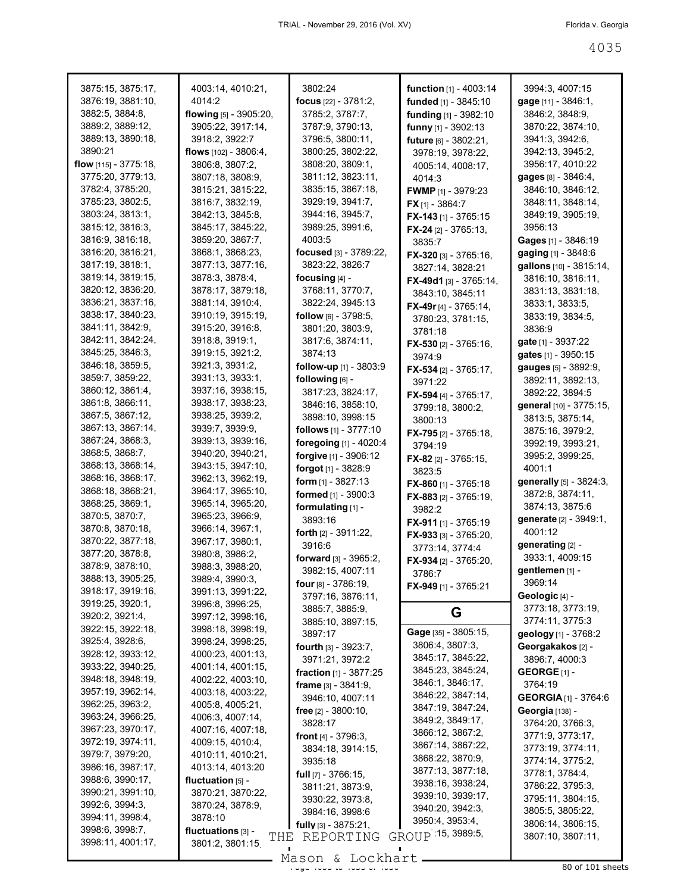| 3875:15, 3875:17,                     | 4003:14, 4010:21,                            | 3802:24                        | <b>function</b> $[1] - 4003:14$ | 3994:3, 4007:15             |
|---------------------------------------|----------------------------------------------|--------------------------------|---------------------------------|-----------------------------|
| 3876:19, 3881:10,                     | 4014:2                                       | focus $[22] - 3781:2,$         | funded [1] - 3845:10            | gage [11] - 3846:1,         |
| 3882:5, 3884:8,                       | flowing [5] - 3905:20,                       | 3785:2, 3787:7,                | funding [1] - 3982:10           | 3846:2, 3848:9,             |
| 3889:2, 3889:12,                      | 3905:22, 3917:14,                            | 3787:9, 3790:13,               | funny [1] - 3902:13             | 3870:22, 3874:10,           |
| 3889:13, 3890:18,                     | 3918:2, 3922:7                               | 3796:5, 3800:11,               | future [6] - 3802:21,           | 3941:3, 3942:6,             |
| 3890:21                               | flows $[102] - 3806:4$ ,                     | 3800:25, 3802:22,              | 3978:19, 3978:22,               | 3942:13, 3945:2,            |
| flow [115] - 3775:18,                 | 3806:8, 3807:2,                              | 3808:20, 3809:1,               | 4005:14, 4008:17,               | 3956:17, 4010:22            |
| 3775:20, 3779:13,                     | 3807:18, 3808:9,                             | 3811:12, 3823:11,              | 4014:3                          | gages [8] - 3846:4,         |
| 3782:4, 3785:20,                      | 3815:21, 3815:22,                            | 3835:15, 3867:18,              | <b>FWMP</b> [1] - 3979:23       | 3846:10, 3846:12,           |
| 3785:23, 3802:5,                      | 3816:7, 3832:19,                             | 3929:19, 3941:7,               | <b>FX</b> [1] - 3864:7          | 3848:11, 3848:14,           |
| 3803:24, 3813:1,                      | 3842:13, 3845:8,                             | 3944:16, 3945:7,               | FX-143 [1] - 3765:15            | 3849:19, 3905:19,           |
| 3815:12, 3816:3,                      | 3845:17, 3845:22,                            | 3989:25, 3991:6,               | FX-24 $[2] - 3765:13$           | 3956:13                     |
| 3816:9, 3816:18,                      | 3859:20, 3867:7,                             | 4003:5                         | 3835:7                          | Gages [1] - 3846:19         |
| 3816:20, 3816:21,                     | 3868:1, 3868:23,                             | focused [3] - 3789:22,         | FX-320 [3] - 3765:16,           | gaging [1] - 3848:6         |
| 3817:19, 3818:1,                      | 3877:13, 3877:16,                            | 3823:22, 3826:7                | 3827:14, 3828:21                | gallons [10] - 3815:14,     |
| 3819:14, 3819:15,                     | 3878:3, 3878:4,                              | focusing $[4]$ -               | <b>FX-49d1</b> [3] - 3765:14,   | 3816:10, 3816:11,           |
| 3820:12, 3836:20,                     | 3878:17, 3879:18,                            | 3768:11, 3770:7,               | 3843:10, 3845:11                | 3831:13, 3831:18,           |
| 3836:21, 3837:16,                     | 3881:14, 3910:4,                             | 3822:24, 3945:13               | <b>FX-49r</b> [4] - 3765:14,    | 3833:1, 3833:5,             |
| 3838:17, 3840:23,                     | 3910:19, 3915:19,                            | follow $[6] - 3798.5$ ,        | 3780:23, 3781:15,               | 3833:19, 3834:5,            |
| 3841:11, 3842:9,                      | 3915:20, 3916:8,                             | 3801:20, 3803:9,               | 3781:18                         | 3836:9                      |
| 3842:11, 3842:24,                     | 3918:8, 3919:1,                              | 3817:6, 3874:11,               | <b>FX-530</b> [2] - 3765:16,    | gate [1] - 3937:22          |
| 3845:25, 3846:3,                      | 3919:15, 3921:2,                             | 3874:13                        | 3974:9                          | gates [1] - 3950:15         |
| 3846:18, 3859:5,                      | 3921:3, 3931:2,                              | follow-up [1] - 3803:9         | <b>FX-534</b> [2] - 3765:17,    | gauges [5] - 3892:9,        |
| 3859:7, 3859:22,                      | 3931:13, 3933:1,                             | following [6] -                | 3971:22                         | 3892:11, 3892:13,           |
| 3860:12, 3861:4,                      | 3937:16, 3938:15,                            | 3817:23, 3824:17,              | FX-594 [4] - 3765:17.           | 3892:22, 3894:5             |
| 3861:8, 3866:11,                      | 3938:17, 3938:23,                            | 3846:16, 3858:10,              | 3799:18, 3800:2,                | general [10] - 3775:15,     |
| 3867:5, 3867:12,                      | 3938:25, 3939:2,                             | 3898:10, 3998:15               | 3800:13                         | 3813:5, 3875:14,            |
| 3867:13, 3867:14,                     | 3939:7, 3939:9,                              | follows [1] - 3777:10          | <b>FX-795</b> [2] - 3765:18,    | 3875:16, 3979:2,            |
| 3867:24, 3868:3,                      | 3939:13, 3939:16,                            | foregoing [1] - 4020:4         | 3794:19                         | 3992:19, 3993:21,           |
| 3868:5, 3868:7,                       | 3940:20, 3940:21,                            | forgive [1] - 3906:12          | FX-82 [2] - 3765:15,            | 3995:2, 3999:25,            |
| 3868:13, 3868:14,                     | 3943:15, 3947:10,                            | <b>forgot</b> [1] - 3828:9     | 3823:5                          | 4001:1                      |
| 3868:16, 3868:17,                     | 3962:13, 3962:19,                            | <b>form</b> $[1]$ - 3827:13    | FX-860 $[1]$ - 3765:18          | generally [5] - 3824:3,     |
| 3868:18, 3868:21,                     | 3964:17, 3965:10,                            | formed [1] - 3900:3            | <b>FX-883</b> [2] - 3765:19,    | 3872:8, 3874:11,            |
| 3868:25, 3869:1,                      | 3965:14, 3965:20,                            | formulating [1] -              | 3982:2                          | 3874:13, 3875:6             |
| 3870:5, 3870:7,                       | 3965:23, 3966:9,                             | 3893:16                        | <b>FX-911</b> [1] - 3765:19     | generate [2] - 3949:1,      |
| 3870:8, 3870:18,                      | 3966:14, 3967:1,                             | <b>forth</b> $[2] - 3911:22$   | FX-933 [3] - 3765:20,           | 4001:12                     |
| 3870:22, 3877:18,                     | 3967:17, 3980:1,                             | 3916:6                         | 3773:14, 3774:4                 | generating [2] -            |
| 3877:20, 3878:8,                      | 3980:8, 3986:2,                              | forward [3] - 3965:2,          | <b>FX-934</b> [2] - 3765:20,    | 3933:1, 4009:15             |
| 3878:9, 3878:10,                      | 3988:3, 3988:20,                             | 3982:15, 4007:11               | 3786.7                          | gentlemen [1] -             |
| 3888:13, 3905:25,                     | 3989:4, 3990:3,                              | four [8] - 3786:19,            | <b>FX-949</b> [1] - 3765:21     | 3969:14                     |
| 3918:17, 3919:16,                     | 3991:13, 3991:22,                            | 3797:16, 3876:11,              |                                 | Geologic [4] -              |
| 3919:25, 3920:1,                      | 3996:8, 3996:25,                             | 3885:7, 3885:9,                | G                               | 3773:18, 3773:19,           |
| 3920:2, 3921:4,                       | 3997:12, 3998:16,                            | 3885:10, 3897:15,              |                                 | 3774:11, 3775:3             |
| 3922:15, 3922:18,                     | 3998:18, 3998:19,                            | 3897:17                        | Gage [35] - 3805:15,            | geology [1] - 3768:2        |
| 3925:4, 3928:6,                       | 3998:24, 3998:25,                            | <b>fourth</b> $[3] - 3923.7$ , | 3806:4, 3807:3,                 | Georgakakos [2] -           |
| 3928:12, 3933:12,                     | 4000:23, 4001:13,                            | 3971:21, 3972:2                | 3845:17, 3845:22,               | 3896:7, 4000:3              |
| 3933:22, 3940:25,                     | 4001:14, 4001:15,                            | fraction [1] - 3877:25         | 3845:23, 3845:24,               | GEORGE $[1]$ -              |
| 3948:18, 3948:19,                     | 4002:22, 4003:10,                            | frame $[3] - 3841:9$ ,         | 3846:1, 3846:17,                | 3764:19                     |
| 3957:19, 3962:14,<br>3962:25, 3963:2, | 4003:18, 4003:22,                            | 3946:10, 4007:11               | 3846:22, 3847:14,               | <b>GEORGIA</b> [1] - 3764:6 |
| 3963:24, 3966:25,                     | 4005:8, 4005:21,                             | free $[2] - 3800:10$ ,         | 3847:19, 3847:24,               | <b>Georgia</b> [138] -      |
| 3967:23, 3970:17,                     | 4006:3, 4007:14,                             | 3828:17                        | 3849:2, 3849:17,                | 3764:20, 3766:3,            |
|                                       | 4007:16, 4007:18,                            | <b>front</b> $[4] - 3796:3$ ,  | 3866:12, 3867:2,                | 3771:9, 3773:17,            |
| 3972:19, 3974:11,<br>3979:7, 3979:20, | 4009:15, 4010:4,                             | 3834:18, 3914:15,              | 3867:14, 3867:22,               | 3773:19, 3774:11,           |
| 3986:16, 3987:17,                     | 4010:11, 4010:21,                            | 3935:18                        | 3868:22, 3870:9,                | 3774:14, 3775:2,            |
| 3988:6, 3990:17,                      | 4013:14, 4013:20                             | <b>full</b> $[7] - 3766:15$ ,  | 3877:13, 3877:18,               | 3778:1, 3784:4,             |
| 3990:21, 3991:10,                     | fluctuation $[5]$ -                          | 3811:21, 3873:9,               | 3938:16, 3938:24,               | 3786:22, 3795:3,            |
| 3992:6, 3994:3,                       | 3870:21, 3870:22,                            | 3930:22, 3973:8,               | 3939:10, 3939:17,               | 3795:11, 3804:15,           |
| 3994:11, 3998:4,                      | 3870:24, 3878:9,<br>3878:10                  | 3984:16, 3998:6                | 3940:20, 3942:3,                | 3805:5, 3805:22,            |
| 3998:6, 3998:7,                       |                                              | <b>fully</b> $[3] - 3875:21$ , | 3950:4, 3953:4,                 | 3806:14, 3806:15,           |
| 3998:11, 4001:17,                     | fluctuations [3] -<br>THE<br>3801:2, 3801:15 | REPORTING                      | GROUP 15, 3989:5,               | 3807:10, 3807:11,           |
|                                       |                                              | Mason & Lockhart               |                                 |                             |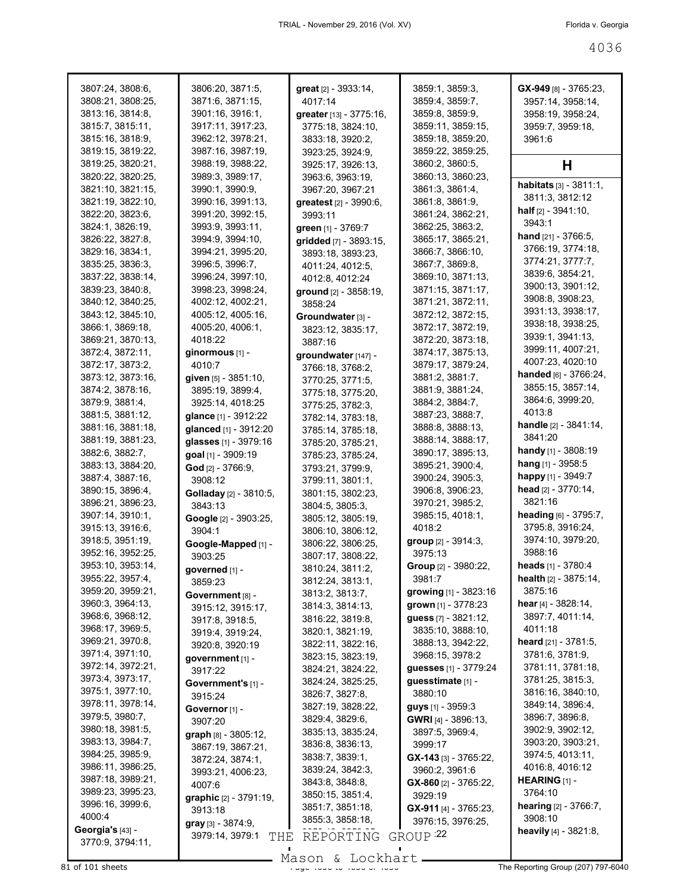| 3807:24, 3808:6,                       | 3806:20, 3871:5,                       | great [2] - 3933:14,                 | 3859:1, 3859:3,                              | GX-949 [8] - 3765:23,                 |
|----------------------------------------|----------------------------------------|--------------------------------------|----------------------------------------------|---------------------------------------|
| 3808:21, 3808:25,                      | 3871:6, 3871:15,                       | 4017:14                              | 3859:4, 3859:7,                              | 3957:14, 3958:14,                     |
| 3813:16, 3814:8,                       | 3901:16, 3916:1,                       | greater [13] - 3775:16,              | 3859:8, 3859:9,                              | 3958:19, 3958:24,                     |
| 3815:7, 3815:11,                       | 3917:11, 3917:23,                      | 3775:18, 3824:10,                    | 3859:11, 3859:15,                            | 3959:7, 3959:18,                      |
| 3815:16, 3818:9,                       | 3962:12, 3978:21,                      | 3833:18, 3920:2,                     | 3859:18, 3859:20,                            | 3961:6                                |
| 3819:15, 3819:22,                      | 3987:16, 3987:19,                      | 3923:25, 3924:9,                     | 3859:22, 3859:25.                            |                                       |
| 3819:25, 3820:21,                      | 3988:19, 3988:22,                      | 3925:17, 3926:13,                    | 3860:2, 3860:5,                              | н                                     |
| 3820:22, 3820:25,                      | 3989:3, 3989:17,                       | 3963:6, 3963:19,                     | 3860:13, 3860:23,                            | habitats [3] - 3811:1,                |
| 3821:10, 3821:15,<br>3821:19, 3822:10, | 3990:1, 3990:9,                        | 3967:20, 3967:21                     | 3861:3, 3861:4,                              | 3811:3, 3812:12                       |
| 3822:20, 3823:6,                       | 3990:16, 3991:13,<br>3991:20, 3992:15, | greatest [2] - 3990:6,<br>3993:11    | 3861:8, 3861:9,<br>3861:24, 3862:21,         | <b>half</b> $[2] - 3941:10$ ,         |
| 3824:1, 3826:19,                       | 3993:9, 3993:11,                       | green [1] - 3769:7                   | 3862:25, 3863:2,                             | 3943:1                                |
| 3826:22, 3827:8,                       | 3994:9, 3994:10,                       | gridded [7] - 3893:15,               | 3865:17, 3865:21,                            | <b>hand</b> $[21] - 3766:5$ ,         |
| 3829:16, 3834:1,                       | 3994:21, 3995:20,                      | 3893:18, 3893:23,                    | 3866:7, 3866:10,                             | 3766:19, 3774:18,                     |
| 3835:25, 3836:3,                       | 3996:5, 3996:7,                        | 4011:24, 4012:5,                     | 3867:7, 3869:8,                              | 3774:21, 3777:7,                      |
| 3837:22, 3838:14,                      | 3996:24, 3997:10,                      | 4012:8, 4012:24                      | 3869:10, 3871:13,                            | 3839:6, 3854:21,                      |
| 3839:23, 3840:8,                       | 3998:23, 3998:24,                      | ground [2] - 3858:19,                | 3871:15, 3871:17,                            | 3900:13, 3901:12,                     |
| 3840:12, 3840:25,                      | 4002:12, 4002:21,                      | 3858:24                              | 3871:21, 3872:11,                            | 3908:8, 3908:23,                      |
| 3843:12, 3845:10,                      | 4005:12, 4005:16,                      | Groundwater [3] -                    | 3872:12, 3872:15,                            | 3931:13, 3938:17,                     |
| 3866:1, 3869:18,                       | 4005:20, 4006:1,                       | 3823:12, 3835:17,                    | 3872:17, 3872:19,                            | 3938:18, 3938:25,                     |
| 3869:21, 3870:13,                      | 4018:22                                | 3887:16                              | 3872:20, 3873:18,                            | 3939:1, 3941:13,                      |
| 3872:4, 3872:11,                       | ginormous [1] -                        | groundwater [147] -                  | 3874:17, 3875:13,                            | 3999:11, 4007:21,                     |
| 3872:17, 3873:2,                       | 4010:7                                 | 3766:18, 3768:2,                     | 3879:17, 3879:24,                            | 4007:23, 4020:10                      |
| 3873:12, 3873:16,                      | given [5] - 3851:10,                   | 3770:25, 3771:5,                     | 3881:2, 3881:7,                              | handed [6] - 3766:24,                 |
| 3874:2, 3878:16,                       | 3895:19, 3899:4,                       | 3775:18, 3775:20,                    | 3881:9, 3881:24,                             | 3855:15, 3857:14,                     |
| 3879:9, 3881:4,                        | 3925:14, 4018:25                       | 3775:25, 3782:3,                     | 3884:2, 3884:7,                              | 3864:6, 3999:20,                      |
| 3881:5, 3881:12,                       | glance [1] - 3912:22                   | 3782:14, 3783:18,                    | 3887:23, 3888:7,                             | 4013:8                                |
| 3881:16, 3881:18,                      | glanced [1] - 3912:20                  | 3785:14, 3785:18,                    | 3888:8, 3888:13,                             | <b>handle</b> $[2] - 3841:14$ ,       |
| 3881:19, 3881:23,                      | glasses [1] - 3979:16                  | 3785:20, 3785:21,                    | 3888:14, 3888:17,                            | 3841:20                               |
| 3882:6, 3882:7,                        | goal [1] - 3909:19                     | 3785:23, 3785:24,                    | 3890:17, 3895:13,                            | <b>handy</b> [1] - 3808:19            |
| 3883:13, 3884:20,                      | God [2] - 3766:9,                      | 3793:21, 3799:9,                     | 3895:21, 3900:4,                             | <b>hang</b> [1] - 3958:5              |
| 3887:4, 3887:16,                       | 3908:12                                | 3799:11, 3801:1,                     | 3900:24, 3905:3,                             | happy [1] - 3949:7                    |
| 3890:15, 3896:4,                       | Golladay [2] - 3810:5,                 | 3801:15, 3802:23,                    | 3906:8, 3906:23,                             | head [2] - 3770:14,                   |
| 3896:21, 3896:23,                      | 3843:13                                | 3804:5, 3805:3,                      | 3970:21, 3985:2,                             | 3821:16                               |
| 3907:14, 3910:1,                       | Google [2] - 3903:25,                  | 3805:12, 3805:19,                    | 3985:15, 4018:1,                             | heading [6] - 3795:7,                 |
| 3915:13, 3916:6,                       | 3904:1                                 | 3806:10, 3806:12,                    | 4018:2                                       | 3795:8, 3916:24,<br>3974:10, 3979:20, |
| 3918:5, 3951:19,<br>3952:16, 3952:25,  | Google-Mapped [1] -                    | 3806:22, 3806:25,                    | <b>group</b> [2] - 3914:3,<br>3975:13        | 3988:16                               |
| 3953:10, 3953:14,                      | 3903:25                                | 3807:17, 3808:22,                    | Group [2] - 3980:22,                         | heads [1] - 3780:4                    |
| 3955:22, 3957:4,                       | governed [1] -                         | 3810:24, 3811:2,                     | 3981:7                                       | health [2] - 3875:14,                 |
| 3959:20, 3959:21,                      | 3859:23                                | 3812:24, 3813:1,                     |                                              | 3875:16                               |
| 3960:3, 3964:13,                       | Government [8] -                       | 3813:2, 3813:7,                      | growing [1] - 3823:16<br>grown [1] - 3778:23 | hear [4] - 3828:14,                   |
| 3968:6, 3968:12,                       | 3915:12, 3915:17,                      | 3814:3, 3814:13,<br>3816:22, 3819:8, | quess [7] - 3821:12,                         | 3897:7, 4011:14,                      |
| 3968:17, 3969:5,                       | 3917:8, 3918:5,                        | 3820:1, 3821:19,                     | 3835:10, 3888:10,                            | 4011:18                               |
| 3969:21, 3970:8,                       | 3919:4, 3919:24,                       | 3822:11, 3822:16,                    | 3888:13, 3942:22,                            | heard [21] - 3781:5,                  |
| 3971:4, 3971:10,                       | 3920:8, 3920:19<br>qovernment [1] -    | 3823:15, 3823:19,                    | 3968:15, 3978:2                              | 3781:6, 3781:9,                       |
| 3972:14, 3972:21,                      | 3917:22                                | 3824:21, 3824:22,                    | guesses [1] - 3779:24                        | 3781:11, 3781:18,                     |
| 3973:4, 3973:17,                       | Government's [1] -                     | 3824:24, 3825:25,                    | guesstimate [1] -                            | 3781:25, 3815:3,                      |
| 3975:1, 3977:10,                       | 3915:24                                | 3826:7, 3827:8,                      | 3880:10                                      | 3816:16, 3840:10,                     |
| 3978:11, 3978:14,                      | Governor [1] -                         | 3827:19, 3828:22,                    | guys [1] - 3959:3                            | 3849:14, 3896:4,                      |
| 3979:5, 3980:7,                        | 3907:20                                | 3829:4, 3829:6,                      | <b>GWRI</b> [4] - 3896:13,                   | 3896:7, 3896:8,                       |
| 3980:18, 3981:5,                       | graph [8] - 3805:12,                   | 3835:13, 3835:24,                    | 3897:5, 3969:4,                              | 3902:9, 3902:12,                      |
| 3983:13, 3984:7,                       | 3867:19, 3867:21,                      | 3836:8, 3836:13,                     | 3999:17                                      | 3903:20, 3903:21,                     |
| 3984:25, 3985:9,                       | 3872:24, 3874:1,                       | 3838:7, 3839:1,                      | $GX-143$ [3] - 3765:22,                      | 3974:5, 4013:11,                      |
| 3986:11, 3986:25,                      | 3993:21, 4006:23,                      | 3839:24, 3842:3,                     | 3960:2, 3961:6                               | 4016:8, 4016:12                       |
| 3987:18, 3989:21,                      | 4007:6                                 | 3843:8, 3848:8,                      | GX-860 [2] - 3765:22,                        | <b>HEARING</b> [1] -                  |
| 3989:23, 3995:23,                      | graphic [2] - 3791:19,                 | 3850:15, 3851:4,                     | 3929:19                                      | 3764:10                               |
| 3996:16, 3999:6,                       | 3913:18                                | 3851:7, 3851:18,                     | GX-911 [4] - 3765:23,                        | hearing [2] - 3766:7,                 |
| 4000:4                                 | gray [3] - 3874:9,                     | 3855:3, 3858:18,                     | 3976:15, 3976:25,                            | 3908:10                               |
| Georgia's [43] -<br>3770:9, 3794:11,   | 3979:14, 3979:1<br>THE                 | REPORTING                            | GROUP <sup>22</sup>                          | heavily [4] - 3821:8,                 |

Mason & Lockhart

 $81$  of 101 sheets  $\frac{3}{20}$  and  $\frac{3}{20}$  of  $\frac{3}{20}$  of  $\frac{3}{20}$  of  $\frac{3}{20}$  of  $\frac{3}{20}$  and  $\frac{3}{20}$  or  $\frac{3}{20}$  or  $\frac{3}{20}$  or  $\frac{3}{20}$  or  $\frac{3}{20}$  or  $\frac{3}{20}$  or  $\frac{3}{20}$  or  $\frac{3}{20}$  or  $\frac{$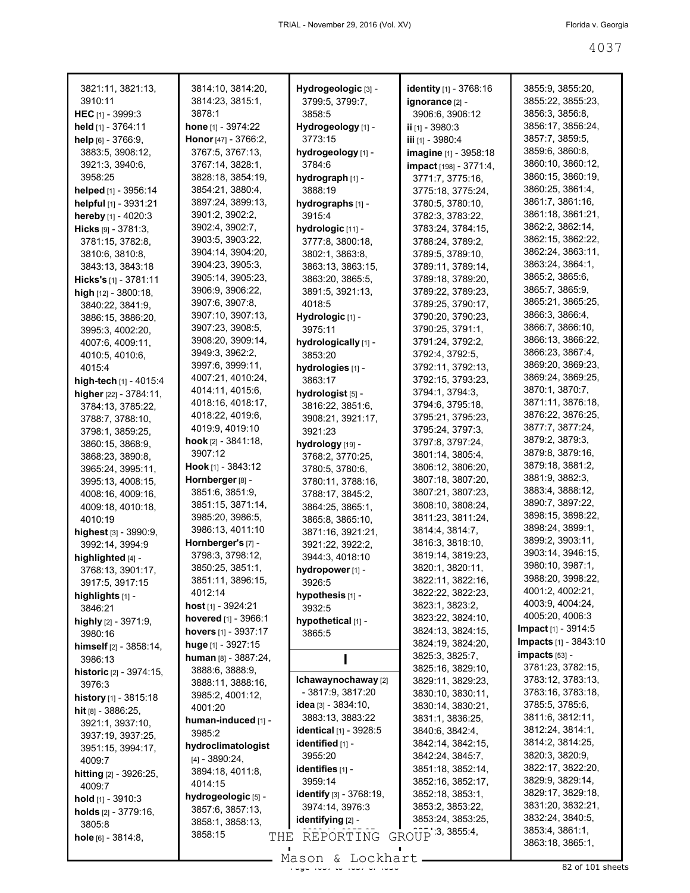| 3821:11, 3821:13,              | 3814:10, 3814:20,             | Hydrogeologic [3] -            | identity [1] - 3768:16 | 3855:9, 3855:20,             |
|--------------------------------|-------------------------------|--------------------------------|------------------------|------------------------------|
| 3910:11                        | 3814:23, 3815:1,              | 3799:5, 3799:7,                | ignorance [2] -        | 3855:22, 3855:23,            |
| <b>HEC</b> $[1]$ - 3999:3      | 3878:1                        | 3858:5                         | 3906:6, 3906:12        | 3856:3, 3856:8,              |
| held [1] - 3764:11             | hone [1] - 3974:22            | Hydrogeology [1] -             | ii [1] - 3980:3        | 3856:17, 3856:24,            |
| help [6] - 3766:9,             | Honor [47] - 3766:2,          | 3773:15                        | iii [1] - 3980:4       | 3857:7, 3859:5,              |
| 3883:5, 3908:12,               | 3767:5, 3767:13,              | hydrogeology [1] -             | imagine [1] - 3958:18  | 3859:6, 3860:8,              |
| 3921:3, 3940:6,                | 3767:14, 3828:1,              | 3784:6                         | impact [198] - 3771:4, | 3860:10, 3860:12,            |
| 3958:25                        | 3828:18, 3854:19,             | hydrograph [1] -               | 3771:7, 3775:16,       | 3860:15, 3860:19,            |
| helped [1] - 3956:14           | 3854:21, 3880:4,              | 3888:19                        | 3775:18, 3775:24,      | 3860:25, 3861:4,             |
| helpful [1] - 3931:21          | 3897:24, 3899:13,             | hydrographs [1] -              | 3780:5, 3780:10,       | 3861:7, 3861:16,             |
| hereby [1] - 4020:3            | 3901:2, 3902:2,               | 3915:4                         | 3782:3, 3783:22,       | 3861:18, 3861:21,            |
| $Hicks$ [9] - 3781:3,          | 3902:4, 3902:7,               | hydrologic [11] -              | 3783:24, 3784:15,      | 3862:2, 3862:14,             |
| 3781:15, 3782:8,               | 3903:5, 3903:22,              | 3777:8, 3800:18,               | 3788:24, 3789:2,       | 3862:15, 3862:22,            |
| 3810:6, 3810:8,                | 3904:14, 3904:20,             | 3802:1, 3863:8,                | 3789:5, 3789:10,       | 3862:24, 3863:11,            |
| 3843:13, 3843:18               | 3904:23, 3905:3,              | 3863:13, 3863:15,              | 3789:11, 3789:14,      | 3863:24, 3864:1,             |
| Hicks's [1] - 3781:11          | 3905:14, 3905:23,             | 3863:20, 3865:5,               | 3789:18, 3789:20,      | 3865:2, 3865:6,              |
| high [12] - 3800:18,           | 3906:9, 3906:22,              | 3891:5, 3921:13,               | 3789:22, 3789:23,      | 3865:7, 3865:9,              |
| 3840:22, 3841:9,               | 3907:6, 3907:8,               | 4018:5                         | 3789:25, 3790:17,      | 3865:21, 3865:25,            |
| 3886:15, 3886:20,              | 3907:10, 3907:13,             | Hydrologic [1] -               | 3790:20, 3790:23,      | 3866:3, 3866:4,              |
| 3995:3, 4002:20,               | 3907:23, 3908:5,              | 3975:11                        | 3790:25, 3791:1,       | 3866:7, 3866:10,             |
| 4007:6, 4009:11,               | 3908:20, 3909:14,             | hydrologically [1] -           | 3791:24, 3792:2,       | 3866:13, 3866:22,            |
| 4010:5, 4010:6,                | 3949:3, 3962:2,               | 3853:20                        | 3792:4, 3792:5,        | 3866:23, 3867:4,             |
| 4015:4                         | 3997:6, 3999:11,              | hydrologies [1] -              | 3792:11, 3792:13,      | 3869:20, 3869:23,            |
| high-tech [1] - 4015:4         | 4007:21, 4010:24,             | 3863:17                        | 3792:15, 3793:23,      | 3869:24, 3869:25,            |
| higher [22] - 3784:11,         | 4014:11, 4015:6,              | hydrologist [5] -              | 3794:1, 3794:3,        | 3870:1, 3870:7,              |
| 3784:13, 3785:22,              | 4018:16, 4018:17,             | 3816:22, 3851:6,               | 3794:6, 3795:18,       | 3871:11, 3876:18,            |
| 3788:7, 3788:10,               | 4018:22, 4019:6,              | 3908:21, 3921:17,              | 3795:21, 3795:23,      | 3876:22, 3876:25,            |
| 3798:1, 3859:25,               | 4019:9, 4019:10               | 3921:23                        | 3795:24, 3797:3,       | 3877:7, 3877:24,             |
| 3860:15, 3868:9,               | <b>hook</b> $[2] - 3841:18$ , | hydrology [19] -               | 3797:8, 3797:24,       | 3879:2, 3879:3,              |
| 3868:23, 3890:8,               | 3907:12                       | 3768:2, 3770:25,               | 3801:14, 3805:4,       | 3879:8, 3879:16,             |
| 3965:24, 3995:11,              | <b>Hook</b> [1] - 3843:12     | 3780:5, 3780:6,                | 3806:12, 3806:20,      | 3879:18, 3881:2,             |
| 3995:13, 4008:15,              | Hornberger [8] -              | 3780:11, 3788:16,              | 3807:18, 3807:20,      | 3881:9, 3882:3,              |
| 4008:16, 4009:16,              | 3851:6, 3851:9,               | 3788:17, 3845:2,               | 3807:21, 3807:23,      | 3883:4, 3888:12,             |
| 4009:18, 4010:18,              | 3851:15, 3871:14,             | 3864:25, 3865:1,               | 3808:10, 3808:24,      | 3890:7, 3897:22,             |
| 4010:19                        | 3985:20, 3986:5,              | 3865:8, 3865:10,               | 3811:23, 3811:24,      | 3898:15, 3898:22,            |
| highest [3] - 3990:9,          | 3986:13, 4011:10              | 3871:16, 3921:21,              | 3814:4, 3814:7,        | 3898:24, 3899:1,             |
| 3992:14, 3994:9                | Hornberger's [7] -            | 3921:22, 3922:2,               | 3816:3, 3818:10,       | 3899:2, 3903:11,             |
| highlighted [4] -              | 3798:3, 3798:12,              | 3944:3, 4018:10                | 3819:14, 3819:23,      | 3903:14, 3946:15,            |
| 3768:13, 3901:17,              | 3850:25, 3851:1,              | hydropower [1] -               | 3820:1, 3820:11,       | 3980:10, 3987:1,             |
| 3917:5, 3917:15                | 3851:11, 3896:15,             | 3926:5                         | 3822:11, 3822:16,      | 3988:20, 3998:22,            |
| highlights $[1]$ -             | 4012:14                       | hypothesis [1] -               | 3822:22, 3822:23,      | 4001:2, 4002:21,             |
| 3846:21                        | <b>host</b> [1] - 3924:21     | 3932:5                         | 3823:1, 3823:2,        | 4003:9, 4004:24,             |
| highly [2] - 3971:9,           | hovered $[1]$ - 3966:1        | hypothetical [1] -             | 3823:22, 3824:10,      | 4005:20, 4006:3              |
| 3980:16                        | hovers [1] - 3937:17          | 3865:5                         | 3824:13, 3824:15,      | <b>Impact</b> $[1] - 3914.5$ |
| himself $[2] - 3858:14,$       | huge [1] - 3927:15            |                                | 3824:19, 3824:20,      | Impacts [1] - 3843:10        |
| 3986:13                        | human $[8] - 3887:24$ ,       |                                | 3825:3, 3825:7,        | $impacts$ [53] -             |
| <b>historic</b> [2] - 3974:15, | 3888:6, 3888:9,               |                                | 3825:16, 3829:10,      | 3781:23, 3782:15,            |
| 3976:3                         | 3888:11, 3888:16,             | Ichawaynochaway [2]            | 3829:11, 3829:23,      | 3783:12, 3783:13,            |
| history [1] - 3815:18          | 3985:2, 4001:12,              | - 3817:9, 3817:20              | 3830:10, 3830:11,      | 3783:16, 3783:18,            |
| hit $[8] - 3886:25$ ,          | 4001:20                       | idea $[3]$ - 3834:10,          | 3830:14, 3830:21,      | 3785:5, 3785:6,              |
| 3921:1, 3937:10,               | human-induced [1] -           | 3883:13, 3883:22               | 3831:1, 3836:25,       | 3811:6, 3812:11,             |
| 3937:19, 3937:25,              | 3985:2                        | <b>identical</b> [1] - 3928:5  | 3840:6, 3842:4,        | 3812:24, 3814:1,             |
| 3951:15, 3994:17,              | hydroclimatologist            | identified [1] -               | 3842:14, 3842:15,      | 3814:2, 3814:25,             |
| 4009:7                         | $[4] - 3890:24,$              | 3955:20                        | 3842:24, 3845:7,       | 3820:3, 3820:9,              |
| hitting [2] - 3926:25,         | 3894:18, 4011:8,              | identifies [1] -               | 3851:18, 3852:14,      | 3822:17, 3822:20,            |
| 4009:7                         | 4014:15                       | 3959:14                        | 3852:16, 3852:17,      | 3829:9, 3829:14,             |
| hold $[1]$ - 3910:3            | hydrogeologic [5] -           | <b>identify</b> [3] - 3768:19, | 3852:18, 3853:1,       | 3829:17, 3829:18,            |
| <b>holds</b> $[2] - 3779.16$ , | 3857:6, 3857:13,              | 3974:14, 3976:3                | 3853:2, 3853:22,       | 3831:20, 3832:21,            |
| 3805:8                         | 3858:1, 3858:13,              | <b>identifying</b> [2] -       | 3853:24, 3853:25,      | 3832:24, 3840:5,             |
| hole $[6] - 3814.8$ ,          | 3858:15<br>THE                | REPORTING                      | GROUP 3, 3855:4,       | 3853:4, 3861:1,              |
|                                |                               |                                |                        | 3863:18, 3865:1,             |

 $\frac{200011}{400011}$  at  $\frac{2000111}{4000}$  of  $\frac{200011}{4000}$   $\frac{200001}{4000}$   $\frac{82 \text{ of } 101 \text{ sheets}}{2000}$ Mason & Lockhart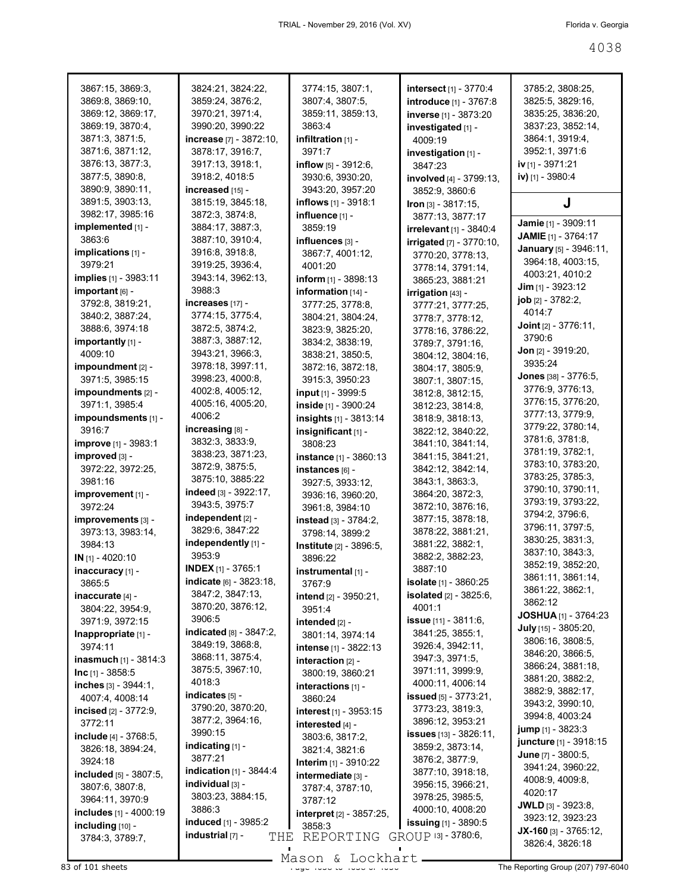| 3867:15, 3869:3,              | 3824:21, 3824:22,                           | 3774:15, 3807:1,                | <b>intersect</b> [1] - 3770:4   | 3785:2, 3808:25,                                |
|-------------------------------|---------------------------------------------|---------------------------------|---------------------------------|-------------------------------------------------|
| 3869:8, 3869:10,              | 3859:24, 3876:2,                            | 3807:4, 3807:5,                 | <b>introduce</b> [1] - 3767:8   | 3825:5, 3829:16,                                |
| 3869:12, 3869:17,             | 3970:21, 3971:4,                            | 3859:11, 3859:13,               | inverse [1] - 3873:20           | 3835:25, 3836:20,                               |
| 3869:19, 3870:4,              | 3990:20, 3990:22                            | 3863:4                          | investigated [1] -              | 3837:23, 3852:14,                               |
| 3871:3, 3871:5,               | increase [7] - 3872:10,                     | infiltration $[1]$ -            | 4009:19                         | 3864:1, 3919:4,                                 |
| 3871:6, 3871:12,              | 3878:17, 3916:7,                            | 3971:7                          | investigation [1] -             | 3952:1, 3971:6                                  |
| 3876:13, 3877:3,              | 3917:13, 3918:1,                            | <b>inflow</b> $[5] - 3912:6$ ,  | 3847:23                         | iv [1] - 3971:21                                |
| 3877:5, 3890:8,               | 3918:2, 4018:5                              | 3930:6, 3930:20,                | <b>involved</b> [4] - 3799:13,  | iv) [1] - 3980:4                                |
| 3890:9, 3890:11,              | increased [15] -                            | 3943:20, 3957:20                | 3852:9, 3860:6                  |                                                 |
| 3891:5, 3903:13,              | 3815:19, 3845:18,                           | <b>inflows</b> [1] - 3918:1     | Iron [3] - 3817:15,             | J                                               |
| 3982:17, 3985:16              | 3872:3, 3874:8,                             | influence [1] -                 | 3877:13, 3877:17                |                                                 |
| implemented [1] -             | 3884:17, 3887:3,                            | 3859:19                         | irrelevant [1] - 3840:4         | Jamie [1] - 3909:11                             |
| 3863:6                        | 3887:10, 3910:4,                            | influences [3] -                | <b>irrigated</b> [7] - 3770:10, | JAMIE [1] - 3764:17                             |
| implications [1] -            | 3916:8, 3918:8,                             | 3867:7, 4001:12,                | 3770:20, 3778:13,               | January [5] - 3946:11,                          |
| 3979:21                       | 3919:25, 3936:4,                            | 4001:20                         | 3778:14, 3791:14,               | 3964:18, 4003:15,                               |
| implies [1] - 3983:11         | 3943:14, 3962:13,                           | inform $[1]$ - 3898:13          | 3865:23, 3881:21                | 4003:21, 4010:2                                 |
| important [6] -               | 3988:3                                      | information [14] -              | irrigation [43] -               | $Jim$ [1] - 3923:12                             |
| 3792:8, 3819:21,              | increases [17] -                            | 3777:25, 3778:8,                | 3777:21, 3777:25,               | job [2] - 3782:2,                               |
| 3840:2, 3887:24,              | 3774:15, 3775:4,                            | 3804:21, 3804:24,               | 3778:7, 3778:12,                | 4014:7                                          |
| 3888:6, 3974:18               | 3872:5, 3874:2,                             | 3823:9, 3825:20,                | 3778:16, 3786:22,               | <b>Joint</b> $[2] - 3776:11$ ,                  |
| importantly [1] -             | 3887:3, 3887:12,                            | 3834:2, 3838:19,                | 3789:7, 3791:16,                | 3790:6                                          |
| 4009:10                       | 3943:21, 3966:3,                            | 3838:21, 3850:5,                | 3804:12, 3804:16,               | <b>Jon</b> $[2] - 3919:20$ ,                    |
| impoundment [2] -             | 3978:18, 3997:11,                           | 3872:16, 3872:18,               | 3804:17, 3805:9,                | 3935:24                                         |
| 3971:5, 3985:15               | 3998:23, 4000:8,                            | 3915:3, 3950:23                 | 3807:1, 3807:15,                | Jones [38] - 3776:5,                            |
| impoundments [2] -            | 4002:8, 4005:12,                            | input [1] - 3999:5              | 3812:8, 3812:15,                | 3776:9, 3776:13,                                |
| 3971:1, 3985:4                | 4005:16, 4005:20,                           | inside [1] - 3900:24            | 3812:23, 3814:8,                | 3776:15, 3776:20,                               |
| impoundsments [1] -           | 4006:2                                      | insights [1] - 3813:14          | 3818:9, 3818:13,                | 3777:13, 3779:9,                                |
| 3916:7                        | increasing [8] -                            | insignificant [1] -             | 3822:12, 3840:22,               | 3779:22, 3780:14,                               |
| <b>improve</b> [1] - 3983:1   | 3832:3, 3833:9,                             | 3808:23                         | 3841:10, 3841:14,               | 3781:6, 3781:8,                                 |
| improved [3] -                | 3838:23, 3871:23,                           | instance [1] - 3860:13          | 3841:15, 3841:21,               | 3781:19, 3782:1,                                |
| 3972:22, 3972:25,             | 3872:9, 3875:5,                             | instances [6] -                 | 3842:12, 3842:14,               | 3783:10, 3783:20,                               |
| 3981:16                       | 3875:10, 3885:22                            | 3927:5, 3933:12,                | 3843:1, 3863:3,                 | 3783:25, 3785:3,                                |
|                               | indeed [3] - 3922:17,                       |                                 | 3864:20, 3872:3,                | 3790:10, 3790:11,                               |
| improvement [1] -<br>3972:24  | 3943:5, 3975:7                              | 3936:16, 3960:20,               | 3872:10, 3876:16,               | 3793:19, 3793:22,                               |
|                               | independent [2] -                           | 3961:8, 3984:10                 | 3877:15, 3878:18,               | 3794:2, 3796:6,                                 |
| improvements [3] -            | 3829:6, 3847:22                             | instead [3] - 3784:2,           | 3878:22, 3881:21,               | 3796:11, 3797:5,                                |
| 3973:13, 3983:14,<br>3984:13  | independently [1] -                         | 3798:14, 3899:2                 | 3881:22, 3882:1,                | 3830:25, 3831:3,                                |
|                               | 3953:9                                      | Institute [2] - 3896:5,         |                                 | 3837:10, 3843:3,                                |
| $IN$ [1] - 4020:10            | <b>INDEX</b> $[1]$ - 3765:1                 | 3896:22                         | 3882:2, 3882:23,<br>3887:10     | 3852:19, 3852:20,                               |
| inaccuracy [1] -              | <b>indicate</b> $[6] - 3823:18$ ,           | instrumental [1] -              |                                 | 3861:11, 3861:14,                               |
| 3865:5                        | 3847:2, 3847:13,                            | 3767:9                          | isolate [1] - 3860:25           | 3861:22, 3862:1,                                |
| inaccurate [4] -              |                                             | <b>intend</b> $[2] - 3950:21$ , | <b>isolated</b> $[2] - 3825:6$  | 3862:12                                         |
| 3804:22, 3954:9,              | 3870:20, 3876:12,<br>3906:5                 | 3951:4                          | 4001:1                          | <b>JOSHUA</b> [1] - 3764:23                     |
| 3971:9, 3972:15               |                                             | intended [2] -                  | <b>issue</b> [11] - 3811:6,     | July [15] - 3805:20,                            |
| Inappropriate [1] -           | indicated [8] - 3847:2,<br>3849:19, 3868:8, | 3801:14, 3974:14                | 3841:25, 3855:1,                | 3806:16, 3808:5,                                |
| 3974:11                       |                                             | intense [1] - 3822:13           | 3926:4, 3942:11,                | 3846:20, 3866:5,                                |
| inasmuch [1] - 3814:3         | 3868:11, 3875:4,                            | interaction $[2]$ -             | 3947:3, 3971:5,                 | 3866:24, 3881:18,                               |
| $Inc$ [1] - 3858:5            | 3875:5, 3967:10,                            | 3800:19, 3860:21                | 3971:11, 3999:9,                | 3881:20, 3882:2,                                |
| inches $[3] - 3944:1$ ,       | 4018:3                                      | interactions [1] -              | 4000:11, 4006:14                | 3882:9, 3882:17,                                |
| 4007:4, 4008:14               | indicates $[5]$ -                           | 3860:24                         | <b>issued</b> $[5] - 3773:21$ , | 3943:2, 3990:10,                                |
| <b>incised</b> $[2] - 3772:9$ | 3790:20, 3870:20,                           | interest [1] - 3953:15          | 3773:23, 3819:3,                | 3994:8, 4003:24                                 |
| 3772:11                       | 3877:2, 3964:16,                            | interested [4] -                | 3896:12, 3953:21                | <b>jump</b> $[1]$ - 3823:3                      |
| include [4] - 3768:5,         | 3990:15                                     | 3803:6, 3817:2,                 | <b>issues</b> [13] - 3826:11,   | juncture [1] - 3918:15                          |
| 3826:18, 3894:24,             | indicating $[1]$ -                          | 3821:4, 3821:6                  | 3859:2, 3873:14,                | <b>June</b> $[7] - 3800:5$ ,                    |
| 3924:18                       | 3877:21                                     | <b>Interim</b> $[1] - 3910:22$  | 3876:2, 3877:9,                 | 3941:24, 3960:22,                               |
| included [5] - 3807:5,        | <b>indication</b> [1] - 3844:4              | intermediate [3] -              | 3877:10, 3918:18,               | 4008:9, 4009:8,                                 |
| 3807:6, 3807:8,               | individual [3] -                            | 3787:4, 3787:10,                | 3956:15, 3966:21,               | 4020:17                                         |
| 3964:11, 3970:9               | 3803:23, 3884:15,                           | 3787:12                         | 3978:25, 3985:5,                |                                                 |
| includes [1] - 4000:19        | 3886:3                                      | interpret [2] - 3857:25,        | 4000:10, 4008:20                | <b>JWLD</b> $[3] - 3923:8,$<br>3923:12, 3923:23 |
| including [10] -              | induced [1] - 3985:2                        | 3858:3                          | <b>issuing</b> [1] - 3890:5     |                                                 |
| 3784:3, 3789:7,               | industrial [7] -<br>THE                     | REPORTING                       | GROUP 131 - 3780:6,             | $JX-160$ [3] - 3765:12,                         |
|                               |                                             |                                 |                                 | 3826:4, 3826:18                                 |

Mason & Lockhart **Page 4038 of 101 sheets** Page 4038 and Mason & Lockhart **Page 4038 of 101 sheets** Page 4038 of 401 sheets **Page 4038 of 4038 and Page 4038 of 4038 and Page 4038 and Page 4038 and Page 4038 and Page 4038 a** 

H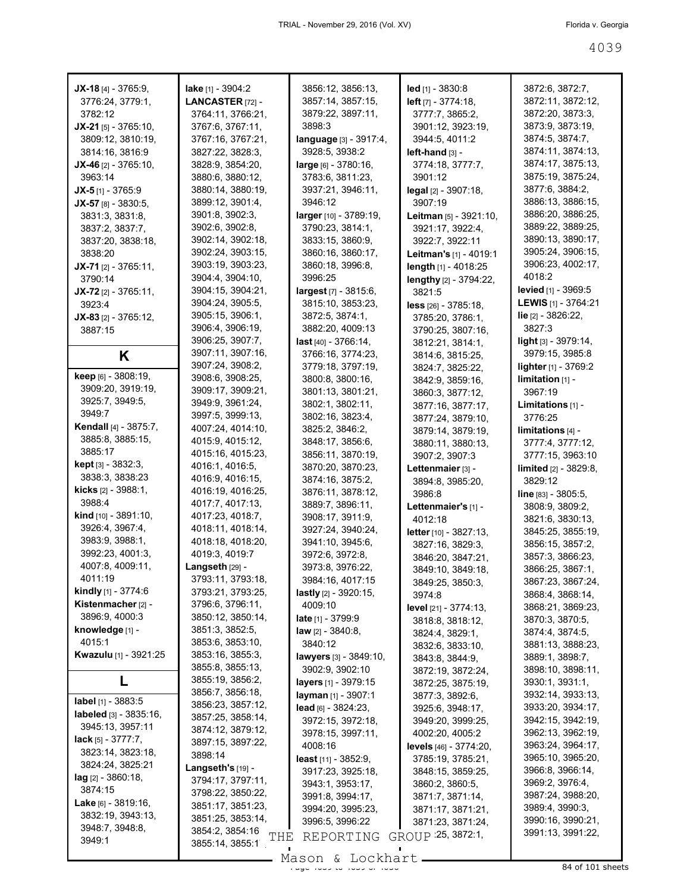| $JX-18$ [4] - 3765:9,                           | <b>lake</b> [1] - 3904:2                  | 3856:12, 3856:13,                                | led [1] - 3830:8                              | 3872:6, 3872:7,                        |
|-------------------------------------------------|-------------------------------------------|--------------------------------------------------|-----------------------------------------------|----------------------------------------|
| 3776:24, 3779:1,                                | LANCASTER [72] -                          | 3857:14, 3857:15,                                | left [7] - 3774:18,                           | 3872:11, 3872:12,                      |
| 3782:12                                         | 3764:11, 3766:21,                         | 3879:22, 3897:11,                                | 3777:7, 3865:2,                               | 3872:20, 3873:3,                       |
| $JX-21$ [5] - 3765:10,                          | 3767:6, 3767:11,                          | 3898:3                                           | 3901:12, 3923:19,                             | 3873:9, 3873:19,                       |
| 3809:12, 3810:19,                               | 3767:16, 3767:21,                         | <b>language</b> [3] - 3917:4,                    | 3944:5, 4011:2                                | 3874:5, 3874:7,                        |
| 3814:16, 3816:9                                 | 3827:22, 3828:3,                          | 3928:5, 3938:2                                   | l <b>eft-hand</b> [3] -                       | 3874:11, 3874:13,                      |
| $JX-46$ [2] - 3765:10,                          | 3828:9, 3854:20,                          | <b>large</b> [6] - 3780:16,                      | 3774:18, 3777:7,                              | 3874:17, 3875:13,                      |
| 3963:14                                         | 3880:6, 3880:12,                          | 3783:6, 3811:23,                                 | 3901:12                                       | 3875:19, 3875:24,                      |
| $JX-5$ [1] - 3765:9                             | 3880:14, 3880:19,                         | 3937:21, 3946:11,                                | <b>legal</b> [2] - 3907:18,                   | 3877:6, 3884:2,                        |
| $JX-57$ [8] - 3830:5,                           | 3899:12, 3901:4,                          | 3946:12                                          | 3907:19                                       | 3886:13, 3886:15,                      |
| 3831:3, 3831:8,                                 | 3901:8, 3902:3,                           | larger [10] - 3789:19,                           | <b>Leitman</b> $[5] - 3921:10$ ,              | 3886:20, 3886:25,                      |
| 3837:2, 3837:7,                                 | 3902:6, 3902:8,                           | 3790:23, 3814:1,                                 | 3921:17, 3922:4,                              | 3889:22, 3889:25,                      |
| 3837:20, 3838:18,                               | 3902:14, 3902:18,                         | 3833:15, 3860:9,                                 | 3922:7, 3922:11                               | 3890:13, 3890:17,                      |
| 3838:20                                         | 3902:24, 3903:15,<br>3903:19, 3903:23,    | 3860:16, 3860:17,                                | Leitman's [1] - 4019:1                        | 3905:24, 3906:15,<br>3906:23, 4002:17, |
| $JX-71$ [2] - 3765:11,                          | 3904:4, 3904:10,                          | 3860:18, 3996:8,<br>3996:25                      | length $[1]$ - 4018:25                        | 4018:2                                 |
| 3790:14                                         | 3904:15, 3904:21,                         | <b>largest</b> [7] - 3815:6,                     | lengthy [2] - 3794:22,                        | <b>levied</b> [1] - 3969:5             |
| $JX-72$ [2] - 3765:11,<br>3923:4                | 3904:24, 3905:5,                          | 3815:10, 3853:23,                                | 3821:5                                        | <b>LEWIS</b> [1] - 3764:21             |
| $JX-83$ [2] - 3765:12,                          | 3905:15, 3906:1,                          | 3872:5, 3874:1,                                  | $less$ $[26] - 3785:18$ ,<br>3785:20, 3786:1, | <b>lie</b> [2] - 3826:22,              |
| 3887:15                                         | 3906:4, 3906:19,                          | 3882:20, 4009:13                                 | 3790:25, 3807:16,                             | 3827:3                                 |
|                                                 | 3906:25, 3907:7,                          | <b>last</b> [40] - 3766:14,                      | 3812:21, 3814:1,                              | light <sub>[3]</sub> - 3979:14,        |
| Κ                                               | 3907:11, 3907:16,                         | 3766:16, 3774:23,                                | 3814:6, 3815:25,                              | 3979:15, 3985:8                        |
|                                                 | 3907:24, 3908:2,                          | 3779:18, 3797:19,                                | 3824:7, 3825:22,                              | lighter [1] - 3769:2                   |
| keep [6] - 3808:19,                             | 3908:6, 3908:25,                          | 3800:8, 3800:16,                                 | 3842:9, 3859:16,                              | $limitation$ [1] -                     |
| 3909:20, 3919:19,                               | 3909:17, 3909:21,                         | 3801:13, 3801:21,                                | 3860:3, 3877:12,                              | 3967:19                                |
| 3925:7, 3949:5,                                 | 3949:9, 3961:24,                          | 3802:1, 3802:11,                                 | 3877:16, 3877:17,                             | <b>Limitations</b> $[1]$ -             |
| 3949:7                                          | 3997:5, 3999:13,                          | 3802:16, 3823:4,                                 | 3877:24, 3879:10,                             | 3776:25                                |
| <b>Kendall</b> [4] - 3875:7,                    | 4007:24, 4014:10,                         | 3825:2, 3846:2,                                  | 3879:14, 3879:19,                             | limitations <sub>[4]</sub> -           |
| 3885:8, 3885:15,                                | 4015:9, 4015:12,                          | 3848:17, 3856:6,                                 | 3880:11, 3880:13,                             | 3777:4, 3777:12,                       |
| 3885:17                                         | 4015:16, 4015:23,                         | 3856:11, 3870:19,                                | 3907:2, 3907:3                                | 3777:15, 3963:10                       |
| <b>kept</b> [3] - 3832:3,                       | 4016:1, 4016:5,                           | 3870:20, 3870:23,                                | Lettenmaier [3] -                             | limited [2] - 3829:8,                  |
| 3838:3, 3838:23                                 | 4016:9, 4016:15,                          | 3874:16, 3875:2,                                 | 3894:8, 3985:20,                              | 3829:12                                |
|                                                 |                                           |                                                  |                                               |                                        |
| <b>kicks</b> [2] - 3988:1,                      | 4016:19, 4016:25,                         | 3876:11, 3878:12,                                | 3986:8                                        | line [83] - 3805:5,                    |
| 3988:4                                          | 4017:7, 4017:13,                          | 3889:7, 3896:11,                                 | Lettenmaier's [1] -                           | 3808:9, 3809:2,                        |
| <b>kind</b> $[10] - 3891:10$ ,                  | 4017:23, 4018:7,                          | 3908:17, 3911:9,                                 | 4012:18                                       | 3821:6, 3830:13,                       |
| 3926:4, 3967:4,                                 | 4018:11, 4018:14,                         | 3927:24, 3940:24,                                | letter [10] - 3827:13,                        | 3845:25, 3855:19,                      |
| 3983:9, 3988:1,                                 | 4018:18, 4018:20,                         | 3941:10, 3945:6,                                 | 3827:16, 3829:3,                              | 3856:15, 3857:2,                       |
| 3992:23, 4001:3,                                | 4019:3, 4019:7                            | 3972:6, 3972:8,                                  | 3846:20, 3847:21,                             | 3857:3, 3866:23,                       |
| 4007:8, 4009:11,                                | Langseth [29] -                           | 3973:8, 3976:22,                                 | 3849:10, 3849:18,                             | 3866:25, 3867:1,                       |
| 4011:19                                         | 3793:11, 3793:18,                         | 3984:16, 4017:15                                 | 3849:25, 3850:3,                              | 3867:23, 3867:24,                      |
| kindly [1] - 3774:6                             | 3793:21, 3793:25,                         | lastly [2] - 3920:15,                            | 3974:8                                        | 3868:4, 3868:14,                       |
| Kistenmacher <sub>[2]</sub> -<br>3896:9, 4000:3 | 3796:6, 3796:11,<br>3850:12, 3850:14,     | 4009:10                                          | level [21] - 3774:13,                         | 3868:21, 3869:23,                      |
| knowledge [1] -                                 | 3851:3, 3852:5,                           | <b>late</b> [1] - 3799:9                         | 3818:8, 3818:12,                              | 3870:3, 3870:5,                        |
| 4015:1                                          | 3853:6, 3853:10,                          | <b>law</b> [2] - 3840:8,<br>3840:12              | 3824:4, 3829:1,                               | 3874:4, 3874:5,                        |
| <b>Kwazulu</b> [1] - 3921:25                    | 3853:16, 3855:3,                          |                                                  | 3832:6, 3833:10,                              | 3881:13, 3888:23,<br>3889:1, 3898:7,   |
|                                                 | 3855:8, 3855:13,                          | <b>lawyers</b> [3] - 3849:10,<br>3902:9, 3902:10 | 3843:8, 3844:9,                               | 3898:10, 3898:11,                      |
|                                                 | 3855:19, 3856:2,                          | layers [1] - 3979:15                             | 3872:19, 3872:24,<br>3872:25, 3875:19,        | 3930:1, 3931:1,                        |
|                                                 | 3856:7, 3856:18,                          | layman [1] - 3907:1                              | 3877:3, 3892:6,                               | 3932:14, 3933:13,                      |
| label [1] - 3883:5                              | 3856:23, 3857:12,                         | $lead$ [6] - 3824:23,                            | 3925:6, 3948:17,                              | 3933:20, 3934:17,                      |
| labeled $[3] - 3835.16$ ,                       | 3857:25, 3858:14,                         | 3972:15, 3972:18,                                | 3949:20, 3999:25,                             | 3942:15, 3942:19,                      |
| 3945:13, 3957:11                                | 3874:12, 3879:12,                         | 3978:15, 3997:11,                                | 4002:20, 4005:2                               | 3962:13, 3962:19,                      |
| <b>lack</b> [5] - $3777:7$ ,                    | 3897:15, 3897:22,                         | 4008:16                                          | levels [46] - 3774:20,                        | 3963:24, 3964:17,                      |
| 3823:14, 3823:18,                               | 3898:14                                   | <b>least</b> [11] - 3852:9,                      | 3785:19, 3785:21,                             | 3965:10, 3965:20,                      |
| 3824:24, 3825:21                                | <b>Langseth's <math>[19]</math> -</b>     | 3917:23, 3925:18,                                | 3848:15, 3859:25,                             | 3966:8, 3966:14,                       |
| lag [2] - 3860:18,<br>3874:15                   | 3794:17, 3797:11,                         | 3943:1, 3953:17,                                 | 3860:2, 3860:5,                               | 3969:2, 3976:4,                        |
| <b>Lake</b> [6] - $3819:16$ ,                   | 3798:22, 3850:22,                         | 3991:8, 3994:17,                                 | 3871:7, 3871:14,                              | 3987:24, 3988:20,                      |
| 3832:19, 3943:13,                               | 3851:17, 3851:23,                         | 3994:20, 3995:23,                                | 3871:17, 3871:21,                             | 3989:4, 3990:3,                        |
| 3948:7, 3948:8,                                 | 3851:25, 3853:14,                         | 3996:5, 3996:22                                  | 3871:23, 3871:24,                             | 3990:16, 3990:21,                      |
| 3949:1                                          | 3854:2, 3854:16<br>THE<br>3855:14, 3855:1 | REPORTING                                        | GROUP 25, 3872:1,                             | 3991:13, 3991:22,                      |

Mason & Lockhart <u>entitled and the 40</u>39 of 101 sheets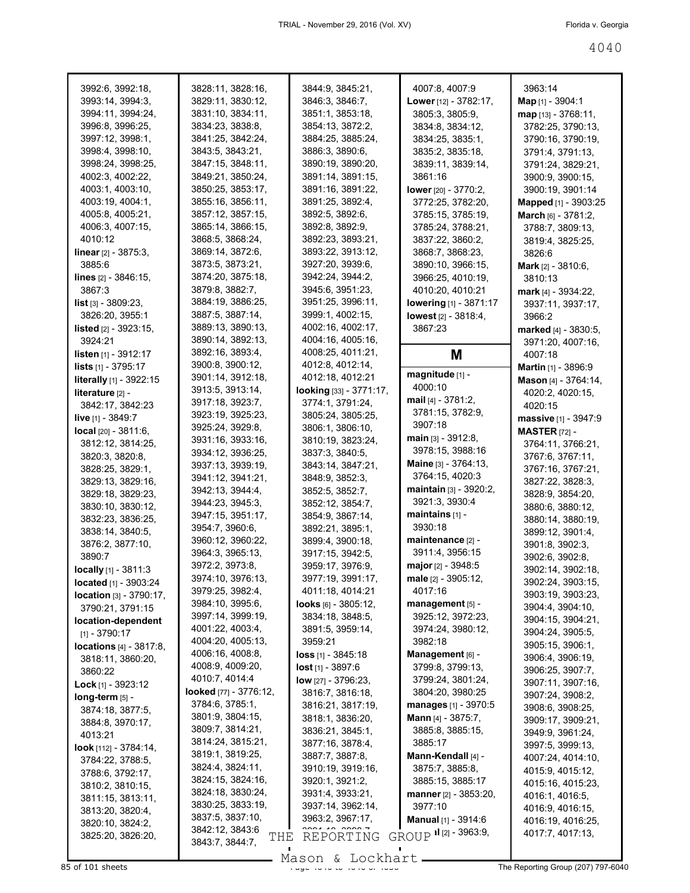| 3992:6, 3992:18,                  | 3828:11, 3828:16,      | 3844:9, 3845:21,                      | 4007:8, 4007:9                               | 3963:14                      |
|-----------------------------------|------------------------|---------------------------------------|----------------------------------------------|------------------------------|
| 3993:14, 3994:3,                  | 3829:11, 3830:12,      | 3846:3, 3846:7,                       | <b>Lower</b> [12] - 3782:17,                 | Map [1] - 3904:1             |
| 3994:11, 3994:24,                 | 3831:10, 3834:11,      | 3851:1, 3853:18,                      | 3805:3, 3805:9,                              | map [13] - 3768:11,          |
| 3996:8, 3996:25,                  | 3834:23, 3838:8,       | 3854:13, 3872:2,                      | 3834:8, 3834:12,                             | 3782:25, 3790:13,            |
| 3997:12, 3998:1,                  | 3841:25, 3842:24,      | 3884:25, 3885:24,                     | 3834:25, 3835:1,                             | 3790:16, 3790:19,            |
| 3998:4, 3998:10,                  | 3843:5, 3843:21,       | 3886:3, 3890:6,                       | 3835:2, 3835:18,                             | 3791:4, 3791:13,             |
| 3998:24, 3998:25,                 | 3847:15, 3848:11,      | 3890:19, 3890:20,                     | 3839:11, 3839:14,                            | 3791:24, 3829:21,            |
| 4002:3, 4002:22,                  | 3849:21, 3850:24,      | 3891:14, 3891:15,                     | 3861:16                                      | 3900:9, 3900:15,             |
| 4003:1, 4003:10,                  | 3850:25, 3853:17,      | 3891:16, 3891:22,                     | <b>lower</b> [20] - 3770:2,                  | 3900:19, 3901:14             |
| 4003:19, 4004:1,                  | 3855:16, 3856:11,      | 3891:25, 3892:4,                      | 3772:25, 3782:20,                            | Mapped [1] - 3903:25         |
| 4005:8, 4005:21,                  | 3857:12, 3857:15,      | 3892:5, 3892:6,                       | 3785:15, 3785:19,                            |                              |
| 4006:3, 4007:15,                  | 3865:14, 3866:15,      | 3892:8, 3892:9,                       | 3785:24, 3788:21,                            | March [6] - 3781:2,          |
| 4010:12                           | 3868:5, 3868:24,       | 3892:23, 3893:21,                     |                                              | 3788:7, 3809:13,             |
|                                   | 3869:14, 3872:6,       |                                       | 3837:22, 3860:2,                             | 3819:4, 3825:25,             |
| <b>linear</b> $[2] - 3875:3$ ,    | 3873:5, 3873:21,       | 3893:22, 3913:12,<br>3927:20, 3939:6, | 3868:7, 3868:23,                             | 3826:6                       |
| 3885:6                            |                        |                                       | 3890:10, 3966:15,                            | <b>Mark</b> $[2] - 3810:6$ , |
| <b>lines</b> $[2] - 3846:15$ ,    | 3874:20, 3875:18,      | 3942:24, 3944:2,                      | 3966:25, 4010:19,                            | 3810:13                      |
| 3867:3                            | 3879:8, 3882:7,        | 3945:6, 3951:23,                      | 4010:20, 4010:21                             | mark $[4] - 3934:22$         |
| <b>list</b> $[3] - 3809:23$ ,     | 3884:19, 3886:25,      | 3951:25, 3996:11,                     | <b>lowering</b> [1] - 3871:17                | 3937:11, 3937:17,            |
| 3826:20, 3955:1                   | 3887:5, 3887:14,       | 3999:1, 4002:15,                      | lowest [2] - 3818:4,                         | 3966:2                       |
| <b>listed</b> $[2] - 3923:15$ ,   | 3889:13, 3890:13,      | 4002:16, 4002:17,                     | 3867:23                                      | marked [4] - 3830:5,         |
| 3924:21                           | 3890:14, 3892:13,      | 4004:16, 4005:16,                     |                                              | 3971:20, 4007:16,            |
| <b>listen</b> $[1]$ - 3912:17     | 3892:16, 3893:4,       | 4008:25, 4011:21,                     | Μ                                            | 4007:18                      |
| <b>lists</b> $[1]$ - 3795:17      | 3900:8, 3900:12,       | 4012:8, 4012:14,                      | magnitude [1] -                              | Martin [1] - 3896:9          |
| literally [1] - 3922:15           | 3901:14, 3912:18,      | 4012:18, 4012:21                      | 4000:10                                      | Mason [4] - 3764:14,         |
| literature [2] -                  | 3913:5, 3913:14,       | looking [33] - 3771:17,               |                                              | 4020:2, 4020:15,             |
| 3842:17, 3842:23                  | 3917:18, 3923:7,       | 3774:1, 3791:24,                      | mail $[4] - 3781:2$ ,                        | 4020:15                      |
| live [1] - 3849:7                 | 3923:19, 3925:23,      | 3805:24, 3805:25,                     | 3781:15, 3782:9,                             | massive [1] - 3947:9         |
| local [20] - 3811:6,              | 3925:24, 3929:8,       | 3806:1, 3806:10,                      | 3907:18                                      | <b>MASTER</b> [72] -         |
| 3812:12, 3814:25,                 | 3931:16, 3933:16,      | 3810:19, 3823:24,                     | main [3] - 3912:8,                           | 3764:11, 3766:21,            |
| 3820:3, 3820:8,                   | 3934:12, 3936:25,      | 3837:3, 3840:5,                       | 3978:15, 3988:16                             | 3767:6, 3767:11,             |
| 3828:25, 3829:1,                  | 3937:13, 3939:19,      | 3843:14, 3847:21,                     | Maine [3] - 3764:13,                         | 3767:16, 3767:21,            |
| 3829:13, 3829:16,                 | 3941:12, 3941:21,      | 3848:9, 3852:3,                       | 3764:15, 4020:3                              | 3827:22, 3828:3,             |
| 3829:18, 3829:23,                 | 3942:13, 3944:4,       | 3852:5, 3852:7,                       | <b>maintain</b> $[3] - 3920:2$               | 3828:9, 3854:20,             |
| 3830:10, 3830:12,                 | 3944:23, 3945:3,       | 3852:12, 3854:7,                      | 3921:3, 3930:4                               | 3880:6, 3880:12,             |
| 3832:23, 3836:25,                 | 3947:15, 3951:17,      | 3854:9, 3867:14,                      | maintains $[1]$ -                            | 3880:14, 3880:19,            |
| 3838:14, 3840:5,                  | 3954:7, 3960:6,        | 3892:21, 3895:1,                      | 3930:18                                      | 3899:12, 3901:4,             |
| 3876:2, 3877:10,                  | 3960:12, 3960:22,      | 3899:4, 3900:18,                      | maintenance [2] -                            | 3901:8, 3902:3,              |
| 3890:7                            | 3964:3, 3965:13,       | 3917:15, 3942:5,                      | 3911:4, 3956:15                              | 3902:6, 3902:8,              |
| locally [1] - 3811:3              | 3972:2, 3973:8,        | 3959:17, 3976:9,                      | <b>major</b> [2] - 3948:5                    | 3902:14, 3902:18,            |
| located [1] - 3903:24             | 3974:10, 3976:13,      | 3977:19, 3991:17,                     | male [2] - 3905:12,                          | 3902:24, 3903:15,            |
| <b>location</b> $[3] - 3790:17$ , | 3979:25, 3982:4,       | 4011:18, 4014:21                      | 4017:16                                      | 3903:19, 3903:23,            |
| 3790:21, 3791:15                  | 3984:10, 3995:6,       | looks $[6] - 3805:12$ ,               | management [5] -                             | 3904:4, 3904:10,             |
| location-dependent                | 3997:14, 3999:19,      | 3834:18, 3848:5,                      | 3925:12, 3972:23,                            | 3904:15, 3904:21,            |
| $[1] - 3790:17$                   | 4001:22, 4003:4,       | 3891:5, 3959:14,                      | 3974:24, 3980:12,                            | 3904:24, 3905:5,             |
| locations [4] - 3817:8.           | 4004:20, 4005:13,      | 3959:21                               | 3982:18                                      | 3905:15, 3906:1,             |
| 3818:11, 3860:20,                 | 4006:16, 4008:8,       | <b>loss</b> $[1] - 3845:18$           | Management [6] -                             | 3906:4, 3906:19,             |
| 3860:22                           | 4008:9, 4009:20,       | $lost_{[1]} - 3897:6$                 | 3799:8, 3799:13,                             | 3906:25, 3907:7,             |
| <b>Lock</b> [1] - 3923:12         | 4010:7, 4014:4         | low [27] - 3796:23,                   | 3799:24, 3801:24,                            | 3907:11, 3907:16,            |
| $long-term$ [5] -                 | looked [77] - 3776:12, | 3816:7, 3816:18,                      | 3804:20, 3980:25                             | 3907:24, 3908:2,             |
| 3874:18, 3877:5,                  | 3784:6, 3785:1,        | 3816:21, 3817:19,                     | <b>manages</b> [1] - 3970:5                  | 3908:6, 3908:25,             |
| 3884:8, 3970:17,                  | 3801:9, 3804:15,       | 3818:1, 3836:20,                      | <b>Mann</b> [4] - 3875:7,                    | 3909:17, 3909:21,            |
| 4013:21                           | 3809:7, 3814:21,       | 3836:21, 3845:1,                      | 3885:8, 3885:15,                             | 3949:9, 3961:24,             |
|                                   | 3814:24, 3815:21,      | 3877:16, 3878:4,                      | 3885:17                                      | 3997:5, 3999:13,             |
| look [112] - 3784:14,             | 3819:1, 3819:25,       | 3887:7, 3887:8,                       | Mann-Kendall [4] -                           | 4007:24, 4014:10,            |
| 3784:22, 3788:5,                  | 3824:4, 3824:11,       | 3910:19, 3919:16,                     | 3875:7, 3885:8,                              | 4015:9, 4015:12,             |
| 3788:6, 3792:17,                  | 3824:15, 3824:16,      | 3920:1, 3921:2,                       | 3885:15, 3885:17                             | 4015:16, 4015:23,            |
| 3810:2, 3810:15,                  | 3824:18, 3830:24,      | 3931:4, 3933:21,                      | <b>manner</b> [2] - 3853:20,                 | 4016:1, 4016:5,              |
| 3811:15, 3813:11,                 | 3830:25, 3833:19,      | 3937:14, 3962:14,                     | 3977:10                                      | 4016:9, 4016:15,             |
| 3813:20, 3820:4,                  | 3837:5, 3837:10,       | 3963:2, 3967:17,                      | Manual [1] - 3914:6                          | 4016:19, 4016:25,            |
| 3820:10, 3824:2,                  | 3842:12, 3843:6        |                                       | GROUP <sup>al</sup> <sup>[2]</sup> - 3963:9, | 4017:7, 4017:13,             |
| 3825:20, 3826:20,                 | THE<br>3843:7, 3844:7, | REPORTING                             |                                              |                              |
|                                   |                        |                                       |                                              |                              |

Mason & Lockhart.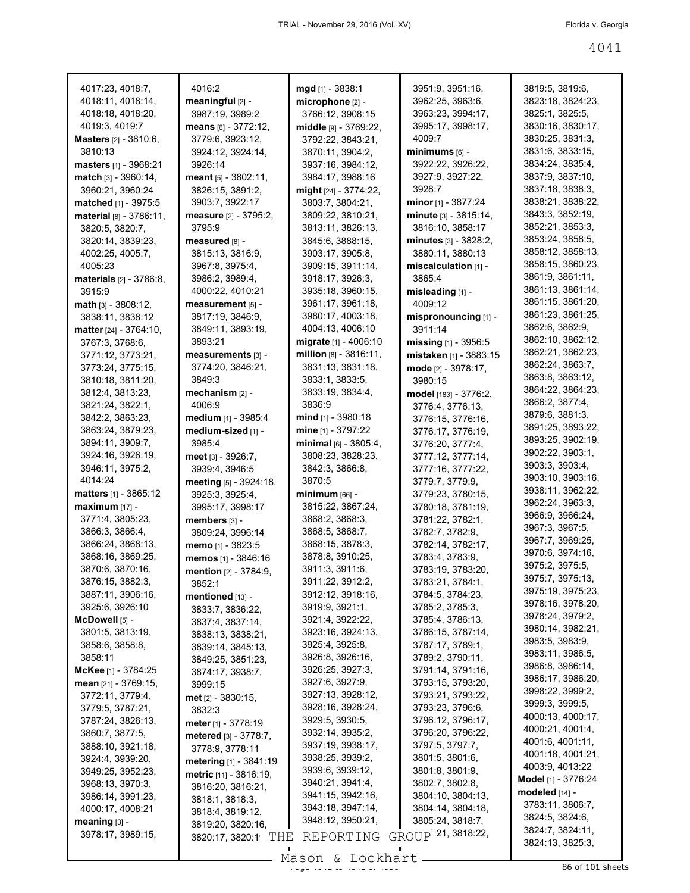| 4017:23, 4018:7,               | 4016:2                       | mgd [1] - 3838:1             | 3951:9, 3951:16,           | 3819:5, 3819:6,            |
|--------------------------------|------------------------------|------------------------------|----------------------------|----------------------------|
| 4018:11, 4018:14,              | meaningful $[2]$ -           | microphone [2] -             | 3962:25, 3963:6,           | 3823:18, 3824:23,          |
| 4018:18, 4018:20,              | 3987:19, 3989:2              | 3766:12, 3908:15             | 3963:23, 3994:17,          | 3825:1, 3825:5,            |
| 4019:3, 4019:7                 | <b>means</b> [6] - 3772:12,  | <b>middle</b> [9] - 3769:22, | 3995:17, 3998:17,          | 3830:16, 3830:17,          |
| <b>Masters</b> [2] - 3810:6,   | 3779:6.3923:12.              | 3792:22, 3843:21,            | 4009:7                     | 3830:25, 3831:3,           |
| 3810:13                        | 3924:12, 3924:14,            | 3870:11, 3904:2,             | minimums [6] -             | 3831:6, 3833:15,           |
| <b>masters</b> [1] - 3968:21   | 3926:14                      | 3937:16, 3984:12,            | 3922:22, 3926:22,          | 3834:24, 3835:4,           |
| match [3] - 3960:14,           | $meant_{[5]} - 3802:11,$     | 3984:17, 3988:16             | 3927:9, 3927:22,           | 3837:9, 3837:10,           |
| 3960:21, 3960:24               | 3826:15, 3891:2,             | might [24] - 3774:22,        | 3928:7                     | 3837:18, 3838:3,           |
| matched [1] - 3975:5           | 3903:7, 3922:17              | 3803:7, 3804:21,             | <b>minor</b> [1] - 3877:24 | 3838:21, 3838:22,          |
| material [8] - 3786:11,        | measure [2] - 3795:2,        | 3809:22, 3810:21,            | minute [3] - 3815:14,      | 3843:3, 3852:19,           |
| 3820:5, 3820:7,                | 3795:9                       | 3813:11, 3826:13,            | 3816:10, 3858:17           | 3852:21, 3853:3,           |
| 3820:14, 3839:23,              | measured [8] -               | 3845:6, 3888:15,             | minutes [3] - 3828:2,      | 3853:24, 3858:5,           |
| 4002:25, 4005:7,               | 3815:13, 3816:9,             | 3903:17, 3905:8,             | 3880:11, 3880:13           | 3858:12, 3858:13,          |
| 4005:23                        | 3967:8, 3975:4,              | 3909:15, 3911:14,            | miscalculation א - ווּ     | 3858:15, 3860:23,          |
| <b>materials</b> [2] - 3786:8, | 3986:2, 3989:4,              | 3918:17, 3926:3,             | 3865:4                     | 3861:9, 3861:11,           |
| 3915.9                         | 4000:22, 4010:21             | 3935:18, 3960:15,            | misleading [1] -           | 3861:13, 3861:14,          |
| $math$ math $[3] - 3808:12,$   | measurement [5] -            | 3961:17, 3961:18,            | 4009:12                    | 3861:15, 3861:20,          |
| 3838:11, 3838:12               | 3817:19, 3846:9,             | 3980:17, 4003:18,            | mispronouncing [1] -       | 3861:23, 3861:25.          |
| matter [24] - 3764:10,         | 3849:11, 3893:19,            | 4004:13, 4006:10             | 3911:14                    | 3862:6, 3862:9,            |
|                                | 3893:21                      | <b>migrate</b> [1] - 4006:10 |                            | 3862:10, 3862:12,          |
| 3767:3, 3768:6,                |                              | million [8] - 3816:11.       | missing [1] - 3956:5       | 3862:21, 3862:23,          |
| 3771:12, 3773:21,              | measurements [3] -           | 3831:13, 3831:18,            | mistaken [1] - 3883:15     | 3862:24, 3863:7,           |
| 3773:24, 3775:15,              | 3774:20, 3846:21,            |                              | mode [2] - 3978:17,        | 3863:8, 3863:12,           |
| 3810:18, 3811:20,              | 3849:3                       | 3833:1, 3833:5,              | 3980:15                    | 3864:22, 3864:23,          |
| 3812:4, 3813:23,               | mechanism [2] -              | 3833:19, 3834:4,             | model [183] - 3776:2,      | 3866:2, 3877:4,            |
| 3821:24, 3822:1,               | 4006:9                       | 3836:9                       | 3776:4, 3776:13,           | 3879:6, 3881:3,            |
| 3842:2, 3863:23,               | <b>medium</b> [1] - 3985:4   | mind $[1]$ - 3980:18         | 3776:15, 3776:16,          | 3891:25, 3893:22,          |
| 3863:24, 3879:23,              | medium-sized [1] -           | mine $[1] - 3797:22$         | 3776:17, 3776:19,          | 3893:25, 3902:19,          |
| 3894:11, 3909:7,               | 3985:4                       | minimal $_{[6]}$ - 3805:4,   | 3776:20, 3777:4,           | 3902:22, 3903:1,           |
| 3924:16, 3926:19,              | meet [3] - 3926:7,           | 3808:23, 3828:23,            | 3777:12, 3777:14,          |                            |
| 3946:11, 3975:2,               | 3939:4, 3946:5               | 3842:3, 3866:8,              | 3777:16, 3777:22,          | 3903:3, 3903:4,            |
| 4014:24                        | meeting [5] - 3924:18,       | 3870:5                       | 3779:7, 3779:9,            | 3903:10, 3903:16,          |
| <b>matters</b> $[1] - 3865:12$ | 3925:3, 3925:4,              | $minimum$ [66] -             | 3779:23, 3780:15,          | 3938:11, 3962:22,          |
| $maximum$ [17] -               | 3995:17, 3998:17             | 3815:22, 3867:24,            | 3780:18, 3781:19,          | 3962:24, 3963:3,           |
| 3771:4, 3805:23,               | members [3] -                | 3868:2, 3868:3,              | 3781:22, 3782:1,           | 3966:9, 3966:24,           |
| 3866:3, 3866:4,                | 3809:24, 3996:14             | 3868:5, 3868:7,              | 3782:7, 3782:9,            | 3967:3, 3967:5,            |
| 3866:24, 3868:13,              | memo [1] - 3823:5            | 3868:15, 3878:3,             | 3782:14, 3782:17,          | 3967:7, 3969:25,           |
| 3868:16, 3869:25,              | memos [1] - 3846:16          | 3878:8, 3910:25,             | 3783:4, 3783:9,            | 3970:6, 3974:16,           |
| 3870:6, 3870:16,               | mention [2] - 3784:9,        | 3911:3, 3911:6,              | 3783:19, 3783:20,          | 3975:2, 3975:5,            |
| 3876:15, 3882:3,               | 3852:1                       | 3911:22, 3912:2,             | 3783:21, 3784:1,           | 3975:7, 3975:13,           |
| 3887:11, 3906:16,              | mentioned $[13]$ -           | 3912:12, 3918:16,            | 3784:5, 3784:23,           | 3975:19, 3975:23,          |
| 3925:6, 3926:10                | 3833:7, 3836:22,             | 3919:9, 3921:1,              | 3785:2, 3785:3,            | 3978:16, 3978:20,          |
| McDowell [5] -                 | 3837:4, 3837:14,             | 3921:4, 3922:22,             | 3785:4, 3786:13,           | 3978:24, 3979:2,           |
| 3801:5, 3813:19,               | 3838:13, 3838:21,            | 3923:16, 3924:13,            | 3786:15, 3787:14,          | 3980:14, 3982:21,          |
| 3858:6, 3858:8,                | 3839:14, 3845:13,            | 3925:4, 3925:8,              | 3787:17, 3789:1,           | 3983:5, 3983:9,            |
| 3858:11                        | 3849:25, 3851:23,            | 3926:8, 3926:16,             | 3789:2, 3790:11,           | 3983:11, 3986:5,           |
| McKee [1] - 3784:25            | 3874:17, 3938:7,             | 3926:25, 3927:3,             | 3791:14, 3791:16,          | 3986:8, 3986:14,           |
| mean [21] - 3769:15,           | 3999:15                      | 3927:6, 3927:9,              | 3793:15, 3793:20,          | 3986:17, 3986:20,          |
| 3772:11, 3779:4,               | <b>met</b> $[2] - 3830:15$ , | 3927:13, 3928:12,            | 3793:21, 3793:22,          | 3998:22, 3999:2,           |
| 3779:5, 3787:21,               | 3832:3                       | 3928:16, 3928:24,            | 3793:23, 3796:6,           | 3999:3, 3999:5,            |
| 3787:24, 3826:13,              | meter $[1] - 3778:19$        | 3929:5, 3930:5,              | 3796:12, 3796:17,          | 4000:13, 4000:17,          |
| 3860:7, 3877:5,                | metered [3] - 3778:7,        | 3932:14, 3935:2,             | 3796:20, 3796:22,          | 4000:21, 4001:4,           |
| 3888:10, 3921:18,              |                              | 3937:19, 3938:17,            | 3797:5, 3797:7,            | 4001:6, 4001:11,           |
| 3924:4, 3939:20,               | 3778:9, 3778:11              | 3938:25, 3939:2,             | 3801:5, 3801:6,            | 4001:18, 4001:21,          |
| 3949:25, 3952:23,              | metering [1] - 3841:19       | 3939:6, 3939:12,             | 3801:8, 3801:9,            | 4003:9, 4013:22            |
| 3968:13, 3970:3,               | metric [11] - 3816:19,       | 3940:21, 3941:4,             | 3802:7, 3802:8,            | <b>Model</b> [1] - 3776:24 |
| 3986:14, 3991:23,              | 3816:20, 3816:21,            | 3941:15, 3942:16,            | 3804:10, 3804:13,          | modeled [14] -             |
| 4000:17, 4008:21               | 3818:1, 3818:3,              | 3943:18, 3947:14,            | 3804:14, 3804:18,          | 3783:11, 3806:7,           |
| meaning [3] -                  | 3818:4, 3819:12,             | 3948:12, 3950:21,            | 3805:24, 3818:7,           | 3824:5, 3824:6,            |
| 3978:17, 3989:15,              | 3819:20, 3820:16,            |                              | GROUP 21, 3818:22,         | 3824:7, 3824:11,           |
|                                | 3820:17, 3820:1<br>THE       | REPORTING                    |                            | 3824:13, 3825:3,           |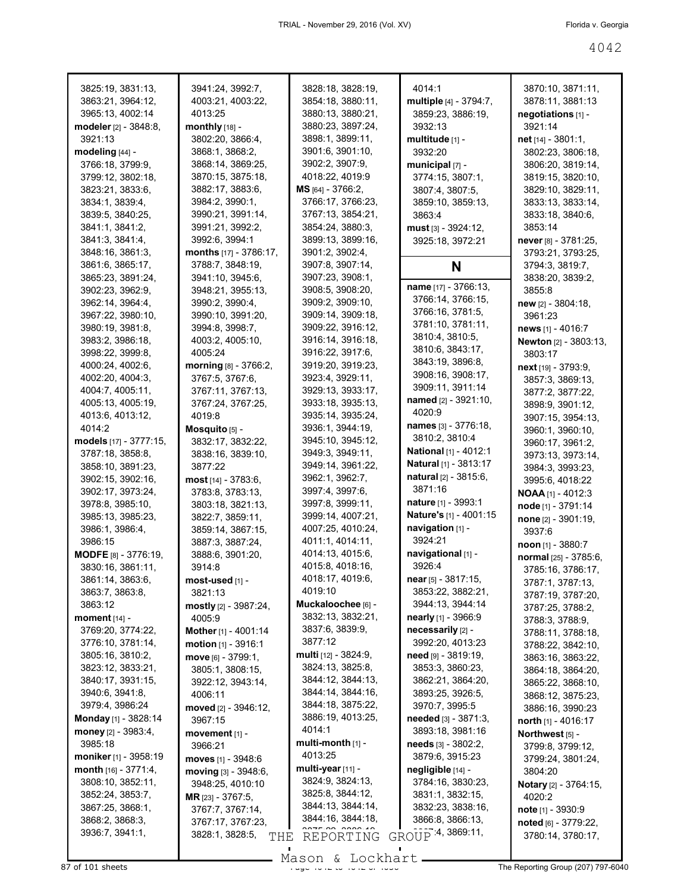| 3825:19, 3831:13,              | 3941:24, 3992:7,            | 3828:18, 3828:19,    | 4014:1                        | 3870:10, 3871:11,     |
|--------------------------------|-----------------------------|----------------------|-------------------------------|-----------------------|
| 3863:21, 3964:12,              | 4003:21, 4003:22,           | 3854:18, 3880:11,    | multiple [4] - 3794:7,        | 3878:11, 3881:13      |
| 3965:13, 4002:14               | 4013:25                     | 3880:13, 3880:21,    | 3859:23, 3886:19,             | negotiations [1] -    |
| modeler [2] - 3848:8,          | monthly $[18]$ -            | 3880:23, 3897:24,    | 3932:13                       | 3921:14               |
| 3921:13                        | 3802:20, 3866:4,            | 3898:1, 3899:11,     | multitude [1] -               | net [14] - 3801:1,    |
| modeling [44] -                | 3868:1, 3868:2,             | 3901:6, 3901:10,     | 3932:20                       | 3802:23, 3806:18,     |
| 3766:18, 3799:9,               | 3868:14, 3869:25,           | 3902:2, 3907:9,      | municipal $[7]$ -             | 3806:20, 3819:14,     |
| 3799:12, 3802:18,              | 3870:15, 3875:18,           | 4018:22, 4019:9      | 3774:15, 3807:1,              | 3819:15, 3820:10,     |
| 3823:21, 3833:6,               | 3882:17, 3883:6,            | MS [64] - 3766:2,    | 3807:4, 3807:5,               | 3829:10, 3829:11,     |
| 3834:1, 3839:4,                | 3984:2, 3990:1,             | 3766:17, 3766:23,    | 3859:10, 3859:13,             | 3833:13, 3833:14,     |
| 3839:5, 3840:25,               | 3990:21, 3991:14,           | 3767:13, 3854:21,    | 3863:4                        | 3833:18, 3840:6,      |
| 3841:1, 3841:2,                | 3991:21, 3992:2,            | 3854:24, 3880:3,     | $must$ [3] - 3924:12,         | 3853:14               |
| 3841:3, 3841:4,                | 3992:6, 3994:1              | 3899:13, 3899:16,    | 3925:18, 3972:21              | never [8] - 3781:25,  |
| 3848:16, 3861:3,               | months [17] - 3786:17,      | 3901:2, 3902:4,      |                               | 3793:21, 3793:25,     |
| 3861:6, 3865:17,               | 3788:7, 3848:19,            | 3907:8, 3907:14,     | N                             | 3794:3, 3819:7,       |
| 3865:23, 3891:24,              | 3941:10, 3945:6,            | 3907:23, 3908:1,     |                               | 3838:20, 3839:2,      |
| 3902:23, 3962:9,               | 3948:21, 3955:13,           | 3908:5, 3908:20,     | name [17] - 3766:13,          | 3855:8                |
| 3962:14, 3964:4,               | 3990:2, 3990:4,             | 3909:2, 3909:10,     | 3766:14, 3766:15,             | $new$ [2] - 3804:18,  |
| 3967:22, 3980:10,              | 3990:10, 3991:20,           | 3909:14, 3909:18,    | 3766:16, 3781:5,              | 3961:23               |
| 3980:19, 3981:8,               | 3994:8, 3998:7,             | 3909:22, 3916:12,    | 3781:10, 3781:11,             | news [1] - 4016:7     |
| 3983:2, 3986:18,               | 4003:2, 4005:10,            | 3916:14, 3916:18,    | 3810:4, 3810:5,               | Newton [2] - 3803:13, |
| 3998:22, 3999:8,               | 4005:24                     | 3916:22, 3917:6,     | 3810:6, 3843:17,              | 3803:17               |
| 4000:24, 4002:6,               | morning [8] - 3766:2,       | 3919:20, 3919:23,    | 3843:19, 3896:8,              | next [19] - 3793:9,   |
| 4002:20, 4004:3,               | 3767:5, 3767:6,             | 3923:4, 3929:11,     | 3908:16, 3908:17,             |                       |
| 4004:7, 4005:11,               | 3767:11, 3767:13,           | 3929:13, 3933:17,    | 3909:11, 3911:14              | 3857:3, 3869:13,      |
| 4005:13, 4005:19,              |                             | 3933:18, 3935:13,    | named [2] - 3921:10,          | 3877:2, 3877:22,      |
| 4013:6, 4013:12,               | 3767:24, 3767:25,<br>4019:8 | 3935:14, 3935:24,    | 4020:9                        | 3898:9, 3901:12,      |
| 4014:2                         |                             | 3936:1, 3944:19,     | names $[3] - 3776:18$ ,       | 3907:15, 3954:13,     |
|                                | Mosquito [5] -              | 3945:10, 3945:12,    | 3810:2, 3810:4                | 3960:1, 3960:10,      |
| models [17] - 3777:15,         | 3832:17, 3832:22,           |                      | <b>National</b> [1] - 4012:1  | 3960:17, 3961:2,      |
| 3787:18, 3858:8,               | 3838:16, 3839:10,           | 3949:3, 3949:11,     | <b>Natural</b> [1] - 3813:17  | 3973:13, 3973:14,     |
| 3858:10, 3891:23,              | 3877:22                     | 3949:14, 3961:22,    | <b>natural</b> $[2] - 3815.6$ | 3984:3, 3993:23,      |
| 3902:15, 3902:16,              | $most$ [14] - 3783:6,       | 3962:1, 3962:7,      | 3871:16                       | 3995:6, 4018:22       |
| 3902:17, 3973:24,              | 3783:8, 3783:13,            | 3997:4, 3997:6,      |                               | NOAA [1] - 4012:3     |
| 3978:8, 3985:10,               | 3803:18, 3821:13,           | 3997:8, 3999:11,     | <b>nature</b> [1] - 3993:1    | node [1] - 3791:14    |
| 3985:13, 3985:23,              | 3822:7, 3859:11,            | 3999:14, 4007:21,    | Nature's [1] - 4001:15        | none [2] - 3901:19,   |
| 3986:1, 3986:4,                | 3859:14, 3867:15,           | 4007:25, 4010:24,    | navigation [1] -              | 3937:6                |
| 3986:15                        | 3887:3, 3887:24,            | 4011:1, 4014:11,     | 3924:21                       | $n$ oon [1] - 3880:7  |
| MODFE [8] - 3776:19,           | 3888:6, 3901:20,            | 4014:13, 4015:6,     | navigational [1] -            | normal [25] - 3785:6, |
| 3830:16, 3861:11,              | 3914:8                      | 4015:8, 4018:16,     | 3926:4                        | 3785:16, 3786:17,     |
| 3861:14, 3863:6,               | $most-used$ [1] -           | 4018:17, 4019:6,     | near [5] - 3817:15,           | 3787:1, 3787:13,      |
| 3863:7, 3863:8,                | 3821:13                     | 4019:10              | 3853:22, 3882:21,             | 3787:19, 3787:20,     |
| 3863:12                        | mostly [2] - 3987:24,       | Muckaloochee [6] -   | 3944:13, 3944:14              | 3787:25, 3788:2,      |
| moment [14] -                  | 4005:9                      | 3832:13, 3832:21,    | <b>nearly</b> [1] - 3966:9    | 3788:3, 3788:9,       |
| 3769:20, 3774:22,              | Mother [1] - 4001:14        | 3837:6, 3839:9,      | necessarily [2] -             | 3788:11, 3788:18,     |
| 3776:10, 3781:14,              | motion [1] - 3916:1         | 3877:12              | 3992:20, 4013:23              | 3788:22, 3842:10,     |
| 3805:16, 3810:2,               | move [6] - 3799:1,          | multi [12] - 3824:9, | need [9] - 3819:19,           | 3863:16, 3863:22,     |
| 3823:12, 3833:21,              | 3805:1, 3808:15,            | 3824:13, 3825:8,     | 3853:3, 3860:23,              | 3864:18, 3864:20,     |
| 3840:17, 3931:15,              | 3922:12, 3943:14,           | 3844:12, 3844:13,    | 3862:21, 3864:20,             | 3865:22, 3868:10,     |
| 3940:6, 3941:8,                | 4006:11                     | 3844:14, 3844:16,    | 3893:25, 3926:5,              | 3868:12, 3875:23,     |
| 3979:4, 3986:24                | moved [2] - 3946:12,        | 3844:18, 3875:22,    | 3970:7, 3995:5                | 3886:16, 3990:23      |
| <b>Monday</b> [1] - 3828:14    | 3967:15                     | 3886:19, 4013:25,    | needed [3] - 3871:3,          | north $[1]$ - 4016:17 |
| money $[2] - 3983:4$ ,         | movement [1] -              | 4014:1               | 3893:18, 3981:16              | Northwest [5] -       |
| 3985:18                        | 3966:21                     | multi-month [1] -    | needs $[3] - 3802:2$ ,        | 3799:8, 3799:12,      |
| moniker [1] - 3958:19          | moves $[1] - 3948.6$        | 4013:25              | 3879:6, 3915:23               | 3799:24, 3801:24,     |
| <b>month</b> $[16] - 3771:4$ , | moving [3] - 3948:6,        | multi-year [11] -    | negligible [14] -             | 3804:20               |
| 3808:10, 3852:11,              | 3948:25, 4010:10            | 3824:9, 3824:13,     | 3784:16, 3830:23,             | Notary [2] - 3764:15, |
| 3852:24, 3853:7,               | MR [23] - 3767:5,           | 3825:8, 3844:12,     | 3831:1, 3832:15,              | 4020:2                |
| 3867:25, 3868:1,               | 3767:7, 3767:14,            | 3844:13, 3844:14,    | 3832:23, 3838:16,             | note $[1] - 3930.9$   |
| 3868:2, 3868:3,                | 3767:17, 3767:23,           | 3844:16, 3844:18,    | 3866:8, 3866:13,              | noted [6] - 3779:22,  |
| 3936:7, 3941:1,                | 3828:1, 3828:5,<br>THE      | REPORTING            | GROUP 4, 3869:11,             | 3780:14, 3780:17,     |
|                                |                             |                      |                               |                       |

87 of 101 sheets Page 4042 to 4042 of 4056 The Reporting Group (207) 797-6040 Mason & Lockhart.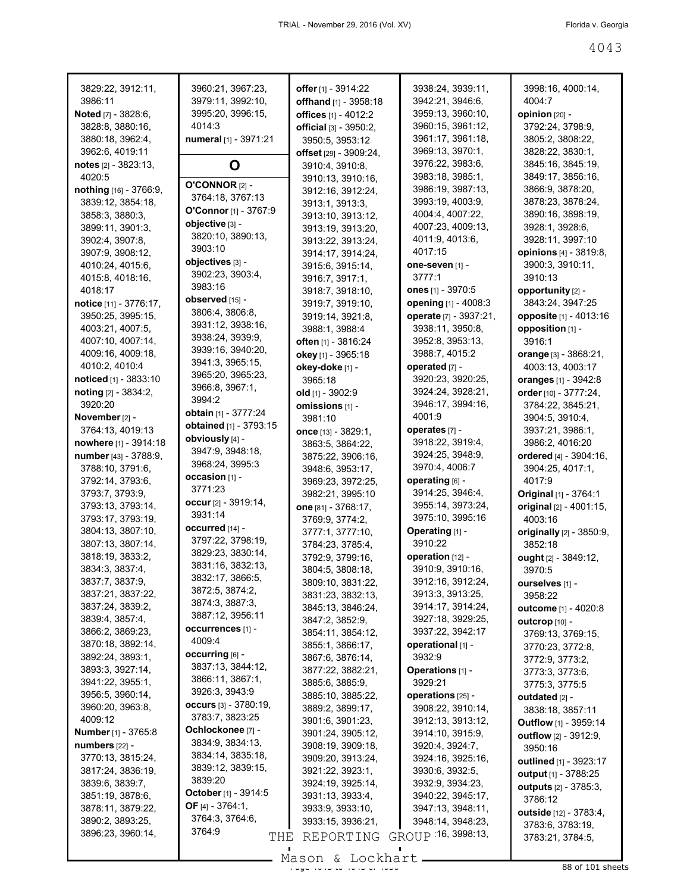| 3829:22, 3912:11,                    | 3960:21, 3967:23,                     | offer [1] - 3914:22                    | 3938:24, 3939:11,                    | 3998:16, 4000:14,                          |
|--------------------------------------|---------------------------------------|----------------------------------------|--------------------------------------|--------------------------------------------|
| 3986:11                              | 3979:11, 3992:10,                     | offhand [1] - 3958:18                  | 3942:21, 3946:6,                     | 4004:7                                     |
| <b>Noted</b> [7] - 3828:6,           | 3995:20, 3996:15,                     | offices [1] - 4012:2                   | 3959:13, 3960:10,                    | opinion [20] -                             |
| 3828:8, 3880:16,                     | 4014:3                                | official [3] - 3950:2,                 | 3960:15, 3961:12,                    | 3792:24, 3798:9,                           |
| 3880:18, 3962:4,                     | numeral [1] - 3971:21                 | 3950:5, 3953:12                        | 3961:17, 3961:18,                    | 3805:2, 3808:22,                           |
| 3962:6, 4019:11                      |                                       | offset [29] - 3909:24,                 | 3969:13, 3970:1,                     | 3828:22, 3830:1,                           |
| notes $[2] - 3823:13$ ,              | O                                     | 3910:4, 3910:8,                        | 3976:22, 3983:6,                     | 3845:16, 3845:19,                          |
| 4020:5                               | <b>O'CONNOR [2] -</b>                 | 3910:13, 3910:16,                      | 3983:18, 3985:1,                     | 3849:17, 3856:16,                          |
| nothing [16] - 3766:9,               | 3764:18, 3767:13                      | 3912:16, 3912:24,                      | 3986:19, 3987:13,                    | 3866:9, 3878:20,                           |
| 3839:12, 3854:18,<br>3858:3, 3880:3, | O'Connor [1] - 3767:9                 | 3913:1, 3913:3,                        | 3993:19, 4003:9,<br>4004:4, 4007:22, | 3878:23, 3878:24,<br>3890:16, 3898:19,     |
| 3899:11, 3901:3,                     | objective [3] -                       | 3913:10, 3913:12,                      | 4007:23, 4009:13,                    | 3928:1, 3928:6,                            |
| 3902:4, 3907:8,                      | 3820:10, 3890:13,                     | 3913:19, 3913:20,<br>3913:22, 3913:24, | 4011:9, 4013:6,                      | 3928:11, 3997:10                           |
| 3907:9, 3908:12,                     | 3903:10                               | 3914:17, 3914:24,                      | 4017:15                              | opinions [4] - 3819:8,                     |
| 4010:24, 4015:6,                     | objectives [3] -                      | 3915:6, 3915:14,                       | one-seven [1] -                      | 3900:3, 3910:11,                           |
| 4015:8, 4018:16,                     | 3902:23, 3903:4,                      | 3916:7, 3917:1,                        | 3777:1                               | 3910:13                                    |
| 4018:17                              | 3983:16                               | 3918:7, 3918:10,                       | <b>ones</b> [1] - 3970:5             | opportunity [2] -                          |
| notice [11] - 3776:17,               | observed [15] -                       | 3919:7, 3919:10,                       | opening [1] - 4008:3                 | 3843:24, 3947:25                           |
| 3950:25, 3995:15,                    | 3806:4, 3806:8,                       | 3919:14, 3921:8,                       | operate [7] - 3937:21,               | opposite [1] - 4013:16                     |
| 4003:21, 4007:5,                     | 3931:12, 3938:16,                     | 3988:1, 3988:4                         | 3938:11, 3950:8,                     | opposition [1] -                           |
| 4007:10, 4007:14,                    | 3938:24, 3939:9,                      | often [1] - 3816:24                    | 3952:8, 3953:13,                     | 3916:1                                     |
| 4009:16, 4009:18,                    | 3939:16, 3940:20,                     | okey [1] - 3965:18                     | 3988:7, 4015:2                       | orange $[3] - 3868:21$ ,                   |
| 4010:2, 4010:4                       | 3941:3, 3965:15,                      | okey-doke [1] -                        | operated [7] -                       | 4003:13, 4003:17                           |
| noticed [1] - 3833:10                | 3965:20, 3965:23,<br>3966:8, 3967:1,  | 3965:18                                | 3920:23, 3920:25,                    | oranges [1] - 3942:8                       |
| noting [2] - 3834:2,                 | 3994:2                                | old $[1] - 3902:9$                     | 3924:24, 3928:21,                    | order [10] - 3777:24,                      |
| 3920:20                              | obtain [1] - 3777:24                  | omissions [1] -                        | 3946:17, 3994:16,                    | 3784:22, 3845:21,                          |
| November [2] -                       | obtained [1] - 3793:15                | 3981:10                                | 4001:9                               | 3904:5, 3910:4,                            |
| 3764:13, 4019:13                     | obviously [4] -                       | once $[13] - 3829:1$ ,                 | operates [7] -                       | 3937:21, 3986:1,                           |
| nowhere [1] - 3914:18                | 3947:9, 3948:18,                      | 3863:5, 3864:22,                       | 3918:22, 3919:4,                     | 3986:2, 4016:20                            |
| number [43] - 3788:9,                | 3968:24, 3995:3                       | 3875:22, 3906:16,                      | 3924:25, 3948:9,                     | ordered [4] - 3904:16,                     |
| 3788:10, 3791:6,                     | occasion [1] -                        | 3948:6, 3953:17,                       | 3970:4, 4006:7                       | 3904:25, 4017:1,                           |
| 3792:14, 3793:6,                     | 3771:23                               | 3969:23, 3972:25,                      | operating [6] -<br>3914:25, 3946:4,  | 4017:9                                     |
| 3793:7, 3793:9,<br>3793:13, 3793:14, | occur [2] - 3919:14,                  | 3982:21, 3995:10                       | 3955:14, 3973:24,                    | Original [1] - 3764:1                      |
| 3793:17, 3793:19,                    | 3931:14                               | one [81] - 3768:17,<br>3769:9, 3774:2, | 3975:10, 3995:16                     | original [2] - 4001:15,<br>4003:16         |
| 3804:13, 3807:10,                    | occurred [14] -                       | 3777:1, 3777:10,                       | Operating [1] -                      | originally [2] - 3850:9,                   |
| 3807:13, 3807:14,                    | 3797:22, 3798:19,                     | 3784:23, 3785:4,                       | 3910:22                              | 3852:18                                    |
| 3818:19, 3833:2,                     | 3829:23, 3830:14,                     | 3792:9, 3799:16,                       | operation [12] -                     | ought [2] - 3849:12,                       |
| 3834:3, 3837:4,                      | 3831:16, 3832:13,                     | 3804:5, 3808:18,                       | 3910:9, 3910:16,                     | 3970:5                                     |
| 3837:7, 3837:9,                      | 3832:17, 3866:5,                      | 3809:10, 3831:22,                      | 3912:16, 3912:24,                    | ourselves [1] -                            |
| 3837:21, 3837:22,                    | 3872:5, 3874:2,                       | 3831:23, 3832:13,                      | 3913:3, 3913:25,                     | 3958:22                                    |
| 3837:24, 3839:2,                     | 3874:3, 3887:3,                       | 3845:13, 3846:24,                      | 3914:17, 3914:24,                    | outcome [1] - 4020:8                       |
| 3839:4, 3857:4,                      | 3887:12, 3956:11                      | 3847:2, 3852:9,                        | 3927:18, 3929:25,                    | <b>outcrop</b> $[10]$ -                    |
| 3866:2, 3869:23,                     | occurrences [1] -                     | 3854:11, 3854:12,                      | 3937:22, 3942:17                     | 3769:13, 3769:15,                          |
| 3870:18, 3892:14,                    | 4009:4                                | 3855:1, 3866:17,                       | operational [1] -                    | 3770:23, 3772:8,                           |
| 3892:24, 3893:1,                     | occurring [6] -                       | 3867:6, 3876:14,                       | 3932:9                               | 3772:9, 3773:2,                            |
| 3893:3, 3927:14,                     | 3837:13, 3844:12,<br>3866:11, 3867:1, | 3877:22, 3882:21,                      | Operations [1] -                     | 3773:3, 3773:6,                            |
| 3941:22, 3955:1,                     | 3926:3, 3943:9                        | 3885:6, 3885:9,                        | 3929:21                              | 3775:3, 3775:5                             |
| 3956:5, 3960:14,                     | occurs $[3] - 3780:19$ ,              | 3885:10, 3885:22,                      | operations [25] -                    | <b>outdated</b> [2] -                      |
| 3960:20, 3963:8,<br>4009:12          | 3783:7, 3823:25                       | 3889:2, 3899:17,                       | 3908:22, 3910:14,                    | 3838:18, 3857:11                           |
| Number [1] - 3765:8                  | Ochlockonee [7] -                     | 3901:6, 3901:23,                       | 3912:13, 3913:12,                    | Outflow [1] - 3959:14                      |
| numbers [22] -                       | 3834:9, 3834:13,                      | 3901:24, 3905:12,<br>3908:19, 3909:18, | 3914:10, 3915:9,<br>3920:4, 3924:7,  | <b>outflow</b> [2] - 3912:9,               |
| 3770:13, 3815:24,                    | 3834:14, 3835:18,                     | 3909:20, 3913:24,                      | 3924:16, 3925:16,                    | 3950:16                                    |
| 3817:24, 3836:19,                    | 3839:12, 3839:15,                     | 3921:22, 3923:1,                       | 3930:6, 3932:5,                      | outlined [1] - 3923:17                     |
| 3839:6, 3839:7,                      | 3839:20                               | 3924:19, 3925:14,                      | 3932:9, 3934:23,                     | output [1] - 3788:25                       |
| 3851:19, 3878:6,                     | October [1] - 3914:5                  | 3931:13, 3933:4,                       | 3940:22, 3945:17,                    | <b>outputs</b> [2] - 3785:3,<br>3786:12    |
| 3878:11, 3879:22,                    | <b>OF</b> [4] - 3764:1,               | 3933:9, 3933:10,                       | 3947:13, 3948:11,                    |                                            |
| 3890:2, 3893:25,                     | 3764:3, 3764:6,                       | 3933:15, 3936:21,                      | 3948:14, 3948:23,                    | outside [12] - 3783:4,<br>3783:6, 3783:19, |
| 3896:23, 3960:14,                    | 3764:9<br>THE                         | REPORTING                              | GROUP 16, 3998:13,                   | 3783:21, 3784:5,                           |
|                                      |                                       |                                        |                                      |                                            |

 $\frac{200011}{400011}$   $\frac{2000111}{400011}$   $\frac{2000111}{400011}$   $\frac{2000111}{400011}$  sheets Mason & Lockhart.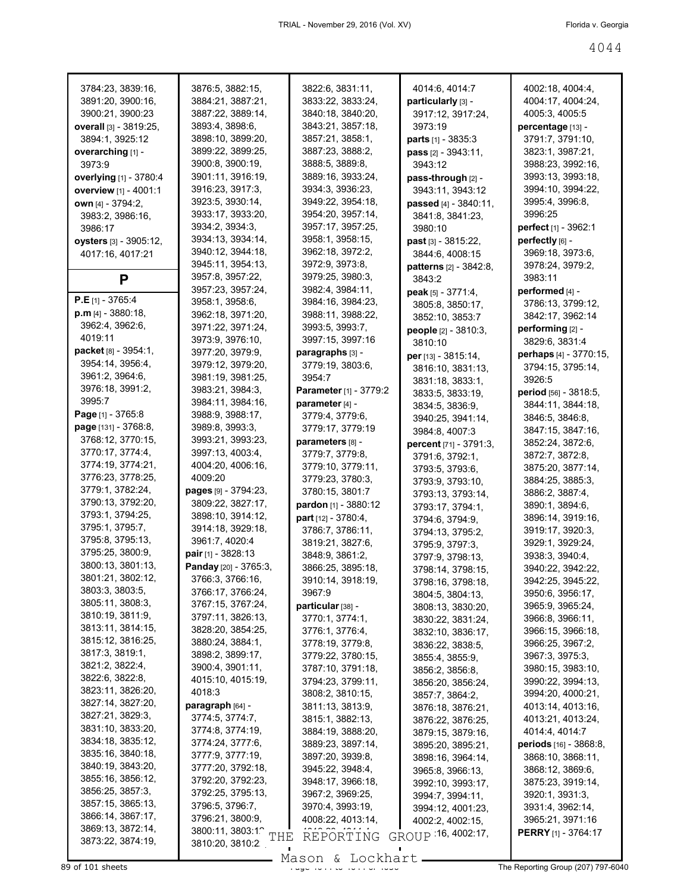| 3784:23, 3839:16,             | 3876:5, 3882:15,                 | 3822:6, 3831:11,            | 4014:6, 4014:7              | 4002:18, 4004:4,                   |
|-------------------------------|----------------------------------|-----------------------------|-----------------------------|------------------------------------|
| 3891:20, 3900:16,             | 3884:21, 3887:21,                | 3833:22, 3833:24,           | particularly [3] -          | 4004:17, 4004:24,                  |
| 3900:21, 3900:23              | 3887:22, 3889:14,                | 3840:18, 3840:20,           | 3917:12, 3917:24,           | 4005:3, 4005:5                     |
| <b>overall</b> [3] - 3819:25, | 3893:4, 3898:6,                  | 3843:21, 3857:18,           | 3973:19                     | <b>percentage</b> [13] -           |
| 3894:1, 3925:12               | 3898:10, 3899:20,                | 3857:21, 3858:1,            | <b>parts</b> $[1] - 3835:3$ | 3791:7, 3791:10,                   |
| overarching [1] -             | 3899:22, 3899:25,                | 3887:23, 3888:2,            | pass [2] - 3943:11,         | 3823:1, 3987:21,                   |
| 3973:9                        | 3900:8, 3900:19,                 | 3888:5, 3889:8,             |                             | 3988:23, 3992:16,                  |
|                               |                                  |                             | 3943:12                     |                                    |
| overlying [1] - 3780:4        | 3901:11, 3916:19,                | 3889:16, 3933:24,           | pass-through [2] -          | 3993:13, 3993:18,                  |
| <b>overview</b> [1] - 4001:1  | 3916:23, 3917:3,                 | 3934:3, 3936:23,            | 3943:11, 3943:12            | 3994:10, 3994:22,                  |
| own [4] - 3794:2,             | 3923:5, 3930:14,                 | 3949:22, 3954:18,           | passed [4] - 3840:11,       | 3995:4, 3996:8,                    |
| 3983:2, 3986:16,              | 3933:17, 3933:20,                | 3954:20, 3957:14,           | 3841:8, 3841:23,            | 3996:25                            |
| 3986:17                       | 3934:2, 3934:3,                  | 3957:17, 3957:25,           | 3980:10                     | <b>perfect</b> [1] - 3962:1        |
| <b>oysters</b> [3] - 3905:12, | 3934:13, 3934:14,                | 3958:1, 3958:15,            | <b>past</b> $[3] - 3815:22$ | perfectly [6] -                    |
| 4017:16, 4017:21              | 3940:12, 3944:18,                | 3962:18, 3972:2,            | 3844:6, 4008:15             | 3969:18, 3973:6,                   |
|                               | 3945:11, 3954:13,                | 3972:9, 3973:8,             | patterns [2] - 3842:8,      | 3978:24, 3979:2,                   |
| P                             | 3957:8, 3957:22,                 | 3979:25, 3980:3,            | 3843:2                      | 3983:11                            |
|                               | 3957:23, 3957:24,                | 3982:4, 3984:11,            | peak [5] - 3771:4,          | performed [4] -                    |
| $P.E$ [1] - 3765:4            | 3958:1, 3958:6,                  | 3984:16, 3984:23,           | 3805:8, 3850:17,            | 3786:13, 3799:12,                  |
| p.m [4] - 3880:18,            | 3962:18, 3971:20,                | 3988:11, 3988:22,           | 3852:10, 3853:7             | 3842:17, 3962:14                   |
| 3962:4, 3962:6,               | 3971:22, 3971:24,                | 3993:5, 3993:7,             |                             | performing [2] -                   |
| 4019:11                       | 3973:9, 3976:10,                 | 3997:15, 3997:16            | people [2] - 3810:3,        |                                    |
| <b>packet</b> [8] - 3954:1,   | 3977:20, 3979:9,                 | paragraphs [3] -            | 3810:10                     | 3829:6, 3831:4                     |
| 3954:14, 3956:4,              |                                  |                             | per [13] - 3815:14,         | <b>perhaps</b> [4] - 3770:15,      |
|                               | 3979:12, 3979:20,                | 3779:19, 3803:6.            | 3816:10, 3831:13,           | 3794:15, 3795:14,                  |
| 3961:2, 3964:6,               | 3981:19, 3981:25,                | 3954:7                      | 3831:18, 3833:1,            | 3926:5                             |
| 3976:18, 3991:2,              | 3983:21, 3984:3,                 | Parameter [1] - 3779:2      | 3833:5, 3833:19,            | period [56] - 3818:5,              |
| 3995:7                        | 3984:11, 3984:16,                | parameter [4] -             | 3834:5, 3836:9,             | 3844:11, 3844:18,                  |
| <b>Page</b> $[1] - 3765.8$    | 3988:9, 3988:17,                 | 3779:4, 3779:6,             | 3940:25, 3941:14,           | 3846:5, 3846:8,                    |
| page [131] - 3768:8,          | 3989:8, 3993:3,                  | 3779:17, 3779:19            | 3984:8, 4007:3              | 3847:15, 3847:16,                  |
| 3768:12, 3770:15,             | 3993:21, 3993:23,                | parameters [8] -            | percent [71] - 3791:3,      | 3852:24, 3872:6,                   |
| 3770:17, 3774:4,              | 3997:13, 4003:4,                 | 3779:7, 3779:8,             | 3791:6, 3792:1,             | 3872:7, 3872:8,                    |
| 3774:19, 3774:21,             | 4004:20, 4006:16,                | 3779:10, 3779:11,           | 3793:5, 3793:6,             | 3875:20, 3877:14,                  |
| 3776:23, 3778:25,             | 4009:20                          | 3779:23, 3780:3,            | 3793:9, 3793:10,            | 3884:25, 3885:3,                   |
| 3779:1, 3782:24,              | pages [9] - 3794:23,             | 3780:15, 3801:7             | 3793:13, 3793:14,           | 3886:2, 3887:4,                    |
| 3790:13, 3792:20,             | 3809:22, 3827:17,                | <b>pardon</b> [1] - 3880:12 | 3793:17, 3794:1,            | 3890:1, 3894:6,                    |
| 3793:1, 3794:25,              | 3898:10, 3914:12,                | <b>part</b> [12] - 3780:4,  | 3794:6, 3794:9,             | 3896:14, 3919:16,                  |
| 3795:1, 3795:7,               | 3914:18, 3929:18,                | 3786:7, 3786:11,            |                             | 3919:17, 3920:3,                   |
| 3795:8, 3795:13,              | 3961:7, 4020:4                   | 3819:21, 3827:6,            | 3794:13, 3795:2,            |                                    |
| 3795:25, 3800:9,              | <b>pair</b> [1] - 3828:13        | 3848:9, 3861:2,             | 3795:9, 3797:3,             | 3929:1, 3929:24,                   |
| 3800:13, 3801:13,             | Panday [20] - 3765:3,            |                             | 3797:9, 3798:13,            | 3938:3, 3940:4,                    |
| 3801:21, 3802:12,             |                                  | 3866:25, 3895:18,           | 3798:14, 3798:15,           | 3940:22, 3942:22,                  |
| 3803:3, 3803:5,               | 3766:3, 3766:16,                 | 3910:14, 3918:19,           | 3798:16, 3798:18,           | 3942:25, 3945:22                   |
| 3805:11, 3808:3,              | 3766:17, 3766:24,                | 3967:9                      | 3804:5, 3804:13,            | 3950:6, 3956:17,                   |
|                               | 3767:15, 3767:24,                | particular [38] -           | 3808:13, 3830:20,           | 3965:9, 3965:24,                   |
| 3810:19, 3811:9,              | 3797:11, 3826:13,                | 3770:1, 3774:1,             | 3830:22, 3831:24,           | 3966:8, 3966:11,                   |
| 3813:11, 3814:15,             | 3828:20, 3854:25,                | 3776:1, 3776:4,             | 3832:10, 3836:17,           | 3966:15, 3966:18,                  |
| 3815:12, 3816:25,             | 3880:24, 3884:1,                 | 3778:19, 3779:8,            | 3836:22, 3838:5,            | 3966:25, 3967:2,                   |
| 3817:3, 3819:1,               | 3898:2, 3899:17,                 | 3779:22, 3780:15,           | 3855:4, 3855:9,             | 3967:3, 3975:3,                    |
| 3821:2, 3822:4,               | 3900:4, 3901:11,                 | 3787:10, 3791:18,           | 3856:2, 3856:8,             | 3980:15, 3983:10,                  |
| 3822:6, 3822:8,               | 4015:10, 4015:19,                | 3794:23, 3799:11,           | 3856:20, 3856:24,           | 3990:22, 3994:13,                  |
| 3823:11, 3826:20,             | 4018:3                           | 3808:2, 3810:15,            | 3857:7, 3864:2,             | 3994:20, 4000:21,                  |
| 3827:14, 3827:20,             | paragraph [64] -                 | 3811:13, 3813:9,            | 3876:18, 3876:21,           | 4013:14, 4013:16,                  |
| 3827:21, 3829:3,              | 3774:5, 3774:7,                  | 3815:1, 3882:13,            | 3876:22, 3876:25,           | 4013:21, 4013:24,                  |
| 3831:10, 3833:20,             | 3774:8, 3774:19,                 | 3884:19, 3888:20,           | 3879:15, 3879:16,           | 4014:4, 4014:7                     |
| 3834:18, 3835:12,             | 3774:24, 3777:6,                 | 3889:23, 3897:14,           | 3895:20, 3895:21,           | periods [16] - 3868:8,             |
| 3835:16, 3840:18,             | 3777:9, 3777:19,                 | 3897:20, 3939:8,            | 3898:16, 3964:14,           | 3868:10, 3868:11,                  |
| 3840:19, 3843:20,             | 3777:20, 3792:18,                | 3945:22, 3948:4,            | 3965:8, 3966:13,            | 3868:12, 3869:6,                   |
| 3855:16, 3856:12,             | 3792:20, 3792:23,                | 3948:17, 3966:18,           |                             | 3875:23, 3919:14,                  |
| 3856:25, 3857:3,              | 3792:25, 3795:13,                |                             | 3992:10, 3993:17,           |                                    |
| 3857:15, 3865:13,             | 3796:5, 3796:7,                  | 3967:2, 3969:25,            | 3994:7, 3994:11,            | 3920:1, 3931:3,                    |
| 3866:14, 3867:17,             |                                  | 3970:4, 3993:19,            | 3994:12, 4001:23,           | 3931:4, 3962:14,                   |
| 3869:13, 3872:14,             | 3796:21, 3800:9,                 | 4008:22, 4013:14,           | 4002:2, 4002:15,            | 3965:21, 3971:16                   |
| 3873:22, 3874:19,             | 3800:11, 3803:1 <sup>o</sup> THE | REPORTING                   | GROUP 16, 4002:17,          | <b>PERRY</b> [1] - 3764:17         |
|                               | 3810:20, 3810:2                  |                             |                             |                                    |
|                               |                                  | Mason & Lockhart.           |                             | The Reporting Group (207) 797-6040 |
| 89 of 101 sheets              |                                  |                             |                             |                                    |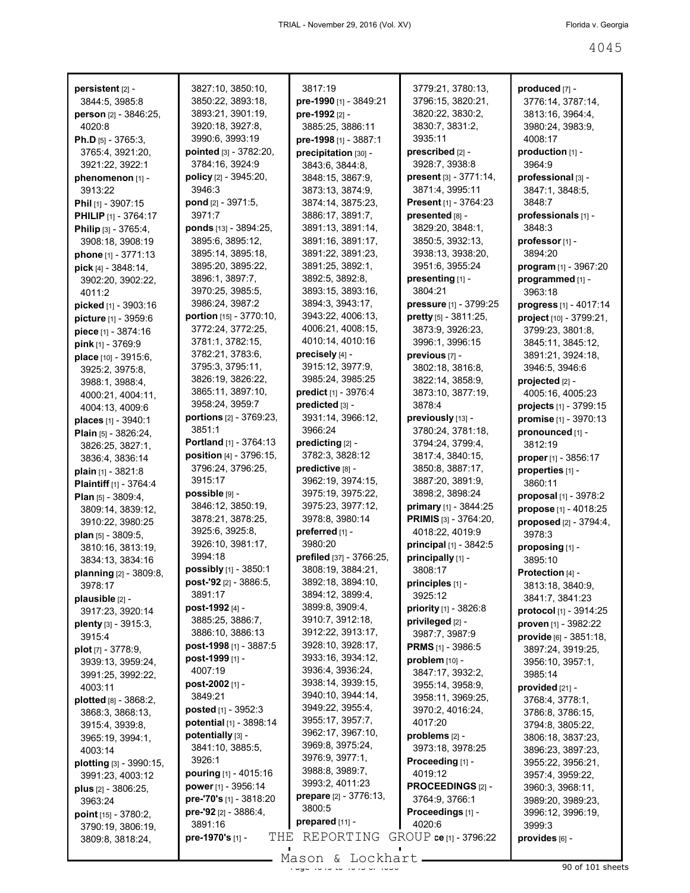| persistent [2] -                         | 3827:10, 3850:10,                      | 3817:19                               | 3779:21, 3780:13,                    | produced [7] -                                    |
|------------------------------------------|----------------------------------------|---------------------------------------|--------------------------------------|---------------------------------------------------|
| 3844:5, 3985:8                           | 3850:22, 3893:18,                      | pre-1990 [1] - 3849:21                | 3796:15, 3820:21,                    | 3776:14, 3787:14,                                 |
| person [2] - 3846:25,                    | 3893:21, 3901:19,                      | pre-1992 [2] -                        | 3820:22, 3830:2,                     | 3813:16, 3964:4,                                  |
| 4020:8                                   | 3920:18, 3927:8,                       | 3885:25, 3886:11                      | 3830:7, 3831:2,                      | 3980:24, 3983:9,                                  |
| <b>Ph.D</b> [5] - 3765:3,                | 3990:6, 3993:19                        | pre-1998 [1] - 3887:1                 | 3935:11                              | 4008:17                                           |
| 3765:4, 3921:20,                         | pointed [3] - 3782:20,                 | precipitation [30] -                  | prescribed [2] -                     | production [1] -                                  |
| 3921:22, 3922:1                          | 3784:16, 3924:9                        | 3843:6, 3844:8,                       | 3928:7, 3938:8                       | 3964:9                                            |
| phenomenon [1] -                         | policy [2] - 3945:20,                  | 3848:15, 3867:9,                      | present [3] - 3771:14,               | professional [3] -                                |
| 3913:22                                  | 3946:3                                 | 3873:13, 3874:9,                      | 3871:4, 3995:11                      | 3847:1, 3848:5,                                   |
| Phil $[1]$ - 3907:15                     | pond [2] - 3971:5,                     | 3874:14, 3875:23,                     | Present [1] - 3764:23                | 3848:7                                            |
| <b>PHILIP</b> [1] - 3764:17              | 3971:7                                 | 3886:17, 3891:7,                      | presented [8] -                      | professionals [1] -                               |
| Philip [3] - 3765:4,                     | ponds [13] - 3894:25,                  | 3891:13, 3891:14,                     | 3829:20, 3848:1,                     | 3848:3                                            |
| 3908:18, 3908:19                         | 3895:6, 3895:12,                       | 3891:16, 3891:17,                     | 3850:5, 3932:13,                     | professor <sub>[1]</sub> -                        |
| phone [1] - 3771:13                      | 3895:14, 3895:18,<br>3895:20, 3895:22, | 3891:22, 3891:23,<br>3891:25, 3892:1, | 3938:13, 3938:20,<br>3951:6, 3955:24 | 3894:20                                           |
| pick $[4] - 3848:14$ ,                   | 3896:1, 3897:7,                        | 3892:5, 3892:8,                       | presenting [1] -                     | program $[1]$ - 3967:20                           |
| 3902:20, 3902:22,                        | 3970:25, 3985:5,                       | 3893:15, 3893:16,                     | 3804:21                              | programmed [1] -<br>3963:18                       |
| 4011:2                                   | 3986:24, 3987:2                        | 3894:3, 3943:17,                      | pressure [1] - 3799:25               |                                                   |
| picked [1] - 3903:16                     | portion [15] - 3770:10,                | 3943:22, 4006:13,                     | pretty [5] - 3811:25,                | progress [1] - 4017:14<br>project [10] - 3799:21, |
| picture [1] - 3959:6                     | 3772:24, 3772:25,                      | 4006:21, 4008:15,                     | 3873:9, 3926:23,                     | 3799:23, 3801:8,                                  |
| piece [1] - 3874:16<br>pink [1] - 3769:9 | 3781:1, 3782:15,                       | 4010:14, 4010:16                      | 3996:1, 3996:15                      | 3845:11, 3845:12,                                 |
| place $[10] - 3915.6$ ,                  | 3782:21, 3783:6,                       | precisely [4] -                       | previous [7] -                       | 3891:21, 3924:18,                                 |
| 3925:2, 3975:8,                          | 3795:3, 3795:11,                       | 3915:12, 3977:9,                      | 3802:18, 3816:8,                     | 3946:5, 3946:6                                    |
| 3988:1, 3988:4,                          | 3826:19, 3826:22,                      | 3985:24, 3985:25                      | 3822:14, 3858:9,                     | projected [2] -                                   |
| 4000:21, 4004:11,                        | 3865:11, 3897:10,                      | predict [1] - 3976:4                  | 3873:10, 3877:19,                    | 4005:16, 4005:23                                  |
| 4004:13, 4009:6                          | 3958:24, 3959:7                        | predicted [3] -                       | 3878:4                               | projects [1] - 3799:15                            |
| places [1] - 3940:1                      | portions [2] - 3769:23,                | 3931:14, 3966:12,                     | previously [13] -                    | promise [1] - 3970:13                             |
| Plain [5] - 3826:24,                     | 3851:1                                 | 3966:24                               | 3780:24, 3781:18,                    | pronounced [1] -                                  |
| 3826:25, 3827:1,                         | Portland [1] - 3764:13                 | predicting [2] -                      | 3794:24, 3799:4,                     | 3812:19                                           |
| 3836:4, 3836:14                          | position [4] - 3796:15,                | 3782:3, 3828:12                       | 3817:4, 3840:15,                     | proper $[1]$ - 3856:17                            |
| plain $[1]$ - 3821:8                     | 3796:24, 3796:25,                      | predictive [8] -                      | 3850:8, 3887:17,                     | properties [1] -                                  |
| <b>Plaintiff</b> [1] - 3764:4            | 3915:17                                | 3962:19, 3974:15,                     | 3887:20, 3891:9,                     | 3860:11                                           |
| Plan [5] - 3809:4,                       | possible [9] -                         | 3975:19, 3975:22,                     | 3898:2, 3898:24                      | proposal [1] - 3978:2                             |
| 3809:14, 3839:12,                        | 3846:12, 3850:19,                      | 3975:23, 3977:12,                     | <b>primary</b> [1] - 3844:25         | propose [1] - 4018:25                             |
| 3910:22, 3980:25                         | 3878:21, 3878:25,                      | 3978:8, 3980:14                       | <b>PRIMIS</b> [3] - 3764:20,         | proposed [2] - 3794:4,                            |
| plan [5] - 3809:5,                       | 3925:6, 3925:8,                        | preferred [1] -                       | 4018:22, 4019:9                      | 3978:3                                            |
| 3810:16, 3813:19,                        | 3926:10, 3981:17,                      | 3980:20                               | principal [1] - 3842:5               | proposing [1] -                                   |
| 3834:13, 3834:16                         | 3994:18                                | prefiled [37] - 3766:25,              | principally [1] -                    | 3895:10                                           |
| planning [2] - 3809:8,                   | possibly [1] - 3850:1                  | 3808:19, 3884:21,                     | 3808:17                              | Protection [4] -                                  |
| 3978:17                                  | post-'92 [2] - 3886.5,                 | 3892:18, 3894:10,                     | principles [1] -                     | 3813:18, 3840:9,                                  |
| plausible $[2]$ -                        | 3891:17                                | 3894:12, 3899:4,                      | 3925:12                              | 3841:7, 3841:23                                   |
| 3917:23, 3920:14                         | post-1992 [4] -                        | 3899:8, 3909:4,                       | priority [1] - 3826:8                | protocol [1] - 3914:25                            |
| plenty [3] - 3915:3,                     | 3885:25, 3886:7,                       | 3910:7, 3912:18,                      | privileged [2] -                     | proven [1] - 3982:22                              |
| 3915:4                                   | 3886:10, 3886:13                       | 3912:22, 3913:17,                     | 3987:7, 3987:9                       | provide [6] - 3851:18,                            |
| <b>plot</b> [7] - 3778:9,                | post-1998 [1] - 3887:5                 | 3928:10, 3928:17,                     | <b>PRMS</b> [1] - 3986:5             | 3897:24, 3919:25,                                 |
| 3939:13, 3959:24,                        | post-1999 [1] -                        | 3933:16, 3934:12,                     | problem [10] -                       | 3956:10, 3957:1,                                  |
| 3991:25, 3992:22,                        | 4007:19                                | 3936:4, 3936:24,                      | 3847:17, 3932:2,                     | 3985:14                                           |
| 4003:11                                  | post-2002 [1] -                        | 3938:14, 3939:15,                     | 3955:14, 3958:9,                     | provided [21] -                                   |
| plotted [8] - 3868:2,                    | 3849:21                                | 3940:10, 3944:14,                     | 3958:11, 3969:25,                    | 3768:4, 3778:1,                                   |
| 3868:3, 3868:13,                         | posted [1] - 3952:3                    | 3949:22, 3955:4,<br>3955:17, 3957:7,  | 3970:2, 4016:24,                     | 3786:8, 3786:15,                                  |
| 3915:4, 3939:8,                          | potential [1] - 3898:14                | 3962:17, 3967:10,                     | 4017:20                              | 3794:8, 3805:22,                                  |
| 3965:19, 3994:1,                         | potentially [3] -                      | 3969:8, 3975:24,                      | problems [2] -                       | 3806:18, 3837:23,                                 |
| 4003:14                                  | 3841:10, 3885:5,                       | 3976:9, 3977:1,                       | 3973:18, 3978:25                     | 3896:23, 3897:23,                                 |
| plotting [3] - 3990:15,                  | 3926:1                                 | 3988:8, 3989:7,                       | Proceeding [1] -                     | 3955:22, 3956:21,                                 |
| 3991:23, 4003:12                         | pouring [1] - 4015:16                  | 3993:2, 4011:23                       | 4019:12                              | 3957:4, 3959:22,                                  |
| plus $[2] - 3806:25$ ,                   | power [1] - 3956:14                    | prepare [2] - 3776:13,                | PROCEEDINGS [2] -                    | 3960:3, 3968:11,                                  |
| 3963:24                                  | pre-'70's [1] - 3818:20                | 3800:5                                | 3764:9, 3766:1                       | 3989:20, 3989:23,                                 |
| point [15] - 3780:2,                     | pre-'92 $[2] - 3886:4$                 | prepared [11] -                       | Proceedings [1] -                    | 3996:12, 3996:19,                                 |
| 3790:19, 3806:19,                        | 3891:16                                |                                       | 4020:6                               | 3999:3                                            |
| 3809:8, 3818:24,                         | THE<br>pre-1970's [1] -                | REPORTING                             | GROUP ce [1] - 3796:22               | provides [6] -                                    |

Mason & Lockhart <u>entitled by the 405 of 101 sheets</u>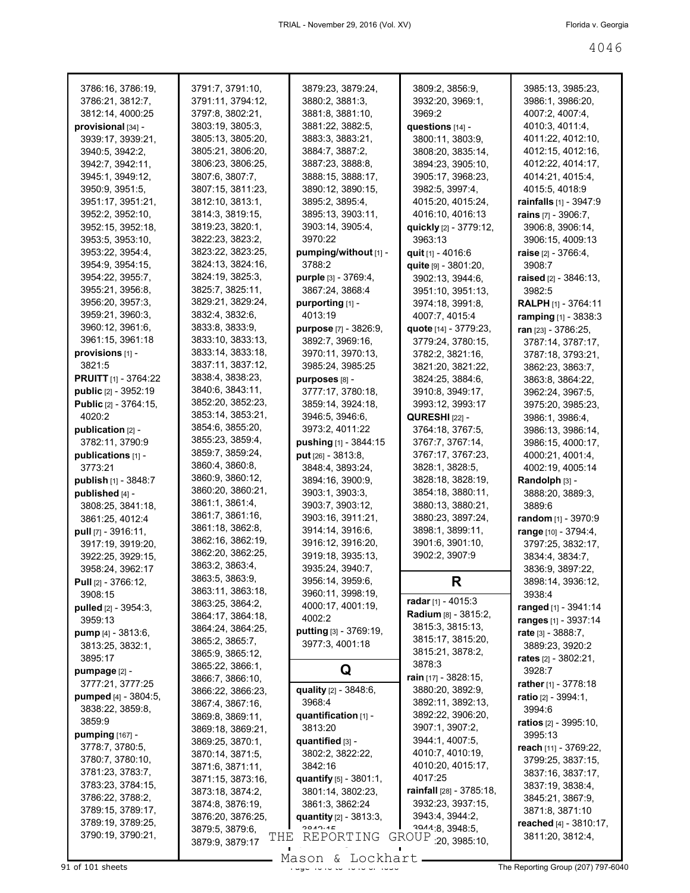| 3786:16, 3786:19,             | 3791:7, 3791:10,                          | 3879:23, 3879:24,                    | 3809:2, 3856:9,                       | 3985:13, 3985:23,               |
|-------------------------------|-------------------------------------------|--------------------------------------|---------------------------------------|---------------------------------|
| 3786:21, 3812:7,              | 3791:11, 3794:12,                         | 3880:2, 3881:3,                      | 3932:20, 3969:1,                      | 3986:1, 3986:20,                |
| 3812:14, 4000:25              | 3797:8, 3802:21,                          | 3881:8, 3881:10,                     | 3969:2                                | 4007:2, 4007:4,                 |
| provisional [34] -            | 3803:19, 3805:3,                          | 3881:22, 3882:5,                     | questions $[14]$ -                    | 4010:3, 4011:4,                 |
| 3939:17, 3939:21,             | 3805:13, 3805:20,                         | 3883:3, 3883:21,                     | 3800:11, 3803:9,                      | 4011:22, 4012:10,               |
| 3940:5, 3942:2,               | 3805:21, 3806:20,                         | 3884:7, 3887:2,                      | 3808:20, 3835:14,                     | 4012:15, 4012:16,               |
| 3942:7, 3942:11,              | 3806:23, 3806:25,                         | 3887:23, 3888:8,                     | 3894:23, 3905:10,                     | 4012:22, 4014:17,               |
| 3945:1, 3949:12,              | 3807:6, 3807:7,                           | 3888:15, 3888:17,                    | 3905:17, 3968:23,                     | 4014:21, 4015:4,                |
| 3950:9, 3951:5,               | 3807:15, 3811:23,                         | 3890:12, 3890:15,                    | 3982:5, 3997:4,                       | 4015:5, 4018:9                  |
| 3951:17, 3951:21,             | 3812:10, 3813:1,                          | 3895:2, 3895:4,                      | 4015:20, 4015:24,                     | <b>rainfalls</b> [1] - $3947:9$ |
| 3952:2, 3952:10,              | 3814:3, 3819:15,                          | 3895:13, 3903:11,                    | 4016:10, 4016:13                      | <b>rains</b> $[7] - 3906:7$     |
|                               |                                           |                                      |                                       |                                 |
| 3952:15, 3952:18,             | 3819:23, 3820:1,                          | 3903:14, 3905:4,                     | quickly [2] - 3779:12,                | 3906:8, 3906:14,                |
| 3953:5, 3953:10,              | 3822:23, 3823:2,                          | 3970:22                              | 3963:13                               | 3906:15, 4009:13                |
| 3953:22, 3954:4,              | 3823:22, 3823:25,                         | pumping/without [1] -                | quit $[1]$ - 4016:6                   | <b>raise</b> $[2] - 3766.4$ ,   |
| 3954:9, 3954:15,              | 3824:13, 3824:16,                         | 3788:2                               | quite [9] - 3801:20,                  | 3908:7                          |
| 3954:22, 3955:7,              | 3824:19, 3825:3,                          | <b>purple</b> [3] - 3769:4,          | 3902:13, 3944:6,                      | raised $[2] - 3846:13$ ,        |
| 3955:21, 3956:8,              | 3825:7, 3825:11,                          | 3867:24, 3868:4                      | 3951:10, 3951:13,                     | 3982:5                          |
| 3956:20, 3957:3,              | 3829:21, 3829:24,                         | purporting [1] -                     | 3974:18, 3991:8,                      | <b>RALPH</b> [1] - 3764:11      |
| 3959:21, 3960:3,              | 3832:4, 3832:6,                           | 4013:19                              | 4007:7, 4015:4                        | ramping [1] - 3838:3            |
| 3960:12, 3961:6,              | 3833:8, 3833:9,                           | <b>purpose</b> [7] - 3826:9,         | <b>quote</b> [14] - 3779:23,          | ran [23] - 3786:25,             |
| 3961:15, 3961:18              | 3833:10, 3833:13,                         | 3892:7, 3969:16,                     | 3779:24, 3780:15,                     | 3787:14, 3787:17,               |
| provisions [1] -              | 3833:14, 3833:18,                         | 3970:11, 3970:13,                    | 3782:2, 3821:16,                      | 3787:18, 3793:21,               |
| 3821:5                        | 3837:11, 3837:12,                         | 3985:24, 3985:25                     | 3821:20, 3821:22,                     | 3862:23, 3863:7,                |
| <b>PRUITT</b> [1] - 3764:22   | 3838:4, 3838:23,                          | purposes [8] -                       | 3824:25, 3884:6,                      | 3863:8, 3864:22,                |
| <b>public</b> [2] - 3952:19   | 3840:6, 3843:11,                          |                                      |                                       |                                 |
|                               | 3852:20, 3852:23,                         | 3777:17, 3780:18,                    | 3910:8, 3949:17,                      | 3962:24, 3967:5,                |
| <b>Public</b> [2] - 3764:15,  |                                           | 3859:14, 3924:18,                    | 3993:12, 3993:17                      | 3975:20, 3985:23,               |
| 4020:2                        | 3853:14, 3853:21,                         | 3946:5, 3946:6,                      | <b>QURESHI</b> [22] -                 | 3986:1, 3986:4,                 |
| publication $[2]$ -           | 3854:6, 3855:20,                          | 3973:2, 4011:22                      | 3764:18, 3767:5,                      | 3986:13, 3986:14,               |
| 3782:11, 3790:9               | 3855:23, 3859:4,                          | pushing [1] - 3844:15                | 3767:7, 3767:14,                      | 3986:15, 4000:17,               |
| publications [1] -            | 3859:7, 3859:24,                          | put [26] - 3813:8,                   | 3767:17, 3767:23,                     | 4000:21, 4001:4,                |
| 3773:21                       | 3860:4, 3860:8,                           | 3848:4, 3893:24,                     | 3828:1, 3828:5,                       | 4002:19, 4005:14                |
| publish [1] - 3848:7          | 3860:9, 3860:12,                          | 3894:16, 3900:9,                     | 3828:18, 3828:19,                     | Randolph [3] -                  |
| published $[4]$ -             | 3860:20, 3860:21,                         | 3903:1, 3903:3,                      | 3854:18, 3880:11,                     | 3888:20, 3889:3,                |
| 3808:25, 3841:18,             | 3861:1, 3861:4,                           | 3903:7, 3903:12,                     | 3880:13, 3880:21,                     | 3889:6                          |
| 3861:25, 4012:4               | 3861:7, 3861:16,                          | 3903:16, 3911:21,                    | 3880:23, 3897:24,                     | random [1] - 3970:9             |
| <b>pull</b> $[7] - 3916:11$ , | 3861:18, 3862:8,                          | 3914:14, 3916:6,                     | 3898:1, 3899:11,                      | range [10] - 3794:4,            |
| 3917:19, 3919:20,             | 3862:16, 3862:19,                         | 3916:12, 3916:20,                    | 3901:6, 3901:10,                      | 3797:25, 3832:17,               |
| 3922:25, 3929:15,             | 3862:20, 3862:25,                         | 3919:18, 3935:13,                    | 3902:2, 3907:9                        | 3834:4, 3834:7,                 |
| 3958:24, 3962:17              | 3863:2, 3863:4,                           | 3935:24, 3940:7,                     |                                       |                                 |
|                               | 3863:5, 3863:9,                           | 3956:14, 3959:6,                     | R                                     | 3836:9, 3897:22,                |
| Pull [2] - 3766:12,           | 3863:11, 3863:18,                         | 3960:11, 3998:19,                    |                                       | 3898:14, 3936:12,               |
| 3908:15                       | 3863:25, 3864:2,                          |                                      | radar [1] - $4015:3$                  | 3938:4                          |
| pulled [2] - 3954:3,          | 3864:17, 3864:18,                         | 4000:17, 4001:19,                    | Radium [8] - 3815:2,                  | ranged [1] - 3941:14            |
| 3959:13                       | 3864:24, 3864:25,                         | 4002:2                               | 3815:3, 3815:13,                      | ranges [1] - 3937:14            |
| pump [4] - 3813:6,            |                                           | putting [3] - 3769:19,               | 3815:17, 3815:20,                     | rate [3] - 3888:7,              |
| 3813:25, 3832:1,              | 3865:2, 3865:7,                           | 3977:3, 4001:18                      | 3815:21, 3878:2,                      | 3889:23, 3920:2                 |
| 3895:17                       | 3865:9, 3865:12,                          |                                      |                                       |                                 |
| pumpage [2] -                 |                                           |                                      |                                       | <b>rates</b> [2] - 3802:21,     |
|                               | 3865:22, 3866:1,                          | Q                                    | 3878:3                                | 3928:7                          |
| 3777:21, 3777:25              | 3866:7, 3866:10,                          |                                      | rain [17] - 3828:15,                  |                                 |
|                               | 3866:22, 3866:23,                         | quality [2] - 3848:6,                | 3880:20, 3892:9,                      | rather [1] - 3778:18            |
| pumped [4] - 3804:5,          | 3867:4, 3867:16,                          | 3968:4                               | 3892:11, 3892:13,                     | ratio [2] - 3994:1,             |
| 3838:22, 3859:8,              | 3869:8, 3869:11,                          | quantification [1] -                 | 3892:22, 3906:20,                     | 3994:6                          |
| 3859:9                        | 3869:18, 3869:21,                         | 3813:20                              | 3907:1, 3907:2,                       | <b>ratios</b> [2] - 3995:10,    |
| <b>pumping</b> [167] -        | 3869:25, 3870:1,                          | quantified [3] -                     | 3944:1, 4007:5,                       | 3995:13                         |
| 3778:7, 3780:5,               | 3870:14, 3871:5,                          | 3802:2, 3822:22,                     | 4010:7, 4010:19,                      | reach [11] - 3769:22,           |
| 3780:7, 3780:10,              | 3871:6, 3871:11,                          | 3842:16                              | 4010:20, 4015:17,                     | 3799:25, 3837:15,               |
| 3781:23, 3783:7,              | 3871:15, 3873:16,                         | quantify [5] - 3801:1,               | 4017:25                               | 3837:16, 3837:17,               |
| 3783:23, 3784:15,             | 3873:18, 3874:2,                          | 3801:14, 3802:23,                    | rainfall [28] - 3785:18,              | 3837:19, 3838:4,                |
| 3786:22, 3788:2,              |                                           |                                      | 3932:23, 3937:15,                     | 3845:21, 3867:9,                |
| 3789:15, 3789:17,             | 3874:8, 3876:19,                          | 3861:3, 3862:24                      | 3943:4, 3944:2,                       | 3871:8, 3871:10                 |
| 3789:19, 3789:25,             | 3876:20, 3876:25,                         | quantity $[2] - 3813.3$ ,<br>2010.15 |                                       | reached [4] - 3810:17,          |
| 3790:19, 3790:21,             | 3879:5, 3879:6,<br>THE<br>3879:9, 3879:17 | REPORTING                            | 3044.8, 3948.5,<br>GROUP 20, 3985:10, | 3811:20, 3812:4,                |

Mason & Lockhart **Page 4046 of 101 sheets** Page 4046 to 4046 of 4046 Mason & Lockhart **Page 4046 of 4046 of 4046 of 4046 of 4046 of 4046 of 4046 of 4046 of 4046 of 4046 of 4046 of 4046 of 4046 of 4046 of 4046 of 4046 of 40**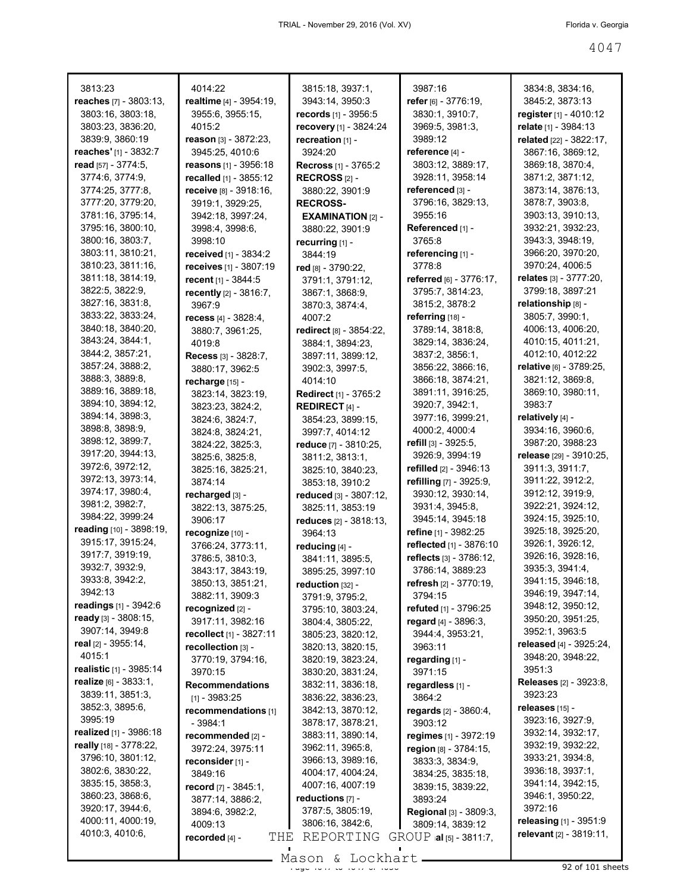| 3813:23                         | 4014:22                             | 3815:18, 3937:1,               | 3987:16                        | 3834:8, 3834:16,              |
|---------------------------------|-------------------------------------|--------------------------------|--------------------------------|-------------------------------|
| reaches [7] - 3803:13,          | realtime [4] - 3954:19,             | 3943:14, 3950:3                | refer $[6] - 3776.19$ ,        | 3845:2, 3873:13               |
| 3803:16, 3803:18,               | 3955:6, 3955:15,                    | <b>records</b> $[1] - 3956:5$  | 3830:1, 3910:7,                | <b>register</b> [1] - 4010:12 |
| 3803:23, 3836:20,               | 4015:2                              | recovery [1] - 3824:24         | 3969:5, 3981:3,                | relate [1] - 3984:13          |
| 3839:9, 3860:19                 | reason [3] - 3872:23,               | recreation [1] -               | 3989:12                        | related [22] - 3822:17,       |
| <b>reaches'</b> $[1]$ - 3832:7  | 3945:25, 4010:6                     | 3924:20                        | reference $[4]$ -              | 3867:16, 3869:12,             |
| read [57] - 3774:5,             | <b>reasons</b> [1] - 3956:18        | <b>Recross</b> $[1]$ - 3765:2  | 3803:12, 3889:17,              | 3869:18, 3870:4,              |
| 3774:6, 3774:9,                 | recalled [1] - 3855:12              | RECROSS $[2]$ -                | 3928:11, 3958:14               | 3871:2, 3871:12,              |
| 3774:25, 3777:8,                | receive [8] - 3918:16,              | 3880:22, 3901:9                | referenced [3] -               | 3873:14, 3876:13,             |
| 3777:20, 3779:20,               | 3919:1, 3929:25,                    | <b>RECROSS-</b>                | 3796:16, 3829:13,              | 3878:7, 3903:8,               |
| 3781:16, 3795:14,               | 3942:18, 3997:24,                   | <b>EXAMINATION</b> [2] -       | 3955:16                        | 3903:13, 3910:13,             |
| 3795:16, 3800:10,               | 3998:4, 3998:6,                     | 3880:22, 3901:9                | Referenced [1] -               | 3932:21, 3932:23,             |
| 3800:16, 3803:7,                | 3998:10                             | recurring [1] -                | 3765:8                         | 3943:3, 3948:19,              |
| 3803:11, 3810:21,               | <b>received</b> [1] - 3834:2        | 3844:19                        | referencing $[1]$ -            | 3966:20, 3970:20,             |
| 3810:23, 3811:16,               | receives [1] - 3807:19              | red [8] - 3790:22,             | 3778:8                         | 3970:24, 4006:5               |
| 3811:18, 3814:19,               | recent [1] - 3844:5                 | 3791:1, 3791:12,               | referred $[6] - 3776:17$ ,     | relates $[3]$ - $3777:20$ ,   |
| 3822:5, 3822:9,                 | <b>recently</b> $[2] - 3816:7$ ,    | 3867:1, 3868:9,                | 3795:7, 3814:23,               | 3799:18, 3897:21              |
| 3827:16, 3831:8,                | 3967:9                              | 3870:3, 3874:4,                | 3815:2, 3878:2                 | relationship [8] -            |
| 3833:22, 3833:24,               | recess $[4] - 3828:4$ ,             | 4007:2                         | referring $[18]$ -             | 3805:7, 3990:1,               |
| 3840:18, 3840:20,               | 3880:7, 3961:25,                    | <b>redirect</b> [8] - 3854:22, | 3789:14, 3818:8,               | 4006:13, 4006:20,             |
| 3843:24, 3844:1,                | 4019:8                              | 3884:1, 3894:23,               | 3829:14, 3836:24,              | 4010:15, 4011:21,             |
| 3844:2, 3857:21,                | Recess [3] - 3828:7.                | 3897:11, 3899:12,              | 3837:2, 3856:1,                | 4012:10, 4012:22              |
| 3857:24, 3888:2,                | 3880:17, 3962:5                     | 3902:3, 3997:5,                | 3856:22, 3866:16,              | relative [6] - 3789:25,       |
| 3888:3, 3889:8,                 | recharge [15] -                     | 4014:10                        | 3866:18, 3874:21,              | 3821:12, 3869:8,              |
| 3889:16, 3889:18,               | 3823:14, 3823:19,                   | <b>Redirect</b> [1] - 3765:2   | 3891:11, 3916:25,              | 3869:10, 3980:11,             |
| 3894:10, 3894:12,               | 3823:23, 3824:2,                    | <b>REDIRECT</b> [4] $-$        | 3920:7, 3942:1,                | 3983:7                        |
| 3894:14, 3898:3,                | 3824:6, 3824:7,                     | 3854:23, 3899:15,              | 3977:16, 3999:21,              | relatively [4] -              |
| 3898:8, 3898:9,                 | 3824:8, 3824:21,                    | 3997:7, 4014:12                | 4000:2, 4000:4                 | 3934:16, 3960:6,              |
| 3898:12, 3899:7,                |                                     |                                | refill $[3] - 3925.5$ ,        | 3987:20, 3988:23              |
| 3917:20, 3944:13,               | 3824:22, 3825:3,<br>3825:6, 3825:8, | reduce [7] - 3810:25,          | 3926:9, 3994:19                | release [29] - 3910:25,       |
| 3972:6, 3972:12,                | 3825:16, 3825:21,                   | 3811:2, 3813:1,                | refilled $[2] - 3946:13$       | 3911:3, 3911:7,               |
| 3972:13, 3973:14,               |                                     | 3825:10, 3840:23,              | refilling [7] - 3925:9,        | 3911:22, 3912:2,              |
| 3974:17, 3980:4,                | 3874:14                             | 3853:18, 3910:2                | 3930:12, 3930:14,              | 3912:12, 3919:9,              |
| 3981:2, 3982:7,                 | recharged [3] -                     | reduced [3] - 3807:12,         |                                | 3922:21, 3924:12,             |
| 3984:22, 3999:24                | 3822:13, 3875:25,                   | 3825:11, 3853:19               | 3931:4, 3945:8,                | 3924:15, 3925:10,             |
| reading [10] - 3898:19,         | 3906:17                             | reduces $[2] - 3818:13$ ,      | 3945:14, 3945:18               | 3925:18, 3925:20,             |
| 3915:17, 3915:24,               | recognize [10] -                    | 3964:13                        | refine [1] - 3982:25           | 3926:1, 3926:12,              |
| 3917:7, 3919:19,                | 3766:24, 3773:11,                   | reducing [4] -                 | reflected [1] - 3876:10        | 3926:16, 3928:16,             |
| 3932:7, 3932:9,                 | 3786:5, 3810:3,                     | 3841:11, 3895:5,               | reflects [3] - 3786:12,        | 3935:3, 3941:4,               |
| 3933:8, 3942:2,                 | 3843:17, 3843:19,                   | 3895:25, 3997:10               | 3786:14, 3889:23               | 3941:15, 3946:18,             |
| 3942:13                         | 3850:13, 3851:21,                   | reduction $[32]$ -             | refresh [2] - 3770:19,         | 3946:19, 3947:14,             |
| readings [1] - 3942:6           | 3882:11, 3909:3                     | 3791:9, 3795:2,                | 3794:15                        | 3948:12, 3950:12,             |
| ready [3] - 3808:15,            | recognized [2] -                    | 3795:10, 3803:24,              | refuted [1] - 3796:25          | 3950:20, 3951:25,             |
| 3907:14, 3949:8                 | 3917:11, 3982:16                    | 3804:4, 3805:22,               | regard [4] - 3896:3,           |                               |
| real [2] - 3955:14,             | recollect [1] - 3827:11             | 3805:23, 3820:12,              | 3944:4, 3953:21,               | 3952:1, 3963:5                |
| 4015:1                          | recollection [3] -                  | 3820:13, 3820:15,              | 3963:11                        | released [4] - 3925:24,       |
|                                 | 3770:19, 3794:16,                   | 3820:19, 3823:24,              | regarding [1] -                | 3948:20, 3948:22,             |
| realistic [1] - 3985:14         | 3970:15                             | 3830:20, 3831:24,              | 3971:15                        | 3951:3                        |
| realize [6] - 3833:1,           | <b>Recommendations</b>              | 3832:11, 3836:18,              | regardless [1] -               | <b>Releases</b> [2] - 3923:8, |
| 3839:11, 3851:3,                | $[1] - 3983:25$                     | 3836:22, 3836:23,              | 3864:2                         | 3923:23                       |
| 3852:3, 3895:6,                 | recommendations [1]                 | 3842:13, 3870:12,              | regards [2] - 3860:4,          | releases [15] -               |
| 3995:19                         | $-3984:1$                           | 3878:17, 3878:21,              | 3903:12                        | 3923:16, 3927:9,              |
| <b>realized</b> $[1] - 3986:18$ | recommended [2] -                   | 3883:11, 3890:14,              | regimes [1] - 3972:19          | 3932:14, 3932:17,             |
| really [18] - 3778:22,          | 3972:24, 3975:11                    | 3962:11, 3965:8,               | region [8] - 3784:15,          | 3932:19, 3932:22,             |
| 3796:10, 3801:12,               | reconsider [1] -                    | 3966:13, 3989:16,              | 3833:3, 3834:9,                | 3933:21, 3934:8,              |
| 3802:6, 3830:22,                | 3849:16                             | 4004:17, 4004:24,              | 3834:25, 3835:18,              | 3936:18, 3937:1,              |
| 3835:15, 3858:3,                | record $[7] - 3845:1$ ,             | 4007:16, 4007:19               | 3839:15, 3839:22,              | 3941:14, 3942:15,             |
| 3860:23, 3868:6,                | 3877:14, 3886:2,                    | reductions [7] -               | 3893:24                        | 3946:1, 3950:22,              |
| 3920:17, 3944:6,                | 3894:6, 3982:2,                     | 3787:5, 3805:19,               | Regional [3] - 3809:3,         | 3972:16                       |
| 4000:11, 4000:19,               | 4009:13                             | 3806:16, 3842:6,               | 3809:14, 3839:12               | releasing [1] - 3951:9        |
| 4010:3, 4010:6,                 | THE<br>recorded [4] -               | REPORTING                      | $GROUP$ $ aI _{[5]}$ - 3811:7, | relevant $[2] - 3819.11$ ,    |
|                                 |                                     |                                |                                |                               |

 $\frac{200011}{400011}$  at  $\frac{2000111}{4000}$  of  $\frac{200011}{4000}$  of  $\frac{20001}{400}$  of 101 sheets Mason & Lockhart.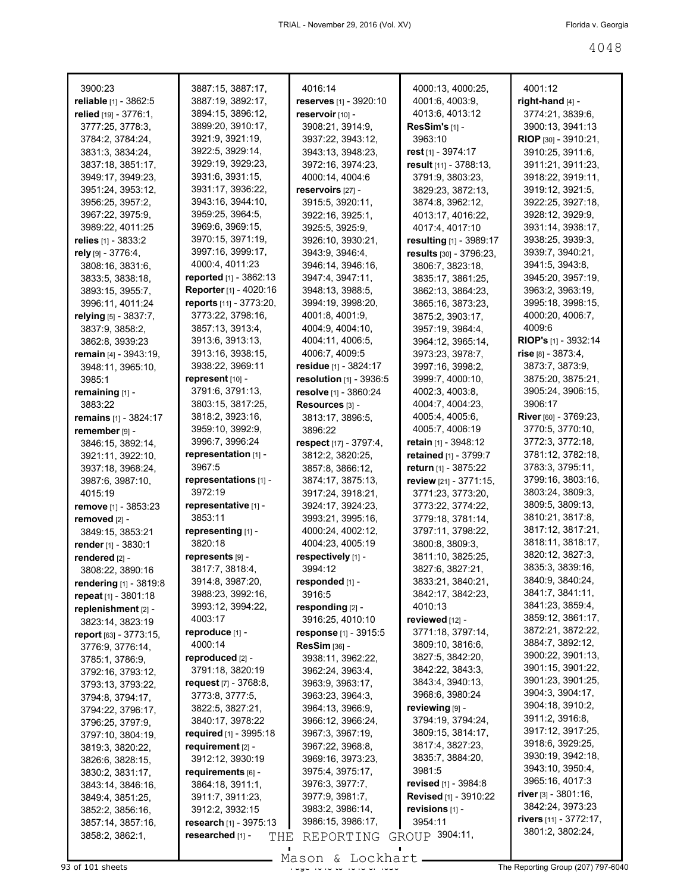| reliable [1] - 3862:5<br>3887:19, 3892:17,<br>reserves [1] - 3920:10<br>4001:6, 4003:9,<br>right-hand $[4]$ -<br>3894:15, 3896:12,<br>relied [19] - 3776:1,<br>reservoir [10] -<br>4013:6, 4013:12<br>3774:21, 3839:6,<br>3899:20, 3910:17,<br>3908:21, 3914:9,<br>ResSim's [1] -<br>3900:13, 3941:13<br>3777:25, 3778:3,<br>3921:9, 3921:19,<br>3963:10<br>3784:2, 3784:24,<br>3937:22, 3943:12,<br>RIOP [30] - 3910:21.<br>3831:3, 3834:24,<br>3922:5, 3929:14,<br>3943:13, 3948:23,<br>rest [1] - 3974:17<br>3910:25, 3911:6,<br>3929:19, 3929:23,<br>result [11] - 3788:13,<br>3911:21, 3911:23,<br>3837:18, 3851:17,<br>3972:16, 3974:23,<br>3931:6, 3931:15,<br>3949:17, 3949:23,<br>4000:14, 4004:6<br>3918:22, 3919:11,<br>3791:9, 3803:23,<br>3931:17, 3936:22,<br>3951:24, 3953:12,<br>reservoirs [27] -<br>3919:12, 3921:5,<br>3829:23, 3872:13,<br>3943:16, 3944:10,<br>3956:25, 3957:2,<br>3915:5, 3920:11,<br>3874:8, 3962:12,<br>3922:25, 3927:18,<br>3959:25, 3964:5,<br>3967:22, 3975:9,<br>3922:16, 3925:1,<br>3928:12, 3929:9,<br>4013:17, 4016:22,<br>3969:6, 3969:15,<br>3989:22, 4011:25<br>3925:5, 3925:9,<br>3931:14, 3938:17,<br>4017:4, 4017:10<br>3970:15, 3971:19,<br>3938:25, 3939:3,<br>relies [1] - 3833:2<br>3926:10, 3930:21,<br>resulting [1] - 3989:17<br>3997:16, 3999:17,<br>rely $[9] - 3776:4$ ,<br>3939:7, 3940:21,<br>3943:9, 3946:4,<br>results [30] - 3796:23,<br>4000:4, 4011:23<br>3808:16, 3831:6,<br>3946:14, 3946:16,<br>3941:5, 3943:8,<br>3806:7, 3823:18,<br><b>reported</b> $[1]$ - 3862:13<br>3945:20, 3957:19,<br>3833:5, 3838:18,<br>3947:4, 3947:11,<br>3835:17, 3861:25,<br>Reporter [1] - 4020:16<br>3963:2, 3963:19,<br>3893:15, 3955:7,<br>3948:13, 3988:5,<br>3862:13, 3864:23,<br>reports [11] - 3773:20,<br>3995:18, 3998:15,<br>3996:11, 4011:24<br>3994:19, 3998:20,<br>3865:16, 3873:23,<br>3773:22, 3798:16,<br>4000:20, 4006:7,<br>relying [5] - 3837:7,<br>4001:8, 4001:9,<br>3875:2, 3903:17,<br>4009:6<br>3857:13, 3913:4,<br>4004:9, 4004:10,<br>3837:9, 3858:2,<br>3957:19, 3964:4,<br><b>RIOP's</b> $[1]$ - 3932:14<br>3913:6, 3913:13,<br>4004:11, 4006:5,<br>3964:12, 3965:14,<br>3862:8, 3939:23<br>rise [8] - 3873:4,<br>3913:16, 3938:15,<br>4006:7, 4009:5<br>remain [4] - 3943:19,<br>3973:23, 3978:7,<br>3938:22, 3969:11<br>3873:7, 3873:9,<br>residue $[1]$ - 3824:17<br>3997:16, 3998:2,<br>3948:11, 3965:10,<br>represent [10] -<br>resolution [1] - 3936:5<br>3875:20, 3875:21,<br>3999:7, 4000:10,<br>3985:1<br>3791:6, 3791:13,<br>3905:24, 3906:15,<br>resolve [1] - 3860:24<br>4002:3, 4003:8,<br>remaining [1] -<br>3906:17<br>3803:15, 3817:25,<br>Resources [3] -<br>4004:7, 4004:23,<br>3883:22<br>3818:2, 3923:16,<br>River [60] - 3769:23,<br>4005:4, 4005:6,<br>remains [1] - 3824:17<br>3813:17, 3896:5,<br>4005:7, 4006:19<br>3770:5, 3770:10,<br>3959:10, 3992:9,<br>3896:22<br>remember [9] -<br>3996:7, 3996:24<br>3772:3, 3772:18,<br>respect [17] - 3797:4,<br>retain $[1]$ - 3948:12<br>3846:15, 3892:14,<br>representation [1] -<br>3781:12, 3782:18,<br>3812:2, 3820:25,<br><b>retained</b> [1] - 3799:7<br>3921:11, 3922:10,<br>3967:5<br>3783:3, 3795:11,<br>3857:8, 3866:12,<br>return [1] - 3875:22<br>3937:18, 3968:24,<br>3799:16, 3803:16,<br>representations [1] -<br>review [21] - 3771:15,<br>3874:17, 3875:13,<br>3987:6, 3987:10,<br>3972:19<br>3803:24, 3809:3,<br>4015:19<br>3917:24, 3918:21,<br>3771:23, 3773:20,<br>3809:5, 3809:13,<br>representative [1] -<br>remove [1] - 3853:23<br>3924:17, 3924:23,<br>3773:22, 3774:22,<br>3810:21, 3817:8,<br>3853:11<br>3993:21, 3995:16,<br>3779:18, 3781:14,<br>removed [2] -<br>3817:12, 3817:21,<br>representing [1] -<br>4000:24, 4002:12,<br>3797:11, 3798:22,<br>3849:15, 3853:21<br>3820:18<br>3818:11, 3818:17,<br>4004:23, 4005:19<br>3800:8, 3809:3,<br>render [1] - 3830:1<br>3820:12, 3827:3,<br>respectively [1] -<br>represents [9] -<br>3811:10, 3825:25,<br>rendered [2] -<br>3835:3, 3839:16,<br>3994:12<br>3817:7, 3818:4,<br>3827:6, 3827:21,<br>3808:22, 3890:16<br>3840:9, 3840:24,<br>3914:8, 3987:20,<br>responded [1] -<br>3833:21, 3840:21,<br><b>rendering</b> [1] - 3819:8<br>3841:7, 3841:11,<br>3988:23, 3992:16,<br>3842:17, 3842:23,<br>3916:5<br>repeat $[1] - 3801:18$<br>3841:23, 3859:4,<br>3993:12, 3994:22,<br>4010:13<br>responding [2] -<br>replenishment [2] -<br>3859:12, 3861:17,<br>4003:17<br>reviewed [12] -<br>3916:25, 4010:10<br>3823:14, 3823:19<br>3872:21, 3872:22,<br>3771:18, 3797:14,<br>reproduce [1] -<br>response [1] - 3915:5<br>report [63] - 3773:15,<br>3884:7, 3892:12,<br>4000:14<br>3809:10, 3816:6,<br><b>ResSim [36] -</b><br>3776:9, 3776:14,<br>3900:22, 3901:13,<br>3827:5, 3842:20,<br>reproduced [2] -<br>3938:11, 3962:22,<br>3785:1, 3786:9,<br>3901:15, 3901:22,<br>3842:22, 3843:3,<br>3791:18, 3820:19<br>3962:24, 3963:4,<br>3792:16, 3793:12,<br>3901:23, 3901:25,<br>3843:4, 3940:13,<br>request $[7] - 3768.8$ ,<br>3963:9, 3963:17,<br>3793:13, 3793:22,<br>3904:3, 3904:17,<br>3968:6, 3980:24<br>3773:8, 3777:5,<br>3963:23, 3964:3,<br>3794:8, 3794:17,<br>3904:18, 3910:2,<br>reviewing [9] -<br>3822:5, 3827:21,<br>3964:13, 3966:9,<br>3794:22, 3796:17,<br>3911:2, 3916:8,<br>3840:17, 3978:22<br>3794:19, 3794:24,<br>3966:12, 3966:24,<br>3796:25, 3797:9.<br>3917:12, 3917:25,<br>3809:15, 3814:17,<br>required [1] - 3995:18<br>3967:3, 3967:19,<br>3797:10, 3804:19,<br>3918:6, 3929:25,<br>3817:4, 3827:23,<br>requirement $[2]$ -<br>3967:22, 3968:8,<br>3819:3, 3820:22,<br>3930:19, 3942:18,<br>3835:7, 3884:20,<br>3912:12, 3930:19<br>3969:16, 3973:23,<br>3826:6, 3828:15,<br>3943:10, 3950:4,<br>3981:5<br>3975:4, 3975:17,<br>requirements $[6]$ -<br>3830:2, 3831:17,<br>3965:16, 4017:3<br>revised [1] - 3984:8<br>3976:3, 3977:7,<br>3864:18, 3911:1,<br>3843:14, 3846:16,<br><b>river</b> $[3] - 3801:16$ ,<br>Revised [1] - 3910:22<br>3977:9, 3981:7,<br>3911:7, 3911:23,<br>3849:4, 3851:25,<br>3842:24, 3973:23<br>3983:2, 3986:14,<br>revisions [1] -<br>3912:2, 3932:15<br>3852:2, 3856:16,<br>rivers [11] - 3772:17,<br>3954:11<br>3986:15, 3986:17,<br>research [1] - 3975:13<br>3857:14, 3857:16,<br>3801:2, 3802:24,<br>GROUP 3904:11,<br>3858:2, 3862:1,<br>researched [1] -<br>THE<br>REPORTING |         |                   |         |                   |         |
|----------------------------------------------------------------------------------------------------------------------------------------------------------------------------------------------------------------------------------------------------------------------------------------------------------------------------------------------------------------------------------------------------------------------------------------------------------------------------------------------------------------------------------------------------------------------------------------------------------------------------------------------------------------------------------------------------------------------------------------------------------------------------------------------------------------------------------------------------------------------------------------------------------------------------------------------------------------------------------------------------------------------------------------------------------------------------------------------------------------------------------------------------------------------------------------------------------------------------------------------------------------------------------------------------------------------------------------------------------------------------------------------------------------------------------------------------------------------------------------------------------------------------------------------------------------------------------------------------------------------------------------------------------------------------------------------------------------------------------------------------------------------------------------------------------------------------------------------------------------------------------------------------------------------------------------------------------------------------------------------------------------------------------------------------------------------------------------------------------------------------------------------------------------------------------------------------------------------------------------------------------------------------------------------------------------------------------------------------------------------------------------------------------------------------------------------------------------------------------------------------------------------------------------------------------------------------------------------------------------------------------------------------------------------------------------------------------------------------------------------------------------------------------------------------------------------------------------------------------------------------------------------------------------------------------------------------------------------------------------------------------------------------------------------------------------------------------------------------------------------------------------------------------------------------------------------------------------------------------------------------------------------------------------------------------------------------------------------------------------------------------------------------------------------------------------------------------------------------------------------------------------------------------------------------------------------------------------------------------------------------------------------------------------------------------------------------------------------------------------------------------------------------------------------------------------------------------------------------------------------------------------------------------------------------------------------------------------------------------------------------------------------------------------------------------------------------------------------------------------------------------------------------------------------------------------------------------------------------------------------------------------------------------------------------------------------------------------------------------------------------------------------------------------------------------------------------------------------------------------------------------------------------------------------------------------------------------------------------------------------------------------------------------------------------------------------------------------------------------------------------------------------------------------------------------------------------------------------------------------------------------------------------------------------------------------------------------------------------------------------------------------------------------------------------------------------------------------------------------------------------------------------------------------------------------------------------------------------------------------------------------------------------------------------------------------------------------------------------------------------------------------------------------------------------------------------------------------------------------------------------------------------------------------------------------------------------------------------------------------------------------------------------------------------------------------------------------------------------------------------------------------------------------------------------------------------------------------------------------------------------------------------------------------------------------------------------------------------------------------------------------------------------------------------------------------------------------------------------------------------------------------------------------------------------------------------------------------------------------------------------------------------------------------------|---------|-------------------|---------|-------------------|---------|
|                                                                                                                                                                                                                                                                                                                                                                                                                                                                                                                                                                                                                                                                                                                                                                                                                                                                                                                                                                                                                                                                                                                                                                                                                                                                                                                                                                                                                                                                                                                                                                                                                                                                                                                                                                                                                                                                                                                                                                                                                                                                                                                                                                                                                                                                                                                                                                                                                                                                                                                                                                                                                                                                                                                                                                                                                                                                                                                                                                                                                                                                                                                                                                                                                                                                                                                                                                                                                                                                                                                                                                                                                                                                                                                                                                                                                                                                                                                                                                                                                                                                                                                                                                                                                                                                                                                                                                                                                                                                                                                                                                                                                                                                                                                                                                                                                                                                                                                                                                                                                                                                                                                                                                                                                                                                                                                                                                                                                                                                                                                                                                                                                                                                                                                                                                                                                                                                                                                                                                                                                                                                                                                                                                                                                                                                                              | 3900:23 | 3887:15, 3887:17, | 4016:14 | 4000:13, 4000:25, | 4001:12 |
|                                                                                                                                                                                                                                                                                                                                                                                                                                                                                                                                                                                                                                                                                                                                                                                                                                                                                                                                                                                                                                                                                                                                                                                                                                                                                                                                                                                                                                                                                                                                                                                                                                                                                                                                                                                                                                                                                                                                                                                                                                                                                                                                                                                                                                                                                                                                                                                                                                                                                                                                                                                                                                                                                                                                                                                                                                                                                                                                                                                                                                                                                                                                                                                                                                                                                                                                                                                                                                                                                                                                                                                                                                                                                                                                                                                                                                                                                                                                                                                                                                                                                                                                                                                                                                                                                                                                                                                                                                                                                                                                                                                                                                                                                                                                                                                                                                                                                                                                                                                                                                                                                                                                                                                                                                                                                                                                                                                                                                                                                                                                                                                                                                                                                                                                                                                                                                                                                                                                                                                                                                                                                                                                                                                                                                                                                              |         |                   |         |                   |         |
|                                                                                                                                                                                                                                                                                                                                                                                                                                                                                                                                                                                                                                                                                                                                                                                                                                                                                                                                                                                                                                                                                                                                                                                                                                                                                                                                                                                                                                                                                                                                                                                                                                                                                                                                                                                                                                                                                                                                                                                                                                                                                                                                                                                                                                                                                                                                                                                                                                                                                                                                                                                                                                                                                                                                                                                                                                                                                                                                                                                                                                                                                                                                                                                                                                                                                                                                                                                                                                                                                                                                                                                                                                                                                                                                                                                                                                                                                                                                                                                                                                                                                                                                                                                                                                                                                                                                                                                                                                                                                                                                                                                                                                                                                                                                                                                                                                                                                                                                                                                                                                                                                                                                                                                                                                                                                                                                                                                                                                                                                                                                                                                                                                                                                                                                                                                                                                                                                                                                                                                                                                                                                                                                                                                                                                                                                              |         |                   |         |                   |         |
|                                                                                                                                                                                                                                                                                                                                                                                                                                                                                                                                                                                                                                                                                                                                                                                                                                                                                                                                                                                                                                                                                                                                                                                                                                                                                                                                                                                                                                                                                                                                                                                                                                                                                                                                                                                                                                                                                                                                                                                                                                                                                                                                                                                                                                                                                                                                                                                                                                                                                                                                                                                                                                                                                                                                                                                                                                                                                                                                                                                                                                                                                                                                                                                                                                                                                                                                                                                                                                                                                                                                                                                                                                                                                                                                                                                                                                                                                                                                                                                                                                                                                                                                                                                                                                                                                                                                                                                                                                                                                                                                                                                                                                                                                                                                                                                                                                                                                                                                                                                                                                                                                                                                                                                                                                                                                                                                                                                                                                                                                                                                                                                                                                                                                                                                                                                                                                                                                                                                                                                                                                                                                                                                                                                                                                                                                              |         |                   |         |                   |         |
|                                                                                                                                                                                                                                                                                                                                                                                                                                                                                                                                                                                                                                                                                                                                                                                                                                                                                                                                                                                                                                                                                                                                                                                                                                                                                                                                                                                                                                                                                                                                                                                                                                                                                                                                                                                                                                                                                                                                                                                                                                                                                                                                                                                                                                                                                                                                                                                                                                                                                                                                                                                                                                                                                                                                                                                                                                                                                                                                                                                                                                                                                                                                                                                                                                                                                                                                                                                                                                                                                                                                                                                                                                                                                                                                                                                                                                                                                                                                                                                                                                                                                                                                                                                                                                                                                                                                                                                                                                                                                                                                                                                                                                                                                                                                                                                                                                                                                                                                                                                                                                                                                                                                                                                                                                                                                                                                                                                                                                                                                                                                                                                                                                                                                                                                                                                                                                                                                                                                                                                                                                                                                                                                                                                                                                                                                              |         |                   |         |                   |         |
|                                                                                                                                                                                                                                                                                                                                                                                                                                                                                                                                                                                                                                                                                                                                                                                                                                                                                                                                                                                                                                                                                                                                                                                                                                                                                                                                                                                                                                                                                                                                                                                                                                                                                                                                                                                                                                                                                                                                                                                                                                                                                                                                                                                                                                                                                                                                                                                                                                                                                                                                                                                                                                                                                                                                                                                                                                                                                                                                                                                                                                                                                                                                                                                                                                                                                                                                                                                                                                                                                                                                                                                                                                                                                                                                                                                                                                                                                                                                                                                                                                                                                                                                                                                                                                                                                                                                                                                                                                                                                                                                                                                                                                                                                                                                                                                                                                                                                                                                                                                                                                                                                                                                                                                                                                                                                                                                                                                                                                                                                                                                                                                                                                                                                                                                                                                                                                                                                                                                                                                                                                                                                                                                                                                                                                                                                              |         |                   |         |                   |         |
|                                                                                                                                                                                                                                                                                                                                                                                                                                                                                                                                                                                                                                                                                                                                                                                                                                                                                                                                                                                                                                                                                                                                                                                                                                                                                                                                                                                                                                                                                                                                                                                                                                                                                                                                                                                                                                                                                                                                                                                                                                                                                                                                                                                                                                                                                                                                                                                                                                                                                                                                                                                                                                                                                                                                                                                                                                                                                                                                                                                                                                                                                                                                                                                                                                                                                                                                                                                                                                                                                                                                                                                                                                                                                                                                                                                                                                                                                                                                                                                                                                                                                                                                                                                                                                                                                                                                                                                                                                                                                                                                                                                                                                                                                                                                                                                                                                                                                                                                                                                                                                                                                                                                                                                                                                                                                                                                                                                                                                                                                                                                                                                                                                                                                                                                                                                                                                                                                                                                                                                                                                                                                                                                                                                                                                                                                              |         |                   |         |                   |         |
|                                                                                                                                                                                                                                                                                                                                                                                                                                                                                                                                                                                                                                                                                                                                                                                                                                                                                                                                                                                                                                                                                                                                                                                                                                                                                                                                                                                                                                                                                                                                                                                                                                                                                                                                                                                                                                                                                                                                                                                                                                                                                                                                                                                                                                                                                                                                                                                                                                                                                                                                                                                                                                                                                                                                                                                                                                                                                                                                                                                                                                                                                                                                                                                                                                                                                                                                                                                                                                                                                                                                                                                                                                                                                                                                                                                                                                                                                                                                                                                                                                                                                                                                                                                                                                                                                                                                                                                                                                                                                                                                                                                                                                                                                                                                                                                                                                                                                                                                                                                                                                                                                                                                                                                                                                                                                                                                                                                                                                                                                                                                                                                                                                                                                                                                                                                                                                                                                                                                                                                                                                                                                                                                                                                                                                                                                              |         |                   |         |                   |         |
|                                                                                                                                                                                                                                                                                                                                                                                                                                                                                                                                                                                                                                                                                                                                                                                                                                                                                                                                                                                                                                                                                                                                                                                                                                                                                                                                                                                                                                                                                                                                                                                                                                                                                                                                                                                                                                                                                                                                                                                                                                                                                                                                                                                                                                                                                                                                                                                                                                                                                                                                                                                                                                                                                                                                                                                                                                                                                                                                                                                                                                                                                                                                                                                                                                                                                                                                                                                                                                                                                                                                                                                                                                                                                                                                                                                                                                                                                                                                                                                                                                                                                                                                                                                                                                                                                                                                                                                                                                                                                                                                                                                                                                                                                                                                                                                                                                                                                                                                                                                                                                                                                                                                                                                                                                                                                                                                                                                                                                                                                                                                                                                                                                                                                                                                                                                                                                                                                                                                                                                                                                                                                                                                                                                                                                                                                              |         |                   |         |                   |         |
|                                                                                                                                                                                                                                                                                                                                                                                                                                                                                                                                                                                                                                                                                                                                                                                                                                                                                                                                                                                                                                                                                                                                                                                                                                                                                                                                                                                                                                                                                                                                                                                                                                                                                                                                                                                                                                                                                                                                                                                                                                                                                                                                                                                                                                                                                                                                                                                                                                                                                                                                                                                                                                                                                                                                                                                                                                                                                                                                                                                                                                                                                                                                                                                                                                                                                                                                                                                                                                                                                                                                                                                                                                                                                                                                                                                                                                                                                                                                                                                                                                                                                                                                                                                                                                                                                                                                                                                                                                                                                                                                                                                                                                                                                                                                                                                                                                                                                                                                                                                                                                                                                                                                                                                                                                                                                                                                                                                                                                                                                                                                                                                                                                                                                                                                                                                                                                                                                                                                                                                                                                                                                                                                                                                                                                                                                              |         |                   |         |                   |         |
|                                                                                                                                                                                                                                                                                                                                                                                                                                                                                                                                                                                                                                                                                                                                                                                                                                                                                                                                                                                                                                                                                                                                                                                                                                                                                                                                                                                                                                                                                                                                                                                                                                                                                                                                                                                                                                                                                                                                                                                                                                                                                                                                                                                                                                                                                                                                                                                                                                                                                                                                                                                                                                                                                                                                                                                                                                                                                                                                                                                                                                                                                                                                                                                                                                                                                                                                                                                                                                                                                                                                                                                                                                                                                                                                                                                                                                                                                                                                                                                                                                                                                                                                                                                                                                                                                                                                                                                                                                                                                                                                                                                                                                                                                                                                                                                                                                                                                                                                                                                                                                                                                                                                                                                                                                                                                                                                                                                                                                                                                                                                                                                                                                                                                                                                                                                                                                                                                                                                                                                                                                                                                                                                                                                                                                                                                              |         |                   |         |                   |         |
|                                                                                                                                                                                                                                                                                                                                                                                                                                                                                                                                                                                                                                                                                                                                                                                                                                                                                                                                                                                                                                                                                                                                                                                                                                                                                                                                                                                                                                                                                                                                                                                                                                                                                                                                                                                                                                                                                                                                                                                                                                                                                                                                                                                                                                                                                                                                                                                                                                                                                                                                                                                                                                                                                                                                                                                                                                                                                                                                                                                                                                                                                                                                                                                                                                                                                                                                                                                                                                                                                                                                                                                                                                                                                                                                                                                                                                                                                                                                                                                                                                                                                                                                                                                                                                                                                                                                                                                                                                                                                                                                                                                                                                                                                                                                                                                                                                                                                                                                                                                                                                                                                                                                                                                                                                                                                                                                                                                                                                                                                                                                                                                                                                                                                                                                                                                                                                                                                                                                                                                                                                                                                                                                                                                                                                                                                              |         |                   |         |                   |         |
|                                                                                                                                                                                                                                                                                                                                                                                                                                                                                                                                                                                                                                                                                                                                                                                                                                                                                                                                                                                                                                                                                                                                                                                                                                                                                                                                                                                                                                                                                                                                                                                                                                                                                                                                                                                                                                                                                                                                                                                                                                                                                                                                                                                                                                                                                                                                                                                                                                                                                                                                                                                                                                                                                                                                                                                                                                                                                                                                                                                                                                                                                                                                                                                                                                                                                                                                                                                                                                                                                                                                                                                                                                                                                                                                                                                                                                                                                                                                                                                                                                                                                                                                                                                                                                                                                                                                                                                                                                                                                                                                                                                                                                                                                                                                                                                                                                                                                                                                                                                                                                                                                                                                                                                                                                                                                                                                                                                                                                                                                                                                                                                                                                                                                                                                                                                                                                                                                                                                                                                                                                                                                                                                                                                                                                                                                              |         |                   |         |                   |         |
|                                                                                                                                                                                                                                                                                                                                                                                                                                                                                                                                                                                                                                                                                                                                                                                                                                                                                                                                                                                                                                                                                                                                                                                                                                                                                                                                                                                                                                                                                                                                                                                                                                                                                                                                                                                                                                                                                                                                                                                                                                                                                                                                                                                                                                                                                                                                                                                                                                                                                                                                                                                                                                                                                                                                                                                                                                                                                                                                                                                                                                                                                                                                                                                                                                                                                                                                                                                                                                                                                                                                                                                                                                                                                                                                                                                                                                                                                                                                                                                                                                                                                                                                                                                                                                                                                                                                                                                                                                                                                                                                                                                                                                                                                                                                                                                                                                                                                                                                                                                                                                                                                                                                                                                                                                                                                                                                                                                                                                                                                                                                                                                                                                                                                                                                                                                                                                                                                                                                                                                                                                                                                                                                                                                                                                                                                              |         |                   |         |                   |         |
|                                                                                                                                                                                                                                                                                                                                                                                                                                                                                                                                                                                                                                                                                                                                                                                                                                                                                                                                                                                                                                                                                                                                                                                                                                                                                                                                                                                                                                                                                                                                                                                                                                                                                                                                                                                                                                                                                                                                                                                                                                                                                                                                                                                                                                                                                                                                                                                                                                                                                                                                                                                                                                                                                                                                                                                                                                                                                                                                                                                                                                                                                                                                                                                                                                                                                                                                                                                                                                                                                                                                                                                                                                                                                                                                                                                                                                                                                                                                                                                                                                                                                                                                                                                                                                                                                                                                                                                                                                                                                                                                                                                                                                                                                                                                                                                                                                                                                                                                                                                                                                                                                                                                                                                                                                                                                                                                                                                                                                                                                                                                                                                                                                                                                                                                                                                                                                                                                                                                                                                                                                                                                                                                                                                                                                                                                              |         |                   |         |                   |         |
|                                                                                                                                                                                                                                                                                                                                                                                                                                                                                                                                                                                                                                                                                                                                                                                                                                                                                                                                                                                                                                                                                                                                                                                                                                                                                                                                                                                                                                                                                                                                                                                                                                                                                                                                                                                                                                                                                                                                                                                                                                                                                                                                                                                                                                                                                                                                                                                                                                                                                                                                                                                                                                                                                                                                                                                                                                                                                                                                                                                                                                                                                                                                                                                                                                                                                                                                                                                                                                                                                                                                                                                                                                                                                                                                                                                                                                                                                                                                                                                                                                                                                                                                                                                                                                                                                                                                                                                                                                                                                                                                                                                                                                                                                                                                                                                                                                                                                                                                                                                                                                                                                                                                                                                                                                                                                                                                                                                                                                                                                                                                                                                                                                                                                                                                                                                                                                                                                                                                                                                                                                                                                                                                                                                                                                                                                              |         |                   |         |                   |         |
|                                                                                                                                                                                                                                                                                                                                                                                                                                                                                                                                                                                                                                                                                                                                                                                                                                                                                                                                                                                                                                                                                                                                                                                                                                                                                                                                                                                                                                                                                                                                                                                                                                                                                                                                                                                                                                                                                                                                                                                                                                                                                                                                                                                                                                                                                                                                                                                                                                                                                                                                                                                                                                                                                                                                                                                                                                                                                                                                                                                                                                                                                                                                                                                                                                                                                                                                                                                                                                                                                                                                                                                                                                                                                                                                                                                                                                                                                                                                                                                                                                                                                                                                                                                                                                                                                                                                                                                                                                                                                                                                                                                                                                                                                                                                                                                                                                                                                                                                                                                                                                                                                                                                                                                                                                                                                                                                                                                                                                                                                                                                                                                                                                                                                                                                                                                                                                                                                                                                                                                                                                                                                                                                                                                                                                                                                              |         |                   |         |                   |         |
|                                                                                                                                                                                                                                                                                                                                                                                                                                                                                                                                                                                                                                                                                                                                                                                                                                                                                                                                                                                                                                                                                                                                                                                                                                                                                                                                                                                                                                                                                                                                                                                                                                                                                                                                                                                                                                                                                                                                                                                                                                                                                                                                                                                                                                                                                                                                                                                                                                                                                                                                                                                                                                                                                                                                                                                                                                                                                                                                                                                                                                                                                                                                                                                                                                                                                                                                                                                                                                                                                                                                                                                                                                                                                                                                                                                                                                                                                                                                                                                                                                                                                                                                                                                                                                                                                                                                                                                                                                                                                                                                                                                                                                                                                                                                                                                                                                                                                                                                                                                                                                                                                                                                                                                                                                                                                                                                                                                                                                                                                                                                                                                                                                                                                                                                                                                                                                                                                                                                                                                                                                                                                                                                                                                                                                                                                              |         |                   |         |                   |         |
|                                                                                                                                                                                                                                                                                                                                                                                                                                                                                                                                                                                                                                                                                                                                                                                                                                                                                                                                                                                                                                                                                                                                                                                                                                                                                                                                                                                                                                                                                                                                                                                                                                                                                                                                                                                                                                                                                                                                                                                                                                                                                                                                                                                                                                                                                                                                                                                                                                                                                                                                                                                                                                                                                                                                                                                                                                                                                                                                                                                                                                                                                                                                                                                                                                                                                                                                                                                                                                                                                                                                                                                                                                                                                                                                                                                                                                                                                                                                                                                                                                                                                                                                                                                                                                                                                                                                                                                                                                                                                                                                                                                                                                                                                                                                                                                                                                                                                                                                                                                                                                                                                                                                                                                                                                                                                                                                                                                                                                                                                                                                                                                                                                                                                                                                                                                                                                                                                                                                                                                                                                                                                                                                                                                                                                                                                              |         |                   |         |                   |         |
|                                                                                                                                                                                                                                                                                                                                                                                                                                                                                                                                                                                                                                                                                                                                                                                                                                                                                                                                                                                                                                                                                                                                                                                                                                                                                                                                                                                                                                                                                                                                                                                                                                                                                                                                                                                                                                                                                                                                                                                                                                                                                                                                                                                                                                                                                                                                                                                                                                                                                                                                                                                                                                                                                                                                                                                                                                                                                                                                                                                                                                                                                                                                                                                                                                                                                                                                                                                                                                                                                                                                                                                                                                                                                                                                                                                                                                                                                                                                                                                                                                                                                                                                                                                                                                                                                                                                                                                                                                                                                                                                                                                                                                                                                                                                                                                                                                                                                                                                                                                                                                                                                                                                                                                                                                                                                                                                                                                                                                                                                                                                                                                                                                                                                                                                                                                                                                                                                                                                                                                                                                                                                                                                                                                                                                                                                              |         |                   |         |                   |         |
|                                                                                                                                                                                                                                                                                                                                                                                                                                                                                                                                                                                                                                                                                                                                                                                                                                                                                                                                                                                                                                                                                                                                                                                                                                                                                                                                                                                                                                                                                                                                                                                                                                                                                                                                                                                                                                                                                                                                                                                                                                                                                                                                                                                                                                                                                                                                                                                                                                                                                                                                                                                                                                                                                                                                                                                                                                                                                                                                                                                                                                                                                                                                                                                                                                                                                                                                                                                                                                                                                                                                                                                                                                                                                                                                                                                                                                                                                                                                                                                                                                                                                                                                                                                                                                                                                                                                                                                                                                                                                                                                                                                                                                                                                                                                                                                                                                                                                                                                                                                                                                                                                                                                                                                                                                                                                                                                                                                                                                                                                                                                                                                                                                                                                                                                                                                                                                                                                                                                                                                                                                                                                                                                                                                                                                                                                              |         |                   |         |                   |         |
|                                                                                                                                                                                                                                                                                                                                                                                                                                                                                                                                                                                                                                                                                                                                                                                                                                                                                                                                                                                                                                                                                                                                                                                                                                                                                                                                                                                                                                                                                                                                                                                                                                                                                                                                                                                                                                                                                                                                                                                                                                                                                                                                                                                                                                                                                                                                                                                                                                                                                                                                                                                                                                                                                                                                                                                                                                                                                                                                                                                                                                                                                                                                                                                                                                                                                                                                                                                                                                                                                                                                                                                                                                                                                                                                                                                                                                                                                                                                                                                                                                                                                                                                                                                                                                                                                                                                                                                                                                                                                                                                                                                                                                                                                                                                                                                                                                                                                                                                                                                                                                                                                                                                                                                                                                                                                                                                                                                                                                                                                                                                                                                                                                                                                                                                                                                                                                                                                                                                                                                                                                                                                                                                                                                                                                                                                              |         |                   |         |                   |         |
|                                                                                                                                                                                                                                                                                                                                                                                                                                                                                                                                                                                                                                                                                                                                                                                                                                                                                                                                                                                                                                                                                                                                                                                                                                                                                                                                                                                                                                                                                                                                                                                                                                                                                                                                                                                                                                                                                                                                                                                                                                                                                                                                                                                                                                                                                                                                                                                                                                                                                                                                                                                                                                                                                                                                                                                                                                                                                                                                                                                                                                                                                                                                                                                                                                                                                                                                                                                                                                                                                                                                                                                                                                                                                                                                                                                                                                                                                                                                                                                                                                                                                                                                                                                                                                                                                                                                                                                                                                                                                                                                                                                                                                                                                                                                                                                                                                                                                                                                                                                                                                                                                                                                                                                                                                                                                                                                                                                                                                                                                                                                                                                                                                                                                                                                                                                                                                                                                                                                                                                                                                                                                                                                                                                                                                                                                              |         |                   |         |                   |         |
|                                                                                                                                                                                                                                                                                                                                                                                                                                                                                                                                                                                                                                                                                                                                                                                                                                                                                                                                                                                                                                                                                                                                                                                                                                                                                                                                                                                                                                                                                                                                                                                                                                                                                                                                                                                                                                                                                                                                                                                                                                                                                                                                                                                                                                                                                                                                                                                                                                                                                                                                                                                                                                                                                                                                                                                                                                                                                                                                                                                                                                                                                                                                                                                                                                                                                                                                                                                                                                                                                                                                                                                                                                                                                                                                                                                                                                                                                                                                                                                                                                                                                                                                                                                                                                                                                                                                                                                                                                                                                                                                                                                                                                                                                                                                                                                                                                                                                                                                                                                                                                                                                                                                                                                                                                                                                                                                                                                                                                                                                                                                                                                                                                                                                                                                                                                                                                                                                                                                                                                                                                                                                                                                                                                                                                                                                              |         |                   |         |                   |         |
|                                                                                                                                                                                                                                                                                                                                                                                                                                                                                                                                                                                                                                                                                                                                                                                                                                                                                                                                                                                                                                                                                                                                                                                                                                                                                                                                                                                                                                                                                                                                                                                                                                                                                                                                                                                                                                                                                                                                                                                                                                                                                                                                                                                                                                                                                                                                                                                                                                                                                                                                                                                                                                                                                                                                                                                                                                                                                                                                                                                                                                                                                                                                                                                                                                                                                                                                                                                                                                                                                                                                                                                                                                                                                                                                                                                                                                                                                                                                                                                                                                                                                                                                                                                                                                                                                                                                                                                                                                                                                                                                                                                                                                                                                                                                                                                                                                                                                                                                                                                                                                                                                                                                                                                                                                                                                                                                                                                                                                                                                                                                                                                                                                                                                                                                                                                                                                                                                                                                                                                                                                                                                                                                                                                                                                                                                              |         |                   |         |                   |         |
|                                                                                                                                                                                                                                                                                                                                                                                                                                                                                                                                                                                                                                                                                                                                                                                                                                                                                                                                                                                                                                                                                                                                                                                                                                                                                                                                                                                                                                                                                                                                                                                                                                                                                                                                                                                                                                                                                                                                                                                                                                                                                                                                                                                                                                                                                                                                                                                                                                                                                                                                                                                                                                                                                                                                                                                                                                                                                                                                                                                                                                                                                                                                                                                                                                                                                                                                                                                                                                                                                                                                                                                                                                                                                                                                                                                                                                                                                                                                                                                                                                                                                                                                                                                                                                                                                                                                                                                                                                                                                                                                                                                                                                                                                                                                                                                                                                                                                                                                                                                                                                                                                                                                                                                                                                                                                                                                                                                                                                                                                                                                                                                                                                                                                                                                                                                                                                                                                                                                                                                                                                                                                                                                                                                                                                                                                              |         |                   |         |                   |         |
|                                                                                                                                                                                                                                                                                                                                                                                                                                                                                                                                                                                                                                                                                                                                                                                                                                                                                                                                                                                                                                                                                                                                                                                                                                                                                                                                                                                                                                                                                                                                                                                                                                                                                                                                                                                                                                                                                                                                                                                                                                                                                                                                                                                                                                                                                                                                                                                                                                                                                                                                                                                                                                                                                                                                                                                                                                                                                                                                                                                                                                                                                                                                                                                                                                                                                                                                                                                                                                                                                                                                                                                                                                                                                                                                                                                                                                                                                                                                                                                                                                                                                                                                                                                                                                                                                                                                                                                                                                                                                                                                                                                                                                                                                                                                                                                                                                                                                                                                                                                                                                                                                                                                                                                                                                                                                                                                                                                                                                                                                                                                                                                                                                                                                                                                                                                                                                                                                                                                                                                                                                                                                                                                                                                                                                                                                              |         |                   |         |                   |         |
|                                                                                                                                                                                                                                                                                                                                                                                                                                                                                                                                                                                                                                                                                                                                                                                                                                                                                                                                                                                                                                                                                                                                                                                                                                                                                                                                                                                                                                                                                                                                                                                                                                                                                                                                                                                                                                                                                                                                                                                                                                                                                                                                                                                                                                                                                                                                                                                                                                                                                                                                                                                                                                                                                                                                                                                                                                                                                                                                                                                                                                                                                                                                                                                                                                                                                                                                                                                                                                                                                                                                                                                                                                                                                                                                                                                                                                                                                                                                                                                                                                                                                                                                                                                                                                                                                                                                                                                                                                                                                                                                                                                                                                                                                                                                                                                                                                                                                                                                                                                                                                                                                                                                                                                                                                                                                                                                                                                                                                                                                                                                                                                                                                                                                                                                                                                                                                                                                                                                                                                                                                                                                                                                                                                                                                                                                              |         |                   |         |                   |         |
|                                                                                                                                                                                                                                                                                                                                                                                                                                                                                                                                                                                                                                                                                                                                                                                                                                                                                                                                                                                                                                                                                                                                                                                                                                                                                                                                                                                                                                                                                                                                                                                                                                                                                                                                                                                                                                                                                                                                                                                                                                                                                                                                                                                                                                                                                                                                                                                                                                                                                                                                                                                                                                                                                                                                                                                                                                                                                                                                                                                                                                                                                                                                                                                                                                                                                                                                                                                                                                                                                                                                                                                                                                                                                                                                                                                                                                                                                                                                                                                                                                                                                                                                                                                                                                                                                                                                                                                                                                                                                                                                                                                                                                                                                                                                                                                                                                                                                                                                                                                                                                                                                                                                                                                                                                                                                                                                                                                                                                                                                                                                                                                                                                                                                                                                                                                                                                                                                                                                                                                                                                                                                                                                                                                                                                                                                              |         |                   |         |                   |         |
|                                                                                                                                                                                                                                                                                                                                                                                                                                                                                                                                                                                                                                                                                                                                                                                                                                                                                                                                                                                                                                                                                                                                                                                                                                                                                                                                                                                                                                                                                                                                                                                                                                                                                                                                                                                                                                                                                                                                                                                                                                                                                                                                                                                                                                                                                                                                                                                                                                                                                                                                                                                                                                                                                                                                                                                                                                                                                                                                                                                                                                                                                                                                                                                                                                                                                                                                                                                                                                                                                                                                                                                                                                                                                                                                                                                                                                                                                                                                                                                                                                                                                                                                                                                                                                                                                                                                                                                                                                                                                                                                                                                                                                                                                                                                                                                                                                                                                                                                                                                                                                                                                                                                                                                                                                                                                                                                                                                                                                                                                                                                                                                                                                                                                                                                                                                                                                                                                                                                                                                                                                                                                                                                                                                                                                                                                              |         |                   |         |                   |         |
|                                                                                                                                                                                                                                                                                                                                                                                                                                                                                                                                                                                                                                                                                                                                                                                                                                                                                                                                                                                                                                                                                                                                                                                                                                                                                                                                                                                                                                                                                                                                                                                                                                                                                                                                                                                                                                                                                                                                                                                                                                                                                                                                                                                                                                                                                                                                                                                                                                                                                                                                                                                                                                                                                                                                                                                                                                                                                                                                                                                                                                                                                                                                                                                                                                                                                                                                                                                                                                                                                                                                                                                                                                                                                                                                                                                                                                                                                                                                                                                                                                                                                                                                                                                                                                                                                                                                                                                                                                                                                                                                                                                                                                                                                                                                                                                                                                                                                                                                                                                                                                                                                                                                                                                                                                                                                                                                                                                                                                                                                                                                                                                                                                                                                                                                                                                                                                                                                                                                                                                                                                                                                                                                                                                                                                                                                              |         |                   |         |                   |         |
|                                                                                                                                                                                                                                                                                                                                                                                                                                                                                                                                                                                                                                                                                                                                                                                                                                                                                                                                                                                                                                                                                                                                                                                                                                                                                                                                                                                                                                                                                                                                                                                                                                                                                                                                                                                                                                                                                                                                                                                                                                                                                                                                                                                                                                                                                                                                                                                                                                                                                                                                                                                                                                                                                                                                                                                                                                                                                                                                                                                                                                                                                                                                                                                                                                                                                                                                                                                                                                                                                                                                                                                                                                                                                                                                                                                                                                                                                                                                                                                                                                                                                                                                                                                                                                                                                                                                                                                                                                                                                                                                                                                                                                                                                                                                                                                                                                                                                                                                                                                                                                                                                                                                                                                                                                                                                                                                                                                                                                                                                                                                                                                                                                                                                                                                                                                                                                                                                                                                                                                                                                                                                                                                                                                                                                                                                              |         |                   |         |                   |         |
|                                                                                                                                                                                                                                                                                                                                                                                                                                                                                                                                                                                                                                                                                                                                                                                                                                                                                                                                                                                                                                                                                                                                                                                                                                                                                                                                                                                                                                                                                                                                                                                                                                                                                                                                                                                                                                                                                                                                                                                                                                                                                                                                                                                                                                                                                                                                                                                                                                                                                                                                                                                                                                                                                                                                                                                                                                                                                                                                                                                                                                                                                                                                                                                                                                                                                                                                                                                                                                                                                                                                                                                                                                                                                                                                                                                                                                                                                                                                                                                                                                                                                                                                                                                                                                                                                                                                                                                                                                                                                                                                                                                                                                                                                                                                                                                                                                                                                                                                                                                                                                                                                                                                                                                                                                                                                                                                                                                                                                                                                                                                                                                                                                                                                                                                                                                                                                                                                                                                                                                                                                                                                                                                                                                                                                                                                              |         |                   |         |                   |         |
|                                                                                                                                                                                                                                                                                                                                                                                                                                                                                                                                                                                                                                                                                                                                                                                                                                                                                                                                                                                                                                                                                                                                                                                                                                                                                                                                                                                                                                                                                                                                                                                                                                                                                                                                                                                                                                                                                                                                                                                                                                                                                                                                                                                                                                                                                                                                                                                                                                                                                                                                                                                                                                                                                                                                                                                                                                                                                                                                                                                                                                                                                                                                                                                                                                                                                                                                                                                                                                                                                                                                                                                                                                                                                                                                                                                                                                                                                                                                                                                                                                                                                                                                                                                                                                                                                                                                                                                                                                                                                                                                                                                                                                                                                                                                                                                                                                                                                                                                                                                                                                                                                                                                                                                                                                                                                                                                                                                                                                                                                                                                                                                                                                                                                                                                                                                                                                                                                                                                                                                                                                                                                                                                                                                                                                                                                              |         |                   |         |                   |         |
|                                                                                                                                                                                                                                                                                                                                                                                                                                                                                                                                                                                                                                                                                                                                                                                                                                                                                                                                                                                                                                                                                                                                                                                                                                                                                                                                                                                                                                                                                                                                                                                                                                                                                                                                                                                                                                                                                                                                                                                                                                                                                                                                                                                                                                                                                                                                                                                                                                                                                                                                                                                                                                                                                                                                                                                                                                                                                                                                                                                                                                                                                                                                                                                                                                                                                                                                                                                                                                                                                                                                                                                                                                                                                                                                                                                                                                                                                                                                                                                                                                                                                                                                                                                                                                                                                                                                                                                                                                                                                                                                                                                                                                                                                                                                                                                                                                                                                                                                                                                                                                                                                                                                                                                                                                                                                                                                                                                                                                                                                                                                                                                                                                                                                                                                                                                                                                                                                                                                                                                                                                                                                                                                                                                                                                                                                              |         |                   |         |                   |         |
|                                                                                                                                                                                                                                                                                                                                                                                                                                                                                                                                                                                                                                                                                                                                                                                                                                                                                                                                                                                                                                                                                                                                                                                                                                                                                                                                                                                                                                                                                                                                                                                                                                                                                                                                                                                                                                                                                                                                                                                                                                                                                                                                                                                                                                                                                                                                                                                                                                                                                                                                                                                                                                                                                                                                                                                                                                                                                                                                                                                                                                                                                                                                                                                                                                                                                                                                                                                                                                                                                                                                                                                                                                                                                                                                                                                                                                                                                                                                                                                                                                                                                                                                                                                                                                                                                                                                                                                                                                                                                                                                                                                                                                                                                                                                                                                                                                                                                                                                                                                                                                                                                                                                                                                                                                                                                                                                                                                                                                                                                                                                                                                                                                                                                                                                                                                                                                                                                                                                                                                                                                                                                                                                                                                                                                                                                              |         |                   |         |                   |         |
|                                                                                                                                                                                                                                                                                                                                                                                                                                                                                                                                                                                                                                                                                                                                                                                                                                                                                                                                                                                                                                                                                                                                                                                                                                                                                                                                                                                                                                                                                                                                                                                                                                                                                                                                                                                                                                                                                                                                                                                                                                                                                                                                                                                                                                                                                                                                                                                                                                                                                                                                                                                                                                                                                                                                                                                                                                                                                                                                                                                                                                                                                                                                                                                                                                                                                                                                                                                                                                                                                                                                                                                                                                                                                                                                                                                                                                                                                                                                                                                                                                                                                                                                                                                                                                                                                                                                                                                                                                                                                                                                                                                                                                                                                                                                                                                                                                                                                                                                                                                                                                                                                                                                                                                                                                                                                                                                                                                                                                                                                                                                                                                                                                                                                                                                                                                                                                                                                                                                                                                                                                                                                                                                                                                                                                                                                              |         |                   |         |                   |         |
|                                                                                                                                                                                                                                                                                                                                                                                                                                                                                                                                                                                                                                                                                                                                                                                                                                                                                                                                                                                                                                                                                                                                                                                                                                                                                                                                                                                                                                                                                                                                                                                                                                                                                                                                                                                                                                                                                                                                                                                                                                                                                                                                                                                                                                                                                                                                                                                                                                                                                                                                                                                                                                                                                                                                                                                                                                                                                                                                                                                                                                                                                                                                                                                                                                                                                                                                                                                                                                                                                                                                                                                                                                                                                                                                                                                                                                                                                                                                                                                                                                                                                                                                                                                                                                                                                                                                                                                                                                                                                                                                                                                                                                                                                                                                                                                                                                                                                                                                                                                                                                                                                                                                                                                                                                                                                                                                                                                                                                                                                                                                                                                                                                                                                                                                                                                                                                                                                                                                                                                                                                                                                                                                                                                                                                                                                              |         |                   |         |                   |         |
|                                                                                                                                                                                                                                                                                                                                                                                                                                                                                                                                                                                                                                                                                                                                                                                                                                                                                                                                                                                                                                                                                                                                                                                                                                                                                                                                                                                                                                                                                                                                                                                                                                                                                                                                                                                                                                                                                                                                                                                                                                                                                                                                                                                                                                                                                                                                                                                                                                                                                                                                                                                                                                                                                                                                                                                                                                                                                                                                                                                                                                                                                                                                                                                                                                                                                                                                                                                                                                                                                                                                                                                                                                                                                                                                                                                                                                                                                                                                                                                                                                                                                                                                                                                                                                                                                                                                                                                                                                                                                                                                                                                                                                                                                                                                                                                                                                                                                                                                                                                                                                                                                                                                                                                                                                                                                                                                                                                                                                                                                                                                                                                                                                                                                                                                                                                                                                                                                                                                                                                                                                                                                                                                                                                                                                                                                              |         |                   |         |                   |         |
|                                                                                                                                                                                                                                                                                                                                                                                                                                                                                                                                                                                                                                                                                                                                                                                                                                                                                                                                                                                                                                                                                                                                                                                                                                                                                                                                                                                                                                                                                                                                                                                                                                                                                                                                                                                                                                                                                                                                                                                                                                                                                                                                                                                                                                                                                                                                                                                                                                                                                                                                                                                                                                                                                                                                                                                                                                                                                                                                                                                                                                                                                                                                                                                                                                                                                                                                                                                                                                                                                                                                                                                                                                                                                                                                                                                                                                                                                                                                                                                                                                                                                                                                                                                                                                                                                                                                                                                                                                                                                                                                                                                                                                                                                                                                                                                                                                                                                                                                                                                                                                                                                                                                                                                                                                                                                                                                                                                                                                                                                                                                                                                                                                                                                                                                                                                                                                                                                                                                                                                                                                                                                                                                                                                                                                                                                              |         |                   |         |                   |         |
|                                                                                                                                                                                                                                                                                                                                                                                                                                                                                                                                                                                                                                                                                                                                                                                                                                                                                                                                                                                                                                                                                                                                                                                                                                                                                                                                                                                                                                                                                                                                                                                                                                                                                                                                                                                                                                                                                                                                                                                                                                                                                                                                                                                                                                                                                                                                                                                                                                                                                                                                                                                                                                                                                                                                                                                                                                                                                                                                                                                                                                                                                                                                                                                                                                                                                                                                                                                                                                                                                                                                                                                                                                                                                                                                                                                                                                                                                                                                                                                                                                                                                                                                                                                                                                                                                                                                                                                                                                                                                                                                                                                                                                                                                                                                                                                                                                                                                                                                                                                                                                                                                                                                                                                                                                                                                                                                                                                                                                                                                                                                                                                                                                                                                                                                                                                                                                                                                                                                                                                                                                                                                                                                                                                                                                                                                              |         |                   |         |                   |         |
|                                                                                                                                                                                                                                                                                                                                                                                                                                                                                                                                                                                                                                                                                                                                                                                                                                                                                                                                                                                                                                                                                                                                                                                                                                                                                                                                                                                                                                                                                                                                                                                                                                                                                                                                                                                                                                                                                                                                                                                                                                                                                                                                                                                                                                                                                                                                                                                                                                                                                                                                                                                                                                                                                                                                                                                                                                                                                                                                                                                                                                                                                                                                                                                                                                                                                                                                                                                                                                                                                                                                                                                                                                                                                                                                                                                                                                                                                                                                                                                                                                                                                                                                                                                                                                                                                                                                                                                                                                                                                                                                                                                                                                                                                                                                                                                                                                                                                                                                                                                                                                                                                                                                                                                                                                                                                                                                                                                                                                                                                                                                                                                                                                                                                                                                                                                                                                                                                                                                                                                                                                                                                                                                                                                                                                                                                              |         |                   |         |                   |         |
|                                                                                                                                                                                                                                                                                                                                                                                                                                                                                                                                                                                                                                                                                                                                                                                                                                                                                                                                                                                                                                                                                                                                                                                                                                                                                                                                                                                                                                                                                                                                                                                                                                                                                                                                                                                                                                                                                                                                                                                                                                                                                                                                                                                                                                                                                                                                                                                                                                                                                                                                                                                                                                                                                                                                                                                                                                                                                                                                                                                                                                                                                                                                                                                                                                                                                                                                                                                                                                                                                                                                                                                                                                                                                                                                                                                                                                                                                                                                                                                                                                                                                                                                                                                                                                                                                                                                                                                                                                                                                                                                                                                                                                                                                                                                                                                                                                                                                                                                                                                                                                                                                                                                                                                                                                                                                                                                                                                                                                                                                                                                                                                                                                                                                                                                                                                                                                                                                                                                                                                                                                                                                                                                                                                                                                                                                              |         |                   |         |                   |         |
|                                                                                                                                                                                                                                                                                                                                                                                                                                                                                                                                                                                                                                                                                                                                                                                                                                                                                                                                                                                                                                                                                                                                                                                                                                                                                                                                                                                                                                                                                                                                                                                                                                                                                                                                                                                                                                                                                                                                                                                                                                                                                                                                                                                                                                                                                                                                                                                                                                                                                                                                                                                                                                                                                                                                                                                                                                                                                                                                                                                                                                                                                                                                                                                                                                                                                                                                                                                                                                                                                                                                                                                                                                                                                                                                                                                                                                                                                                                                                                                                                                                                                                                                                                                                                                                                                                                                                                                                                                                                                                                                                                                                                                                                                                                                                                                                                                                                                                                                                                                                                                                                                                                                                                                                                                                                                                                                                                                                                                                                                                                                                                                                                                                                                                                                                                                                                                                                                                                                                                                                                                                                                                                                                                                                                                                                                              |         |                   |         |                   |         |
|                                                                                                                                                                                                                                                                                                                                                                                                                                                                                                                                                                                                                                                                                                                                                                                                                                                                                                                                                                                                                                                                                                                                                                                                                                                                                                                                                                                                                                                                                                                                                                                                                                                                                                                                                                                                                                                                                                                                                                                                                                                                                                                                                                                                                                                                                                                                                                                                                                                                                                                                                                                                                                                                                                                                                                                                                                                                                                                                                                                                                                                                                                                                                                                                                                                                                                                                                                                                                                                                                                                                                                                                                                                                                                                                                                                                                                                                                                                                                                                                                                                                                                                                                                                                                                                                                                                                                                                                                                                                                                                                                                                                                                                                                                                                                                                                                                                                                                                                                                                                                                                                                                                                                                                                                                                                                                                                                                                                                                                                                                                                                                                                                                                                                                                                                                                                                                                                                                                                                                                                                                                                                                                                                                                                                                                                                              |         |                   |         |                   |         |
|                                                                                                                                                                                                                                                                                                                                                                                                                                                                                                                                                                                                                                                                                                                                                                                                                                                                                                                                                                                                                                                                                                                                                                                                                                                                                                                                                                                                                                                                                                                                                                                                                                                                                                                                                                                                                                                                                                                                                                                                                                                                                                                                                                                                                                                                                                                                                                                                                                                                                                                                                                                                                                                                                                                                                                                                                                                                                                                                                                                                                                                                                                                                                                                                                                                                                                                                                                                                                                                                                                                                                                                                                                                                                                                                                                                                                                                                                                                                                                                                                                                                                                                                                                                                                                                                                                                                                                                                                                                                                                                                                                                                                                                                                                                                                                                                                                                                                                                                                                                                                                                                                                                                                                                                                                                                                                                                                                                                                                                                                                                                                                                                                                                                                                                                                                                                                                                                                                                                                                                                                                                                                                                                                                                                                                                                                              |         |                   |         |                   |         |
|                                                                                                                                                                                                                                                                                                                                                                                                                                                                                                                                                                                                                                                                                                                                                                                                                                                                                                                                                                                                                                                                                                                                                                                                                                                                                                                                                                                                                                                                                                                                                                                                                                                                                                                                                                                                                                                                                                                                                                                                                                                                                                                                                                                                                                                                                                                                                                                                                                                                                                                                                                                                                                                                                                                                                                                                                                                                                                                                                                                                                                                                                                                                                                                                                                                                                                                                                                                                                                                                                                                                                                                                                                                                                                                                                                                                                                                                                                                                                                                                                                                                                                                                                                                                                                                                                                                                                                                                                                                                                                                                                                                                                                                                                                                                                                                                                                                                                                                                                                                                                                                                                                                                                                                                                                                                                                                                                                                                                                                                                                                                                                                                                                                                                                                                                                                                                                                                                                                                                                                                                                                                                                                                                                                                                                                                                              |         |                   |         |                   |         |
|                                                                                                                                                                                                                                                                                                                                                                                                                                                                                                                                                                                                                                                                                                                                                                                                                                                                                                                                                                                                                                                                                                                                                                                                                                                                                                                                                                                                                                                                                                                                                                                                                                                                                                                                                                                                                                                                                                                                                                                                                                                                                                                                                                                                                                                                                                                                                                                                                                                                                                                                                                                                                                                                                                                                                                                                                                                                                                                                                                                                                                                                                                                                                                                                                                                                                                                                                                                                                                                                                                                                                                                                                                                                                                                                                                                                                                                                                                                                                                                                                                                                                                                                                                                                                                                                                                                                                                                                                                                                                                                                                                                                                                                                                                                                                                                                                                                                                                                                                                                                                                                                                                                                                                                                                                                                                                                                                                                                                                                                                                                                                                                                                                                                                                                                                                                                                                                                                                                                                                                                                                                                                                                                                                                                                                                                                              |         |                   |         |                   |         |
|                                                                                                                                                                                                                                                                                                                                                                                                                                                                                                                                                                                                                                                                                                                                                                                                                                                                                                                                                                                                                                                                                                                                                                                                                                                                                                                                                                                                                                                                                                                                                                                                                                                                                                                                                                                                                                                                                                                                                                                                                                                                                                                                                                                                                                                                                                                                                                                                                                                                                                                                                                                                                                                                                                                                                                                                                                                                                                                                                                                                                                                                                                                                                                                                                                                                                                                                                                                                                                                                                                                                                                                                                                                                                                                                                                                                                                                                                                                                                                                                                                                                                                                                                                                                                                                                                                                                                                                                                                                                                                                                                                                                                                                                                                                                                                                                                                                                                                                                                                                                                                                                                                                                                                                                                                                                                                                                                                                                                                                                                                                                                                                                                                                                                                                                                                                                                                                                                                                                                                                                                                                                                                                                                                                                                                                                                              |         |                   |         |                   |         |
|                                                                                                                                                                                                                                                                                                                                                                                                                                                                                                                                                                                                                                                                                                                                                                                                                                                                                                                                                                                                                                                                                                                                                                                                                                                                                                                                                                                                                                                                                                                                                                                                                                                                                                                                                                                                                                                                                                                                                                                                                                                                                                                                                                                                                                                                                                                                                                                                                                                                                                                                                                                                                                                                                                                                                                                                                                                                                                                                                                                                                                                                                                                                                                                                                                                                                                                                                                                                                                                                                                                                                                                                                                                                                                                                                                                                                                                                                                                                                                                                                                                                                                                                                                                                                                                                                                                                                                                                                                                                                                                                                                                                                                                                                                                                                                                                                                                                                                                                                                                                                                                                                                                                                                                                                                                                                                                                                                                                                                                                                                                                                                                                                                                                                                                                                                                                                                                                                                                                                                                                                                                                                                                                                                                                                                                                                              |         |                   |         |                   |         |
|                                                                                                                                                                                                                                                                                                                                                                                                                                                                                                                                                                                                                                                                                                                                                                                                                                                                                                                                                                                                                                                                                                                                                                                                                                                                                                                                                                                                                                                                                                                                                                                                                                                                                                                                                                                                                                                                                                                                                                                                                                                                                                                                                                                                                                                                                                                                                                                                                                                                                                                                                                                                                                                                                                                                                                                                                                                                                                                                                                                                                                                                                                                                                                                                                                                                                                                                                                                                                                                                                                                                                                                                                                                                                                                                                                                                                                                                                                                                                                                                                                                                                                                                                                                                                                                                                                                                                                                                                                                                                                                                                                                                                                                                                                                                                                                                                                                                                                                                                                                                                                                                                                                                                                                                                                                                                                                                                                                                                                                                                                                                                                                                                                                                                                                                                                                                                                                                                                                                                                                                                                                                                                                                                                                                                                                                                              |         |                   |         |                   |         |
|                                                                                                                                                                                                                                                                                                                                                                                                                                                                                                                                                                                                                                                                                                                                                                                                                                                                                                                                                                                                                                                                                                                                                                                                                                                                                                                                                                                                                                                                                                                                                                                                                                                                                                                                                                                                                                                                                                                                                                                                                                                                                                                                                                                                                                                                                                                                                                                                                                                                                                                                                                                                                                                                                                                                                                                                                                                                                                                                                                                                                                                                                                                                                                                                                                                                                                                                                                                                                                                                                                                                                                                                                                                                                                                                                                                                                                                                                                                                                                                                                                                                                                                                                                                                                                                                                                                                                                                                                                                                                                                                                                                                                                                                                                                                                                                                                                                                                                                                                                                                                                                                                                                                                                                                                                                                                                                                                                                                                                                                                                                                                                                                                                                                                                                                                                                                                                                                                                                                                                                                                                                                                                                                                                                                                                                                                              |         |                   |         |                   |         |
|                                                                                                                                                                                                                                                                                                                                                                                                                                                                                                                                                                                                                                                                                                                                                                                                                                                                                                                                                                                                                                                                                                                                                                                                                                                                                                                                                                                                                                                                                                                                                                                                                                                                                                                                                                                                                                                                                                                                                                                                                                                                                                                                                                                                                                                                                                                                                                                                                                                                                                                                                                                                                                                                                                                                                                                                                                                                                                                                                                                                                                                                                                                                                                                                                                                                                                                                                                                                                                                                                                                                                                                                                                                                                                                                                                                                                                                                                                                                                                                                                                                                                                                                                                                                                                                                                                                                                                                                                                                                                                                                                                                                                                                                                                                                                                                                                                                                                                                                                                                                                                                                                                                                                                                                                                                                                                                                                                                                                                                                                                                                                                                                                                                                                                                                                                                                                                                                                                                                                                                                                                                                                                                                                                                                                                                                                              |         |                   |         |                   |         |
|                                                                                                                                                                                                                                                                                                                                                                                                                                                                                                                                                                                                                                                                                                                                                                                                                                                                                                                                                                                                                                                                                                                                                                                                                                                                                                                                                                                                                                                                                                                                                                                                                                                                                                                                                                                                                                                                                                                                                                                                                                                                                                                                                                                                                                                                                                                                                                                                                                                                                                                                                                                                                                                                                                                                                                                                                                                                                                                                                                                                                                                                                                                                                                                                                                                                                                                                                                                                                                                                                                                                                                                                                                                                                                                                                                                                                                                                                                                                                                                                                                                                                                                                                                                                                                                                                                                                                                                                                                                                                                                                                                                                                                                                                                                                                                                                                                                                                                                                                                                                                                                                                                                                                                                                                                                                                                                                                                                                                                                                                                                                                                                                                                                                                                                                                                                                                                                                                                                                                                                                                                                                                                                                                                                                                                                                                              |         |                   |         |                   |         |
|                                                                                                                                                                                                                                                                                                                                                                                                                                                                                                                                                                                                                                                                                                                                                                                                                                                                                                                                                                                                                                                                                                                                                                                                                                                                                                                                                                                                                                                                                                                                                                                                                                                                                                                                                                                                                                                                                                                                                                                                                                                                                                                                                                                                                                                                                                                                                                                                                                                                                                                                                                                                                                                                                                                                                                                                                                                                                                                                                                                                                                                                                                                                                                                                                                                                                                                                                                                                                                                                                                                                                                                                                                                                                                                                                                                                                                                                                                                                                                                                                                                                                                                                                                                                                                                                                                                                                                                                                                                                                                                                                                                                                                                                                                                                                                                                                                                                                                                                                                                                                                                                                                                                                                                                                                                                                                                                                                                                                                                                                                                                                                                                                                                                                                                                                                                                                                                                                                                                                                                                                                                                                                                                                                                                                                                                                              |         |                   |         |                   |         |
|                                                                                                                                                                                                                                                                                                                                                                                                                                                                                                                                                                                                                                                                                                                                                                                                                                                                                                                                                                                                                                                                                                                                                                                                                                                                                                                                                                                                                                                                                                                                                                                                                                                                                                                                                                                                                                                                                                                                                                                                                                                                                                                                                                                                                                                                                                                                                                                                                                                                                                                                                                                                                                                                                                                                                                                                                                                                                                                                                                                                                                                                                                                                                                                                                                                                                                                                                                                                                                                                                                                                                                                                                                                                                                                                                                                                                                                                                                                                                                                                                                                                                                                                                                                                                                                                                                                                                                                                                                                                                                                                                                                                                                                                                                                                                                                                                                                                                                                                                                                                                                                                                                                                                                                                                                                                                                                                                                                                                                                                                                                                                                                                                                                                                                                                                                                                                                                                                                                                                                                                                                                                                                                                                                                                                                                                                              |         |                   |         |                   |         |
|                                                                                                                                                                                                                                                                                                                                                                                                                                                                                                                                                                                                                                                                                                                                                                                                                                                                                                                                                                                                                                                                                                                                                                                                                                                                                                                                                                                                                                                                                                                                                                                                                                                                                                                                                                                                                                                                                                                                                                                                                                                                                                                                                                                                                                                                                                                                                                                                                                                                                                                                                                                                                                                                                                                                                                                                                                                                                                                                                                                                                                                                                                                                                                                                                                                                                                                                                                                                                                                                                                                                                                                                                                                                                                                                                                                                                                                                                                                                                                                                                                                                                                                                                                                                                                                                                                                                                                                                                                                                                                                                                                                                                                                                                                                                                                                                                                                                                                                                                                                                                                                                                                                                                                                                                                                                                                                                                                                                                                                                                                                                                                                                                                                                                                                                                                                                                                                                                                                                                                                                                                                                                                                                                                                                                                                                                              |         |                   |         |                   |         |
|                                                                                                                                                                                                                                                                                                                                                                                                                                                                                                                                                                                                                                                                                                                                                                                                                                                                                                                                                                                                                                                                                                                                                                                                                                                                                                                                                                                                                                                                                                                                                                                                                                                                                                                                                                                                                                                                                                                                                                                                                                                                                                                                                                                                                                                                                                                                                                                                                                                                                                                                                                                                                                                                                                                                                                                                                                                                                                                                                                                                                                                                                                                                                                                                                                                                                                                                                                                                                                                                                                                                                                                                                                                                                                                                                                                                                                                                                                                                                                                                                                                                                                                                                                                                                                                                                                                                                                                                                                                                                                                                                                                                                                                                                                                                                                                                                                                                                                                                                                                                                                                                                                                                                                                                                                                                                                                                                                                                                                                                                                                                                                                                                                                                                                                                                                                                                                                                                                                                                                                                                                                                                                                                                                                                                                                                                              |         |                   |         |                   |         |
|                                                                                                                                                                                                                                                                                                                                                                                                                                                                                                                                                                                                                                                                                                                                                                                                                                                                                                                                                                                                                                                                                                                                                                                                                                                                                                                                                                                                                                                                                                                                                                                                                                                                                                                                                                                                                                                                                                                                                                                                                                                                                                                                                                                                                                                                                                                                                                                                                                                                                                                                                                                                                                                                                                                                                                                                                                                                                                                                                                                                                                                                                                                                                                                                                                                                                                                                                                                                                                                                                                                                                                                                                                                                                                                                                                                                                                                                                                                                                                                                                                                                                                                                                                                                                                                                                                                                                                                                                                                                                                                                                                                                                                                                                                                                                                                                                                                                                                                                                                                                                                                                                                                                                                                                                                                                                                                                                                                                                                                                                                                                                                                                                                                                                                                                                                                                                                                                                                                                                                                                                                                                                                                                                                                                                                                                                              |         |                   |         |                   |         |
|                                                                                                                                                                                                                                                                                                                                                                                                                                                                                                                                                                                                                                                                                                                                                                                                                                                                                                                                                                                                                                                                                                                                                                                                                                                                                                                                                                                                                                                                                                                                                                                                                                                                                                                                                                                                                                                                                                                                                                                                                                                                                                                                                                                                                                                                                                                                                                                                                                                                                                                                                                                                                                                                                                                                                                                                                                                                                                                                                                                                                                                                                                                                                                                                                                                                                                                                                                                                                                                                                                                                                                                                                                                                                                                                                                                                                                                                                                                                                                                                                                                                                                                                                                                                                                                                                                                                                                                                                                                                                                                                                                                                                                                                                                                                                                                                                                                                                                                                                                                                                                                                                                                                                                                                                                                                                                                                                                                                                                                                                                                                                                                                                                                                                                                                                                                                                                                                                                                                                                                                                                                                                                                                                                                                                                                                                              |         |                   |         |                   |         |

Mason & Lockhart

 $\blacksquare$ 

 $\blacksquare$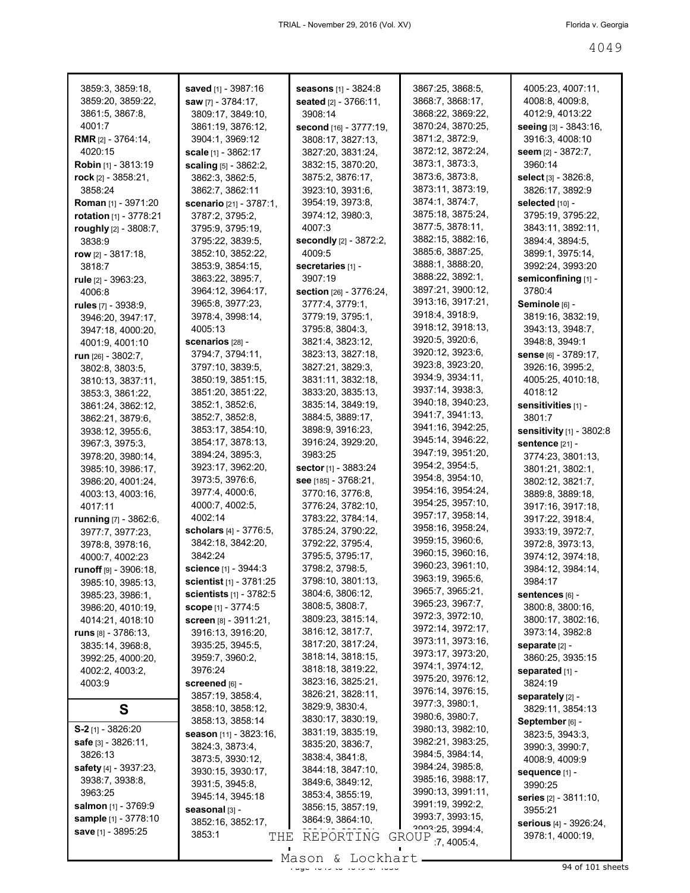| 3859:3, 3859:18,              | saved [1] - 3987:16                  | seasons [1] - 3824:8                  | 3867:25, 3868:5,                       | 4005:23, 4007:11,                    |
|-------------------------------|--------------------------------------|---------------------------------------|----------------------------------------|--------------------------------------|
| 3859:20, 3859:22,             | saw [7] - 3784:17,                   | seated [2] - 3766:11,                 | 3868:7, 3868:17,                       | 4008:8, 4009:8,                      |
| 3861:5, 3867:8,               | 3809:17, 3849:10,                    | 3908:14                               | 3868:22, 3869:22,                      | 4012:9, 4013:22                      |
| 4001:7                        | 3861:19, 3876:12,                    | second [16] - 3777:19,                | 3870:24, 3870:25,                      | seeing [3] - 3843:16,                |
| <b>RMR</b> $[2] - 3764:14$ ,  | 3904:1, 3969:12                      | 3808:17, 3827:13,                     | 3871:2, 3872:9,                        | 3916:3, 4008:10                      |
| 4020:15                       | scale [1] - 3862:17                  | 3827:20, 3831:24,                     | 3872:12, 3872:24,                      | seem [2] - 3872:7,                   |
| <b>Robin</b> [1] - 3813:19    | scaling [5] - 3862:2,                | 3832:15, 3870:20,                     | 3873:1, 3873:3,                        | 3960:14                              |
| rock $[2]$ - 3858:21,         | 3862:3, 3862:5,                      | 3875:2, 3876:17,                      | 3873:6, 3873:8,                        | <b>select</b> [3] - 3826:8,          |
| 3858:24                       | 3862:7, 3862:11                      | 3923:10, 3931:6,                      | 3873:11, 3873:19,                      | 3826:17, 3892:9                      |
| <b>Roman</b> [1] - 3971:20    | <b>scenario</b> [21] - 3787:1,       | 3954:19, 3973:8,                      | 3874:1, 3874:7,                        | selected [10] -                      |
| rotation [1] - 3778:21        | 3787:2, 3795:2,                      | 3974:12, 3980:3,                      | 3875:18, 3875:24,<br>3877:5, 3878:11,  | 3795:19, 3795:22,                    |
| roughly $[2] - 3808:7$ ,      | 3795:9, 3795:19,                     | 4007:3                                | 3882:15, 3882:16,                      | 3843:11, 3892:11,                    |
| 3838:9                        | 3795:22, 3839:5,                     | <b>secondly</b> [2] - 3872:2,         | 3885:6, 3887:25,                       | 3894:4, 3894:5,                      |
| row $[2] - 3817:18$ ,         | 3852:10, 3852:22,                    | 4009:5                                | 3888:1, 3888:20,                       | 3899:1, 3975:14,<br>3992:24, 3993:20 |
| 3818:7                        | 3853:9, 3854:15,<br>3863:22, 3895:7, | secretaries [1] -<br>3907:19          | 3888:22, 3892:1,                       | semiconfining [1] -                  |
| rule [2] - 3963:23,<br>4006:8 | 3964:12, 3964:17,                    | section [26] - 3776:24,               | 3897:21, 3900:12,                      | 3780:4                               |
| rules [7] - 3938:9,           | 3965:8, 3977:23,                     | 3777:4, 3779:1,                       | 3913:16, 3917:21,                      | Seminole [6] -                       |
| 3946:20, 3947:17,             | 3978:4, 3998:14,                     | 3779:19, 3795:1,                      | 3918:4, 3918:9,                        | 3819:16, 3832:19,                    |
| 3947:18, 4000:20,             | 4005:13                              | 3795:8, 3804:3,                       | 3918:12, 3918:13,                      | 3943:13, 3948:7,                     |
| 4001:9, 4001:10               | scenarios [28] -                     | 3821:4, 3823:12,                      | 3920:5, 3920:6,                        | 3948:8, 3949:1                       |
| run $[26] - 3802:7$ ,         | 3794:7, 3794:11,                     | 3823:13, 3827:18,                     | 3920:12, 3923:6,                       | sense [6] - 3789:17,                 |
| 3802:8, 3803:5,               | 3797:10, 3839:5,                     | 3827:21, 3829:3,                      | 3923:8, 3923:20,                       | 3926:16, 3995:2,                     |
| 3810:13, 3837:11,             | 3850:19, 3851:15,                    | 3831:11, 3832:18,                     | 3934:9, 3934:11,                       | 4005:25, 4010:18,                    |
| 3853:3, 3861:22,              | 3851:20, 3851:22,                    | 3833:20, 3835:13,                     | 3937:14, 3938:3,                       | 4018:12                              |
| 3861:24, 3862:12,             | 3852:1, 3852:6,                      | 3835:14, 3849:19,                     | 3940:18, 3940:23,                      | sensitivities [1] -                  |
| 3862:21, 3879:6,              | 3852:7, 3852:8,                      | 3884:5, 3889:17,                      | 3941:7, 3941:13,                       | 3801:7                               |
| 3938:12, 3955:6,              | 3853:17, 3854:10,                    | 3898:9, 3916:23,                      | 3941:16, 3942:25,                      | sensitivity [1] - 3802:8             |
| 3967:3, 3975:3,               | 3854:17, 3878:13,                    | 3916:24, 3929:20,                     | 3945:14, 3946:22,                      | <b>sentence [21] -</b>               |
| 3978:20, 3980:14,             | 3894:24, 3895:3,                     | 3983:25                               | 3947:19, 3951:20,                      | 3774:23, 3801:13,                    |
| 3985:10, 3986:17,             | 3923:17, 3962:20,                    | <b>sector</b> [1] - 3883:24           | 3954:2, 3954:5,                        | 3801:21, 3802:1,                     |
| 3986:20, 4001:24,             | 3973:5, 3976:6,                      | see [185] - 3768:21,                  | 3954:8, 3954:10,                       | 3802:12, 3821:7,                     |
| 4003:13, 4003:16,             | 3977:4, 4000:6,                      | 3770:16, 3776:8,                      | 3954:16, 3954:24,                      | 3889:8, 3889:18,                     |
| 4017:11                       | 4000:7, 4002:5,                      | 3776:24, 3782:10,                     | 3954:25, 3957:10,                      | 3917:16, 3917:18,                    |
| <b>running</b> [7] - 3862:6,  | 4002:14                              | 3783:22, 3784:14,                     | 3957:17, 3958:14,                      | 3917:22, 3918:4,                     |
| 3977:7, 3977:23,              | <b>scholars</b> $[4] - 3776:5$ ,     | 3785:24, 3790:22,                     | 3958:16, 3958:24,                      | 3933:19, 3972:7,                     |
| 3978:8, 3978:16,              | 3842:18, 3842:20,                    | 3792:22, 3795:4,                      | 3959:15, 3960:6,                       | 3972:8, 3973:13,                     |
| 4000:7, 4002:23               | 3842:24                              | 3795:5, 3795:17,                      | 3960:15, 3960:16,<br>3960:23, 3961:10, | 3974:12, 3974:18,                    |
| runoff [9] - 3906:18,         | <b>science</b> [1] - 3944:3          | 3798:2, 3798:5,                       |                                        | 3984:12, 3984:14,                    |
| 3985:10, 3985:13,             | scientist $[1] - 3781:25$            | 3798:10, 3801:13,                     | 3963:19, 3965:6,<br>3965:7, 3965:21,   | 3984:17                              |
| 3985:23, 3986:1,              | <b>scientists</b> $[1] - 3782:5$     | 3804:6, 3806:12,                      | 3965:23, 3967:7,                       | sentences [6] -                      |
| 3986:20, 4010:19,             | <b>scope</b> $[1] - 3774:5$          | 3808:5, 3808:7,                       | 3972:3, 3972:10,                       | 3800:8, 3800:16,                     |
| 4014:21, 4018:10              | Screen [8] - 3911:21,                | 3809:23, 3815:14,                     | 3972:14, 3972:17,                      | 3800:17, 3802:16,                    |
| runs $[8] - 3786:13$ ,        | 3916:13, 3916:20,                    | 3816:12, 3817:7,<br>3817:20, 3817:24, | 3973:11, 3973:16,                      | 3973:14, 3982:8                      |
| 3835:14, 3968:8,              | 3935:25, 3945:5,                     | 3818:14, 3818:15,                     | 3973:17, 3973:20,                      | separate [2] -                       |
| 3992:25, 4000:20,             | 3959:7, 3960:2,<br>3976:24           | 3818:18, 3819:22,                     | 3974:1, 3974:12,                       | 3860:25, 3935:15                     |
| 4002:2, 4003:2,               |                                      | 3823:16, 3825:21,                     | 3975:20, 3976:12,                      | separated [1] -<br>3824:19           |
| 4003:9                        | screened [6] -<br>3857:19, 3858:4,   | 3826:21, 3828:11,                     | 3976:14, 3976:15,                      | separately [2] -                     |
| S                             | 3858:10, 3858:12,                    | 3829:9, 3830:4,                       | 3977:3, 3980:1,                        | 3829:11, 3854:13                     |
|                               | 3858:13, 3858:14                     | 3830:17, 3830:19,                     | 3980:6, 3980:7,                        | September [6] -                      |
| $S-2$ [1] - 3826:20           | season [11] - 3823:16,               | 3831:19, 3835:19,                     | 3980:13, 3982:10,                      | 3823:5, 3943:3,                      |
| safe [3] - 3826:11,           | 3824:3, 3873:4,                      | 3835:20, 3836:7,                      | 3982:21, 3983:25,                      | 3990:3, 3990:7,                      |
| 3826:13                       | 3873:5, 3930:12,                     | 3838:4, 3841:8,                       | 3984:5, 3984:14,                       | 4008:9, 4009:9                       |
| safety [4] - 3937:23,         | 3930:15, 3930:17,                    | 3844:18, 3847:10,                     | 3984:24, 3985:8,                       | sequence [1] -                       |
| 3938:7, 3938:8,               | 3931:5, 3945:8,                      | 3849:6, 3849:12,                      | 3985:16, 3988:17,                      | 3990:25                              |
| 3963:25                       | 3945:14, 3945:18                     | 3853:4, 3855:19,                      | 3990:13, 3991:11,                      | series [2] - 3811:10,                |
| <b>salmon</b> [1] - 3769:9    | seasonal [3] -                       | 3856:15, 3857:19,                     | 3991:19, 3992:2,                       | 3955:21                              |
| <b>sample</b> [1] - 3778:10   | 3852:16, 3852:17,                    | 3864:9, 3864:10,                      | 3993:7, 3993:15,                       | serious [4] - 3926:24,               |
| save [1] - 3895:25            | 3853:1<br>THE                        | REPORTING                             | 2002.25, 3994.4,<br>GROUP 7, 4005:4,   | 3978:1, 4000:19,                     |
|                               |                                      |                                       |                                        |                                      |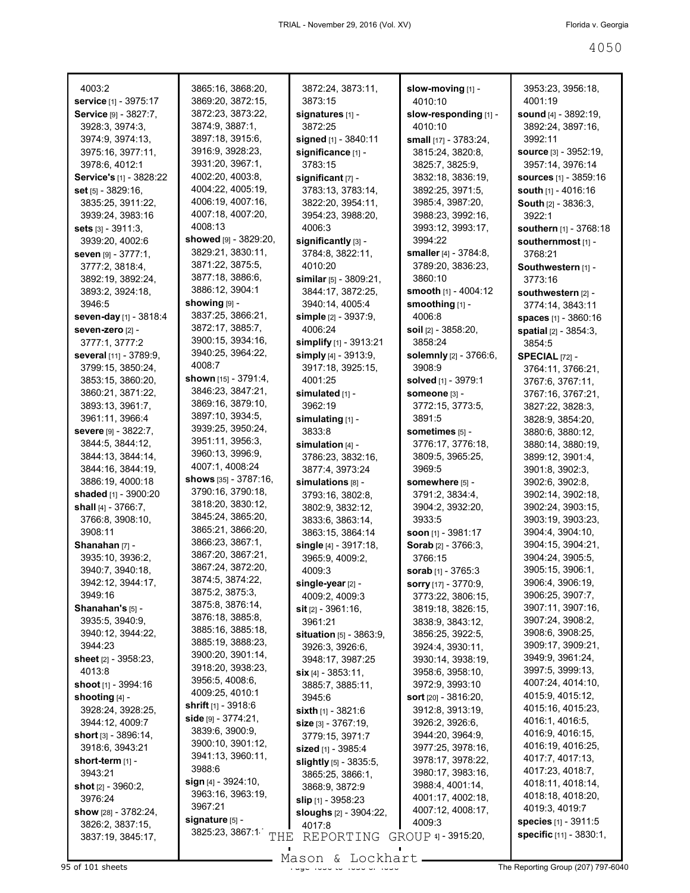| 4003:2                                              | 3865:16, 3868:20,                     | 3872:24, 3873:11,                          | slow-moving [1] -                    | 3953:23, 3956:18,                            |
|-----------------------------------------------------|---------------------------------------|--------------------------------------------|--------------------------------------|----------------------------------------------|
| service [1] - 3975:17                               | 3869:20, 3872:15,                     | 3873:15                                    | 4010:10                              | 4001:19                                      |
| Service [9] - 3827:7,                               | 3872:23, 3873:22,                     | signatures [1] -                           | slow-responding [1] -                | <b>sound</b> $[4] - 3892:19$ ,               |
| 3928:3, 3974:3,                                     | 3874:9, 3887:1,                       | 3872:25                                    | 4010:10                              | 3892:24, 3897:16,                            |
| 3974:9, 3974:13,                                    | 3897:18, 3915:6,                      | signed [1] - 3840:11                       | small [17] - 3783:24,                | 3992:11                                      |
| 3975:16, 3977:11,                                   | 3916:9, 3928:23,<br>3931:20, 3967:1,  | significance [1] -                         | 3815:24, 3820:8,                     | <b>source</b> [3] - 3952:19,                 |
| 3978:6, 4012:1                                      | 4002:20, 4003:8,                      | 3783:15                                    | 3825:7, 3825:9,                      | 3957:14, 3976:14                             |
| Service's [1] - 3828:22                             | 4004:22, 4005:19,                     | significant [7] -                          | 3832:18, 3836:19,                    | sources [1] - 3859:16<br>south [1] - 4016:16 |
| set [5] - 3829:16,<br>3835:25, 3911:22,             | 4006:19, 4007:16,                     | 3783:13, 3783:14,<br>3822:20, 3954:11,     | 3892:25, 3971:5,<br>3985:4, 3987:20, | South [2] - 3836:3,                          |
| 3939:24, 3983:16                                    | 4007:18, 4007:20,                     | 3954:23, 3988:20,                          | 3988:23, 3992:16,                    | 3922:1                                       |
| sets $[3] - 3911:3$ ,                               | 4008:13                               | 4006:3                                     | 3993:12, 3993:17,                    | southern [1] - 3768:18                       |
| 3939:20, 4002:6                                     | showed [9] - 3829:20,                 | significantly [3] -                        | 3994:22                              | southernmost [1] -                           |
| seven [9] - 3777:1,                                 | 3829:21, 3830:11,                     | 3784:8, 3822:11,                           | smaller [4] - 3784:8,                | 3768:21                                      |
| 3777:2, 3818:4,                                     | 3871:22, 3875:5,                      | 4010:20                                    | 3789:20, 3836:23,                    | Southwestern [1] -                           |
| 3892:19, 3892:24,                                   | 3877:18, 3886:6,                      | similar $[5]$ - 3809:21,                   | 3860:10                              | 3773:16                                      |
| 3893:2, 3924:18,                                    | 3886:12, 3904:1                       | 3844:17, 3872:25,                          | smooth [1] - 4004:12                 | southwestern [2] -                           |
| 3946:5                                              | showing [9] -                         | 3940:14, 4005:4                            | smoothing [1] -                      | 3774:14, 3843:11                             |
| seven-day [1] - 3818:4                              | 3837:25, 3866:21,                     | simple [2] - 3937:9,                       | 4006:8                               | spaces [1] - 3860:16                         |
| seven-zero [2] -                                    | 3872:17, 3885:7,                      | 4006:24                                    | soil [2] - 3858:20,                  | spatial [2] - 3854:3,                        |
| 3777:1, 3777:2                                      | 3900:15, 3934:16,                     | simplify [1] - 3913:21                     | 3858:24                              | 3854:5                                       |
| several [11] - 3789:9,                              | 3940:25, 3964:22,                     | simply [4] - 3913:9,                       | solemnly [2] - 3766:6,               | <b>SPECIAL [72] -</b>                        |
| 3799:15, 3850:24,                                   | 4008:7                                | 3917:18, 3925:15,                          | 3908:9                               | 3764:11, 3766:21,                            |
| 3853:15, 3860:20,                                   | shown [15] - 3791:4,                  | 4001:25                                    | <b>solved</b> [1] - 3979:1           | 3767:6, 3767:11,                             |
| 3860:21, 3871:22,                                   | 3846:23, 3847:21,                     | simulated [1] -                            | Someone [3] -                        | 3767:16, 3767:21,                            |
| 3893:13, 3961:7,                                    | 3869:16, 3879:10,<br>3897:10, 3934:5, | 3962:19                                    | 3772:15, 3773:5,                     | 3827:22, 3828:3,                             |
| 3961:11, 3966:4                                     | 3939:25, 3950:24,                     | simulating [1] -                           | 3891:5                               | 3828:9, 3854:20,                             |
| Severe [9] - 3822:7,                                | 3951:11, 3956:3,                      | 3833:8                                     | sometimes [5] -                      | 3880:6, 3880:12,                             |
| 3844:5, 3844:12,<br>3844:13, 3844:14,               | 3960:13, 3996:9,                      | simulation $[4]$ -                         | 3776:17, 3776:18,                    | 3880:14, 3880:19,                            |
| 3844:16, 3844:19,                                   | 4007:1, 4008:24                       | 3786:23, 3832:16,<br>3877:4, 3973:24       | 3809:5, 3965:25,<br>3969:5           | 3899:12, 3901:4,<br>3901:8, 3902:3,          |
| 3886:19, 4000:18                                    | shows [35] - 3787:16,                 | simulations [8] -                          | somewhere [5] -                      | 3902:6, 3902:8,                              |
| shaded [1] - 3900:20                                | 3790:16, 3790:18,                     | 3793:16, 3802:8,                           | 3791:2, 3834:4,                      | 3902:14, 3902:18,                            |
| shall $[4] - 3766:7$ ,                              | 3818:20, 3830:12,                     | 3802:9, 3832:12,                           | 3904:2, 3932:20,                     | 3902:24, 3903:15,                            |
| 3766:8, 3908:10,                                    | 3845:24, 3865:20,                     | 3833:6, 3863:14,                           | 3933:5                               | 3903:19, 3903:23,                            |
| 3908:11                                             | 3865:21, 3866:20,                     | 3863:15, 3864:14                           | <b>soon</b> $[1]$ - 3981:17          | 3904:4, 3904:10,                             |
| Shanahan [7] -                                      | 3866:23, 3867:1,                      | single [4] - 3917:18,                      | <b>Sorab</b> $[2] - 3766:3$          | 3904:15, 3904:21,                            |
| 3935:10, 3936:2,                                    | 3867:20, 3867:21,                     | 3965:9, 4009:2,                            | 3766:15                              | 3904:24, 3905:5,                             |
| 3940:7, 3940:18,                                    | 3867:24, 3872:20,                     | 4009:3                                     | sorab [1] - 3765:3                   | 3905:15, 3906:1,                             |
| 3942:12, 3944:17,                                   | 3874:5, 3874:22,                      | single-year [2] -                          | sorry [17] - 3770:9,                 | 3906:4, 3906:19,                             |
| 3949:16                                             | 3875:2, 3875:3,<br>3875:8, 3876:14,   | 4009:2, 4009:3                             | 3773:22, 3806:15,                    | 3906:25, 3907:7,                             |
| Shanahan's [5] -                                    | 3876:18, 3885:8,                      | $s$ it $[2] - 3961:16$ ,                   | 3819:18, 3826:15,                    | 3907:11, 3907:16,                            |
| 3935:5, 3940:9,                                     | 3885:16, 3885:18,                     | 3961:21                                    | 3838:9, 3843:12,                     | 3907:24, 3908:2,                             |
| 3940:12, 3944:22,                                   | 3885:19, 3888:23,                     | situation [5] - 3863:9,                    | 3856:25, 3922:5,                     | 3908:6, 3908:25,                             |
| 3944:23                                             | 3900:20, 3901:14,                     | 3926:3, 3926:6,                            | 3924:4, 3930:11,                     | 3909:17, 3909:21,<br>3949:9, 3961:24,        |
| sheet $[2] - 3958:23$ ,<br>4013:8                   | 3918:20, 3938:23,                     | 3948:17, 3987:25                           | 3930:14, 3938:19,                    | 3997:5, 3999:13,                             |
| shoot $[1]$ - 3994:16                               | 3956:5, 4008:6,                       | $\sin$ [4] - 3853:11,<br>3885:7, 3885:11,  | 3958:6, 3958:10,<br>3972:9, 3993:10  | 4007:24, 4014:10,                            |
|                                                     |                                       |                                            |                                      |                                              |
|                                                     | 4009:25, 4010:1                       |                                            |                                      |                                              |
| shooting [4] -                                      | <b>shrift</b> $[1]$ - 3918:6          | 3945:6                                     | <b>sort</b> $[20] - 3816:20$ ,       | 4015:9, 4015:12,                             |
| 3928:24, 3928:25,                                   | side [9] - 3774:21,                   | sixth $[1] - 3821:6$                       | 3912:8, 3913:19,                     | 4015:16, 4015:23,<br>4016:1, 4016:5,         |
| 3944:12, 4009:7<br><b>short</b> $[3]$ - $3896:14$ , | 3839:6, 3900:9,                       | $size$ [3] - 3767:19,                      | 3926:2, 3926:6,<br>3944:20, 3964:9,  | 4016:9, 4016:15,                             |
| 3918:6, 3943:21                                     | 3900:10, 3901:12,                     | 3779:15, 3971:7<br>sized [1] - 3985:4      | 3977:25, 3978:16,                    | 4016:19, 4016:25,                            |
| short-term [1] -                                    | 3941:13, 3960:11,                     |                                            | 3978:17, 3978:22,                    | 4017:7, 4017:13,                             |
| 3943:21                                             | 3988:6                                | slightly [5] - 3835:5,<br>3865:25, 3866:1, | 3980:17, 3983:16,                    | 4017:23, 4018:7,                             |
| shot [2] - 3960:2,                                  | sign $[4]$ - 3924:10,                 | 3868:9, 3872:9                             | 3988:4, 4001:14,                     | 4018:11, 4018:14,                            |
| 3976:24                                             | 3963:16, 3963:19,                     | <b>slip</b> [1] - 3958:23                  | 4001:17, 4002:18,                    | 4018:18, 4018:20,                            |
| show [28] - 3782:24,                                | 3967:21                               | <b>sloughs</b> [2] - 3904:22,              | 4007:12, 4008:17,                    | 4019:3, 4019:7                               |
| 3826:2, 3837:15,                                    | signature [5] -                       | 4017:8                                     | 4009:3                               | <b>species</b> $[1] - 3911.5$                |
| 3837:19, 3845:17,                                   | 3825:23, 3867:1                       | THE REPORTING GROUP 4] - 3915:20,          |                                      | specific [11] - 3830:1,                      |
|                                                     |                                       | Mason & Lockhart                           |                                      |                                              |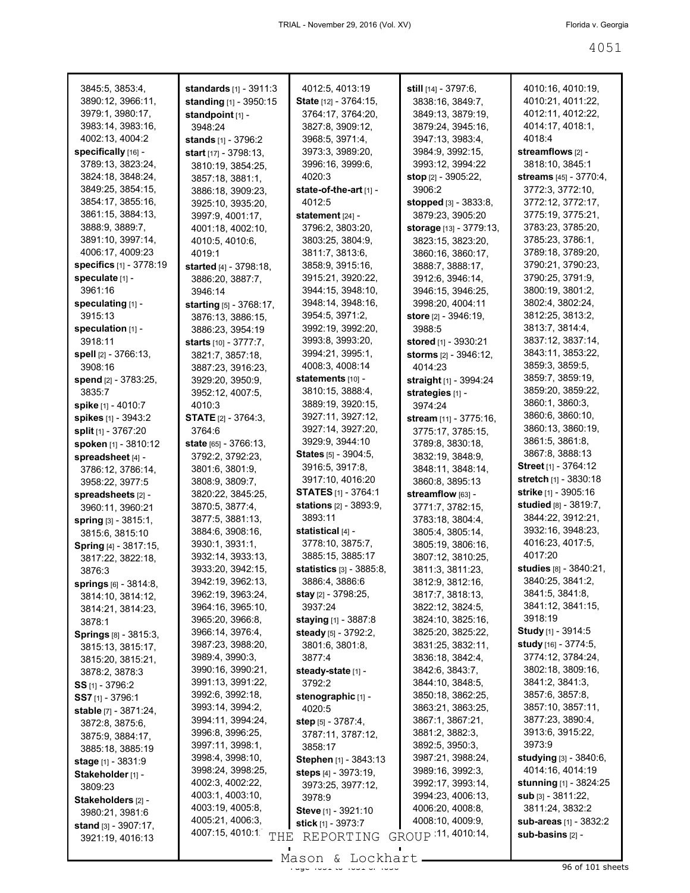| 3845:5, 3853:4,                  | standards [1] - 3911:3          | 4012:5, 4013:19                  | <b>still</b> $[14] - 3797:6$ , | 4010:16, 4010:19,             |
|----------------------------------|---------------------------------|----------------------------------|--------------------------------|-------------------------------|
| 3890:12, 3966:11,                | standing $[1] - 3950:15$        | <b>State</b> [12] - 3764:15,     | 3838:16, 3849:7,               | 4010:21, 4011:22,             |
| 3979:1, 3980:17,                 | standpoint [1] -                | 3764:17, 3764:20,                | 3849:13, 3879:19,              | 4012:11, 4012:22,             |
| 3983:14, 3983:16,                | 3948:24                         | 3827:8, 3909:12,                 | 3879:24, 3945:16,              | 4014:17, 4018:1,              |
| 4002:13, 4004:2                  | stands [1] - 3796:2             | 3968:5, 3971:4,                  | 3947:13, 3983:4,               | 4018:4                        |
| specifically [16] -              | start [17] - 3798:13,           | 3973:3, 3989:20,                 | 3984:9, 3992:15,               | streamflows [2] -             |
| 3789:13, 3823:24,                | 3810:19, 3854:25,               | 3996:16, 3999:6,                 | 3993:12, 3994:22               | 3818:10, 3845:1               |
| 3824:18, 3848:24,                | 3857:18, 3881:1,                | 4020:3                           | <b>stop</b> [2] - 3905:22,     | streams [45] - 3770:4,        |
| 3849:25, 3854:15,                | 3886:18, 3909:23,               | state-of-the-art $[1]$ -         | 3906:2                         | 3772:3, 3772:10,              |
| 3854:17, 3855:16,                | 3925:10, 3935:20,               | 4012:5                           | stopped [3] - 3833:8,          | 3772:12, 3772:17,             |
| 3861:15, 3884:13,                | 3997:9, 4001:17,                | statement [24] -                 | 3879:23, 3905:20               | 3775:19, 3775:21.             |
| 3888:9, 3889:7,                  | 4001:18, 4002:10,               | 3796:2, 3803:20,                 | storage [13] - 3779:13,        | 3783:23, 3785:20,             |
| 3891:10, 3997:14,                | 4010:5, 4010:6,                 | 3803:25, 3804:9,                 | 3823:15, 3823:20,              | 3785:23, 3786:1,              |
| 4006:17, 4009:23                 | 4019:1                          | 3811:7, 3813:6,                  | 3860:16, 3860:17,              | 3789:18, 3789:20,             |
| <b>specifics</b> $[1] - 3778:19$ | started $[4] - 3798:18$ ,       | 3858:9, 3915:16,                 | 3888:7, 3888:17,               | 3790:21, 3790:23,             |
| speculate [1] -                  |                                 | 3915:21, 3920:22,                | 3912:6, 3946:14,               | 3790:25, 3791:9,              |
| 3961:16                          | 3886:20, 3887:7,                | 3944:15, 3948:10,                |                                | 3800:19, 3801:2,              |
| speculating [1] -                | 3946:14                         | 3948:14, 3948:16,                | 3946:15, 3946:25,              | 3802:4, 3802:24,              |
|                                  | starting [5] - 3768:17,         |                                  | 3998:20, 4004:11               |                               |
| 3915:13                          | 3876:13, 3886:15,               | 3954:5, 3971:2,                  | <b>store</b> [2] - 3946:19,    | 3812:25, 3813:2,              |
| speculation [1] -                | 3886:23, 3954:19                | 3992:19, 3992:20,                | 3988:5                         | 3813:7, 3814:4,               |
| 3918:11                          | starts [10] - 3777:7.           | 3993:8, 3993:20,                 | stored [1] - 3930:21           | 3837:12, 3837:14,             |
| spell [2] - 3766:13,             | 3821:7, 3857:18,                | 3994:21, 3995:1,                 | <b>storms</b> [2] - 3946:12,   | 3843:11, 3853:22,             |
| 3908:16                          | 3887:23, 3916:23,               | 4008:3, 4008:14                  | 4014:23                        | 3859:3, 3859:5,               |
| spend [2] - 3783:25,             | 3929:20, 3950:9,                | statements [10] -                | straight [1] - 3994:24         | 3859:7, 3859:19,              |
| 3835:7                           | 3952:12, 4007:5,                | 3810:15, 3888:4,                 | strategies [1] -               | 3859:20, 3859:22,             |
| <b>spike</b> [1] - 4010:7        | 4010:3                          | 3889:19, 3920:15,                | 3974:24                        | 3860:1, 3860:3,               |
| spikes [1] - 3943:2              | <b>STATE</b> [2] - 3764:3,      | 3927:11, 3927:12,                | <b>stream</b> [11] - 3775:16,  | 3860:6, 3860:10,              |
| split [1] - 3767:20              | 3764:6                          | 3927:14, 3927:20,                | 3775:17, 3785:15,              | 3860:13, 3860:19,             |
| spoken [1] - 3810:12             | <b>state</b> $[65] - 3766:13$ , | 3929:9, 3944:10                  | 3789:8, 3830:18,               | 3861:5, 3861:8,               |
| spreadsheet [4] -                | 3792:2, 3792:23,                | States [5] - 3904:5,             | 3832:19, 3848:9,               | 3867:8, 3888:13               |
| 3786:12, 3786:14,                | 3801:6, 3801:9,                 | 3916:5, 3917:8,                  | 3848:11, 3848:14,              | <b>Street</b> [1] - 3764:12   |
| 3958:22, 3977:5                  | 3808:9, 3809:7,                 | 3917:10, 4016:20                 | 3860:8, 3895:13                | stretch [1] - 3830:18         |
| spreadsheets [2] -               | 3820:22, 3845:25,               | <b>STATES</b> $[1]$ - 3764:1     | streamflow [63] -              | strike [1] - 3905:16          |
| 3960:11, 3960:21                 | 3870:5, 3877:4,                 | stations [2] - 3893:9,           | 3771:7, 3782:15,               | studied [8] - 3819:7,         |
| spring [3] - 3815:1,             | 3877:5, 3881:13,                | 3893:11                          | 3783:18, 3804:4,               | 3844:22, 3912:21,             |
| 3815:6, 3815:10                  | 3884:6, 3908:16,                | statistical [4] -                | 3805:4, 3805:14,               | 3932:16, 3948:23,             |
| Spring [4] - 3817:15,            | 3930:1, 3931:1,                 | 3778:10, 3875:7,                 | 3805:19, 3806:16,              | 4016:23, 4017:5,              |
|                                  | 3932:14, 3933:13,               | 3885:15, 3885:17                 | 3807:12, 3810:25,              | 4017:20                       |
| 3817:22, 3822:18,                | 3933:20, 3942:15,               | <b>statistics</b> $[3] - 3885.8$ | 3811:3, 3811:23,               | studies [8] - 3840:21,        |
| 3876:3                           | 3942:19, 3962:13,               | 3886:4, 3886:6                   | 3812:9, 3812:16,               | 3840:25, 3841:2,              |
| <b>springs</b> $[6] - 3814:8$ ,  | 3962:19, 3963:24,               | stay [2] - 3798:25,              | 3817:7, 3818:13,               | 3841:5, 3841:8,               |
| 3814:10, 3814:12,                |                                 | 3937:24                          | 3822:12, 3824:5,               | 3841:12, 3841:15,             |
| 3814:21, 3814:23,                | 3964:16, 3965:10,               |                                  |                                | 3918:19                       |
| 3878:1                           | 3965:20, 3966:8,                | staying [1] - 3887:8             | 3824:10, 3825:16,              | <b>Study</b> [1] - 3914:5     |
| <b>Springs</b> [8] - 3815:3,     | 3966:14, 3976:4,                | steady [5] - 3792:2,             | 3825:20, 3825:22,              |                               |
| 3815:13, 3815:17,                | 3987:23, 3988:20,               | 3801:6, 3801:8,                  | 3831:25, 3832:11,              | study [16] - 3774:5,          |
| 3815:20, 3815:21,                | 3989:4, 3990:3,                 | 3877:4                           | 3836:18, 3842:4,               | 3774:12, 3784:24,             |
| 3878:2, 3878:3                   | 3990:16, 3990:21,               | steady-state [1] -               | 3842:6, 3843:7,                | 3802:18, 3809:16,             |
| $SS$ [1] - 3796:2                | 3991:13, 3991:22,               | 3792:2                           | 3844:10, 3848:5,               | 3841:2, 3841:3,               |
| SS7 [1] - 3796:1                 | 3992:6, 3992:18,                | stenographic [1] -               | 3850:18, 3862:25,              | 3857:6, 3857:8,               |
| stable [7] - 3871:24,            | 3993:14, 3994:2,                | 4020:5                           | 3863:21, 3863:25,              | 3857:10, 3857:11,             |
| 3872:8, 3875:6,                  | 3994:11, 3994:24,               | step [5] - 3787:4,               | 3867:1, 3867:21,               | 3877:23, 3890:4,              |
| 3875:9, 3884:17,                 | 3996:8, 3996:25,                | 3787:11, 3787:12,                | 3881:2, 3882:3,                | 3913:6, 3915:22,              |
| 3885:18, 3885:19                 | 3997:11, 3998:1,                | 3858:17                          | 3892:5, 3950:3,                | 3973:9                        |
| <b>stage</b> $[1] - 3831:9$      | 3998:4, 3998:10,                | Stephen [1] - 3843:13            | 3987:21, 3988:24,              | <b>studying</b> [3] - 3840:6, |
| Stakeholder [1] -                | 3998:24, 3998:25,               | steps [4] - 3973:19,             | 3989:16, 3992:3,               | 4014:16, 4014:19              |
| 3809:23                          | 4002:3, 4002:22,                | 3973:25, 3977:12,                | 3992:17, 3993:14,              | <b>stunning</b> [1] - 3824:25 |
| Stakeholders [2] -               | 4003:1, 4003:10,                | 3978:9                           | 3994:23, 4006:13,              | sub [3] - 3811:22,            |
| 3980:21, 3981:6                  | 4003:19, 4005:8,                | Steve [1] - 3921:10              | 4006:20, 4008:8,               | 3811:24, 3832:2               |
| stand [3] - 3907:17,             | 4005:21, 4006:3,                | <b>stick</b> [1] - 3973:7        | 4008:10, 4009:9,               | sub-areas [1] - 3832:2        |
| 3921:19, 4016:13                 | 4007:15, 4010:1<br>THE          | REPORTING                        | GROUP 11, 4010:14,             | sub-basins [2] -              |
|                                  |                                 |                                  |                                |                               |

 $\frac{200011}{1000011}$  to  $\frac{2000111}{1000}$  of  $\frac{2000011}{1000}$  of 101 sheets Mason & Lockhart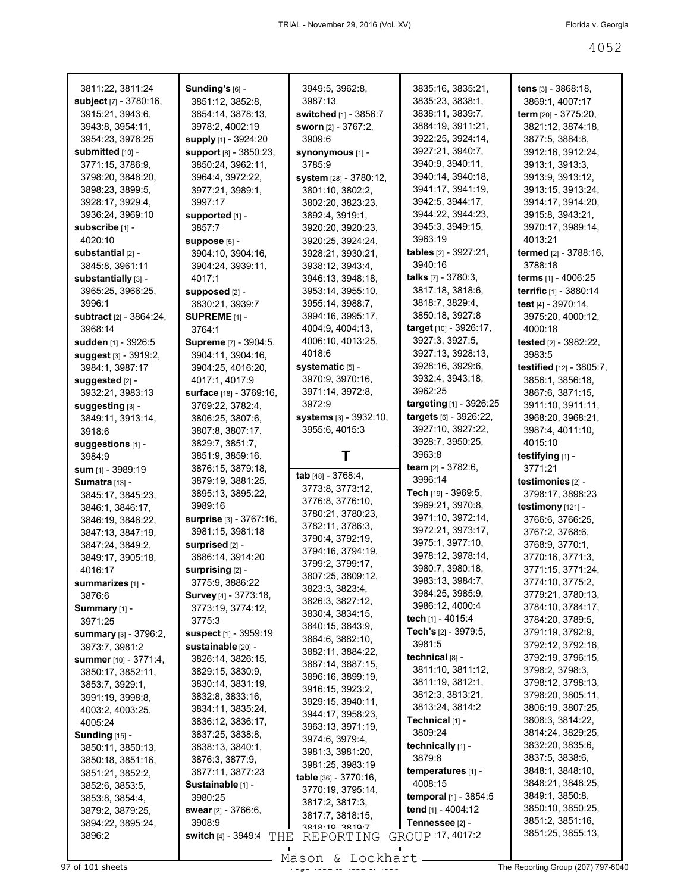| 3811:22, 3811:24<br>subject [7] - 3780:16, | Sunding's [6] -<br>3851:12, 3852:8,   | 3949:5, 3962:8,<br>3987:13                        | 3835:16, 3835:21,<br>3835:23, 3838:1,             | tens $[3] - 3868:18$ ,<br>3869:1, 4007:17 |
|--------------------------------------------|---------------------------------------|---------------------------------------------------|---------------------------------------------------|-------------------------------------------|
| 3915:21, 3943:6,                           | 3854:14, 3878:13,                     | switched [1] - 3856:7                             | 3838:11, 3839:7,                                  | term [20] - 3775:20,                      |
| 3943:8, 3954:11,                           | 3978:2, 4002:19                       | <b>sworn</b> [2] - 3767:2,                        | 3884:19, 3911:21,                                 | 3821:12, 3874:18,                         |
| 3954:23, 3978:25                           | supply [1] - 3924:20                  | 3909:6                                            | 3922:25, 3924:14,                                 | 3877:5, 3884:8,                           |
| submitted [10] -                           | support [8] - 3850:23,                | synonymous [1] -                                  | 3927:21, 3940:7,                                  | 3912:16, 3912:24,                         |
| 3771:15, 3786:9,                           | 3850:24, 3962:11,                     | 3785:9                                            | 3940:9, 3940:11,                                  | 3913:1, 3913:3,                           |
| 3798:20, 3848:20,                          | 3964:4, 3972:22,                      | system [28] - 3780:12,                            | 3940:14, 3940:18,                                 | 3913:9, 3913:12,                          |
| 3898:23, 3899:5,                           | 3977:21, 3989:1,                      | 3801:10, 3802:2,                                  | 3941:17, 3941:19,                                 | 3913:15, 3913:24,                         |
| 3928:17, 3929:4,                           | 3997:17                               | 3802:20, 3823:23,                                 | 3942:5, 3944:17,                                  | 3914:17, 3914:20,                         |
| 3936:24, 3969:10                           | supported [1] -                       | 3892:4, 3919:1,                                   | 3944:22, 3944:23,                                 | 3915:8, 3943:21,                          |
| subscribe [1] -                            | 3857:7                                | 3920:20, 3920:23,                                 | 3945:3, 3949:15,                                  | 3970:17, 3989:14,                         |
| 4020:10                                    | suppose [5] -                         | 3920:25, 3924:24,                                 | 3963:19                                           | 4013:21                                   |
| substantial [2] -                          | 3904:10, 3904:16,                     | 3928:21, 3930:21,                                 | tables $[2] - 3927:21$ ,                          | termed [2] - 3788:16,                     |
| 3845:8, 3961:11                            | 3904:24, 3939:11,                     | 3938:12, 3943:4,                                  | 3940:16                                           | 3788:18                                   |
| substantially [3] -                        | 4017:1                                | 3946:13, 3948:18,                                 | <b>talks</b> $[7] - 3780:3$ ,<br>3817:18, 3818:6, | terms [1] - 4006:25                       |
| 3965:25, 3966:25,<br>3996:1                | supposed [2] -                        | 3953:14, 3955:10,<br>3955:14, 3988:7,             | 3818:7, 3829:4,                                   | terrific [1] - 3880:14                    |
| subtract [2] - 3864:24,                    | 3830:21, 3939:7<br>SUPREME $[1]$ -    | 3994:16, 3995:17,                                 | 3850:18, 3927:8                                   | test [4] - 3970:14,<br>3975:20, 4000:12,  |
| 3968:14                                    | 3764:1                                | 4004:9, 4004:13,                                  | target [10] - 3926:17,                            | 4000:18                                   |
| sudden [1] - 3926:5                        | Supreme [7] - 3904:5,                 | 4006:10, 4013:25,                                 | 3927:3, 3927:5,                                   | tested [2] - 3982:22,                     |
| suggest [3] - 3919:2,                      | 3904:11, 3904:16,                     | 4018:6                                            | 3927:13, 3928:13,                                 | 3983:5                                    |
| 3984:1, 3987:17                            | 3904:25, 4016:20,                     | systematic [5] -                                  | 3928:16, 3929:6,                                  | testified [12] - 3805:7,                  |
| suggested [2] -                            | 4017:1, 4017:9                        | 3970:9, 3970:16,                                  | 3932:4, 3943:18,                                  | 3856:1, 3856:18,                          |
| 3932:21, 3983:13                           | surface [18] - 3769:16,               | 3971:14, 3972:8,                                  | 3962:25                                           | 3867:6, 3871:15,                          |
| suggesting [3] -                           | 3769:22, 3782:4,                      | 3972:9                                            | <b>targeting</b> [1] - 3926:25                    | 3911:10, 3911:11,                         |
| 3849:11, 3913:14,                          | 3806:25, 3807:6,                      | systems [3] - 3932:10,                            | targets [6] - 3926:22,                            | 3968:20, 3968:21,                         |
| 3918:6                                     | 3807:8, 3807:17,                      | 3955:6, 4015:3                                    | 3927:10, 3927:22,                                 | 3987:4, 4011:10,                          |
| suggestions [1] -                          | 3829:7, 3851:7,                       |                                                   | 3928:7, 3950:25,                                  | 4015:10                                   |
| 3984:9                                     | 3851:9, 3859:16,                      | Τ                                                 | 3963:8                                            | testifying [1] -                          |
| sum [1] - 3989:19                          | 3876:15, 3879:18,                     |                                                   | team [2] - 3782:6,                                | 3771:21                                   |
|                                            |                                       |                                                   |                                                   |                                           |
| Sumatra [13] -                             | 3879:19, 3881:25,                     | tab [48] - 3768:4,                                | 3996:14                                           | testimonies [2] -                         |
| 3845:17, 3845:23,                          | 3895:13, 3895:22,                     | 3773:8, 3773:12,                                  | Tech $[19] - 3969.5$ ,                            | 3798:17, 3898:23                          |
| 3846:1, 3846:17,                           | 3989:16                               | 3776:8, 3776:10,                                  | 3969:21, 3970:8,                                  | testimony [121] -                         |
| 3846:19, 3846:22,                          | surprise [3] - 3767:16,               | 3780:21, 3780:23,                                 | 3971:10, 3972:14,                                 | 3766:6, 3766:25,                          |
| 3847:13, 3847:19,                          | 3981:15, 3981:18                      | 3782:11, 3786:3,                                  | 3972:21, 3973:17,                                 | 3767:2, 3768:6,                           |
| 3847:24, 3849:2,                           | surprised [2] -                       | 3790:4, 3792:19,<br>3794:16, 3794:19,             | 3975:1, 3977:10,                                  | 3768:9, 3770:1,                           |
| 3849:17, 3905:18,                          | 3886:14, 3914:20                      | 3799:2, 3799:17,                                  | 3978:12, 3978:14,                                 | 3770:16, 3771:3,                          |
| 4016:17                                    | surprising [2] -                      |                                                   | 3980:7, 3980:18,                                  | 3771:15, 3771:24,                         |
| summarizes [1] -                           | 3775:9, 3886:22                       | 3807:25, 3809:12,<br>3823:3, 3823:4,              | 3983:13, 3984:7,                                  | 3774:10, 3775:2,                          |
| 3876:6                                     | <b>Survey</b> [4] - 3773:18,          | 3826:3, 3827:12,                                  | 3984:25, 3985:9,                                  | 3779:21, 3780:13,                         |
| Summary [1] -                              | 3773:19, 3774:12,                     | 3830:4, 3834:15,                                  | 3986:12, 4000:4                                   | 3784:10, 3784:17,                         |
| 3971:25                                    | 3775:3                                | 3840:15, 3843:9,                                  | tech [1] - 4015:4                                 | 3784:20, 3789:5,                          |
| <b>summary</b> [3] - 3796:2,               | <b>suspect</b> [1] - 3959:19          | 3864:6, 3882:10,                                  | Tech's $[2] - 3979.5$ ,<br>3981:5                 | 3791:19, 3792:9,                          |
| 3973:7, 3981:2                             | sustainable [20] -                    | 3882:11, 3884:22,                                 | technical [8] -                                   | 3792:12, 3792:16,<br>3792:19, 3796:15,    |
| <b>summer</b> [10] - 3771:4,               | 3826:14, 3826:15,                     | 3887:14, 3887:15,                                 | 3811:10, 3811:12,                                 | 3798:2, 3798:3,                           |
| 3850:17, 3852:11,                          | 3829:15, 3830:9,                      | 3896:16, 3899:19,                                 | 3811:19, 3812:1,                                  | 3798:12, 3798:13,                         |
| 3853:7, 3929:1,                            | 3830:14, 3831:19,<br>3832:8, 3833:16, | 3916:15, 3923:2,                                  | 3812:3, 3813:21,                                  | 3798:20, 3805:11,                         |
| 3991:19, 3998:8,<br>4003:2, 4003:25,       | 3834:11, 3835:24,                     | 3929:15, 3940:11,                                 | 3813:24, 3814:2                                   | 3806:19, 3807:25,                         |
| 4005:24                                    | 3836:12, 3836:17,                     | 3944:17, 3958:23,                                 | Technical [1] -                                   | 3808:3, 3814:22,                          |
| <b>Sunding [15] -</b>                      | 3837:25, 3838:8,                      | 3963:13, 3971:19,                                 | 3809:24                                           | 3814:24, 3829:25,                         |
| 3850:11, 3850:13,                          | 3838:13, 3840:1,                      | 3974:6, 3979:4,                                   | technically [1] -                                 | 3832:20, 3835:6,                          |
| 3850:18, 3851:16,                          | 3876:3, 3877:9,                       | 3981:3, 3981:20,                                  | 3879:8                                            | 3837:5, 3838:6,                           |
| 3851:21, 3852:2,                           | 3877:11, 3877:23                      | 3981:25, 3983:19<br><b>table</b> $[36] - 3770:16$ | temperatures [1] -                                | 3848:1, 3848:10,                          |
| 3852:6, 3853:5,                            | Sustainable [1] -                     | 3770:19, 3795:14,                                 | 4008:15                                           | 3848:21, 3848:25,                         |
| 3853:8, 3854:4,                            | 3980:25                               | 3817:2, 3817:3,                                   | temporal [1] - 3854:5                             | 3849:1, 3850:8,                           |
| 3879:2, 3879:25,                           | swear $[2] - 3766:6,$                 | 3817:7, 3818:15,                                  | tend [1] - 4004:12                                | 3850:10, 3850:25,                         |
| 3894:22, 3895:24,                          | 3908:9                                | 3818.10 3810.7                                    | Tennessee [2] -                                   | 3851:2, 3851:16,                          |
| 3896:2                                     | <b>switch [4] - 3949:4</b><br>THE     | REPORTING                                         | GROUP 17, 4017:2                                  | 3851:25, 3855:13,                         |

er and the state of the Hage 4052 to 4052 to 4052 to 4052 to 4052 to 4052 to 4052 to 4052 to 4052 to 4052 to 40<br>Page 4052 of 4052 of 4052 of 4052 to 4052 to 4052 to 4052 to 4052 to 4052 to 4052 to 4052 to 4052 to 4052 to 4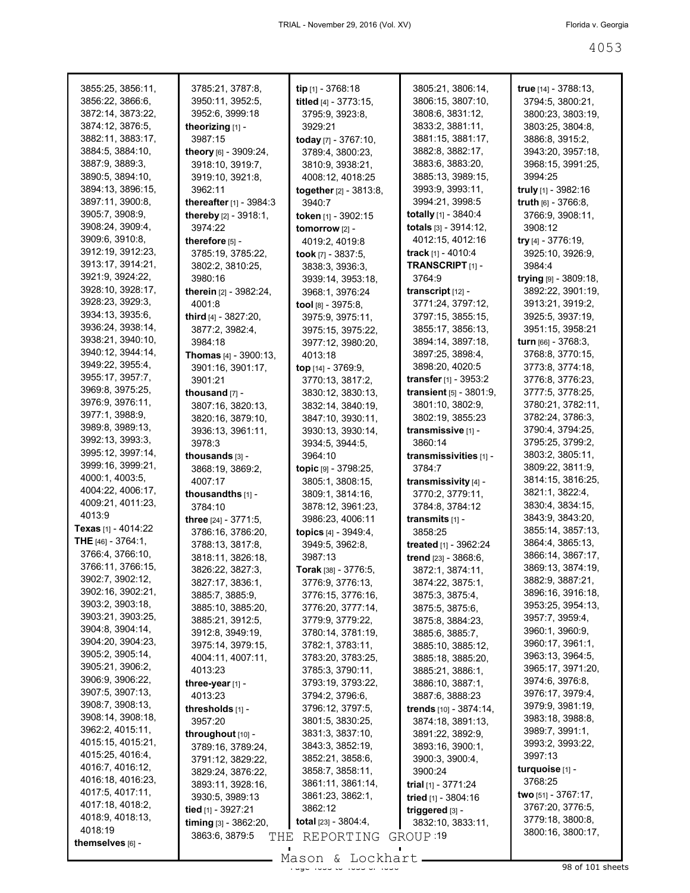| 3855:25, 3856:11,                      | 3785:21, 3787:8,                    | tip [1] - 3768:18                     | 3805:21, 3806:14,                  | true [14] - 3788:13,                  |
|----------------------------------------|-------------------------------------|---------------------------------------|------------------------------------|---------------------------------------|
| 3856:22, 3866:6,                       | 3950:11, 3952:5,                    | titled [4] - 3773:15,                 | 3806:15, 3807:10,                  | 3794:5, 3800:21,                      |
| 3872:14, 3873:22,                      | 3952:6, 3999:18                     | 3795:9, 3923:8,                       | 3808:6, 3831:12,                   | 3800:23, 3803:19,                     |
| 3874:12, 3876:5,                       | theorizing [1] -                    | 3929:21                               | 3833:2, 3881:11,                   | 3803:25, 3804:8,                      |
| 3882:11, 3883:17,                      | 3987:15                             | today [7] - 3767:10,                  | 3881:15, 3881:17,                  | 3886:8, 3915:2,                       |
| 3884:5, 3884:10,                       | theory $[6]$ - 3909:24,             | 3789:4, 3800:23,                      | 3882:8, 3882:17,                   | 3943:20, 3957:18,                     |
| 3887:9, 3889:3,                        | 3918:10, 3919:7,                    | 3810:9, 3938:21,                      | 3883:6, 3883:20,                   | 3968:15, 3991:25,                     |
| 3890:5, 3894:10,                       | 3919:10, 3921:8,                    | 4008:12, 4018:25                      | 3885:13, 3989:15,                  | 3994:25                               |
| 3894:13, 3896:15,                      | 3962:11                             | together [2] - 3813:8,                | 3993:9, 3993:11,                   | truly [1] - 3982:16                   |
| 3897:11, 3900:8,                       | <b>thereafter</b> $[1] - 3984:3$    | 3940:7                                | 3994:21, 3998:5                    | truth [6] - 3766:8,                   |
| 3905:7, 3908:9,                        | thereby [2] - 3918:1,               | token [1] - 3902:15                   | totally $[1]$ - 3840:4             | 3766:9, 3908:11,                      |
| 3908:24, 3909:4,                       | 3974:22                             | tomorrow [2] -                        | totals [3] - 3914:12,              | 3908:12                               |
| 3909:6, 3910:8,                        | therefore [5] -                     | 4019:2, 4019:8                        | 4012:15, 4012:16                   | try [4] - 3776:19,                    |
| 3912:19, 3912:23,                      | 3785:19, 3785:22,                   | took $[7] - 3837:5$ ,                 | <b>track</b> [1] - 4010:4          | 3925:10, 3926:9,                      |
| 3913:17, 3914:21,                      | 3802:2, 3810:25,                    | 3838:3, 3936:3,                       | TRANSCRIPT [1] -                   | 3984:4                                |
| 3921:9, 3924:22,                       | 3980:16                             | 3939:14, 3953:18,                     | 3764:9                             | trying [9] - 3809:18,                 |
| 3928:10, 3928:17,                      | therein [2] - 3982:24,              | 3968:1, 3976:24                       | transcript $[12]$ -                | 3892:22, 3901:19,                     |
| 3928:23, 3929:3,                       | 4001:8                              | tool [8] - 3975:8,                    | 3771:24, 3797:12,                  | 3913:21, 3919:2,                      |
| 3934:13, 3935:6,                       | third [4] - 3827:20,                | 3975:9, 3975:11,                      | 3797:15, 3855:15,                  | 3925:5, 3937:19,                      |
| 3936:24, 3938:14,                      | 3877:2, 3982:4,                     | 3975:15, 3975:22,                     | 3855:17, 3856:13,                  | 3951:15, 3958:21                      |
| 3938:21, 3940:10,                      | 3984:18                             | 3977:12, 3980:20,                     | 3894:14, 3897:18,                  | turn $[66] - 3768:3$ ,                |
| 3940:12, 3944:14,                      | <b>Thomas</b> $[4] - 3900:13$ ,     | 4013:18                               | 3897:25, 3898:4,                   | 3768:8, 3770:15,                      |
| 3949:22, 3955:4,                       | 3901:16, 3901:17,                   | top [14] - 3769:9,                    | 3898:20, 4020:5                    | 3773:8, 3774:18,                      |
| 3955:17, 3957:7,                       | 3901:21                             | 3770:13, 3817:2,                      | <b>transfer</b> [1] - $3953:2$     | 3776:8, 3776:23,                      |
| 3969:8, 3975:25,                       | thousand [7] -                      | 3830:12, 3830:13,                     | <b>transient</b> $[5] - 3801:9$ ,  | 3777:5, 3778:25,                      |
| 3976:9, 3976:11,                       | 3807:16, 3820:13,                   | 3832:14, 3840:19,                     | 3801:10, 3802:9,                   | 3780:21, 3782:11,                     |
| 3977:1, 3988:9,                        | 3820:16, 3879:10,                   | 3847:10, 3930:11,                     | 3802:19, 3855:23                   | 3782:24, 3786:3,                      |
| 3989:8, 3989:13,                       | 3936:13, 3961:11,                   | 3930:13, 3930:14,                     | transmissive [1] -                 | 3790:4, 3794:25,                      |
| 3992:13, 3993:3,                       | 3978:3                              | 3934:5, 3944:5,                       | 3860:14                            | 3795:25, 3799:2,                      |
| 3995:12, 3997:14,                      | thousands [3] -                     | 3964:10                               | transmissivities [1] -             | 3803:2, 3805:11,                      |
| 3999:16, 3999:21,                      | 3868:19, 3869:2,                    | topic [9] - 3798:25,                  | 3784.7                             | 3809:22, 3811:9,                      |
| 4000:1, 4003:5,                        | 4007:17                             | 3805:1, 3808:15,                      | transmissivity [4] -               | 3814:15, 3816:25,                     |
| 4004:22, 4006:17,<br>4009:21, 4011:23, | thousandths [1] -                   | 3809:1, 3814:16,                      | 3770:2, 3779:11,                   | 3821:1, 3822:4,                       |
| 4013:9                                 | 3784:10                             | 3878:12, 3961:23,                     | 3784:8, 3784:12                    | 3830:4, 3834:15,                      |
| Texas [1] - 4014:22                    | three $[24] - 3771.5$ ,             | 3986:23, 4006:11                      | transmits [1] -                    | 3843:9, 3843:20,                      |
| <b>THE</b> $[46] - 3764:1$ ,           | 3786:16, 3786:20,                   | topics [4] - 3949:4,                  | 3858:25                            | 3855:14, 3857:13,                     |
| 3766:4, 3766:10,                       | 3788:13, 3817:8,                    | 3949:5, 3962:8,                       | treated $[1] - 3962:24$            | 3864:4, 3865:13,<br>3866:14, 3867:17, |
| 3766:11, 3766:15,                      | 3818:11, 3826:18,                   | 3987:13                               | trend [23] - 3868:6,               | 3869:13, 3874:19,                     |
| 3902:7, 3902:12,                       | 3826:22, 3827:3,                    | <b>Torak</b> [38] - 3776:5,           | 3872:1, 3874:11,                   | 3882:9, 3887:21,                      |
| 3902:16, 3902:21,                      | 3827:17, 3836:1,<br>3885:7, 3885:9, | 3776:9, 3776:13,<br>3776:15, 3776:16, | 3874:22, 3875:1,                   | 3896:16, 3916:18,                     |
| 3903:2, 3903:18,                       | 3885:10, 3885:20,                   | 3776:20, 3777:14,                     | 3875:3, 3875:4,<br>3875:5, 3875:6, | 3953:25, 3954:13,                     |
| 3903:21, 3903:25,                      | 3885:21, 3912:5,                    | 3779:9, 3779:22,                      | 3875:8, 3884:23,                   | 3957:7, 3959:4,                       |
| 3904:8, 3904:14,                       | 3912:8, 3949:19,                    | 3780:14, 3781:19,                     | 3885:6, 3885:7,                    | 3960:1, 3960:9,                       |
| 3904:20, 3904:23,                      | 3975:14, 3979:15,                   | 3782:1, 3783:11,                      | 3885:10, 3885:12,                  | 3960:17, 3961:1,                      |
| 3905:2, 3905:14,                       | 4004:11, 4007:11,                   | 3783:20, 3783:25,                     | 3885:18, 3885:20,                  | 3963:13, 3964:5,                      |
| 3905:21, 3906:2,                       | 4013:23                             | 3785:3, 3790:11,                      | 3885:21, 3886:1,                   | 3965:17, 3971:20,                     |
| 3906:9, 3906:22,                       | three-year [1] -                    | 3793:19, 3793:22,                     | 3886:10, 3887:1,                   | 3974:6, 3976:8,                       |
| 3907:5, 3907:13,                       | 4013:23                             | 3794:2, 3796:6,                       | 3887:6, 3888:23                    | 3976:17, 3979:4,                      |
| 3908:7, 3908:13,                       | thresholds [1] -                    | 3796:12, 3797:5,                      | trends [10] - 3874:14,             | 3979:9, 3981:19,                      |
| 3908:14, 3908:18,                      | 3957:20                             | 3801:5, 3830:25,                      | 3874:18, 3891:13,                  | 3983:18, 3988:8,                      |
| 3962:2, 4015:11,                       | throughout [10] -                   | 3831:3, 3837:10,                      | 3891:22, 3892:9,                   | 3989:7, 3991:1,                       |
| 4015:15, 4015:21,                      | 3789:16, 3789:24,                   | 3843:3, 3852:19,                      | 3893:16, 3900:1,                   | 3993:2, 3993:22,                      |
| 4015:25, 4016:4,                       | 3791:12, 3829:22,                   | 3852:21, 3858:6,                      | 3900:3, 3900:4,                    | 3997:13                               |
| 4016:7, 4016:12,                       | 3829:24, 3876:22,                   | 3858:7, 3858:11,                      | 3900:24                            | turquoise [1] -                       |
| 4016:18, 4016:23,                      | 3893:11, 3928:16,                   | 3861:11, 3861:14,                     | <b>trial</b> $[1]$ - 3771:24       | 3768:25                               |
| 4017:5, 4017:11,                       | 3930:5, 3989:13                     | 3861:23, 3862:1,                      | tried [1] - 3804:16                | two $[51] - 3767:17$ ,                |
| 4017:18, 4018:2,                       | tied [1] - 3927:21                  | 3862:12                               | triggered [3] -                    | 3767:20, 3776:5,                      |
| 4018:9, 4018:13,<br>4018:19            | timing [3] - 3862:20,               | <b>total</b> $[23] - 3804:4,$         | 3832:10, 3833:11,                  | 3779:18, 3800:8,                      |
| themselves [6] -                       | 3863:6, 3879:5<br>THE               | REPORTING                             | GROUP 19                           | 3800:16, 3800:17,                     |
|                                        |                                     |                                       |                                    |                                       |
|                                        |                                     | Lockhart<br>Mason &                   |                                    | 98 of 101 sheets                      |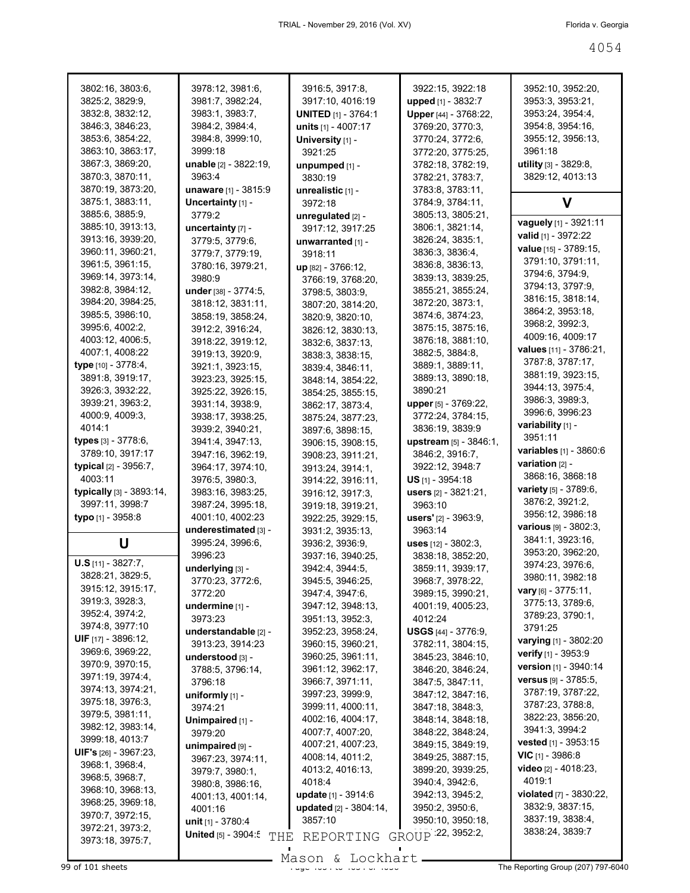| 3802:16, 3803:6,                   | 3978:12, 3981:6,            | 3916:5, 3917:8,             | 3922:15, 3922:18              | 3952:10, 3952:20,                       |
|------------------------------------|-----------------------------|-----------------------------|-------------------------------|-----------------------------------------|
| 3825:2, 3829:9,                    | 3981:7, 3982:24,            | 3917:10, 4016:19            | upped [1] - 3832:7            | 3953:3, 3953:21,                        |
| 3832:8, 3832:12,                   | 3983:1, 3983:7,             | <b>UNITED</b> [1] - 3764:1  | Upper [44] - 3768:22,         | 3953:24, 3954:4,                        |
| 3846:3, 3846:23,                   | 3984:2, 3984:4,             | units $[1] - 4007:17$       | 3769:20, 3770:3,              | 3954:8, 3954:16,                        |
| 3853:6, 3854:22,                   | 3984:8, 3999:10,            | University [1] -            | 3770:24, 3772:6,              | 3955:12, 3956:13,                       |
| 3863:10, 3863:17,                  | 3999:18                     | 3921:25                     | 3772:20, 3775:25,             | 3961:18                                 |
| 3867:3, 3869:20,                   | unable [2] - 3822:19,       | unpumped [1] -              | 3782:18, 3782:19,             | utility [3] - 3829:8,                   |
| 3870:3, 3870:11,                   | 3963:4                      | 3830:19                     | 3782:21, 3783:7,              | 3829:12, 4013:13                        |
| 3870:19, 3873:20,                  | <b>unaware</b> [1] - 3815:9 | unrealistic [1] -           | 3783:8, 3783:11,              |                                         |
| 3875:1, 3883:11,                   | Uncertainty [1] -           | 3972:18                     | 3784:9, 3784:11,              | v                                       |
| 3885:6, 3885:9,                    | 3779:2                      | unrequiated [2] -           | 3805:13, 3805:21,             |                                         |
| 3885:10, 3913:13,                  | uncertainty [7] -           | 3917:12, 3917:25            | 3806:1, 3821:14,              | vaguely [1] - 3921:11                   |
| 3913:16, 3939:20,                  | 3779:5, 3779:6,             | unwarranted [1] -           | 3826:24, 3835:1,              | valid [1] - 3972:22                     |
| 3960:11, 3960:21,                  | 3779:7, 3779:19,            | 3918:11                     | 3836:3, 3836:4,               | value [15] - 3789:15,                   |
| 3961:5, 3961:15,                   | 3780:16, 3979:21,           | up [82] - 3766:12,          | 3836:8, 3836:13,              | 3791:10, 3791:11,                       |
| 3969:14, 3973:14,                  | 3980:9                      | 3766:19, 3768:20,           | 3839:13, 3839:25,             | 3794:6, 3794:9,                         |
| 3982:8, 3984:12,                   | under [38] - 3774:5,        | 3798:5, 3803:9,             | 3855:21, 3855:24,             | 3794:13, 3797:9,                        |
| 3984:20, 3984:25,                  | 3818:12, 3831:11,           | 3807:20, 3814:20,           | 3872:20, 3873:1,              | 3816:15, 3818:14,                       |
| 3985:5, 3986:10,                   | 3858:19, 3858:24,           | 3820:9, 3820:10,            | 3874:6, 3874:23,              | 3864:2, 3953:18,                        |
| 3995:6, 4002:2,                    | 3912:2, 3916:24,            | 3826:12, 3830:13,           | 3875:15, 3875:16,             | 3968:2, 3992:3,                         |
| 4003:12, 4006:5,                   | 3918:22, 3919:12,           | 3832:6, 3837:13,            | 3876:18, 3881:10,             | 4009:16, 4009:17                        |
| 4007:1, 4008:22                    | 3919:13, 3920:9,            | 3838:3, 3838:15,            | 3882:5, 3884:8,               | values [11] - 3786:21,                  |
| type [10] - 3778:4,                | 3921:1, 3923:15,            | 3839:4, 3846:11,            | 3889:1, 3889:11,              | 3787:8, 3787:17,                        |
| 3891:8, 3919:17,                   | 3923:23, 3925:15,           | 3848:14, 3854:22,           | 3889:13, 3890:18,             | 3881:19, 3923:15,                       |
| 3926:3, 3932:22,                   | 3925:22, 3926:15,           | 3854:25, 3855:15,           | 3890:21                       | 3944:13, 3975:4,                        |
| 3939:21, 3963:2,                   | 3931:14, 3938:9,            | 3862:17, 3873:4,            | upper [5] - 3769:22,          | 3986:3, 3989:3,                         |
| 4000:9, 4009:3,                    | 3938:17, 3938:25,           | 3875:24, 3877:23,           | 3772:24, 3784:15,             | 3996:6, 3996:23                         |
| 4014:1                             | 3939:2, 3940:21,            | 3897:6, 3898:15,            | 3836:19, 3839:9               | variability [1] -                       |
| <b>types</b> $[3] - 3778:6,$       | 3941:4, 3947:13,            | 3906:15, 3908:15,           | upstream [5] - 3846:1,        | 3951:11                                 |
| 3789:10, 3917:17                   | 3947:16, 3962:19,           | 3908:23, 3911:21,           | 3846:2, 3916:7,               | <b>variables</b> [1] - 3860:6           |
| typical [2] - 3956:7,              | 3964:17, 3974:10,           | 3913:24, 3914:1,            | 3922:12, 3948:7               | <b>variation</b> $[2]$ -                |
| 4003:11                            | 3976:5, 3980:3,             | 3914:22, 3916:11,           | $US$ <sub>[1]</sub> - 3954:18 | 3868:16, 3868:18                        |
| typically $[3] - 3893:14$ ,        | 3983:16, 3983:25,           | 3916:12, 3917:3,            | users [2] - 3821:21,          | variety [5] - 3789:6,                   |
| 3997:11, 3998:7                    | 3987:24, 3995:18,           | 3919:18, 3919:21,           | 3963:10                       | 3876:2, 3921:2,                         |
| typo [1] - 3958:8                  | 4001:10, 4002:23            | 3922:25, 3929:15,           | <b>users'</b> [2] - 3963:9,   | 3956:12, 3986:18                        |
|                                    | underestimated [3] -        | 3931:2, 3935:13,            | 3963:14                       | $various$ [9] - 3802:3,                 |
| U                                  | 3995:24, 3996:6,            | 3936:2, 3936:9,             | <b>uses</b> $[12] - 3802:3$ , | 3841:1, 3923:16,                        |
| $U.S$ [11] - 3827:7,               | 3996:23                     | 3937:16, 3940:25,           | 3838:18, 3852:20,             | 3953:20, 3962:20,                       |
| 3828:21, 3829:5,                   | underlying [3] -            | 3942:4, 3944:5,             | 3859:11, 3939:17,             | 3974:23, 3976:6,                        |
| 3915:12, 3915:17,                  | 3770:23, 3772:6,            | 3945:5, 3946:25,            | 3968:7, 3978:22,              | 3980:11, 3982:18                        |
| 3919:3, 3928:3,                    | 3772:20                     | 3947:4, 3947:6,             | 3989:15, 3990:21,             | vary [6] - 3775:11,<br>3775:13, 3789:6, |
|                                    | undermine [1] -             | 3947:12, 3948:13,           |                               |                                         |
|                                    |                             |                             | 4001:19, 4005:23,             |                                         |
| 3952:4, 3974:2,                    | 3973:23                     | 3951:13, 3952:3,            | 4012:24                       | 3789:23, 3790:1,                        |
| 3974:8, 3977:10                    | understandable [2] -        | 3952:23, 3958:24,           | USGS [44] - 3776:9.           | 3791:25                                 |
| <b>UIF</b> [17] - 3896:12,         | 3913:23, 3914:23            | 3960:15, 3960:21,           | 3782:11, 3804:15,             | varying [1] - 3802:20                   |
| 3969:6, 3969:22,                   | understood [3] -            | 3960:25, 3961:11,           | 3845:23, 3846:10,             | verify [1] - 3953:9                     |
| 3970:9, 3970:15,                   | 3788:5, 3796:14,            | 3961:12, 3962:17,           | 3846:20, 3846:24,             | <b>version</b> $[1]$ - 3940:14          |
| 3971:19, 3974:4,                   | 3796:18                     | 3966:7, 3971:11,            | 3847:5, 3847:11,              | <b>versus</b> $[9] - 3785:5$ ,          |
| 3974:13, 3974:21,                  | uniformly $[1]$ -           | 3997:23, 3999:9,            | 3847:12, 3847:16,             | 3787:19, 3787:22,                       |
| 3975:18, 3976:3,                   | 3974:21                     | 3999:11, 4000:11,           | 3847:18, 3848:3,              | 3787:23, 3788:8,                        |
| 3979:5, 3981:11,                   | Unimpaired [1] -            | 4002:16, 4004:17,           | 3848:14, 3848:18,             | 3822:23, 3856:20,                       |
| 3982:12, 3983:14,                  | 3979:20                     | 4007:7, 4007:20,            | 3848:22, 3848:24,             | 3941:3, 3994:2                          |
| 3999:18, 4013:7                    | unimpaired [9] -            | 4007:21, 4007:23,           | 3849:15, 3849:19,             | <b>vested</b> [1] - $3953:15$           |
| <b>UIF's</b> $[26] - 3967:23$ ,    | 3967:23, 3974:11,           | 4008:14, 4011:2,            | 3849:25, 3887:15,             | <b>VIC</b> $[1]$ - 3986:8               |
| 3968:1, 3968:4,<br>3968:5, 3968:7, | 3979:7, 3980:1,             | 4013:2, 4016:13,            | 3899:20, 3939:25,             | <b>video</b> $[2] - 4018:23$ ,          |
| 3968:10, 3968:13,                  | 3980:8, 3986:16,            | 4018:4                      | 3940:4, 3942:6,               | 4019:1                                  |
| 3968:25, 3969:18,                  | 4001:13, 4001:14,           | update [1] - 3914:6         | 3942:13, 3945:2,              | <b>violated</b> [7] - 3830:22,          |
| 3970:7, 3972:15,                   | 4001:16                     | updated [2] - 3804:14,      | 3950:2, 3950:6,               | 3832:9, 3837:15,                        |
| 3972:21, 3973:2,                   | unit [1] - 3780:4           | 3857:10                     | 3950:10, 3950:18,             | 3837:19, 3838:4,                        |
| 3973:18, 3975:7,                   | United [5] - 3904:5<br>THE  | REPORTING GROUP 22, 3952:2, |                               | 3838:24, 3839:7                         |

Mason & Lockhart **Page 4054 of 101 sheets** Page 407) 797-6040 Mason & Lockhart **Page 4056 Page 4054 of 405**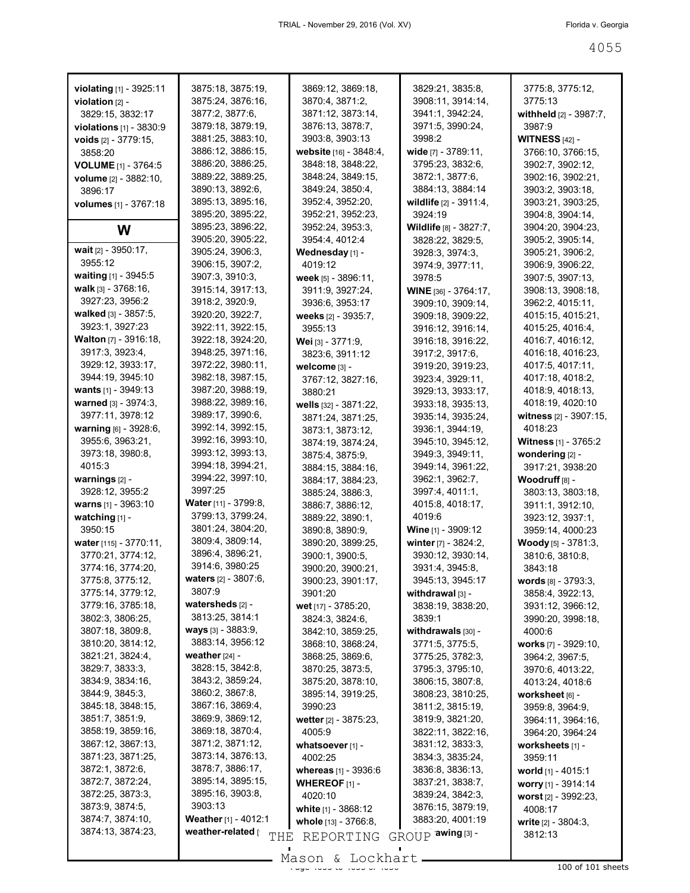| violating [1] - 3925:11<br><b>violation</b> $[2]$ -<br>3829:15, 3832:17<br><b>violations</b> $[1]$ - 3830:9<br><b>voids</b> $[2] - 3779:15$ ,<br>3858:20<br>VOLUME [1] - 3764:5<br>volume [2] - 3882:10, | 3875:18, 3875:19,<br>3875:24, 3876:16,<br>3877:2, 3877:6,<br>3879:18, 3879:19,<br>3881:25, 3883:10,<br>3886:12, 3886:15,<br>3886:20, 3886:25,<br>3889:22, 3889:25, | 3869:12, 3869:18,<br>3870:4, 3871:2,<br>3871:12, 3873:14,<br>3876:13, 3878:7,<br>3903:8, 3903:13<br><b>website</b> [16] - 3848:4,<br>3848:18, 3848:22,<br>3848:24, 3849:15, | 3829:21, 3835:8,<br>3908:11, 3914:14,<br>3941:1, 3942:24,<br>3971:5, 3990:24,<br>3998:2<br>wide [7] - 3789:11,<br>3795:23, 3832:6,<br>3872:1, 3877:6, | 3775:8, 3775:12,<br>3775:13<br>withheld $[2]$ - 3987:7,<br>3987:9<br><b>WITNESS</b> $[42] -$<br>3766:10, 3766:15,<br>3902:7, 3902:12,<br>3902:16, 3902:21, |
|----------------------------------------------------------------------------------------------------------------------------------------------------------------------------------------------------------|--------------------------------------------------------------------------------------------------------------------------------------------------------------------|-----------------------------------------------------------------------------------------------------------------------------------------------------------------------------|-------------------------------------------------------------------------------------------------------------------------------------------------------|------------------------------------------------------------------------------------------------------------------------------------------------------------|
| 3896:17<br><b>volumes</b> [1] - 3767:18                                                                                                                                                                  | 3890:13, 3892:6,<br>3895:13, 3895:16,                                                                                                                              | 3849:24, 3850:4,<br>3952:4, 3952:20,                                                                                                                                        | 3884:13, 3884:14<br>wildlife $[2] - 3911:4,$                                                                                                          | 3903:2, 3903:18,<br>3903:21, 3903:25,                                                                                                                      |
|                                                                                                                                                                                                          | 3895:20, 3895:22,                                                                                                                                                  | 3952:21, 3952:23,                                                                                                                                                           | 3924:19                                                                                                                                               | 3904:8, 3904:14,                                                                                                                                           |
| W                                                                                                                                                                                                        | 3895:23, 3896:22,<br>3905:20, 3905:22,                                                                                                                             | 3952:24, 3953:3,<br>3954:4, 4012:4                                                                                                                                          | Wildlife [8] - 3827:7,<br>3828:22, 3829:5,                                                                                                            | 3904:20, 3904:23,<br>3905:2, 3905:14,                                                                                                                      |
| wait $[2] - 3950:17$ ,<br>3955:12                                                                                                                                                                        | 3905:24, 3906:3,                                                                                                                                                   | Wednesday [1] -                                                                                                                                                             | 3928:3, 3974:3,                                                                                                                                       | 3905:21, 3906:2,                                                                                                                                           |
| waiting $[1] - 3945:5$                                                                                                                                                                                   | 3906:15, 3907:2,                                                                                                                                                   | 4019:12                                                                                                                                                                     | 3974:9, 3977:11,                                                                                                                                      | 3906:9, 3906:22,                                                                                                                                           |
| walk $[3] - 3768:16$ ,                                                                                                                                                                                   | 3907:3, 3910:3,<br>3915:14, 3917:13,                                                                                                                               | <b>week</b> [5] - 3896:11,<br>3911:9, 3927:24,                                                                                                                              | 3978:5                                                                                                                                                | 3907:5, 3907:13,<br>3908:13, 3908:18,                                                                                                                      |
| 3927:23, 3956:2                                                                                                                                                                                          | 3918:2, 3920:9,                                                                                                                                                    | 3936:6, 3953:17                                                                                                                                                             | <b>WINE</b> [36] - 3764:17,<br>3909:10, 3909:14,                                                                                                      | 3962:2, 4015:11,                                                                                                                                           |
| <b>walked</b> $[3] - 3857.5$ ,                                                                                                                                                                           | 3920:20, 3922:7,                                                                                                                                                   | weeks [2] - 3935:7,                                                                                                                                                         | 3909:18, 3909:22,                                                                                                                                     | 4015:15, 4015:21,                                                                                                                                          |
| 3923:1, 3927:23                                                                                                                                                                                          | 3922:11, 3922:15,                                                                                                                                                  | 3955:13                                                                                                                                                                     | 3916:12, 3916:14,                                                                                                                                     | 4015:25, 4016:4,                                                                                                                                           |
| <b>Walton</b> [7] - 3916:18,                                                                                                                                                                             | 3922:18, 3924:20,                                                                                                                                                  | Wei [3] - 3771:9,                                                                                                                                                           | 3916:18, 3916:22,                                                                                                                                     | 4016:7, 4016:12,                                                                                                                                           |
| 3917:3, 3923:4,                                                                                                                                                                                          | 3948:25, 3971:16,                                                                                                                                                  | 3823:6, 3911:12                                                                                                                                                             | 3917:2, 3917:6,                                                                                                                                       | 4016:18, 4016:23,                                                                                                                                          |
| 3929:12, 3933:17,                                                                                                                                                                                        | 3972:22, 3980:11,                                                                                                                                                  | welcome [3] -                                                                                                                                                               | 3919:20, 3919:23,                                                                                                                                     | 4017:5, 4017:11,                                                                                                                                           |
| 3944:19, 3945:10                                                                                                                                                                                         | 3982:18, 3987:15,                                                                                                                                                  | 3767:12, 3827:16,                                                                                                                                                           | 3923:4, 3929:11,                                                                                                                                      | 4017:18, 4018:2,                                                                                                                                           |
| wants [1] - 3949:13                                                                                                                                                                                      | 3987:20, 3988:19,                                                                                                                                                  | 3880:21                                                                                                                                                                     | 3929:13, 3933:17,                                                                                                                                     | 4018:9, 4018:13,                                                                                                                                           |
| <b>warned</b> $[3] - 3974:3$                                                                                                                                                                             | 3988:22, 3989:16,                                                                                                                                                  | wells $[32] - 3871:22$ ,                                                                                                                                                    | 3933:18, 3935:13,                                                                                                                                     | 4018:19, 4020:10                                                                                                                                           |
| 3977:11, 3978:12                                                                                                                                                                                         | 3989:17, 3990:6,                                                                                                                                                   | 3871:24, 3871:25,                                                                                                                                                           | 3935:14, 3935:24,                                                                                                                                     | witness [2] - 3907:15,                                                                                                                                     |
| <b>warning</b> $[6] - 3928.6$ ,                                                                                                                                                                          | 3992:14, 3992:15,                                                                                                                                                  | 3873:1, 3873:12,                                                                                                                                                            | 3936:1, 3944:19,                                                                                                                                      | 4018:23                                                                                                                                                    |
| 3955:6, 3963:21,                                                                                                                                                                                         | 3992:16, 3993:10,                                                                                                                                                  | 3874:19, 3874:24,                                                                                                                                                           | 3945:10, 3945:12,                                                                                                                                     | <b>Witness</b> $[1]$ - 3765:2                                                                                                                              |
| 3973:18, 3980:8,<br>4015:3                                                                                                                                                                               | 3993:12, 3993:13,<br>3994:18, 3994:21,                                                                                                                             | 3875:4, 3875:9,                                                                                                                                                             | 3949:3, 3949:11,                                                                                                                                      | wondering [2] -                                                                                                                                            |
| warnings $[2]$ -                                                                                                                                                                                         | 3994:22, 3997:10,                                                                                                                                                  | 3884:15, 3884:16,                                                                                                                                                           | 3949:14, 3961:22,<br>3962:1, 3962:7,                                                                                                                  | 3917:21, 3938:20                                                                                                                                           |
| 3928:12, 3955:2                                                                                                                                                                                          | 3997:25                                                                                                                                                            | 3884:17, 3884:23,<br>3885:24, 3886:3,                                                                                                                                       | 3997:4, 4011:1,                                                                                                                                       | <b>Woodruff</b> [8] -<br>3803:13, 3803:18,                                                                                                                 |
| <b>warns</b> $[1]$ - 3963:10                                                                                                                                                                             | <b>Water</b> [11] - 3799:8,                                                                                                                                        | 3886:7, 3886:12,                                                                                                                                                            | 4015:8, 4018:17,                                                                                                                                      | 3911:1, 3912:10,                                                                                                                                           |
| watching $[1]$ -                                                                                                                                                                                         | 3799:13, 3799:24,                                                                                                                                                  | 3889:22, 3890:1,                                                                                                                                                            | 4019.6                                                                                                                                                | 3923:12, 3937:1,                                                                                                                                           |
| 3950:15                                                                                                                                                                                                  | 3801:24, 3804:20,                                                                                                                                                  | 3890:8, 3890:9,                                                                                                                                                             | Wine [1] - 3909:12                                                                                                                                    | 3959:14, 4000:23                                                                                                                                           |
| water $[115] - 3770.11$ ,                                                                                                                                                                                | 3809:4, 3809:14,                                                                                                                                                   | 3890:20, 3899:25,                                                                                                                                                           | winter $[7] - 3824:2,$                                                                                                                                | <b>Woody</b> $[5]$ - 3781:3,                                                                                                                               |
| 3770:21, 3774:12,                                                                                                                                                                                        | 3896:4, 3896:21,                                                                                                                                                   | 3900:1, 3900:5,                                                                                                                                                             | 3930:12, 3930:14,                                                                                                                                     | 3810:6, 3810:8,                                                                                                                                            |
| 3774:16, 3774:20,                                                                                                                                                                                        | 3914:6, 3980:25                                                                                                                                                    | 3900:20, 3900:21,                                                                                                                                                           | 3931:4, 3945:8,                                                                                                                                       | 3843:18                                                                                                                                                    |
| 3775:8, 3775:12,                                                                                                                                                                                         | <b>waters</b> [2] - 3807:6,                                                                                                                                        | 3900:23, 3901:17,                                                                                                                                                           | 3945:13, 3945:17                                                                                                                                      | words [8] - 3793:3,                                                                                                                                        |
| 3775:14, 3779:12,                                                                                                                                                                                        | 3807:9                                                                                                                                                             | 3901:20                                                                                                                                                                     | withdrawal $[3]$ -                                                                                                                                    | 3858:4, 3922:13,                                                                                                                                           |
| 3779:16, 3785:18,                                                                                                                                                                                        | watersheds [2] -                                                                                                                                                   | wet [17] - 3785:20,                                                                                                                                                         | 3838:19, 3838:20,                                                                                                                                     | 3931:12, 3966:12,                                                                                                                                          |
| 3802:3, 3806:25,                                                                                                                                                                                         | 3813:25, 3814:1                                                                                                                                                    | 3824:3, 3824:6,                                                                                                                                                             | 3839:1                                                                                                                                                | 3990:20, 3998:18,                                                                                                                                          |
| 3807:18, 3809:8,                                                                                                                                                                                         | ways [3] - 3883:9,<br>3883:14, 3956:12                                                                                                                             | 3842:10, 3859:25,                                                                                                                                                           | withdrawals [30] -                                                                                                                                    | 4000:6                                                                                                                                                     |
| 3810:20, 3814:12,                                                                                                                                                                                        | weather $[24]$ -                                                                                                                                                   | 3868:10, 3868:24,                                                                                                                                                           | 3771:5, 3775:5,                                                                                                                                       | works [7] - 3929:10,                                                                                                                                       |
| 3821:21, 3824:4,<br>3829:7, 3833:3,                                                                                                                                                                      | 3828:15, 3842:8,                                                                                                                                                   | 3868:25, 3869:6,<br>3870:25, 3873:5,                                                                                                                                        | 3775:25, 3782:3,<br>3795:3, 3795:10,                                                                                                                  | 3964:2, 3967:5,                                                                                                                                            |
| 3834:9, 3834:16,                                                                                                                                                                                         | 3843:2, 3859:24,                                                                                                                                                   | 3875:20, 3878:10,                                                                                                                                                           | 3806:15, 3807:8,                                                                                                                                      | 3970:6, 4013:22,<br>4013:24, 4018:6                                                                                                                        |
| 3844:9, 3845:3,                                                                                                                                                                                          | 3860:2, 3867:8,                                                                                                                                                    | 3895:14, 3919:25,                                                                                                                                                           | 3808:23, 3810:25,                                                                                                                                     | worksheet [6] -                                                                                                                                            |
| 3845:18, 3848:15,                                                                                                                                                                                        | 3867:16, 3869:4,                                                                                                                                                   | 3990:23                                                                                                                                                                     | 3811:2, 3815:19,                                                                                                                                      | 3959:8, 3964:9,                                                                                                                                            |
| 3851:7, 3851:9,                                                                                                                                                                                          | 3869:9, 3869:12,                                                                                                                                                   | wetter [2] - 3875:23,                                                                                                                                                       | 3819:9, 3821:20,                                                                                                                                      | 3964:11, 3964:16,                                                                                                                                          |
| 3858:19, 3859:16,                                                                                                                                                                                        | 3869:18, 3870:4,                                                                                                                                                   | 4005:9                                                                                                                                                                      | 3822:11, 3822:16,                                                                                                                                     | 3964:20, 3964:24                                                                                                                                           |
| 3867:12, 3867:13,                                                                                                                                                                                        | 3871:2, 3871:12,                                                                                                                                                   | whatsoever [1] -                                                                                                                                                            | 3831:12, 3833:3,                                                                                                                                      | worksheets [1] -                                                                                                                                           |
| 3871:23, 3871:25,                                                                                                                                                                                        | 3873:14, 3876:13,                                                                                                                                                  | 4002:25                                                                                                                                                                     | 3834:3, 3835:24,                                                                                                                                      | 3959:11                                                                                                                                                    |
| 3872:1, 3872:6,                                                                                                                                                                                          | 3878:7, 3886:17,                                                                                                                                                   | whereas [1] - 3936:6                                                                                                                                                        | 3836:8, 3836:13,                                                                                                                                      | world [1] - 4015:1                                                                                                                                         |
| 3872:7, 3872:24,                                                                                                                                                                                         | 3895:14, 3895:15,                                                                                                                                                  | <b>WHEREOF</b> $[1]$ -                                                                                                                                                      | 3837:21, 3838:7,                                                                                                                                      | worry [1] - 3914:14                                                                                                                                        |
| 3872:25, 3873:3,                                                                                                                                                                                         | 3895:16, 3903:8,                                                                                                                                                   | 4020:10                                                                                                                                                                     | 3839:24, 3842:3,                                                                                                                                      | worst $[2] - 3992:23$ ,                                                                                                                                    |
| 3873:9, 3874:5,                                                                                                                                                                                          | 3903:13                                                                                                                                                            | white $[1] - 3868:12$                                                                                                                                                       | 3876:15, 3879:19,                                                                                                                                     | 4008:17                                                                                                                                                    |
| 3874:7, 3874:10,                                                                                                                                                                                         | Weather [1] - 4012:1                                                                                                                                               | whole [13] - 3766:8,                                                                                                                                                        | 3883:20, 4001:19                                                                                                                                      | <b>write</b> $[2] - 3804:3$ ,                                                                                                                              |
| 3874:13, 3874:23,                                                                                                                                                                                        | weather-related [<br>THE                                                                                                                                           | REPORTING                                                                                                                                                                   | GROUP awing [3] -                                                                                                                                     | 3812:13                                                                                                                                                    |
|                                                                                                                                                                                                          |                                                                                                                                                                    | $Mason$ , Lockhart                                                                                                                                                          |                                                                                                                                                       |                                                                                                                                                            |

Mason & Lockhart 100 of 101 sheets